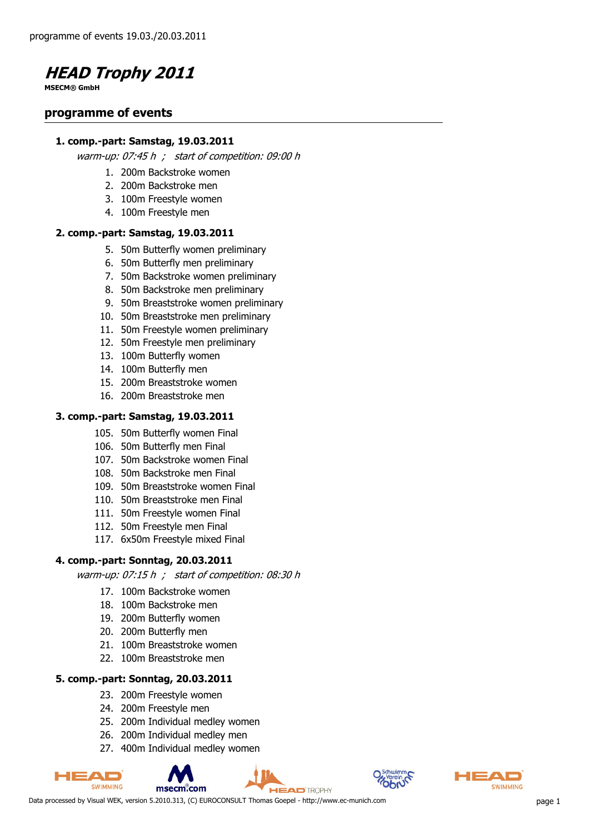

**MSECM® GmbH**

#### **programme of events**

#### **1. comp.-part: Samstag, 19.03.2011**

warm-up: 07:45 h ; start of competition: 09:00 h

- 1. 200m Backstroke women
- 2. 200m Backstroke men
- 3. 100m Freestyle women
- 4. 100m Freestyle men

#### **2. comp.-part: Samstag, 19.03.2011**

- 5. 50m Butterfly women preliminary
- 6. 50m Butterfly men preliminary
- 7. 50m Backstroke women preliminary
- 8. 50m Backstroke men preliminary
- 9. 50m Breaststroke women preliminary
- 10. 50m Breaststroke men preliminary
- 11. 50m Freestyle women preliminary
- 12. 50m Freestyle men preliminary
- 13. 100m Butterfly women
- 14. 100m Butterfly men
- 15. 200m Breaststroke women
- 16. 200m Breaststroke men

#### **3. comp.-part: Samstag, 19.03.2011**

- 105. 50m Butterfly women Final
- 106. 50m Butterfly men Final
- 107. 50m Backstroke women Final
- 108. 50m Backstroke men Final
- 109. 50m Breaststroke women Final
- 110. 50m Breaststroke men Final
- 111. 50m Freestyle women Final
- 112. 50m Freestyle men Final
- 117. 6x50m Freestyle mixed Final

#### **4. comp.-part: Sonntag, 20.03.2011**

warm-up: 07:15 h ; start of competition: 08:30 h

- 17. 100m Backstroke women
- 18. 100m Backstroke men
- 19. 200m Butterfly women
- 20. 200m Butterfly men
- 21. 100m Breaststroke women
- 22. 100m Breaststroke men

#### **5. comp.-part: Sonntag, 20.03.2011**

- 23. 200m Freestyle women
- 24. 200m Freestyle men
- 25. 200m Individual medley women
- 26. 200m Individual medley men
- 27. 400m Individual medley women







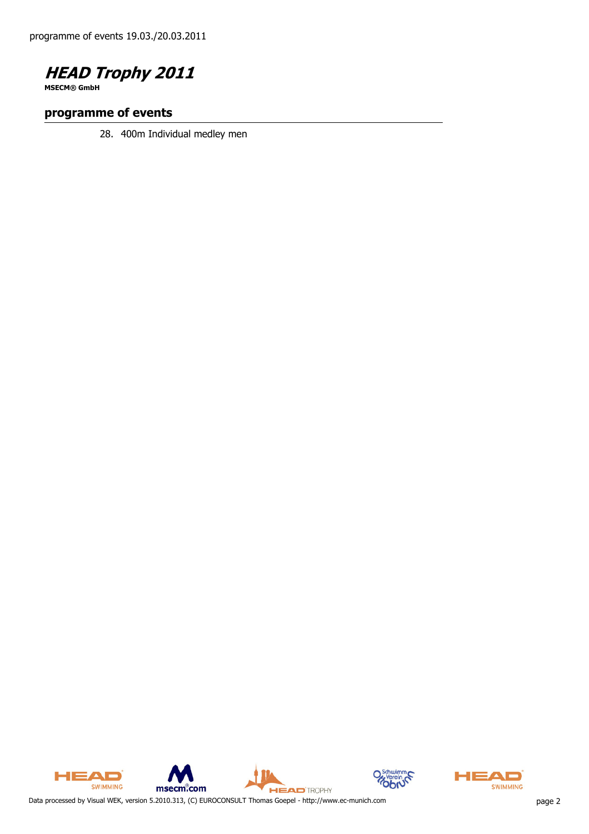

**MSECM® GmbH**

#### **programme of events**

28. 400m Individual medley men



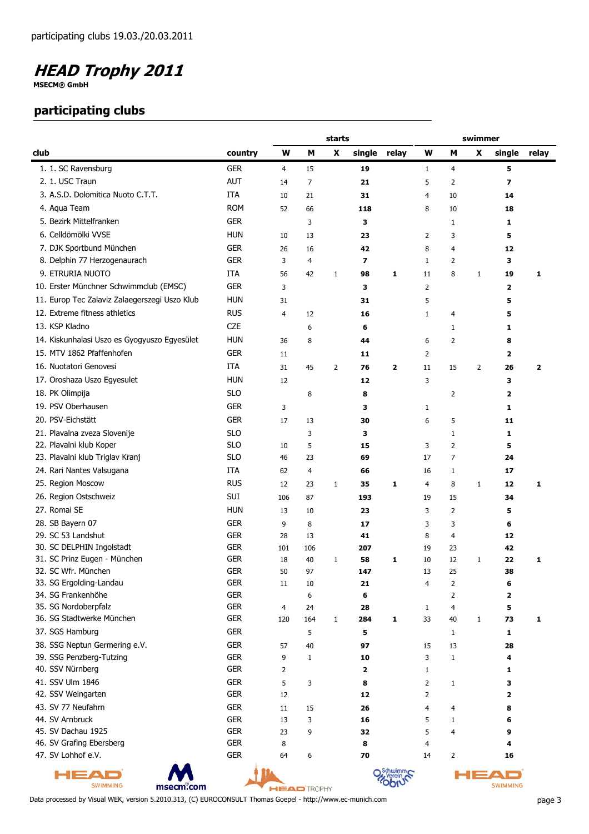**MSECM® GmbH**

#### **participating clubs**

|                                                |                          |                |                    | starts         |                         |                         | swimmer        |                                  |                |                         |                         |
|------------------------------------------------|--------------------------|----------------|--------------------|----------------|-------------------------|-------------------------|----------------|----------------------------------|----------------|-------------------------|-------------------------|
| club                                           | country                  | W              | М                  | X              | single                  | relay                   | W              | М                                | X              | single                  | relay                   |
| 1. 1. SC Ravensburg                            | <b>GER</b>               | 4              | 15                 |                | 19                      |                         | $\mathbf{1}$   | $\overline{4}$                   |                | 5                       |                         |
| 2. 1. USC Traun                                | <b>AUT</b>               | 14             | 7                  |                | 21                      |                         | 5              | 2                                |                | 7                       |                         |
| 3. A.S.D. Dolomitica Nuoto C.T.T.              | <b>ITA</b>               | 10             | 21                 |                | 31                      |                         | 4              | 10                               |                | 14                      |                         |
| 4. Aqua Team                                   | <b>ROM</b>               | 52             | 66                 |                | 118                     |                         | 8              | 10                               |                | 18                      |                         |
| 5. Bezirk Mittelfranken                        | <b>GER</b>               |                | 3                  |                | з                       |                         |                | $\mathbf{1}$                     |                | 1                       |                         |
| 6. Celldömölki VVSE                            | <b>HUN</b>               | 10             | 13                 |                | 23                      |                         | 2              | 3                                |                | 5                       |                         |
| 7. DJK Sportbund München                       | <b>GER</b>               | 26             | 16                 |                | 42                      |                         | 8              | 4                                |                | 12                      |                         |
| 8. Delphin 77 Herzogenaurach                   | <b>GER</b>               | 3              | 4                  |                | $\overline{\mathbf{z}}$ |                         | $\mathbf{1}$   | $\overline{2}$                   |                | 3                       |                         |
| 9. ETRURIA NUOTO                               | <b>ITA</b>               | 56             | 42                 | $\mathbf{1}$   | 98                      | 1                       | 11             | 8                                | $\mathbf{1}$   | 19                      | 1                       |
| 10. Erster Münchner Schwimmclub (EMSC)         | <b>GER</b>               | 3              |                    |                | з                       |                         | 2              |                                  |                | $\overline{\mathbf{2}}$ |                         |
| 11. Europ Tec Zalaviz Zalaegerszegi Uszo Klub  | <b>HUN</b>               | 31             |                    |                | 31                      |                         | 5              |                                  |                | 5                       |                         |
| 12. Extreme fitness athletics                  | <b>RUS</b>               | $\overline{4}$ | 12                 |                | 16                      |                         | $\mathbf{1}$   | $\overline{4}$                   |                | 5                       |                         |
| 13. KSP Kladno                                 | <b>CZE</b>               |                | 6                  |                | 6                       |                         |                | 1                                |                | 1                       |                         |
| 14. Kiskunhalasi Uszo es Gyogyuszo Egyesület   | <b>HUN</b>               | 36             | 8                  |                | 44                      |                         | 6              | $\overline{2}$                   |                |                         |                         |
| 15. MTV 1862 Pfaffenhofen                      | <b>GER</b>               |                |                    |                |                         |                         |                |                                  |                | 8                       |                         |
|                                                |                          | 11             |                    |                | 11                      |                         | $\overline{2}$ |                                  |                | $\overline{\mathbf{2}}$ |                         |
| 16. Nuotatori Genovesi                         | <b>ITA</b>               | 31             | 45                 | $\overline{2}$ | 76                      | $\overline{\mathbf{2}}$ | 11             | 15                               | $\overline{2}$ | 26                      | $\overline{\mathbf{2}}$ |
| 17. Oroshaza Uszo Egyesulet                    | <b>HUN</b>               | 12             |                    |                | 12                      |                         | 3              |                                  |                | 3                       |                         |
| 18. PK Olimpija                                | <b>SLO</b>               |                | 8                  |                | 8                       |                         |                | $\overline{2}$                   |                | $\overline{\mathbf{2}}$ |                         |
| 19. PSV Oberhausen                             | <b>GER</b>               | 3              |                    |                | з                       |                         | 1              |                                  |                | 1                       |                         |
| 20. PSV-Eichstätt                              | <b>GER</b>               | 17             | 13                 |                | 30                      |                         | 6              | 5                                |                | 11                      |                         |
| 21. Plavalna zveza Slovenije                   | <b>SLO</b>               |                | 3                  |                | 3                       |                         |                | $1\,$                            |                | 1                       |                         |
| 22. Plavalni klub Koper                        | <b>SLO</b>               | 10             | 5                  |                | 15                      |                         | 3              | $\overline{2}$                   |                | 5                       |                         |
| 23. Plavalni klub Triglav Kranj                | <b>SLO</b>               | 46             | 23                 |                | 69                      |                         | 17             | $\overline{7}$                   |                | 24                      |                         |
| 24. Rari Nantes Valsugana                      | ITA                      | 62             | 4                  |                | 66                      |                         | 16             | $\mathbf{1}$                     |                | 17                      |                         |
| 25. Region Moscow                              | <b>RUS</b>               | 12             | 23                 | $\mathbf{1}$   | 35                      | 1                       | 4              | 8                                | $\mathbf{1}$   | 12                      | 1                       |
| 26. Region Ostschweiz                          | SUI                      | 106            | 87                 |                | 193                     |                         | 19             | 15                               |                | 34                      |                         |
| 27. Romai SE                                   | <b>HUN</b>               | 13             | 10                 |                | 23                      |                         | 3              | $\overline{2}$                   |                | 5                       |                         |
| 28. SB Bayern 07                               | <b>GER</b>               | 9              | 8                  |                | 17                      |                         | 3              | 3                                |                | 6                       |                         |
| 29. SC 53 Landshut                             | <b>GER</b>               | 28             | 13                 |                | 41                      |                         | 8              | 4                                |                | 12                      |                         |
| 30. SC DELPHIN Ingolstadt                      | <b>GER</b>               | 101            | 106                |                | 207                     |                         | 19             | 23                               |                | 42                      |                         |
| 31. SC Prinz Eugen - München                   | <b>GER</b>               | 18             | 40                 | $\mathbf{1}$   | 58                      | 1                       | 10             | 12                               | 1              | 22                      | 1                       |
| 32. SC Wfr. München<br>33. SG Ergolding-Landau | <b>GER</b><br><b>GER</b> | 50             | 97                 |                | 147                     |                         | 13             | 25                               |                | 38                      |                         |
| 34. SG Frankenhöhe                             | <b>GER</b>               | $11\,$         | 10<br>6            |                | 21<br>6                 |                         | 4              | $\overline{2}$<br>$\overline{2}$ |                | 6<br>2                  |                         |
| 35. SG Nordoberpfalz                           | <b>GER</b>               | $\overline{4}$ | 24                 |                | 28                      |                         | $\mathbf{1}$   | $\overline{4}$                   |                | 5                       |                         |
| 36. SG Stadtwerke München                      | <b>GER</b>               | 120            | 164                | $\mathbf{1}$   | 284                     | 1                       | 33             | 40                               | $\mathbf 1$    | 73                      | 1                       |
| 37. SGS Hamburg                                | <b>GER</b>               |                | 5                  |                | 5                       |                         |                | $\mathbf{1}$                     |                | 1                       |                         |
| 38. SSG Neptun Germering e.V.                  | <b>GER</b>               | 57             | 40                 |                | 97                      |                         | 15             | 13                               |                | 28                      |                         |
| 39. SSG Penzberg-Tutzing                       | <b>GER</b>               | 9              | 1                  |                | 10                      |                         | 3              | $\,1\,$                          |                | 4                       |                         |
| 40. SSV Nürnberg                               | <b>GER</b>               | $\overline{2}$ |                    |                | $\overline{\mathbf{2}}$ |                         | $\mathbf{1}$   |                                  |                | 1                       |                         |
| 41. SSV Ulm 1846                               | <b>GER</b>               | 5              | 3                  |                | 8                       |                         | $\overline{2}$ | $\mathbf{1}$                     |                | 3                       |                         |
| 42. SSV Weingarten                             | <b>GER</b>               | 12             |                    |                | 12                      |                         | $\overline{2}$ |                                  |                | $\overline{\mathbf{2}}$ |                         |
| 43. SV 77 Neufahrn                             | <b>GER</b>               | $11\,$         | 15                 |                | 26                      |                         | 4              | 4                                |                | 8                       |                         |
| 44. SV Arnbruck                                | <b>GER</b>               | 13             | 3                  |                | 16                      |                         | 5              | $1\,$                            |                | 6                       |                         |
| 45. SV Dachau 1925                             | <b>GER</b>               | 23             | 9                  |                | 32                      |                         | 5              | $\overline{4}$                   |                | 9                       |                         |
| 46. SV Grafing Ebersberg                       | <b>GER</b>               | 8              |                    |                | 8                       |                         | 4              |                                  |                | 4                       |                         |
| 47. SV Lohhof e.V.                             | <b>GER</b>               | 64             | 6                  |                | 70                      |                         | 14             | $\overline{2}$                   |                | 16                      |                         |
| 1EAC<br><b>SWIMMING</b><br>msecm.com           |                          |                | <b>HEAD</b> TROPHY |                |                         | Schwimm<br>erein        |                |                                  |                | о —<br><b>SWIMMING</b>  |                         |

Data processed by Visual WEK, version 5.2010.313, (C) EUROCONSULT Thomas Goepel - http://www.ec-munich.com page 3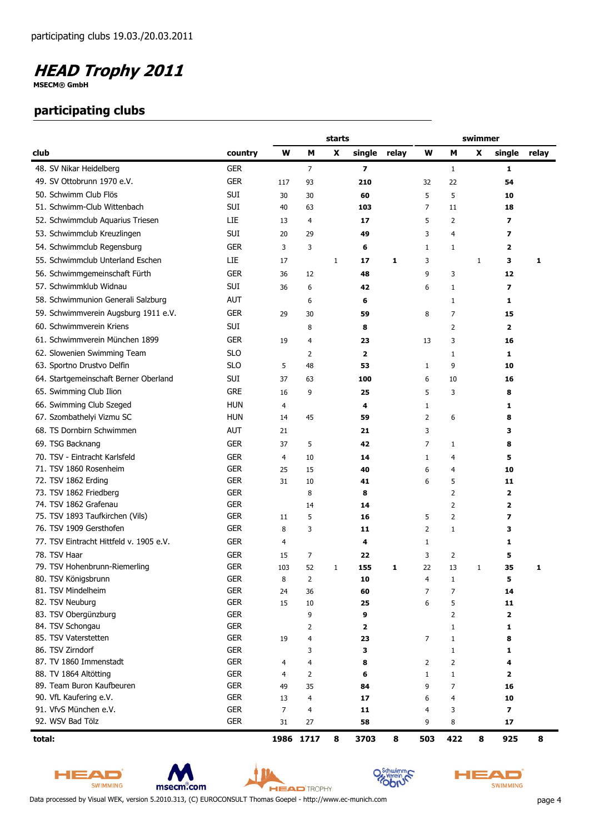**MSECM® GmbH**

#### **participating clubs**

|                                          |                          | starts         |                |              |                         |   |                | swimmer           |              |              |       |  |
|------------------------------------------|--------------------------|----------------|----------------|--------------|-------------------------|---|----------------|-------------------|--------------|--------------|-------|--|
| club                                     | country                  | W              | M              | X            | single relay            |   | W              | M                 | X            | single       | relay |  |
| 48. SV Nikar Heidelberg                  | <b>GER</b>               |                | $\overline{7}$ |              | $\overline{\mathbf{z}}$ |   |                | $\mathbf{1}$      |              | 1            |       |  |
| 49. SV Ottobrunn 1970 e.V.               | <b>GER</b>               | 117            | 93             |              | 210                     |   | 32             | 22                |              | 54           |       |  |
| 50. Schwimm Club Flös                    | <b>SUI</b>               | 30             | 30             |              | 60                      |   | 5              | 5                 |              | 10           |       |  |
| 51. Schwimm-Club Wittenbach              | SUI                      | 40             | 63             |              | 103                     |   | $\overline{7}$ | 11                |              | 18           |       |  |
| 52. Schwimmclub Aquarius Triesen         | LIE                      | 13             | 4              |              | 17                      |   | 5              | 2                 |              | 7            |       |  |
| 53. Schwimmclub Kreuzlingen              | <b>SUI</b>               | 20             | 29             |              | 49                      |   | 3              | $\overline{4}$    |              | 7            |       |  |
| 54. Schwimmclub Regensburg               | <b>GER</b>               | 3              | 3              |              | 6                       |   | $\mathbf{1}$   | 1                 |              | 2            |       |  |
| 55. Schwimmclub Unterland Eschen         | LIE                      | 17             |                | $\mathbf{1}$ | 17                      | 1 | 3              |                   | $\mathbf{1}$ | 3            | 1     |  |
| 56. Schwimmgemeinschaft Fürth            | <b>GER</b>               | 36             | 12             |              | 48                      |   | 9              | 3                 |              | 12           |       |  |
| 57. Schwimmklub Widnau                   | <b>SUI</b>               | 36             | 6              |              | 42                      |   | 6              | 1                 |              | 7            |       |  |
| 58. Schwimmunion Generali Salzburg       | <b>AUT</b>               |                | 6              |              | 6                       |   |                | $\mathbf{1}$      |              | 1            |       |  |
|                                          | <b>GER</b>               |                |                |              |                         |   |                |                   |              |              |       |  |
| 59. Schwimmverein Augsburg 1911 e.V.     |                          | 29             | 30             |              | 59                      |   | 8              | $\overline{7}$    |              | 15           |       |  |
| 60. Schwimmverein Kriens                 | <b>SUI</b>               |                | 8              |              | 8                       |   |                | 2                 |              | $\mathbf{2}$ |       |  |
| 61. Schwimmverein München 1899           | <b>GER</b>               | 19             | 4              |              | 23                      |   | 13             | 3                 |              | 16           |       |  |
| 62. Slowenien Swimming Team              | <b>SLO</b>               |                | 2              |              | $\overline{2}$          |   |                | 1                 |              | 1            |       |  |
| 63. Sportno Drustvo Delfin               | <b>SLO</b>               | 5              | 48             |              | 53                      |   | $\mathbf{1}$   | 9                 |              | 10           |       |  |
| 64. Startgemeinschaft Berner Oberland    | SUI                      | 37             | 63             |              | 100                     |   | 6              | 10                |              | 16           |       |  |
| 65. Swimming Club Ilion                  | <b>GRE</b>               | 16             | 9              |              | 25                      |   | 5              | 3                 |              | 8            |       |  |
| 66. Swimming Club Szeged                 | <b>HUN</b>               | 4              |                |              | 4                       |   | 1              |                   |              | 1            |       |  |
| 67. Szombathelyi Vizmu SC                | <b>HUN</b>               | 14             | 45             |              | 59                      |   | 2              | 6                 |              | 8            |       |  |
| 68. TS Dornbirn Schwimmen                | <b>AUT</b>               | 21             |                |              | 21                      |   | 3              |                   |              | 3            |       |  |
| 69. TSG Backnang                         | <b>GER</b>               | 37             | 5              |              | 42                      |   | 7              | $\mathbf{1}$      |              | 8            |       |  |
| 70. TSV - Eintracht Karlsfeld            | <b>GER</b>               | 4              | 10             |              | 14                      |   | 1              | 4                 |              | 5            |       |  |
| 71. TSV 1860 Rosenheim                   | <b>GER</b>               | 25             | 15             |              | 40                      |   | 6              | 4                 |              | 10           |       |  |
| 72. TSV 1862 Erding                      | <b>GER</b>               | 31             | 10             |              | 41                      |   | 6              | 5                 |              | 11           |       |  |
| 73. TSV 1862 Friedberg                   | <b>GER</b>               |                | 8              |              | 8                       |   |                | 2                 |              | $\mathbf{z}$ |       |  |
| 74. TSV 1862 Grafenau                    | <b>GER</b>               |                | 14             |              | 14                      |   |                | $\overline{2}$    |              | 2            |       |  |
| 75. TSV 1893 Taufkirchen (Vils)          | <b>GER</b>               | 11             | 5              |              | 16                      |   | 5              | $\overline{2}$    |              | 7            |       |  |
| 76. TSV 1909 Gersthofen                  | <b>GER</b>               | 8              | 3              |              | 11                      |   | $\overline{2}$ | $\mathbf{1}$      |              | 3            |       |  |
| 77. TSV Eintracht Hittfeld v. 1905 e.V.  | <b>GER</b>               | 4              |                |              | 4                       |   | $\mathbf{1}$   |                   |              | 1            |       |  |
| 78. TSV Haar                             | <b>GER</b>               | 15             | 7              |              | 22                      |   | 3              | 2                 |              | 5            |       |  |
| 79. TSV Hohenbrunn-Riemerling            | <b>GER</b>               | 103            | 52             | 1            | 155                     | 1 | 22             | 13                | 1            | 35           | 1     |  |
| 80. TSV Königsbrunn                      | <b>GER</b>               | 8              | 2              |              | 10                      |   | 4              | 1                 |              | 5            |       |  |
| 81. TSV Mindelheim                       | <b>GER</b>               | 24             | 36             |              | 60                      |   | 7              | 7                 |              | 14           |       |  |
| 82. TSV Neuburg                          | <b>GER</b>               | 15             | 10             |              | 25                      |   | 6              | 5                 |              | 11           |       |  |
| 83. TSV Obergünzburg<br>84. TSV Schongau | <b>GER</b><br><b>GER</b> |                | 9              |              | 9                       |   |                | 2                 |              | $\mathbf{z}$ |       |  |
| 85. TSV Vaterstetten                     | <b>GER</b>               | 19             | 2<br>4         |              | 2<br>23                 |   | 7              | 1<br>$\mathbf{1}$ |              | 1<br>8       |       |  |
| 86. TSV Zirndorf                         | <b>GER</b>               |                | 3              |              | 3                       |   |                | $\mathbf{1}$      |              | 1            |       |  |
| 87. TV 1860 Immenstadt                   | <b>GER</b>               | 4              | 4              |              | 8                       |   | $\overline{2}$ | 2                 |              | 4            |       |  |
| 88. TV 1864 Altötting                    | <b>GER</b>               | 4              | 2              |              | 6                       |   | $\mathbf{1}$   | 1                 |              | 2            |       |  |
| 89. Team Buron Kaufbeuren                | <b>GER</b>               | 49             | 35             |              | 84                      |   | 9              | 7                 |              | 16           |       |  |
| 90. VfL Kaufering e.V.                   | <b>GER</b>               | 13             | 4              |              | 17                      |   | 6              | 4                 |              | 10           |       |  |
| 91. VfvS München e.V.                    | <b>GER</b>               | $\overline{7}$ | 4              |              | 11                      |   | 4              | 3                 |              | 7            |       |  |
| 92. WSV Bad Tölz                         | <b>GER</b>               | 31             | 27             |              | 58                      |   | 9              | 8                 |              | 17           |       |  |
| total:                                   |                          |                | 1986 1717      | 8            | 3703                    | 8 | 503            | 422               | 8            | 925          | 8     |  |

HEAD SWIMMING







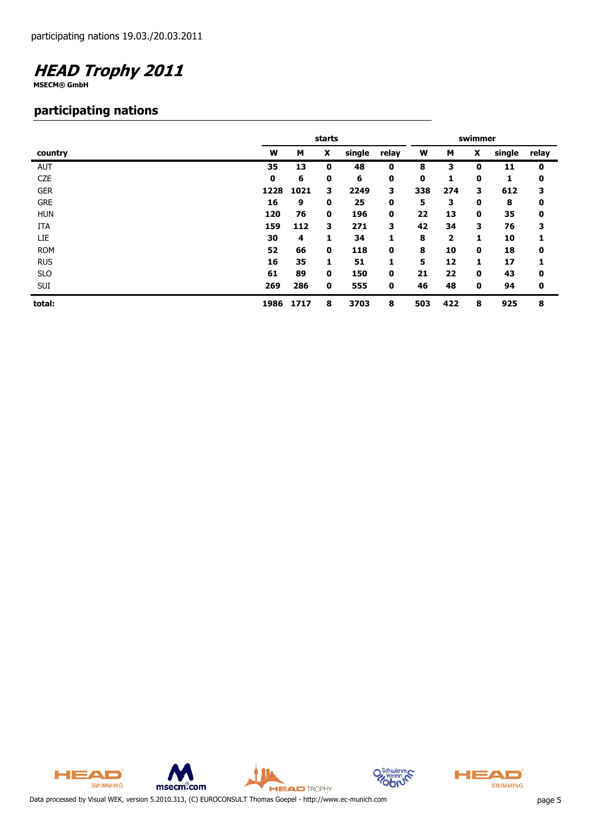**MSECM® GmbH**

#### **participating nations**

|            |      | starts | swimmer |        |       |     |     |   |        |       |
|------------|------|--------|---------|--------|-------|-----|-----|---|--------|-------|
| country    | W    | М      | X       | single | relay | W   | М   | X | single | relay |
| <b>AUT</b> | 35   | 13     | 0       | 48     | 0     | 8   | 3   | 0 | 11     | 0     |
| <b>CZE</b> | 0    | 6      | 0       | 6      | 0     | 0   | 1   | 0 | 1      | 0     |
| <b>GER</b> | 1228 | 1021   | з       | 2249   | 3     | 338 | 274 | 3 | 612    | 3     |
| <b>GRE</b> | 16   | 9      | 0       | 25     | 0     | 5   | 3   | 0 | 8      | 0     |
| <b>HUN</b> | 120  | 76     | 0       | 196    | 0     | 22  | 13  | 0 | 35     | 0     |
| ITA        | 159  | 112    | з       | 271    | 3     | 42  | 34  | 3 | 76     | 3     |
| LIE        | 30   | 4      | 1       | 34     | 1     | 8   | 2   | 1 | 10     | 1     |
| <b>ROM</b> | 52   | 66     | 0       | 118    | 0     | 8   | 10  | 0 | 18     | 0     |
| <b>RUS</b> | 16   | 35     | 1       | 51     | 1     | 5   | 12  | 1 | 17     |       |
| <b>SLO</b> | 61   | 89     | 0       | 150    | 0     | 21  | 22  | 0 | 43     | 0     |
| <b>SUI</b> | 269  | 286    | 0       | 555    | 0     | 46  | 48  | 0 | 94     | 0     |
| total:     | 1986 | 1717   | 8       | 3703   | 8     | 503 | 422 | 8 | 925    | 8     |





Data processed by Visual WEK, version 5.2010.313, (C) EUROCONSULT Thomas Goepel - http://www.ec-munich.com page 5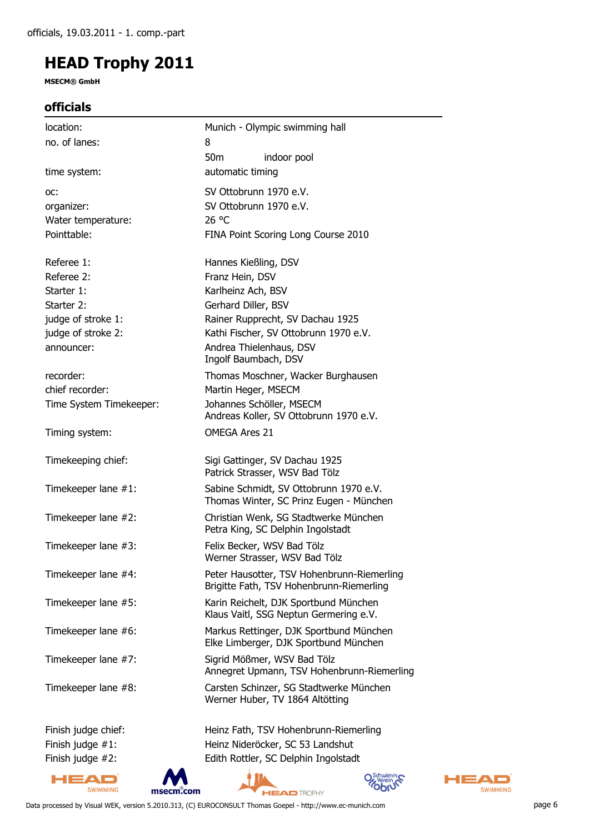**MSECM® GmbH**

#### **officials**

| location:               | Munich - Olympic swimming hall                                                         |
|-------------------------|----------------------------------------------------------------------------------------|
| no. of lanes:           | 8                                                                                      |
|                         | 50 <sub>m</sub><br>indoor pool                                                         |
| time system:            | automatic timing                                                                       |
| OC:                     | SV Ottobrunn 1970 e.V.                                                                 |
| organizer:              | SV Ottobrunn 1970 e.V.                                                                 |
| Water temperature:      | 26 °C                                                                                  |
| Pointtable:             | FINA Point Scoring Long Course 2010                                                    |
| Referee 1:              | Hannes Kießling, DSV                                                                   |
| Referee 2:              | Franz Hein, DSV                                                                        |
| Starter 1:              | Karlheinz Ach, BSV                                                                     |
| Starter 2:              | Gerhard Diller, BSV                                                                    |
| judge of stroke 1:      | Rainer Rupprecht, SV Dachau 1925                                                       |
| judge of stroke 2:      | Kathi Fischer, SV Ottobrunn 1970 e.V.                                                  |
| announcer:              | Andrea Thielenhaus, DSV<br>Ingolf Baumbach, DSV                                        |
| recorder:               | Thomas Moschner, Wacker Burghausen                                                     |
| chief recorder:         | Martin Heger, MSECM                                                                    |
| Time System Timekeeper: | Johannes Schöller, MSECM<br>Andreas Koller, SV Ottobrunn 1970 e.V.                     |
| Timing system:          | <b>OMEGA Ares 21</b>                                                                   |
| Timekeeping chief:      | Sigi Gattinger, SV Dachau 1925<br>Patrick Strasser, WSV Bad Tölz                       |
| Timekeeper lane #1:     | Sabine Schmidt, SV Ottobrunn 1970 e.V.<br>Thomas Winter, SC Prinz Eugen - München      |
| Timekeeper lane #2:     | Christian Wenk, SG Stadtwerke München<br>Petra King, SC Delphin Ingolstadt             |
| Timekeeper lane #3:     | Felix Becker, WSV Bad Tölz<br>Werner Strasser, WSV Bad Tölz                            |
| Timekeeper lane #4:     | Peter Hausotter, TSV Hohenbrunn-Riemerling<br>Brigitte Fath, TSV Hohenbrunn-Riemerling |
| Timekeeper lane #5:     | Karin Reichelt, DJK Sportbund München<br>Klaus Vaitl, SSG Neptun Germering e.V.        |
| Timekeeper lane #6:     | Markus Rettinger, DJK Sportbund München<br>Elke Limberger, DJK Sportbund München       |
| Timekeeper lane #7:     | Sigrid Mößmer, WSV Bad Tölz<br>Annegret Upmann, TSV Hohenbrunn-Riemerling              |
| Timekeeper lane #8:     | Carsten Schinzer, SG Stadtwerke München<br>Werner Huber, TV 1864 Altötting             |
| Finish judge chief:     | Heinz Fath, TSV Hohenbrunn-Riemerling                                                  |
| Finish judge #1:        | Heinz Nideröcker, SC 53 Landshut                                                       |
| Finish judge #2:        | Edith Rottler, SC Delphin Ingolstadt                                                   |







Data processed by Visual WEK, version 5.2010.313, (C) EUROCONSULT Thomas Goepel - http://www.ec-munich.com page 6

**HEAD** 

SWIMMING

Þ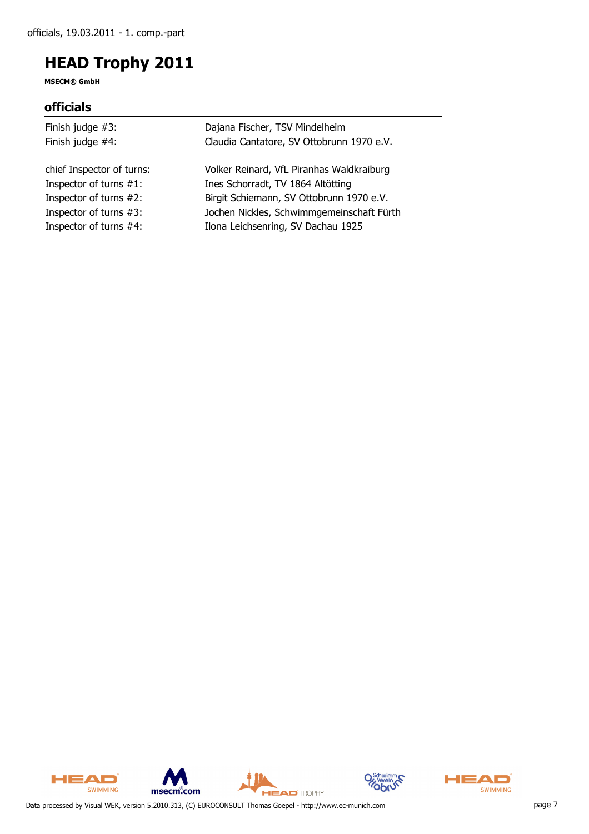**MSECM® GmbH**

#### **officials**

| Dajana Fischer, TSV Mindelheim            |
|-------------------------------------------|
| Claudia Cantatore, SV Ottobrunn 1970 e.V. |
| Volker Reinard, VfL Piranhas Waldkraiburg |
| Ines Schorradt, TV 1864 Altötting         |
| Birgit Schiemann, SV Ottobrunn 1970 e.V.  |
| Jochen Nickles, Schwimmgemeinschaft Fürth |
| Ilona Leichsenring, SV Dachau 1925        |
|                                           |









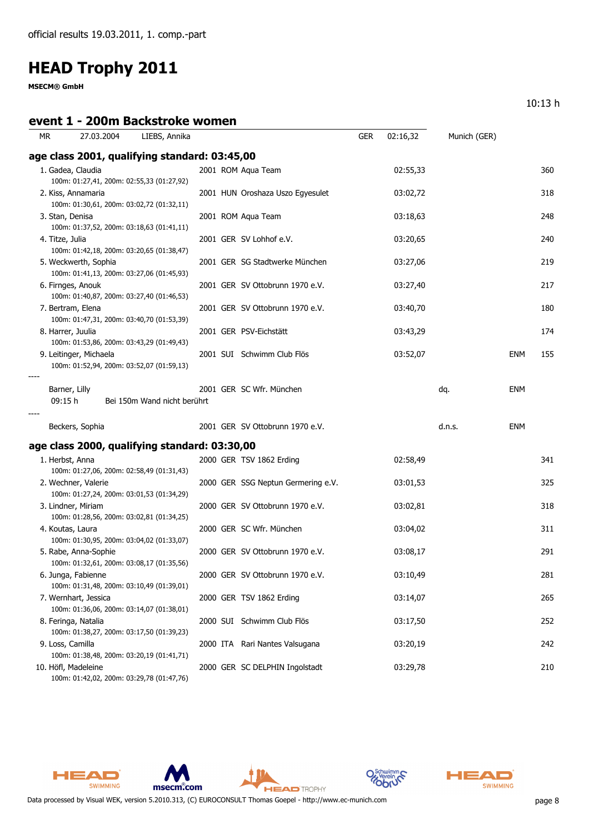**MSECM® GmbH**

#### **event 1 - 200m Backstroke women**

10:13 h

| МR                | 27.03.2004             | LIEBS, Annika                                                                          |  |                                    | <b>GER</b> | 02:16,32 | Munich (GER) |            |     |
|-------------------|------------------------|----------------------------------------------------------------------------------------|--|------------------------------------|------------|----------|--------------|------------|-----|
|                   |                        | age class 2001, qualifying standard: 03:45,00                                          |  |                                    |            |          |              |            |     |
|                   | 1. Gadea, Claudia      | 100m: 01:27,41, 200m: 02:55,33 (01:27,92)                                              |  | 2001 ROM Aqua Team                 |            | 02:55,33 |              |            | 360 |
|                   | 2. Kiss, Annamaria     | 100m: 01:30,61, 200m: 03:02,72 (01:32,11)                                              |  | 2001 HUN Oroshaza Uszo Egyesulet   |            | 03:02,72 |              |            | 318 |
| 3. Stan, Denisa   |                        | 100m: 01:37,52, 200m: 03:18,63 (01:41,11)                                              |  | 2001 ROM Aqua Team                 |            | 03:18,63 |              |            | 248 |
| 4. Titze, Julia   |                        | 100m: 01:42,18, 200m: 03:20,65 (01:38,47)                                              |  | 2001 GER SV Lohhof e.V.            |            | 03:20,65 |              |            | 240 |
|                   | 5. Weckwerth, Sophia   | 100m: 01:41,13, 200m: 03:27,06 (01:45,93)                                              |  | 2001 GER SG Stadtwerke München     |            | 03:27,06 |              |            | 219 |
|                   | 6. Firnges, Anouk      | 100m: 01:40,87, 200m: 03:27,40 (01:46,53)                                              |  | 2001 GER SV Ottobrunn 1970 e.V.    |            | 03:27,40 |              |            | 217 |
|                   | 7. Bertram, Elena      | 100m: 01:47,31, 200m: 03:40,70 (01:53,39)                                              |  | 2001 GER SV Ottobrunn 1970 e.V.    |            | 03:40,70 |              |            | 180 |
| 8. Harrer, Juulia |                        | 100m: 01:53,86, 200m: 03:43,29 (01:49,43)                                              |  | 2001 GER PSV-Eichstätt             |            | 03:43,29 |              |            | 174 |
|                   | 9. Leitinger, Michaela | 100m: 01:52,94, 200m: 03:52,07 (01:59,13)                                              |  | 2001 SUI Schwimm Club Flös         |            | 03:52,07 |              | ENM        | 155 |
| 09:15 h           | Barner, Lilly          | Bei 150m Wand nicht berührt                                                            |  | 2001 GER SC Wfr. München           |            |          | dq.          | <b>ENM</b> |     |
|                   | Beckers, Sophia        |                                                                                        |  | 2001 GER SV Ottobrunn 1970 e.V.    |            |          | d.n.s.       | <b>ENM</b> |     |
|                   |                        | age class 2000, qualifying standard: 03:30,00                                          |  |                                    |            |          |              |            |     |
| 1. Herbst, Anna   |                        | 100m: 01:27,06, 200m: 02:58,49 (01:31,43)                                              |  | 2000 GER TSV 1862 Erding           |            | 02:58,49 |              |            | 341 |
|                   | 2. Wechner, Valerie    | 100m: 01:27,24, 200m: 03:01,53 (01:34,29)                                              |  | 2000 GER SSG Neptun Germering e.V. |            | 03:01,53 |              |            | 325 |
|                   | 3. Lindner, Miriam     | 100m: 01:28,56, 200m: 03:02,81 (01:34,25)                                              |  | 2000 GER SV Ottobrunn 1970 e.V.    |            | 03:02,81 |              |            | 318 |
|                   | 4. Koutas, Laura       | 100m: 01:30,95, 200m: 03:04,02 (01:33,07)                                              |  | 2000 GER SC Wfr. München           |            | 03:04,02 |              |            | 311 |
|                   | 5. Rabe, Anna-Sophie   | 100m: 01:32,61, 200m: 03:08,17 (01:35,56)                                              |  | 2000 GER SV Ottobrunn 1970 e.V.    |            | 03:08,17 |              |            | 291 |
|                   | 6. Junga, Fabienne     | 100m: 01:31,48, 200m: 03:10,49 (01:39,01)                                              |  | 2000 GER SV Ottobrunn 1970 e.V.    |            | 03:10,49 |              |            | 281 |
|                   | 7. Wernhart, Jessica   | 100m: 01:36,06, 200m: 03:14,07 (01:38,01)                                              |  | 2000 GER TSV 1862 Erding           |            | 03:14,07 |              |            | 265 |
|                   | 8. Feringa, Natalia    |                                                                                        |  | 2000 SUI Schwimm Club Flös         |            | 03:17,50 |              |            | 252 |
| 9. Loss, Camilla  |                        | 100m: 01:38,27, 200m: 03:17,50 (01:39,23)                                              |  | 2000 ITA Rari Nantes Valsugana     |            | 03:20,19 |              |            | 242 |
|                   | 10. Höfl, Madeleine    | 100m: 01:38,48, 200m: 03:20,19 (01:41,71)<br>100m: 01:42,02, 200m: 03:29,78 (01:47,76) |  | 2000 GER SC DELPHIN Ingolstadt     |            | 03:29,78 |              |            | 210 |









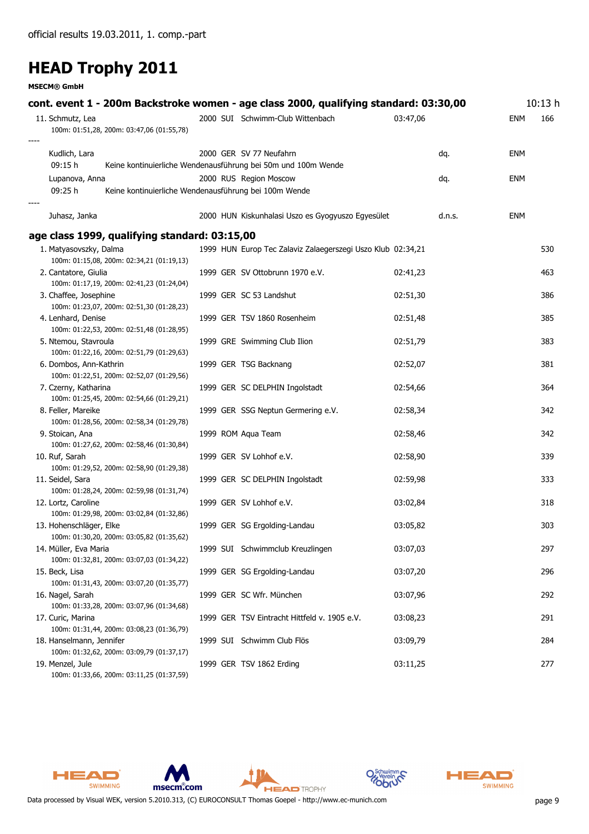**MSECM® GmbH**

| cont. event 1 - 200m Backstroke women - age class 2000, qualifying standard: 03:30,00<br>11. Schmutz, Lea |  | 2000 SUI Schwimm-Club Wittenbach                              | 03:47,06 |        | <b>ENM</b> | 10:13h<br>166 |
|-----------------------------------------------------------------------------------------------------------|--|---------------------------------------------------------------|----------|--------|------------|---------------|
| 100m: 01:51,28, 200m: 03:47,06 (01:55,78)                                                                 |  |                                                               |          |        |            |               |
| Kudlich, Lara                                                                                             |  | 2000 GER SV 77 Neufahrn                                       |          | dq.    | ENM        |               |
| 09:15 h                                                                                                   |  | Keine kontinuierliche Wendenausführung bei 50m und 100m Wende |          |        |            |               |
| Lupanova, Anna                                                                                            |  | 2000 RUS Region Moscow                                        |          | dq.    | ENM        |               |
| 09:25 h<br>Keine kontinuierliche Wendenausführung bei 100m Wende                                          |  |                                                               |          |        |            |               |
| Juhasz, Janka                                                                                             |  | 2000 HUN Kiskunhalasi Uszo es Gyogyuszo Egyesület             |          | d.n.s. | <b>ENM</b> |               |
| age class 1999, qualifying standard: 03:15,00                                                             |  |                                                               |          |        |            |               |
| 1. Matyasovszky, Dalma                                                                                    |  | 1999 HUN Europ Tec Zalaviz Zalaegerszegi Uszo Klub 02:34,21   |          |        |            | 530           |
| 100m: 01:15,08, 200m: 02:34,21 (01:19,13)                                                                 |  |                                                               |          |        |            |               |
| 2. Cantatore, Giulia                                                                                      |  | 1999 GER SV Ottobrunn 1970 e.V.                               | 02:41,23 |        |            | 463           |
| 100m: 01:17,19, 200m: 02:41,23 (01:24,04)                                                                 |  |                                                               |          |        |            |               |
| 3. Chaffee, Josephine                                                                                     |  | 1999 GER SC 53 Landshut                                       | 02:51,30 |        |            | 386           |
| 100m: 01:23,07, 200m: 02:51,30 (01:28,23)                                                                 |  |                                                               |          |        |            |               |
| 4. Lenhard, Denise                                                                                        |  | 1999 GER TSV 1860 Rosenheim                                   | 02:51,48 |        |            | 385           |
| 100m: 01:22,53, 200m: 02:51,48 (01:28,95)                                                                 |  |                                                               |          |        |            |               |
| 5. Ntemou, Stavroula<br>100m: 01:22,16, 200m: 02:51,79 (01:29,63)                                         |  | 1999 GRE Swimming Club Ilion                                  | 02:51,79 |        |            | 383           |
| 6. Dombos, Ann-Kathrin                                                                                    |  | 1999 GER TSG Backnang                                         | 02:52,07 |        |            | 381           |
| 100m: 01:22,51, 200m: 02:52,07 (01:29,56)                                                                 |  |                                                               |          |        |            |               |
| 7. Czerny, Katharina                                                                                      |  | 1999 GER SC DELPHIN Ingolstadt                                | 02:54,66 |        |            | 364           |
| 100m: 01:25,45, 200m: 02:54,66 (01:29,21)                                                                 |  |                                                               |          |        |            |               |
| 8. Feller, Mareike                                                                                        |  | 1999 GER SSG Neptun Germering e.V.                            | 02:58,34 |        |            | 342           |
| 100m: 01:28,56, 200m: 02:58,34 (01:29,78)                                                                 |  |                                                               |          |        |            |               |
| 9. Stoican, Ana                                                                                           |  | 1999 ROM Aqua Team                                            | 02:58,46 |        |            | 342           |
| 100m: 01:27,62, 200m: 02:58,46 (01:30,84)                                                                 |  |                                                               |          |        |            |               |
| 10. Ruf, Sarah                                                                                            |  | 1999 GER SV Lohhof e.V.                                       | 02:58,90 |        |            | 339           |
| 100m: 01:29,52, 200m: 02:58,90 (01:29,38)                                                                 |  |                                                               |          |        |            |               |
| 11. Seidel, Sara                                                                                          |  | 1999 GER SC DELPHIN Ingolstadt                                | 02:59,98 |        |            | 333           |
| 100m: 01:28,24, 200m: 02:59,98 (01:31,74)                                                                 |  |                                                               |          |        |            |               |
| 12. Lortz, Caroline                                                                                       |  | 1999 GER SV Lohhof e.V.                                       | 03:02,84 |        |            | 318           |
| 100m: 01:29,98, 200m: 03:02,84 (01:32,86)                                                                 |  |                                                               |          |        |            |               |
| 13. Hohenschläger, Elke                                                                                   |  | 1999 GER SG Ergolding-Landau                                  | 03:05,82 |        |            | 303           |
| 100m: 01:30,20, 200m: 03:05,82 (01:35,62)                                                                 |  |                                                               |          |        |            |               |
| 14. Müller, Eva Maria<br>100m: 01:32,81, 200m: 03:07,03 (01:34,22)                                        |  | 1999 SUI Schwimmclub Kreuzlingen                              | 03:07,03 |        |            | 297           |
|                                                                                                           |  |                                                               |          |        |            |               |
| 15. Beck, Lisa<br>100m: 01:31,43, 200m: 03:07,20 (01:35,77)                                               |  | 1999 GER SG Ergolding-Landau                                  | 03:07,20 |        |            | 296           |
| 16. Nagel, Sarah                                                                                          |  | 1999 GER SC Wfr. München                                      | 03:07,96 |        |            | 292           |
| 100m: 01:33,28, 200m: 03:07,96 (01:34,68)                                                                 |  |                                                               |          |        |            |               |
| 17. Curic, Marina                                                                                         |  | 1999 GER TSV Eintracht Hittfeld v. 1905 e.V.                  | 03:08,23 |        |            | 291           |
| 100m: 01:31,44, 200m: 03:08,23 (01:36,79)                                                                 |  |                                                               |          |        |            |               |
| 18. Hanselmann, Jennifer                                                                                  |  | 1999 SUI Schwimm Club Flös                                    | 03:09,79 |        |            | 284           |
| 100m: 01:32,62, 200m: 03:09,79 (01:37,17)                                                                 |  |                                                               |          |        |            |               |
| 19. Menzel, Jule                                                                                          |  | 1999 GER TSV 1862 Erding                                      | 03:11,25 |        |            | 277           |
| 100m: 01:33,66, 200m: 03:11,25 (01:37,59)                                                                 |  |                                                               |          |        |            |               |





**HEAD** TROPHY





Data processed by Visual WEK, version 5.2010.313, (C) EUROCONSULT Thomas Goepel - http://www.ec-munich.com page 9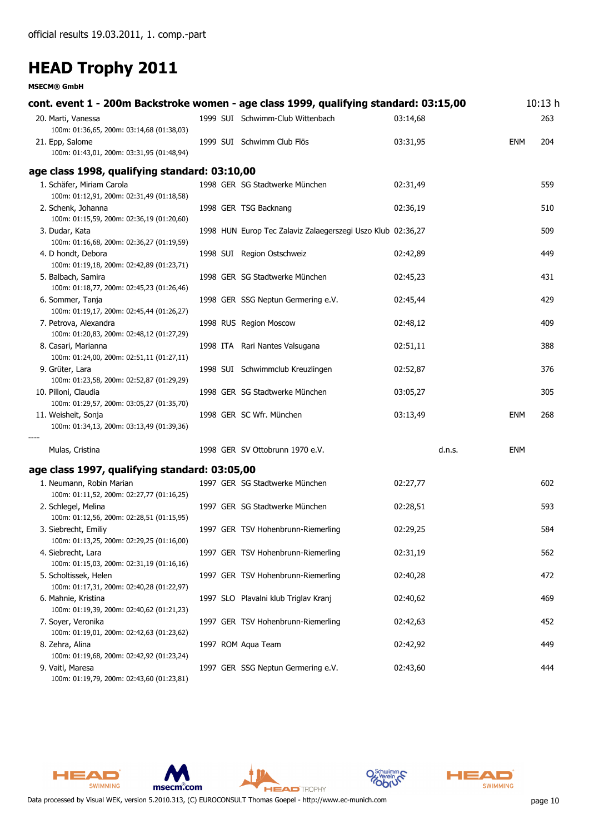**MSECM® GmbH**

| cont. event 1 - 200m Backstroke women - age class 1999, qualifying standard: 03:15,00 |                                                             |          |     | 10:13h |
|---------------------------------------------------------------------------------------|-------------------------------------------------------------|----------|-----|--------|
| 20. Marti, Vanessa<br>100m: 01:36,65, 200m: 03:14,68 (01:38,03)                       | 1999 SUI Schwimm-Club Wittenbach                            | 03:14,68 |     | 263    |
| 21. Epp, Salome<br>100m: 01:43,01, 200m: 03:31,95 (01:48,94)                          | 1999 SUI Schwimm Club Flös                                  | 03:31,95 | ENM | 204    |
| age class 1998, qualifying standard: 03:10,00                                         |                                                             |          |     |        |
| 1. Schäfer, Miriam Carola<br>100m: 01:12,91, 200m: 02:31,49 (01:18,58)                | 1998 GER SG Stadtwerke München                              | 02:31,49 |     | 559    |
| 2. Schenk, Johanna<br>100m: 01:15,59, 200m: 02:36,19 (01:20,60)                       | 1998 GER TSG Backnang                                       | 02:36,19 |     | 510    |
| 3. Dudar, Kata<br>100m: 01:16,68, 200m: 02:36,27 (01:19,59)                           | 1998 HUN Europ Tec Zalaviz Zalaegerszegi Uszo Klub 02:36,27 |          |     | 509    |
| 4. D hondt, Debora<br>100m: 01:19,18, 200m: 02:42,89 (01:23,71)                       | 1998 SUI Region Ostschweiz                                  | 02:42,89 |     | 449    |
| 5. Balbach, Samira<br>100m: 01:18,77, 200m: 02:45,23 (01:26,46)                       | 1998 GER SG Stadtwerke München                              | 02:45,23 |     | 431    |
| 6. Sommer, Tanja<br>100m: 01:19,17, 200m: 02:45,44 (01:26,27)                         | 1998 GER SSG Neptun Germering e.V.                          | 02:45,44 |     | 429    |
| 7. Petrova, Alexandra<br>100m: 01:20,83, 200m: 02:48,12 (01:27,29)                    | 1998 RUS Region Moscow                                      | 02:48,12 |     | 409    |
| 8. Casari, Marianna<br>100m: 01:24,00, 200m: 02:51,11 (01:27,11)                      | 1998 ITA Rari Nantes Valsugana                              | 02:51,11 |     | 388    |
| 9. Grüter, Lara<br>100m: 01:23,58, 200m: 02:52,87 (01:29,29)                          | 1998 SUI Schwimmclub Kreuzlingen                            | 02:52,87 |     | 376    |
| 10. Pilloni, Claudia<br>100m: 01:29,57, 200m: 03:05,27 (01:35,70)                     | 1998 GER SG Stadtwerke München                              | 03:05,27 |     | 305    |
| 11. Weisheit, Sonja<br>100m: 01:34,13, 200m: 03:13,49 (01:39,36)                      | 1998 GER SC Wfr. München                                    | 03:13,49 | ENM | 268    |
| Mulas, Cristina                                                                       | 1998 GER SV Ottobrunn 1970 e.V.                             | d.n.s.   | ENM |        |
| age class 1997, qualifying standard: 03:05,00                                         |                                                             |          |     |        |
| 1. Neumann, Robin Marian<br>100m: 01:11,52, 200m: 02:27,77 (01:16,25)                 | 1997 GER SG Stadtwerke München                              | 02:27,77 |     | 602    |
| 2. Schlegel, Melina<br>100m: 01:12,56, 200m: 02:28,51 (01:15,95)                      | 1997 GER SG Stadtwerke München                              | 02:28,51 |     | 593    |
| 3. Siebrecht, Emiliy<br>100m: 01:13,25, 200m: 02:29,25 (01:16,00)                     | 1997 GER TSV Hohenbrunn-Riemerling                          | 02:29,25 |     | 584    |
| 4. Siebrecht, Lara<br>100m: 01:15,03, 200m: 02:31,19 (01:16,16)                       | 1997 GER TSV Hohenbrunn-Riemerling                          | 02:31,19 |     | 562    |
| 5. Scholtissek, Helen<br>100m: 01:17,31, 200m: 02:40,28 (01:22,97)                    | 1997 GER TSV Hohenbrunn-Riemerling                          | 02:40,28 |     | 472    |
| 6. Mahnie, Kristina<br>100m: 01:19,39, 200m: 02:40,62 (01:21,23)                      | 1997 SLO Plavalni klub Triglav Kranj                        | 02:40,62 |     | 469    |
| 7. Soyer, Veronika<br>100m: 01:19,01, 200m: 02:42,63 (01:23,62)                       | 1997 GER TSV Hohenbrunn-Riemerling                          | 02:42,63 |     | 452    |
| 8. Zehra, Alina<br>100m: 01:19,68, 200m: 02:42,92 (01:23,24)                          | 1997 ROM Aqua Team                                          | 02:42,92 |     | 449    |
| 9. Vaitl, Maresa                                                                      | 1997 GER SSG Neptun Germering e.V.                          | 02:43,60 |     | 444    |

100m: 01:19,79, 200m: 02:43,60 (01:23,81)







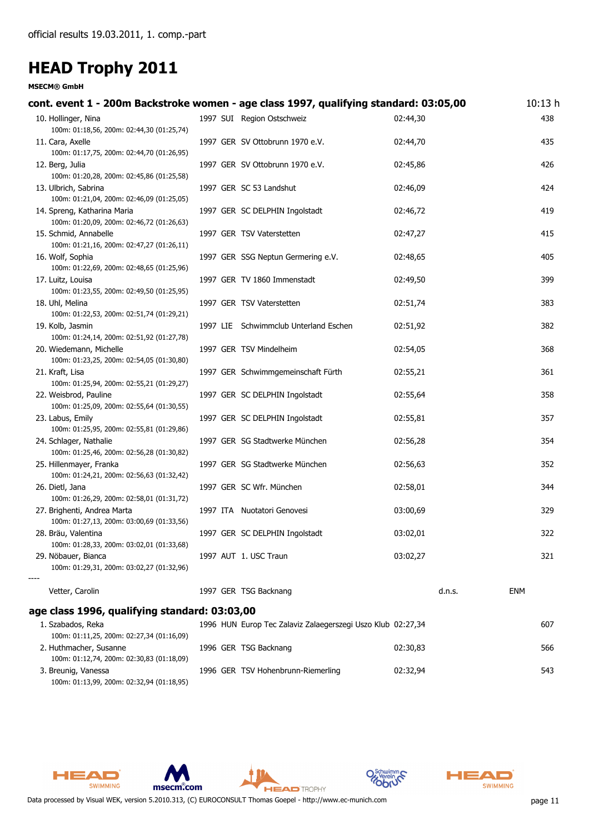**MSECM® GmbH**

| cont. event 1 - 200m Backstroke women - age class 1997, qualifying standard: 03:05,00 |  |                                                             |          |        | 10:13 <sub>h</sub> |  |
|---------------------------------------------------------------------------------------|--|-------------------------------------------------------------|----------|--------|--------------------|--|
| 10. Hollinger, Nina<br>100m: 01:18,56, 200m: 02:44,30 (01:25,74)                      |  | 1997 SUI Region Ostschweiz                                  | 02:44,30 |        | 438                |  |
| 11. Cara, Axelle<br>100m: 01:17,75, 200m: 02:44,70 (01:26,95)                         |  | 1997 GER SV Ottobrunn 1970 e.V.                             | 02:44,70 |        | 435                |  |
| 12. Berg, Julia<br>100m: 01:20,28, 200m: 02:45,86 (01:25,58)                          |  | 1997 GER SV Ottobrunn 1970 e.V.                             | 02:45,86 |        | 426                |  |
| 13. Ulbrich, Sabrina<br>100m: 01:21,04, 200m: 02:46,09 (01:25,05)                     |  | 1997 GER SC 53 Landshut                                     | 02:46,09 |        | 424                |  |
| 14. Spreng, Katharina Maria<br>100m: 01:20,09, 200m: 02:46,72 (01:26,63)              |  | 1997 GER SC DELPHIN Ingolstadt                              | 02:46,72 |        | 419                |  |
| 15. Schmid, Annabelle<br>100m: 01:21,16, 200m: 02:47,27 (01:26,11)                    |  | 1997 GER TSV Vaterstetten                                   | 02:47,27 |        | 415                |  |
| 16. Wolf, Sophia<br>100m: 01:22,69, 200m: 02:48,65 (01:25,96)                         |  | 1997 GER SSG Neptun Germering e.V.                          | 02:48,65 |        | 405                |  |
| 17. Luitz, Louisa<br>100m: 01:23,55, 200m: 02:49,50 (01:25,95)                        |  | 1997 GER TV 1860 Immenstadt                                 | 02:49,50 |        | 399                |  |
| 18. Uhl, Melina<br>100m: 01:22,53, 200m: 02:51,74 (01:29,21)                          |  | 1997 GER TSV Vaterstetten                                   | 02:51,74 |        | 383                |  |
| 19. Kolb, Jasmin<br>100m: 01:24,14, 200m: 02:51,92 (01:27,78)                         |  | 1997 LIE Schwimmclub Unterland Eschen                       | 02:51,92 |        | 382                |  |
| 20. Wiedemann, Michelle<br>100m: 01:23,25, 200m: 02:54,05 (01:30,80)                  |  | 1997 GER TSV Mindelheim                                     | 02:54,05 |        | 368                |  |
| 21. Kraft, Lisa<br>100m: 01:25,94, 200m: 02:55,21 (01:29,27)                          |  | 1997 GER Schwimmgemeinschaft Fürth                          | 02:55,21 |        | 361                |  |
| 22. Weisbrod, Pauline<br>100m: 01:25,09, 200m: 02:55,64 (01:30,55)                    |  | 1997 GER SC DELPHIN Ingolstadt                              | 02:55,64 |        | 358                |  |
| 23. Labus, Emily<br>100m: 01:25,95, 200m: 02:55,81 (01:29,86)                         |  | 1997 GER SC DELPHIN Ingolstadt                              | 02:55,81 |        | 357                |  |
| 24. Schlager, Nathalie<br>100m: 01:25,46, 200m: 02:56,28 (01:30,82)                   |  | 1997 GER SG Stadtwerke München                              | 02:56,28 |        | 354                |  |
| 25. Hillenmayer, Franka<br>100m: 01:24,21, 200m: 02:56,63 (01:32,42)                  |  | 1997 GER SG Stadtwerke München                              | 02:56,63 |        | 352                |  |
| 26. Dietl, Jana<br>100m: 01:26,29, 200m: 02:58,01 (01:31,72)                          |  | 1997 GER SC Wfr. München                                    | 02:58,01 |        | 344                |  |
| 27. Brighenti, Andrea Marta<br>100m: 01:27,13, 200m: 03:00,69 (01:33,56)              |  | 1997 ITA Nuotatori Genovesi                                 | 03:00,69 |        | 329                |  |
| 28. Bräu, Valentina<br>100m: 01:28,33, 200m: 03:02,01 (01:33,68)                      |  | 1997 GER SC DELPHIN Ingolstadt                              | 03:02,01 |        | 322                |  |
| 29. Nöbauer, Bianca<br>100m: 01:29,31, 200m: 03:02,27 (01:32,96)                      |  | 1997 AUT 1. USC Traun                                       | 03:02,27 |        | 321                |  |
| Vetter, Carolin                                                                       |  | 1997 GER TSG Backnang                                       |          | d.n.s. | <b>ENM</b>         |  |
| age class 1996, qualifying standard: 03:03,00                                         |  |                                                             |          |        |                    |  |
| 1. Szabados, Reka<br>100m: 01:11,25, 200m: 02:27,34 (01:16,09)                        |  | 1996 HUN Europ Tec Zalaviz Zalaegerszegi Uszo Klub 02:27,34 |          |        | 607                |  |
| 2. Huthmacher, Susanne<br>100m: 01:12,74, 200m: 02:30,83 (01:18,09)                   |  | 1996 GER TSG Backnang                                       | 02:30,83 |        | 566                |  |
| 3. Breunig, Vanessa<br>100m: 01:13,99, 200m: 02:32,94 (01:18,95)                      |  | 1996 GER TSV Hohenbrunn-Riemerling                          | 02:32,94 |        | 543                |  |









**HEAD** TROPHY

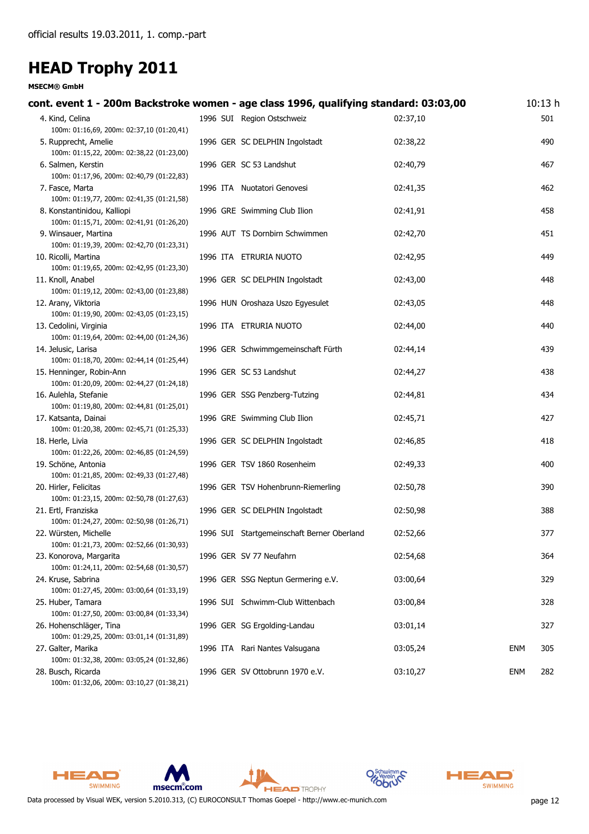| cont. event 1 - 200m Backstroke women - age class 1996, qualifying standard: 03:03,00 |                                            |          |            | 10:13 <sub>h</sub> |
|---------------------------------------------------------------------------------------|--------------------------------------------|----------|------------|--------------------|
| 4. Kind, Celina<br>100m: 01:16,69, 200m: 02:37,10 (01:20,41)                          | 1996 SUI Region Ostschweiz                 | 02:37,10 |            | 501                |
| 5. Rupprecht, Amelie<br>100m: 01:15,22, 200m: 02:38,22 (01:23,00)                     | 1996 GER SC DELPHIN Ingolstadt             | 02:38,22 |            | 490                |
| 6. Salmen, Kerstin<br>100m: 01:17,96, 200m: 02:40,79 (01:22,83)                       | 1996 GER SC 53 Landshut                    | 02:40,79 |            | 467                |
| 7. Fasce, Marta<br>100m: 01:19,77, 200m: 02:41,35 (01:21,58)                          | 1996 ITA Nuotatori Genovesi                | 02:41,35 |            | 462                |
| 8. Konstantinidou, Kalliopi<br>100m: 01:15,71, 200m: 02:41,91 (01:26,20)              | 1996 GRE Swimming Club Ilion               | 02:41,91 |            | 458                |
| 9. Winsauer, Martina<br>100m: 01:19,39, 200m: 02:42,70 (01:23,31)                     | 1996 AUT TS Dornbirn Schwimmen             | 02:42,70 |            | 451                |
| 10. Ricolli, Martina<br>100m: 01:19,65, 200m: 02:42,95 (01:23,30)                     | 1996 ITA ETRURIA NUOTO                     | 02:42,95 |            | 449                |
| 11. Knoll, Anabel<br>100m: 01:19,12, 200m: 02:43,00 (01:23,88)                        | 1996 GER SC DELPHIN Ingolstadt             | 02:43,00 |            | 448                |
| 12. Arany, Viktoria<br>100m: 01:19,90, 200m: 02:43,05 (01:23,15)                      | 1996 HUN Oroshaza Uszo Egyesulet           | 02:43,05 |            | 448                |
| 13. Cedolini, Virginia<br>100m: 01:19,64, 200m: 02:44,00 (01:24,36)                   | 1996 ITA ETRURIA NUOTO                     | 02:44,00 |            | 440                |
| 14. Jelusic, Larisa<br>100m: 01:18,70, 200m: 02:44,14 (01:25,44)                      | 1996 GER Schwimmgemeinschaft Fürth         | 02:44,14 |            | 439                |
| 15. Henninger, Robin-Ann<br>100m: 01:20,09, 200m: 02:44,27 (01:24,18)                 | 1996 GER SC 53 Landshut                    | 02:44,27 |            | 438                |
| 16. Aulehla, Stefanie<br>100m: 01:19,80, 200m: 02:44,81 (01:25,01)                    | 1996 GER SSG Penzberg-Tutzing              | 02:44,81 |            | 434                |
| 17. Katsanta, Dainai<br>100m: 01:20,38, 200m: 02:45,71 (01:25,33)                     | 1996 GRE Swimming Club Ilion               | 02:45,71 |            | 427                |
| 18. Herle, Livia<br>100m: 01:22,26, 200m: 02:46,85 (01:24,59)                         | 1996 GER SC DELPHIN Ingolstadt             | 02:46,85 |            | 418                |
| 19. Schöne, Antonia<br>100m: 01:21,85, 200m: 02:49,33 (01:27,48)                      | 1996 GER TSV 1860 Rosenheim                | 02:49,33 |            | 400                |
| 20. Hirler, Felicitas<br>100m: 01:23,15, 200m: 02:50,78 (01:27,63)                    | 1996 GER TSV Hohenbrunn-Riemerling         | 02:50,78 |            | 390                |
| 21. Ertl, Franziska<br>100m: 01:24,27, 200m: 02:50,98 (01:26,71)                      | 1996 GER SC DELPHIN Ingolstadt             | 02:50,98 |            | 388                |
| 22. Würsten, Michelle<br>100m: 01:21,73, 200m: 02:52,66 (01:30,93)                    | 1996 SUI Startgemeinschaft Berner Oberland | 02:52,66 |            | 377                |
| 23. Konorova, Margarita<br>100m: 01:24,11, 200m: 02:54,68 (01:30,57)                  | 1996 GER SV 77 Neufahrn                    | 02:54,68 |            | 364                |
| 24. Kruse, Sabrina<br>100m: 01:27,45, 200m: 03:00,64 (01:33,19)                       | 1996 GER SSG Neptun Germering e.V.         | 03:00,64 |            | 329                |
| 25. Huber, Tamara<br>100m: 01:27,50, 200m: 03:00,84 (01:33,34)                        | 1996 SUI Schwimm-Club Wittenbach           | 03:00,84 |            | 328                |
| 26. Hohenschläger, Tina<br>100m: 01:29,25, 200m: 03:01,14 (01:31,89)                  | 1996 GER SG Ergolding-Landau               | 03:01,14 |            | 327                |
| 27. Galter, Marika<br>100m: 01:32,38, 200m: 03:05,24 (01:32,86)                       | 1996 ITA Rari Nantes Valsugana             | 03:05,24 | ENM        | 305                |
| 28. Busch, Ricarda<br>100m: 01:32,06, 200m: 03:10,27 (01:38,21)                       | 1996 GER SV Ottobrunn 1970 e.V.            | 03:10,27 | <b>ENM</b> | 282                |









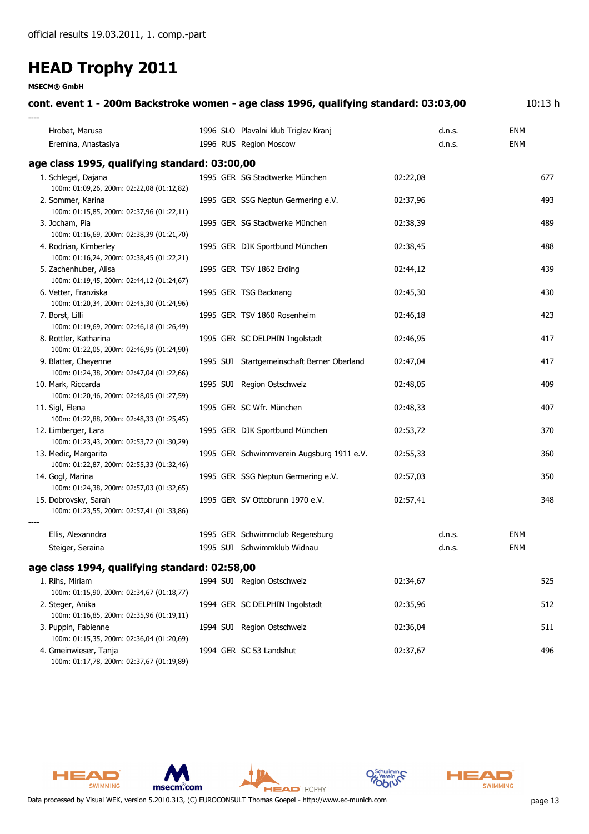**MSECM® GmbH**

| cont. event 1 - 200m Backstroke women - age class 1996, qualifying standard: 03:03,00 |                                                                |                  | 10:13h            |
|---------------------------------------------------------------------------------------|----------------------------------------------------------------|------------------|-------------------|
| Hrobat, Marusa<br>Eremina, Anastasiya                                                 | 1996 SLO Plavalni klub Triglav Kranj<br>1996 RUS Region Moscow | d.n.s.<br>d.n.s. | ENM<br><b>ENM</b> |
| age class 1995, qualifying standard: 03:00,00                                         |                                                                |                  |                   |
| 1. Schlegel, Dajana<br>100m: 01:09,26, 200m: 02:22,08 (01:12,82)                      | 1995 GER SG Stadtwerke München                                 | 02:22,08         | 677               |
| 2. Sommer, Karina<br>100m: 01:15,85, 200m: 02:37,96 (01:22,11)                        | 1995 GER SSG Neptun Germering e.V.                             | 02:37,96         | 493               |
| 3. Jocham, Pia<br>100m: 01:16,69, 200m: 02:38,39 (01:21,70)                           | 1995 GER SG Stadtwerke München                                 | 02:38,39         | 489               |
| 4. Rodrian, Kimberley<br>100m: 01:16,24, 200m: 02:38,45 (01:22,21)                    | 1995 GER DJK Sportbund München                                 | 02:38,45         | 488               |
| 5. Zachenhuber, Alisa<br>100m: 01:19,45, 200m: 02:44,12 (01:24,67)                    | 1995 GER TSV 1862 Erding                                       | 02:44,12         | 439               |
| 6. Vetter, Franziska<br>100m: 01:20,34, 200m: 02:45,30 (01:24,96)                     | 1995 GER TSG Backnang                                          | 02:45,30         | 430               |
| 7. Borst, Lilli<br>100m: 01:19,69, 200m: 02:46,18 (01:26,49)                          | 1995 GER TSV 1860 Rosenheim                                    | 02:46,18         | 423               |
| 8. Rottler, Katharina<br>100m: 01:22,05, 200m: 02:46,95 (01:24,90)                    | 1995 GER SC DELPHIN Ingolstadt                                 | 02:46,95         | 417               |
| 9. Blatter, Cheyenne<br>100m: 01:24,38, 200m: 02:47,04 (01:22,66)                     | 1995 SUI Startgemeinschaft Berner Oberland                     | 02:47,04         | 417               |
| 10. Mark, Riccarda<br>100m: 01:20,46, 200m: 02:48,05 (01:27,59)                       | 1995 SUI Region Ostschweiz                                     | 02:48,05         | 409               |
| 11. Sigl, Elena<br>100m: 01:22,88, 200m: 02:48,33 (01:25,45)                          | 1995 GER SC Wfr. München                                       | 02:48,33         | 407               |
| 12. Limberger, Lara<br>100m: 01:23,43, 200m: 02:53,72 (01:30,29)                      | 1995 GER DJK Sportbund München                                 | 02:53,72         | 370               |
| 13. Medic, Margarita<br>100m: 01:22,87, 200m: 02:55,33 (01:32,46)                     | 1995 GER Schwimmverein Augsburg 1911 e.V.                      | 02:55,33         | 360               |
| 14. Gogl, Marina<br>100m: 01:24,38, 200m: 02:57,03 (01:32,65)                         | 1995 GER SSG Neptun Germering e.V.                             | 02:57,03         | 350               |
| 15. Dobrovsky, Sarah<br>100m: 01:23,55, 200m: 02:57,41 (01:33,86)                     | 1995 GER SV Ottobrunn 1970 e.V.                                | 02:57,41         | 348               |
|                                                                                       |                                                                |                  |                   |
| Ellis, Alexanndra                                                                     | 1995 GER Schwimmclub Regensburg                                | d.n.s.           | ENM               |
| Steiger, Seraina                                                                      | 1995 SUI Schwimmklub Widnau                                    | d.n.s.           | <b>ENM</b>        |
| age class 1994, qualifying standard: 02:58,00                                         |                                                                |                  |                   |
| 1. Rihs, Miriam<br>100m: 01:15,90, 200m: 02:34,67 (01:18,77)                          | 1994 SUI Region Ostschweiz                                     | 02:34,67         | 525               |
| 2. Steger, Anika<br>100m: 01:16,85, 200m: 02:35,96 (01:19,11)                         | 1994 GER SC DELPHIN Ingolstadt                                 | 02:35,96         | 512               |
| 3. Puppin, Fabienne<br>100m: 01:15,35, 200m: 02:36,04 (01:20,69)                      | 1994 SUI Region Ostschweiz                                     | 02:36,04         | 511               |

4. Gmeinwieser, Tanja 1994 GER SC 53 Landshut 02:37,67 496 100m: 01:17,78, 200m: 02:37,67 (01:19,89)







**HEAD** TROPHY



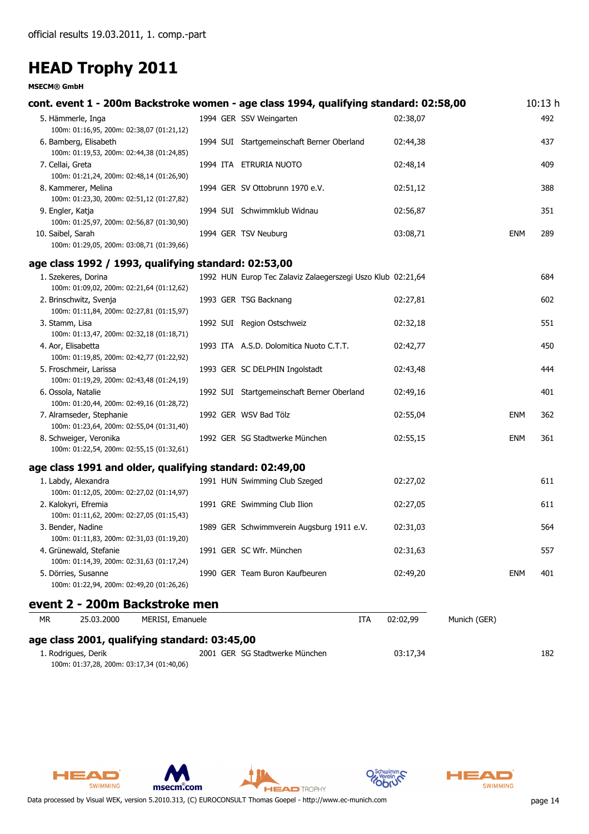|                   |                                                                     |                                                         |  | cont. event 1 - 200m Backstroke women - age class 1994, qualifying standard: 02:58,00 |          |              |            | 10:13h |
|-------------------|---------------------------------------------------------------------|---------------------------------------------------------|--|---------------------------------------------------------------------------------------|----------|--------------|------------|--------|
|                   | 5. Hämmerle, Inga                                                   |                                                         |  | 1994 GER SSV Weingarten                                                               | 02:38,07 |              |            | 492    |
|                   | 100m: 01:16,95, 200m: 02:38,07 (01:21,12)                           |                                                         |  |                                                                                       |          |              |            |        |
|                   | 6. Bamberg, Elisabeth                                               |                                                         |  | 1994 SUI Startgemeinschaft Berner Oberland                                            | 02:44,38 |              |            | 437    |
|                   | 100m: 01:19,53, 200m: 02:44,38 (01:24,85)                           |                                                         |  |                                                                                       |          |              |            |        |
| 7. Cellai, Greta  | 100m: 01:21,24, 200m: 02:48,14 (01:26,90)                           |                                                         |  | 1994 ITA ETRURIA NUOTO                                                                | 02:48,14 |              |            | 409    |
|                   | 8. Kammerer, Melina                                                 |                                                         |  | 1994 GER SV Ottobrunn 1970 e.V.                                                       | 02:51,12 |              |            | 388    |
|                   | 100m: 01:23,30, 200m: 02:51,12 (01:27,82)                           |                                                         |  |                                                                                       |          |              |            |        |
| 9. Engler, Katja  |                                                                     |                                                         |  | 1994 SUI Schwimmklub Widnau                                                           | 02:56,87 |              |            | 351    |
|                   | 100m: 01:25,97, 200m: 02:56,87 (01:30,90)                           |                                                         |  |                                                                                       |          |              |            |        |
| 10. Saibel, Sarah |                                                                     |                                                         |  | 1994 GER TSV Neuburg                                                                  | 03:08,71 |              | <b>ENM</b> | 289    |
|                   | 100m: 01:29,05, 200m: 03:08,71 (01:39,66)                           |                                                         |  |                                                                                       |          |              |            |        |
|                   |                                                                     | age class 1992 / 1993, qualifying standard: 02:53,00    |  |                                                                                       |          |              |            |        |
|                   | 1. Szekeres, Dorina                                                 |                                                         |  | 1992 HUN Europ Tec Zalaviz Zalaegerszegi Uszo Klub 02:21,64                           |          |              |            | 684    |
|                   | 100m: 01:09,02, 200m: 02:21,64 (01:12,62)                           |                                                         |  |                                                                                       |          |              |            |        |
|                   | 2. Brinschwitz, Svenja<br>100m: 01:11,84, 200m: 02:27,81 (01:15,97) |                                                         |  | 1993 GER TSG Backnang                                                                 | 02:27,81 |              |            | 602    |
| 3. Stamm, Lisa    |                                                                     |                                                         |  | 1992 SUI Region Ostschweiz                                                            | 02:32,18 |              |            | 551    |
|                   | 100m: 01:13,47, 200m: 02:32,18 (01:18,71)                           |                                                         |  |                                                                                       |          |              |            |        |
|                   | 4. Aor, Elisabetta                                                  |                                                         |  | 1993 ITA A.S.D. Dolomitica Nuoto C.T.T.                                               | 02:42,77 |              |            | 450    |
|                   | 100m: 01:19,85, 200m: 02:42,77 (01:22,92)                           |                                                         |  |                                                                                       |          |              |            |        |
|                   | 5. Froschmeir, Larissa                                              |                                                         |  | 1993 GER SC DELPHIN Ingolstadt                                                        | 02:43,48 |              |            | 444    |
|                   | 100m: 01:19,29, 200m: 02:43,48 (01:24,19)                           |                                                         |  |                                                                                       |          |              |            |        |
|                   | 6. Ossola, Natalie<br>100m: 01:20,44, 200m: 02:49,16 (01:28,72)     |                                                         |  | 1992 SUI Startgemeinschaft Berner Oberland                                            | 02:49,16 |              |            | 401    |
|                   | 7. Alramseder, Stephanie                                            |                                                         |  | 1992 GER WSV Bad Tölz                                                                 | 02:55,04 |              | <b>ENM</b> | 362    |
|                   | 100m: 01:23,64, 200m: 02:55,04 (01:31,40)                           |                                                         |  |                                                                                       |          |              |            |        |
|                   | 8. Schweiger, Veronika                                              |                                                         |  | 1992 GER SG Stadtwerke München                                                        | 02:55,15 |              | ENM        | 361    |
|                   | 100m: 01:22,54, 200m: 02:55,15 (01:32,61)                           |                                                         |  |                                                                                       |          |              |            |        |
|                   |                                                                     | age class 1991 and older, qualifying standard: 02:49,00 |  |                                                                                       |          |              |            |        |
|                   | 1. Labdy, Alexandra                                                 |                                                         |  | 1991 HUN Swimming Club Szeged                                                         | 02:27,02 |              |            | 611    |
|                   | 100m: 01:12,05, 200m: 02:27,02 (01:14,97)                           |                                                         |  |                                                                                       |          |              |            |        |
|                   | 2. Kalokyri, Efremia                                                |                                                         |  | 1991 GRE Swimming Club Ilion                                                          | 02:27,05 |              |            | 611    |
|                   | 100m: 01:11,62, 200m: 02:27,05 (01:15,43)                           |                                                         |  |                                                                                       |          |              |            |        |
|                   | 3. Bender, Nadine                                                   |                                                         |  | 1989 GER Schwimmverein Augsburg 1911 e.V.                                             | 02:31,03 |              |            | 564    |
|                   | 4. Grünewald, Stefanie                                              | 100m: 01:11,83, 200m: 02:31,03 (01:19,20)               |  | 1991 GER SC Wfr. München                                                              | 02:31,63 |              |            | 557    |
|                   | 100m: 01:14,39, 200m: 02:31,63 (01:17,24)                           |                                                         |  |                                                                                       |          |              |            |        |
|                   | 5. Dörries, Susanne                                                 |                                                         |  | 1990 GER Team Buron Kaufbeuren                                                        | 02:49,20 |              | ENM        | 401    |
|                   | 100m: 01:22,94, 200m: 02:49,20 (01:26,26)                           |                                                         |  |                                                                                       |          |              |            |        |
|                   |                                                                     | event 2 - 200m Backstroke men                           |  |                                                                                       |          |              |            |        |
| <b>MR</b>         | 25.03.2000                                                          | MERISI, Emanuele                                        |  | ITA                                                                                   | 02:02,99 | Munich (GER) |            |        |
|                   |                                                                     |                                                         |  |                                                                                       |          |              |            |        |
|                   |                                                                     | age class 2001, qualifying standard: 03:45,00           |  |                                                                                       |          |              |            |        |
|                   | 1. Rodrigues, Derik                                                 |                                                         |  | 2001 GER SG Stadtwerke München                                                        | 03:17,34 |              |            | 182    |











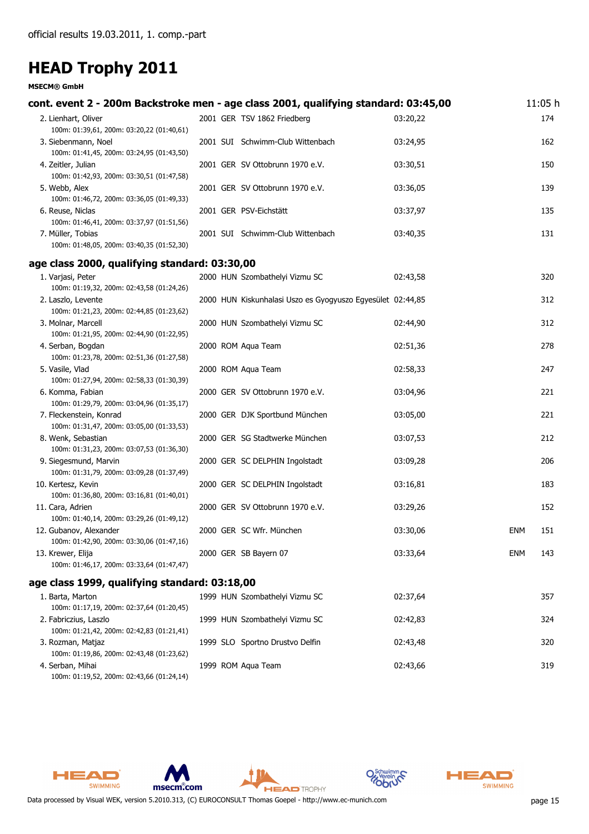#### **MSECM® GmbH**

| cont. event 2 - 200m Backstroke men - age class 2001, qualifying standard: 03:45,00 |  |                                                            |          |            | 11:05 h |
|-------------------------------------------------------------------------------------|--|------------------------------------------------------------|----------|------------|---------|
| 2. Lienhart, Oliver<br>100m: 01:39,61, 200m: 03:20,22 (01:40,61)                    |  | 2001 GER TSV 1862 Friedberg                                | 03:20,22 |            | 174     |
| 3. Siebenmann, Noel<br>100m: 01:41,45, 200m: 03:24,95 (01:43,50)                    |  | 2001 SUI Schwimm-Club Wittenbach                           | 03:24,95 |            | 162     |
| 4. Zeitler, Julian<br>100m: 01:42,93, 200m: 03:30,51 (01:47,58)                     |  | 2001 GER SV Ottobrunn 1970 e.V.                            | 03:30,51 |            | 150     |
| 5. Webb, Alex<br>100m: 01:46,72, 200m: 03:36,05 (01:49,33)                          |  | 2001 GER SV Ottobrunn 1970 e.V.                            | 03:36,05 |            | 139     |
| 6. Reuse, Niclas<br>100m: 01:46,41, 200m: 03:37,97 (01:51,56)                       |  | 2001 GER PSV-Eichstätt                                     | 03:37,97 |            | 135     |
| 7. Müller, Tobias<br>100m: 01:48,05, 200m: 03:40,35 (01:52,30)                      |  | 2001 SUI Schwimm-Club Wittenbach                           | 03:40,35 |            | 131     |
| age class 2000, qualifying standard: 03:30,00                                       |  |                                                            |          |            |         |
| 1. Varjasi, Peter<br>100m: 01:19,32, 200m: 02:43,58 (01:24,26)                      |  | 2000 HUN Szombathelyi Vizmu SC                             | 02:43,58 |            | 320     |
| 2. Laszlo, Levente<br>100m: 01:21,23, 200m: 02:44,85 (01:23,62)                     |  | 2000 HUN Kiskunhalasi Uszo es Gyogyuszo Egyesület 02:44,85 |          |            | 312     |
| 3. Molnar, Marcell<br>100m: 01:21,95, 200m: 02:44,90 (01:22,95)                     |  | 2000 HUN Szombathelyi Vizmu SC                             | 02:44,90 |            | 312     |
| 4. Serban, Bogdan<br>100m: 01:23,78, 200m: 02:51,36 (01:27,58)                      |  | 2000 ROM Aqua Team                                         | 02:51,36 |            | 278     |
| 5. Vasile, Vlad<br>100m: 01:27,94, 200m: 02:58,33 (01:30,39)                        |  | 2000 ROM Aqua Team                                         | 02:58,33 |            | 247     |
| 6. Komma, Fabian<br>100m: 01:29,79, 200m: 03:04,96 (01:35,17)                       |  | 2000 GER SV Ottobrunn 1970 e.V.                            | 03:04,96 |            | 221     |
| 7. Fleckenstein, Konrad<br>100m: 01:31,47, 200m: 03:05,00 (01:33,53)                |  | 2000 GER DJK Sportbund München                             | 03:05,00 |            | 221     |
| 8. Wenk, Sebastian<br>100m: 01:31,23, 200m: 03:07,53 (01:36,30)                     |  | 2000 GER SG Stadtwerke München                             | 03:07,53 |            | 212     |
| 9. Siegesmund, Marvin<br>100m: 01:31,79, 200m: 03:09,28 (01:37,49)                  |  | 2000 GER SC DELPHIN Ingolstadt                             | 03:09,28 |            | 206     |
| 10. Kertesz, Kevin<br>100m: 01:36,80, 200m: 03:16,81 (01:40,01)                     |  | 2000 GER SC DELPHIN Ingolstadt                             | 03:16,81 |            | 183     |
| 11. Cara, Adrien<br>100m: 01:40,14, 200m: 03:29,26 (01:49,12)                       |  | 2000 GER SV Ottobrunn 1970 e.V.                            | 03:29,26 |            | 152     |
| 12. Gubanov, Alexander<br>100m: 01:42,90, 200m: 03:30,06 (01:47,16)                 |  | 2000 GER SC Wfr. München                                   | 03:30,06 | <b>ENM</b> | 151     |
| 13. Krewer, Elija<br>100m: 01:46,17, 200m: 03:33,64 (01:47,47)                      |  | 2000 GER SB Bayern 07                                      | 03:33,64 | ENM        | 143     |
| age class 1999, qualifying standard: 03:18,00                                       |  |                                                            |          |            |         |
| 1. Barta, Marton<br>100m: 01:17,19, 200m: 02:37,64 (01:20,45)                       |  | 1999 HUN Szombathelyi Vizmu SC                             | 02:37,64 |            | 357     |
| 2. Fabriczius, Laszlo<br>100m: 01:21,42, 200m: 02:42,83 (01:21,41)                  |  | 1999 HUN Szombathelyi Vizmu SC                             | 02:42,83 |            | 324     |
| 3. Rozman, Matjaz<br>100m: 01:19,86, 200m: 02:43,48 (01:23,62)                      |  | 1999 SLO Sportno Drustvo Delfin                            | 02:43,48 |            | 320     |
| 4. Serban, Mihai                                                                    |  | 1999 ROM Aqua Team                                         | 02:43,66 |            | 319     |

100m: 01:19,52, 200m: 02:43,66 (01:24,14)

HEAD

SWIMMING





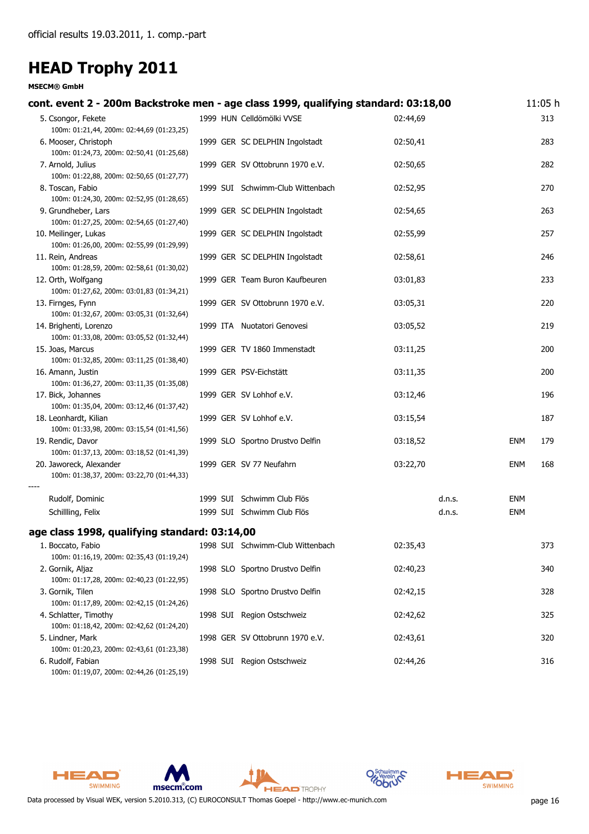| cont. event 2 - 200m Backstroke men - age class 1999, qualifying standard: 03:18,00                         |  |                                  |          |            | 11:05 h |
|-------------------------------------------------------------------------------------------------------------|--|----------------------------------|----------|------------|---------|
| 5. Csongor, Fekete                                                                                          |  | 1999 HUN Celldömölki VVSE        | 02:44,69 |            | 313     |
| 100m: 01:21,44, 200m: 02:44,69 (01:23,25)<br>6. Mooser, Christoph                                           |  | 1999 GER SC DELPHIN Ingolstadt   | 02:50,41 |            | 283     |
| 100m: 01:24,73, 200m: 02:50,41 (01:25,68)<br>7. Arnold, Julius                                              |  | 1999 GER SV Ottobrunn 1970 e.V.  | 02:50,65 |            | 282     |
| 100m: 01:22,88, 200m: 02:50,65 (01:27,77)<br>8. Toscan, Fabio                                               |  | 1999 SUI Schwimm-Club Wittenbach | 02:52,95 |            | 270     |
| 100m: 01:24,30, 200m: 02:52,95 (01:28,65)<br>9. Grundheber, Lars                                            |  | 1999 GER SC DELPHIN Ingolstadt   | 02:54,65 |            | 263     |
| 100m: 01:27,25, 200m: 02:54,65 (01:27,40)<br>10. Meilinger, Lukas                                           |  | 1999 GER SC DELPHIN Ingolstadt   | 02:55,99 |            | 257     |
| 100m: 01:26,00, 200m: 02:55,99 (01:29,99)<br>11. Rein, Andreas<br>100m: 01:28,59, 200m: 02:58,61 (01:30,02) |  | 1999 GER SC DELPHIN Ingolstadt   | 02:58,61 |            | 246     |
| 12. Orth, Wolfgang<br>100m: 01:27,62, 200m: 03:01,83 (01:34,21)                                             |  | 1999 GER Team Buron Kaufbeuren   | 03:01,83 |            | 233     |
| 13. Firnges, Fynn<br>100m: 01:32,67, 200m: 03:05,31 (01:32,64)                                              |  | 1999 GER SV Ottobrunn 1970 e.V.  | 03:05,31 |            | 220     |
| 14. Brighenti, Lorenzo<br>100m: 01:33,08, 200m: 03:05,52 (01:32,44)                                         |  | 1999 ITA Nuotatori Genovesi      | 03:05,52 |            | 219     |
| 15. Joas, Marcus<br>100m: 01:32,85, 200m: 03:11,25 (01:38,40)                                               |  | 1999 GER TV 1860 Immenstadt      | 03:11,25 |            | 200     |
| 16. Amann, Justin<br>100m: 01:36,27, 200m: 03:11,35 (01:35,08)                                              |  | 1999 GER PSV-Eichstätt           | 03:11,35 |            | 200     |
| 17. Bick, Johannes<br>100m: 01:35,04, 200m: 03:12,46 (01:37,42)                                             |  | 1999 GER SV Lohhof e.V.          | 03:12,46 |            | 196     |
| 18. Leonhardt, Kilian<br>100m: 01:33,98, 200m: 03:15,54 (01:41,56)                                          |  | 1999 GER SV Lohhof e.V.          | 03:15,54 |            | 187     |
| 19. Rendic, Davor<br>100m: 01:37,13, 200m: 03:18,52 (01:41,39)                                              |  | 1999 SLO Sportno Drustvo Delfin  | 03:18,52 | ENM        | 179     |
| 20. Jaworeck, Alexander<br>100m: 01:38,37, 200m: 03:22,70 (01:44,33)                                        |  | 1999 GER SV 77 Neufahrn          | 03:22,70 | <b>ENM</b> | 168     |
| Rudolf, Dominic                                                                                             |  | 1999 SUI Schwimm Club Flös       | d.n.s.   | ENM        |         |
| Schillling, Felix                                                                                           |  | 1999 SUI Schwimm Club Flös       | d.n.s.   | <b>ENM</b> |         |
| age class 1998, qualifying standard: 03:14,00                                                               |  |                                  |          |            |         |
| 1. Boccato, Fabio<br>100m: 01:16,19, 200m: 02:35,43 (01:19,24)                                              |  | 1998 SUI Schwimm-Club Wittenbach | 02:35,43 |            | 373     |
| 2. Gornik, Aljaz<br>100m: 01:17,28, 200m: 02:40,23 (01:22,95)                                               |  | 1998 SLO Sportno Drustvo Delfin  | 02:40,23 |            | 340     |
| 3. Gornik, Tilen<br>100m: 01:17,89, 200m: 02:42,15 (01:24,26)                                               |  | 1998 SLO Sportno Drustvo Delfin  | 02:42,15 |            | 328     |
| 4. Schlatter, Timothy<br>100m: 01:18,42, 200m: 02:42,62 (01:24,20)                                          |  | 1998 SUI Region Ostschweiz       | 02:42,62 |            | 325     |
| 5. Lindner, Mark<br>100m: 01:20,23, 200m: 02:43,61 (01:23,38)                                               |  | 1998 GER SV Ottobrunn 1970 e.V.  | 02:43,61 |            | 320     |
| 6. Rudolf, Fabian<br>100m: 01:19,07, 200m: 02:44,26 (01:25,19)                                              |  | 1998 SUI Region Ostschweiz       | 02:44,26 |            | 316     |







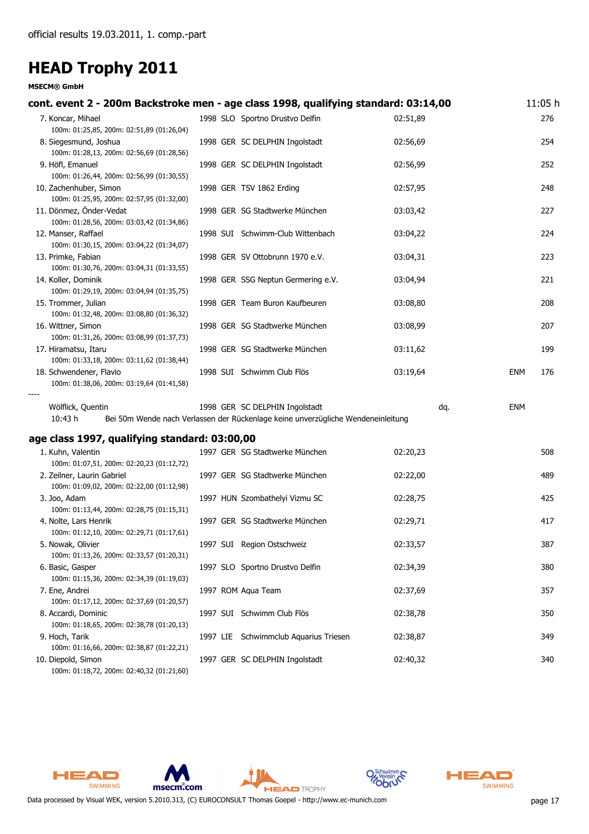**MSECM® GmbH**

| cont. event 2 - 200m Backstroke men - age class 1998, qualifying standard: 03:14,00 |  |                                                                                  |          |            | 11:05 h |
|-------------------------------------------------------------------------------------|--|----------------------------------------------------------------------------------|----------|------------|---------|
| 7. Koncar, Mihael                                                                   |  | 1998 SLO Sportno Drustvo Delfin                                                  | 02:51,89 |            | 276     |
| 100m: 01:25,85, 200m: 02:51,89 (01:26,04)                                           |  |                                                                                  |          |            |         |
| 8. Siegesmund, Joshua                                                               |  | 1998 GER SC DELPHIN Ingolstadt                                                   | 02:56,69 |            | 254     |
| 100m: 01:28,13, 200m: 02:56,69 (01:28,56)                                           |  |                                                                                  |          |            |         |
| 9. Höfl, Emanuel                                                                    |  | 1998 GER SC DELPHIN Ingolstadt                                                   | 02:56,99 |            | 252     |
| 100m: 01:26,44, 200m: 02:56,99 (01:30,55)                                           |  |                                                                                  |          |            |         |
| 10. Zachenhuber, Simon                                                              |  | 1998 GER TSV 1862 Erding                                                         | 02:57,95 |            | 248     |
| 100m: 01:25,95, 200m: 02:57,95 (01:32,00)                                           |  |                                                                                  |          |            |         |
| 11. Dönmez, Önder-Vedat                                                             |  | 1998 GER SG Stadtwerke München                                                   | 03:03,42 |            | 227     |
| 100m: 01:28,56, 200m: 03:03,42 (01:34,86)                                           |  |                                                                                  |          |            |         |
| 12. Manser, Raffael                                                                 |  | 1998 SUI Schwimm-Club Wittenbach                                                 | 03:04,22 |            | 224     |
| 100m: 01:30,15, 200m: 03:04,22 (01:34,07)                                           |  |                                                                                  |          |            |         |
| 13. Primke, Fabian                                                                  |  | 1998 GER SV Ottobrunn 1970 e.V.                                                  | 03:04,31 |            | 223     |
| 100m: 01:30,76, 200m: 03:04,31 (01:33,55)                                           |  |                                                                                  |          |            |         |
| 14. Koller, Dominik                                                                 |  | 1998 GER SSG Neptun Germering e.V.                                               | 03:04,94 |            | 221     |
| 100m: 01:29,19, 200m: 03:04,94 (01:35,75)                                           |  |                                                                                  |          |            |         |
| 15. Trommer, Julian                                                                 |  | 1998 GER Team Buron Kaufbeuren                                                   | 03:08,80 |            | 208     |
| 100m: 01:32,48, 200m: 03:08,80 (01:36,32)                                           |  |                                                                                  |          |            |         |
| 16. Wittner, Simon                                                                  |  | 1998 GER SG Stadtwerke München                                                   | 03:08,99 |            | 207     |
| 100m: 01:31,26, 200m: 03:08,99 (01:37,73)                                           |  |                                                                                  |          |            |         |
|                                                                                     |  | 1998 GER SG Stadtwerke München                                                   | 03:11,62 |            |         |
| 17. Hiramatsu, Itaru<br>100m: 01:33,18, 200m: 03:11,62 (01:38,44)                   |  |                                                                                  |          |            | 199     |
|                                                                                     |  |                                                                                  |          |            |         |
| 18. Schwendener, Flavio<br>100m: 01:38,06, 200m: 03:19,64 (01:41,58)                |  | 1998 SUI Schwimm Club Flös                                                       | 03:19,64 | <b>ENM</b> | 176     |
|                                                                                     |  |                                                                                  |          |            |         |
|                                                                                     |  | 1998 GER SC DELPHIN Ingolstadt                                                   | dq.      | ENM        |         |
| Wölflick, Quentin<br>10:43 h                                                        |  |                                                                                  |          |            |         |
|                                                                                     |  | Bei 50m Wende nach Verlassen der Rückenlage keine unverzügliche Wendeneinleitung |          |            |         |
| age class 1997, qualifying standard: 03:00,00                                       |  |                                                                                  |          |            |         |
| 1. Kuhn, Valentin                                                                   |  | 1997 GER SG Stadtwerke München                                                   | 02:20,23 |            | 508     |
| 100m: 01:07,51, 200m: 02:20,23 (01:12,72)                                           |  |                                                                                  |          |            |         |
| 2. Zeilner, Laurin Gabriel                                                          |  | 1997 GER SG Stadtwerke München                                                   | 02:22,00 |            | 489     |
| 100m: 01:09,02, 200m: 02:22,00 (01:12,98)                                           |  |                                                                                  |          |            |         |
| 3. Joo, Adam                                                                        |  | 1997 HUN Szombathelyi Vizmu SC                                                   | 02:28,75 |            | 425     |
| 100m: 01:13,44, 200m: 02:28,75 (01:15,31)                                           |  |                                                                                  |          |            |         |
| 4. Nolte, Lars Henrik                                                               |  | 1997 GER SG Stadtwerke München                                                   | 02:29,71 |            | 417     |
| 100m: 01:12,10, 200m: 02:29,71 (01:17,61)                                           |  |                                                                                  |          |            |         |
| 5. Nowak, Olivier                                                                   |  | 1997 SUI Region Ostschweiz                                                       | 02:33,57 |            | 387     |
| 100m: 01:13,26, 200m: 02:33,57 (01:20,31)                                           |  |                                                                                  |          |            |         |
| 6. Basic, Gasper                                                                    |  | 1997 SLO Sportno Drustvo Delfin                                                  | 02:34,39 |            | 380     |
| 100m: 01:15,36, 200m: 02:34,39 (01:19,03)                                           |  |                                                                                  |          |            |         |
| 7. Ene, Andrei                                                                      |  | 1997 ROM Aqua Team                                                               | 02:37,69 |            | 357     |
| 100m: 01:17,12, 200m: 02:37,69 (01:20,57)                                           |  |                                                                                  |          |            |         |
| 8. Accardi, Dominic                                                                 |  | 1997 SUI Schwimm Club Flös                                                       | 02:38,78 |            | 350     |
| 100m: 01:18,65, 200m: 02:38,78 (01:20,13)                                           |  |                                                                                  |          |            |         |
| 9. Hoch, Tarik                                                                      |  | 1997 LIE Schwimmclub Aquarius Triesen                                            | 02:38,87 |            | 349     |
| 100m: 01:16,66, 200m: 02:38,87 (01:22,21)                                           |  |                                                                                  |          |            |         |
| 10. Diepold, Simon                                                                  |  | 1997 GER SC DELPHIN Ingolstadt                                                   | 02:40,32 |            | 340     |
|                                                                                     |  |                                                                                  |          |            |         |

100m: 01:18,72, 200m: 02:40,32 (01:21,60)









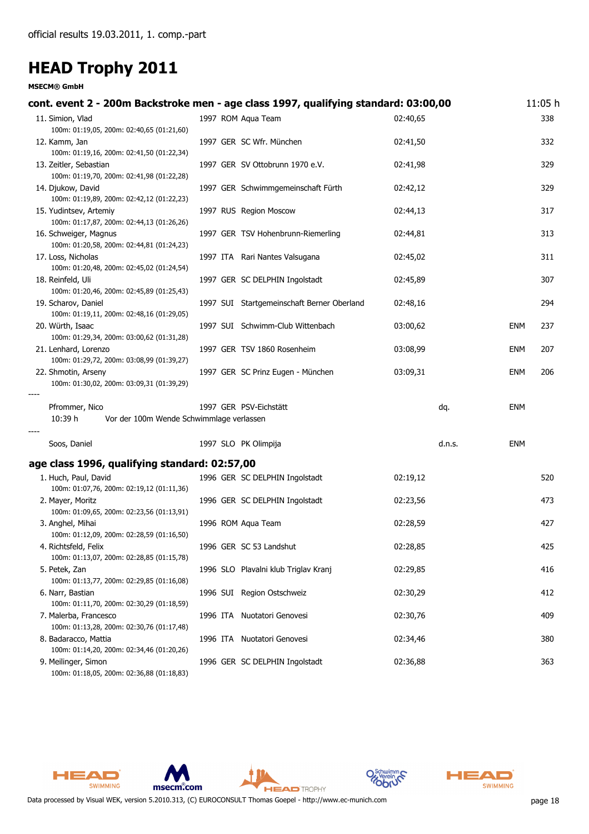| cont. event 2 - 200m Backstroke men - age class 1997, qualifying standard: 03:00,00                           |  |                                            |          |               | 11:05 h |
|---------------------------------------------------------------------------------------------------------------|--|--------------------------------------------|----------|---------------|---------|
| 11. Simion, Vlad<br>100m: 01:19,05, 200m: 02:40,65 (01:21,60)                                                 |  | 1997 ROM Agua Team                         | 02:40,65 |               | 338     |
| 12. Kamm, Jan<br>100m: 01:19,16, 200m: 02:41,50 (01:22,34)                                                    |  | 1997 GER SC Wfr. München                   | 02:41,50 |               | 332     |
| 13. Zeitler, Sebastian<br>100m: 01:19,70, 200m: 02:41,98 (01:22,28)                                           |  | 1997 GER SV Ottobrunn 1970 e.V.            | 02:41,98 |               | 329     |
| 14. Djukow, David<br>100m: 01:19,89, 200m: 02:42,12 (01:22,23)                                                |  | 1997 GER Schwimmgemeinschaft Fürth         | 02:42,12 |               | 329     |
| 15. Yudintsev, Artemiy<br>100m: 01:17,87, 200m: 02:44,13 (01:26,26)                                           |  | 1997 RUS Region Moscow                     | 02:44,13 |               | 317     |
| 16. Schweiger, Magnus<br>100m: 01:20,58, 200m: 02:44,81 (01:24,23)                                            |  | 1997 GER TSV Hohenbrunn-Riemerling         | 02:44,81 |               | 313     |
| 17. Loss, Nicholas<br>100m: 01:20,48, 200m: 02:45,02 (01:24,54)                                               |  | 1997 ITA Rari Nantes Valsugana             | 02:45,02 |               | 311     |
| 18. Reinfeld, Uli<br>100m: 01:20,46, 200m: 02:45,89 (01:25,43)                                                |  | 1997 GER SC DELPHIN Ingolstadt             | 02:45,89 |               | 307     |
| 19. Scharov, Daniel<br>100m: 01:19,11, 200m: 02:48,16 (01:29,05)                                              |  | 1997 SUI Startgemeinschaft Berner Oberland | 02:48,16 |               | 294     |
| 20. Würth, Isaac<br>100m: 01:29,34, 200m: 03:00,62 (01:31,28)                                                 |  | 1997 SUI Schwimm-Club Wittenbach           | 03:00,62 | <b>ENM</b>    | 237     |
| 21. Lenhard, Lorenzo<br>100m: 01:29,72, 200m: 03:08,99 (01:39,27)                                             |  | 1997 GER TSV 1860 Rosenheim                | 03:08,99 | <b>ENM</b>    | 207     |
| 22. Shmotin, Arseny<br>100m: 01:30,02, 200m: 03:09,31 (01:39,29)                                              |  | 1997 GER SC Prinz Eugen - München          | 03:09,31 | <b>ENM</b>    | 206     |
| Pfrommer, Nico<br>10:39 h<br>Vor der 100m Wende Schwimmlage verlassen                                         |  | 1997 GER PSV-Eichstätt                     | dq.      | <b>ENM</b>    |         |
| Soos, Daniel                                                                                                  |  | 1997 SLO PK Olimpija                       |          | d.n.s.<br>ENM |         |
| age class 1996, qualifying standard: 02:57,00                                                                 |  |                                            |          |               |         |
| 1. Huch, Paul, David<br>100m: 01:07,76, 200m: 02:19,12 (01:11,36)                                             |  | 1996 GER SC DELPHIN Ingolstadt             | 02:19,12 |               | 520     |
| 2. Mayer, Moritz<br>100m: 01:09,65, 200m: 02:23,56 (01:13,91)                                                 |  | 1996 GER SC DELPHIN Ingolstadt             | 02:23,56 |               | 473     |
| 3. Anghel, Mihai<br>100m: 01:12,09, 200m: 02:28,59 (01:16,50)                                                 |  | 1996 ROM Aqua Team                         | 02:28,59 |               | 427     |
| 4. Richtsfeld, Felix                                                                                          |  | 1996 GER SC 53 Landshut                    | 02:28,85 |               | 425     |
| 100m: 01:13,07, 200m: 02:28,85 (01:15,78)<br>5. Petek, Zan                                                    |  | 1996 SLO Plavalni klub Triglav Kranj       | 02:29,85 |               | 416     |
| 100m: 01:13,77, 200m: 02:29,85 (01:16,08)<br>6. Narr, Bastian                                                 |  | 1996 SUI Region Ostschweiz                 | 02:30,29 |               | 412     |
| 100m: 01:11,70, 200m: 02:30,29 (01:18,59)<br>7. Malerba, Francesco                                            |  | 1996 ITA Nuotatori Genovesi                | 02:30,76 |               | 409     |
| 100m: 01:13,28, 200m: 02:30,76 (01:17,48)<br>8. Badaracco, Mattia                                             |  | 1996 ITA Nuotatori Genovesi                | 02:34,46 |               | 380     |
| 100m: 01:14,20, 200m: 02:34,46 (01:20,26)<br>9. Meilinger, Simon<br>100m: 01:18,05, 200m: 02:36,88 (01:18,83) |  | 1996 GER SC DELPHIN Ingolstadt             | 02:36,88 |               | 363     |







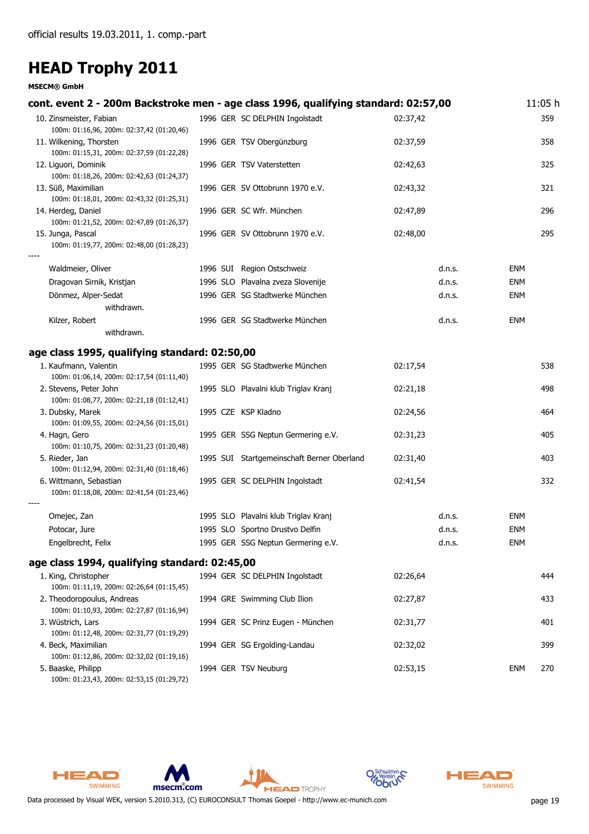#### **MSECM® GmbH**

| cont. event 2 - 200m Backstroke men - age class 1996, qualifying standard: 02:57,00 |                                            |          |        |            | 11:05 h |
|-------------------------------------------------------------------------------------|--------------------------------------------|----------|--------|------------|---------|
| 10. Zinsmeister, Fabian                                                             | 1996 GER SC DELPHIN Ingolstadt             | 02:37,42 |        |            | 359     |
| 100m: 01:16,96, 200m: 02:37,42 (01:20,46)                                           |                                            | 02:37,59 |        |            | 358     |
| 11. Wilkening, Thorsten<br>100m: 01:15,31, 200m: 02:37,59 (01:22,28)                | 1996 GER TSV Obergünzburg                  |          |        |            |         |
| 12. Liguori, Dominik                                                                | 1996 GER TSV Vaterstetten                  | 02:42,63 |        |            | 325     |
| 100m: 01:18,26, 200m: 02:42,63 (01:24,37)                                           |                                            |          |        |            |         |
| 13. Süß, Maximilian                                                                 | 1996 GER SV Ottobrunn 1970 e.V.            | 02:43,32 |        |            | 321     |
| 100m: 01:18,01, 200m: 02:43,32 (01:25,31)                                           |                                            |          |        |            |         |
| 14. Herdeg, Daniel                                                                  | 1996 GER SC Wfr. München                   | 02:47,89 |        |            | 296     |
| 100m: 01:21,52, 200m: 02:47,89 (01:26,37)                                           |                                            |          |        |            |         |
| 15. Junga, Pascal                                                                   | 1996 GER SV Ottobrunn 1970 e.V.            | 02:48,00 |        |            | 295     |
| 100m: 01:19,77, 200m: 02:48,00 (01:28,23)                                           |                                            |          |        |            |         |
| Waldmeier, Oliver                                                                   | 1996 SUI Region Ostschweiz                 |          | d.n.s. | ENM        |         |
|                                                                                     |                                            |          |        |            |         |
| Dragovan Sirnik, Kristjan                                                           | 1996 SLO Plavalna zveza Slovenije          |          | d.n.s. | <b>ENM</b> |         |
| Dönmez, Alper-Sedat                                                                 | 1996 GER SG Stadtwerke München             |          | d.n.s. | <b>ENM</b> |         |
| withdrawn.                                                                          |                                            |          |        |            |         |
| Kilzer, Robert                                                                      | 1996 GER SG Stadtwerke München             |          | d.n.s. | <b>ENM</b> |         |
| withdrawn.                                                                          |                                            |          |        |            |         |
| age class 1995, qualifying standard: 02:50,00                                       |                                            |          |        |            |         |
| 1. Kaufmann, Valentin                                                               | 1995 GER SG Stadtwerke München             | 02:17,54 |        |            | 538     |
| 100m: 01:06,14, 200m: 02:17,54 (01:11,40)                                           |                                            |          |        |            |         |
| 2. Stevens, Peter John                                                              | 1995 SLO Plavalni klub Triglav Kranj       | 02:21,18 |        |            | 498     |
| 100m: 01:08,77, 200m: 02:21,18 (01:12,41)                                           |                                            |          |        |            |         |
| 3. Dubsky, Marek                                                                    | 1995 CZE KSP Kladno                        | 02:24,56 |        |            | 464     |
| 100m: 01:09,55, 200m: 02:24,56 (01:15,01)                                           |                                            |          |        |            |         |
| 4. Hagn, Gero<br>100m: 01:10,75, 200m: 02:31,23 (01:20,48)                          | 1995 GER SSG Neptun Germering e.V.         | 02:31,23 |        |            | 405     |
| 5. Rieder, Jan                                                                      | 1995 SUI Startgemeinschaft Berner Oberland | 02:31,40 |        |            | 403     |
| 100m: 01:12,94, 200m: 02:31,40 (01:18,46)                                           |                                            |          |        |            |         |
| 6. Wittmann, Sebastian                                                              | 1995 GER SC DELPHIN Ingolstadt             | 02:41,54 |        |            | 332     |
| 100m: 01:18,08, 200m: 02:41,54 (01:23,46)                                           |                                            |          |        |            |         |
|                                                                                     |                                            |          |        |            |         |
| Omejec, Zan                                                                         | 1995 SLO Plavalni klub Triglav Kranj       |          | d.n.s. | ENM        |         |
| Potocar, Jure                                                                       | 1995 SLO Sportno Drustvo Delfin            |          | d.n.s. | <b>ENM</b> |         |
| Engelbrecht, Felix                                                                  | 1995 GER SSG Neptun Germering e.V.         |          | d.n.s. | <b>ENM</b> |         |
| age class 1994, qualifying standard: 02:45,00                                       |                                            |          |        |            |         |
|                                                                                     |                                            |          |        |            |         |
| 1. King, Christopher                                                                | 1994 GER SC DELPHIN Ingolstadt             | 02:26,64 |        |            | 444     |
| 100m: 01:11,19, 200m: 02:26,64 (01:15,45)<br>2. Theodoropoulus, Andreas             | 1994 GRE Swimming Club Ilion               | 02:27,87 |        |            | 433     |
| 100m: 01:10,93, 200m: 02:27,87 (01:16,94)                                           |                                            |          |        |            |         |
| 3. Wüstrich, Lars                                                                   | 1994 GER SC Prinz Eugen - München          | 02:31,77 |        |            | 401     |
| 100m: 01:12,48, 200m: 02:31,77 (01:19,29)                                           |                                            |          |        |            |         |

4. Beck, Maximilian 1994 GER SG Ergolding-Landau 02:32,02 399

**HEAD** TROPHY



HEAD

SWIMMING







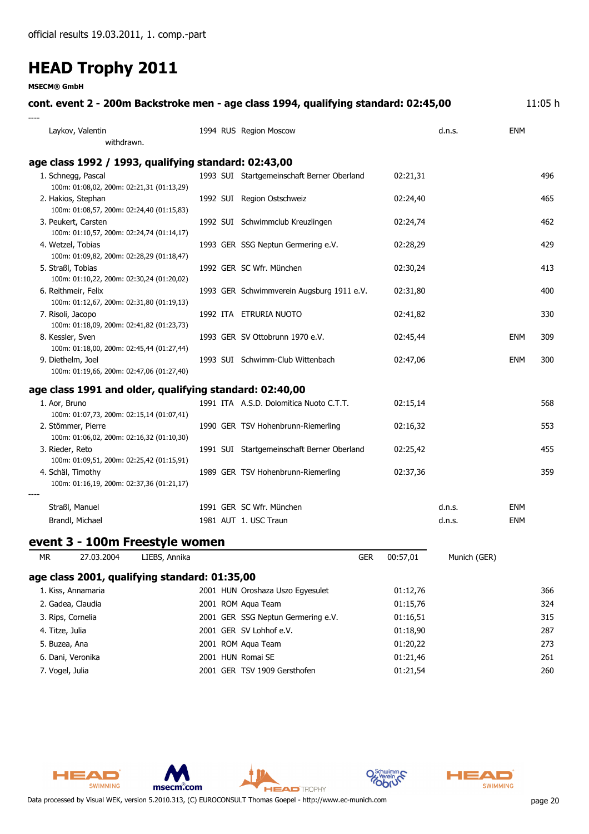**MSECM® GmbH**

| cont. event 2 - 200m Backstroke men - age class 1994, qualifying standard: 02:45,00 |                                            |          |              |            | 11:05 h |
|-------------------------------------------------------------------------------------|--------------------------------------------|----------|--------------|------------|---------|
| Laykov, Valentin<br>withdrawn.                                                      | 1994 RUS Region Moscow                     |          | d.n.s.       | <b>ENM</b> |         |
| age class 1992 / 1993, qualifying standard: 02:43,00                                |                                            |          |              |            |         |
| 1. Schnegg, Pascal                                                                  | 1993 SUI Startgemeinschaft Berner Oberland | 02:21,31 |              |            | 496     |
| 100m: 01:08,02, 200m: 02:21,31 (01:13,29)<br>2. Hakios, Stephan                     | 1992 SUI Region Ostschweiz                 | 02:24,40 |              |            | 465     |
| 100m: 01:08,57, 200m: 02:24,40 (01:15,83)                                           |                                            |          |              |            |         |
| 3. Peukert, Carsten                                                                 | 1992 SUI Schwimmclub Kreuzlingen           | 02:24,74 |              |            | 462     |
| 100m: 01:10,57, 200m: 02:24,74 (01:14,17)                                           |                                            |          |              |            |         |
| 4. Wetzel, Tobias<br>100m: 01:09,82, 200m: 02:28,29 (01:18,47)                      | 1993 GER SSG Neptun Germering e.V.         | 02:28,29 |              |            | 429     |
| 5. Straßl, Tobias                                                                   | 1992 GER SC Wfr. München                   | 02:30,24 |              |            | 413     |
| 100m: 01:10,22, 200m: 02:30,24 (01:20,02)                                           |                                            |          |              |            |         |
| 6. Reithmeir, Felix                                                                 | 1993 GER Schwimmverein Augsburg 1911 e.V.  | 02:31,80 |              |            | 400     |
| 100m: 01:12,67, 200m: 02:31,80 (01:19,13)                                           |                                            |          |              |            |         |
| 7. Risoli, Jacopo<br>100m: 01:18,09, 200m: 02:41,82 (01:23,73)                      | 1992 ITA ETRURIA NUOTO                     | 02:41,82 |              |            | 330     |
| 8. Kessler, Sven                                                                    | 1993 GER SV Ottobrunn 1970 e.V.            | 02:45,44 |              | <b>ENM</b> | 309     |
| 100m: 01:18,00, 200m: 02:45,44 (01:27,44)                                           |                                            |          |              |            |         |
| 9. Diethelm, Joel<br>100m: 01:19,66, 200m: 02:47,06 (01:27,40)                      | 1993 SUI Schwimm-Club Wittenbach           | 02:47,06 |              | <b>ENM</b> | 300     |
| age class 1991 and older, qualifying standard: 02:40,00                             |                                            |          |              |            |         |
| 1. Aor, Bruno                                                                       | 1991 ITA A.S.D. Dolomitica Nuoto C.T.T.    | 02:15,14 |              |            | 568     |
| 100m: 01:07,73, 200m: 02:15,14 (01:07,41)                                           |                                            |          |              |            |         |
| 2. Stömmer, Pierre<br>100m: 01:06,02, 200m: 02:16,32 (01:10,30)                     | 1990 GER TSV Hohenbrunn-Riemerling         | 02:16,32 |              |            | 553     |
| 3. Rieder, Reto                                                                     | 1991 SUI Startgemeinschaft Berner Oberland | 02:25,42 |              |            | 455     |
| 100m: 01:09,51, 200m: 02:25,42 (01:15,91)                                           |                                            |          |              |            |         |
| 4. Schäl, Timothy                                                                   | 1989 GER TSV Hohenbrunn-Riemerling         | 02:37,36 |              |            | 359     |
| 100m: 01:16,19, 200m: 02:37,36 (01:21,17)                                           |                                            |          |              |            |         |
| Straßl, Manuel                                                                      | 1991 GER SC Wfr. München                   |          | d.n.s.       | <b>ENM</b> |         |
| Brandl, Michael                                                                     | 1981 AUT 1. USC Traun                      |          | d.n.s.       | <b>ENM</b> |         |
| event 3 - 100m Freestyle women                                                      |                                            |          |              |            |         |
| LIEBS, Annika<br><b>MR</b><br>27.03.2004                                            | <b>GER</b>                                 | 00:57,01 | Munich (GER) |            |         |
| age class 2001, qualifying standard: 01:35,00                                       |                                            |          |              |            |         |
| 1. Kiss, Annamaria                                                                  | 2001 HUN Oroshaza Uszo Egyesulet           | 01:12,76 |              |            | 366     |
| 2. Gadea, Claudia                                                                   | 2001 ROM Aqua Team                         | 01:15,76 |              |            | 324     |
| 3. Rips, Cornelia                                                                   | 2001 GER SSG Neptun Germering e.V.         | 01:16,51 |              |            | 315     |
| 4. Titze, Julia                                                                     | 2001 GER SV Lohhof e.V.                    | 01:18,90 |              |            | 287     |
| 5. Buzea, Ana                                                                       | 2001 ROM Aqua Team                         | 01:20,22 |              |            | 273     |
| 6. Dani, Veronika                                                                   | 2001 HUN Romai SE                          | 01:21,46 |              |            | 261     |

7. Vogel, Julia 2001 GER TSV 1909 Gersthofen 01:21,54 260



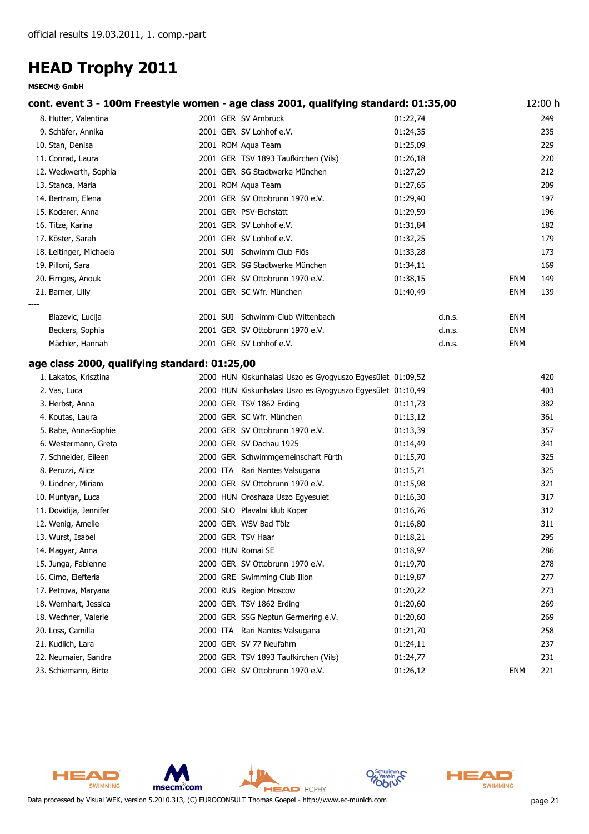| cont. event 3 - 100m Freestyle women - age class 2001, qualifying standard: 01:35,00 |                                                            |          |            | 12:00 h |
|--------------------------------------------------------------------------------------|------------------------------------------------------------|----------|------------|---------|
| 8. Hutter, Valentina                                                                 | 2001 GER SV Arnbruck                                       | 01:22,74 |            | 249     |
| 9. Schäfer, Annika                                                                   | 2001 GER SV Lohhof e.V.                                    | 01:24,35 |            | 235     |
| 10. Stan, Denisa                                                                     | 2001 ROM Aqua Team                                         | 01:25,09 |            | 229     |
| 11. Conrad, Laura                                                                    | 2001 GER TSV 1893 Taufkirchen (Vils)                       | 01:26,18 |            | 220     |
| 12. Weckwerth, Sophia                                                                | 2001 GER SG Stadtwerke München                             | 01:27,29 |            | 212     |
| 13. Stanca, Maria                                                                    | 2001 ROM Aqua Team                                         | 01:27,65 |            | 209     |
| 14. Bertram, Elena                                                                   | 2001 GER SV Ottobrunn 1970 e.V.                            | 01:29,40 |            | 197     |
| 15. Koderer, Anna                                                                    | 2001 GER PSV-Eichstätt                                     | 01:29,59 |            | 196     |
| 16. Titze, Karina                                                                    | 2001 GER SV Lohhof e.V.                                    | 01:31,84 |            | 182     |
| 17. Köster, Sarah                                                                    | 2001 GER SV Lohhof e.V.                                    | 01:32,25 |            | 179     |
| 18. Leitinger, Michaela                                                              | 2001 SUI Schwimm Club Flös                                 | 01:33,28 |            | 173     |
| 19. Pilloni, Sara                                                                    | 2001 GER SG Stadtwerke München                             | 01:34,11 |            | 169     |
| 20. Firnges, Anouk                                                                   | 2001 GER SV Ottobrunn 1970 e.V.                            | 01:38,15 | <b>ENM</b> | 149     |
| 21. Barner, Lilly                                                                    | 2001 GER SC Wfr. München                                   | 01:40,49 | ENM        | 139     |
|                                                                                      |                                                            |          |            |         |
| Blazevic, Lucija                                                                     | 2001 SUI Schwimm-Club Wittenbach                           | d.n.s.   | ENM        |         |
| Beckers, Sophia                                                                      | 2001 GER SV Ottobrunn 1970 e.V.                            | d.n.s.   | ENM        |         |
| Mächler, Hannah                                                                      | 2001 GER SV Lohhof e.V.                                    | d.n.s.   | <b>ENM</b> |         |
| age class 2000, qualifying standard: 01:25,00                                        |                                                            |          |            |         |
| 1. Lakatos, Krisztina                                                                | 2000 HUN Kiskunhalasi Uszo es Gyogyuszo Egyesület 01:09,52 |          |            | 420     |
| 2. Vas, Luca                                                                         | 2000 HUN Kiskunhalasi Uszo es Gyogyuszo Egyesület 01:10,49 |          |            | 403     |
| 3. Herbst, Anna                                                                      | 2000 GER TSV 1862 Erding                                   | 01:11,73 |            | 382     |
| 4. Koutas, Laura                                                                     | 2000 GER SC Wfr. München                                   | 01:13,12 |            | 361     |
| 5. Rabe, Anna-Sophie                                                                 | 2000 GER SV Ottobrunn 1970 e.V.                            | 01:13,39 |            | 357     |
| 6. Westermann, Greta                                                                 | 2000 GER SV Dachau 1925                                    | 01:14,49 |            | 341     |
| 7. Schneider, Eileen                                                                 | 2000 GER Schwimmgemeinschaft Fürth                         | 01:15,70 |            | 325     |
| 8. Peruzzi, Alice                                                                    | 2000 ITA Rari Nantes Valsugana                             | 01:15,71 |            | 325     |
| 9. Lindner, Miriam                                                                   | 2000 GER SV Ottobrunn 1970 e.V.                            | 01:15,98 |            | 321     |
| 10. Muntyan, Luca                                                                    | 2000 HUN Oroshaza Uszo Egyesulet                           | 01:16,30 |            | 317     |
| 11. Dovidija, Jennifer                                                               | 2000 SLO Plavalni klub Koper                               | 01:16,76 |            | 312     |
| 12. Wenig, Amelie                                                                    | 2000 GER WSV Bad Tölz                                      | 01:16,80 |            | 311     |
| 13. Wurst, Isabel                                                                    | 2000 GER TSV Haar                                          | 01:18,21 |            | 295     |
| 14. Magyar, Anna                                                                     | 2000 HUN Romai SE                                          | 01:18,97 |            | 286     |
| 15. Junga, Fabienne                                                                  | 2000 GER SV Ottobrunn 1970 e.V.                            | 01:19,70 |            | 278     |
| 16. Cimo, Elefteria                                                                  | 2000 GRE Swimming Club Ilion                               | 01:19,87 |            | 277     |
| 17. Petrova, Maryana                                                                 | 2000 RUS Region Moscow                                     | 01:20,22 |            | 273     |
| 18. Wernhart, Jessica                                                                | 2000 GER TSV 1862 Erding                                   | 01:20,60 |            | 269     |
| 18. Wechner, Valerie                                                                 | 2000 GER SSG Neptun Germering e.V.                         | 01:20,60 |            | 269     |
| 20. Loss, Camilla                                                                    | 2000 ITA Rari Nantes Valsugana                             | 01:21,70 |            | 258     |
| 21. Kudlich, Lara                                                                    | 2000 GER SV 77 Neufahrn                                    | 01:24,11 |            | 237     |
| 22. Neumaier, Sandra                                                                 | 2000 GER TSV 1893 Taufkirchen (Vils)                       | 01:24,77 |            | 231     |
| 23. Schiemann, Birte                                                                 | 2000 GER SV Ottobrunn 1970 e.V.                            | 01:26,12 | <b>ENM</b> | 221     |



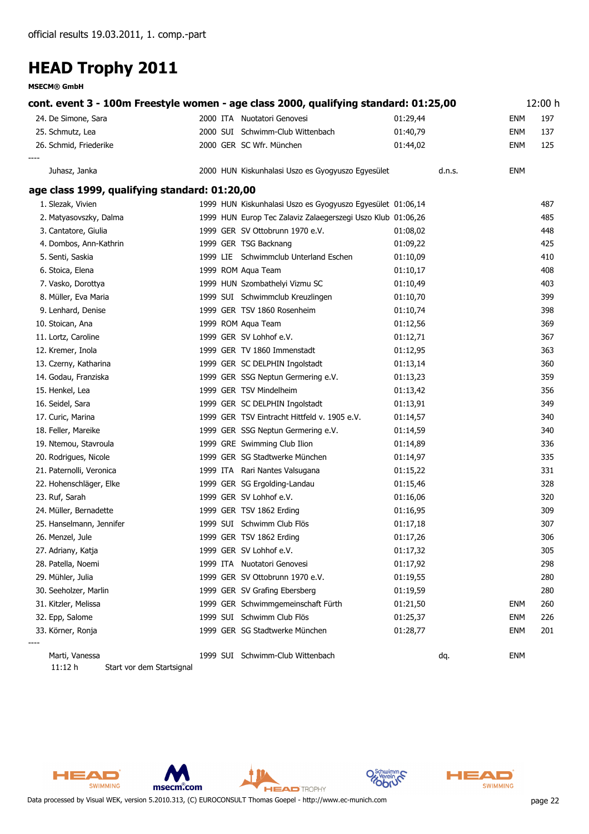**MSECM® GmbH**

| cont. event 3 - 100m Freestyle women - age class 2000, qualifying standard: 01:25,00 |                                                   |                                                             |        |            | 12:00 h |
|--------------------------------------------------------------------------------------|---------------------------------------------------|-------------------------------------------------------------|--------|------------|---------|
| 24. De Simone, Sara                                                                  | 2000 ITA Nuotatori Genovesi                       | 01:29,44                                                    |        | <b>ENM</b> | 197     |
| 25. Schmutz, Lea                                                                     | 2000 SUI Schwimm-Club Wittenbach                  | 01:40,79                                                    |        | ENM        | 137     |
| 26. Schmid, Friederike                                                               | 2000 GER SC Wfr. München                          | 01:44,02                                                    |        | ENM        | 125     |
| Juhasz, Janka                                                                        | 2000 HUN Kiskunhalasi Uszo es Gyogyuszo Egyesület |                                                             | d.n.s. | ENM        |         |
| age class 1999, qualifying standard: 01:20,00                                        |                                                   |                                                             |        |            |         |
| 1. Slezak, Vivien                                                                    |                                                   | 1999 HUN Kiskunhalasi Uszo es Gyogyuszo Egyesület 01:06,14  |        |            | 487     |
| 2. Matyasovszky, Dalma                                                               |                                                   | 1999 HUN Europ Tec Zalaviz Zalaegerszegi Uszo Klub 01:06,26 |        |            | 485     |
| 3. Cantatore, Giulia                                                                 | 1999 GER SV Ottobrunn 1970 e.V.                   | 01:08,02                                                    |        |            | 448     |
| 4. Dombos, Ann-Kathrin                                                               | 1999 GER TSG Backnang                             | 01:09,22                                                    |        |            | 425     |
| 5. Senti, Saskia                                                                     | 1999 LIE Schwimmclub Unterland Eschen             | 01:10,09                                                    |        |            | 410     |
| 6. Stoica, Elena                                                                     | 1999 ROM Aqua Team                                | 01:10,17                                                    |        |            | 408     |
| 7. Vasko, Dorottya                                                                   | 1999 HUN Szombathelyi Vizmu SC                    | 01:10,49                                                    |        |            | 403     |
| 8. Müller, Eva Maria                                                                 | 1999 SUI Schwimmclub Kreuzlingen                  | 01:10,70                                                    |        |            | 399     |
| 9. Lenhard, Denise                                                                   | 1999 GER TSV 1860 Rosenheim                       | 01:10,74                                                    |        |            | 398     |
| 10. Stoican, Ana                                                                     | 1999 ROM Aqua Team                                | 01:12,56                                                    |        |            | 369     |
| 11. Lortz, Caroline                                                                  | 1999 GER SV Lohhof e.V.                           | 01:12,71                                                    |        |            | 367     |
| 12. Kremer, Inola                                                                    | 1999 GER TV 1860 Immenstadt                       | 01:12,95                                                    |        |            | 363     |
| 13. Czerny, Katharina                                                                | 1999 GER SC DELPHIN Ingolstadt                    | 01:13,14                                                    |        |            | 360     |
| 14. Godau, Franziska                                                                 | 1999 GER SSG Neptun Germering e.V.                | 01:13,23                                                    |        |            | 359     |
| 15. Henkel, Lea                                                                      | 1999 GER TSV Mindelheim                           | 01:13,42                                                    |        |            | 356     |
| 16. Seidel, Sara                                                                     | 1999 GER SC DELPHIN Ingolstadt                    | 01:13,91                                                    |        |            | 349     |
| 17. Curic, Marina                                                                    | 1999 GER TSV Eintracht Hittfeld v. 1905 e.V.      | 01:14,57                                                    |        |            | 340     |
| 18. Feller, Mareike                                                                  | 1999 GER SSG Neptun Germering e.V.                | 01:14,59                                                    |        |            | 340     |
| 19. Ntemou, Stavroula                                                                | 1999 GRE Swimming Club Ilion                      | 01:14,89                                                    |        |            | 336     |
| 20. Rodrigues, Nicole                                                                | 1999 GER SG Stadtwerke München                    | 01:14,97                                                    |        |            | 335     |
| 21. Paternolli, Veronica                                                             | 1999 ITA Rari Nantes Valsugana                    | 01:15,22                                                    |        |            | 331     |
| 22. Hohenschläger, Elke                                                              | 1999 GER SG Ergolding-Landau                      | 01:15,46                                                    |        |            | 328     |
| 23. Ruf, Sarah                                                                       | 1999 GER SV Lohhof e.V.                           | 01:16,06                                                    |        |            | 320     |
| 24. Müller, Bernadette                                                               | 1999 GER TSV 1862 Erding                          | 01:16,95                                                    |        |            | 309     |
| 25. Hanselmann, Jennifer                                                             | 1999 SUI Schwimm Club Flös                        | 01:17,18                                                    |        |            | 307     |
| 26. Menzel, Jule                                                                     | 1999 GER TSV 1862 Erding                          | 01:17,26                                                    |        |            | 306     |
| 27. Adriany, Katja                                                                   | 1999 GER SV Lohhof e.V.                           | 01:17,32                                                    |        |            | 305     |
| 28. Patella, Noemi                                                                   | 1999 ITA Nuotatori Genovesi                       | 01:17,92                                                    |        |            | 298     |
| 29. Mühler, Julia                                                                    | 1999 GER SV Ottobrunn 1970 e.V.                   | 01:19,55                                                    |        |            | 280     |
| 30. Seeholzer, Marlin                                                                | 1999 GER SV Grafing Ebersberg                     | 01:19,59                                                    |        |            | 280     |
| 31. Kitzler, Melissa                                                                 | 1999 GER Schwimmgemeinschaft Fürth                | 01:21,50                                                    |        | ENM        | 260     |
| 32. Epp, Salome                                                                      | 1999 SUI Schwimm Club Flös                        | 01:25,37                                                    |        | ENM        | 226     |
| 33. Körner, Ronja                                                                    | 1999 GER SG Stadtwerke München                    | 01:28,77                                                    |        | <b>ENM</b> | 201     |
| Marti, Vanessa                                                                       | 1999 SUI Schwimm-Club Wittenbach                  |                                                             | dq.    | <b>ENM</b> |         |

**HEAD** TROPHY

*11:12 h Start vor dem Startsignal*





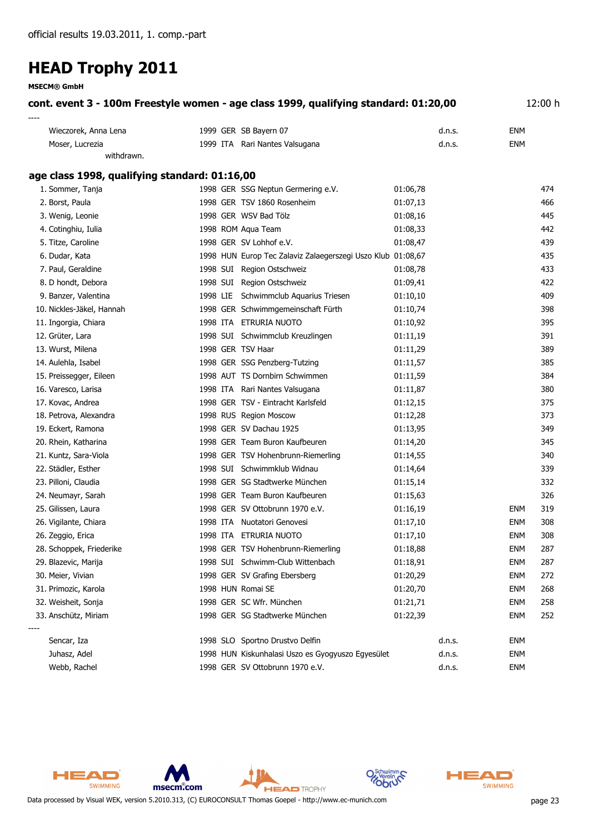**MSECM® GmbH**

| cont. event 3 - 100m Freestyle women - age class 1999, qualifying standard: 01:20,00 | 12:00 h |
|--------------------------------------------------------------------------------------|---------|
| ----                                                                                 |         |

| Wieczorek, Anna Lena | 1999 GER SB Bayern 07          | d.n.s. | ENM |
|----------------------|--------------------------------|--------|-----|
| Moser, Lucrezia      | 1999 ITA Rari Nantes Valsugana | d.n.s. | ENM |
| withdrawn.           |                                |        |     |

#### **age class 1998, qualifying standard: 01:16,00**

| 1. Sommer, Tanja          |  | 1998 GER SSG Neptun Germering e.V.                          | 01:06,78 |        |            | 474 |
|---------------------------|--|-------------------------------------------------------------|----------|--------|------------|-----|
| 2. Borst, Paula           |  | 1998 GER TSV 1860 Rosenheim                                 | 01:07,13 |        |            | 466 |
| 3. Wenig, Leonie          |  | 1998 GER WSV Bad Tölz                                       | 01:08,16 |        |            | 445 |
| 4. Cotinghiu, Iulia       |  | 1998 ROM Aqua Team                                          | 01:08,33 |        |            | 442 |
| 5. Titze, Caroline        |  | 1998 GER SV Lohhof e.V.                                     | 01:08,47 |        |            | 439 |
| 6. Dudar, Kata            |  | 1998 HUN Europ Tec Zalaviz Zalaegerszegi Uszo Klub 01:08,67 |          |        |            | 435 |
| 7. Paul, Geraldine        |  | 1998 SUI Region Ostschweiz                                  | 01:08,78 |        |            | 433 |
| 8. D hondt, Debora        |  | 1998 SUI Region Ostschweiz                                  | 01:09,41 |        |            | 422 |
| 9. Banzer, Valentina      |  | 1998 LIE Schwimmclub Aquarius Triesen                       | 01:10,10 |        |            | 409 |
| 10. Nickles-Jäkel, Hannah |  | 1998 GER Schwimmgemeinschaft Fürth                          | 01:10,74 |        |            | 398 |
| 11. Ingorgia, Chiara      |  | 1998 ITA ETRURIA NUOTO                                      | 01:10,92 |        |            | 395 |
| 12. Grüter, Lara          |  | 1998 SUI Schwimmclub Kreuzlingen                            | 01:11,19 |        |            | 391 |
| 13. Wurst, Milena         |  | 1998 GER TSV Haar                                           | 01:11,29 |        |            | 389 |
| 14. Aulehla, Isabel       |  | 1998 GER SSG Penzberg-Tutzing                               | 01:11,57 |        |            | 385 |
| 15. Preissegger, Eileen   |  | 1998 AUT TS Dornbirn Schwimmen                              | 01:11,59 |        |            | 384 |
| 16. Varesco, Larisa       |  | 1998 ITA Rari Nantes Valsugana                              | 01:11,87 |        |            | 380 |
| 17. Kovac, Andrea         |  | 1998 GER TSV - Eintracht Karlsfeld                          | 01:12,15 |        |            | 375 |
| 18. Petrova, Alexandra    |  | 1998 RUS Region Moscow                                      | 01:12,28 |        |            | 373 |
| 19. Eckert, Ramona        |  | 1998 GER SV Dachau 1925                                     | 01:13,95 |        |            | 349 |
| 20. Rhein, Katharina      |  | 1998 GER Team Buron Kaufbeuren                              | 01:14,20 |        |            | 345 |
| 21. Kuntz, Sara-Viola     |  | 1998 GER TSV Hohenbrunn-Riemerling                          | 01:14,55 |        |            | 340 |
| 22. Städler, Esther       |  | 1998 SUI Schwimmklub Widnau                                 | 01:14,64 |        |            | 339 |
| 23. Pilloni, Claudia      |  | 1998 GER SG Stadtwerke München                              | 01:15,14 |        |            | 332 |
| 24. Neumayr, Sarah        |  | 1998 GER Team Buron Kaufbeuren                              | 01:15,63 |        |            | 326 |
| 25. Gilissen, Laura       |  | 1998 GER SV Ottobrunn 1970 e.V.                             | 01:16,19 |        | ENM        | 319 |
| 26. Vigilante, Chiara     |  | 1998 ITA Nuotatori Genovesi                                 | 01:17,10 |        | <b>ENM</b> | 308 |
| 26. Zeggio, Erica         |  | 1998 ITA ETRURIA NUOTO                                      | 01:17,10 |        | ENM        | 308 |
| 28. Schoppek, Friederike  |  | 1998 GER TSV Hohenbrunn-Riemerling                          | 01:18,88 |        | <b>ENM</b> | 287 |
| 29. Blazevic, Marija      |  | 1998 SUI Schwimm-Club Wittenbach                            | 01:18,91 |        | ENM        | 287 |
| 30. Meier, Vivian         |  | 1998 GER SV Grafing Ebersberg                               | 01:20,29 |        | <b>ENM</b> | 272 |
| 31. Primozic, Karola      |  | 1998 HUN Romai SE                                           | 01:20,70 |        | ENM        | 268 |
| 32. Weisheit, Sonja       |  | 1998 GER SC Wfr. München                                    | 01:21,71 |        | ENM        | 258 |
| 33. Anschütz, Miriam      |  | 1998 GER SG Stadtwerke München                              | 01:22,39 |        | <b>ENM</b> | 252 |
| Sencar, Iza               |  | 1998 SLO Sportno Drustvo Delfin                             |          | d.n.s. | ENM        |     |
| Juhasz, Adel              |  | 1998 HUN Kiskunhalasi Uszo es Gyogyuszo Egyesület           |          | d.n.s. | <b>ENM</b> |     |
| Webb, Rachel              |  | 1998 GER SV Ottobrunn 1970 e.V.                             |          | d.n.s. | <b>ENM</b> |     |





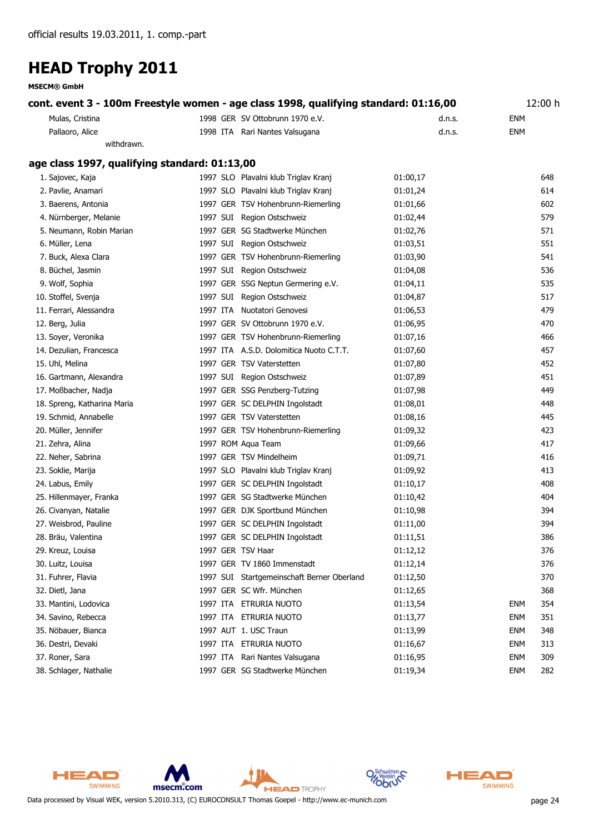**MSECM® GmbH**

|                 | cont. event 3 - 100m Freestyle women - age class 1998, qualifying standard: 01:16,00 |        | 12:00 h |  |
|-----------------|--------------------------------------------------------------------------------------|--------|---------|--|
| Mulas, Cristina | 1998 GER SV Ottobrunn 1970 e.V.                                                      | d.n.s. | ENM     |  |
| Pallaoro, Alice | 1998 ITA Rari Nantes Valsugana                                                       | d.n.s. | ENM     |  |

#### **age class 1997, qualifying standard: 01:13,00**

*withdrawn.*

| 1. Sajovec, Kaja            |  | 1997 SLO Plavalni klub Triglav Kranj       | 01:00,17 |            | 648 |
|-----------------------------|--|--------------------------------------------|----------|------------|-----|
| 2. Pavlie, Anamari          |  | 1997 SLO Plavalni klub Triglav Kranj       | 01:01,24 |            | 614 |
| 3. Baerens, Antonia         |  | 1997 GER TSV Hohenbrunn-Riemerling         | 01:01,66 |            | 602 |
| 4. Nürnberger, Melanie      |  | 1997 SUI Region Ostschweiz                 | 01:02,44 |            | 579 |
| 5. Neumann, Robin Marian    |  | 1997 GER SG Stadtwerke München             | 01:02,76 |            | 571 |
| 6. Müller, Lena             |  | 1997 SUI Region Ostschweiz                 | 01:03,51 |            | 551 |
| 7. Buck, Alexa Clara        |  | 1997 GER TSV Hohenbrunn-Riemerling         | 01:03,90 |            | 541 |
| 8. Büchel, Jasmin           |  | 1997 SUI Region Ostschweiz                 | 01:04,08 |            | 536 |
| 9. Wolf, Sophia             |  | 1997 GER SSG Neptun Germering e.V.         | 01:04,11 |            | 535 |
| 10. Stoffel, Svenja         |  | 1997 SUI Region Ostschweiz                 | 01:04,87 |            | 517 |
| 11. Ferrari, Alessandra     |  | 1997 ITA Nuotatori Genovesi                | 01:06,53 |            | 479 |
| 12. Berg, Julia             |  | 1997 GER SV Ottobrunn 1970 e.V.            | 01:06,95 |            | 470 |
| 13. Soyer, Veronika         |  | 1997 GER TSV Hohenbrunn-Riemerling         | 01:07,16 |            | 466 |
| 14. Dezulian, Francesca     |  | 1997 ITA A.S.D. Dolomitica Nuoto C.T.T.    | 01:07,60 |            | 457 |
| 15. Uhl, Melina             |  | 1997 GER TSV Vaterstetten                  | 01:07,80 |            | 452 |
| 16. Gartmann, Alexandra     |  | 1997 SUI Region Ostschweiz                 | 01:07,89 |            | 451 |
| 17. Moßbacher, Nadja        |  | 1997 GER SSG Penzberg-Tutzing              | 01:07,98 |            | 449 |
| 18. Spreng, Katharina Maria |  | 1997 GER SC DELPHIN Ingolstadt             | 01:08,01 |            | 448 |
| 19. Schmid, Annabelle       |  | 1997 GER TSV Vaterstetten                  | 01:08,16 |            | 445 |
| 20. Müller, Jennifer        |  | 1997 GER TSV Hohenbrunn-Riemerling         | 01:09,32 |            | 423 |
| 21. Zehra, Alina            |  | 1997 ROM Aqua Team                         | 01:09,66 |            | 417 |
| 22. Neher, Sabrina          |  | 1997 GER TSV Mindelheim                    | 01:09,71 |            | 416 |
| 23. Soklie, Marija          |  | 1997 SLO Plavalni klub Triglav Kranj       | 01:09,92 |            | 413 |
| 24. Labus, Emily            |  | 1997 GER SC DELPHIN Ingolstadt             | 01:10,17 |            | 408 |
| 25. Hillenmayer, Franka     |  | 1997 GER SG Stadtwerke München             | 01:10,42 |            | 404 |
| 26. Civanyan, Natalie       |  | 1997 GER DJK Sportbund München             | 01:10,98 |            | 394 |
| 27. Weisbrod, Pauline       |  | 1997 GER SC DELPHIN Ingolstadt             | 01:11,00 |            | 394 |
| 28. Bräu, Valentina         |  | 1997 GER SC DELPHIN Ingolstadt             | 01:11,51 |            | 386 |
| 29. Kreuz, Louisa           |  | 1997 GER TSV Haar                          | 01:12,12 |            | 376 |
| 30. Luitz, Louisa           |  | 1997 GER TV 1860 Immenstadt                | 01:12,14 |            | 376 |
| 31. Fuhrer, Flavia          |  | 1997 SUI Startgemeinschaft Berner Oberland | 01:12,50 |            | 370 |
| 32. Dietl, Jana             |  | 1997 GER SC Wfr. München                   | 01:12,65 |            | 368 |
| 33. Mantini, Lodovica       |  | 1997 ITA ETRURIA NUOTO                     | 01:13,54 | <b>ENM</b> | 354 |
| 34. Savino, Rebecca         |  | 1997 ITA ETRURIA NUOTO                     | 01:13,77 | <b>ENM</b> | 351 |
| 35. Nöbauer, Bianca         |  | 1997 AUT 1. USC Traun                      | 01:13,99 | ENM        | 348 |
| 36. Destri, Devaki          |  | 1997 ITA ETRURIA NUOTO                     | 01:16,67 | <b>ENM</b> | 313 |
| 37. Roner, Sara             |  | 1997 ITA Rari Nantes Valsugana             | 01:16,95 | <b>ENM</b> | 309 |
| 38. Schlager, Nathalie      |  | 1997 GER SG Stadtwerke München             | 01:19,34 | <b>ENM</b> | 282 |



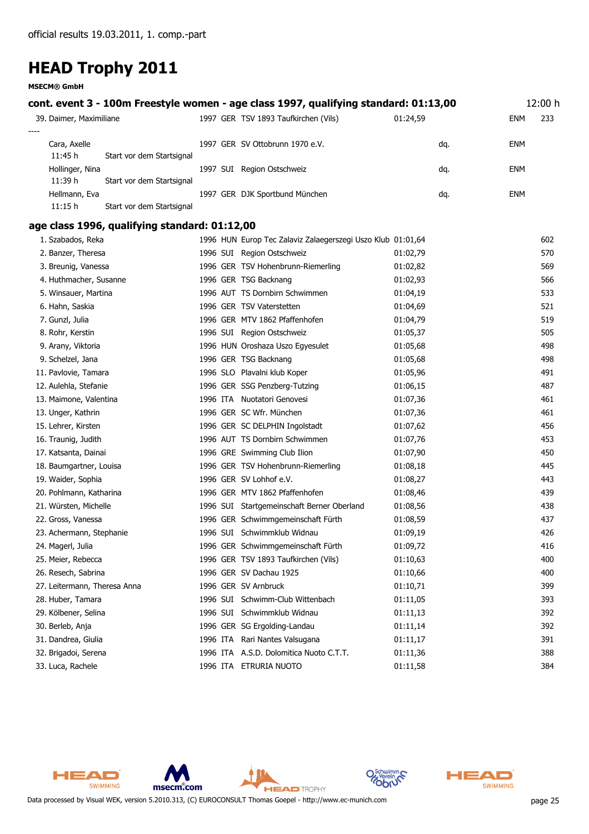**MSECM® GmbH**

| cont. event 3 - 100m Freestyle women - age class 1997, qualifying standard: 01:13,00 |                                                             |          | 12:00 h    |  |
|--------------------------------------------------------------------------------------|-------------------------------------------------------------|----------|------------|--|
| 39. Daimer, Maximiliane                                                              | 1997 GER TSV 1893 Taufkirchen (Vils)                        | 01:24,59 | ENM<br>233 |  |
| Cara, Axelle<br>11:45 h<br>Start vor dem Startsignal                                 | 1997 GER SV Ottobrunn 1970 e.V.                             | dq.      | ENM        |  |
| Hollinger, Nina<br>11:39 h<br>Start vor dem Startsignal                              | 1997 SUI Region Ostschweiz                                  | dq.      | ENM        |  |
| Hellmann, Eva<br>11:15h<br>Start vor dem Startsignal                                 | 1997 GER DJK Sportbund München                              | dq.      | <b>ENM</b> |  |
| age class 1996, qualifying standard: 01:12,00                                        |                                                             |          |            |  |
| 1. Szabados, Reka                                                                    | 1996 HUN Europ Tec Zalaviz Zalaegerszegi Uszo Klub 01:01,64 |          | 602        |  |
| 2. Banzer, Theresa                                                                   | 1996 SUI Region Ostschweiz                                  | 01:02,79 | 570        |  |
| 3. Breunig, Vanessa                                                                  | 1996 GER TSV Hohenbrunn-Riemerling                          | 01:02,82 | 569        |  |
| 4. Huthmacher, Susanne                                                               | 1996 GER TSG Backnang                                       | 01:02,93 | 566        |  |
| 5. Winsauer, Martina                                                                 | 1996 AUT TS Dornbirn Schwimmen                              | 01:04,19 | 533        |  |
| 6. Hahn, Saskia                                                                      | 1996 GER TSV Vaterstetten                                   | 01:04,69 | 521        |  |
| 7. Gunzl, Julia                                                                      | 1996 GER MTV 1862 Pfaffenhofen                              | 01:04,79 | 519        |  |
| 8. Rohr, Kerstin                                                                     | 1996 SUI Region Ostschweiz                                  | 01:05,37 | 505        |  |
| 9. Arany, Viktoria                                                                   | 1996 HUN Oroshaza Uszo Egyesulet                            | 01:05,68 | 498        |  |
| 9. Schelzel, Jana                                                                    | 1996 GER TSG Backnang                                       | 01:05,68 | 498        |  |
| 11. Pavlovie, Tamara                                                                 | 1996 SLO Plavalni klub Koper                                | 01:05,96 | 491        |  |
| 12. Aulehla, Stefanie                                                                | 1996 GER SSG Penzberg-Tutzing                               | 01:06,15 | 487        |  |
| 13. Maimone, Valentina                                                               | 1996 ITA Nuotatori Genovesi                                 | 01:07,36 | 461        |  |
| 13. Unger, Kathrin                                                                   | 1996 GER SC Wfr. München                                    | 01:07,36 | 461        |  |
| 15. Lehrer, Kirsten                                                                  | 1996 GER SC DELPHIN Ingolstadt                              | 01:07,62 | 456        |  |
| 16. Traunig, Judith                                                                  | 1996 AUT TS Dornbirn Schwimmen                              | 01:07,76 | 453        |  |
| 17. Katsanta, Dainai                                                                 | 1996 GRE Swimming Club Ilion                                | 01:07,90 | 450        |  |
| 18. Baumgartner, Louisa                                                              | 1996 GER TSV Hohenbrunn-Riemerling                          | 01:08,18 | 445        |  |
| 19. Waider, Sophia                                                                   | 1996 GER SV Lohhof e.V.                                     | 01:08,27 | 443        |  |
| 20. Pohlmann, Katharina                                                              | 1996 GER MTV 1862 Pfaffenhofen                              | 01:08,46 | 439        |  |
| 21. Würsten, Michelle                                                                | 1996 SUI Startgemeinschaft Berner Oberland                  | 01:08,56 | 438        |  |
| 22. Gross, Vanessa                                                                   | 1996 GER Schwimmgemeinschaft Fürth                          | 01:08,59 | 437        |  |
| 23. Achermann, Stephanie                                                             | 1996 SUI Schwimmklub Widnau                                 | 01:09,19 | 426        |  |
| 24. Magerl, Julia                                                                    | 1996 GER Schwimmgemeinschaft Fürth                          | 01:09,72 | 416        |  |
| 25. Meier, Rebecca                                                                   | 1996 GER TSV 1893 Taufkirchen (Vils)                        | 01:10,63 | 400        |  |
| 26. Resech, Sabrina                                                                  | 1996 GER SV Dachau 1925                                     | 01:10,66 | 400        |  |
| 27. Leitermann, Theresa Anna                                                         | 1996 GER SV Arnbruck                                        | 01:10,71 | 399        |  |
| 28. Huber, Tamara                                                                    | 1996 SUI Schwimm-Club Wittenbach                            | 01:11,05 | 393        |  |
| 29. Kölbener, Selina                                                                 | 1996 SUI Schwimmklub Widnau                                 | 01:11,13 | 392        |  |
| 30. Berleb, Anja                                                                     | 1996 GER SG Ergolding-Landau                                | 01:11,14 | 392        |  |
| 31. Dandrea, Giulia                                                                  | 1996 ITA Rari Nantes Valsugana                              | 01:11,17 | 391        |  |
| 32. Brigadoi, Serena                                                                 | 1996 ITA A.S.D. Dolomitica Nuoto C.T.T.                     | 01:11,36 | 388        |  |
| 33. Luca, Rachele                                                                    | 1996 ITA ETRURIA NUOTO                                      | 01:11,58 | 384        |  |





Data processed by Visual WEK, version 5.2010.313, (C) EUROCONSULT Thomas Goepel - http://www.ec-munich.com page 25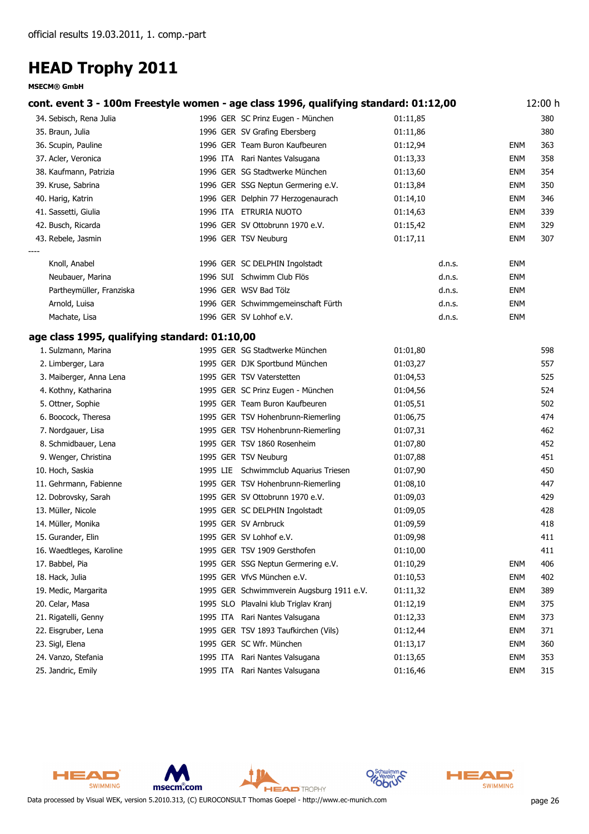|                                               |          | cont. event 3 - 100m Freestyle women - age class 1996, qualifying standard: 01:12,00 |          |            | 12:00 h |
|-----------------------------------------------|----------|--------------------------------------------------------------------------------------|----------|------------|---------|
| 34. Sebisch, Rena Julia                       |          | 1996 GER SC Prinz Eugen - München                                                    | 01:11,85 |            | 380     |
| 35. Braun, Julia                              |          | 1996 GER SV Grafing Ebersberg                                                        | 01:11,86 |            | 380     |
| 36. Scupin, Pauline                           |          | 1996 GER Team Buron Kaufbeuren                                                       | 01:12,94 | <b>ENM</b> | 363     |
| 37. Acler, Veronica                           |          | 1996 ITA Rari Nantes Valsugana                                                       | 01:13,33 | ENM        | 358     |
| 38. Kaufmann, Patrizia                        |          | 1996 GER SG Stadtwerke München                                                       | 01:13,60 | <b>ENM</b> | 354     |
| 39. Kruse, Sabrina                            |          | 1996 GER SSG Neptun Germering e.V.                                                   | 01:13,84 | <b>ENM</b> | 350     |
| 40. Harig, Katrin                             |          | 1996 GER Delphin 77 Herzogenaurach                                                   | 01:14,10 | <b>ENM</b> | 346     |
| 41. Sassetti, Giulia                          |          | 1996 ITA ETRURIA NUOTO                                                               | 01:14,63 | <b>ENM</b> | 339     |
| 42. Busch, Ricarda                            |          | 1996 GER SV Ottobrunn 1970 e.V.                                                      | 01:15,42 | ENM        | 329     |
| 43. Rebele, Jasmin                            |          | 1996 GER TSV Neuburg                                                                 | 01:17,11 | <b>ENM</b> | 307     |
| Knoll, Anabel                                 |          | 1996 GER SC DELPHIN Ingolstadt                                                       | d.n.s.   | ENM        |         |
| Neubauer, Marina                              |          | 1996 SUI Schwimm Club Flös                                                           | d.n.s.   | ENM        |         |
| Partheymüller, Franziska                      |          | 1996 GER WSV Bad Tölz                                                                | d.n.s.   | ENM        |         |
| Arnold, Luisa                                 |          | 1996 GER Schwimmgemeinschaft Fürth                                                   | d.n.s.   | <b>ENM</b> |         |
| Machate, Lisa                                 |          | 1996 GER SV Lohhof e.V.                                                              | d.n.s.   | <b>ENM</b> |         |
| age class 1995, qualifying standard: 01:10,00 |          |                                                                                      |          |            |         |
| 1. Sulzmann, Marina                           |          | 1995 GER SG Stadtwerke München                                                       | 01:01,80 |            | 598     |
| 2. Limberger, Lara                            |          | 1995 GER DJK Sportbund München                                                       | 01:03,27 |            | 557     |
| 3. Maiberger, Anna Lena                       |          | 1995 GER TSV Vaterstetten                                                            | 01:04,53 |            | 525     |
| 4. Kothny, Katharina                          |          | 1995 GER SC Prinz Eugen - München                                                    | 01:04,56 |            | 524     |
| 5. Ottner, Sophie                             |          | 1995 GER Team Buron Kaufbeuren                                                       | 01:05,51 |            | 502     |
| 6. Boocock, Theresa                           |          | 1995 GER TSV Hohenbrunn-Riemerling                                                   | 01:06,75 |            | 474     |
| 7. Nordgauer, Lisa                            |          | 1995 GER TSV Hohenbrunn-Riemerling                                                   | 01:07,31 |            | 462     |
| 8. Schmidbauer, Lena                          |          | 1995 GER TSV 1860 Rosenheim                                                          | 01:07,80 |            | 452     |
| 9. Wenger, Christina                          |          | 1995 GER TSV Neuburg                                                                 | 01:07,88 |            | 451     |
| 10. Hoch, Saskia                              |          | 1995 LIE Schwimmclub Aquarius Triesen                                                | 01:07,90 |            | 450     |
| 11. Gehrmann, Fabienne                        |          | 1995 GER TSV Hohenbrunn-Riemerling                                                   | 01:08,10 |            | 447     |
| 12. Dobrovsky, Sarah                          |          | 1995 GER SV Ottobrunn 1970 e.V.                                                      | 01:09,03 |            | 429     |
| 13. Müller, Nicole                            |          | 1995 GER SC DELPHIN Ingolstadt                                                       | 01:09,05 |            | 428     |
| 14. Müller, Monika                            |          | 1995 GER SV Arnbruck                                                                 | 01:09,59 |            | 418     |
| 15. Gurander, Elin                            |          | 1995 GER SV Lohhof e.V.                                                              | 01:09,98 |            | 411     |
| 16. Waedtleges, Karoline                      |          | 1995 GER TSV 1909 Gersthofen                                                         | 01:10,00 |            | 411     |
| 17. Babbel, Pia                               |          | 1995 GER SSG Neptun Germering e.V.                                                   | 01:10,29 | ENM        | 406     |
| 18. Hack, Julia                               |          | 1995 GER VfvS München e.V.                                                           | 01:10,53 | <b>ENM</b> | 402     |
| 19. Medic, Margarita                          |          | 1995 GER Schwimmverein Augsburg 1911 e.V.                                            | 01:11,32 | ENM        | 389     |
| 20. Celar, Masa                               |          | 1995 SLO Plavalni klub Triglav Kranj                                                 | 01:12,19 | <b>ENM</b> | 375     |
| 21. Rigatelli, Genny                          | 1995 ITA | Rari Nantes Valsugana                                                                | 01:12,33 | <b>ENM</b> | 373     |
| 22. Eisgruber, Lena                           |          | 1995 GER TSV 1893 Taufkirchen (Vils)                                                 | 01:12,44 | <b>ENM</b> | 371     |
| 23. Sigl, Elena                               |          | 1995 GER SC Wfr. München                                                             | 01:13,17 | ENM        | 360     |
| 24. Vanzo, Stefania                           |          | 1995 ITA Rari Nantes Valsugana                                                       | 01:13,65 | <b>ENM</b> | 353     |
| 25. Jandric, Emily                            |          | 1995 ITA Rari Nantes Valsugana                                                       | 01:16,46 | ENM        | 315     |



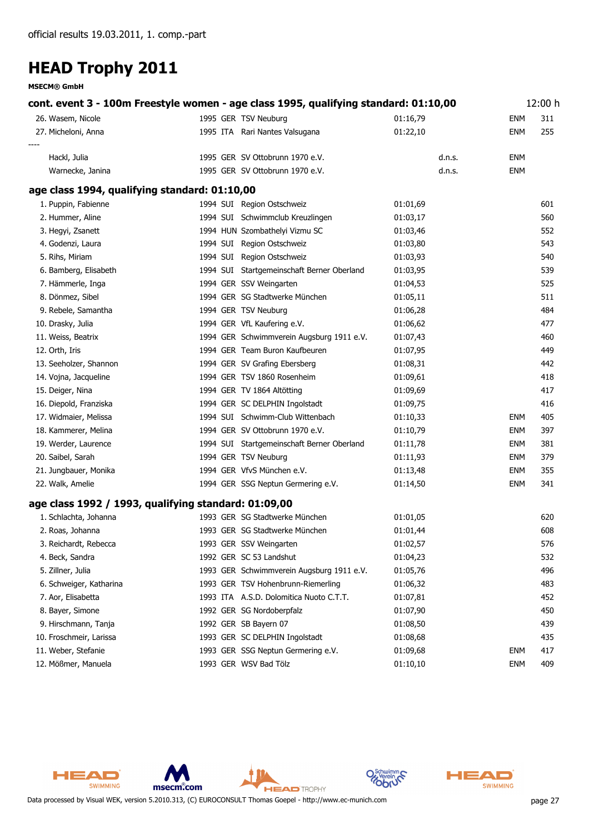**MSECM® GmbH**

| cont. event 3 - 100m Freestyle women - age class 1995, qualifying standard: 01:10,00 |  |                                            |          |            |     |
|--------------------------------------------------------------------------------------|--|--------------------------------------------|----------|------------|-----|
| 26. Wasem, Nicole                                                                    |  | 1995 GER TSV Neuburg                       | 01:16,79 | <b>ENM</b> | 311 |
| 27. Micheloni, Anna                                                                  |  | 1995 ITA Rari Nantes Valsugana             | 01:22,10 | <b>ENM</b> | 255 |
|                                                                                      |  |                                            |          |            |     |
| Hackl, Julia                                                                         |  | 1995 GER SV Ottobrunn 1970 e.V.            | d.n.s.   | ENM        |     |
| Warnecke, Janina                                                                     |  | 1995 GER SV Ottobrunn 1970 e.V.            | d.n.s.   | <b>ENM</b> |     |
| age class 1994, qualifying standard: 01:10,00                                        |  |                                            |          |            |     |
| 1. Puppin, Fabienne                                                                  |  | 1994 SUI Region Ostschweiz                 | 01:01,69 |            | 601 |
| 2. Hummer, Aline                                                                     |  | 1994 SUI Schwimmclub Kreuzlingen           | 01:03,17 |            | 560 |
| 3. Hegyi, Zsanett                                                                    |  | 1994 HUN Szombathelyi Vizmu SC             | 01:03,46 |            | 552 |
| 4. Godenzi, Laura                                                                    |  | 1994 SUI Region Ostschweiz                 | 01:03,80 |            | 543 |
| 5. Rihs, Miriam                                                                      |  | 1994 SUI Region Ostschweiz                 | 01:03,93 |            | 540 |
| 6. Bamberg, Elisabeth                                                                |  | 1994 SUI Startgemeinschaft Berner Oberland | 01:03,95 |            | 539 |
| 7. Hämmerle, Inga                                                                    |  | 1994 GER SSV Weingarten                    | 01:04,53 |            | 525 |
| 8. Dönmez, Sibel                                                                     |  | 1994 GER SG Stadtwerke München             | 01:05,11 |            | 511 |
| 9. Rebele, Samantha                                                                  |  | 1994 GER TSV Neuburg                       | 01:06,28 |            | 484 |
| 10. Drasky, Julia                                                                    |  | 1994 GER VfL Kaufering e.V.                | 01:06,62 |            | 477 |
| 11. Weiss, Beatrix                                                                   |  | 1994 GER Schwimmverein Augsburg 1911 e.V.  | 01:07,43 |            | 460 |
| 12. Orth, Iris                                                                       |  | 1994 GER Team Buron Kaufbeuren             | 01:07,95 |            | 449 |
| 13. Seeholzer, Shannon                                                               |  | 1994 GER SV Grafing Ebersberg              | 01:08,31 |            | 442 |
| 14. Vojna, Jacqueline                                                                |  | 1994 GER TSV 1860 Rosenheim                | 01:09,61 |            | 418 |
| 15. Deiger, Nina                                                                     |  | 1994 GER TV 1864 Altötting                 | 01:09,69 |            | 417 |
| 16. Diepold, Franziska                                                               |  | 1994 GER SC DELPHIN Ingolstadt             | 01:09,75 |            | 416 |
| 17. Widmaier, Melissa                                                                |  | 1994 SUI Schwimm-Club Wittenbach           | 01:10,33 | <b>ENM</b> | 405 |
| 18. Kammerer, Melina                                                                 |  | 1994 GER SV Ottobrunn 1970 e.V.            | 01:10,79 | <b>ENM</b> | 397 |
| 19. Werder, Laurence                                                                 |  | 1994 SUI Startgemeinschaft Berner Oberland | 01:11,78 | <b>ENM</b> | 381 |
| 20. Saibel, Sarah                                                                    |  | 1994 GER TSV Neuburg                       | 01:11,93 | <b>ENM</b> | 379 |
| 21. Jungbauer, Monika                                                                |  | 1994 GER VfvS München e.V.                 | 01:13,48 | <b>ENM</b> | 355 |
| 22. Walk, Amelie                                                                     |  | 1994 GER SSG Neptun Germering e.V.         | 01:14,50 | <b>ENM</b> | 341 |
| age class 1992 / 1993, qualifying standard: 01:09,00                                 |  |                                            |          |            |     |
| 1. Schlachta, Johanna                                                                |  | 1993 GER SG Stadtwerke München             | 01:01,05 |            | 620 |
| 2. Roas, Johanna                                                                     |  | 1993 GER SG Stadtwerke München             | 01:01,44 |            | 608 |
| 3. Reichardt, Rebecca                                                                |  | 1993 GER SSV Weingarten                    | 01:02,57 |            | 576 |
| 4. Beck, Sandra                                                                      |  | 1992 GER SC 53 Landshut                    | 01:04,23 |            | 532 |
| 5. Zillner, Julia                                                                    |  | 1993 GER Schwimmverein Augsburg 1911 e.V.  | 01:05,76 |            | 496 |
| 6. Schweiger, Katharina                                                              |  | 1993 GER TSV Hohenbrunn-Riemerling         | 01:06,32 |            | 483 |
| 7. Aor, Elisabetta                                                                   |  | 1993 ITA A.S.D. Dolomitica Nuoto C.T.T.    | 01:07,81 |            | 452 |
| 8. Bayer, Simone                                                                     |  | 1992 GER SG Nordoberpfalz                  | 01:07,90 |            | 450 |
| 9. Hirschmann, Tanja                                                                 |  | 1992 GER SB Bayern 07                      | 01:08,50 |            | 439 |
| 10. Froschmeir, Larissa                                                              |  | 1993 GER SC DELPHIN Ingolstadt             | 01:08,68 |            | 435 |
| 11. Weber, Stefanie                                                                  |  | 1993 GER SSG Neptun Germering e.V.         | 01:09,68 | <b>ENM</b> | 417 |
| 12. Mößmer, Manuela                                                                  |  | 1993 GER WSV Bad Tölz                      | 01:10,10 | <b>ENM</b> | 409 |





Data processed by Visual WEK, version 5.2010.313, (C) EUROCONSULT Thomas Goepel - http://www.ec-munich.com page 27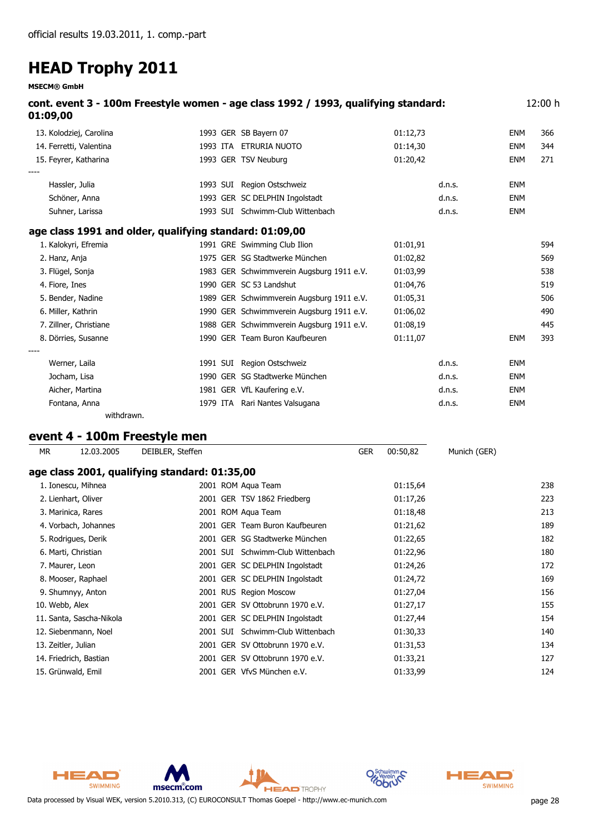**MSECM® GmbH**

| 01:09,00                                                | cont. event 3 - 100m Freestyle women - age class 1992 / 1993, qualifying standard: |          |        |            | 12:00 h |
|---------------------------------------------------------|------------------------------------------------------------------------------------|----------|--------|------------|---------|
| 13. Kolodziej, Carolina                                 | 1993 GER SB Bayern 07                                                              | 01:12,73 |        | ENM        | 366     |
| 14. Ferretti, Valentina                                 | 1993 ITA ETRURIA NUOTO                                                             | 01:14,30 |        | <b>ENM</b> | 344     |
| 15. Feyrer, Katharina                                   | 1993 GER TSV Neuburg                                                               | 01:20,42 |        | <b>ENM</b> | 271     |
| Hassler, Julia                                          | 1993 SUI Region Ostschweiz                                                         |          | d.n.s. | <b>ENM</b> |         |
| Schöner, Anna                                           | 1993 GER SC DELPHIN Ingolstadt                                                     |          | d.n.s. | <b>ENM</b> |         |
| Suhner, Larissa                                         | 1993 SUI Schwimm-Club Wittenbach                                                   |          | d.n.s. | <b>ENM</b> |         |
| age class 1991 and older, qualifying standard: 01:09,00 |                                                                                    |          |        |            |         |
| 1. Kalokyri, Efremia                                    | 1991 GRE Swimming Club Ilion                                                       | 01:01,91 |        |            | 594     |
| 2. Hanz, Anja                                           | 1975 GER SG Stadtwerke München                                                     | 01:02,82 |        |            | 569     |
| 3. Flügel, Sonja                                        | 1983 GER Schwimmverein Augsburg 1911 e.V.                                          | 01:03,99 |        |            | 538     |
| 4. Fiore, Ines                                          | 1990 GER SC 53 Landshut                                                            | 01:04,76 |        |            | 519     |
| 5. Bender, Nadine                                       | 1989 GER Schwimmverein Augsburg 1911 e.V.                                          | 01:05,31 |        |            | 506     |
| 6. Miller, Kathrin                                      | 1990 GER Schwimmverein Augsburg 1911 e.V.                                          | 01:06,02 |        |            | 490     |
| 7. Zillner, Christiane                                  | 1988 GER Schwimmverein Augsburg 1911 e.V.                                          | 01:08,19 |        |            | 445     |
| 8. Dörries, Susanne                                     | 1990 GER Team Buron Kaufbeuren                                                     | 01:11,07 |        | <b>ENM</b> | 393     |
|                                                         |                                                                                    |          |        |            |         |
| Werner, Laila                                           | 1991 SUI Region Ostschweiz                                                         |          | d.n.s. | <b>ENM</b> |         |
| Jocham, Lisa                                            | 1990 GER SG Stadtwerke München                                                     |          | d.n.s. | <b>ENM</b> |         |
| Aicher, Martina                                         | 1981 GER VfL Kaufering e.V.                                                        |          | d.n.s. | <b>ENM</b> |         |
| Fontana, Anna                                           | 1979 ITA Rari Nantes Valsugana                                                     |          | d.n.s. | <b>ENM</b> |         |

#### **event 4 - 100m Freestyle men**

*withdrawn.*

| МR                  | 12.03.2005               | DEIBLER, Steffen                              |          |                                 | <b>GER</b> | 00:50,82 | Munich (GER) |     |
|---------------------|--------------------------|-----------------------------------------------|----------|---------------------------------|------------|----------|--------------|-----|
|                     |                          | age class 2001, qualifying standard: 01:35,00 |          |                                 |            |          |              |     |
|                     | 1. Ionescu, Mihnea       |                                               |          | 2001 ROM Aqua Team              |            | 01:15,64 |              | 238 |
|                     | 2. Lienhart, Oliver      |                                               |          | 2001 GER TSV 1862 Friedberg     |            | 01:17,26 |              | 223 |
|                     | 3. Marinica, Rares       |                                               |          | 2001 ROM Aqua Team              |            | 01:18,48 |              | 213 |
|                     | 4. Vorbach, Johannes     |                                               |          | 2001 GER Team Buron Kaufbeuren  |            | 01:21,62 |              | 189 |
|                     | 5. Rodrigues, Derik      |                                               |          | 2001 GER SG Stadtwerke München  |            | 01:22,65 |              | 182 |
|                     | 6. Marti, Christian      | 2001 SUI                                      |          | Schwimm-Club Wittenbach         |            | 01:22,96 |              | 180 |
|                     | 7. Maurer, Leon          |                                               |          | 2001 GER SC DELPHIN Ingolstadt  |            | 01:24,26 |              | 172 |
|                     | 8. Mooser, Raphael       |                                               |          | 2001 GER SC DELPHIN Ingolstadt  |            | 01:24,72 |              | 169 |
|                     | 9. Shumnyy, Anton        |                                               |          | 2001 RUS Region Moscow          |            | 01:27,04 |              | 156 |
| 10. Webb, Alex      |                          |                                               |          | 2001 GER SV Ottobrunn 1970 e.V. |            | 01:27,17 |              | 155 |
|                     | 11. Santa, Sascha-Nikola |                                               |          | 2001 GER SC DELPHIN Ingolstadt  |            | 01:27,44 |              | 154 |
|                     | 12. Siebenmann, Noel     |                                               | 2001 SUI | Schwimm-Club Wittenbach         |            | 01:30,33 |              | 140 |
| 13. Zeitler, Julian |                          |                                               |          | 2001 GER SV Ottobrunn 1970 e.V. |            | 01:31,53 |              | 134 |
|                     | 14. Friedrich, Bastian   |                                               |          | 2001 GER SV Ottobrunn 1970 e.V. |            | 01:33,21 |              | 127 |
|                     | 15. Grünwald, Emil       |                                               |          | 2001 GER VfvS München e.V.      |            | 01:33,99 |              | 124 |



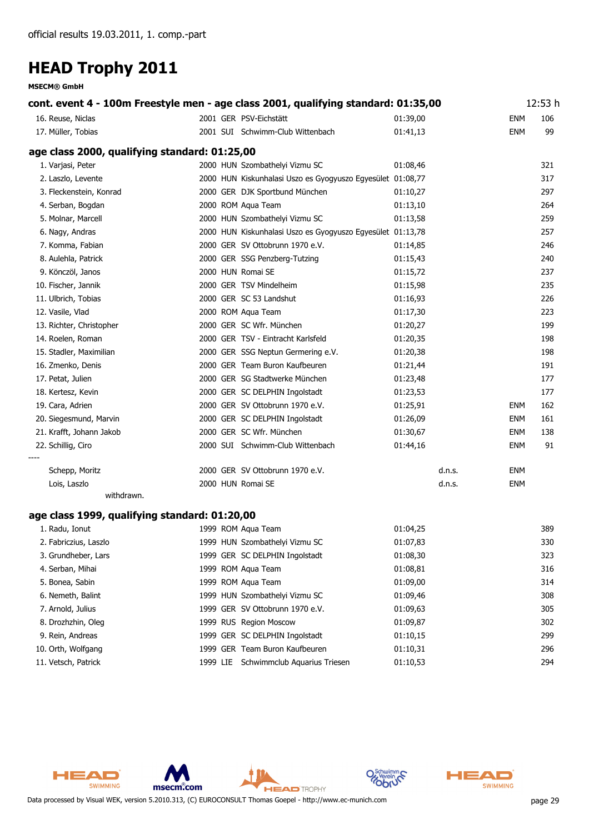|                                               |  | cont. event 4 - 100m Freestyle men - age class 2001, qualifying standard: 01:35,00 |          |        |            | 12:53 h |
|-----------------------------------------------|--|------------------------------------------------------------------------------------|----------|--------|------------|---------|
| 16. Reuse, Niclas                             |  | 2001 GER PSV-Eichstätt                                                             | 01:39,00 |        | ENM        | 106     |
| 17. Müller, Tobias                            |  | 2001 SUI Schwimm-Club Wittenbach                                                   | 01:41,13 |        | ENM        | 99      |
| age class 2000, qualifying standard: 01:25,00 |  |                                                                                    |          |        |            |         |
| 1. Varjasi, Peter                             |  | 2000 HUN Szombathelyi Vizmu SC                                                     | 01:08,46 |        |            | 321     |
| 2. Laszlo, Levente                            |  | 2000 HUN Kiskunhalasi Uszo es Gyogyuszo Egyesület 01:08,77                         |          |        |            | 317     |
| 3. Fleckenstein, Konrad                       |  | 2000 GER DJK Sportbund München                                                     | 01:10,27 |        |            | 297     |
| 4. Serban, Bogdan                             |  | 2000 ROM Aqua Team                                                                 | 01:13,10 |        |            | 264     |
| 5. Molnar, Marcell                            |  | 2000 HUN Szombathelyi Vizmu SC                                                     | 01:13,58 |        |            | 259     |
| 6. Nagy, Andras                               |  | 2000 HUN Kiskunhalasi Uszo es Gyogyuszo Egyesület 01:13,78                         |          |        |            | 257     |
| 7. Komma, Fabian                              |  | 2000 GER SV Ottobrunn 1970 e.V.                                                    | 01:14,85 |        |            | 246     |
| 8. Aulehla, Patrick                           |  | 2000 GER SSG Penzberg-Tutzing                                                      | 01:15,43 |        |            | 240     |
| 9. Könczöl, Janos                             |  | 2000 HUN Romai SE                                                                  | 01:15,72 |        |            | 237     |
| 10. Fischer, Jannik                           |  | 2000 GER TSV Mindelheim                                                            | 01:15,98 |        |            | 235     |
| 11. Ulbrich, Tobias                           |  | 2000 GER SC 53 Landshut                                                            | 01:16,93 |        |            | 226     |
| 12. Vasile, Vlad                              |  | 2000 ROM Aqua Team                                                                 | 01:17,30 |        |            | 223     |
| 13. Richter, Christopher                      |  | 2000 GER SC Wfr. München                                                           | 01:20,27 |        |            | 199     |
| 14. Roelen, Roman                             |  | 2000 GER TSV - Eintracht Karlsfeld                                                 | 01:20,35 |        |            | 198     |
| 15. Stadler, Maximilian                       |  | 2000 GER SSG Neptun Germering e.V.                                                 | 01:20,38 |        |            | 198     |
| 16. Zmenko, Denis                             |  | 2000 GER Team Buron Kaufbeuren                                                     | 01:21,44 |        |            | 191     |
| 17. Petat, Julien                             |  | 2000 GER SG Stadtwerke München                                                     | 01:23,48 |        |            | 177     |
| 18. Kertesz, Kevin                            |  | 2000 GER SC DELPHIN Ingolstadt                                                     | 01:23,53 |        |            | 177     |
| 19. Cara, Adrien                              |  | 2000 GER SV Ottobrunn 1970 e.V.                                                    | 01:25,91 |        | ENM        | 162     |
| 20. Siegesmund, Marvin                        |  | 2000 GER SC DELPHIN Ingolstadt                                                     | 01:26,09 |        | ENM        | 161     |
| 21. Krafft, Johann Jakob                      |  | 2000 GER SC Wfr. München                                                           | 01:30,67 |        | <b>ENM</b> | 138     |
| 22. Schillig, Ciro                            |  | 2000 SUI Schwimm-Club Wittenbach                                                   | 01:44,16 |        | ENM        | 91      |
|                                               |  |                                                                                    |          |        |            |         |
| Schepp, Moritz                                |  | 2000 GER SV Ottobrunn 1970 e.V.                                                    |          | d.n.s. | <b>ENM</b> |         |
| Lois, Laszlo<br>withdrawn.                    |  | 2000 HUN Romai SE                                                                  |          | d.n.s. | ENM        |         |
|                                               |  |                                                                                    |          |        |            |         |
| age class 1999, qualifying standard: 01:20,00 |  |                                                                                    |          |        |            |         |
| 1. Radu, Ionut                                |  | 1999 ROM Aqua Team                                                                 | 01:04,25 |        |            | 389     |
| 2. Fabriczius, Laszlo                         |  | 1999 HUN Szombathelyi Vizmu SC                                                     | 01:07,83 |        |            | 330     |
| 3. Grundheber, Lars                           |  | 1999 GER SC DELPHIN Ingolstadt                                                     | 01:08,30 |        |            | 323     |
| 4. Serban, Mihai                              |  | 1999 ROM Aqua Team                                                                 | 01:08,81 |        |            | 316     |
| 5. Bonea, Sabin                               |  | 1999 ROM Aqua Team                                                                 | 01:09,00 |        |            | 314     |
| 6. Nemeth, Balint                             |  | 1999 HUN Szombathelyi Vizmu SC                                                     | 01:09,46 |        |            | 308     |
| 7. Arnold, Julius                             |  | 1999 GER SV Ottobrunn 1970 e.V.                                                    | 01:09,63 |        |            | 305     |
| 8. Drozhzhin, Oleg                            |  | 1999 RUS Region Moscow                                                             | 01:09,87 |        |            | 302     |
| 9. Rein, Andreas                              |  | 1999 GER SC DELPHIN Ingolstadt                                                     | 01:10,15 |        |            | 299     |
| 10. Orth, Wolfgang                            |  | 1999 GER Team Buron Kaufbeuren                                                     | 01:10,31 |        |            | 296     |
| 11. Vetsch, Patrick                           |  | 1999 LIE Schwimmclub Aquarius Triesen                                              | 01:10,53 |        |            | 294     |



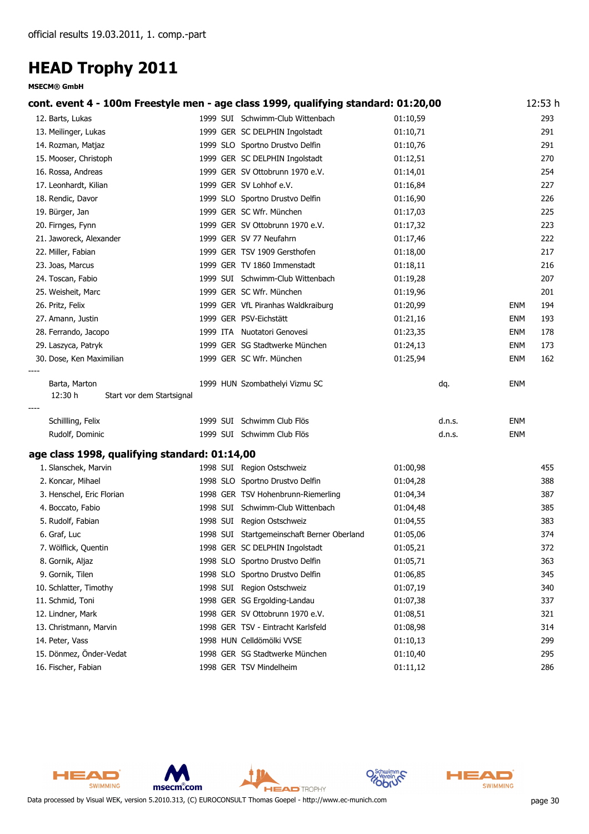| cont. event 4 - 100m Freestyle men - age class 1999, qualifying standard: 01:20,00 |                                            |          |        |            | 12:53 h |
|------------------------------------------------------------------------------------|--------------------------------------------|----------|--------|------------|---------|
| 12. Barts, Lukas                                                                   | 1999 SUI Schwimm-Club Wittenbach           | 01:10,59 |        |            | 293     |
| 13. Meilinger, Lukas                                                               | 1999 GER SC DELPHIN Ingolstadt             | 01:10,71 |        |            | 291     |
| 14. Rozman, Matjaz                                                                 | 1999 SLO Sportno Drustvo Delfin            | 01:10,76 |        |            | 291     |
| 15. Mooser, Christoph                                                              | 1999 GER SC DELPHIN Ingolstadt             | 01:12,51 |        |            | 270     |
| 16. Rossa, Andreas                                                                 | 1999 GER SV Ottobrunn 1970 e.V.            | 01:14,01 |        |            | 254     |
| 17. Leonhardt, Kilian                                                              | 1999 GER SV Lohhof e.V.                    | 01:16,84 |        |            | 227     |
| 18. Rendic, Davor                                                                  | 1999 SLO Sportno Drustvo Delfin            | 01:16,90 |        |            | 226     |
| 19. Bürger, Jan                                                                    | 1999 GER SC Wfr. München                   | 01:17,03 |        |            | 225     |
| 20. Firnges, Fynn                                                                  | 1999 GER SV Ottobrunn 1970 e.V.            | 01:17,32 |        |            | 223     |
| 21. Jaworeck, Alexander                                                            | 1999 GER SV 77 Neufahrn                    | 01:17,46 |        |            | 222     |
| 22. Miller, Fabian                                                                 | 1999 GER TSV 1909 Gersthofen               | 01:18,00 |        |            | 217     |
| 23. Joas, Marcus                                                                   | 1999 GER TV 1860 Immenstadt                | 01:18,11 |        |            | 216     |
| 24. Toscan, Fabio                                                                  | 1999 SUI Schwimm-Club Wittenbach           | 01:19,28 |        |            | 207     |
| 25. Weisheit, Marc                                                                 | 1999 GER SC Wfr. München                   | 01:19,96 |        |            | 201     |
| 26. Pritz, Felix                                                                   | 1999 GER VfL Piranhas Waldkraiburg         | 01:20,99 |        | ENM        | 194     |
| 27. Amann, Justin                                                                  | 1999 GER PSV-Eichstätt                     | 01:21,16 |        | <b>ENM</b> | 193     |
| 28. Ferrando, Jacopo                                                               | 1999 ITA Nuotatori Genovesi                | 01:23,35 |        | ENM        | 178     |
| 29. Laszyca, Patryk                                                                | 1999 GER SG Stadtwerke München             | 01:24,13 |        | <b>ENM</b> | 173     |
| 30. Dose, Ken Maximilian                                                           | 1999 GER SC Wfr. München                   | 01:25,94 |        | <b>ENM</b> | 162     |
| Barta, Marton<br>12:30 h<br>Start vor dem Startsignal                              | 1999 HUN Szombathelyi Vizmu SC             |          | dq.    | <b>ENM</b> |         |
| Schillling, Felix                                                                  | 1999 SUI Schwimm Club Flös                 |          | d.n.s. | <b>ENM</b> |         |
| Rudolf, Dominic                                                                    | 1999 SUI Schwimm Club Flös                 |          | d.n.s. | <b>ENM</b> |         |
| age class 1998, qualifying standard: 01:14,00                                      |                                            |          |        |            |         |
| 1. Slanschek, Marvin                                                               | 1998 SUI Region Ostschweiz                 | 01:00,98 |        |            | 455     |
| 2. Koncar, Mihael                                                                  | 1998 SLO Sportno Drustvo Delfin            | 01:04,28 |        |            | 388     |
| 3. Henschel, Eric Florian                                                          | 1998 GER TSV Hohenbrunn-Riemerling         | 01:04,34 |        |            | 387     |
| 4. Boccato, Fabio                                                                  | 1998 SUI Schwimm-Club Wittenbach           | 01:04,48 |        |            | 385     |
| 5. Rudolf, Fabian                                                                  | 1998 SUI Region Ostschweiz                 | 01:04,55 |        |            | 383     |
| 6. Graf, Luc                                                                       | 1998 SUI Startgemeinschaft Berner Oberland | 01:05,06 |        |            | 374     |
| 7. Wölflick, Quentin                                                               | 1998 GER SC DELPHIN Ingolstadt             | 01:05,21 |        |            | 372     |
| 8. Gornik, Aljaz                                                                   | 1998 SLO Sportno Drustvo Delfin            | 01:05,71 |        |            | 363     |
| 9. Gornik, Tilen                                                                   | 1998 SLO Sportno Drustvo Delfin            | 01:06,85 |        |            | 345     |
| 10. Schlatter, Timothy                                                             | 1998 SUI Region Ostschweiz                 | 01:07,19 |        |            | 340     |
| 11. Schmid, Toni                                                                   | 1998 GER SG Ergolding-Landau               | 01:07,38 |        |            | 337     |
| 12. Lindner, Mark                                                                  | 1998 GER SV Ottobrunn 1970 e.V.            | 01:08,51 |        |            | 321     |
| 13. Christmann, Marvin                                                             | 1998 GER TSV - Eintracht Karlsfeld         | 01:08,98 |        |            | 314     |
| 14. Peter, Vass                                                                    | 1998 HUN Celldömölki VVSE                  | 01:10,13 |        |            | 299     |
| 15. Dönmez, Önder-Vedat                                                            | 1998 GER SG Stadtwerke München             | 01:10,40 |        |            | 295     |
| 16. Fischer, Fabian                                                                | 1998 GER TSV Mindelheim                    | 01:11,12 |        |            | 286     |



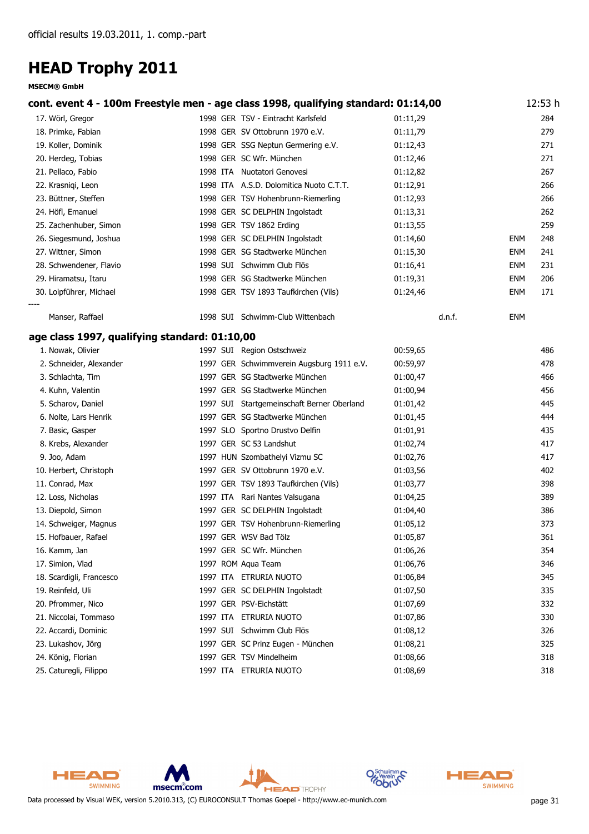|                                               | cont. event 4 - 100m Freestyle men - age class 1998, qualifying standard: 01:14,00 |          |            | 12:53 h |
|-----------------------------------------------|------------------------------------------------------------------------------------|----------|------------|---------|
| 17. Wörl, Gregor                              | 1998 GER TSV - Eintracht Karlsfeld                                                 | 01:11,29 |            | 284     |
| 18. Primke, Fabian                            | 1998 GER SV Ottobrunn 1970 e.V.                                                    | 01:11,79 |            | 279     |
| 19. Koller, Dominik                           | 1998 GER SSG Neptun Germering e.V.                                                 | 01:12,43 |            | 271     |
| 20. Herdeg, Tobias                            | 1998 GER SC Wfr. München                                                           | 01:12,46 |            | 271     |
| 21. Pellaco, Fabio                            | 1998 ITA Nuotatori Genovesi                                                        | 01:12,82 |            | 267     |
| 22. Krasniqi, Leon                            | 1998 ITA A.S.D. Dolomitica Nuoto C.T.T.                                            | 01:12,91 |            | 266     |
| 23. Büttner, Steffen                          | 1998 GER TSV Hohenbrunn-Riemerling                                                 | 01:12,93 |            | 266     |
| 24. Höfl, Emanuel                             | 1998 GER SC DELPHIN Ingolstadt                                                     | 01:13,31 |            | 262     |
| 25. Zachenhuber, Simon                        | 1998 GER TSV 1862 Erding                                                           | 01:13,55 |            | 259     |
| 26. Siegesmund, Joshua                        | 1998 GER SC DELPHIN Ingolstadt                                                     | 01:14,60 | ENM        | 248     |
| 27. Wittner, Simon                            | 1998 GER SG Stadtwerke München                                                     | 01:15,30 | <b>ENM</b> | 241     |
| 28. Schwendener, Flavio                       | 1998 SUI Schwimm Club Flös                                                         | 01:16,41 | <b>ENM</b> | 231     |
| 29. Hiramatsu, Itaru                          | 1998 GER SG Stadtwerke München                                                     | 01:19,31 | <b>ENM</b> | 206     |
| 30. Loipführer, Michael                       | 1998 GER TSV 1893 Taufkirchen (Vils)                                               | 01:24,46 | ENM        | 171     |
| Manser, Raffael                               | 1998 SUI Schwimm-Club Wittenbach                                                   | d.n.f.   | ENM        |         |
| age class 1997, qualifying standard: 01:10,00 |                                                                                    |          |            |         |
| 1. Nowak, Olivier                             | 1997 SUI Region Ostschweiz                                                         | 00:59,65 |            | 486     |
| 2. Schneider, Alexander                       | 1997 GER Schwimmverein Augsburg 1911 e.V.                                          | 00:59,97 |            | 478     |
| 3. Schlachta, Tim                             | 1997 GER SG Stadtwerke München                                                     | 01:00,47 |            | 466     |
| 4. Kuhn, Valentin                             | 1997 GER SG Stadtwerke München                                                     | 01:00,94 |            | 456     |
| 5. Scharov, Daniel                            | 1997 SUI Startgemeinschaft Berner Oberland                                         | 01:01,42 |            | 445     |
| 6. Nolte, Lars Henrik                         | 1997 GER SG Stadtwerke München                                                     | 01:01,45 |            | 444     |
| 7. Basic, Gasper                              | 1997 SLO Sportno Drustvo Delfin                                                    | 01:01,91 |            | 435     |
| 8. Krebs, Alexander                           | 1997 GER SC 53 Landshut                                                            | 01:02,74 |            | 417     |
| 9. Joo, Adam                                  | 1997 HUN Szombathelyi Vizmu SC                                                     | 01:02,76 |            | 417     |
| 10. Herbert, Christoph                        | 1997 GER SV Ottobrunn 1970 e.V.                                                    | 01:03,56 |            | 402     |
| 11. Conrad, Max                               | 1997 GER TSV 1893 Taufkirchen (Vils)                                               | 01:03,77 |            | 398     |
| 12. Loss, Nicholas                            | 1997 ITA Rari Nantes Valsugana                                                     | 01:04,25 |            | 389     |
| 13. Diepold, Simon                            | 1997 GER SC DELPHIN Ingolstadt                                                     | 01:04,40 |            | 386     |
| 14. Schweiger, Magnus                         | 1997 GER TSV Hohenbrunn-Riemerling                                                 | 01:05,12 |            | 373     |
| 15. Hofbauer, Rafael                          | 1997 GER WSV Bad Tölz                                                              | 01:05,87 |            | 361     |
| 16. Kamm, Jan                                 | 1997 GER SC Wfr. München                                                           | 01:06,26 |            | 354     |
| 17. Simion, Vlad                              | 1997 ROM Aqua Team                                                                 | 01:06,76 |            | 346     |
| 18. Scardigli, Francesco                      | 1997 ITA ETRURIA NUOTO                                                             | 01:06,84 |            | 345     |
| 19. Reinfeld, Uli                             | 1997 GER SC DELPHIN Ingolstadt                                                     | 01:07,50 |            | 335     |
| 20. Pfrommer, Nico                            | 1997 GER PSV-Eichstätt                                                             | 01:07,69 |            | 332     |
| 21. Niccolai, Tommaso                         | 1997 ITA ETRURIA NUOTO                                                             | 01:07,86 |            | 330     |
| 22. Accardi, Dominic                          | 1997 SUI Schwimm Club Flös                                                         | 01:08,12 |            | 326     |
| 23. Lukashov, Jörg                            | 1997 GER SC Prinz Eugen - München                                                  | 01:08,21 |            | 325     |
| 24. König, Florian                            | 1997 GER TSV Mindelheim                                                            | 01:08,66 |            | 318     |
| 25. Caturegli, Filippo                        | 1997 ITA ETRURIA NUOTO                                                             | 01:08,69 |            | 318     |



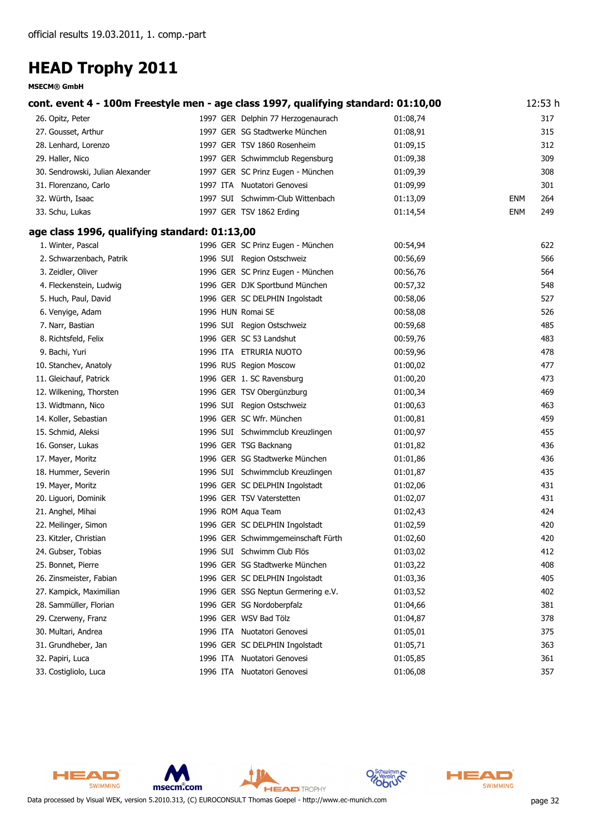|                                               | cont. event 4 - 100m Freestyle men - age class 1997, qualifying standard: 01:10,00 |          | 12:53 h           |
|-----------------------------------------------|------------------------------------------------------------------------------------|----------|-------------------|
| 26. Opitz, Peter                              | 1997 GER Delphin 77 Herzogenaurach                                                 | 01:08,74 | 317               |
| 27. Gousset, Arthur                           | 1997 GER SG Stadtwerke München                                                     | 01:08,91 | 315               |
| 28. Lenhard, Lorenzo                          | 1997 GER TSV 1860 Rosenheim                                                        | 01:09,15 | 312               |
| 29. Haller, Nico                              | 1997 GER Schwimmclub Regensburg                                                    | 01:09,38 | 309               |
| 30. Sendrowski, Julian Alexander              | 1997 GER SC Prinz Eugen - München                                                  | 01:09,39 | 308               |
| 31. Florenzano, Carlo                         | 1997 ITA Nuotatori Genovesi                                                        | 01:09,99 | 301               |
| 32. Würth, Isaac                              | 1997 SUI Schwimm-Club Wittenbach                                                   | 01:13,09 | <b>ENM</b><br>264 |
| 33. Schu, Lukas                               | 1997 GER TSV 1862 Erding                                                           | 01:14,54 | <b>ENM</b><br>249 |
| age class 1996, qualifying standard: 01:13,00 |                                                                                    |          |                   |
| 1. Winter, Pascal                             | 1996 GER SC Prinz Eugen - München                                                  | 00:54,94 | 622               |
| 2. Schwarzenbach, Patrik                      | 1996 SUI Region Ostschweiz                                                         | 00:56,69 | 566               |
| 3. Zeidler, Oliver                            | 1996 GER SC Prinz Eugen - München                                                  | 00:56,76 | 564               |
| 4. Fleckenstein, Ludwig                       | 1996 GER DJK Sportbund München                                                     | 00:57,32 | 548               |
| 5. Huch, Paul, David                          | 1996 GER SC DELPHIN Ingolstadt                                                     | 00:58,06 | 527               |
| 6. Venyige, Adam                              | 1996 HUN Romai SE                                                                  | 00:58,08 | 526               |
| 7. Narr, Bastian                              | 1996 SUI Region Ostschweiz                                                         | 00:59,68 | 485               |
| 8. Richtsfeld, Felix                          | 1996 GER SC 53 Landshut                                                            | 00:59,76 | 483               |
| 9. Bachi, Yuri                                | 1996 ITA ETRURIA NUOTO                                                             | 00:59,96 | 478               |
| 10. Stanchev, Anatoly                         | 1996 RUS Region Moscow                                                             | 01:00,02 | 477               |
| 11. Gleichauf, Patrick                        | 1996 GER 1. SC Ravensburg                                                          | 01:00,20 | 473               |
| 12. Wilkening, Thorsten                       | 1996 GER TSV Obergünzburg                                                          | 01:00,34 | 469               |
| 13. Widtmann, Nico                            | 1996 SUI Region Ostschweiz                                                         | 01:00,63 | 463               |
| 14. Koller, Sebastian                         | 1996 GER SC Wfr. München                                                           | 01:00,81 | 459               |
| 15. Schmid, Aleksi                            | 1996 SUI Schwimmclub Kreuzlingen                                                   | 01:00,97 | 455               |
| 16. Gonser, Lukas                             | 1996 GER TSG Backnang                                                              | 01:01,82 | 436               |
| 17. Mayer, Moritz                             | 1996 GER SG Stadtwerke München                                                     | 01:01,86 | 436               |
| 18. Hummer, Severin                           | 1996 SUI Schwimmclub Kreuzlingen                                                   | 01:01,87 | 435               |
| 19. Mayer, Moritz                             | 1996 GER SC DELPHIN Ingolstadt                                                     | 01:02,06 | 431               |
| 20. Liguori, Dominik                          | 1996 GER TSV Vaterstetten                                                          | 01:02,07 | 431               |
| 21. Anghel, Mihai                             | 1996 ROM Aqua Team                                                                 | 01:02,43 | 424               |
| 22. Meilinger, Simon                          | 1996 GER SC DELPHIN Ingolstadt                                                     | 01:02,59 | 420               |
| 23. Kitzler, Christian                        | 1996 GER Schwimmgemeinschaft Fürth                                                 | 01:02,60 | 420               |
| 24. Gubser, Tobias                            | 1996 SUI Schwimm Club Flös                                                         | 01:03,02 | 412               |
| 25. Bonnet, Pierre                            | 1996 GER SG Stadtwerke München                                                     | 01:03,22 | 408               |
| 26. Zinsmeister, Fabian                       | 1996 GER SC DELPHIN Ingolstadt                                                     | 01:03,36 | 405               |
| 27. Kampick, Maximilian                       | 1996 GER SSG Neptun Germering e.V.                                                 | 01:03,52 | 402               |
| 28. Sammüller, Florian                        | 1996 GER SG Nordoberpfalz                                                          | 01:04,66 | 381               |
| 29. Czerweny, Franz                           | 1996 GER WSV Bad Tölz                                                              | 01:04,87 | 378               |
| 30. Multari, Andrea                           | 1996 ITA Nuotatori Genovesi                                                        | 01:05,01 | 375               |
| 31. Grundheber, Jan                           | 1996 GER SC DELPHIN Ingolstadt                                                     | 01:05,71 | 363               |
| 32. Papiri, Luca                              | 1996 ITA Nuotatori Genovesi                                                        | 01:05,85 | 361               |
| 33. Costigliolo, Luca                         | 1996 ITA Nuotatori Genovesi                                                        | 01:06,08 | 357               |



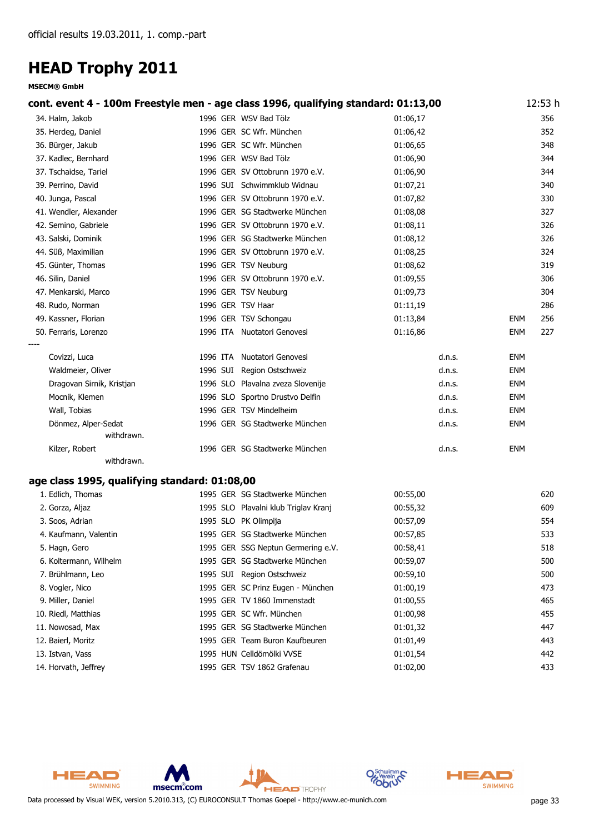| cont. event 4 - 100m Freestyle men - age class 1996, qualifying standard: 01:13,00 |                   |                                      |          | 12:53 h           |
|------------------------------------------------------------------------------------|-------------------|--------------------------------------|----------|-------------------|
| 34. Halm, Jakob                                                                    |                   | 1996 GER WSV Bad Tölz                | 01:06,17 | 356               |
| 35. Herdeg, Daniel                                                                 |                   | 1996 GER SC Wfr. München             | 01:06,42 | 352               |
| 36. Bürger, Jakub                                                                  |                   | 1996 GER SC Wfr. München             | 01:06,65 | 348               |
| 37. Kadlec, Bernhard                                                               |                   | 1996 GER WSV Bad Tölz                | 01:06,90 | 344               |
| 37. Tschaidse, Tariel                                                              |                   | 1996 GER SV Ottobrunn 1970 e.V.      | 01:06,90 | 344               |
| 39. Perrino, David                                                                 |                   | 1996 SUI Schwimmklub Widnau          | 01:07,21 | 340               |
| 40. Junga, Pascal                                                                  |                   | 1996 GER SV Ottobrunn 1970 e.V.      | 01:07,82 | 330               |
| 41. Wendler, Alexander                                                             |                   | 1996 GER SG Stadtwerke München       | 01:08,08 | 327               |
| 42. Semino, Gabriele                                                               |                   | 1996 GER SV Ottobrunn 1970 e.V.      | 01:08,11 | 326               |
| 43. Salski, Dominik                                                                |                   | 1996 GER SG Stadtwerke München       | 01:08,12 | 326               |
| 44. Süß, Maximilian                                                                |                   | 1996 GER SV Ottobrunn 1970 e.V.      | 01:08,25 | 324               |
| 45. Günter, Thomas                                                                 |                   | 1996 GER TSV Neuburg                 | 01:08,62 | 319               |
| 46. Silin, Daniel                                                                  |                   | 1996 GER SV Ottobrunn 1970 e.V.      | 01:09,55 | 306               |
| 47. Menkarski, Marco                                                               |                   | 1996 GER TSV Neuburg                 | 01:09,73 | 304               |
| 48. Rudo, Norman                                                                   | 1996 GER TSV Haar |                                      | 01:11,19 | 286               |
| 49. Kassner, Florian                                                               |                   | 1996 GER TSV Schongau                | 01:13,84 | 256<br><b>ENM</b> |
| 50. Ferraris, Lorenzo                                                              |                   | 1996 ITA Nuotatori Genovesi          | 01:16,86 | 227<br><b>ENM</b> |
| Covizzi, Luca                                                                      |                   | 1996 ITA Nuotatori Genovesi          | d.n.s.   | <b>ENM</b>        |
| Waldmeier, Oliver                                                                  |                   | 1996 SUI Region Ostschweiz           | d.n.s.   | <b>ENM</b>        |
| Dragovan Sirnik, Kristjan                                                          |                   | 1996 SLO Plavalna zveza Slovenije    | d.n.s.   | <b>ENM</b>        |
| Mocnik, Klemen                                                                     |                   | 1996 SLO Sportno Drustvo Delfin      | d.n.s.   | <b>ENM</b>        |
| Wall, Tobias                                                                       |                   | 1996 GER TSV Mindelheim              | d.n.s.   | <b>ENM</b>        |
| Dönmez, Alper-Sedat                                                                |                   | 1996 GER SG Stadtwerke München       | d.n.s.   | <b>ENM</b>        |
| withdrawn.                                                                         |                   |                                      |          |                   |
| Kilzer, Robert                                                                     |                   | 1996 GER SG Stadtwerke München       | d.n.s.   | <b>ENM</b>        |
| withdrawn.                                                                         |                   |                                      |          |                   |
| age class 1995, qualifying standard: 01:08,00                                      |                   |                                      |          |                   |
| 1. Edlich, Thomas                                                                  |                   | 1995 GER SG Stadtwerke München       | 00:55,00 | 620               |
| 2. Gorza, Aljaz                                                                    |                   | 1995 SLO Plavalni klub Triglav Kranj | 00:55,32 | 609               |
| 3. Soos, Adrian                                                                    |                   | 1995 SLO PK Olimpija                 | 00:57,09 | 554               |
|                                                                                    |                   |                                      |          |                   |

| 4. Kaufmann, Valentin  | 1995 GER SG Stadtwerke München     | 00:57,85 | 533 |
|------------------------|------------------------------------|----------|-----|
| 5. Hagn, Gero          | 1995 GER SSG Neptun Germering e.V. | 00:58,41 | 518 |
| 6. Koltermann, Wilhelm | 1995 GER SG Stadtwerke München     | 00:59,07 | 500 |
| 7. Brühlmann, Leo      | 1995 SUI Region Ostschweiz         | 00:59,10 | 500 |
| 8. Vogler, Nico        | 1995 GER SC Prinz Eugen - München  | 01:00,19 | 473 |
| 9. Miller, Daniel      | 1995 GER TV 1860 Immenstadt        | 01:00,55 | 465 |
| 10. Riedl, Matthias    | 1995 GER SC Wfr. München           | 01:00,98 | 455 |
| 11. Nowosad, Max       | 1995 GER SG Stadtwerke München     | 01:01.32 | 447 |
| 12. Baierl, Moritz     | 1995 GER Team Buron Kaufbeuren     | 01:01.49 | 443 |
| 13. Istvan, Vass       | 1995 HUN Celldömölki VVSE          | 01:01.54 | 442 |
| 14. Horvath, Jeffrey   | 1995 GER TSV 1862 Grafenau         | 01:02.00 | 433 |



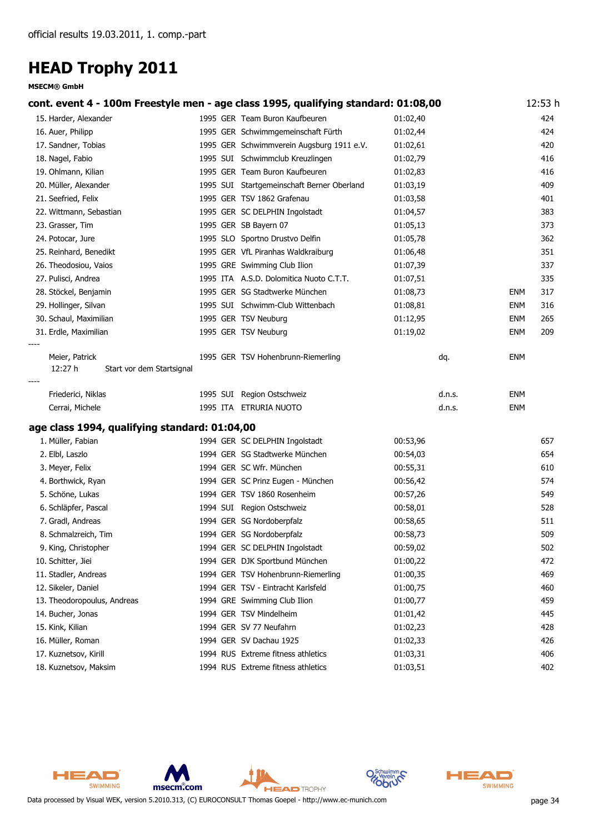#### **MSECM® GmbH**

|                                                        | cont. event 4 - 100m Freestyle men - age class 1995, qualifying standard: 01:08,00 |          | 12:53 h           |
|--------------------------------------------------------|------------------------------------------------------------------------------------|----------|-------------------|
| 15. Harder, Alexander                                  | 1995 GER Team Buron Kaufbeuren                                                     | 01:02,40 | 424               |
| 16. Auer, Philipp                                      | 1995 GER Schwimmgemeinschaft Fürth                                                 | 01:02,44 | 424               |
| 17. Sandner, Tobias                                    | 1995 GER Schwimmverein Augsburg 1911 e.V.                                          | 01:02,61 | 420               |
| 18. Nagel, Fabio                                       | 1995 SUI Schwimmclub Kreuzlingen                                                   | 01:02,79 | 416               |
| 19. Ohlmann, Kilian                                    | 1995 GER Team Buron Kaufbeuren                                                     | 01:02,83 | 416               |
| 20. Müller, Alexander                                  | 1995 SUI Startgemeinschaft Berner Oberland                                         | 01:03,19 | 409               |
| 21. Seefried, Felix                                    | 1995 GER TSV 1862 Grafenau                                                         | 01:03,58 | 401               |
| 22. Wittmann, Sebastian                                | 1995 GER SC DELPHIN Ingolstadt                                                     | 01:04,57 | 383               |
| 23. Grasser, Tim                                       | 1995 GER SB Bayern 07                                                              | 01:05,13 | 373               |
| 24. Potocar, Jure                                      | 1995 SLO Sportno Drustvo Delfin                                                    | 01:05,78 | 362               |
| 25. Reinhard, Benedikt                                 | 1995 GER VfL Piranhas Waldkraiburg                                                 | 01:06,48 | 351               |
| 26. Theodosiou, Vaios                                  | 1995 GRE Swimming Club Ilion                                                       | 01:07,39 | 337               |
| 27. Pulisci, Andrea                                    | 1995 ITA A.S.D. Dolomitica Nuoto C.T.T.                                            | 01:07,51 | 335               |
| 28. Stöckel, Benjamin                                  | 1995 GER SG Stadtwerke München                                                     | 01:08,73 | 317<br>ENM        |
| 29. Hollinger, Silvan                                  | 1995 SUI Schwimm-Club Wittenbach                                                   | 01:08,81 | 316<br><b>ENM</b> |
| 30. Schaul, Maximilian                                 | 1995 GER TSV Neuburg                                                               | 01:12,95 | 265<br><b>ENM</b> |
| 31. Erdle, Maximilian                                  | 1995 GER TSV Neuburg                                                               | 01:19,02 | <b>ENM</b><br>209 |
| Meier, Patrick<br>12:27 h<br>Start vor dem Startsignal | 1995 GER TSV Hohenbrunn-Riemerling                                                 | dq.      | ENM               |
| Friederici, Niklas                                     | 1995 SUI Region Ostschweiz                                                         | d.n.s.   | ENM               |
| Cerrai, Michele                                        | 1995 ITA ETRURIA NUOTO                                                             | d.n.s.   | <b>ENM</b>        |
| age class 1994, qualifying standard: 01:04,00          |                                                                                    |          |                   |
| 1. Müller, Fabian                                      | 1994 GER SC DELPHIN Ingolstadt                                                     | 00:53,96 | 657               |
| 2. Elbl, Laszlo                                        | 1994 GER SG Stadtwerke München                                                     | 00:54,03 | 654               |
| 3. Meyer, Felix                                        | 1994 GER SC Wfr. München                                                           | 00:55,31 | 610               |
| 4. Borthwick, Ryan                                     | 1994 GER SC Prinz Eugen - München                                                  | 00:56,42 | 574               |
| 5. Schöne, Lukas                                       | 1994 GER TSV 1860 Rosenheim                                                        | 00:57,26 | 549               |
| 6. Schläpfer, Pascal                                   | 1994 SUI Region Ostschweiz                                                         | 00:58,01 | 528               |
| 7. Gradl, Andreas                                      | 1994 GER SG Nordoberpfalz                                                          | 00:58,65 | 511               |
| 8. Schmalzreich, Tim                                   | 1994 GER SG Nordoberpfalz                                                          | 00:58,73 | 509               |
| 9. King, Christopher                                   | 1994 GER SC DELPHIN Ingolstadt                                                     | 00:59,02 | 502               |
| 10. Schitter, Jiei                                     | 1994 GER DJK Sportbund München                                                     | 01:00,22 | 472               |
| 11. Stadler, Andreas                                   | 1994 GER TSV Hohenbrunn-Riemerling                                                 | 01:00,35 | 469               |
| 12. Sikeler, Daniel                                    | 1994 GER TSV - Eintracht Karlsfeld                                                 | 01:00,75 | 460               |
| 13. Theodoropoulus, Andreas                            | 1994 GRE Swimming Club Ilion                                                       | 01:00,77 | 459               |
| 14. Bucher, Jonas                                      | 1994 GER TSV Mindelheim                                                            | 01:01,42 | 445               |
| 15. Kink, Kilian                                       | 1994 GER SV 77 Neufahrn                                                            | 01:02,23 | 428               |
| 16. Müller, Roman                                      | 1994 GER SV Dachau 1925                                                            | 01:02,33 | 426               |
| 17. Kuznetsov, Kirill                                  | 1994 RUS Extreme fitness athletics                                                 | 01:03,31 | 406               |
| 18. Kuznetsov, Maksim                                  | 1994 RUS Extreme fitness athletics                                                 | 01:03,51 | 402               |





Data processed by Visual WEK, version 5.2010.313, (C) EUROCONSULT Thomas Goepel - http://www.ec-munich.com page 34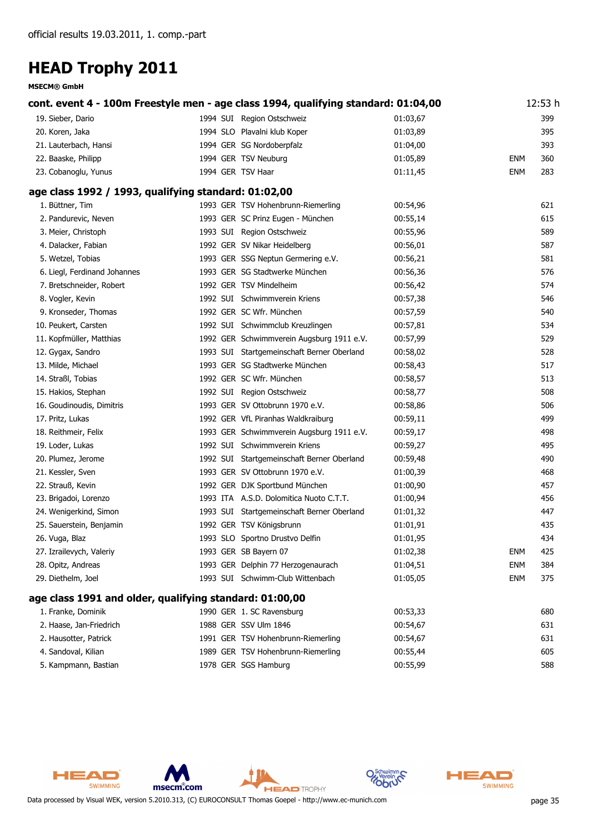|                                                         | cont. event 4 - 100m Freestyle men - age class 1994, qualifying standard: 01:04,00 |          |            | 12:53 h |
|---------------------------------------------------------|------------------------------------------------------------------------------------|----------|------------|---------|
| 19. Sieber, Dario                                       | 1994 SUI Region Ostschweiz                                                         | 01:03,67 |            | 399     |
| 20. Koren, Jaka                                         | 1994 SLO Plavalni klub Koper                                                       | 01:03,89 |            | 395     |
| 21. Lauterbach, Hansi                                   | 1994 GER SG Nordoberpfalz                                                          | 01:04,00 |            | 393     |
| 22. Baaske, Philipp                                     | 1994 GER TSV Neuburg                                                               | 01:05,89 | <b>ENM</b> | 360     |
| 23. Cobanoglu, Yunus                                    | 1994 GER TSV Haar                                                                  | 01:11,45 | ENM        | 283     |
| age class 1992 / 1993, qualifying standard: 01:02,00    |                                                                                    |          |            |         |
| 1. Büttner, Tim                                         | 1993 GER TSV Hohenbrunn-Riemerling                                                 | 00:54,96 |            | 621     |
| 2. Pandurevic, Neven                                    | 1993 GER SC Prinz Eugen - München                                                  | 00:55,14 |            | 615     |
| 3. Meier, Christoph                                     | 1993 SUI Region Ostschweiz                                                         | 00:55,96 |            | 589     |
| 4. Dalacker, Fabian                                     | 1992 GER SV Nikar Heidelberg                                                       | 00:56,01 |            | 587     |
| 5. Wetzel, Tobias                                       | 1993 GER SSG Neptun Germering e.V.                                                 | 00:56,21 |            | 581     |
| 6. Liegl, Ferdinand Johannes                            | 1993 GER SG Stadtwerke München                                                     | 00:56,36 |            | 576     |
| 7. Bretschneider, Robert                                | 1992 GER TSV Mindelheim                                                            | 00:56,42 |            | 574     |
| 8. Vogler, Kevin                                        | 1992 SUI Schwimmverein Kriens                                                      | 00:57,38 |            | 546     |
| 9. Kronseder, Thomas                                    | 1992 GER SC Wfr. München                                                           | 00:57,59 |            | 540     |
| 10. Peukert, Carsten                                    | 1992 SUI Schwimmclub Kreuzlingen                                                   | 00:57,81 |            | 534     |
| 11. Kopfmüller, Matthias                                | 1992 GER Schwimmverein Augsburg 1911 e.V.                                          | 00:57,99 |            | 529     |
| 12. Gygax, Sandro                                       | 1993 SUI Startgemeinschaft Berner Oberland                                         | 00:58,02 |            | 528     |
| 13. Milde, Michael                                      | 1993 GER SG Stadtwerke München                                                     | 00:58,43 |            | 517     |
| 14. Straßl, Tobias                                      | 1992 GER SC Wfr. München                                                           | 00:58,57 |            | 513     |
| 15. Hakios, Stephan                                     | 1992 SUI Region Ostschweiz                                                         | 00:58,77 |            | 508     |
| 16. Goudinoudis, Dimitris                               | 1993 GER SV Ottobrunn 1970 e.V.                                                    | 00:58,86 |            | 506     |
| 17. Pritz, Lukas                                        | 1992 GER VfL Piranhas Waldkraiburg                                                 | 00:59,11 |            | 499     |
| 18. Reithmeir, Felix                                    | 1993 GER Schwimmverein Augsburg 1911 e.V.                                          | 00:59,17 |            | 498     |
| 19. Loder, Lukas                                        | 1992 SUI Schwimmverein Kriens                                                      | 00:59,27 |            | 495     |
| 20. Plumez, Jerome                                      | 1992 SUI Startgemeinschaft Berner Oberland                                         | 00:59,48 |            | 490     |
| 21. Kessler, Sven                                       | 1993 GER SV Ottobrunn 1970 e.V.                                                    | 01:00,39 |            | 468     |
| 22. Strauß, Kevin                                       | 1992 GER DJK Sportbund München                                                     | 01:00,90 |            | 457     |
| 23. Brigadoi, Lorenzo                                   | 1993 ITA A.S.D. Dolomitica Nuoto C.T.T.                                            | 01:00,94 |            | 456     |
| 24. Wenigerkind, Simon                                  | 1993 SUI Startgemeinschaft Berner Oberland                                         | 01:01,32 |            | 447     |
| 25. Sauerstein, Benjamin                                | 1992 GER TSV Königsbrunn                                                           | 01:01,91 |            | 435     |
| 26. Vuga, Blaz                                          | 1993 SLO Sportno Drustvo Delfin                                                    | 01:01,95 |            | 434     |
| 27. Izrailevych, Valeriy                                | 1993 GER SB Bayern 07                                                              | 01:02,38 | <b>ENM</b> | 425     |
| 28. Opitz, Andreas                                      | 1993 GER Delphin 77 Herzogenaurach                                                 | 01:04,51 | ENM        | 384     |
| 29. Diethelm, Joel                                      | 1993 SUI Schwimm-Club Wittenbach                                                   | 01:05,05 | <b>ENM</b> | 375     |
| age class 1991 and older, qualifying standard: 01:00,00 |                                                                                    |          |            |         |
| 1. Franke, Dominik                                      | 1990 GER 1. SC Ravensburg                                                          | 00:53,33 |            | 680     |
| 2. Haase, Jan-Friedrich                                 | 1988 GER SSV Ulm 1846                                                              | 00:54,67 |            | 631     |
| 2. Hausotter, Patrick                                   | 1991 GER TSV Hohenbrunn-Riemerling                                                 | 00:54,67 |            | 631     |
| 4. Sandoval, Kilian                                     | 1989 GER TSV Hohenbrunn-Riemerling                                                 | 00:55,44 |            | 605     |
| 5. Kampmann, Bastian                                    | 1978 GER SGS Hamburg                                                               | 00:55,99 |            | 588     |





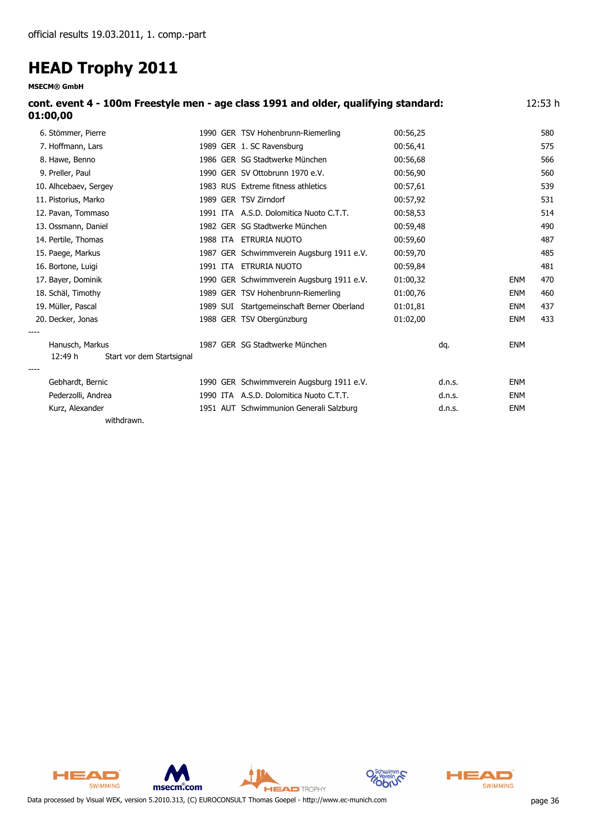**MSECM® GmbH**

| cont. event 4 - 100m Freestyle men - age class 1991 and older, qualifying standard:<br>01:00,00 | 12:53 h                            |          |     |
|-------------------------------------------------------------------------------------------------|------------------------------------|----------|-----|
| 6. Stömmer, Pierre                                                                              | 1990 GER TSV Hohenbrunn-Riemerling | 00:56.25 | 580 |
| 7. Hoffmann, Lars                                                                               | 1989 GER 1. SC Ravensburg          | 00:56.41 | 575 |
| 8. Hawe, Benno                                                                                  | 1986 GER SG Stadtwerke München     | 00:56,68 | 566 |
| 9. Preller, Paul                                                                                | 1990 GER SV Ottobrunn 1970 e.V.    | 00:56,90 | 560 |
| 10. Alhcebaev, Sergey                                                                           | 1983 RUS Extreme fitness athletics | 00:57,61 | 539 |
| 11. Pistorius, Marko                                                                            | 1989 GER TSV Zirndorf              | 00:57,92 | 531 |

12. Pavan, Tommaso 1991 ITA A.S.D. Dolomitica Nuoto C.T.T. 00:58,53 514

| 13. Ossmann, Daniel                  |          | 1982 GER SG Stadtwerke München             | 00:59,48 |        |            | 490 |
|--------------------------------------|----------|--------------------------------------------|----------|--------|------------|-----|
| 14. Pertile, Thomas                  | 1988 ITA | ETRURIA NUOTO                              | 00:59,60 |        |            | 487 |
| 15. Paege, Markus                    |          | 1987 GER Schwimmverein Augsburg 1911 e.V.  | 00:59,70 |        |            | 485 |
| 16. Bortone, Luigi                   | 1991 ITA | ETRURIA NUOTO                              | 00:59,84 |        |            | 481 |
| 17. Bayer, Dominik                   |          | 1990 GER Schwimmverein Augsburg 1911 e.V.  | 01:00,32 |        | <b>ENM</b> | 470 |
| 18. Schäl, Timothy                   |          | 1989 GER TSV Hohenbrunn-Riemerling         | 01:00,76 |        | <b>ENM</b> | 460 |
| 19. Müller, Pascal                   |          | 1989 SUI Startgemeinschaft Berner Oberland | 01:01,81 |        | ENM        | 437 |
| 20. Decker, Jonas                    |          | 1988 GER TSV Obergünzburg                  | 01:02,00 |        | <b>ENM</b> | 433 |
| ----                                 |          |                                            |          |        |            |     |
| Hanusch, Markus                      |          | 1987 GER SG Stadtwerke München             |          | dq.    | <b>ENM</b> |     |
| Start vor dem Startsignal<br>12:49 h |          |                                            |          |        |            |     |
|                                      |          |                                            |          |        |            |     |
| Gebhardt, Bernic                     |          | 1990 GER Schwimmverein Augsburg 1911 e.V.  |          | d.n.s. | <b>ENM</b> |     |
| Pederzolli, Andrea                   |          | 1990 ITA A.S.D. Dolomitica Nuoto C.T.T.    |          | d.n.s. | <b>ENM</b> |     |
| Kurz, Alexander                      |          | 1951 AUT Schwimmunion Generali Salzburg    |          | d.n.s. | <b>ENM</b> |     |
| withdrawn.                           |          |                                            |          |        |            |     |



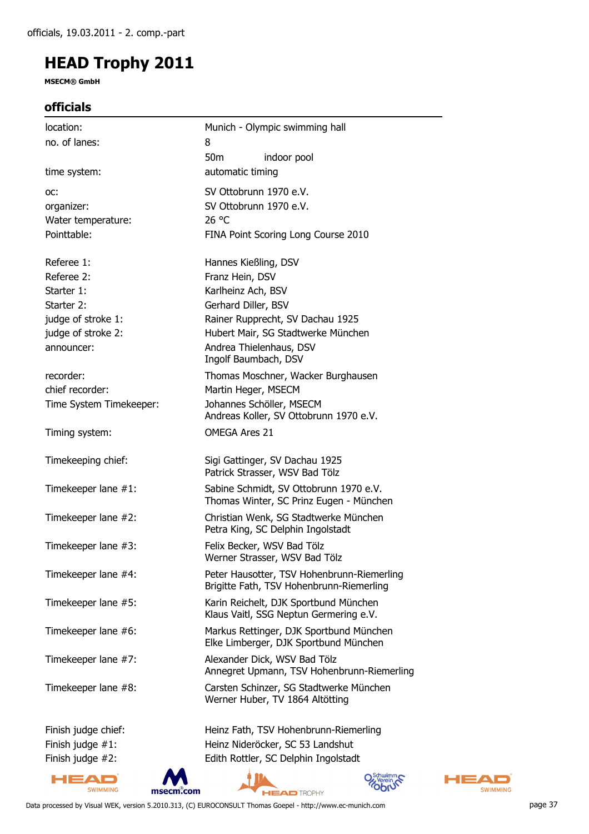**MSECM® GmbH**

### **officials**

| location:               | Munich - Olympic swimming hall                                                         |
|-------------------------|----------------------------------------------------------------------------------------|
| no. of lanes:           | 8                                                                                      |
|                         | 50 <sub>m</sub><br>indoor pool                                                         |
| time system:            | automatic timing                                                                       |
| OC:                     | SV Ottobrunn 1970 e.V.                                                                 |
| organizer:              | SV Ottobrunn 1970 e.V.                                                                 |
| Water temperature:      | 26 °C                                                                                  |
| Pointtable:             | FINA Point Scoring Long Course 2010                                                    |
| Referee 1:              | Hannes Kießling, DSV                                                                   |
| Referee 2:              | Franz Hein, DSV                                                                        |
| Starter 1:              | Karlheinz Ach, BSV                                                                     |
| Starter 2:              | Gerhard Diller, BSV                                                                    |
| judge of stroke 1:      | Rainer Rupprecht, SV Dachau 1925                                                       |
| judge of stroke 2:      | Hubert Mair, SG Stadtwerke München                                                     |
| announcer:              | Andrea Thielenhaus, DSV                                                                |
|                         | Ingolf Baumbach, DSV                                                                   |
| recorder:               | Thomas Moschner, Wacker Burghausen                                                     |
| chief recorder:         | Martin Heger, MSECM                                                                    |
| Time System Timekeeper: | Johannes Schöller, MSECM                                                               |
|                         | Andreas Koller, SV Ottobrunn 1970 e.V.                                                 |
| Timing system:          | <b>OMEGA Ares 21</b>                                                                   |
| Timekeeping chief:      | Sigi Gattinger, SV Dachau 1925                                                         |
|                         | Patrick Strasser, WSV Bad Tölz                                                         |
| Timekeeper lane #1:     | Sabine Schmidt, SV Ottobrunn 1970 e.V.<br>Thomas Winter, SC Prinz Eugen - München      |
| Timekeeper lane #2:     | Christian Wenk, SG Stadtwerke München<br>Petra King, SC Delphin Ingolstadt             |
| Timekeeper lane #3:     | Felix Becker, WSV Bad Tölz                                                             |
|                         | Werner Strasser, WSV Bad Tölz                                                          |
| Timekeeper lane #4:     | Peter Hausotter, TSV Hohenbrunn-Riemerling<br>Brigitte Fath, TSV Hohenbrunn-Riemerling |
| Timekeeper lane #5:     | Karin Reichelt, DJK Sportbund München<br>Klaus Vaitl, SSG Neptun Germering e.V.        |
| Timekeeper lane #6:     | Markus Rettinger, DJK Sportbund München<br>Elke Limberger, DJK Sportbund München       |
| Timekeeper lane #7:     | Alexander Dick, WSV Bad Tölz<br>Annegret Upmann, TSV Hohenbrunn-Riemerling             |
| Timekeeper lane #8:     | Carsten Schinzer, SG Stadtwerke München<br>Werner Huber, TV 1864 Altötting             |
| Finish judge chief:     | Heinz Fath, TSV Hohenbrunn-Riemerling                                                  |
| Finish judge #1:        | Heinz Nideröcker, SC 53 Landshut                                                       |
| Finish judge #2:        | Edith Rottler, SC Delphin Ingolstadt                                                   |

msecm.com **HEAD** TROPHY

HEAD

SWIMMING



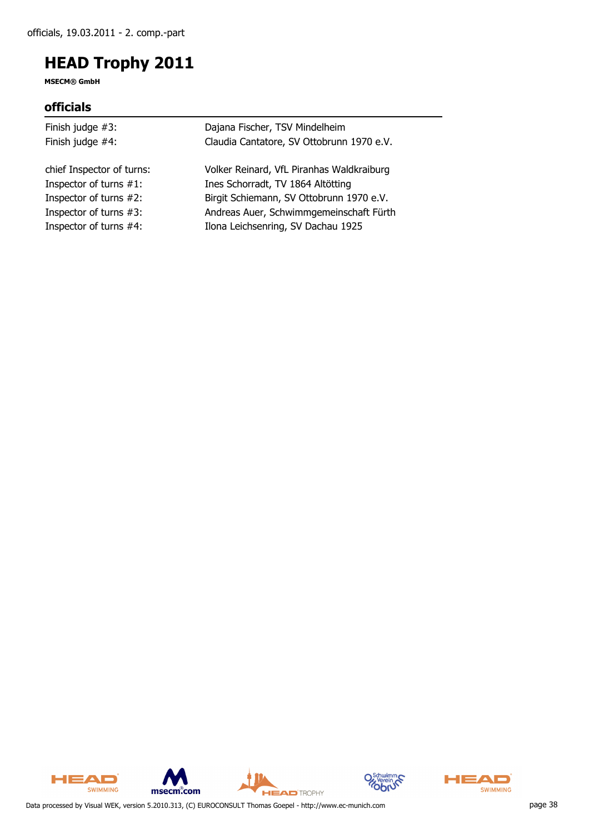**MSECM® GmbH**

### **officials**

| Finish judge $#3$ :       | Dajana Fischer, TSV Mindelheim            |
|---------------------------|-------------------------------------------|
| Finish judge #4:          | Claudia Cantatore, SV Ottobrunn 1970 e.V. |
| chief Inspector of turns: | Volker Reinard, VfL Piranhas Waldkraiburg |
| Inspector of turns #1:    | Ines Schorradt, TV 1864 Altötting         |
| Inspector of turns #2:    | Birgit Schiemann, SV Ottobrunn 1970 e.V.  |
| Inspector of turns #3:    | Andreas Auer, Schwimmgemeinschaft Fürth   |
| Inspector of turns #4:    | Ilona Leichsenring, SV Dachau 1925        |
|                           |                                           |









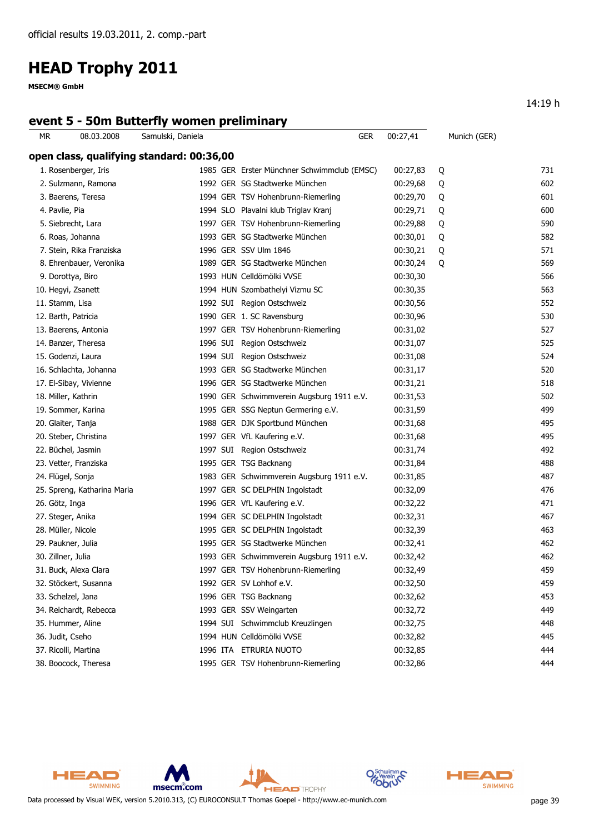**MSECM® GmbH**

### **event 5 - 50m Butterfly women preliminary**

| ΜR                 | 08.03.2008                  | Samulski, Daniela                         | <b>GER</b>                                  | 00:27,41 | Munich (GER) |     |
|--------------------|-----------------------------|-------------------------------------------|---------------------------------------------|----------|--------------|-----|
|                    |                             | open class, qualifying standard: 00:36,00 |                                             |          |              |     |
|                    | 1. Rosenberger, Iris        |                                           | 1985 GER Erster Münchner Schwimmclub (EMSC) | 00:27,83 | Q            | 731 |
|                    | 2. Sulzmann, Ramona         |                                           | 1992 GER SG Stadtwerke München              | 00:29,68 | Q            | 602 |
|                    | 3. Baerens, Teresa          |                                           | 1994 GER TSV Hohenbrunn-Riemerling          | 00:29,70 | Q            | 601 |
| 4. Pavlie, Pia     |                             |                                           | 1994 SLO Plavalni klub Triglav Kranj        | 00:29,71 | Q            | 600 |
|                    | 5. Siebrecht, Lara          |                                           | 1997 GER TSV Hohenbrunn-Riemerling          | 00:29,88 | Q            | 590 |
|                    | 6. Roas, Johanna            |                                           | 1993 GER SG Stadtwerke München              | 00:30,01 | Q            | 582 |
|                    | 7. Stein, Rika Franziska    |                                           | 1996 GER SSV Ulm 1846                       | 00:30,21 | Q            | 571 |
|                    | 8. Ehrenbauer, Veronika     |                                           | 1989 GER SG Stadtwerke München              | 00:30,24 | Q            | 569 |
|                    | 9. Dorottya, Biro           |                                           | 1993 HUN Celldömölki VVSE                   | 00:30,30 |              | 566 |
|                    | 10. Hegyi, Zsanett          |                                           | 1994 HUN Szombathelyi Vizmu SC              | 00:30,35 |              | 563 |
| 11. Stamm, Lisa    |                             |                                           | 1992 SUI Region Ostschweiz                  | 00:30,56 |              | 552 |
|                    | 12. Barth, Patricia         |                                           | 1990 GER 1. SC Ravensburg                   | 00:30,96 |              | 530 |
|                    | 13. Baerens, Antonia        |                                           | 1997 GER TSV Hohenbrunn-Riemerling          | 00:31,02 |              | 527 |
|                    | 14. Banzer, Theresa         |                                           | 1996 SUI Region Ostschweiz                  | 00:31,07 |              | 525 |
|                    | 15. Godenzi, Laura          |                                           | 1994 SUI Region Ostschweiz                  | 00:31,08 |              | 524 |
|                    | 16. Schlachta, Johanna      |                                           | 1993 GER SG Stadtwerke München              | 00:31,17 |              | 520 |
|                    | 17. El-Sibay, Vivienne      |                                           | 1996 GER SG Stadtwerke München              | 00:31,21 |              | 518 |
|                    | 18. Miller, Kathrin         |                                           | 1990 GER Schwimmverein Augsburg 1911 e.V.   | 00:31,53 |              | 502 |
|                    | 19. Sommer, Karina          |                                           | 1995 GER SSG Neptun Germering e.V.          | 00:31,59 |              | 499 |
|                    | 20. Glaiter, Tanja          |                                           | 1988 GER DJK Sportbund München              | 00:31,68 |              | 495 |
|                    | 20. Steber, Christina       |                                           | 1997 GER VfL Kaufering e.V.                 | 00:31,68 |              | 495 |
|                    | 22. Büchel, Jasmin          |                                           | 1997 SUI Region Ostschweiz                  | 00:31,74 |              | 492 |
|                    | 23. Vetter, Franziska       |                                           | 1995 GER TSG Backnang                       | 00:31,84 |              | 488 |
|                    | 24. Flügel, Sonja           |                                           | 1983 GER Schwimmverein Augsburg 1911 e.V.   | 00:31,85 |              | 487 |
|                    | 25. Spreng, Katharina Maria |                                           | 1997 GER SC DELPHIN Ingolstadt              | 00:32,09 |              | 476 |
| 26. Götz, Inga     |                             |                                           | 1996 GER VfL Kaufering e.V.                 | 00:32,22 |              | 471 |
|                    | 27. Steger, Anika           |                                           | 1994 GER SC DELPHIN Ingolstadt              | 00:32,31 |              | 467 |
|                    | 28. Müller, Nicole          |                                           | 1995 GER SC DELPHIN Ingolstadt              | 00:32,39 |              | 463 |
|                    | 29. Paukner, Julia          |                                           | 1995 GER SG Stadtwerke München              | 00:32,41 |              | 462 |
| 30. Zillner, Julia |                             |                                           | 1993 GER Schwimmverein Augsburg 1911 e.V.   | 00:32,42 |              | 462 |
|                    | 31. Buck, Alexa Clara       |                                           | 1997 GER TSV Hohenbrunn-Riemerling          | 00:32,49 |              | 459 |
|                    | 32. Stöckert, Susanna       |                                           | 1992 GER SV Lohhof e.V.                     | 00:32,50 |              | 459 |
|                    | 33. Schelzel, Jana          |                                           | 1996 GER TSG Backnang                       | 00:32,62 |              | 453 |
|                    | 34. Reichardt, Rebecca      |                                           | 1993 GER SSV Weingarten                     | 00:32,72 |              | 449 |
|                    | 35. Hummer, Aline           |                                           | 1994 SUI Schwimmclub Kreuzlingen            | 00:32,75 |              | 448 |
| 36. Judit, Cseho   |                             |                                           | 1994 HUN Celldömölki VVSE                   | 00:32,82 |              | 445 |
|                    | 37. Ricolli, Martina        |                                           | 1996 ITA ETRURIA NUOTO                      | 00:32,85 |              | 444 |
|                    | 38. Boocock, Theresa        |                                           | 1995 GER TSV Hohenbrunn-Riemerling          | 00:32,86 |              | 444 |



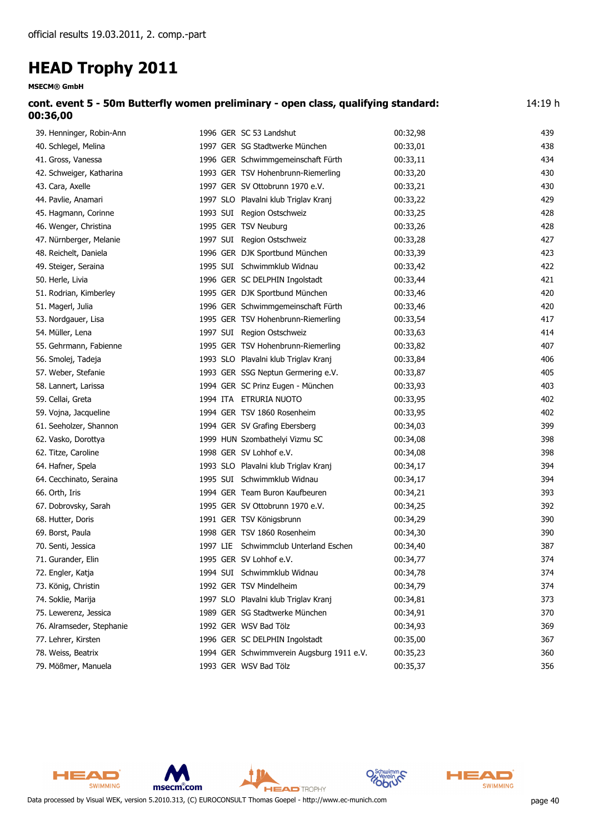| cont. event 5 - 50m Butterfly women preliminary - open class, qualifying standard: | 14:19 h |
|------------------------------------------------------------------------------------|---------|
| 00:36,00                                                                           |         |

| 39. Henninger, Robin-Ann  | 1996 GER SC 53 Landshut                   | 00:32,98 | 439 |
|---------------------------|-------------------------------------------|----------|-----|
| 40. Schlegel, Melina      | 1997 GER SG Stadtwerke München            | 00:33,01 | 438 |
| 41. Gross, Vanessa        | 1996 GER Schwimmgemeinschaft Fürth        | 00:33,11 | 434 |
| 42. Schweiger, Katharina  | 1993 GER TSV Hohenbrunn-Riemerling        | 00:33,20 | 430 |
| 43. Cara, Axelle          | 1997 GER SV Ottobrunn 1970 e.V.           | 00:33,21 | 430 |
| 44. Pavlie, Anamari       | 1997 SLO Plavalni klub Triglav Kranj      | 00:33,22 | 429 |
| 45. Hagmann, Corinne      | 1993 SUI Region Ostschweiz                | 00:33,25 | 428 |
| 46. Wenger, Christina     | 1995 GER TSV Neuburg                      | 00:33,26 | 428 |
| 47. Nürnberger, Melanie   | 1997 SUI Region Ostschweiz                | 00:33,28 | 427 |
| 48. Reichelt, Daniela     | 1996 GER DJK Sportbund München            | 00:33,39 | 423 |
| 49. Steiger, Seraina      | 1995 SUI Schwimmklub Widnau               | 00:33,42 | 422 |
| 50. Herle, Livia          | 1996 GER SC DELPHIN Ingolstadt            | 00:33,44 | 421 |
| 51. Rodrian, Kimberley    | 1995 GER DJK Sportbund München            | 00:33,46 | 420 |
| 51. Magerl, Julia         | 1996 GER Schwimmgemeinschaft Fürth        | 00:33,46 | 420 |
| 53. Nordgauer, Lisa       | 1995 GER TSV Hohenbrunn-Riemerling        | 00:33,54 | 417 |
| 54. Müller, Lena          | 1997 SUI Region Ostschweiz                | 00:33,63 | 414 |
| 55. Gehrmann, Fabienne    | 1995 GER TSV Hohenbrunn-Riemerling        | 00:33,82 | 407 |
| 56. Smolej, Tadeja        | 1993 SLO Plavalni klub Triglav Kranj      | 00:33,84 | 406 |
| 57. Weber, Stefanie       | 1993 GER SSG Neptun Germering e.V.        | 00:33,87 | 405 |
| 58. Lannert, Larissa      | 1994 GER SC Prinz Eugen - München         | 00:33,93 | 403 |
| 59. Cellai, Greta         | 1994 ITA ETRURIA NUOTO                    | 00:33,95 | 402 |
| 59. Vojna, Jacqueline     | 1994 GER TSV 1860 Rosenheim               | 00:33,95 | 402 |
| 61. Seeholzer, Shannon    | 1994 GER SV Grafing Ebersberg             | 00:34,03 | 399 |
| 62. Vasko, Dorottya       | 1999 HUN Szombathelyi Vizmu SC            | 00:34,08 | 398 |
| 62. Titze, Caroline       | 1998 GER SV Lohhof e.V.                   | 00:34,08 | 398 |
| 64. Hafner, Spela         | 1993 SLO Plavalni klub Triglav Kranj      | 00:34,17 | 394 |
| 64. Cecchinato, Seraina   | 1995 SUI Schwimmklub Widnau               | 00:34,17 | 394 |
| 66. Orth, Iris            | 1994 GER Team Buron Kaufbeuren            | 00:34,21 | 393 |
| 67. Dobrovsky, Sarah      | 1995 GER SV Ottobrunn 1970 e.V.           | 00:34,25 | 392 |
| 68. Hutter, Doris         | 1991 GER TSV Königsbrunn                  | 00:34,29 | 390 |
| 69. Borst, Paula          | 1998 GER TSV 1860 Rosenheim               | 00:34,30 | 390 |
| 70. Senti, Jessica        | 1997 LIE Schwimmclub Unterland Eschen     | 00:34,40 | 387 |
| 71. Gurander, Elin        | 1995 GER SV Lohhof e.V.                   | 00:34,77 | 374 |
| 72. Engler, Katja         | 1994 SUI Schwimmklub Widnau               | 00:34,78 | 374 |
| 73. König, Christin       | 1992 GER TSV Mindelheim                   | 00:34,79 | 374 |
| 74. Soklie, Marija        | 1997 SLO Plavalni klub Triglav Kranj      | 00:34,81 | 373 |
| 75. Lewerenz, Jessica     | 1989 GER SG Stadtwerke München            | 00:34,91 | 370 |
| 76. Alramseder, Stephanie | 1992 GER WSV Bad Tölz                     | 00:34,93 | 369 |
| 77. Lehrer, Kirsten       | 1996 GER SC DELPHIN Ingolstadt            | 00:35,00 | 367 |
| 78. Weiss, Beatrix        | 1994 GER Schwimmverein Augsburg 1911 e.V. | 00:35,23 | 360 |
| 79. Mößmer, Manuela       | 1993 GER WSV Bad Tölz                     | 00:35,37 | 356 |



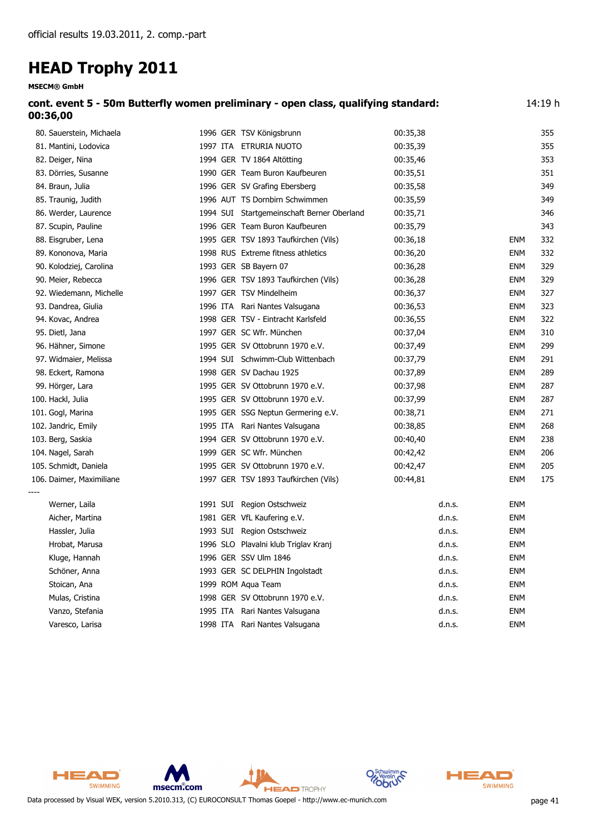| 14:19 h<br>cont. event 5 - 50m Butterfly women preliminary - open class, qualifying standard:<br>00:35,38<br>355<br>1996 GER TSV Königsbrunn<br>80. Sauerstein, Michaela<br>1997 ITA ETRURIA NUOTO<br>00:35,39<br>355<br>81. Mantini, Lodovica<br>1994 GER TV 1864 Altötting<br>353<br>82. Deiger, Nina<br>00:35,46<br>1990 GER Team Buron Kaufbeuren<br>351<br>83. Dörries, Susanne<br>00:35,51<br>1996 GER SV Grafing Ebersberg<br>349<br>84. Braun, Julia<br>00:35,58<br>1996 AUT TS Dornbirn Schwimmen<br>00:35,59<br>349<br>85. Traunig, Judith<br>1994 SUI Startgemeinschaft Berner Oberland<br>00:35,71<br>346<br>86. Werder, Laurence<br>1996 GER Team Buron Kaufbeuren<br>343<br>87. Scupin, Pauline<br>00:35,79<br>332<br>88. Eisgruber, Lena<br>1995 GER TSV 1893 Taufkirchen (Vils)<br>00:36,18<br>ENM<br>1998 RUS Extreme fitness athletics<br>89. Kononova, Maria<br>00:36,20<br>ENM<br>332<br>1993 GER SB Bayern 07<br>329<br>90. Kolodziej, Carolina<br>00:36,28<br>ENM<br>329<br>90. Meier, Rebecca<br>1996 GER TSV 1893 Taufkirchen (Vils)<br>00:36,28<br>ENM<br>1997 GER TSV Mindelheim<br>92. Wiedemann, Michelle<br>00:36,37<br><b>ENM</b><br>327<br>93. Dandrea, Giulia<br>1996 ITA Rari Nantes Valsugana<br>00:36,53<br>ENM<br>323<br>1998 GER TSV - Eintracht Karlsfeld<br>94. Kovac, Andrea<br>00:36,55<br>ENM<br>322<br>1997 GER SC Wfr. München<br>95. Dietl, Jana<br>00:37,04<br>ENM<br>310<br>1995 GER SV Ottobrunn 1970 e.V.<br>00:37,49<br>299<br>96. Hähner, Simone<br>ENM<br>97. Widmaier, Melissa<br>1994 SUI Schwimm-Club Wittenbach<br>00:37,79<br>ENM<br>291<br>1998 GER SV Dachau 1925<br>00:37,89<br>98. Eckert, Ramona<br>ENM<br>289<br>1995 GER SV Ottobrunn 1970 e.V.<br>99. Hörger, Lara<br>00:37,98<br>ENM<br>287<br>1995 GER SV Ottobrunn 1970 e.V.<br>100. Hackl, Julia<br>00:37,99<br>ENM<br>287<br>101. Gogl, Marina<br>1995 GER SSG Neptun Germering e.V.<br>00:38,71<br><b>ENM</b><br>271<br>102. Jandric, Emily<br>1995 ITA Rari Nantes Valsugana<br>00:38,85<br>ENM<br>268<br>1994 GER SV Ottobrunn 1970 e.V.<br>00:40,40<br><b>ENM</b><br>238<br>103. Berg, Saskia<br>1999 GER SC Wfr. München<br>206<br>104. Nagel, Sarah<br>00:42,42<br>ENM<br>105. Schmidt, Daniela<br>1995 GER SV Ottobrunn 1970 e.V.<br>00:42,47<br><b>ENM</b><br>205<br>175<br>106. Daimer, Maximiliane<br>1997 GER TSV 1893 Taufkirchen (Vils)<br>00:44,81<br><b>ENM</b><br>Werner, Laila<br>1991 SUI Region Ostschweiz<br>ENM<br>d.n.s.<br>1981 GER VfL Kaufering e.V.<br><b>ENM</b><br>Aicher, Martina<br>d.n.s.<br><b>ENM</b><br>Hassler, Julia<br>1993 SUI Region Ostschweiz<br>d.n.s.<br>1996 SLO Plavalni klub Triglav Kranj<br><b>ENM</b><br>Hrobat, Marusa<br>d.n.s.<br>1996 GER SSV Ulm 1846<br>Kluge, Hannah<br>d.n.s.<br>ENM<br>Schöner, Anna<br>1993 GER SC DELPHIN Ingolstadt<br>d.n.s.<br>ENM<br>1999 ROM Aqua Team<br>ENM<br>Stoican, Ana<br>d.n.s.<br>1998 GER SV Ottobrunn 1970 e.V.<br>Mulas, Cristina<br>d.n.s.<br>ENM<br>1995 ITA Rari Nantes Valsugana<br>Vanzo, Stefania<br>ENM<br>d.n.s. | <b>MSECM® GmbH</b> |  |  |  |
|---------------------------------------------------------------------------------------------------------------------------------------------------------------------------------------------------------------------------------------------------------------------------------------------------------------------------------------------------------------------------------------------------------------------------------------------------------------------------------------------------------------------------------------------------------------------------------------------------------------------------------------------------------------------------------------------------------------------------------------------------------------------------------------------------------------------------------------------------------------------------------------------------------------------------------------------------------------------------------------------------------------------------------------------------------------------------------------------------------------------------------------------------------------------------------------------------------------------------------------------------------------------------------------------------------------------------------------------------------------------------------------------------------------------------------------------------------------------------------------------------------------------------------------------------------------------------------------------------------------------------------------------------------------------------------------------------------------------------------------------------------------------------------------------------------------------------------------------------------------------------------------------------------------------------------------------------------------------------------------------------------------------------------------------------------------------------------------------------------------------------------------------------------------------------------------------------------------------------------------------------------------------------------------------------------------------------------------------------------------------------------------------------------------------------------------------------------------------------------------------------------------------------------------------------------------------------------------------------------------------------------------------------------------------------------------------------------------------------------------------------------------------------------------------------------------------------------------------------------------------------------------------------------------------------------------------------------------------------------------------------------------------------------------------|--------------------|--|--|--|
|                                                                                                                                                                                                                                                                                                                                                                                                                                                                                                                                                                                                                                                                                                                                                                                                                                                                                                                                                                                                                                                                                                                                                                                                                                                                                                                                                                                                                                                                                                                                                                                                                                                                                                                                                                                                                                                                                                                                                                                                                                                                                                                                                                                                                                                                                                                                                                                                                                                                                                                                                                                                                                                                                                                                                                                                                                                                                                                                                                                                                                             | 00:36,00           |  |  |  |
|                                                                                                                                                                                                                                                                                                                                                                                                                                                                                                                                                                                                                                                                                                                                                                                                                                                                                                                                                                                                                                                                                                                                                                                                                                                                                                                                                                                                                                                                                                                                                                                                                                                                                                                                                                                                                                                                                                                                                                                                                                                                                                                                                                                                                                                                                                                                                                                                                                                                                                                                                                                                                                                                                                                                                                                                                                                                                                                                                                                                                                             |                    |  |  |  |
|                                                                                                                                                                                                                                                                                                                                                                                                                                                                                                                                                                                                                                                                                                                                                                                                                                                                                                                                                                                                                                                                                                                                                                                                                                                                                                                                                                                                                                                                                                                                                                                                                                                                                                                                                                                                                                                                                                                                                                                                                                                                                                                                                                                                                                                                                                                                                                                                                                                                                                                                                                                                                                                                                                                                                                                                                                                                                                                                                                                                                                             |                    |  |  |  |
|                                                                                                                                                                                                                                                                                                                                                                                                                                                                                                                                                                                                                                                                                                                                                                                                                                                                                                                                                                                                                                                                                                                                                                                                                                                                                                                                                                                                                                                                                                                                                                                                                                                                                                                                                                                                                                                                                                                                                                                                                                                                                                                                                                                                                                                                                                                                                                                                                                                                                                                                                                                                                                                                                                                                                                                                                                                                                                                                                                                                                                             |                    |  |  |  |
|                                                                                                                                                                                                                                                                                                                                                                                                                                                                                                                                                                                                                                                                                                                                                                                                                                                                                                                                                                                                                                                                                                                                                                                                                                                                                                                                                                                                                                                                                                                                                                                                                                                                                                                                                                                                                                                                                                                                                                                                                                                                                                                                                                                                                                                                                                                                                                                                                                                                                                                                                                                                                                                                                                                                                                                                                                                                                                                                                                                                                                             |                    |  |  |  |
|                                                                                                                                                                                                                                                                                                                                                                                                                                                                                                                                                                                                                                                                                                                                                                                                                                                                                                                                                                                                                                                                                                                                                                                                                                                                                                                                                                                                                                                                                                                                                                                                                                                                                                                                                                                                                                                                                                                                                                                                                                                                                                                                                                                                                                                                                                                                                                                                                                                                                                                                                                                                                                                                                                                                                                                                                                                                                                                                                                                                                                             |                    |  |  |  |
|                                                                                                                                                                                                                                                                                                                                                                                                                                                                                                                                                                                                                                                                                                                                                                                                                                                                                                                                                                                                                                                                                                                                                                                                                                                                                                                                                                                                                                                                                                                                                                                                                                                                                                                                                                                                                                                                                                                                                                                                                                                                                                                                                                                                                                                                                                                                                                                                                                                                                                                                                                                                                                                                                                                                                                                                                                                                                                                                                                                                                                             |                    |  |  |  |
|                                                                                                                                                                                                                                                                                                                                                                                                                                                                                                                                                                                                                                                                                                                                                                                                                                                                                                                                                                                                                                                                                                                                                                                                                                                                                                                                                                                                                                                                                                                                                                                                                                                                                                                                                                                                                                                                                                                                                                                                                                                                                                                                                                                                                                                                                                                                                                                                                                                                                                                                                                                                                                                                                                                                                                                                                                                                                                                                                                                                                                             |                    |  |  |  |
|                                                                                                                                                                                                                                                                                                                                                                                                                                                                                                                                                                                                                                                                                                                                                                                                                                                                                                                                                                                                                                                                                                                                                                                                                                                                                                                                                                                                                                                                                                                                                                                                                                                                                                                                                                                                                                                                                                                                                                                                                                                                                                                                                                                                                                                                                                                                                                                                                                                                                                                                                                                                                                                                                                                                                                                                                                                                                                                                                                                                                                             |                    |  |  |  |
|                                                                                                                                                                                                                                                                                                                                                                                                                                                                                                                                                                                                                                                                                                                                                                                                                                                                                                                                                                                                                                                                                                                                                                                                                                                                                                                                                                                                                                                                                                                                                                                                                                                                                                                                                                                                                                                                                                                                                                                                                                                                                                                                                                                                                                                                                                                                                                                                                                                                                                                                                                                                                                                                                                                                                                                                                                                                                                                                                                                                                                             |                    |  |  |  |
|                                                                                                                                                                                                                                                                                                                                                                                                                                                                                                                                                                                                                                                                                                                                                                                                                                                                                                                                                                                                                                                                                                                                                                                                                                                                                                                                                                                                                                                                                                                                                                                                                                                                                                                                                                                                                                                                                                                                                                                                                                                                                                                                                                                                                                                                                                                                                                                                                                                                                                                                                                                                                                                                                                                                                                                                                                                                                                                                                                                                                                             |                    |  |  |  |
|                                                                                                                                                                                                                                                                                                                                                                                                                                                                                                                                                                                                                                                                                                                                                                                                                                                                                                                                                                                                                                                                                                                                                                                                                                                                                                                                                                                                                                                                                                                                                                                                                                                                                                                                                                                                                                                                                                                                                                                                                                                                                                                                                                                                                                                                                                                                                                                                                                                                                                                                                                                                                                                                                                                                                                                                                                                                                                                                                                                                                                             |                    |  |  |  |
|                                                                                                                                                                                                                                                                                                                                                                                                                                                                                                                                                                                                                                                                                                                                                                                                                                                                                                                                                                                                                                                                                                                                                                                                                                                                                                                                                                                                                                                                                                                                                                                                                                                                                                                                                                                                                                                                                                                                                                                                                                                                                                                                                                                                                                                                                                                                                                                                                                                                                                                                                                                                                                                                                                                                                                                                                                                                                                                                                                                                                                             |                    |  |  |  |
|                                                                                                                                                                                                                                                                                                                                                                                                                                                                                                                                                                                                                                                                                                                                                                                                                                                                                                                                                                                                                                                                                                                                                                                                                                                                                                                                                                                                                                                                                                                                                                                                                                                                                                                                                                                                                                                                                                                                                                                                                                                                                                                                                                                                                                                                                                                                                                                                                                                                                                                                                                                                                                                                                                                                                                                                                                                                                                                                                                                                                                             |                    |  |  |  |
|                                                                                                                                                                                                                                                                                                                                                                                                                                                                                                                                                                                                                                                                                                                                                                                                                                                                                                                                                                                                                                                                                                                                                                                                                                                                                                                                                                                                                                                                                                                                                                                                                                                                                                                                                                                                                                                                                                                                                                                                                                                                                                                                                                                                                                                                                                                                                                                                                                                                                                                                                                                                                                                                                                                                                                                                                                                                                                                                                                                                                                             |                    |  |  |  |
|                                                                                                                                                                                                                                                                                                                                                                                                                                                                                                                                                                                                                                                                                                                                                                                                                                                                                                                                                                                                                                                                                                                                                                                                                                                                                                                                                                                                                                                                                                                                                                                                                                                                                                                                                                                                                                                                                                                                                                                                                                                                                                                                                                                                                                                                                                                                                                                                                                                                                                                                                                                                                                                                                                                                                                                                                                                                                                                                                                                                                                             |                    |  |  |  |
|                                                                                                                                                                                                                                                                                                                                                                                                                                                                                                                                                                                                                                                                                                                                                                                                                                                                                                                                                                                                                                                                                                                                                                                                                                                                                                                                                                                                                                                                                                                                                                                                                                                                                                                                                                                                                                                                                                                                                                                                                                                                                                                                                                                                                                                                                                                                                                                                                                                                                                                                                                                                                                                                                                                                                                                                                                                                                                                                                                                                                                             |                    |  |  |  |
|                                                                                                                                                                                                                                                                                                                                                                                                                                                                                                                                                                                                                                                                                                                                                                                                                                                                                                                                                                                                                                                                                                                                                                                                                                                                                                                                                                                                                                                                                                                                                                                                                                                                                                                                                                                                                                                                                                                                                                                                                                                                                                                                                                                                                                                                                                                                                                                                                                                                                                                                                                                                                                                                                                                                                                                                                                                                                                                                                                                                                                             |                    |  |  |  |
|                                                                                                                                                                                                                                                                                                                                                                                                                                                                                                                                                                                                                                                                                                                                                                                                                                                                                                                                                                                                                                                                                                                                                                                                                                                                                                                                                                                                                                                                                                                                                                                                                                                                                                                                                                                                                                                                                                                                                                                                                                                                                                                                                                                                                                                                                                                                                                                                                                                                                                                                                                                                                                                                                                                                                                                                                                                                                                                                                                                                                                             |                    |  |  |  |
|                                                                                                                                                                                                                                                                                                                                                                                                                                                                                                                                                                                                                                                                                                                                                                                                                                                                                                                                                                                                                                                                                                                                                                                                                                                                                                                                                                                                                                                                                                                                                                                                                                                                                                                                                                                                                                                                                                                                                                                                                                                                                                                                                                                                                                                                                                                                                                                                                                                                                                                                                                                                                                                                                                                                                                                                                                                                                                                                                                                                                                             |                    |  |  |  |
|                                                                                                                                                                                                                                                                                                                                                                                                                                                                                                                                                                                                                                                                                                                                                                                                                                                                                                                                                                                                                                                                                                                                                                                                                                                                                                                                                                                                                                                                                                                                                                                                                                                                                                                                                                                                                                                                                                                                                                                                                                                                                                                                                                                                                                                                                                                                                                                                                                                                                                                                                                                                                                                                                                                                                                                                                                                                                                                                                                                                                                             |                    |  |  |  |
|                                                                                                                                                                                                                                                                                                                                                                                                                                                                                                                                                                                                                                                                                                                                                                                                                                                                                                                                                                                                                                                                                                                                                                                                                                                                                                                                                                                                                                                                                                                                                                                                                                                                                                                                                                                                                                                                                                                                                                                                                                                                                                                                                                                                                                                                                                                                                                                                                                                                                                                                                                                                                                                                                                                                                                                                                                                                                                                                                                                                                                             |                    |  |  |  |
|                                                                                                                                                                                                                                                                                                                                                                                                                                                                                                                                                                                                                                                                                                                                                                                                                                                                                                                                                                                                                                                                                                                                                                                                                                                                                                                                                                                                                                                                                                                                                                                                                                                                                                                                                                                                                                                                                                                                                                                                                                                                                                                                                                                                                                                                                                                                                                                                                                                                                                                                                                                                                                                                                                                                                                                                                                                                                                                                                                                                                                             |                    |  |  |  |
|                                                                                                                                                                                                                                                                                                                                                                                                                                                                                                                                                                                                                                                                                                                                                                                                                                                                                                                                                                                                                                                                                                                                                                                                                                                                                                                                                                                                                                                                                                                                                                                                                                                                                                                                                                                                                                                                                                                                                                                                                                                                                                                                                                                                                                                                                                                                                                                                                                                                                                                                                                                                                                                                                                                                                                                                                                                                                                                                                                                                                                             |                    |  |  |  |
|                                                                                                                                                                                                                                                                                                                                                                                                                                                                                                                                                                                                                                                                                                                                                                                                                                                                                                                                                                                                                                                                                                                                                                                                                                                                                                                                                                                                                                                                                                                                                                                                                                                                                                                                                                                                                                                                                                                                                                                                                                                                                                                                                                                                                                                                                                                                                                                                                                                                                                                                                                                                                                                                                                                                                                                                                                                                                                                                                                                                                                             |                    |  |  |  |
|                                                                                                                                                                                                                                                                                                                                                                                                                                                                                                                                                                                                                                                                                                                                                                                                                                                                                                                                                                                                                                                                                                                                                                                                                                                                                                                                                                                                                                                                                                                                                                                                                                                                                                                                                                                                                                                                                                                                                                                                                                                                                                                                                                                                                                                                                                                                                                                                                                                                                                                                                                                                                                                                                                                                                                                                                                                                                                                                                                                                                                             |                    |  |  |  |
|                                                                                                                                                                                                                                                                                                                                                                                                                                                                                                                                                                                                                                                                                                                                                                                                                                                                                                                                                                                                                                                                                                                                                                                                                                                                                                                                                                                                                                                                                                                                                                                                                                                                                                                                                                                                                                                                                                                                                                                                                                                                                                                                                                                                                                                                                                                                                                                                                                                                                                                                                                                                                                                                                                                                                                                                                                                                                                                                                                                                                                             |                    |  |  |  |
|                                                                                                                                                                                                                                                                                                                                                                                                                                                                                                                                                                                                                                                                                                                                                                                                                                                                                                                                                                                                                                                                                                                                                                                                                                                                                                                                                                                                                                                                                                                                                                                                                                                                                                                                                                                                                                                                                                                                                                                                                                                                                                                                                                                                                                                                                                                                                                                                                                                                                                                                                                                                                                                                                                                                                                                                                                                                                                                                                                                                                                             |                    |  |  |  |
|                                                                                                                                                                                                                                                                                                                                                                                                                                                                                                                                                                                                                                                                                                                                                                                                                                                                                                                                                                                                                                                                                                                                                                                                                                                                                                                                                                                                                                                                                                                                                                                                                                                                                                                                                                                                                                                                                                                                                                                                                                                                                                                                                                                                                                                                                                                                                                                                                                                                                                                                                                                                                                                                                                                                                                                                                                                                                                                                                                                                                                             |                    |  |  |  |
|                                                                                                                                                                                                                                                                                                                                                                                                                                                                                                                                                                                                                                                                                                                                                                                                                                                                                                                                                                                                                                                                                                                                                                                                                                                                                                                                                                                                                                                                                                                                                                                                                                                                                                                                                                                                                                                                                                                                                                                                                                                                                                                                                                                                                                                                                                                                                                                                                                                                                                                                                                                                                                                                                                                                                                                                                                                                                                                                                                                                                                             |                    |  |  |  |
|                                                                                                                                                                                                                                                                                                                                                                                                                                                                                                                                                                                                                                                                                                                                                                                                                                                                                                                                                                                                                                                                                                                                                                                                                                                                                                                                                                                                                                                                                                                                                                                                                                                                                                                                                                                                                                                                                                                                                                                                                                                                                                                                                                                                                                                                                                                                                                                                                                                                                                                                                                                                                                                                                                                                                                                                                                                                                                                                                                                                                                             |                    |  |  |  |
|                                                                                                                                                                                                                                                                                                                                                                                                                                                                                                                                                                                                                                                                                                                                                                                                                                                                                                                                                                                                                                                                                                                                                                                                                                                                                                                                                                                                                                                                                                                                                                                                                                                                                                                                                                                                                                                                                                                                                                                                                                                                                                                                                                                                                                                                                                                                                                                                                                                                                                                                                                                                                                                                                                                                                                                                                                                                                                                                                                                                                                             |                    |  |  |  |
|                                                                                                                                                                                                                                                                                                                                                                                                                                                                                                                                                                                                                                                                                                                                                                                                                                                                                                                                                                                                                                                                                                                                                                                                                                                                                                                                                                                                                                                                                                                                                                                                                                                                                                                                                                                                                                                                                                                                                                                                                                                                                                                                                                                                                                                                                                                                                                                                                                                                                                                                                                                                                                                                                                                                                                                                                                                                                                                                                                                                                                             |                    |  |  |  |
|                                                                                                                                                                                                                                                                                                                                                                                                                                                                                                                                                                                                                                                                                                                                                                                                                                                                                                                                                                                                                                                                                                                                                                                                                                                                                                                                                                                                                                                                                                                                                                                                                                                                                                                                                                                                                                                                                                                                                                                                                                                                                                                                                                                                                                                                                                                                                                                                                                                                                                                                                                                                                                                                                                                                                                                                                                                                                                                                                                                                                                             |                    |  |  |  |
|                                                                                                                                                                                                                                                                                                                                                                                                                                                                                                                                                                                                                                                                                                                                                                                                                                                                                                                                                                                                                                                                                                                                                                                                                                                                                                                                                                                                                                                                                                                                                                                                                                                                                                                                                                                                                                                                                                                                                                                                                                                                                                                                                                                                                                                                                                                                                                                                                                                                                                                                                                                                                                                                                                                                                                                                                                                                                                                                                                                                                                             |                    |  |  |  |
|                                                                                                                                                                                                                                                                                                                                                                                                                                                                                                                                                                                                                                                                                                                                                                                                                                                                                                                                                                                                                                                                                                                                                                                                                                                                                                                                                                                                                                                                                                                                                                                                                                                                                                                                                                                                                                                                                                                                                                                                                                                                                                                                                                                                                                                                                                                                                                                                                                                                                                                                                                                                                                                                                                                                                                                                                                                                                                                                                                                                                                             |                    |  |  |  |
|                                                                                                                                                                                                                                                                                                                                                                                                                                                                                                                                                                                                                                                                                                                                                                                                                                                                                                                                                                                                                                                                                                                                                                                                                                                                                                                                                                                                                                                                                                                                                                                                                                                                                                                                                                                                                                                                                                                                                                                                                                                                                                                                                                                                                                                                                                                                                                                                                                                                                                                                                                                                                                                                                                                                                                                                                                                                                                                                                                                                                                             |                    |  |  |  |
| Varesco, Larisa<br>1998 ITA Rari Nantes Valsugana<br>ENM<br>d.n.s.                                                                                                                                                                                                                                                                                                                                                                                                                                                                                                                                                                                                                                                                                                                                                                                                                                                                                                                                                                                                                                                                                                                                                                                                                                                                                                                                                                                                                                                                                                                                                                                                                                                                                                                                                                                                                                                                                                                                                                                                                                                                                                                                                                                                                                                                                                                                                                                                                                                                                                                                                                                                                                                                                                                                                                                                                                                                                                                                                                          |                    |  |  |  |



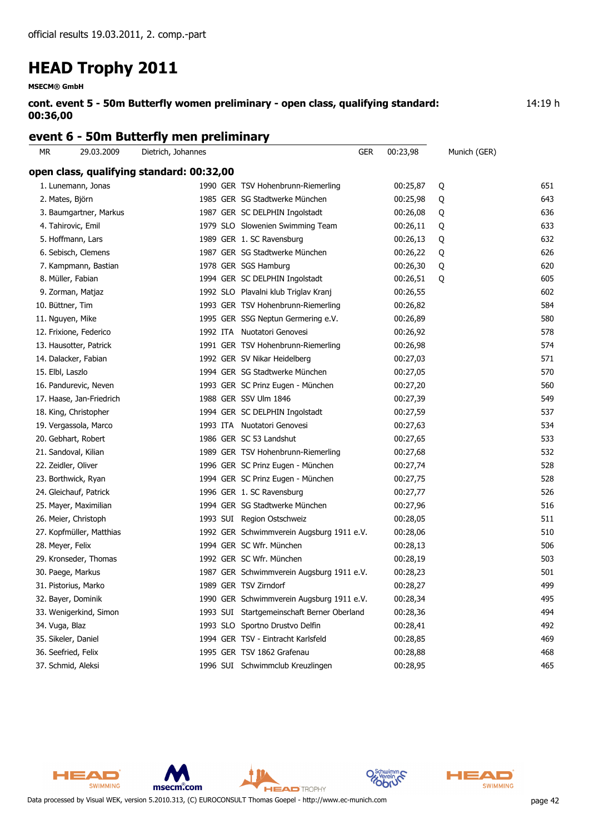**MSECM® GmbH**

**cont. event 5 - 50m Butterfly women preliminary - open class, qualifying standard: 00:36,00**

14:19 h

### **event 6 - 50m Butterfly men preliminary**

| MR.                      |            |                                                                 | GER                                                                                                                                                                                                                                                                                                                                                                                                                                                                                                                                                                                                                                                                                                                                                                                                                                                                                                                                                                                                                                                                                                                               |                                                                                                                                                                                   |          |              |
|--------------------------|------------|-----------------------------------------------------------------|-----------------------------------------------------------------------------------------------------------------------------------------------------------------------------------------------------------------------------------------------------------------------------------------------------------------------------------------------------------------------------------------------------------------------------------------------------------------------------------------------------------------------------------------------------------------------------------------------------------------------------------------------------------------------------------------------------------------------------------------------------------------------------------------------------------------------------------------------------------------------------------------------------------------------------------------------------------------------------------------------------------------------------------------------------------------------------------------------------------------------------------|-----------------------------------------------------------------------------------------------------------------------------------------------------------------------------------|----------|--------------|
|                          |            |                                                                 |                                                                                                                                                                                                                                                                                                                                                                                                                                                                                                                                                                                                                                                                                                                                                                                                                                                                                                                                                                                                                                                                                                                                   |                                                                                                                                                                                   |          |              |
| 1. Lunemann, Jonas       |            |                                                                 |                                                                                                                                                                                                                                                                                                                                                                                                                                                                                                                                                                                                                                                                                                                                                                                                                                                                                                                                                                                                                                                                                                                                   | 00:25,87                                                                                                                                                                          | Q        | 651          |
| 2. Mates, Björn          |            |                                                                 |                                                                                                                                                                                                                                                                                                                                                                                                                                                                                                                                                                                                                                                                                                                                                                                                                                                                                                                                                                                                                                                                                                                                   | 00:25,98                                                                                                                                                                          | Q        | 643          |
| 3. Baumgartner, Markus   |            |                                                                 |                                                                                                                                                                                                                                                                                                                                                                                                                                                                                                                                                                                                                                                                                                                                                                                                                                                                                                                                                                                                                                                                                                                                   | 00:26,08                                                                                                                                                                          | Q        | 636          |
| 4. Tahirovic, Emil       |            |                                                                 |                                                                                                                                                                                                                                                                                                                                                                                                                                                                                                                                                                                                                                                                                                                                                                                                                                                                                                                                                                                                                                                                                                                                   | 00:26,11                                                                                                                                                                          | Q        | 633          |
| 5. Hoffmann, Lars        |            |                                                                 |                                                                                                                                                                                                                                                                                                                                                                                                                                                                                                                                                                                                                                                                                                                                                                                                                                                                                                                                                                                                                                                                                                                                   | 00:26,13                                                                                                                                                                          | Q        | 632          |
| 6. Sebisch, Clemens      |            |                                                                 |                                                                                                                                                                                                                                                                                                                                                                                                                                                                                                                                                                                                                                                                                                                                                                                                                                                                                                                                                                                                                                                                                                                                   | 00:26,22                                                                                                                                                                          | Q        | 626          |
| 7. Kampmann, Bastian     |            |                                                                 |                                                                                                                                                                                                                                                                                                                                                                                                                                                                                                                                                                                                                                                                                                                                                                                                                                                                                                                                                                                                                                                                                                                                   | 00:26,30                                                                                                                                                                          | Q        | 620          |
| 8. Müller, Fabian        |            |                                                                 |                                                                                                                                                                                                                                                                                                                                                                                                                                                                                                                                                                                                                                                                                                                                                                                                                                                                                                                                                                                                                                                                                                                                   | 00:26,51                                                                                                                                                                          | Q        | 605          |
| 9. Zorman, Matjaz        |            |                                                                 |                                                                                                                                                                                                                                                                                                                                                                                                                                                                                                                                                                                                                                                                                                                                                                                                                                                                                                                                                                                                                                                                                                                                   | 00:26,55                                                                                                                                                                          |          | 602          |
| 10. Büttner, Tim         |            |                                                                 |                                                                                                                                                                                                                                                                                                                                                                                                                                                                                                                                                                                                                                                                                                                                                                                                                                                                                                                                                                                                                                                                                                                                   | 00:26,82                                                                                                                                                                          |          | 584          |
| 11. Nguyen, Mike         |            |                                                                 |                                                                                                                                                                                                                                                                                                                                                                                                                                                                                                                                                                                                                                                                                                                                                                                                                                                                                                                                                                                                                                                                                                                                   | 00:26,89                                                                                                                                                                          |          | 580          |
| 12. Frixione, Federico   |            |                                                                 |                                                                                                                                                                                                                                                                                                                                                                                                                                                                                                                                                                                                                                                                                                                                                                                                                                                                                                                                                                                                                                                                                                                                   | 00:26,92                                                                                                                                                                          |          | 578          |
| 13. Hausotter, Patrick   |            |                                                                 |                                                                                                                                                                                                                                                                                                                                                                                                                                                                                                                                                                                                                                                                                                                                                                                                                                                                                                                                                                                                                                                                                                                                   | 00:26,98                                                                                                                                                                          |          | 574          |
| 14. Dalacker, Fabian     |            |                                                                 |                                                                                                                                                                                                                                                                                                                                                                                                                                                                                                                                                                                                                                                                                                                                                                                                                                                                                                                                                                                                                                                                                                                                   | 00:27,03                                                                                                                                                                          |          | 571          |
| 15. Elbl, Laszlo         |            |                                                                 |                                                                                                                                                                                                                                                                                                                                                                                                                                                                                                                                                                                                                                                                                                                                                                                                                                                                                                                                                                                                                                                                                                                                   | 00:27,05                                                                                                                                                                          |          | 570          |
| 16. Pandurevic, Neven    |            |                                                                 |                                                                                                                                                                                                                                                                                                                                                                                                                                                                                                                                                                                                                                                                                                                                                                                                                                                                                                                                                                                                                                                                                                                                   | 00:27,20                                                                                                                                                                          |          | 560          |
| 17. Haase, Jan-Friedrich |            |                                                                 |                                                                                                                                                                                                                                                                                                                                                                                                                                                                                                                                                                                                                                                                                                                                                                                                                                                                                                                                                                                                                                                                                                                                   | 00:27,39                                                                                                                                                                          |          | 549          |
| 18. King, Christopher    |            |                                                                 |                                                                                                                                                                                                                                                                                                                                                                                                                                                                                                                                                                                                                                                                                                                                                                                                                                                                                                                                                                                                                                                                                                                                   | 00:27,59                                                                                                                                                                          |          | 537          |
| 19. Vergassola, Marco    |            |                                                                 |                                                                                                                                                                                                                                                                                                                                                                                                                                                                                                                                                                                                                                                                                                                                                                                                                                                                                                                                                                                                                                                                                                                                   | 00:27,63                                                                                                                                                                          |          | 534          |
| 20. Gebhart, Robert      |            |                                                                 |                                                                                                                                                                                                                                                                                                                                                                                                                                                                                                                                                                                                                                                                                                                                                                                                                                                                                                                                                                                                                                                                                                                                   | 00:27,65                                                                                                                                                                          |          | 533          |
| 21. Sandoval, Kilian     |            |                                                                 |                                                                                                                                                                                                                                                                                                                                                                                                                                                                                                                                                                                                                                                                                                                                                                                                                                                                                                                                                                                                                                                                                                                                   | 00:27,68                                                                                                                                                                          |          | 532          |
| 22. Zeidler, Oliver      |            |                                                                 |                                                                                                                                                                                                                                                                                                                                                                                                                                                                                                                                                                                                                                                                                                                                                                                                                                                                                                                                                                                                                                                                                                                                   | 00:27,74                                                                                                                                                                          |          | 528          |
| 23. Borthwick, Ryan      |            |                                                                 |                                                                                                                                                                                                                                                                                                                                                                                                                                                                                                                                                                                                                                                                                                                                                                                                                                                                                                                                                                                                                                                                                                                                   | 00:27,75                                                                                                                                                                          |          | 528          |
| 24. Gleichauf, Patrick   |            |                                                                 |                                                                                                                                                                                                                                                                                                                                                                                                                                                                                                                                                                                                                                                                                                                                                                                                                                                                                                                                                                                                                                                                                                                                   | 00:27,77                                                                                                                                                                          |          | 526          |
| 25. Mayer, Maximilian    |            |                                                                 |                                                                                                                                                                                                                                                                                                                                                                                                                                                                                                                                                                                                                                                                                                                                                                                                                                                                                                                                                                                                                                                                                                                                   | 00:27,96                                                                                                                                                                          |          | 516          |
| 26. Meier, Christoph     |            |                                                                 |                                                                                                                                                                                                                                                                                                                                                                                                                                                                                                                                                                                                                                                                                                                                                                                                                                                                                                                                                                                                                                                                                                                                   | 00:28,05                                                                                                                                                                          |          | 511          |
| 27. Kopfmüller, Matthias |            |                                                                 |                                                                                                                                                                                                                                                                                                                                                                                                                                                                                                                                                                                                                                                                                                                                                                                                                                                                                                                                                                                                                                                                                                                                   | 00:28,06                                                                                                                                                                          |          | 510          |
| 28. Meyer, Felix         |            |                                                                 |                                                                                                                                                                                                                                                                                                                                                                                                                                                                                                                                                                                                                                                                                                                                                                                                                                                                                                                                                                                                                                                                                                                                   | 00:28,13                                                                                                                                                                          |          | 506          |
| 29. Kronseder, Thomas    |            |                                                                 |                                                                                                                                                                                                                                                                                                                                                                                                                                                                                                                                                                                                                                                                                                                                                                                                                                                                                                                                                                                                                                                                                                                                   | 00:28,19                                                                                                                                                                          |          | 503          |
| 30. Paege, Markus        |            |                                                                 |                                                                                                                                                                                                                                                                                                                                                                                                                                                                                                                                                                                                                                                                                                                                                                                                                                                                                                                                                                                                                                                                                                                                   | 00:28,23                                                                                                                                                                          |          | 501          |
| 31. Pistorius, Marko     |            |                                                                 |                                                                                                                                                                                                                                                                                                                                                                                                                                                                                                                                                                                                                                                                                                                                                                                                                                                                                                                                                                                                                                                                                                                                   | 00:28,27                                                                                                                                                                          |          | 499          |
| 32. Bayer, Dominik       |            |                                                                 |                                                                                                                                                                                                                                                                                                                                                                                                                                                                                                                                                                                                                                                                                                                                                                                                                                                                                                                                                                                                                                                                                                                                   | 00:28,34                                                                                                                                                                          |          | 495          |
| 33. Wenigerkind, Simon   |            |                                                                 |                                                                                                                                                                                                                                                                                                                                                                                                                                                                                                                                                                                                                                                                                                                                                                                                                                                                                                                                                                                                                                                                                                                                   | 00:28,36                                                                                                                                                                          |          | 494          |
| 34. Vuga, Blaz           |            |                                                                 |                                                                                                                                                                                                                                                                                                                                                                                                                                                                                                                                                                                                                                                                                                                                                                                                                                                                                                                                                                                                                                                                                                                                   | 00:28,41                                                                                                                                                                          |          | 492          |
| 35. Sikeler, Daniel      |            |                                                                 |                                                                                                                                                                                                                                                                                                                                                                                                                                                                                                                                                                                                                                                                                                                                                                                                                                                                                                                                                                                                                                                                                                                                   | 00:28,85                                                                                                                                                                          |          | 469          |
| 36. Seefried, Felix      |            |                                                                 |                                                                                                                                                                                                                                                                                                                                                                                                                                                                                                                                                                                                                                                                                                                                                                                                                                                                                                                                                                                                                                                                                                                                   | 00:28,88                                                                                                                                                                          |          | 468          |
| 37. Schmid, Aleksi       |            |                                                                 |                                                                                                                                                                                                                                                                                                                                                                                                                                                                                                                                                                                                                                                                                                                                                                                                                                                                                                                                                                                                                                                                                                                                   | 00:28,95                                                                                                                                                                          |          | 465          |
|                          | 29.03.2009 | Dietrich, Johannes<br>open class, qualifying standard: 00:32,00 | 1990 GER TSV Hohenbrunn-Riemerling<br>1985 GER SG Stadtwerke München<br>1987 GER SC DELPHIN Ingolstadt<br>1979 SLO Slowenien Swimming Team<br>1989 GER 1. SC Ravensburg<br>1987 GER SG Stadtwerke München<br>1978 GER SGS Hamburg<br>1994 GER SC DELPHIN Ingolstadt<br>1992 SLO Plavalni klub Triglav Kranj<br>1993 GER TSV Hohenbrunn-Riemerling<br>1995 GER SSG Neptun Germering e.V.<br>1992 ITA Nuotatori Genovesi<br>1991 GER TSV Hohenbrunn-Riemerling<br>1992 GER SV Nikar Heidelberg<br>1994 GER SG Stadtwerke München<br>1993 GER SC Prinz Eugen - München<br>1988 GER SSV Ulm 1846<br>1994 GER SC DELPHIN Ingolstadt<br>1993 ITA Nuotatori Genovesi<br>1986 GER SC 53 Landshut<br>1989 GER TSV Hohenbrunn-Riemerling<br>1996 GER SC Prinz Eugen - München<br>1994 GER SC Prinz Eugen - München<br>1996 GER 1. SC Ravensburg<br>1994 GER SG Stadtwerke München<br>1993 SUI Region Ostschweiz<br>1994 GER SC Wfr. München<br>1992 GER SC Wfr. München<br>1989 GER TSV Zirndorf<br>1993 SLO Sportno Drustvo Delfin<br>1994 GER TSV - Eintracht Karlsfeld<br>1995 GER TSV 1862 Grafenau<br>1996 SUI Schwimmclub Kreuzlingen | 1992 GER Schwimmverein Augsburg 1911 e.V.<br>1987 GER Schwimmverein Augsburg 1911 e.V.<br>1990 GER Schwimmverein Augsburg 1911 e.V.<br>1993 SUI Startgemeinschaft Berner Oberland | 00:23,98 | Munich (GER) |



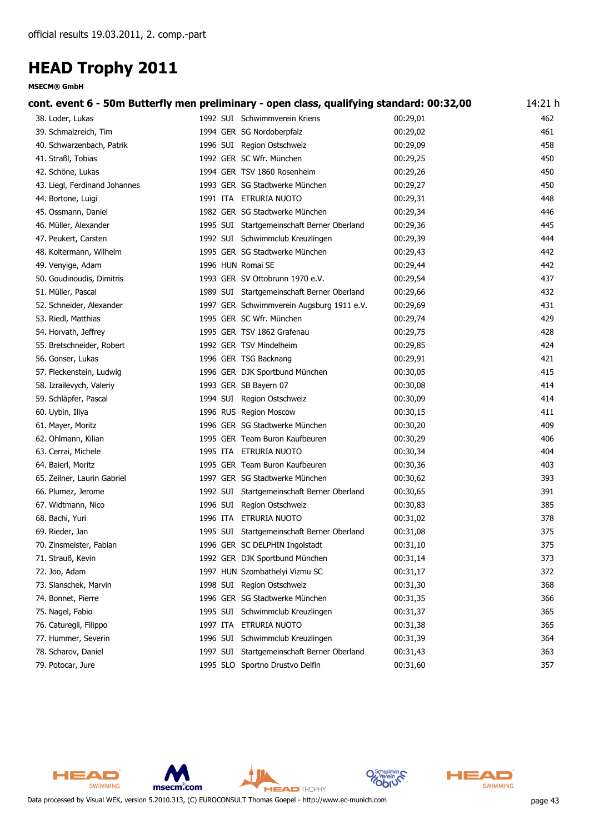**MSECM® GmbH**

| cont. event 6 - 50m Butterfly men preliminary - open class, qualifying standard: 00:32,00 |                                            |          | 14:21 h |
|-------------------------------------------------------------------------------------------|--------------------------------------------|----------|---------|
| 38. Loder, Lukas                                                                          | 1992 SUI Schwimmverein Kriens              | 00:29,01 | 462     |
| 39. Schmalzreich, Tim                                                                     | 1994 GER SG Nordoberpfalz                  | 00:29,02 | 461     |
| 40. Schwarzenbach, Patrik                                                                 | 1996 SUI Region Ostschweiz                 | 00:29,09 | 458     |
| 41. Straßl, Tobias                                                                        | 1992 GER SC Wfr. München                   | 00:29,25 | 450     |
| 42. Schöne, Lukas                                                                         | 1994 GER TSV 1860 Rosenheim                | 00:29,26 | 450     |
| 43. Liegl, Ferdinand Johannes                                                             | 1993 GER SG Stadtwerke München             | 00:29,27 | 450     |
| 44. Bortone, Luigi                                                                        | 1991 ITA ETRURIA NUOTO                     | 00:29,31 | 448     |
| 45. Ossmann, Daniel                                                                       | 1982 GER SG Stadtwerke München             | 00:29,34 | 446     |
| 46. Müller, Alexander                                                                     | 1995 SUI Startgemeinschaft Berner Oberland | 00:29,36 | 445     |
| 47. Peukert, Carsten                                                                      | 1992 SUI Schwimmclub Kreuzlingen           | 00:29,39 | 444     |
| 48. Koltermann, Wilhelm                                                                   | 1995 GER SG Stadtwerke München             | 00:29,43 | 442     |
| 49. Venyige, Adam                                                                         | 1996 HUN Romai SE                          | 00:29,44 | 442     |
| 50. Goudinoudis, Dimitris                                                                 | 1993 GER SV Ottobrunn 1970 e.V.            | 00:29,54 | 437     |
| 51. Müller, Pascal                                                                        | 1989 SUI Startgemeinschaft Berner Oberland | 00:29,66 | 432     |
| 52. Schneider, Alexander                                                                  | 1997 GER Schwimmverein Augsburg 1911 e.V.  | 00:29,69 | 431     |
| 53. Riedl, Matthias                                                                       | 1995 GER SC Wfr. München                   | 00:29,74 | 429     |
| 54. Horvath, Jeffrey                                                                      | 1995 GER TSV 1862 Grafenau                 | 00:29,75 | 428     |
| 55. Bretschneider, Robert                                                                 | 1992 GER TSV Mindelheim                    | 00:29,85 | 424     |
| 56. Gonser, Lukas                                                                         | 1996 GER TSG Backnang                      | 00:29,91 | 421     |
| 57. Fleckenstein, Ludwig                                                                  | 1996 GER DJK Sportbund München             | 00:30,05 | 415     |
| 58. Izrailevych, Valeriy                                                                  | 1993 GER SB Bayern 07                      | 00:30,08 | 414     |
| 59. Schläpfer, Pascal                                                                     | 1994 SUI Region Ostschweiz                 | 00:30,09 | 414     |
| 60. Uybin, Iliya                                                                          | 1996 RUS Region Moscow                     | 00:30,15 | 411     |
| 61. Mayer, Moritz                                                                         | 1996 GER SG Stadtwerke München             | 00:30,20 | 409     |
| 62. Ohlmann, Kilian                                                                       | 1995 GER Team Buron Kaufbeuren             | 00:30,29 | 406     |
| 63. Cerrai, Michele                                                                       | 1995 ITA ETRURIA NUOTO                     | 00:30,34 | 404     |
| 64. Baierl, Moritz                                                                        | 1995 GER Team Buron Kaufbeuren             | 00:30,36 | 403     |
| 65. Zeilner, Laurin Gabriel                                                               | 1997 GER SG Stadtwerke München             | 00:30,62 | 393     |
| 66. Plumez, Jerome                                                                        | 1992 SUI Startgemeinschaft Berner Oberland | 00:30,65 | 391     |
| 67. Widtmann, Nico                                                                        | 1996 SUI Region Ostschweiz                 | 00:30,83 | 385     |
| 68. Bachi, Yuri                                                                           | 1996 ITA ETRURIA NUOTO                     | 00:31,02 | 378     |
| 69. Rieder, Jan                                                                           | 1995 SUI Startgemeinschaft Berner Oberland | 00:31,08 | 375     |
| 70. Zinsmeister, Fabian                                                                   | 1996 GER SC DELPHIN Ingolstadt             | 00:31,10 | 375     |
| 71. Strauß, Kevin                                                                         | 1992 GER DJK Sportbund München             | 00:31,14 | 373     |
| 72. Joo, Adam                                                                             | 1997 HUN Szombathelyi Vizmu SC             | 00:31,17 | 372     |
| 73. Slanschek, Marvin                                                                     | 1998 SUI Region Ostschweiz                 | 00:31,30 | 368     |
| 74. Bonnet, Pierre                                                                        | 1996 GER SG Stadtwerke München             | 00:31,35 | 366     |
| 75. Nagel, Fabio                                                                          | 1995 SUI Schwimmclub Kreuzlingen           | 00:31,37 | 365     |
| 76. Caturegli, Filippo                                                                    | 1997 ITA ETRURIA NUOTO                     | 00:31,38 | 365     |
| 77. Hummer, Severin                                                                       | 1996 SUI Schwimmclub Kreuzlingen           | 00:31,39 | 364     |
| 78. Scharov, Daniel                                                                       | 1997 SUI Startgemeinschaft Berner Oberland | 00:31,43 | 363     |
| 79. Potocar, Jure                                                                         | 1995 SLO Sportno Drustvo Delfin            | 00:31,60 | 357     |
|                                                                                           |                                            |          |         |



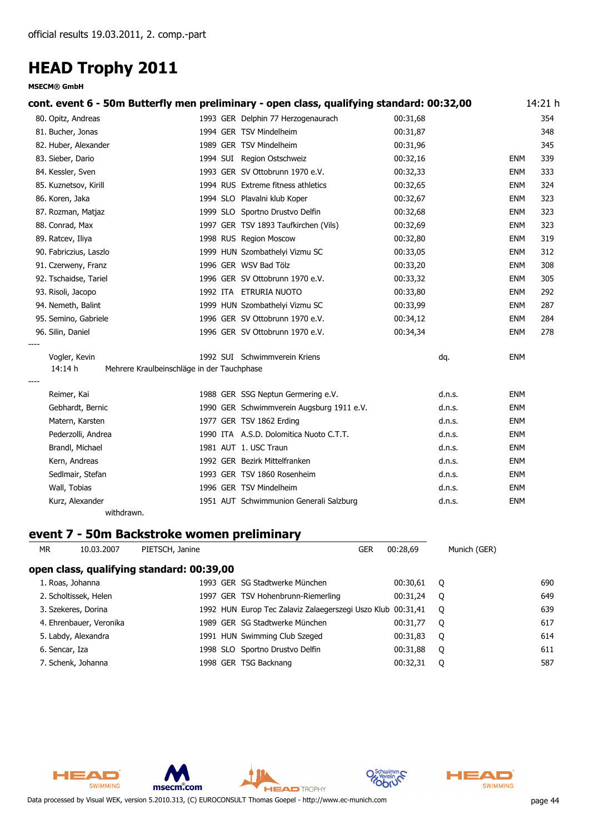**MSECM® GmbH**

| cont. event 6 - 50m Butterfly men preliminary - open class, qualifying standard: 00:32,00 |                                            |                                           |          |            | 14:21 h |
|-------------------------------------------------------------------------------------------|--------------------------------------------|-------------------------------------------|----------|------------|---------|
| 80. Opitz, Andreas                                                                        |                                            | 1993 GER Delphin 77 Herzogenaurach        | 00:31,68 |            | 354     |
| 81. Bucher, Jonas                                                                         |                                            | 1994 GER TSV Mindelheim                   | 00:31,87 |            | 348     |
| 82. Huber, Alexander                                                                      |                                            | 1989 GER TSV Mindelheim                   | 00:31,96 |            | 345     |
| 83. Sieber, Dario                                                                         |                                            | 1994 SUI Region Ostschweiz                | 00:32,16 | <b>ENM</b> | 339     |
| 84. Kessler, Sven                                                                         |                                            | 1993 GER SV Ottobrunn 1970 e.V.           | 00:32,33 | <b>ENM</b> | 333     |
| 85. Kuznetsov, Kirill                                                                     |                                            | 1994 RUS Extreme fitness athletics        | 00:32,65 | <b>ENM</b> | 324     |
| 86. Koren, Jaka                                                                           |                                            | 1994 SLO Plavalni klub Koper              | 00:32,67 | <b>ENM</b> | 323     |
| 87. Rozman, Matjaz                                                                        |                                            | 1999 SLO Sportno Drustvo Delfin           | 00:32,68 | <b>ENM</b> | 323     |
| 88. Conrad, Max                                                                           |                                            | 1997 GER TSV 1893 Taufkirchen (Vils)      | 00:32,69 | <b>ENM</b> | 323     |
| 89. Ratcev, Iliya                                                                         |                                            | 1998 RUS Region Moscow                    | 00:32,80 | <b>ENM</b> | 319     |
| 90. Fabriczius, Laszlo                                                                    |                                            | 1999 HUN Szombathelyi Vizmu SC            | 00:33,05 | <b>ENM</b> | 312     |
| 91. Czerweny, Franz                                                                       |                                            | 1996 GER WSV Bad Tölz                     | 00:33,20 | <b>ENM</b> | 308     |
| 92. Tschaidse, Tariel                                                                     |                                            | 1996 GER SV Ottobrunn 1970 e.V.           | 00:33,32 | <b>ENM</b> | 305     |
| 93. Risoli, Jacopo                                                                        |                                            | 1992 ITA ETRURIA NUOTO                    | 00:33,80 | <b>ENM</b> | 292     |
| 94. Nemeth, Balint                                                                        |                                            | 1999 HUN Szombathelyi Vizmu SC            | 00:33,99 | <b>ENM</b> | 287     |
| 95. Semino, Gabriele                                                                      |                                            | 1996 GER SV Ottobrunn 1970 e.V.           | 00:34,12 | <b>ENM</b> | 284     |
| 96. Silin, Daniel                                                                         |                                            | 1996 GER SV Ottobrunn 1970 e.V.           | 00:34,34 | <b>ENM</b> | 278     |
| Vogler, Kevin                                                                             |                                            | 1992 SUI Schwimmverein Kriens             | dq.      | <b>ENM</b> |         |
| 14:14 h                                                                                   | Mehrere Kraulbeinschläge in der Tauchphase |                                           |          |            |         |
| Reimer, Kai                                                                               |                                            | 1988 GER SSG Neptun Germering e.V.        | d.n.s.   | <b>ENM</b> |         |
| Gebhardt, Bernic                                                                          |                                            | 1990 GER Schwimmverein Augsburg 1911 e.V. | d.n.s.   | <b>ENM</b> |         |
| Matern, Karsten                                                                           |                                            | 1977 GER TSV 1862 Erding                  | d.n.s.   | <b>ENM</b> |         |
| Pederzolli, Andrea                                                                        |                                            | 1990 ITA A.S.D. Dolomitica Nuoto C.T.T.   | d.n.s.   | <b>ENM</b> |         |
| Brandl, Michael                                                                           |                                            | 1981 AUT 1. USC Traun                     | d.n.s.   | <b>ENM</b> |         |
| Kern, Andreas                                                                             |                                            | 1992 GER Bezirk Mittelfranken             | d.n.s.   | <b>ENM</b> |         |
| Sedlmair, Stefan                                                                          |                                            | 1993 GER TSV 1860 Rosenheim               | d.n.s.   | <b>ENM</b> |         |
| Wall, Tobias                                                                              |                                            | 1996 GER TSV Mindelheim                   | d.n.s.   | <b>ENM</b> |         |
| Kurz, Alexander                                                                           |                                            | 1951 AUT Schwimmunion Generali Salzburg   | d.n.s.   | <b>ENM</b> |         |
| withdrawn.                                                                                |                                            |                                           |          |            |         |

### **event 7 - 50m Backstroke women preliminary**

| MR. | 10.03.2007              | PIETSCH, Janine                           | <b>GER</b>                                                  | 00:28.69 | Munich (GER) |     |
|-----|-------------------------|-------------------------------------------|-------------------------------------------------------------|----------|--------------|-----|
|     |                         | open class, qualifying standard: 00:39,00 |                                                             |          |              |     |
|     | 1. Roas, Johanna        |                                           | 1993 GER SG Stadtwerke München                              | 00:30,61 | O            | 690 |
|     | 2. Scholtissek, Helen   |                                           | 1997 GER TSV Hohenbrunn-Riemerling                          | 00:31.24 | O            | 649 |
|     | 3. Szekeres, Dorina     |                                           | 1992 HUN Europ Tec Zalaviz Zalaegerszegi Uszo Klub 00:31,41 |          | $\circ$      | 639 |
|     | 4. Ehrenbauer, Veronika |                                           | 1989 GER SG Stadtwerke München                              | 00:31.77 | O            | 617 |
|     | 5. Labdy, Alexandra     |                                           | 1991 HUN Swimming Club Szeged                               | 00:31,83 | $\circ$      | 614 |
|     | 6. Sencar, Iza          |                                           | 1998 SLO Sportno Drustvo Delfin                             | 00:31,88 | O            | 611 |
|     | 7. Schenk, Johanna      |                                           | 1998 GER TSG Backnang                                       | 00:32,31 | O            | 587 |



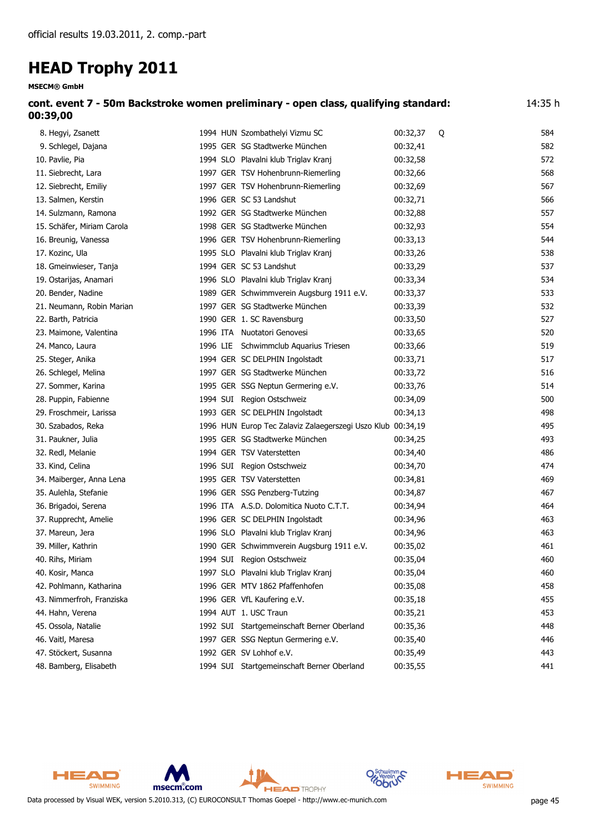| cont. event 7 - 50m Backstroke women preliminary - open class, qualifying standard:<br>00:39,00 |                                |            |     |  |  |
|-------------------------------------------------------------------------------------------------|--------------------------------|------------|-----|--|--|
| 8. Hegyi, Zsanett                                                                               | 1994 HUN Szombathelyi Vizmu SC | 00:32.37 0 | 584 |  |  |
| 9. Schlegel, Dajana                                                                             | 1995 GER SG Stadtwerke München | 00:32.41   | 582 |  |  |

| 2. JUNCYCI, Dajana         |  | <b>I</b> 22 GLN 3G Stautwei Ne Mulichen                     | ⊥ד,∠כ.טט | ےںر |
|----------------------------|--|-------------------------------------------------------------|----------|-----|
| 10. Pavlie, Pia            |  | 1994 SLO Plavalni klub Triglav Kranj                        | 00:32,58 | 572 |
| 11. Siebrecht, Lara        |  | 1997 GER TSV Hohenbrunn-Riemerling                          | 00:32,66 | 568 |
| 12. Siebrecht, Emiliy      |  | 1997 GER TSV Hohenbrunn-Riemerling                          | 00:32,69 | 567 |
| 13. Salmen, Kerstin        |  | 1996 GER SC 53 Landshut                                     | 00:32,71 | 566 |
| 14. Sulzmann, Ramona       |  | 1992 GER SG Stadtwerke München                              | 00:32,88 | 557 |
| 15. Schäfer, Miriam Carola |  | 1998 GER SG Stadtwerke München                              | 00:32,93 | 554 |
| 16. Breunig, Vanessa       |  | 1996 GER TSV Hohenbrunn-Riemerling                          | 00:33,13 | 544 |
| 17. Kozinc, Ula            |  | 1995 SLO Plavalni klub Triglav Kranj                        | 00:33,26 | 538 |
| 18. Gmeinwieser, Tanja     |  | 1994 GER SC 53 Landshut                                     | 00:33,29 | 537 |
| 19. Ostarijas, Anamari     |  | 1996 SLO Plavalni klub Triglav Kranj                        | 00:33,34 | 534 |
| 20. Bender, Nadine         |  | 1989 GER Schwimmverein Augsburg 1911 e.V.                   | 00:33,37 | 533 |
| 21. Neumann, Robin Marian  |  | 1997 GER SG Stadtwerke München                              | 00:33,39 | 532 |
| 22. Barth, Patricia        |  | 1990 GER 1. SC Ravensburg                                   | 00:33,50 | 527 |
| 23. Maimone, Valentina     |  | 1996 ITA Nuotatori Genovesi                                 | 00:33,65 | 520 |
| 24. Manco, Laura           |  | 1996 LIE Schwimmclub Aquarius Triesen                       | 00:33,66 | 519 |
| 25. Steger, Anika          |  | 1994 GER SC DELPHIN Ingolstadt                              | 00:33,71 | 517 |
| 26. Schlegel, Melina       |  | 1997 GER SG Stadtwerke München                              | 00:33,72 | 516 |
| 27. Sommer, Karina         |  | 1995 GER SSG Neptun Germering e.V.                          | 00:33,76 | 514 |
| 28. Puppin, Fabienne       |  | 1994 SUI Region Ostschweiz                                  | 00:34,09 | 500 |
| 29. Froschmeir, Larissa    |  | 1993 GER SC DELPHIN Ingolstadt                              | 00:34,13 | 498 |
| 30. Szabados, Reka         |  | 1996 HUN Europ Tec Zalaviz Zalaegerszegi Uszo Klub 00:34,19 |          | 495 |
| 31. Paukner, Julia         |  | 1995 GER SG Stadtwerke München                              | 00:34,25 | 493 |
| 32. Redl, Melanie          |  | 1994 GER TSV Vaterstetten                                   | 00:34,40 | 486 |
| 33. Kind, Celina           |  | 1996 SUI Region Ostschweiz                                  | 00:34,70 | 474 |
| 34. Maiberger, Anna Lena   |  | 1995 GER TSV Vaterstetten                                   | 00:34,81 | 469 |
| 35. Aulehla, Stefanie      |  | 1996 GER SSG Penzberg-Tutzing                               | 00:34,87 | 467 |
| 36. Brigadoi, Serena       |  | 1996 ITA A.S.D. Dolomitica Nuoto C.T.T.                     | 00:34,94 | 464 |
| 37. Rupprecht, Amelie      |  | 1996 GER SC DELPHIN Ingolstadt                              | 00:34,96 | 463 |
| 37. Mareun, Jera           |  | 1996 SLO Plavalni klub Triglav Kranj                        | 00:34,96 | 463 |
| 39. Miller, Kathrin        |  | 1990 GER Schwimmverein Augsburg 1911 e.V.                   | 00:35,02 | 461 |
| 40. Rihs, Miriam           |  | 1994 SUI Region Ostschweiz                                  | 00:35,04 | 460 |
| 40. Kosir, Manca           |  | 1997 SLO Plavalni klub Triglav Kranj                        | 00:35,04 | 460 |
| 42. Pohlmann, Katharina    |  | 1996 GER MTV 1862 Pfaffenhofen                              | 00:35,08 | 458 |
| 43. Nimmerfroh, Franziska  |  | 1996 GER VfL Kaufering e.V.                                 | 00:35,18 | 455 |
| 44. Hahn, Verena           |  | 1994 AUT 1. USC Traun                                       | 00:35,21 | 453 |
| 45. Ossola, Natalie        |  | 1992 SUI Startgemeinschaft Berner Oberland                  | 00:35,36 | 448 |
| 46. Vaitl, Maresa          |  | 1997 GER SSG Neptun Germering e.V.                          | 00:35,40 | 446 |
| 47. Stöckert, Susanna      |  | 1992 GER SV Lohhof e.V.                                     | 00:35,49 | 443 |
| 48. Bamberg, Elisabeth     |  | 1994 SUI Startgemeinschaft Berner Oberland                  | 00:35,55 | 441 |
|                            |  |                                                             |          |     |



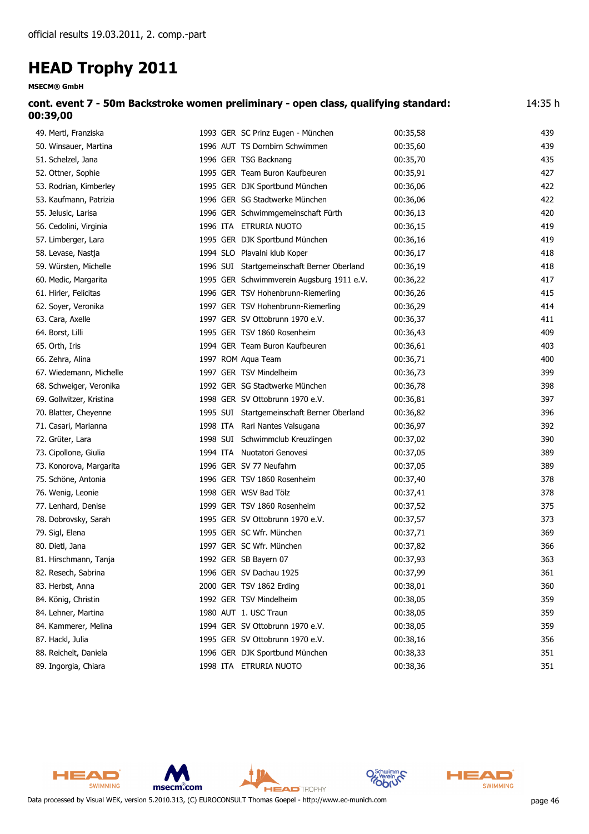| <b>MSECM® GmbH</b>                                                                              |                                            |          |     |  |  |
|-------------------------------------------------------------------------------------------------|--------------------------------------------|----------|-----|--|--|
| cont. event 7 - 50m Backstroke women preliminary - open class, qualifying standard:<br>00:39,00 |                                            |          |     |  |  |
| 49. Mertl, Franziska                                                                            | 1993 GER SC Prinz Eugen - München          | 00:35,58 | 439 |  |  |
| 50. Winsauer, Martina                                                                           | 1996 AUT TS Dornbirn Schwimmen             | 00:35,60 | 439 |  |  |
| 51. Schelzel, Jana                                                                              | 1996 GER TSG Backnang                      | 00:35,70 | 435 |  |  |
| 52. Ottner, Sophie                                                                              | 1995 GER Team Buron Kaufbeuren             | 00:35,91 | 427 |  |  |
| 53. Rodrian, Kimberley                                                                          | 1995 GER DJK Sportbund München             | 00:36,06 | 422 |  |  |
| 53. Kaufmann, Patrizia                                                                          | 1996 GER SG Stadtwerke München             | 00:36,06 | 422 |  |  |
| 55. Jelusic, Larisa                                                                             | 1996 GER Schwimmgemeinschaft Fürth         | 00:36,13 | 420 |  |  |
| 56. Cedolini, Virginia                                                                          | 1996 ITA ETRURIA NUOTO                     | 00:36,15 | 419 |  |  |
| 57. Limberger, Lara                                                                             | 1995 GER DJK Sportbund München             | 00:36,16 | 419 |  |  |
| 58. Levase, Nastja                                                                              | 1994 SLO Plavalni klub Koper               | 00:36,17 | 418 |  |  |
| 59. Würsten, Michelle                                                                           | 1996 SUI Startgemeinschaft Berner Oberland | 00:36,19 | 418 |  |  |
| 60. Medic, Margarita                                                                            | 1995 GER Schwimmverein Augsburg 1911 e.V.  | 00:36,22 | 417 |  |  |
| 61. Hirler, Felicitas                                                                           | 1996 GER TSV Hohenbrunn-Riemerling         | 00:36,26 | 415 |  |  |
| 62. Soyer, Veronika                                                                             | 1997 GER TSV Hohenbrunn-Riemerling         | 00:36,29 | 414 |  |  |
| 63. Cara, Axelle                                                                                | 1997 GER SV Ottobrunn 1970 e.V.            | 00:36,37 | 411 |  |  |
| 64. Borst, Lilli                                                                                | 1995 GER TSV 1860 Rosenheim                | 00:36,43 | 409 |  |  |
| 65. Orth, Iris                                                                                  | 1994 GER Team Buron Kaufbeuren             | 00:36,61 | 403 |  |  |
| 66. Zehra, Alina                                                                                | 1997 ROM Aqua Team                         | 00:36,71 | 400 |  |  |
| 67. Wiedemann, Michelle                                                                         | 1997 GER TSV Mindelheim                    | 00:36,73 | 399 |  |  |
| 68. Schweiger, Veronika                                                                         | 1992 GER SG Stadtwerke München             | 00:36,78 | 398 |  |  |
| 69. Gollwitzer, Kristina                                                                        | 1998 GER SV Ottobrunn 1970 e.V.            | 00:36,81 | 397 |  |  |
| 70. Blatter, Cheyenne                                                                           | 1995 SUI Startgemeinschaft Berner Oberland | 00:36,82 | 396 |  |  |
| 71. Casari, Marianna                                                                            | 1998 ITA Rari Nantes Valsugana             | 00:36,97 | 392 |  |  |
| 72. Grüter, Lara                                                                                | 1998 SUI Schwimmclub Kreuzlingen           | 00:37,02 | 390 |  |  |
| 73. Cipollone, Giulia                                                                           | 1994 ITA Nuotatori Genovesi                | 00:37,05 | 389 |  |  |
| 73. Konorova, Margarita                                                                         | 1996 GER SV 77 Neufahrn                    | 00:37,05 | 389 |  |  |
| 75. Schöne, Antonia                                                                             | 1996 GER TSV 1860 Rosenheim                | 00:37,40 | 378 |  |  |
| 76. Wenig, Leonie                                                                               | 1998 GER WSV Bad Tölz                      | 00:37,41 | 378 |  |  |
| 77. Lenhard, Denise                                                                             | 1999 GER TSV 1860 Rosenheim                | 00:37,52 | 375 |  |  |
| 78. Dobrovsky, Sarah                                                                            | 1995 GER SV Ottobrunn 1970 e.V.            | 00:37,57 | 373 |  |  |
| 79. Sigl, Elena                                                                                 | 1995 GER SC Wfr. München                   | 00:37,71 | 369 |  |  |
| 80. Dietl, Jana                                                                                 | 1997 GER SC Wfr. München                   | 00:37,82 | 366 |  |  |
| 81. Hirschmann, Tanja                                                                           | 1992 GER SB Bayern 07                      | 00:37,93 | 363 |  |  |
| 82. Resech, Sabrina                                                                             | 1996 GER SV Dachau 1925                    | 00:37,99 | 361 |  |  |
| 83. Herbst, Anna                                                                                | 2000 GER TSV 1862 Erding                   | 00:38,01 | 360 |  |  |
| 84. König, Christin                                                                             | 1992 GER TSV Mindelheim                    | 00:38,05 | 359 |  |  |
| 84. Lehner, Martina                                                                             | 1980 AUT 1. USC Traun                      | 00:38,05 | 359 |  |  |
| 84. Kammerer, Melina                                                                            | 1994 GER SV Ottobrunn 1970 e.V.            | 00:38,05 | 359 |  |  |
| 87. Hackl, Julia                                                                                | 1995 GER SV Ottobrunn 1970 e.V.            | 00:38,16 | 356 |  |  |
| 88. Reichelt, Daniela                                                                           | 1996 GER DJK Sportbund München             | 00:38,33 | 351 |  |  |

89. Ingorgia, Chiara 1998 ITA ETRURIA NUOTO 00:38,36 00:38,36 351



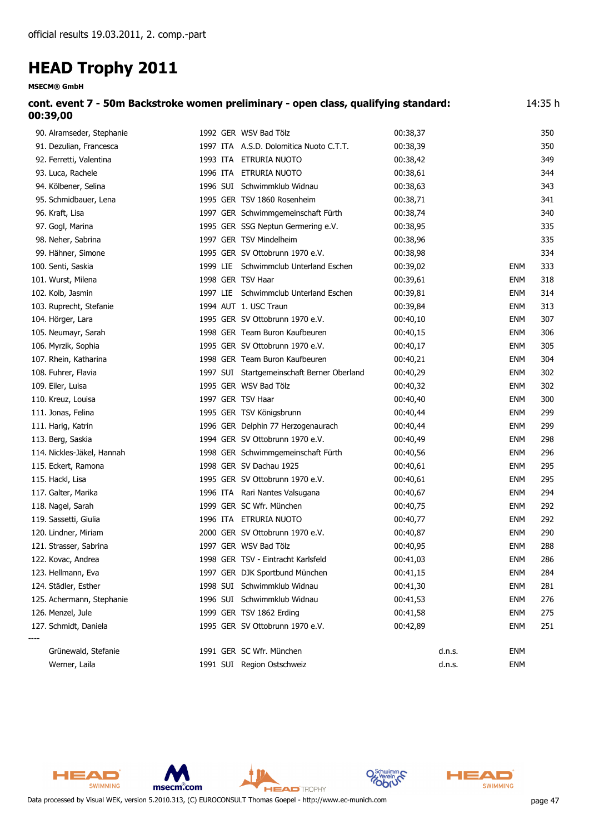| cont. event 7 - 50m Backstroke women preliminary - open class, qualifying standard:<br>00:39,00 |                                         |          |     |  |
|-------------------------------------------------------------------------------------------------|-----------------------------------------|----------|-----|--|
| 90. Alramseder, Stephanie                                                                       | 1992 GER WSV Bad Tölz                   | 00:38.37 | 350 |  |
| 91. Dezulian, Francesca                                                                         | 1997 ITA A.S.D. Dolomitica Nuoto C.T.T. | 00:38.39 | 350 |  |
| 92. Ferretti, Valentina                                                                         | 1993 ITA ETRURIA NUOTO                  | 00:38.42 | 349 |  |

| 92. Ferretti, valentina    |                   | 1993 IIA EIRURIA NUOTO                     | UU:38,42 |        |            | 549 |
|----------------------------|-------------------|--------------------------------------------|----------|--------|------------|-----|
| 93. Luca, Rachele          |                   | 1996 ITA ETRURIA NUOTO                     | 00:38,61 |        |            | 344 |
| 94. Kölbener, Selina       |                   | 1996 SUI Schwimmklub Widnau                | 00:38,63 |        |            | 343 |
| 95. Schmidbauer, Lena      |                   | 1995 GER TSV 1860 Rosenheim                | 00:38,71 |        |            | 341 |
| 96. Kraft, Lisa            |                   | 1997 GER Schwimmgemeinschaft Fürth         | 00:38,74 |        |            | 340 |
| 97. Gogl, Marina           |                   | 1995 GER SSG Neptun Germering e.V.         | 00:38,95 |        |            | 335 |
| 98. Neher, Sabrina         |                   | 1997 GER TSV Mindelheim                    | 00:38,96 |        |            | 335 |
| 99. Hähner, Simone         |                   | 1995 GER SV Ottobrunn 1970 e.V.            | 00:38,98 |        |            | 334 |
| 100. Senti, Saskia         |                   | 1999 LIE Schwimmclub Unterland Eschen      | 00:39,02 |        | <b>ENM</b> | 333 |
| 101. Wurst, Milena         | 1998 GER TSV Haar |                                            | 00:39,61 |        | <b>ENM</b> | 318 |
| 102. Kolb, Jasmin          |                   | 1997 LIE Schwimmclub Unterland Eschen      | 00:39,81 |        | <b>ENM</b> | 314 |
| 103. Ruprecht, Stefanie    |                   | 1994 AUT 1. USC Traun                      | 00:39,84 |        | <b>ENM</b> | 313 |
| 104. Hörger, Lara          |                   | 1995 GER SV Ottobrunn 1970 e.V.            | 00:40,10 |        | <b>ENM</b> | 307 |
| 105. Neumayr, Sarah        |                   | 1998 GER Team Buron Kaufbeuren             | 00:40,15 |        | <b>ENM</b> | 306 |
| 106. Myrzik, Sophia        |                   | 1995 GER SV Ottobrunn 1970 e.V.            | 00:40,17 |        | <b>ENM</b> | 305 |
| 107. Rhein, Katharina      |                   | 1998 GER Team Buron Kaufbeuren             | 00:40,21 |        | <b>ENM</b> | 304 |
| 108. Fuhrer, Flavia        |                   | 1997 SUI Startgemeinschaft Berner Oberland | 00:40,29 |        | <b>ENM</b> | 302 |
| 109. Eiler, Luisa          |                   | 1995 GER WSV Bad Tölz                      | 00:40,32 |        | <b>ENM</b> | 302 |
| 110. Kreuz, Louisa         | 1997 GER TSV Haar |                                            | 00:40,40 |        | <b>ENM</b> | 300 |
| 111. Jonas, Felina         |                   | 1995 GER TSV Königsbrunn                   | 00:40,44 |        | <b>ENM</b> | 299 |
| 111. Harig, Katrin         |                   | 1996 GER Delphin 77 Herzogenaurach         | 00:40,44 |        | <b>ENM</b> | 299 |
| 113. Berg, Saskia          |                   | 1994 GER SV Ottobrunn 1970 e.V.            | 00:40,49 |        | <b>ENM</b> | 298 |
| 114. Nickles-Jäkel, Hannah |                   | 1998 GER Schwimmgemeinschaft Fürth         | 00:40,56 |        | <b>ENM</b> | 296 |
| 115. Eckert, Ramona        |                   | 1998 GER SV Dachau 1925                    | 00:40,61 |        | <b>ENM</b> | 295 |
| 115. Hackl, Lisa           |                   | 1995 GER SV Ottobrunn 1970 e.V.            | 00:40,61 |        | <b>ENM</b> | 295 |
| 117. Galter, Marika        |                   | 1996 ITA Rari Nantes Valsugana             | 00:40,67 |        | <b>ENM</b> | 294 |
| 118. Nagel, Sarah          |                   | 1999 GER SC Wfr. München                   | 00:40,75 |        | <b>ENM</b> | 292 |
| 119. Sassetti, Giulia      |                   | 1996 ITA ETRURIA NUOTO                     | 00:40,77 |        | <b>ENM</b> | 292 |
| 120. Lindner, Miriam       |                   | 2000 GER SV Ottobrunn 1970 e.V.            | 00:40,87 |        | <b>ENM</b> | 290 |
| 121. Strasser, Sabrina     |                   | 1997 GER WSV Bad Tölz                      | 00:40,95 |        | <b>ENM</b> | 288 |
| 122. Kovac, Andrea         |                   | 1998 GER TSV - Eintracht Karlsfeld         | 00:41,03 |        | <b>ENM</b> | 286 |
| 123. Hellmann, Eva         |                   | 1997 GER DJK Sportbund München             | 00:41,15 |        | <b>ENM</b> | 284 |
| 124. Städler, Esther       |                   | 1998 SUI Schwimmklub Widnau                | 00:41,30 |        | <b>ENM</b> | 281 |
| 125. Achermann, Stephanie  |                   | 1996 SUI Schwimmklub Widnau                | 00:41,53 |        | <b>ENM</b> | 276 |
| 126. Menzel, Jule          |                   | 1999 GER TSV 1862 Erding                   | 00:41,58 |        | <b>ENM</b> | 275 |
| 127. Schmidt, Daniela      |                   | 1995 GER SV Ottobrunn 1970 e.V.            | 00:42,89 |        | <b>ENM</b> | 251 |
| Grünewald, Stefanie        |                   | 1991 GER SC Wfr. München                   |          | d.n.s. | <b>ENM</b> |     |
| Werner, Laila              |                   | 1991 SUI Region Ostschweiz                 |          | d.n.s. | <b>ENM</b> |     |





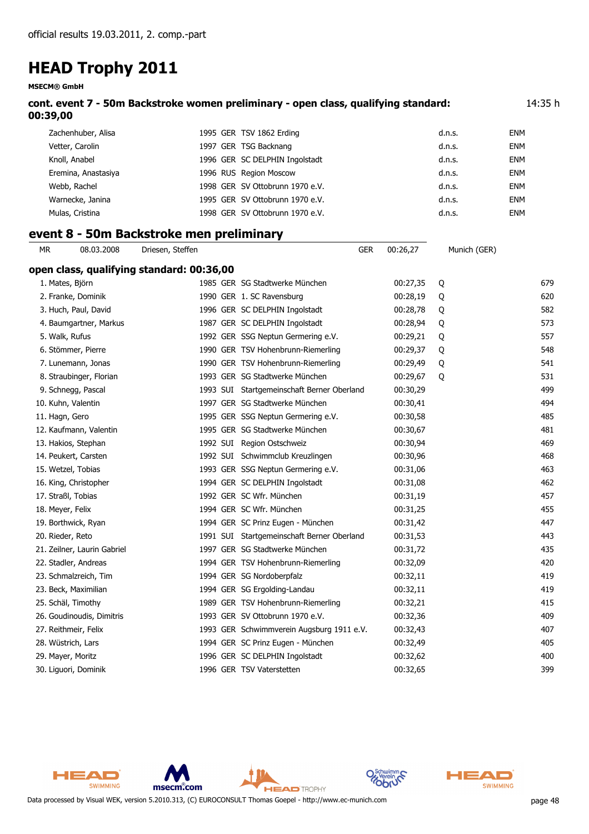**MSECM® GmbH**

| cont. event 7 - 50m Backstroke women preliminary - open class, qualifying standard:<br>00:39,00 |            |                                           |  |                                            |            | 14:35 h  |              |            |
|-------------------------------------------------------------------------------------------------|------------|-------------------------------------------|--|--------------------------------------------|------------|----------|--------------|------------|
| Zachenhuber, Alisa                                                                              |            |                                           |  | 1995 GER TSV 1862 Erding                   |            |          | d.n.s.       | <b>ENM</b> |
| Vetter, Carolin                                                                                 |            |                                           |  | 1997 GER TSG Backnang                      |            |          | d.n.s.       | <b>ENM</b> |
| Knoll, Anabel                                                                                   |            |                                           |  | 1996 GER SC DELPHIN Ingolstadt             |            |          | d.n.s.       | <b>ENM</b> |
| Eremina, Anastasiya                                                                             |            |                                           |  | 1996 RUS Region Moscow                     |            |          | d.n.s.       | <b>ENM</b> |
| Webb, Rachel                                                                                    |            |                                           |  | 1998 GER SV Ottobrunn 1970 e.V.            |            |          | d.n.s.       | <b>ENM</b> |
| Warnecke, Janina                                                                                |            |                                           |  | 1995 GER SV Ottobrunn 1970 e.V.            |            |          | d.n.s.       | <b>ENM</b> |
| Mulas, Cristina                                                                                 |            |                                           |  | 1998 GER SV Ottobrunn 1970 e.V.            |            |          | d.n.s.       | <b>ENM</b> |
|                                                                                                 |            | event 8 - 50m Backstroke men preliminary  |  |                                            |            |          |              |            |
| MR.                                                                                             | 08.03.2008 | Driesen, Steffen                          |  |                                            | <b>GER</b> | 00:26,27 | Munich (GER) |            |
|                                                                                                 |            | open class, qualifying standard: 00:36,00 |  |                                            |            |          |              |            |
| 1. Mates, Björn                                                                                 |            |                                           |  | 1985 GER SG Stadtwerke München             |            | 00:27,35 | Q            | 679        |
| 2. Franke, Dominik                                                                              |            |                                           |  | 1990 GER 1. SC Ravensburg                  |            | 00:28,19 | Q            | 620        |
| 3. Huch, Paul, David                                                                            |            |                                           |  | 1996 GER SC DELPHIN Ingolstadt             |            | 00:28,78 | Q            | 582        |
| 4. Baumgartner, Markus                                                                          |            |                                           |  | 1987 GER SC DELPHIN Ingolstadt             |            | 00:28,94 | Q            | 573        |
| 5. Walk, Rufus                                                                                  |            |                                           |  | 1992 GER SSG Neptun Germering e.V.         |            | 00:29,21 | Q            | 557        |
| 6. Stömmer, Pierre                                                                              |            |                                           |  | 1990 GER TSV Hohenbrunn-Riemerling         |            | 00:29,37 | Q            | 548        |
| 7. Lunemann, Jonas                                                                              |            |                                           |  | 1990 GER TSV Hohenbrunn-Riemerling         |            | 00:29,49 | Q            | 541        |
| 8. Straubinger, Florian                                                                         |            |                                           |  | 1993 GER SG Stadtwerke München             |            | 00:29,67 | Q            | 531        |
| 9. Schnegg, Pascal                                                                              |            |                                           |  | 1993 SUI Startgemeinschaft Berner Oberland |            | 00:30,29 |              | 499        |
| 10. Kuhn, Valentin                                                                              |            |                                           |  | 1997 GER SG Stadtwerke München             |            | 00:30,41 |              | 494        |
| 11. Hagn, Gero                                                                                  |            |                                           |  | 1995 GER SSG Neptun Germering e.V.         |            | 00:30,58 |              | 485        |
| 12. Kaufmann, Valentin                                                                          |            |                                           |  | 1995 GER SG Stadtwerke München             |            | 00:30,67 |              | 481        |
| 13. Hakios, Stephan                                                                             |            |                                           |  | 1992 SUI Region Ostschweiz                 |            | 00:30,94 |              | 469        |
| 14. Peukert, Carsten                                                                            |            |                                           |  | 1992 SUI Schwimmclub Kreuzlingen           |            | 00:30,96 |              | 468        |
| 15. Wetzel, Tobias                                                                              |            |                                           |  | 1993 GER SSG Neptun Germering e.V.         |            | 00:31,06 |              | 463        |
| 16. King, Christopher                                                                           |            |                                           |  | 1994 GER SC DELPHIN Ingolstadt             |            | 00:31,08 |              | 462        |
| 17. Straßl, Tobias                                                                              |            |                                           |  | 1992 GER SC Wfr. München                   |            | 00:31,19 |              | 457        |
| 18. Meyer, Felix                                                                                |            |                                           |  | 1994 GER SC Wfr. München                   |            | 00:31,25 |              | 455        |
| 19. Borthwick, Ryan                                                                             |            |                                           |  | 1994 GER SC Prinz Eugen - München          |            | 00:31,42 |              | 447        |
| 20. Rieder, Reto                                                                                |            |                                           |  | 1991 SUI Startgemeinschaft Berner Oberland |            | 00:31,53 |              | 443        |
| 21. Zeilner, Laurin Gabriel                                                                     |            |                                           |  | 1997 GER SG Stadtwerke München             |            | 00:31,72 |              | 435        |
| 22. Stadler, Andreas                                                                            |            |                                           |  | 1994 GER TSV Hohenbrunn-Riemerling         |            | 00:32,09 |              | 420        |
| 23. Schmalzreich, Tim                                                                           |            |                                           |  | 1994 GER SG Nordoberpfalz                  |            | 00:32,11 |              | 419        |
| 23. Beck, Maximilian                                                                            |            |                                           |  | 1994 GER SG Ergolding-Landau               |            | 00:32,11 |              | 419        |
| 25. Schäl, Timothy                                                                              |            |                                           |  | 1989 GER TSV Hohenbrunn-Riemerling         |            | 00:32,21 |              | 415        |
| 26. Goudinoudis, Dimitris                                                                       |            |                                           |  | 1993 GER SV Ottobrunn 1970 e.V.            |            | 00:32,36 |              | 409        |
| 27. Reithmeir, Felix                                                                            |            |                                           |  | 1993 GER Schwimmverein Augsburg 1911 e.V.  |            | 00:32,43 |              | 407        |
| 28. Wüstrich, Lars                                                                              |            |                                           |  | 1994 GER SC Prinz Eugen - München          |            | 00:32,49 |              | 405        |
| 29. Mayer, Moritz                                                                               |            |                                           |  | 1996 GER SC DELPHIN Ingolstadt             |            | 00:32,62 |              | 400        |
| 30. Liguori, Dominik                                                                            |            |                                           |  | 1996 GER TSV Vaterstetten                  |            | 00:32,65 |              | 399        |





ξ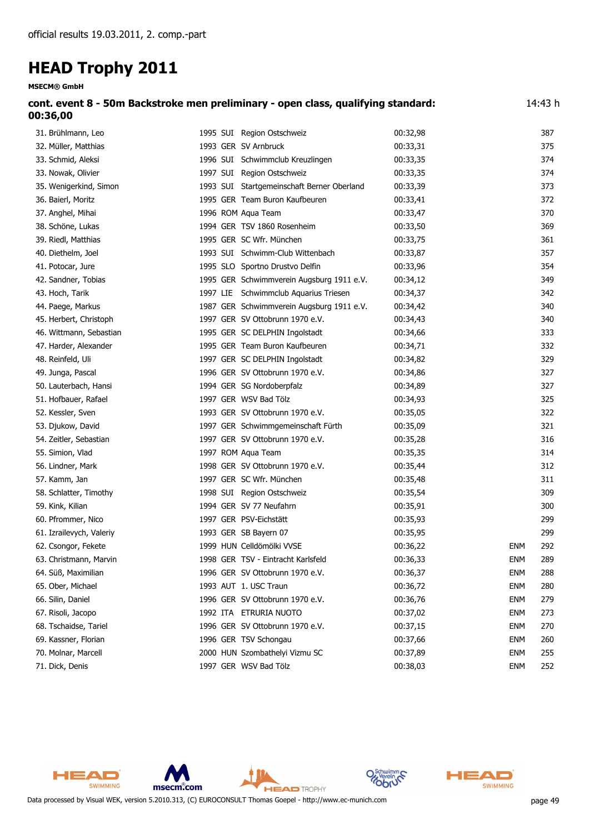| <b>MSECM® GmbH</b>                                                                            |                                            |          |            |     |  |
|-----------------------------------------------------------------------------------------------|--------------------------------------------|----------|------------|-----|--|
| cont. event 8 - 50m Backstroke men preliminary - open class, qualifying standard:<br>00:36,00 |                                            |          |            |     |  |
| 31. Brühlmann, Leo                                                                            | 1995 SUI Region Ostschweiz                 | 00:32,98 |            | 387 |  |
| 32. Müller, Matthias                                                                          | 1993 GER SV Arnbruck                       | 00:33,31 |            | 375 |  |
| 33. Schmid, Aleksi                                                                            | 1996 SUI Schwimmclub Kreuzlingen           | 00:33,35 |            | 374 |  |
| 33. Nowak, Olivier                                                                            | 1997 SUI Region Ostschweiz                 | 00:33,35 |            | 374 |  |
| 35. Wenigerkind, Simon                                                                        | 1993 SUI Startgemeinschaft Berner Oberland | 00:33,39 |            | 373 |  |
| 36. Baierl, Moritz                                                                            | 1995 GER Team Buron Kaufbeuren             | 00:33,41 |            | 372 |  |
| 37. Anghel, Mihai                                                                             | 1996 ROM Aqua Team                         | 00:33,47 |            | 370 |  |
| 38. Schöne, Lukas                                                                             | 1994 GER TSV 1860 Rosenheim                | 00:33,50 |            | 369 |  |
| 39. Riedl, Matthias                                                                           | 1995 GER SC Wfr. München                   | 00:33,75 |            | 361 |  |
| 40. Diethelm, Joel                                                                            | 1993 SUI Schwimm-Club Wittenbach           | 00:33,87 |            | 357 |  |
| 41. Potocar, Jure                                                                             | 1995 SLO Sportno Drustvo Delfin            | 00:33,96 |            | 354 |  |
| 42. Sandner, Tobias                                                                           | 1995 GER Schwimmverein Augsburg 1911 e.V.  | 00:34,12 |            | 349 |  |
| 43. Hoch, Tarik                                                                               | 1997 LIE Schwimmclub Aquarius Triesen      | 00:34,37 |            | 342 |  |
| 44. Paege, Markus                                                                             | 1987 GER Schwimmverein Augsburg 1911 e.V.  | 00:34,42 |            | 340 |  |
| 45. Herbert, Christoph                                                                        | 1997 GER SV Ottobrunn 1970 e.V.            | 00:34,43 |            | 340 |  |
| 46. Wittmann, Sebastian                                                                       | 1995 GER SC DELPHIN Ingolstadt             | 00:34,66 |            | 333 |  |
| 47. Harder, Alexander                                                                         | 1995 GER Team Buron Kaufbeuren             | 00:34,71 |            | 332 |  |
| 48. Reinfeld, Uli                                                                             | 1997 GER SC DELPHIN Ingolstadt             | 00:34,82 |            | 329 |  |
| 49. Junga, Pascal                                                                             | 1996 GER SV Ottobrunn 1970 e.V.            | 00:34,86 |            | 327 |  |
| 50. Lauterbach, Hansi                                                                         | 1994 GER SG Nordoberpfalz                  | 00:34,89 |            | 327 |  |
| 51. Hofbauer, Rafael                                                                          | 1997 GER WSV Bad Tölz                      | 00:34,93 |            | 325 |  |
| 52. Kessler, Sven                                                                             | 1993 GER SV Ottobrunn 1970 e.V.            | 00:35,05 |            | 322 |  |
| 53. Djukow, David                                                                             | 1997 GER Schwimmgemeinschaft Fürth         | 00:35,09 |            | 321 |  |
| 54. Zeitler, Sebastian                                                                        | 1997 GER SV Ottobrunn 1970 e.V.            | 00:35,28 |            | 316 |  |
| 55. Simion, Vlad                                                                              | 1997 ROM Aqua Team                         | 00:35,35 |            | 314 |  |
| 56. Lindner, Mark                                                                             | 1998 GER SV Ottobrunn 1970 e.V.            | 00:35,44 |            | 312 |  |
| 57. Kamm, Jan                                                                                 | 1997 GER SC Wfr. München                   | 00:35,48 |            | 311 |  |
| 58. Schlatter, Timothy                                                                        | 1998 SUI Region Ostschweiz                 | 00:35,54 |            | 309 |  |
| 59. Kink, Kilian                                                                              | 1994 GER SV 77 Neufahrn                    | 00:35,91 |            | 300 |  |
| 60. Pfrommer, Nico                                                                            | 1997 GER PSV-Eichstätt                     | 00:35,93 |            | 299 |  |
| 61. Izrailevych, Valeriy                                                                      | 1993 GER SB Bayern 07                      | 00:35,95 |            | 299 |  |
| 62. Csongor, Fekete                                                                           | 1999 HUN Celldömölki VVSE                  | 00:36,22 | <b>ENM</b> | 292 |  |
| 63. Christmann, Marvin                                                                        | 1998 GER TSV - Eintracht Karlsfeld         | 00:36,33 | <b>ENM</b> | 289 |  |
| 64. Süß, Maximilian                                                                           | 1996 GER SV Ottobrunn 1970 e.V.            | 00:36,37 | <b>ENM</b> | 288 |  |
| 65. Ober, Michael                                                                             | 1993 AUT 1. USC Traun                      | 00:36,72 | <b>ENM</b> | 280 |  |
| 66. Silin, Daniel                                                                             | 1996 GER SV Ottobrunn 1970 e.V.            | 00:36,76 | <b>ENM</b> | 279 |  |
| 67. Risoli, Jacopo                                                                            | 1992 ITA ETRURIA NUOTO                     | 00:37,02 | <b>ENM</b> | 273 |  |
| 68. Tschaidse, Tariel                                                                         | 1996 GER SV Ottobrunn 1970 e.V.            | 00:37,15 | <b>ENM</b> | 270 |  |
| 69. Kassner, Florian                                                                          | 1996 GER TSV Schongau                      | 00:37,66 | <b>ENM</b> | 260 |  |

- 70. Molnar, Marcell 2000 HUN Szombathelyi Vizmu SC 00:37,89 ENM 255
- 71. Dick, Denis **ENM** 252

HEAD SWIMMING msecm.com **HEAD** TROPHY Data processed by Visual WEK, version 5.2010.313, (C) EUROCONSULT Thomas Goepel - http://www.ec-munich.com page 49



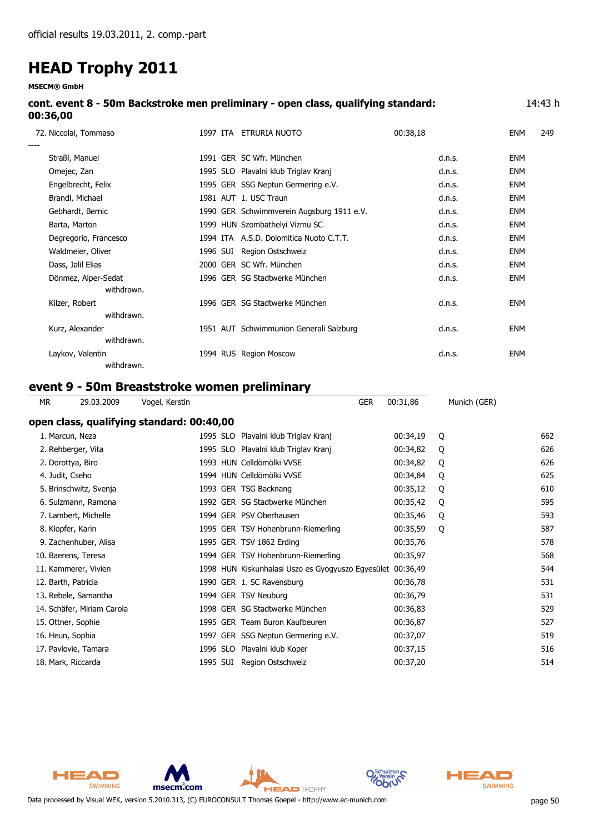**MSECM® GmbH**

| cont. event 8 - 50m Backstroke men preliminary - open class, qualifying standard: | 14:43 h |
|-----------------------------------------------------------------------------------|---------|
| 00:36,00                                                                          |         |

|      | 72. Niccolai, Tommaso | 1997 ITA | ETRURIA NUOTO                             | 00:38,18 | <b>ENM</b> | 249 |
|------|-----------------------|----------|-------------------------------------------|----------|------------|-----|
| ---- | Straßl, Manuel        |          | 1991 GER SC Wfr. München                  | d.n.s.   | <b>ENM</b> |     |
|      | Omejec, Zan           |          | 1995 SLO Plavalni klub Triglav Kranj      | d.n.s.   | <b>ENM</b> |     |
|      | Engelbrecht, Felix    |          | 1995 GER SSG Neptun Germering e.V.        | d.n.s.   | <b>ENM</b> |     |
|      | Brandl, Michael       |          | 1981 AUT 1. USC Traun                     | d.n.s.   | <b>ENM</b> |     |
|      | Gebhardt, Bernic      |          | 1990 GER Schwimmverein Augsburg 1911 e.V. | d.n.s.   | <b>ENM</b> |     |
|      | Barta, Marton         |          | 1999 HUN Szombathelyi Vizmu SC            | d.n.s.   | <b>ENM</b> |     |
|      | Degregorio, Francesco |          | 1994 ITA A.S.D. Dolomitica Nuoto C.T.T.   | d.n.s.   | <b>ENM</b> |     |
|      | Waldmeier, Oliver     |          | 1996 SUI Region Ostschweiz                | d.n.s.   | <b>ENM</b> |     |
|      | Dass, Jalil Elias     |          | 2000 GER SC Wfr. München                  | d.n.s.   | <b>ENM</b> |     |
|      | Dönmez, Alper-Sedat   |          | 1996 GER SG Stadtwerke München            | d.n.s.   | <b>ENM</b> |     |
|      | withdrawn.            |          |                                           |          |            |     |
|      | Kilzer, Robert        |          | 1996 GER SG Stadtwerke München            | d.n.s.   | <b>ENM</b> |     |
|      | withdrawn.            |          |                                           |          |            |     |
|      | Kurz, Alexander       |          | 1951 AUT Schwimmunion Generali Salzburg   | d.n.s.   | <b>ENM</b> |     |
|      | withdrawn.            |          |                                           |          |            |     |
|      | Laykov, Valentin      |          | 1994 RUS Region Moscow                    | d.n.s.   | <b>ENM</b> |     |
|      | withdrawn.            |          |                                           |          |            |     |

### **event 9 - 50m Breaststroke women preliminary**

| МR                     | 29.03.2009                 | Vogel, Kerstin                            |  | <b>GER</b>                                        | 00:31,86 | Munich (GER) |     |
|------------------------|----------------------------|-------------------------------------------|--|---------------------------------------------------|----------|--------------|-----|
|                        |                            | open class, qualifying standard: 00:40,00 |  |                                                   |          |              |     |
| 1. Marcun, Neza        |                            |                                           |  | 1995 SLO Plavalni klub Triglav Kranj              | 00:34,19 | Q            | 662 |
| 2. Rehberger, Vita     |                            |                                           |  | 1995 SLO Plavalni klub Triglav Kranj              | 00:34,82 | Q            | 626 |
| 2. Dorottya, Biro      |                            |                                           |  | 1993 HUN Celldömölki VVSE                         | 00:34,82 | Q            | 626 |
| 4. Judit, Cseho        |                            |                                           |  | 1994 HUN Celldömölki VVSE                         | 00:34,84 | Q            | 625 |
| 5. Brinschwitz, Svenja |                            |                                           |  | 1993 GER TSG Backnang                             | 00:35,12 | Q            | 610 |
| 6. Sulzmann, Ramona    |                            |                                           |  | 1992 GER SG Stadtwerke München                    | 00:35,42 | Q            | 595 |
| 7. Lambert, Michelle   |                            |                                           |  | 1994 GER PSV Oberhausen                           | 00:35,46 | Q            | 593 |
| 8. Klopfer, Karin      |                            |                                           |  | 1995 GER TSV Hohenbrunn-Riemerling                | 00:35,59 | Q            | 587 |
| 9. Zachenhuber, Alisa  |                            |                                           |  | 1995 GER TSV 1862 Erding                          | 00:35,76 |              | 578 |
| 10. Baerens, Teresa    |                            |                                           |  | 1994 GER TSV Hohenbrunn-Riemerling                | 00:35,97 |              | 568 |
| 11. Kammerer, Vivien   |                            |                                           |  | 1998 HUN Kiskunhalasi Uszo es Gyogyuszo Egyesület | 00:36,49 |              | 544 |
| 12. Barth, Patricia    |                            |                                           |  | 1990 GER 1. SC Ravensburg                         | 00:36,78 |              | 531 |
| 13. Rebele, Samantha   |                            |                                           |  | 1994 GER TSV Neuburg                              | 00:36,79 |              | 531 |
|                        | 14. Schäfer, Miriam Carola |                                           |  | 1998 GER SG Stadtwerke München                    | 00:36,83 |              | 529 |
| 15. Ottner, Sophie     |                            |                                           |  | 1995 GER Team Buron Kaufbeuren                    | 00:36,87 |              | 527 |
| 16. Heun, Sophia       |                            |                                           |  | 1997 GER SSG Neptun Germering e.V.                | 00:37,07 |              | 519 |
| 17. Pavlovie, Tamara   |                            |                                           |  | 1996 SLO Plavalni klub Koper                      | 00:37,15 |              | 516 |
| 18. Mark, Riccarda     |                            |                                           |  | 1995 SUI Region Ostschweiz                        | 00:37,20 |              | 514 |
|                        |                            |                                           |  |                                                   |          |              |     |



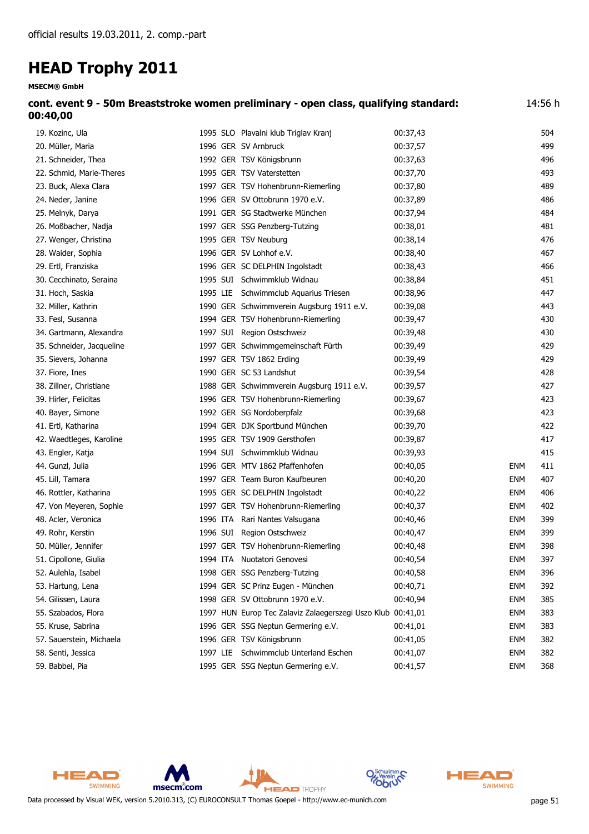**MSECM® GmbH**

| cont. event 9 - 50m Breaststroke women preliminary - open class, qualifying standard:<br>00:40,00 |                                      | 14:56 h  |     |
|---------------------------------------------------------------------------------------------------|--------------------------------------|----------|-----|
| 19. Kozinc, Ula                                                                                   | 1995 SLO Plavalni klub Triglav Kranj | 00:37,43 | 504 |
| 20. Müller, Maria                                                                                 | 1996 GER SV Arnbruck                 | 00:37.57 | 499 |
| 21. Schneider, Thea                                                                               | 1992 GER TSV Königsbrunn             | 00:37,63 | 496 |
| 22. Schmid, Marie-Theres                                                                          | 1995 GER TSV Vaterstetten            | 00:37.70 | 493 |
| 23. Buck, Alexa Clara                                                                             | 1997 GER TSV Hohenbrunn-Riemerling   | 00:37,80 | 489 |
| 24. Neder, Janine                                                                                 | 1996 GER SV Ottobrunn 1970 e.V.      | 00:37.89 | 486 |
| 25. Melnyk, Darya                                                                                 | 1991 GER SG Stadtwerke München       | 00:37,94 | 484 |
| 26. Moßbacher, Nadja                                                                              | 1997 GER SSG Penzberg-Tutzing        | 00:38.01 | 481 |

| 59. Babbel, Pia |  |
|-----------------|--|
|-----------------|--|

| 27. Wenger, Christina     | 1995 GER TSV Neuburg                                        | 00:38,14 |            | 476 |
|---------------------------|-------------------------------------------------------------|----------|------------|-----|
| 28. Waider, Sophia        | 1996 GER SV Lohhof e.V.                                     | 00:38,40 |            | 467 |
| 29. Ertl, Franziska       | 1996 GER SC DELPHIN Ingolstadt                              | 00:38,43 |            | 466 |
| 30. Cecchinato, Seraina   | 1995 SUI Schwimmklub Widnau                                 | 00:38,84 |            | 451 |
| 31. Hoch, Saskia          | 1995 LIE Schwimmclub Aquarius Triesen                       | 00:38,96 |            | 447 |
| 32. Miller, Kathrin       | 1990 GER Schwimmverein Augsburg 1911 e.V.                   | 00:39,08 |            | 443 |
| 33. Fesl, Susanna         | 1994 GER TSV Hohenbrunn-Riemerling                          | 00:39,47 |            | 430 |
| 34. Gartmann, Alexandra   | 1997 SUI Region Ostschweiz                                  | 00:39,48 |            | 430 |
| 35. Schneider, Jacqueline | 1997 GER Schwimmgemeinschaft Fürth                          | 00:39,49 |            | 429 |
| 35. Sievers, Johanna      | 1997 GER TSV 1862 Erding                                    | 00:39,49 |            | 429 |
| 37. Fiore, Ines           | 1990 GER SC 53 Landshut                                     | 00:39,54 |            | 428 |
| 38. Zillner, Christiane   | 1988 GER Schwimmverein Augsburg 1911 e.V.                   | 00:39,57 |            | 427 |
| 39. Hirler, Felicitas     | 1996 GER TSV Hohenbrunn-Riemerling                          | 00:39,67 |            | 423 |
| 40. Bayer, Simone         | 1992 GER SG Nordoberpfalz                                   | 00:39,68 |            | 423 |
| 41. Ertl, Katharina       | 1994 GER DJK Sportbund München                              | 00:39,70 |            | 422 |
| 42. Waedtleges, Karoline  | 1995 GER TSV 1909 Gersthofen                                | 00:39,87 |            | 417 |
| 43. Engler, Katja         | 1994 SUI Schwimmklub Widnau                                 | 00:39,93 |            | 415 |
| 44. Gunzl, Julia          | 1996 GER MTV 1862 Pfaffenhofen                              | 00:40,05 | <b>ENM</b> | 411 |
| 45. Lill, Tamara          | 1997 GER Team Buron Kaufbeuren                              | 00:40,20 | <b>ENM</b> | 407 |
| 46. Rottler, Katharina    | 1995 GER SC DELPHIN Ingolstadt                              | 00:40,22 | <b>ENM</b> | 406 |
| 47. Von Meyeren, Sophie   | 1997 GER TSV Hohenbrunn-Riemerling                          | 00:40,37 | <b>ENM</b> | 402 |
| 48. Acler, Veronica       | 1996 ITA Rari Nantes Valsugana                              | 00:40,46 | <b>ENM</b> | 399 |
| 49. Rohr, Kerstin         | 1996 SUI Region Ostschweiz                                  | 00:40,47 | <b>ENM</b> | 399 |
| 50. Müller, Jennifer      | 1997 GER TSV Hohenbrunn-Riemerling                          | 00:40,48 | <b>ENM</b> | 398 |
| 51. Cipollone, Giulia     | 1994 ITA Nuotatori Genovesi                                 | 00:40,54 | <b>ENM</b> | 397 |
| 52. Aulehla, Isabel       | 1998 GER SSG Penzberg-Tutzing                               | 00:40,58 | <b>ENM</b> | 396 |
| 53. Hartung, Lena         | 1994 GER SC Prinz Eugen - München                           | 00:40,71 | <b>ENM</b> | 392 |
| 54. Gilissen, Laura       | 1998 GER SV Ottobrunn 1970 e.V.                             | 00:40,94 | <b>ENM</b> | 385 |
| 55. Szabados, Flora       | 1997 HUN Europ Tec Zalaviz Zalaegerszegi Uszo Klub 00:41,01 |          | <b>ENM</b> | 383 |
| 55. Kruse, Sabrina        | 1996 GER SSG Neptun Germering e.V.                          | 00:41,01 | <b>ENM</b> | 383 |
| 57. Sauerstein, Michaela  | 1996 GER TSV Königsbrunn                                    | 00:41,05 | <b>ENM</b> | 382 |
| 58. Senti, Jessica        | 1997 LIE Schwimmclub Unterland Eschen                       | 00:41,07 | <b>ENM</b> | 382 |

HEAD **SWIMMING** msecm.com **HEAD** TROPHY



59. Babbel, Pia 1995 GER SSG Neptun Germering e.V. 00:41,57 ENM 368

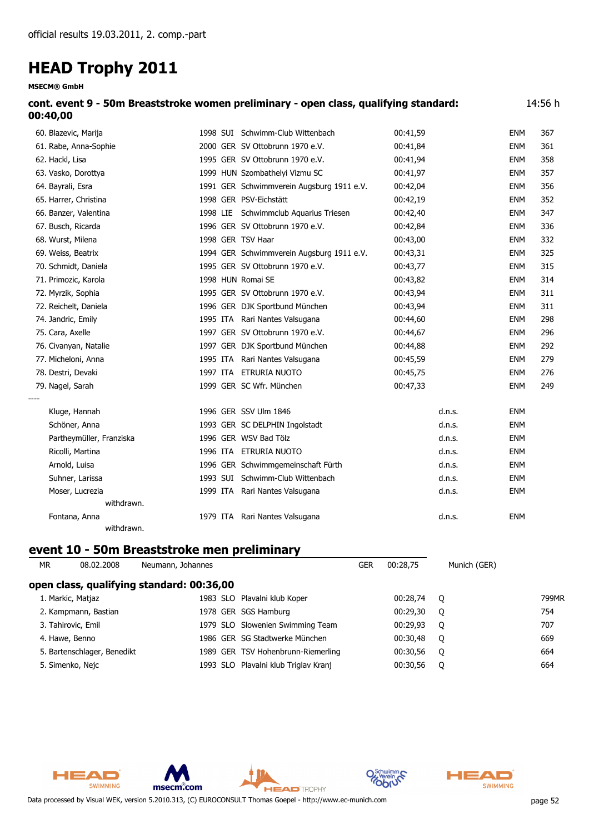**MSECM® GmbH**

| cont. event 9 - 50m Breaststroke women preliminary - open class, qualifying standard: | 14:56 h |
|---------------------------------------------------------------------------------------|---------|
| 00:40,00                                                                              |         |

| 60. Blazevic, Marija     |          | 1998 SUI Schwimm-Club Wittenbach          | 00:41,59 |        | <b>ENM</b> | 367 |
|--------------------------|----------|-------------------------------------------|----------|--------|------------|-----|
| 61. Rabe, Anna-Sophie    |          | 2000 GER SV Ottobrunn 1970 e.V.           | 00:41,84 |        | <b>ENM</b> | 361 |
| 62. Hackl, Lisa          |          | 1995 GER SV Ottobrunn 1970 e.V.           | 00:41,94 |        | <b>ENM</b> | 358 |
| 63. Vasko, Dorottya      |          | 1999 HUN Szombathelyi Vizmu SC            | 00:41,97 |        | <b>ENM</b> | 357 |
| 64. Bayrali, Esra        |          | 1991 GER Schwimmverein Augsburg 1911 e.V. | 00:42,04 |        | <b>ENM</b> | 356 |
| 65. Harrer, Christina    |          | 1998 GER PSV-Eichstätt                    | 00:42,19 |        | <b>ENM</b> | 352 |
| 66. Banzer, Valentina    |          | 1998 LIE Schwimmclub Aquarius Triesen     | 00:42,40 |        | <b>ENM</b> | 347 |
| 67. Busch, Ricarda       |          | 1996 GER SV Ottobrunn 1970 e.V.           | 00:42,84 |        | <b>ENM</b> | 336 |
| 68. Wurst, Milena        |          | 1998 GER TSV Haar                         | 00:43,00 |        | <b>ENM</b> | 332 |
| 69. Weiss, Beatrix       |          | 1994 GER Schwimmverein Augsburg 1911 e.V. | 00:43,31 |        | <b>ENM</b> | 325 |
| 70. Schmidt, Daniela     |          | 1995 GER SV Ottobrunn 1970 e.V.           | 00:43,77 |        | <b>ENM</b> | 315 |
| 71. Primozic, Karola     |          | 1998 HUN Romai SE                         | 00:43,82 |        | <b>ENM</b> | 314 |
| 72. Myrzik, Sophia       |          | 1995 GER SV Ottobrunn 1970 e.V.           | 00:43,94 |        | <b>ENM</b> | 311 |
| 72. Reichelt, Daniela    |          | 1996 GER DJK Sportbund München            | 00:43,94 |        | <b>ENM</b> | 311 |
| 74. Jandric, Emily       |          | 1995 ITA Rari Nantes Valsugana            | 00:44,60 |        | <b>ENM</b> | 298 |
| 75. Cara, Axelle         |          | 1997 GER SV Ottobrunn 1970 e.V.           | 00:44,67 |        | <b>ENM</b> | 296 |
| 76. Civanyan, Natalie    |          | 1997 GER DJK Sportbund München            | 00:44,88 |        | <b>ENM</b> | 292 |
| 77. Micheloni, Anna      |          | 1995 ITA Rari Nantes Valsugana            | 00:45,59 |        | <b>ENM</b> | 279 |
| 78. Destri, Devaki       |          | 1997 ITA ETRURIA NUOTO                    | 00:45,75 |        | <b>ENM</b> | 276 |
| 79. Nagel, Sarah         |          | 1999 GER SC Wfr. München                  | 00:47,33 |        | <b>ENM</b> | 249 |
|                          |          |                                           |          |        |            |     |
| Kluge, Hannah            |          | 1996 GER SSV Ulm 1846                     |          | d.n.s. | <b>ENM</b> |     |
| Schöner, Anna            |          | 1993 GER SC DELPHIN Ingolstadt            |          | d.n.s. | <b>ENM</b> |     |
| Partheymüller, Franziska |          | 1996 GER WSV Bad Tölz                     |          | d.n.s. | <b>ENM</b> |     |
| Ricolli, Martina         |          | 1996 ITA ETRURIA NUOTO                    |          | d.n.s. | <b>ENM</b> |     |
| Arnold, Luisa            |          | 1996 GER Schwimmgemeinschaft Fürth        |          | d.n.s. | <b>ENM</b> |     |
| Suhner, Larissa          |          | 1993 SUI Schwimm-Club Wittenbach          |          | d.n.s. | <b>ENM</b> |     |
| Moser, Lucrezia          |          | 1999 ITA Rari Nantes Valsugana            |          | d.n.s. | <b>ENM</b> |     |
| withdrawn.               |          |                                           |          |        |            |     |
| Fontana, Anna            | 1979 ITA | Rari Nantes Valsugana                     |          | d.n.s. | <b>ENM</b> |     |
| withdrawn.               |          |                                           |          |        |            |     |

### **event 10 - 50m Breaststroke men preliminary**

| МR | 08.02.2008                                | Neumann, Johannes |                                      | GER | 00:28.75 | Munich (GER) |       |  |  |  |
|----|-------------------------------------------|-------------------|--------------------------------------|-----|----------|--------------|-------|--|--|--|
|    | open class, qualifying standard: 00:36,00 |                   |                                      |     |          |              |       |  |  |  |
|    | 1. Markic, Matjaz                         |                   | 1983 SLO Plavalni klub Koper         |     | 00:28.74 | - 0          | 799MR |  |  |  |
|    | 2. Kampmann, Bastian                      |                   | 1978 GER SGS Hamburg                 |     | 00:29.30 | $\circ$      | 754   |  |  |  |
|    | 3. Tahirovic, Emil                        |                   | 1979 SLO Slowenien Swimming Team     |     | 00:29.93 | $\circ$      | 707   |  |  |  |
|    | 4. Hawe, Benno                            |                   | 1986 GER SG Stadtwerke München       |     | 00:30.48 | O            | 669   |  |  |  |
|    | 5. Bartenschlager, Benedikt               |                   | 1989 GER TSV Hohenbrunn-Riemerling   |     | 00:30,56 | $\circ$      | 664   |  |  |  |
|    | 5. Simenko, Nejc                          |                   | 1993 SLO Plavalni klub Triglav Kranj |     | 00:30.56 | 0            | 664   |  |  |  |



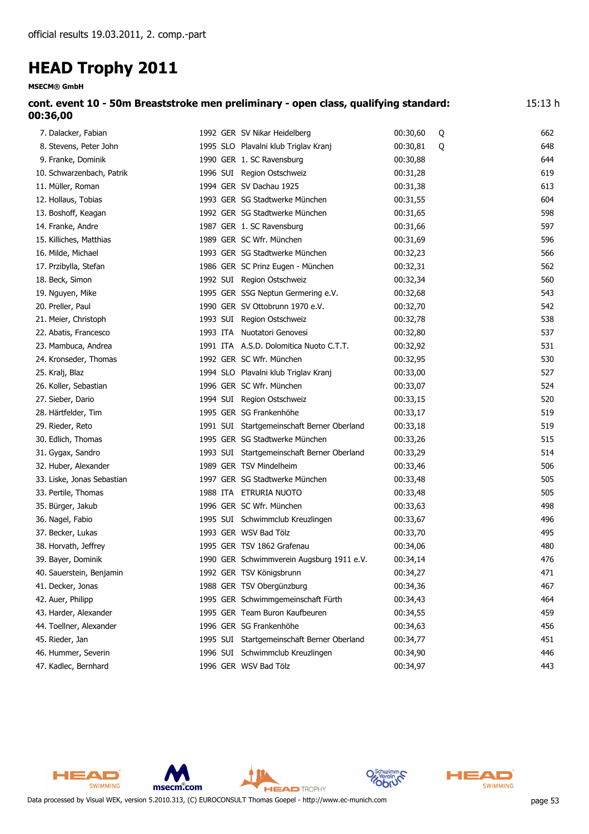| cont. event 10 - 50m Breaststroke men preliminary - open class, qualifying standard: | 15:13 h |
|--------------------------------------------------------------------------------------|---------|
| 00:36,00                                                                             |         |

| 7. Dalacker, Fabian        | 1992 GER SV Nikar Heidelberg               | 00:30,60 | Q | 662 |
|----------------------------|--------------------------------------------|----------|---|-----|
| 8. Stevens, Peter John     | 1995 SLO Plavalni klub Triglav Kranj       | 00:30,81 | Q | 648 |
| 9. Franke, Dominik         | 1990 GER 1. SC Ravensburg                  | 00:30,88 |   | 644 |
| 10. Schwarzenbach, Patrik  | 1996 SUI Region Ostschweiz                 | 00:31,28 |   | 619 |
| 11. Müller, Roman          | 1994 GER SV Dachau 1925                    | 00:31,38 |   | 613 |
| 12. Hollaus, Tobias        | 1993 GER SG Stadtwerke München             | 00:31,55 |   | 604 |
| 13. Boshoff, Keagan        | 1992 GER SG Stadtwerke München             | 00:31,65 |   | 598 |
| 14. Franke, Andre          | 1987 GER 1. SC Ravensburg                  | 00:31,66 |   | 597 |
| 15. Killiches, Matthias    | 1989 GER SC Wfr. München                   | 00:31,69 |   | 596 |
| 16. Milde, Michael         | 1993 GER SG Stadtwerke München             | 00:32,23 |   | 566 |
| 17. Przibylla, Stefan      | 1986 GER SC Prinz Eugen - München          | 00:32,31 |   | 562 |
| 18. Beck, Simon            | 1992 SUI Region Ostschweiz                 | 00:32,34 |   | 560 |
| 19. Nguyen, Mike           | 1995 GER SSG Neptun Germering e.V.         | 00:32,68 |   | 543 |
| 20. Preller, Paul          | 1990 GER SV Ottobrunn 1970 e.V.            | 00:32,70 |   | 542 |
| 21. Meier, Christoph       | 1993 SUI Region Ostschweiz                 | 00:32,78 |   | 538 |
| 22. Abatis, Francesco      | 1993 ITA Nuotatori Genovesi                | 00:32,80 |   | 537 |
| 23. Mambuca, Andrea        | 1991 ITA A.S.D. Dolomitica Nuoto C.T.T.    | 00:32,92 |   | 531 |
| 24. Kronseder, Thomas      | 1992 GER SC Wfr. München                   | 00:32,95 |   | 530 |
| 25. Kralj, Blaz            | 1994 SLO Plavalni klub Triglav Kranj       | 00:33,00 |   | 527 |
| 26. Koller, Sebastian      | 1996 GER SC Wfr. München                   | 00:33,07 |   | 524 |
| 27. Sieber, Dario          | 1994 SUI Region Ostschweiz                 | 00:33,15 |   | 520 |
| 28. Härtfelder, Tim        | 1995 GER SG Frankenhöhe                    | 00:33,17 |   | 519 |
| 29. Rieder, Reto           | 1991 SUI Startgemeinschaft Berner Oberland | 00:33,18 |   | 519 |
| 30. Edlich, Thomas         | 1995 GER SG Stadtwerke München             | 00:33,26 |   | 515 |
| 31. Gygax, Sandro          | 1993 SUI Startgemeinschaft Berner Oberland | 00:33,29 |   | 514 |
| 32. Huber, Alexander       | 1989 GER TSV Mindelheim                    | 00:33,46 |   | 506 |
| 33. Liske, Jonas Sebastian | 1997 GER SG Stadtwerke München             | 00:33,48 |   | 505 |
| 33. Pertile, Thomas        | 1988 ITA ETRURIA NUOTO                     | 00:33,48 |   | 505 |
| 35. Bürger, Jakub          | 1996 GER SC Wfr. München                   | 00:33,63 |   | 498 |
| 36. Nagel, Fabio           | 1995 SUI Schwimmclub Kreuzlingen           | 00:33,67 |   | 496 |
| 37. Becker, Lukas          | 1993 GER WSV Bad Tölz                      | 00:33,70 |   | 495 |
| 38. Horvath, Jeffrey       | 1995 GER TSV 1862 Grafenau                 | 00:34,06 |   | 480 |
| 39. Bayer, Dominik         | 1990 GER Schwimmverein Augsburg 1911 e.V.  | 00:34,14 |   | 476 |
| 40. Sauerstein, Benjamin   | 1992 GER TSV Königsbrunn                   | 00:34,27 |   | 471 |
| 41. Decker, Jonas          | 1988 GER TSV Obergünzburg                  | 00:34,36 |   | 467 |
| 42. Auer, Philipp          | 1995 GER Schwimmgemeinschaft Fürth         | 00:34,43 |   | 464 |
| 43. Harder, Alexander      | 1995 GER Team Buron Kaufbeuren             | 00:34,55 |   | 459 |
| 44. Toellner, Alexander    | 1996 GER SG Frankenhöhe                    | 00:34,63 |   | 456 |
| 45. Rieder, Jan            | 1995 SUI Startgemeinschaft Berner Oberland | 00:34,77 |   | 451 |
| 46. Hummer, Severin        | 1996 SUI Schwimmclub Kreuzlingen           | 00:34,90 |   | 446 |
| 47. Kadlec, Bernhard       | 1996 GER WSV Bad Tölz                      | 00:34,97 |   | 443 |



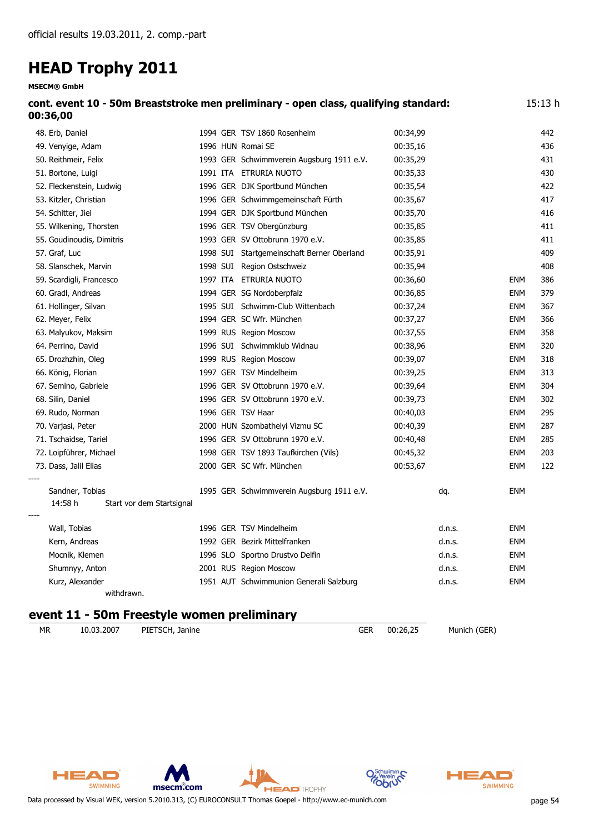**MSECM® GmbH**

| cont. event 10 - 50m Breaststroke men preliminary - open class, qualifying standard:<br>00:36,00 |                   |                                            |          |                      | 15:13 h |
|--------------------------------------------------------------------------------------------------|-------------------|--------------------------------------------|----------|----------------------|---------|
| 48. Erb, Daniel                                                                                  |                   | 1994 GER TSV 1860 Rosenheim                | 00:34,99 |                      | 442     |
| 49. Venyige, Adam                                                                                | 1996 HUN Romai SE |                                            | 00:35,16 |                      | 436     |
| 50. Reithmeir, Felix                                                                             |                   | 1993 GER Schwimmverein Augsburg 1911 e.V.  | 00:35,29 |                      | 431     |
| 51. Bortone, Luigi                                                                               |                   | 1991 ITA ETRURIA NUOTO                     | 00:35,33 |                      | 430     |
| 52. Fleckenstein, Ludwig                                                                         |                   | 1996 GER DJK Sportbund München             | 00:35,54 |                      | 422     |
| 53. Kitzler, Christian                                                                           |                   | 1996 GER Schwimmgemeinschaft Fürth         | 00:35,67 |                      | 417     |
| 54. Schitter, Jiei                                                                               |                   | 1994 GER DJK Sportbund München             | 00:35,70 |                      | 416     |
| 55. Wilkening, Thorsten                                                                          |                   | 1996 GER TSV Obergünzburg                  | 00:35,85 |                      | 411     |
| 55. Goudinoudis, Dimitris                                                                        |                   | 1993 GER SV Ottobrunn 1970 e.V.            | 00:35,85 |                      | 411     |
| 57. Graf, Luc                                                                                    |                   | 1998 SUI Startgemeinschaft Berner Oberland | 00:35,91 |                      | 409     |
| 58. Slanschek, Marvin                                                                            |                   | 1998 SUI Region Ostschweiz                 | 00:35,94 |                      | 408     |
| 59. Scardigli, Francesco                                                                         |                   | 1997 ITA ETRURIA NUOTO                     | 00:36,60 | <b>ENM</b>           | 386     |
| 60. Gradl, Andreas                                                                               |                   | 1994 GER SG Nordoberpfalz                  | 00:36,85 | <b>ENM</b>           | 379     |
| 61. Hollinger, Silvan                                                                            |                   | 1995 SUI Schwimm-Club Wittenbach           | 00:37,24 | <b>ENM</b>           | 367     |
| 62. Meyer, Felix                                                                                 |                   | 1994 GER SC Wfr. München                   | 00:37,27 | <b>ENM</b>           | 366     |
| 63. Malyukov, Maksim                                                                             |                   | 1999 RUS Region Moscow                     | 00:37,55 | <b>ENM</b>           | 358     |
| 64. Perrino, David                                                                               |                   | 1996 SUI Schwimmklub Widnau                | 00:38,96 | <b>ENM</b>           | 320     |
| 65. Drozhzhin, Oleg                                                                              |                   | 1999 RUS Region Moscow                     | 00:39,07 | <b>ENM</b>           | 318     |
| 66. König, Florian                                                                               |                   | 1997 GER TSV Mindelheim                    | 00:39,25 | <b>ENM</b>           | 313     |
| 67. Semino, Gabriele                                                                             |                   | 1996 GER SV Ottobrunn 1970 e.V.            | 00:39,64 | <b>ENM</b>           | 304     |
| 68. Silin, Daniel                                                                                |                   | 1996 GER SV Ottobrunn 1970 e.V.            | 00:39,73 | <b>ENM</b>           | 302     |
| 69. Rudo, Norman                                                                                 | 1996 GER TSV Haar |                                            | 00:40,03 | <b>ENM</b>           | 295     |
| 70. Varjasi, Peter                                                                               |                   | 2000 HUN Szombathelyi Vizmu SC             | 00:40,39 | <b>ENM</b>           | 287     |
| 71. Tschaidse, Tariel                                                                            |                   | 1996 GER SV Ottobrunn 1970 e.V.            | 00:40,48 | <b>ENM</b>           | 285     |
| 72. Loipführer, Michael                                                                          |                   | 1998 GER TSV 1893 Taufkirchen (Vils)       | 00:45,32 | <b>ENM</b>           | 203     |
| 73. Dass, Jalil Elias                                                                            |                   | 2000 GER SC Wfr. München                   | 00:53,67 | <b>ENM</b>           | 122     |
| Sandner, Tobias                                                                                  |                   | 1995 GER Schwimmverein Augsburg 1911 e.V.  | dq.      | <b>ENM</b>           |         |
| 14:58 h<br>Start vor dem Startsignal                                                             |                   |                                            |          |                      |         |
| Wall, Tobias                                                                                     |                   | 1996 GER TSV Mindelheim                    |          | <b>ENM</b><br>d.n.s. |         |
| Kern, Andreas                                                                                    |                   | 1992 GER Bezirk Mittelfranken              |          | d.n.s.<br><b>ENM</b> |         |
| Mocnik, Klemen                                                                                   |                   | 1996 SLO Sportno Drustvo Delfin            |          | d.n.s.<br><b>ENM</b> |         |
| Shumnyy, Anton                                                                                   |                   | 2001 RUS Region Moscow                     |          | d.n.s.<br><b>ENM</b> |         |
| Kurz, Alexander                                                                                  |                   | 1951 AUT Schwimmunion Generali Salzburg    |          | d.n.s.<br><b>ENM</b> |         |
| withdrawn.                                                                                       |                   |                                            |          |                      |         |

**HEAD** TROPHY

### **event 11 - 50m Freestyle women preliminary**

*MR 10.03.2007 PIETSCH, Janine GER 00:26,25 Munich (GER)*





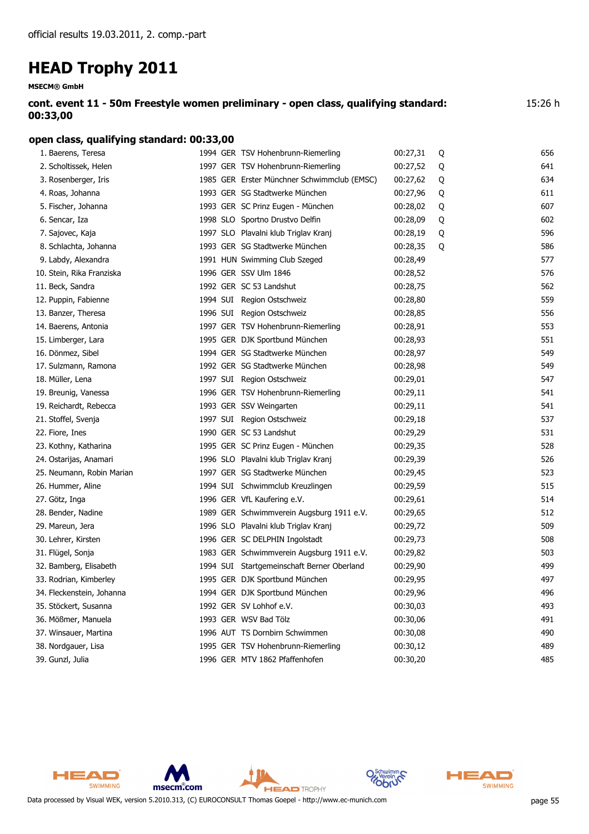**MSECM® GmbH**

**cont. event 11 - 50m Freestyle women preliminary - open class, qualifying standard: 00:33,00** 15:26 h

#### **open class, qualifying standard: 00:33,00**

| 1. Baerens, Teresa        | 1994 GER TSV Hohenbrunn-Riemerling          | 00:27,31 | Q | 656 |
|---------------------------|---------------------------------------------|----------|---|-----|
| 2. Scholtissek, Helen     | 1997 GER TSV Hohenbrunn-Riemerling          | 00:27,52 | Q | 641 |
| 3. Rosenberger, Iris      | 1985 GER Erster Münchner Schwimmclub (EMSC) | 00:27,62 | Q | 634 |
| 4. Roas, Johanna          | 1993 GER SG Stadtwerke München              | 00:27,96 | Q | 611 |
| 5. Fischer, Johanna       | 1993 GER SC Prinz Eugen - München           | 00:28,02 | Q | 607 |
| 6. Sencar, Iza            | 1998 SLO Sportno Drustvo Delfin             | 00:28,09 | Q | 602 |
| 7. Sajovec, Kaja          | 1997 SLO Plavalni klub Triglav Kranj        | 00:28,19 | Q | 596 |
| 8. Schlachta, Johanna     | 1993 GER SG Stadtwerke München              | 00:28,35 | Q | 586 |
| 9. Labdy, Alexandra       | 1991 HUN Swimming Club Szeged               | 00:28,49 |   | 577 |
| 10. Stein, Rika Franziska | 1996 GER SSV Ulm 1846                       | 00:28,52 |   | 576 |
| 11. Beck, Sandra          | 1992 GER SC 53 Landshut                     | 00:28,75 |   | 562 |
| 12. Puppin, Fabienne      | 1994 SUI Region Ostschweiz                  | 00:28,80 |   | 559 |
| 13. Banzer, Theresa       | 1996 SUI Region Ostschweiz                  | 00:28,85 |   | 556 |
| 14. Baerens, Antonia      | 1997 GER TSV Hohenbrunn-Riemerling          | 00:28,91 |   | 553 |
| 15. Limberger, Lara       | 1995 GER DJK Sportbund München              | 00:28,93 |   | 551 |
| 16. Dönmez, Sibel         | 1994 GER SG Stadtwerke München              | 00:28,97 |   | 549 |
| 17. Sulzmann, Ramona      | 1992 GER SG Stadtwerke München              | 00:28,98 |   | 549 |
| 18. Müller, Lena          | 1997 SUI Region Ostschweiz                  | 00:29,01 |   | 547 |
| 19. Breunig, Vanessa      | 1996 GER TSV Hohenbrunn-Riemerling          | 00:29,11 |   | 541 |
| 19. Reichardt, Rebecca    | 1993 GER SSV Weingarten                     | 00:29,11 |   | 541 |
| 21. Stoffel, Svenja       | 1997 SUI Region Ostschweiz                  | 00:29,18 |   | 537 |
| 22. Fiore, Ines           | 1990 GER SC 53 Landshut                     | 00:29,29 |   | 531 |
| 23. Kothny, Katharina     | 1995 GER SC Prinz Eugen - München           | 00:29,35 |   | 528 |
| 24. Ostarijas, Anamari    | 1996 SLO Plavalni klub Triglav Kranj        | 00:29,39 |   | 526 |
| 25. Neumann, Robin Marian | 1997 GER SG Stadtwerke München              | 00:29,45 |   | 523 |
| 26. Hummer, Aline         | 1994 SUI Schwimmclub Kreuzlingen            | 00:29,59 |   | 515 |
| 27. Götz, Inga            | 1996 GER VfL Kaufering e.V.                 | 00:29,61 |   | 514 |
| 28. Bender, Nadine        | 1989 GER Schwimmverein Augsburg 1911 e.V.   | 00:29,65 |   | 512 |
| 29. Mareun, Jera          | 1996 SLO Plavalni klub Triglav Kranj        | 00:29,72 |   | 509 |
| 30. Lehrer, Kirsten       | 1996 GER SC DELPHIN Ingolstadt              | 00:29,73 |   | 508 |
| 31. Flügel, Sonja         | 1983 GER Schwimmverein Augsburg 1911 e.V.   | 00:29,82 |   | 503 |
| 32. Bamberg, Elisabeth    | 1994 SUI Startgemeinschaft Berner Oberland  | 00:29,90 |   | 499 |
| 33. Rodrian, Kimberley    | 1995 GER DJK Sportbund München              | 00:29,95 |   | 497 |
| 34. Fleckenstein, Johanna | 1994 GER DJK Sportbund München              | 00:29,96 |   | 496 |
| 35. Stöckert, Susanna     | 1992 GER SV Lohhof e.V.                     | 00:30,03 |   | 493 |
| 36. Mößmer, Manuela       | 1993 GER WSV Bad Tölz                       | 00:30,06 |   | 491 |
| 37. Winsauer, Martina     | 1996 AUT TS Dornbirn Schwimmen              | 00:30,08 |   | 490 |
| 38. Nordgauer, Lisa       | 1995 GER TSV Hohenbrunn-Riemerling          | 00:30,12 |   | 489 |
| 39. Gunzl, Julia          | 1996 GER MTV 1862 Pfaffenhofen              | 00:30,20 |   | 485 |



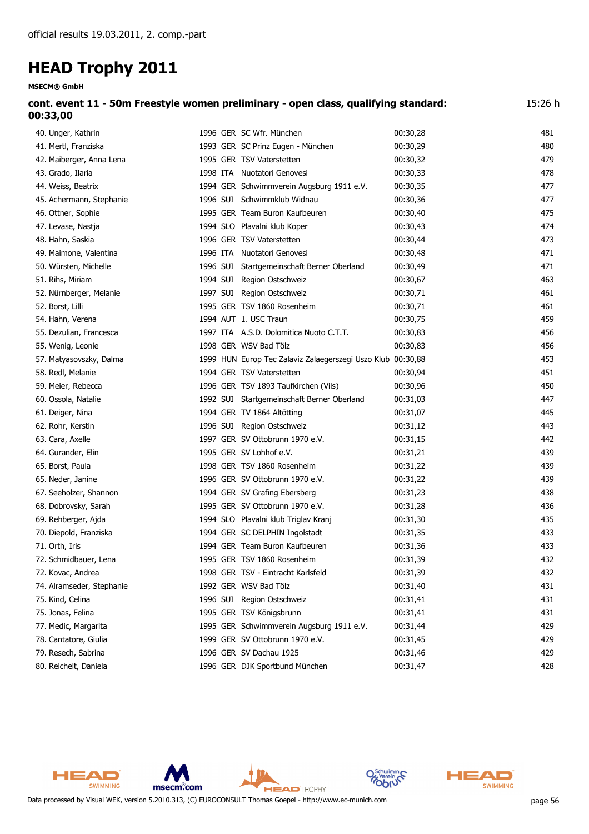| <b>MSECM® GmbH</b>        |                                                                                     |          |         |
|---------------------------|-------------------------------------------------------------------------------------|----------|---------|
| 00:33,00                  | cont. event 11 - 50m Freestyle women preliminary - open class, qualifying standard: |          | 15:26 h |
| 40. Unger, Kathrin        | 1996 GER SC Wfr. München                                                            | 00:30,28 | 481     |
| 41. Mertl, Franziska      | 1993 GER SC Prinz Eugen - München                                                   | 00:30,29 | 480     |
| 42. Maiberger, Anna Lena  | 1995 GER TSV Vaterstetten                                                           | 00:30,32 | 479     |
| 43. Grado, Ilaria         | 1998 ITA Nuotatori Genovesi                                                         | 00:30,33 | 478     |
| 44. Weiss, Beatrix        | 1994 GER Schwimmverein Augsburg 1911 e.V.                                           | 00:30,35 | 477     |
| 45. Achermann, Stephanie  | 1996 SUI Schwimmklub Widnau                                                         | 00:30,36 | 477     |
| 46. Ottner, Sophie        | 1995 GER Team Buron Kaufbeuren                                                      | 00:30,40 | 475     |
| 47. Levase, Nastja        | 1994 SLO Plavalni klub Koper                                                        | 00:30,43 | 474     |
| 48. Hahn, Saskia          | 1996 GER TSV Vaterstetten                                                           | 00:30,44 | 473     |
| 49. Maimone, Valentina    | 1996 ITA Nuotatori Genovesi                                                         | 00:30,48 | 471     |
| 50. Würsten, Michelle     | 1996 SUI Startgemeinschaft Berner Oberland                                          | 00:30,49 | 471     |
| 51. Rihs, Miriam          | 1994 SUI Region Ostschweiz                                                          | 00:30,67 | 463     |
| 52. Nürnberger, Melanie   | 1997 SUI Region Ostschweiz                                                          | 00:30,71 | 461     |
| 52. Borst, Lilli          | 1995 GER TSV 1860 Rosenheim                                                         | 00:30,71 | 461     |
| 54. Hahn, Verena          | 1994 AUT 1. USC Traun                                                               | 00:30,75 | 459     |
| 55. Dezulian, Francesca   | 1997 ITA A.S.D. Dolomitica Nuoto C.T.T.                                             | 00:30,83 | 456     |
| 55. Wenig, Leonie         | 1998 GER WSV Bad Tölz                                                               | 00:30,83 | 456     |
| 57. Matyasovszky, Dalma   | 1999 HUN Europ Tec Zalaviz Zalaegerszegi Uszo Klub 00:30,88                         |          | 453     |
| 58. Redl, Melanie         | 1994 GER TSV Vaterstetten                                                           | 00:30,94 | 451     |
| 59. Meier, Rebecca        | 1996 GER TSV 1893 Taufkirchen (Vils)                                                | 00:30,96 | 450     |
| 60. Ossola, Natalie       | 1992 SUI Startgemeinschaft Berner Oberland                                          | 00:31,03 | 447     |
| 61. Deiger, Nina          | 1994 GER TV 1864 Altötting                                                          | 00:31,07 | 445     |
| 62. Rohr, Kerstin         | 1996 SUI Region Ostschweiz                                                          | 00:31,12 | 443     |
| 63. Cara, Axelle          | 1997 GER SV Ottobrunn 1970 e.V.                                                     | 00:31,15 | 442     |
| 64. Gurander, Elin        | 1995 GER SV Lohhof e.V.                                                             | 00:31,21 | 439     |
| 65. Borst, Paula          | 1998 GER TSV 1860 Rosenheim                                                         | 00:31,22 | 439     |
| 65. Neder, Janine         | 1996 GER SV Ottobrunn 1970 e.V.                                                     | 00:31,22 | 439     |
| 67. Seeholzer, Shannon    | 1994 GER SV Grafing Ebersberg                                                       | 00:31,23 | 438     |
| 68. Dobrovsky, Sarah      | 1995 GER SV Ottobrunn 1970 e.V.                                                     | 00:31,28 | 436     |
| 69. Rehberger, Ajda       | 1994 SLO Plavalni klub Triglav Kranj                                                | 00:31,30 | 435     |
| 70. Diepold, Franziska    | 1994 GER SC DELPHIN Ingolstadt                                                      | 00:31,35 | 433     |
| 71. Orth, Iris            | 1994 GER Team Buron Kaufbeuren                                                      | 00:31,36 | 433     |
| 72. Schmidbauer, Lena     | 1995 GER TSV 1860 Rosenheim                                                         | 00:31,39 | 432     |
| 72. Kovac, Andrea         | 1998 GER TSV - Eintracht Karlsfeld                                                  | 00:31,39 | 432     |
| 74. Alramseder, Stephanie | 1992 GER WSV Bad Tölz                                                               | 00:31,40 | 431     |
| 75. Kind, Celina          | 1996 SUI Region Ostschweiz                                                          | 00:31,41 | 431     |
| 75. Jonas, Felina         | 1995 GER TSV Königsbrunn                                                            | 00:31,41 | 431     |
| 77. Medic, Margarita      | 1995 GER Schwimmverein Augsburg 1911 e.V.                                           | 00:31,44 | 429     |
| 78. Cantatore, Giulia     | 1999 GER SV Ottobrunn 1970 e.V.                                                     | 00:31,45 | 429     |

79. Resech, Sabrina 1996 GER SV Dachau 1925 00:31,46 429 80. Reichelt, Daniela 1996 GER DJK Sportbund München 00:31,47 428

HEAD SWIMMING msecm.com **HEAD** TROPHY Data processed by Visual WEK, version 5.2010.313, (C) EUROCONSULT Thomas Goepel - http://www.ec-munich.com page 56

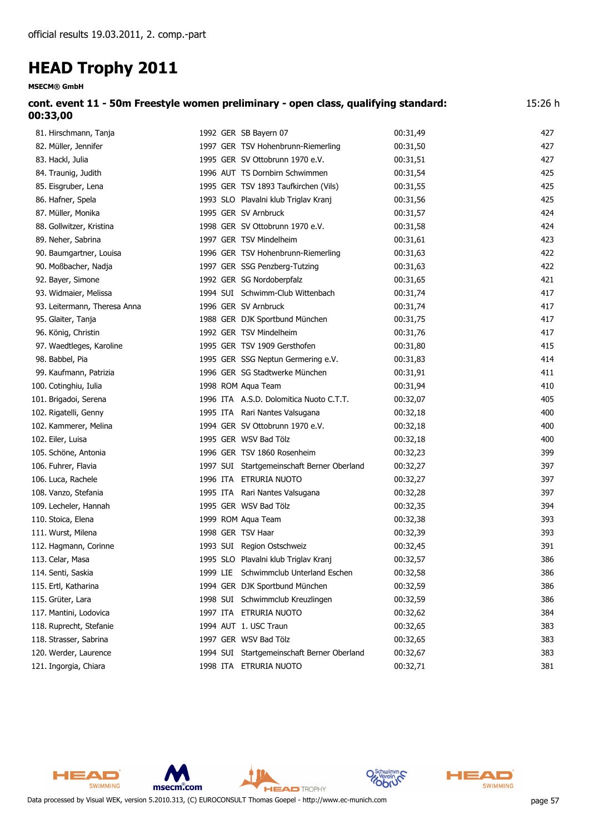**MSECM® GmbH**

| 00:33,00                 | cont. event 11 - 50m Freestyle women preliminary - open class, qualifying standard:<br>15:26 h |          |     |  |  |  |  |
|--------------------------|------------------------------------------------------------------------------------------------|----------|-----|--|--|--|--|
| 81. Hirschmann, Tanja    | 1992 GER SB Bayern 07                                                                          | 00:31.49 | 427 |  |  |  |  |
| 82. Müller, Jennifer     | 1997 GER TSV Hohenbrunn-Riemerling                                                             | 00:31,50 | 427 |  |  |  |  |
| 83. Hackl, Julia         | 1995 GER SV Ottobrunn 1970 e.V.                                                                | 00:31,51 | 427 |  |  |  |  |
| 84. Traunig, Judith      | 1996 AUT TS Dornbirn Schwimmen                                                                 | 00:31,54 | 425 |  |  |  |  |
| 85. Eisgruber, Lena      | 1995 GER TSV 1893 Taufkirchen (Vils)                                                           | 00:31,55 | 425 |  |  |  |  |
| 86. Hafner, Spela        | 1993 SLO Plavalni klub Triglav Kranj                                                           | 00:31,56 | 425 |  |  |  |  |
| 87. Müller, Monika       | 1995 GER SV Arnbruck                                                                           | 00:31,57 | 424 |  |  |  |  |
| 88. Gollwitzer, Kristina | 1998 GER SV Ottobrunn 1970 e.V.                                                                | 00:31,58 | 424 |  |  |  |  |
| 89. Neher, Sabrina       | 1997 GER TSV Mindelheim                                                                        | 00:31,61 | 423 |  |  |  |  |
| 90. Baumgartner, Louisa  | 1996 GER TSV Hohenbrunn-Riemerling                                                             | 00:31,63 | 422 |  |  |  |  |
| 90. Moßbacher, Nadja     | 1997 GER SSG Penzberg-Tutzing                                                                  | 00:31,63 | 422 |  |  |  |  |
|                          |                                                                                                |          |     |  |  |  |  |

| 90. Baumgartner, Louisa      |          | 1996 GER TSV HONENDrunn-Riemerling         | UU:31,63 | 422 |
|------------------------------|----------|--------------------------------------------|----------|-----|
| 90. Moßbacher, Nadja         |          | 1997 GER SSG Penzberg-Tutzing              | 00:31,63 | 422 |
| 92. Bayer, Simone            |          | 1992 GER SG Nordoberpfalz                  | 00:31,65 | 421 |
| 93. Widmaier, Melissa        |          | 1994 SUI Schwimm-Club Wittenbach           | 00:31,74 | 417 |
| 93. Leitermann, Theresa Anna |          | 1996 GER SV Arnbruck                       | 00:31,74 | 417 |
| 95. Glaiter, Tanja           |          | 1988 GER DJK Sportbund München             | 00:31,75 | 417 |
| 96. König, Christin          |          | 1992 GER TSV Mindelheim                    | 00:31,76 | 417 |
| 97. Waedtleges, Karoline     |          | 1995 GER TSV 1909 Gersthofen               | 00:31,80 | 415 |
| 98. Babbel, Pia              |          | 1995 GER SSG Neptun Germering e.V.         | 00:31,83 | 414 |
| 99. Kaufmann, Patrizia       |          | 1996 GER SG Stadtwerke München             | 00:31,91 | 411 |
| 100. Cotinghiu, Iulia        |          | 1998 ROM Aqua Team                         | 00:31,94 | 410 |
| 101. Brigadoi, Serena        |          | 1996 ITA A.S.D. Dolomitica Nuoto C.T.T.    | 00:32,07 | 405 |
| 102. Rigatelli, Genny        |          | 1995 ITA Rari Nantes Valsugana             | 00:32,18 | 400 |
| 102. Kammerer, Melina        |          | 1994 GER SV Ottobrunn 1970 e.V.            | 00:32,18 | 400 |
| 102. Eiler, Luisa            |          | 1995 GER WSV Bad Tölz                      | 00:32,18 | 400 |
| 105. Schöne, Antonia         |          | 1996 GER TSV 1860 Rosenheim                | 00:32,23 | 399 |
| 106. Fuhrer, Flavia          |          | 1997 SUI Startgemeinschaft Berner Oberland | 00:32,27 | 397 |
| 106. Luca, Rachele           |          | 1996 ITA ETRURIA NUOTO                     | 00:32,27 | 397 |
| 108. Vanzo, Stefania         |          | 1995 ITA Rari Nantes Valsugana             | 00:32,28 | 397 |
| 109. Lecheler, Hannah        |          | 1995 GER WSV Bad Tölz                      | 00:32,35 | 394 |
| 110. Stoica, Elena           |          | 1999 ROM Aqua Team                         | 00:32,38 | 393 |
| 111. Wurst, Milena           |          | 1998 GER TSV Haar                          | 00:32,39 | 393 |
| 112. Hagmann, Corinne        |          | 1993 SUI Region Ostschweiz                 | 00:32,45 | 391 |
| 113. Celar, Masa             |          | 1995 SLO Plavalni klub Triglav Kranj       | 00:32,57 | 386 |
| 114. Senti, Saskia           | 1999 LIE | Schwimmclub Unterland Eschen               | 00:32,58 | 386 |
| 115. Ertl, Katharina         |          | 1994 GER DJK Sportbund München             | 00:32,59 | 386 |
| 115. Grüter, Lara            |          | 1998 SUI Schwimmclub Kreuzlingen           | 00:32,59 | 386 |
| 117. Mantini, Lodovica       | 1997 ITA | ETRURIA NUOTO                              | 00:32,62 | 384 |
| 118. Ruprecht, Stefanie      |          | 1994 AUT 1. USC Traun                      | 00:32,65 | 383 |
| 118. Strasser, Sabrina       |          | 1997 GER WSV Bad Tölz                      | 00:32,65 | 383 |

120. Werder, Laurence 1994 SUI Startgemeinschaft Berner Oberland 00:32,67 383

HEAD

SWIMMING

121. Ingorgia, Chiara 1998 11998 ITA ETRURIA NUOTO 00:32,71 00:32,71 381





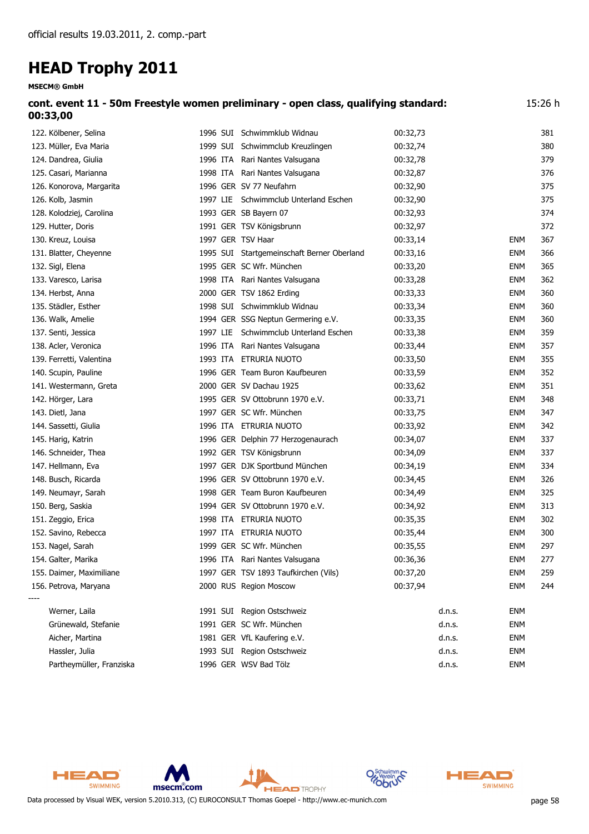| <b>MSECM® GmbH</b>       |                   |                                                                                     |          |            |         |
|--------------------------|-------------------|-------------------------------------------------------------------------------------|----------|------------|---------|
| 00:33,00                 |                   | cont. event 11 - 50m Freestyle women preliminary - open class, qualifying standard: |          |            | 15:26 h |
| 122. Kölbener, Selina    |                   | 1996 SUI Schwimmklub Widnau                                                         | 00:32,73 |            | 381     |
| 123. Müller, Eva Maria   |                   | 1999 SUI Schwimmclub Kreuzlingen                                                    | 00:32,74 |            | 380     |
| 124. Dandrea, Giulia     |                   | 1996 ITA Rari Nantes Valsugana                                                      | 00:32,78 |            | 379     |
| 125. Casari, Marianna    |                   | 1998 ITA Rari Nantes Valsugana                                                      | 00:32,87 |            | 376     |
| 126. Konorova, Margarita |                   | 1996 GER SV 77 Neufahrn                                                             | 00:32,90 |            | 375     |
| 126. Kolb, Jasmin        |                   | 1997 LIE Schwimmclub Unterland Eschen                                               | 00:32,90 |            | 375     |
| 128. Kolodziej, Carolina |                   | 1993 GER SB Bayern 07                                                               | 00:32,93 |            | 374     |
| 129. Hutter, Doris       |                   | 1991 GER TSV Königsbrunn                                                            | 00:32,97 |            | 372     |
| 130. Kreuz, Louisa       | 1997 GER TSV Haar |                                                                                     | 00:33,14 | <b>ENM</b> | 367     |
| 131. Blatter, Cheyenne   |                   | 1995 SUI Startgemeinschaft Berner Oberland                                          | 00:33,16 | <b>ENM</b> | 366     |
| 132. Sigl, Elena         |                   | 1995 GER SC Wfr. München                                                            | 00:33,20 | <b>ENM</b> | 365     |
| 133. Varesco, Larisa     |                   | 1998 ITA Rari Nantes Valsugana                                                      | 00:33,28 | <b>ENM</b> | 362     |
| 134. Herbst, Anna        |                   | 2000 GER TSV 1862 Erding                                                            | 00:33,33 | <b>ENM</b> | 360     |
| 135. Städler, Esther     |                   | 1998 SUI Schwimmklub Widnau                                                         | 00:33,34 | <b>ENM</b> | 360     |
| 136. Walk, Amelie        |                   | 1994 GER SSG Neptun Germering e.V.                                                  | 00:33,35 | <b>ENM</b> | 360     |
| 137. Senti, Jessica      |                   | 1997 LIE Schwimmclub Unterland Eschen                                               | 00:33,38 | <b>ENM</b> | 359     |
| 138. Acler, Veronica     |                   | 1996 ITA Rari Nantes Valsugana                                                      | 00:33,44 | <b>ENM</b> | 357     |
| 139. Ferretti, Valentina |                   | 1993 ITA ETRURIA NUOTO                                                              | 00:33,50 | <b>ENM</b> | 355     |
| 140. Scupin, Pauline     |                   | 1996 GER Team Buron Kaufbeuren                                                      | 00:33,59 | <b>ENM</b> | 352     |
| 141. Westermann, Greta   |                   | 2000 GER SV Dachau 1925                                                             | 00:33,62 | <b>ENM</b> | 351     |
| 142. Hörger, Lara        |                   | 1995 GER SV Ottobrunn 1970 e.V.                                                     | 00:33,71 | <b>ENM</b> | 348     |
| 143. Dietl, Jana         |                   | 1997 GER SC Wfr. München                                                            | 00:33,75 | <b>ENM</b> | 347     |
| 144. Sassetti, Giulia    |                   | 1996 ITA ETRURIA NUOTO                                                              | 00:33,92 | <b>ENM</b> | 342     |
| 145. Harig, Katrin       |                   | 1996 GER Delphin 77 Herzogenaurach                                                  | 00:34,07 | <b>ENM</b> | 337     |
| 146. Schneider, Thea     |                   | 1992 GER TSV Königsbrunn                                                            | 00:34,09 | <b>ENM</b> | 337     |
| 147. Hellmann, Eva       |                   | 1997 GER DJK Sportbund München                                                      | 00:34,19 | <b>ENM</b> | 334     |
| 148. Busch, Ricarda      |                   | 1996 GER SV Ottobrunn 1970 e.V.                                                     | 00:34,45 | <b>ENM</b> | 326     |
| 149. Neumayr, Sarah      |                   | 1998 GER Team Buron Kaufbeuren                                                      | 00:34,49 | <b>ENM</b> | 325     |
| 150. Berg, Saskia        |                   | 1994 GER SV Ottobrunn 1970 e.V.                                                     | 00:34,92 | <b>ENM</b> | 313     |
| 151. Zeggio, Erica       |                   | 1998 ITA ETRURIA NUOTO                                                              | 00:35,35 | <b>ENM</b> | 302     |
| 152. Savino, Rebecca     |                   | 1997 ITA ETRURIA NUOTO                                                              | 00:35,44 | <b>ENM</b> | 300     |
| 153. Nagel, Sarah        |                   | 1999 GER SC Wfr. München                                                            | 00:35,55 | <b>ENM</b> | 297     |
| 154. Galter, Marika      |                   | 1996 ITA Rari Nantes Valsugana                                                      | 00:36,36 | <b>ENM</b> | 277     |
| 155. Daimer, Maximiliane |                   | 1997 GER TSV 1893 Taufkirchen (Vils)                                                | 00:37,20 | <b>ENM</b> | 259     |
| 156. Petrova, Maryana    |                   | 2000 RUS Region Moscow                                                              | 00:37,94 | <b>ENM</b> | 244     |
| Werner, Laila            |                   | 1991 SUI Region Ostschweiz                                                          | d.n.s.   | <b>ENM</b> |         |
| Grünewald, Stefanie      |                   | 1991 GER SC Wfr. München                                                            | d.n.s.   | <b>ENM</b> |         |
| Aicher, Martina          |                   | 1981 GER VfL Kaufering e.V.                                                         | d.n.s.   | <b>ENM</b> |         |
| Hassler, Julia           |                   | 1993 SUI Region Ostschweiz                                                          | d.n.s.   | <b>ENM</b> |         |

Partheymüller, Franziska 1996 GER WSV Bad Tölz d.n.s. ENM



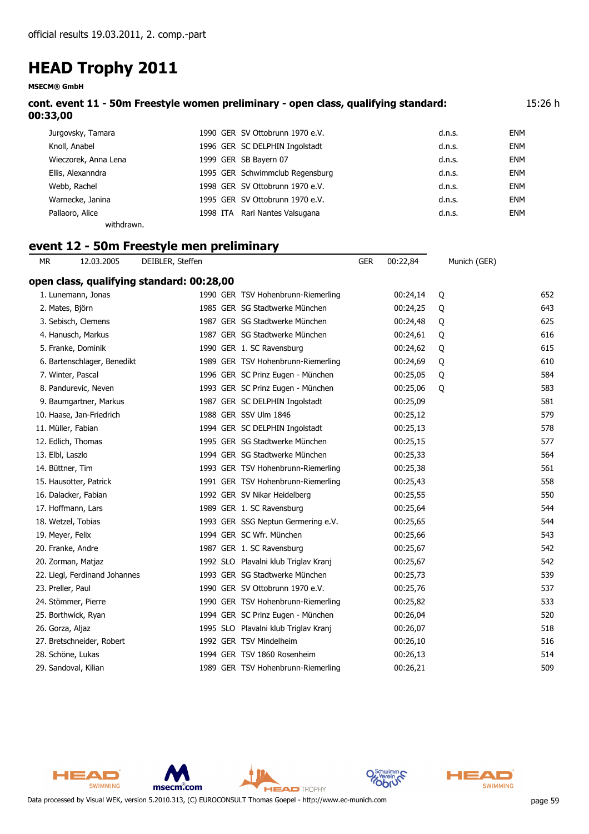**MSECM® GmbH**

| cont. event 11 - 50m Freestyle women preliminary - open class, qualifying standard: | 15:26 h |
|-------------------------------------------------------------------------------------|---------|
| 00:33,00                                                                            |         |

| Jurgovsky, Tamara    | 1990 GER SV Ottobrunn 1970 e.V. | d.n.s. | ENM |
|----------------------|---------------------------------|--------|-----|
| Knoll, Anabel        | 1996 GER SC DELPHIN Ingolstadt  | d.n.s. | ENM |
| Wieczorek, Anna Lena | 1999 GER SB Bayern 07           | d.n.s. | ENM |
| Ellis, Alexanndra    | 1995 GER Schwimmclub Regensburg | d.n.s. | ENM |
| Webb, Rachel         | 1998 GER SV Ottobrunn 1970 e.V. | d.n.s. | ENM |
| Warnecke, Janina     | 1995 GER SV Ottobrunn 1970 e.V. | d.n.s. | ENM |
| Pallaoro, Alice      | 1998 ITA Rari Nantes Valsugana  | d.n.s. | ENM |
| withdrawn.           |                                 |        |     |

### **event 12 - 50m Freestyle men preliminary**

| МR               | 12.03.2005                    | DEIBLER, Steffen                          |                                      | <b>GER</b> | 00:22,84 | Munich (GER) |     |
|------------------|-------------------------------|-------------------------------------------|--------------------------------------|------------|----------|--------------|-----|
|                  |                               | open class, qualifying standard: 00:28,00 |                                      |            |          |              |     |
|                  | 1. Lunemann, Jonas            |                                           | 1990 GER TSV Hohenbrunn-Riemerling   |            | 00:24,14 | Q            | 652 |
|                  | 2. Mates, Björn               |                                           | 1985 GER SG Stadtwerke München       |            | 00:24,25 | Q            | 643 |
|                  | 3. Sebisch, Clemens           |                                           | 1987 GER SG Stadtwerke München       |            | 00:24,48 | Q            | 625 |
|                  | 4. Hanusch, Markus            |                                           | 1987 GER SG Stadtwerke München       |            | 00:24,61 | Q            | 616 |
|                  | 5. Franke, Dominik            |                                           | 1990 GER 1. SC Ravensburg            |            | 00:24,62 | Q            | 615 |
|                  | 6. Bartenschlager, Benedikt   |                                           | 1989 GER TSV Hohenbrunn-Riemerling   |            | 00:24,69 | Q            | 610 |
|                  | 7. Winter, Pascal             |                                           | 1996 GER SC Prinz Eugen - München    |            | 00:25,05 | Q            | 584 |
|                  | 8. Pandurevic, Neven          |                                           | 1993 GER SC Prinz Eugen - München    |            | 00:25,06 | Q            | 583 |
|                  | 9. Baumgartner, Markus        |                                           | 1987 GER SC DELPHIN Ingolstadt       |            | 00:25,09 |              | 581 |
|                  | 10. Haase, Jan-Friedrich      |                                           | 1988 GER SSV Ulm 1846                |            | 00:25,12 |              | 579 |
|                  | 11. Müller, Fabian            |                                           | 1994 GER SC DELPHIN Ingolstadt       |            | 00:25,13 |              | 578 |
|                  | 12. Edlich, Thomas            |                                           | 1995 GER SG Stadtwerke München       |            | 00:25,15 |              | 577 |
| 13. Elbl, Laszlo |                               |                                           | 1994 GER SG Stadtwerke München       |            | 00:25,33 |              | 564 |
|                  | 14. Büttner, Tim              |                                           | 1993 GER TSV Hohenbrunn-Riemerling   |            | 00:25,38 |              | 561 |
|                  | 15. Hausotter, Patrick        |                                           | 1991 GER TSV Hohenbrunn-Riemerling   |            | 00:25,43 |              | 558 |
|                  | 16. Dalacker, Fabian          |                                           | 1992 GER SV Nikar Heidelberg         |            | 00:25,55 |              | 550 |
|                  | 17. Hoffmann, Lars            |                                           | 1989 GER 1. SC Ravensburg            |            | 00:25,64 |              | 544 |
|                  | 18. Wetzel, Tobias            |                                           | 1993 GER SSG Neptun Germering e.V.   |            | 00:25,65 |              | 544 |
|                  | 19. Meyer, Felix              |                                           | 1994 GER SC Wfr. München             |            | 00:25,66 |              | 543 |
|                  | 20. Franke, Andre             |                                           | 1987 GER 1. SC Ravensburg            |            | 00:25,67 |              | 542 |
|                  | 20. Zorman, Matjaz            |                                           | 1992 SLO Plavalni klub Triglav Kranj |            | 00:25,67 |              | 542 |
|                  | 22. Liegl, Ferdinand Johannes |                                           | 1993 GER SG Stadtwerke München       |            | 00:25,73 |              | 539 |
|                  | 23. Preller, Paul             |                                           | 1990 GER SV Ottobrunn 1970 e.V.      |            | 00:25,76 |              | 537 |
|                  | 24. Stömmer, Pierre           |                                           | 1990 GER TSV Hohenbrunn-Riemerling   |            | 00:25,82 |              | 533 |
|                  | 25. Borthwick, Ryan           |                                           | 1994 GER SC Prinz Eugen - München    |            | 00:26,04 |              | 520 |
|                  | 26. Gorza, Aljaz              |                                           | 1995 SLO Plavalni klub Triglav Kranj |            | 00:26,07 |              | 518 |
|                  | 27. Bretschneider, Robert     |                                           | 1992 GER TSV Mindelheim              |            | 00:26,10 |              | 516 |
|                  | 28. Schöne, Lukas             |                                           | 1994 GER TSV 1860 Rosenheim          |            | 00:26,13 |              | 514 |
|                  | 29. Sandoval, Kilian          |                                           | 1989 GER TSV Hohenbrunn-Riemerling   |            | 00:26,21 |              | 509 |



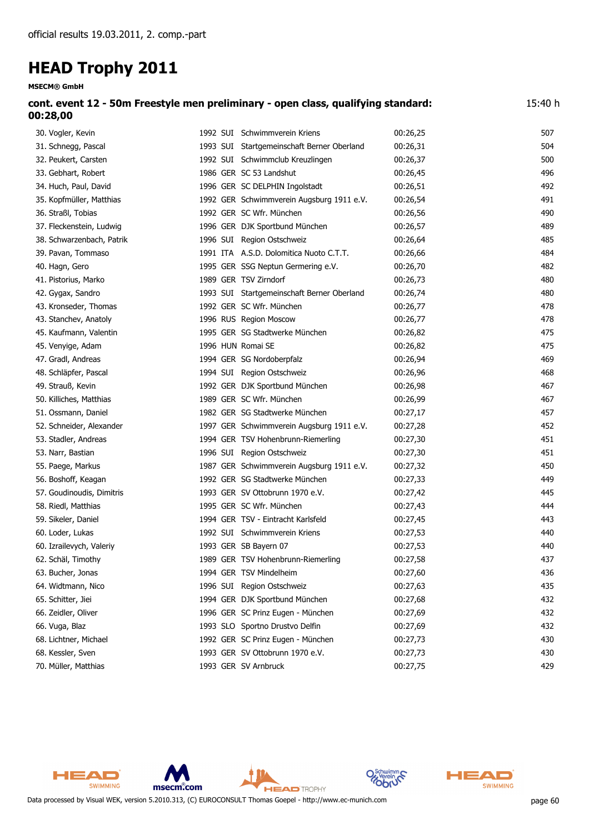| cont. event 12 - 50m Freestyle men preliminary - open class, qualifying standard: | 15:40 h |
|-----------------------------------------------------------------------------------|---------|
| 00:28,00                                                                          |         |

| 30. Vogler, Kevin         | 1992 SUI Schwimmverein Kriens              | 00:26,25 | 507 |
|---------------------------|--------------------------------------------|----------|-----|
| 31. Schnegg, Pascal       | 1993 SUI Startgemeinschaft Berner Oberland | 00:26,31 | 504 |
| 32. Peukert, Carsten      | 1992 SUI Schwimmclub Kreuzlingen           | 00:26,37 | 500 |
| 33. Gebhart, Robert       | 1986 GER SC 53 Landshut                    | 00:26,45 | 496 |
| 34. Huch, Paul, David     | 1996 GER SC DELPHIN Ingolstadt             | 00:26,51 | 492 |
| 35. Kopfmüller, Matthias  | 1992 GER Schwimmverein Augsburg 1911 e.V.  | 00:26,54 | 491 |
| 36. Straßl, Tobias        | 1992 GER SC Wfr. München                   | 00:26,56 | 490 |
| 37. Fleckenstein, Ludwig  | 1996 GER DJK Sportbund München             | 00:26,57 | 489 |
| 38. Schwarzenbach, Patrik | 1996 SUI Region Ostschweiz                 | 00:26,64 | 485 |
| 39. Pavan, Tommaso        | 1991 ITA A.S.D. Dolomitica Nuoto C.T.T.    | 00:26,66 | 484 |
| 40. Hagn, Gero            | 1995 GER SSG Neptun Germering e.V.         | 00:26,70 | 482 |
| 41. Pistorius, Marko      | 1989 GER TSV Zirndorf                      | 00:26,73 | 480 |
| 42. Gygax, Sandro         | 1993 SUI Startgemeinschaft Berner Oberland | 00:26,74 | 480 |
| 43. Kronseder, Thomas     | 1992 GER SC Wfr. München                   | 00:26,77 | 478 |
| 43. Stanchev, Anatoly     | 1996 RUS Region Moscow                     | 00:26,77 | 478 |
| 45. Kaufmann, Valentin    | 1995 GER SG Stadtwerke München             | 00:26,82 | 475 |
| 45. Venyige, Adam         | 1996 HUN Romai SE                          | 00:26,82 | 475 |
| 47. Gradl, Andreas        | 1994 GER SG Nordoberpfalz                  | 00:26,94 | 469 |
| 48. Schläpfer, Pascal     | 1994 SUI Region Ostschweiz                 | 00:26,96 | 468 |
| 49. Strauß, Kevin         | 1992 GER DJK Sportbund München             | 00:26,98 | 467 |
| 50. Killiches, Matthias   | 1989 GER SC Wfr. München                   | 00:26,99 | 467 |
| 51. Ossmann, Daniel       | 1982 GER SG Stadtwerke München             | 00:27,17 | 457 |
| 52. Schneider, Alexander  | 1997 GER Schwimmverein Augsburg 1911 e.V.  | 00:27,28 | 452 |
| 53. Stadler, Andreas      | 1994 GER TSV Hohenbrunn-Riemerling         | 00:27,30 | 451 |
| 53. Narr, Bastian         | 1996 SUI Region Ostschweiz                 | 00:27,30 | 451 |
| 55. Paege, Markus         | 1987 GER Schwimmverein Augsburg 1911 e.V.  | 00:27,32 | 450 |
| 56. Boshoff, Keagan       | 1992 GER SG Stadtwerke München             | 00:27,33 | 449 |
| 57. Goudinoudis, Dimitris | 1993 GER SV Ottobrunn 1970 e.V.            | 00:27,42 | 445 |
| 58. Riedl, Matthias       | 1995 GER SC Wfr. München                   | 00:27,43 | 444 |
| 59. Sikeler, Daniel       | 1994 GER TSV - Eintracht Karlsfeld         | 00:27,45 | 443 |
| 60. Loder, Lukas          | 1992 SUI Schwimmverein Kriens              | 00:27,53 | 440 |
| 60. Izrailevych, Valeriy  | 1993 GER SB Bayern 07                      | 00:27,53 | 440 |
| 62. Schäl, Timothy        | 1989 GER TSV Hohenbrunn-Riemerling         | 00:27,58 | 437 |
| 63. Bucher, Jonas         | 1994 GER TSV Mindelheim                    | 00:27,60 | 436 |
| 64. Widtmann, Nico        | 1996 SUI Region Ostschweiz                 | 00:27,63 | 435 |
| 65. Schitter, Jiei        | 1994 GER DJK Sportbund München             | 00:27,68 | 432 |
| 66. Zeidler, Oliver       | 1996 GER SC Prinz Eugen - München          | 00:27,69 | 432 |
| 66. Vuga, Blaz            | 1993 SLO Sportno Drustvo Delfin            | 00:27,69 | 432 |
| 68. Lichtner, Michael     | 1992 GER SC Prinz Eugen - München          | 00:27,73 | 430 |
| 68. Kessler, Sven         | 1993 GER SV Ottobrunn 1970 e.V.            | 00:27,73 | 430 |
| 70. Müller, Matthias      | 1993 GER SV Arnbruck                       | 00:27,75 | 429 |



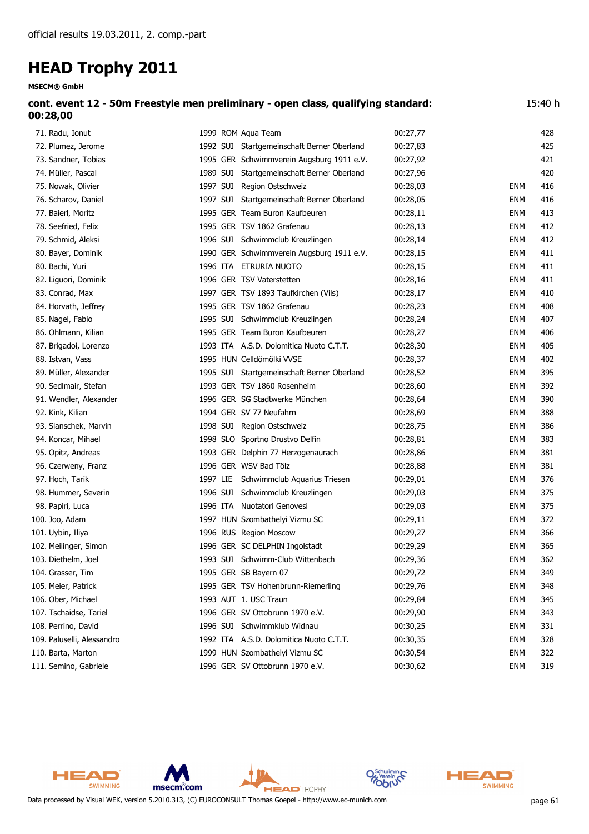**MSECM® GmbH**

| cont. event 12 - 50m Freestyle men preliminary - open class, qualifying standard: | 15:40 h |
|-----------------------------------------------------------------------------------|---------|
| 00:28,00                                                                          |         |

| 71. Radu, Ionut            | 1999 ROM Aqua Team                         | 00:27,77 |            | 428 |
|----------------------------|--------------------------------------------|----------|------------|-----|
| 72. Plumez, Jerome         | 1992 SUI Startgemeinschaft Berner Oberland | 00:27,83 |            | 425 |
| 73. Sandner, Tobias        | 1995 GER Schwimmverein Augsburg 1911 e.V.  | 00:27,92 |            | 421 |
| 74. Müller, Pascal         | 1989 SUI Startgemeinschaft Berner Oberland | 00:27,96 |            | 420 |
| 75. Nowak, Olivier         | 1997 SUI Region Ostschweiz                 | 00:28,03 | <b>ENM</b> | 416 |
| 76. Scharov, Daniel        | 1997 SUI Startgemeinschaft Berner Oberland | 00:28,05 | <b>ENM</b> | 416 |
| 77. Baierl, Moritz         | 1995 GER Team Buron Kaufbeuren             | 00:28,11 | <b>ENM</b> | 413 |
| 78. Seefried, Felix        | 1995 GER TSV 1862 Grafenau                 | 00:28,13 | <b>ENM</b> | 412 |
| 79. Schmid, Aleksi         | 1996 SUI Schwimmclub Kreuzlingen           | 00:28,14 | <b>ENM</b> | 412 |
| 80. Bayer, Dominik         | 1990 GER Schwimmverein Augsburg 1911 e.V.  | 00:28,15 | <b>ENM</b> | 411 |
| 80. Bachi, Yuri            | 1996 ITA ETRURIA NUOTO                     | 00:28,15 | <b>ENM</b> | 411 |
| 82. Liguori, Dominik       | 1996 GER TSV Vaterstetten                  | 00:28,16 | <b>ENM</b> | 411 |
| 83. Conrad, Max            | 1997 GER TSV 1893 Taufkirchen (Vils)       | 00:28,17 | <b>ENM</b> | 410 |
| 84. Horvath, Jeffrey       | 1995 GER TSV 1862 Grafenau                 | 00:28,23 | <b>ENM</b> | 408 |
| 85. Nagel, Fabio           | 1995 SUI Schwimmclub Kreuzlingen           | 00:28,24 | ENM        | 407 |
| 86. Ohlmann, Kilian        | 1995 GER Team Buron Kaufbeuren             | 00:28,27 | ENM        | 406 |
| 87. Brigadoi, Lorenzo      | 1993 ITA A.S.D. Dolomitica Nuoto C.T.T.    | 00:28,30 | <b>ENM</b> | 405 |
| 88. Istvan, Vass           | 1995 HUN Celldömölki VVSE                  | 00:28,37 | <b>ENM</b> | 402 |
| 89. Müller, Alexander      | 1995 SUI Startgemeinschaft Berner Oberland | 00:28,52 | <b>ENM</b> | 395 |
| 90. Sedlmair, Stefan       | 1993 GER TSV 1860 Rosenheim                | 00:28,60 | <b>ENM</b> | 392 |
| 91. Wendler, Alexander     | 1996 GER SG Stadtwerke München             | 00:28,64 | <b>ENM</b> | 390 |
| 92. Kink, Kilian           | 1994 GER SV 77 Neufahrn                    | 00:28,69 | <b>ENM</b> | 388 |
| 93. Slanschek, Marvin      | 1998 SUI Region Ostschweiz                 | 00:28,75 | <b>ENM</b> | 386 |
| 94. Koncar, Mihael         | 1998 SLO Sportno Drustvo Delfin            | 00:28,81 | <b>ENM</b> | 383 |
| 95. Opitz, Andreas         | 1993 GER Delphin 77 Herzogenaurach         | 00:28,86 | <b>ENM</b> | 381 |
| 96. Czerweny, Franz        | 1996 GER WSV Bad Tölz                      | 00:28,88 | <b>ENM</b> | 381 |
| 97. Hoch, Tarik            | 1997 LIE Schwimmclub Aquarius Triesen      | 00:29,01 | <b>ENM</b> | 376 |
| 98. Hummer, Severin        | 1996 SUI Schwimmclub Kreuzlingen           | 00:29,03 | <b>ENM</b> | 375 |
| 98. Papiri, Luca           | 1996 ITA Nuotatori Genovesi                | 00:29,03 | <b>ENM</b> | 375 |
| 100. Joo, Adam             | 1997 HUN Szombathelyi Vizmu SC             | 00:29,11 | <b>ENM</b> | 372 |
| 101. Uybin, Iliya          | 1996 RUS Region Moscow                     | 00:29,27 | <b>ENM</b> | 366 |
| 102. Meilinger, Simon      | 1996 GER SC DELPHIN Ingolstadt             | 00:29,29 | <b>ENM</b> | 365 |
| 103. Diethelm, Joel        | 1993 SUI Schwimm-Club Wittenbach           | 00:29,36 | <b>ENM</b> | 362 |
| 104. Grasser, Tim          | 1995 GER SB Bayern 07                      | 00:29,72 | <b>ENM</b> | 349 |
| 105. Meier, Patrick        | 1995 GER TSV Hohenbrunn-Riemerling         | 00:29,76 | <b>ENM</b> | 348 |
| 106. Ober, Michael         | 1993 AUT 1. USC Traun                      | 00:29,84 | <b>ENM</b> | 345 |
| 107. Tschaidse, Tariel     | 1996 GER SV Ottobrunn 1970 e.V.            | 00:29,90 | <b>ENM</b> | 343 |
| 108. Perrino, David        | 1996 SUI Schwimmklub Widnau                | 00:30,25 | <b>ENM</b> | 331 |
| 109. Paluselli, Alessandro | 1992 ITA A.S.D. Dolomitica Nuoto C.T.T.    | 00:30,35 | <b>ENM</b> | 328 |
| 110. Barta, Marton         | 1999 HUN Szombathelyi Vizmu SC             | 00:30,54 | <b>ENM</b> | 322 |
| 111. Semino, Gabriele      | 1996 GER SV Ottobrunn 1970 e.V.            | 00:30,62 | <b>ENM</b> | 319 |



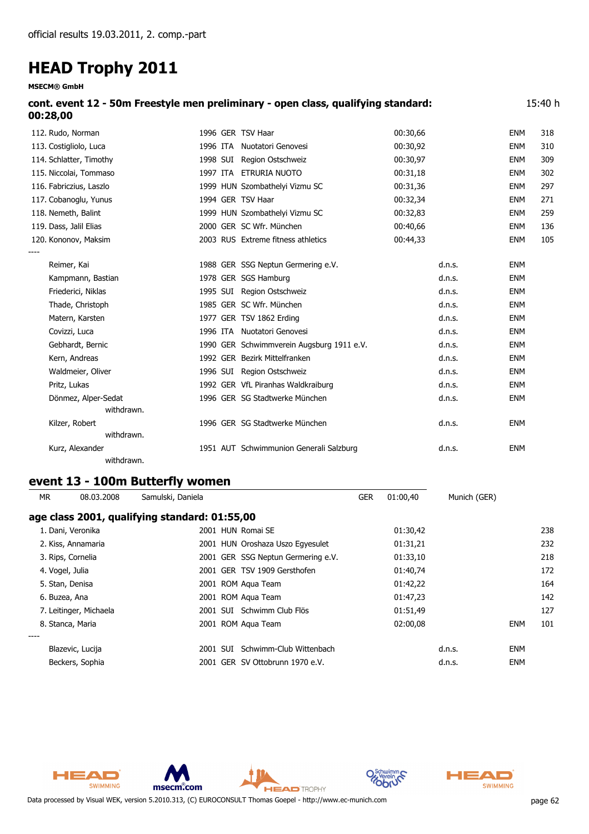**MSECM® GmbH**

|          | cont. event 12 - 50m Freestyle men preliminary - open class, qualifying standard: | 15:40 h |
|----------|-----------------------------------------------------------------------------------|---------|
| 00:28,00 |                                                                                   |         |

| 112. Rudo, Norman       |  | 1996 GER TSV Haar                         | 00:30,66 |        | <b>ENM</b> | 318 |
|-------------------------|--|-------------------------------------------|----------|--------|------------|-----|
| 113. Costigliolo, Luca  |  | 1996 ITA Nuotatori Genovesi               | 00:30,92 |        | <b>ENM</b> | 310 |
| 114. Schlatter, Timothy |  | 1998 SUI Region Ostschweiz                | 00:30,97 |        | <b>ENM</b> | 309 |
| 115. Niccolai, Tommaso  |  | 1997 ITA ETRURIA NUOTO                    | 00:31,18 |        | <b>ENM</b> | 302 |
| 116. Fabriczius, Laszlo |  | 1999 HUN Szombathelyi Vizmu SC            | 00:31,36 |        | <b>ENM</b> | 297 |
| 117. Cobanoglu, Yunus   |  | 1994 GER TSV Haar                         | 00:32,34 |        | <b>ENM</b> | 271 |
| 118. Nemeth, Balint     |  | 1999 HUN Szombathelyi Vizmu SC            | 00:32,83 |        | <b>ENM</b> | 259 |
| 119. Dass, Jalil Elias  |  | 2000 GER SC Wfr. München                  | 00:40,66 |        | <b>ENM</b> | 136 |
| 120. Kononov, Maksim    |  | 2003 RUS Extreme fitness athletics        | 00:44,33 |        | <b>ENM</b> | 105 |
|                         |  |                                           |          |        |            |     |
| Reimer, Kai             |  | 1988 GER SSG Neptun Germering e.V.        |          | d.n.s. | <b>ENM</b> |     |
| Kampmann, Bastian       |  | 1978 GER SGS Hamburg                      |          | d.n.s. | <b>ENM</b> |     |
| Friederici, Niklas      |  | 1995 SUI Region Ostschweiz                |          | d.n.s. | <b>ENM</b> |     |
| Thade, Christoph        |  | 1985 GER SC Wfr. München                  |          | d.n.s. | <b>ENM</b> |     |
| Matern, Karsten         |  | 1977 GER TSV 1862 Erding                  |          | d.n.s. | <b>ENM</b> |     |
| Covizzi, Luca           |  | 1996 ITA Nuotatori Genovesi               |          | d.n.s. | <b>ENM</b> |     |
| Gebhardt, Bernic        |  | 1990 GER Schwimmverein Augsburg 1911 e.V. |          | d.n.s. | <b>ENM</b> |     |
| Kern, Andreas           |  | 1992 GER Bezirk Mittelfranken             |          | d.n.s. | <b>ENM</b> |     |
| Waldmeier, Oliver       |  | 1996 SUI Region Ostschweiz                |          | d.n.s. | ENM        |     |
| Pritz, Lukas            |  | 1992 GER VfL Piranhas Waldkraiburg        |          | d.n.s. | <b>ENM</b> |     |
| Dönmez, Alper-Sedat     |  | 1996 GER SG Stadtwerke München            |          | d.n.s. | <b>ENM</b> |     |
| withdrawn.              |  |                                           |          |        |            |     |
| Kilzer, Robert          |  | 1996 GER SG Stadtwerke München            |          | d.n.s. | <b>ENM</b> |     |
| withdrawn.              |  |                                           |          |        |            |     |
| Kurz, Alexander         |  | 1951 AUT Schwimmunion Generali Salzburg   |          | d.n.s. | <b>ENM</b> |     |
|                         |  |                                           |          |        |            |     |

*withdrawn.*

### **event 13 - 100m Butterfly women**

| <b>MR</b>       | 08.03.2008             | Samulski, Daniela                             |                                    | <b>GER</b> | 01:00,40 | Munich (GER) |            |     |
|-----------------|------------------------|-----------------------------------------------|------------------------------------|------------|----------|--------------|------------|-----|
|                 |                        | age class 2001, qualifying standard: 01:55,00 |                                    |            |          |              |            |     |
|                 | 1. Dani, Veronika      |                                               | 2001 HUN Romai SE                  |            | 01:30,42 |              |            | 238 |
|                 | 2. Kiss, Annamaria     |                                               | 2001 HUN Oroshaza Uszo Egyesulet   |            | 01:31,21 |              |            | 232 |
|                 | 3. Rips, Cornelia      |                                               | 2001 GER SSG Neptun Germering e.V. |            | 01:33,10 |              |            | 218 |
| 4. Vogel, Julia |                        |                                               | 2001 GER TSV 1909 Gersthofen       |            | 01:40,74 |              |            | 172 |
|                 | 5. Stan, Denisa        |                                               | 2001 ROM Agua Team                 |            | 01:42,22 |              |            | 164 |
| 6. Buzea, Ana   |                        |                                               | 2001 ROM Agua Team                 |            | 01:47,23 |              |            | 142 |
|                 | 7. Leitinger, Michaela |                                               | 2001 SUI Schwimm Club Flös         |            | 01:51,49 |              |            | 127 |
|                 | 8. Stanca, Maria       |                                               | 2001 ROM Aqua Team                 |            | 02:00,08 |              | <b>ENM</b> | 101 |
| ----            |                        |                                               |                                    |            |          |              |            |     |
|                 | Blazevic, Lucija       | 2001 SUI                                      | Schwimm-Club Wittenbach            |            |          | d.n.s.       | <b>ENM</b> |     |
|                 | Beckers, Sophia        |                                               | 2001 GER SV Ottobrunn 1970 e.V.    |            |          | d.n.s.       | <b>ENM</b> |     |



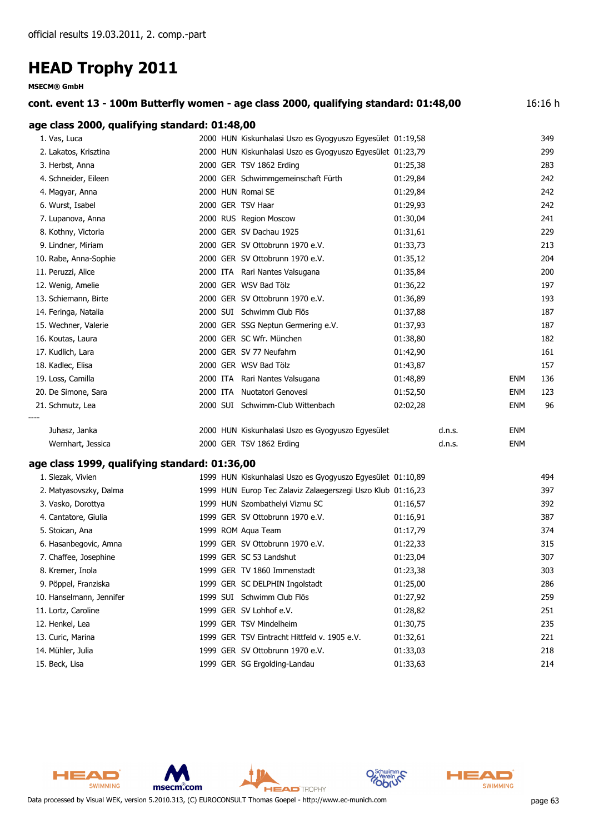|                                               |  | cont. event 13 - 100m Butterfly women - age class 2000, qualifying standard: 01:48,00 |          |        |            | 16:16 h |
|-----------------------------------------------|--|---------------------------------------------------------------------------------------|----------|--------|------------|---------|
| age class 2000, qualifying standard: 01:48,00 |  |                                                                                       |          |        |            |         |
| 1. Vas, Luca                                  |  | 2000 HUN Kiskunhalasi Uszo es Gyogyuszo Egyesület 01:19,58                            |          |        |            | 349     |
| 2. Lakatos, Krisztina                         |  | 2000 HUN Kiskunhalasi Uszo es Gyogyuszo Egyesület 01:23,79                            |          |        |            | 299     |
| 3. Herbst, Anna                               |  | 2000 GER TSV 1862 Erding                                                              | 01:25,38 |        |            | 283     |
| 4. Schneider, Eileen                          |  | 2000 GER Schwimmgemeinschaft Fürth                                                    | 01:29,84 |        |            | 242     |
| 4. Magyar, Anna                               |  | 2000 HUN Romai SE                                                                     | 01:29,84 |        |            | 242     |
| 6. Wurst, Isabel                              |  | 2000 GER TSV Haar                                                                     | 01:29,93 |        |            | 242     |
| 7. Lupanova, Anna                             |  | 2000 RUS Region Moscow                                                                | 01:30,04 |        |            | 241     |
| 8. Kothny, Victoria                           |  | 2000 GER SV Dachau 1925                                                               | 01:31,61 |        |            | 229     |
| 9. Lindner, Miriam                            |  | 2000 GER SV Ottobrunn 1970 e.V.                                                       | 01:33,73 |        |            | 213     |
| 10. Rabe, Anna-Sophie                         |  | 2000 GER SV Ottobrunn 1970 e.V.                                                       | 01:35,12 |        |            | 204     |
| 11. Peruzzi, Alice                            |  | 2000 ITA Rari Nantes Valsugana                                                        | 01:35,84 |        |            | 200     |
| 12. Wenig, Amelie                             |  | 2000 GER WSV Bad Tölz                                                                 | 01:36,22 |        |            | 197     |
| 13. Schiemann, Birte                          |  | 2000 GER SV Ottobrunn 1970 e.V.                                                       | 01:36,89 |        |            | 193     |
| 14. Feringa, Natalia                          |  | 2000 SUI Schwimm Club Flös                                                            | 01:37,88 |        |            | 187     |
| 15. Wechner, Valerie                          |  | 2000 GER SSG Neptun Germering e.V.                                                    | 01:37,93 |        |            | 187     |
| 16. Koutas, Laura                             |  | 2000 GER SC Wfr. München                                                              | 01:38,80 |        |            | 182     |
| 17. Kudlich, Lara                             |  | 2000 GER SV 77 Neufahrn                                                               | 01:42,90 |        |            | 161     |
| 18. Kadlec, Elisa                             |  | 2000 GER WSV Bad Tölz                                                                 | 01:43,87 |        |            | 157     |
| 19. Loss, Camilla                             |  | 2000 ITA Rari Nantes Valsugana                                                        | 01:48,89 |        | ENM        | 136     |
| 20. De Simone, Sara                           |  | 2000 ITA Nuotatori Genovesi                                                           | 01:52,50 |        | <b>ENM</b> | 123     |
| 21. Schmutz, Lea                              |  | 2000 SUI Schwimm-Club Wittenbach                                                      | 02:02,28 |        | <b>ENM</b> | 96      |
| Juhasz, Janka                                 |  | 2000 HUN Kiskunhalasi Uszo es Gyogyuszo Egyesület                                     |          | d.n.s. | <b>ENM</b> |         |
| Wernhart, Jessica                             |  | 2000 GER TSV 1862 Erding                                                              |          | d.n.s. | <b>ENM</b> |         |
|                                               |  |                                                                                       |          |        |            |         |
| age class 1999, qualifying standard: 01:36,00 |  |                                                                                       |          |        |            |         |
| 1. Slezak, Vivien                             |  | 1999 HUN Kiskunhalasi Uszo es Gyogyuszo Egyesület 01:10,89                            |          |        |            | 494     |
| 2. Matyasovszky, Dalma                        |  | 1999 HUN Europ Tec Zalaviz Zalaegerszegi Uszo Klub 01:16,23                           |          |        |            | 397     |
| 3. Vasko, Dorottya                            |  | 1999 HUN Szombathelyi Vizmu SC                                                        | 01:16,57 |        |            | 392     |
| 4. Cantatore, Giulia                          |  | 1999 GER SV Ottobrunn 1970 e.V.                                                       | 01:16,91 |        |            | 387     |
| 5. Stoican, Ana                               |  | 1999 ROM Aqua Team                                                                    | 01:17,79 |        |            | 374     |
| 6. Hasanbegovic, Amna                         |  | 1999 GER SV Ottobrunn 1970 e.V.                                                       | 01:22,33 |        |            | 315     |
| 7. Chaffee, Josephine                         |  | 1999 GER SC 53 Landshut                                                               | 01:23,04 |        |            | 307     |
| 8. Kremer, Inola                              |  | 1999 GER TV 1860 Immenstadt                                                           | 01:23,38 |        |            | 303     |
| 9. Pöppel, Franziska                          |  | 1999 GER SC DELPHIN Ingolstadt                                                        | 01:25,00 |        |            | 286     |
| 10. Hanselmann, Jennifer                      |  | 1999 SUI Schwimm Club Flös                                                            | 01:27,92 |        |            | 259     |
| 11. Lortz, Caroline                           |  | 1999 GER SV Lohhof e.V.                                                               | 01:28,82 |        |            | 251     |
| 12. Henkel, Lea                               |  | 1999 GER TSV Mindelheim                                                               | 01:30,75 |        |            | 235     |

- 13. Curic, Marina 1999 GER TSV Eintracht Hittfeld v. 1905 e.V. 01:32,61 221
- 14. Mühler, Julia 1999 GER SV Ottobrunn 1970 e.V. 01:33,03 218
- 15. Beck, Lisa 1999 GER SG Ergolding-Landau 01:33,63 214



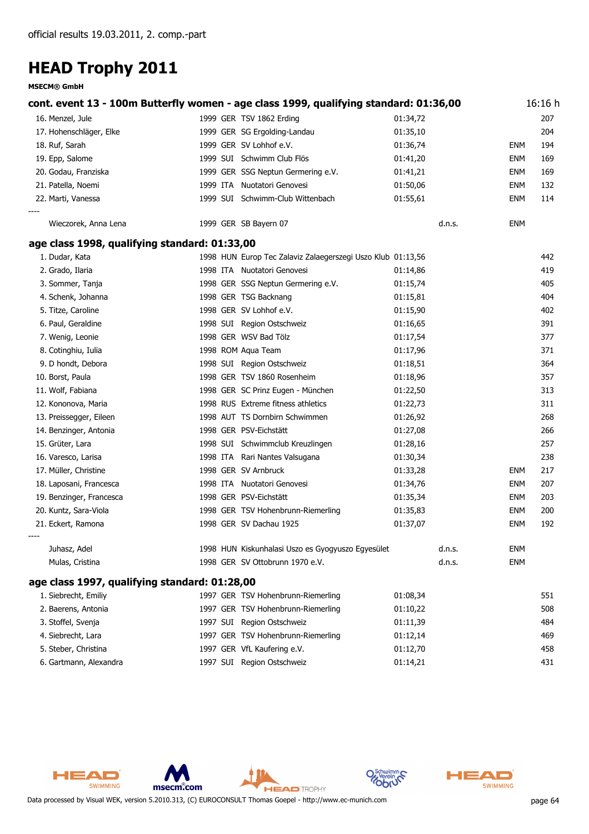**MSECM® GmbH**

| cont. event 13 - 100m Butterfly women - age class 1999, qualifying standard: 01:36,00 |                                                             |          |            | 16:16 h |
|---------------------------------------------------------------------------------------|-------------------------------------------------------------|----------|------------|---------|
| 16. Menzel, Jule                                                                      | 1999 GER TSV 1862 Erding                                    | 01:34,72 |            | 207     |
| 17. Hohenschläger, Elke                                                               | 1999 GER SG Ergolding-Landau                                | 01:35,10 |            | 204     |
| 18. Ruf, Sarah                                                                        | 1999 GER SV Lohhof e.V.                                     | 01:36,74 | <b>ENM</b> | 194     |
| 19. Epp, Salome                                                                       | 1999 SUI Schwimm Club Flös                                  | 01:41,20 | <b>ENM</b> | 169     |
| 20. Godau, Franziska                                                                  | 1999 GER SSG Neptun Germering e.V.                          | 01:41,21 | <b>ENM</b> | 169     |
| 21. Patella, Noemi                                                                    | 1999 ITA Nuotatori Genovesi                                 | 01:50,06 | <b>ENM</b> | 132     |
| 22. Marti, Vanessa                                                                    | 1999 SUI Schwimm-Club Wittenbach                            | 01:55,61 | <b>ENM</b> | 114     |
| Wieczorek, Anna Lena                                                                  | 1999 GER SB Bayern 07                                       | d.n.s.   | <b>ENM</b> |         |
| age class 1998, qualifying standard: 01:33,00                                         |                                                             |          |            |         |
| 1. Dudar, Kata                                                                        | 1998 HUN Europ Tec Zalaviz Zalaegerszegi Uszo Klub 01:13,56 |          |            | 442     |
| 2. Grado, Ilaria                                                                      | 1998 ITA Nuotatori Genovesi                                 | 01:14,86 |            | 419     |
| 3. Sommer, Tanja                                                                      | 1998 GER SSG Neptun Germering e.V.                          | 01:15,74 |            | 405     |
| 4. Schenk, Johanna                                                                    | 1998 GER TSG Backnang                                       | 01:15,81 |            | 404     |
| 5. Titze, Caroline                                                                    | 1998 GER SV Lohhof e.V.                                     | 01:15,90 |            | 402     |
| 6. Paul, Geraldine                                                                    | 1998 SUI Region Ostschweiz                                  | 01:16,65 |            | 391     |
| 7. Wenig, Leonie                                                                      | 1998 GER WSV Bad Tölz                                       | 01:17,54 |            | 377     |
| 8. Cotinghiu, Iulia                                                                   | 1998 ROM Aqua Team                                          | 01:17,96 |            | 371     |
| 9. D hondt, Debora                                                                    | 1998 SUI Region Ostschweiz                                  | 01:18,51 |            | 364     |
| 10. Borst, Paula                                                                      | 1998 GER TSV 1860 Rosenheim                                 | 01:18,96 |            | 357     |
| 11. Wolf, Fabiana                                                                     | 1998 GER SC Prinz Eugen - München                           | 01:22,50 |            | 313     |
| 12. Kononova, Maria                                                                   | 1998 RUS Extreme fitness athletics                          | 01:22,73 |            | 311     |
| 13. Preissegger, Eileen                                                               | 1998 AUT TS Dornbirn Schwimmen                              | 01:26,92 |            | 268     |
| 14. Benzinger, Antonia                                                                | 1998 GER PSV-Eichstätt                                      | 01:27,08 |            | 266     |
| 15. Grüter, Lara                                                                      | 1998 SUI Schwimmclub Kreuzlingen                            | 01:28,16 |            | 257     |
| 16. Varesco, Larisa                                                                   | 1998 ITA Rari Nantes Valsugana                              | 01:30,34 |            | 238     |
| 17. Müller, Christine                                                                 | 1998 GER SV Arnbruck                                        | 01:33,28 | <b>ENM</b> | 217     |
| 18. Laposani, Francesca                                                               | 1998 ITA Nuotatori Genovesi                                 | 01:34,76 | <b>ENM</b> | 207     |
| 19. Benzinger, Francesca                                                              | 1998 GER PSV-Eichstätt                                      | 01:35,34 | <b>ENM</b> | 203     |
| 20. Kuntz, Sara-Viola                                                                 | 1998 GER TSV Hohenbrunn-Riemerling                          | 01:35,83 | <b>ENM</b> | 200     |
| 21. Eckert, Ramona                                                                    | 1998 GER SV Dachau 1925                                     | 01:37,07 | <b>ENM</b> | 192     |
| Juhasz, Adel                                                                          | 1998 HUN Kiskunhalasi Uszo es Gyogyuszo Egyesület           | d.n.s.   | <b>ENM</b> |         |
| Mulas, Cristina                                                                       | 1998 GER SV Ottobrunn 1970 e.V.                             | d.n.s.   | <b>ENM</b> |         |
| age class 1997, qualifying standard: 01:28,00                                         |                                                             |          |            |         |
| 1. Siebrecht, Emiliy                                                                  | 1997 GER TSV Hohenbrunn-Riemerling                          | 01:08,34 |            | 551     |
| 2. Baerens, Antonia                                                                   | 1997 GER TSV Hohenbrunn-Riemerling                          | 01:10,22 |            | 508     |
| 3. Stoffel, Svenja                                                                    | 1997 SUI Region Ostschweiz                                  | 01:11,39 |            | 484     |
| 4. Siebrecht, Lara                                                                    | 1997 GER TSV Hohenbrunn-Riemerling                          | 01:12,14 |            | 469     |
| 5. Steber, Christina                                                                  | 1997 GER VfL Kaufering e.V.                                 | 01:12,70 |            | 458     |
| 6. Gartmann, Alexandra                                                                | 1997 SUI Region Ostschweiz                                  | 01:14,21 |            | 431     |





C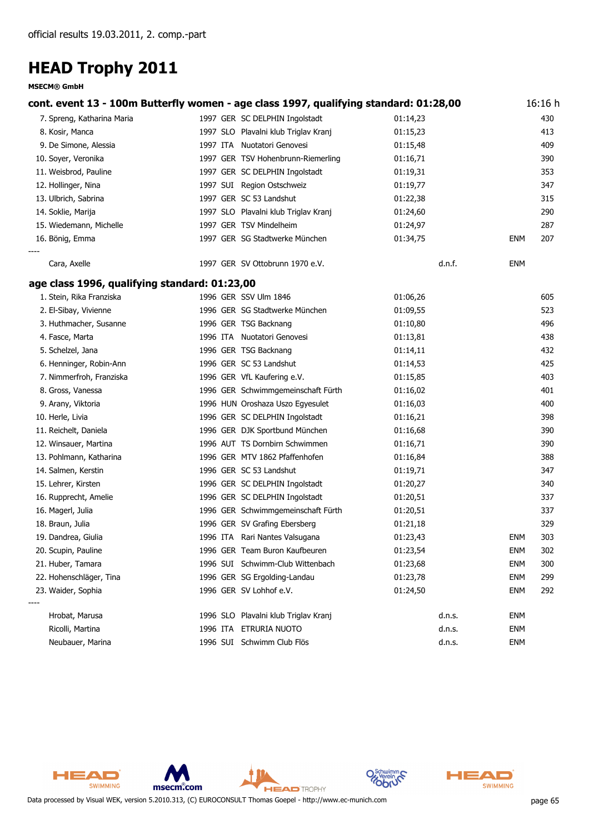| cont. event 13 - 100m Butterfly women - age class 1997, qualifying standard: 01:28,00 |                                      |          |            | 16:16 h |
|---------------------------------------------------------------------------------------|--------------------------------------|----------|------------|---------|
| 7. Spreng, Katharina Maria                                                            | 1997 GER SC DELPHIN Ingolstadt       | 01:14,23 |            | 430     |
| 8. Kosir, Manca                                                                       | 1997 SLO Plavalni klub Triglav Kranj | 01:15,23 |            | 413     |
| 9. De Simone, Alessia                                                                 | 1997 ITA Nuotatori Genovesi          | 01:15,48 |            | 409     |
| 10. Soyer, Veronika                                                                   | 1997 GER TSV Hohenbrunn-Riemerling   | 01:16,71 |            | 390     |
| 11. Weisbrod, Pauline                                                                 | 1997 GER SC DELPHIN Ingolstadt       | 01:19,31 |            | 353     |
| 12. Hollinger, Nina                                                                   | 1997 SUI Region Ostschweiz           | 01:19,77 |            | 347     |
| 13. Ulbrich, Sabrina                                                                  | 1997 GER SC 53 Landshut              | 01:22,38 |            | 315     |
| 14. Soklie, Marija                                                                    | 1997 SLO Plavalni klub Triglav Kranj | 01:24,60 |            | 290     |
| 15. Wiedemann, Michelle                                                               | 1997 GER TSV Mindelheim              | 01:24,97 |            | 287     |
| 16. Bönig, Emma                                                                       | 1997 GER SG Stadtwerke München       | 01:34,75 | <b>ENM</b> | 207     |
| Cara, Axelle                                                                          | 1997 GER SV Ottobrunn 1970 e.V.      | d.n.f.   | ENM        |         |
| age class 1996, qualifying standard: 01:23,00                                         |                                      |          |            |         |
| 1. Stein, Rika Franziska                                                              | 1996 GER SSV Ulm 1846                | 01:06,26 |            | 605     |
| 2. El-Sibay, Vivienne                                                                 | 1996 GER SG Stadtwerke München       | 01:09,55 |            | 523     |
| 3. Huthmacher, Susanne                                                                | 1996 GER TSG Backnang                | 01:10,80 |            | 496     |
| 4. Fasce, Marta                                                                       | 1996 ITA Nuotatori Genovesi          | 01:13,81 |            | 438     |
| 5. Schelzel, Jana                                                                     | 1996 GER TSG Backnang                | 01:14,11 |            | 432     |
| 6. Henninger, Robin-Ann                                                               | 1996 GER SC 53 Landshut              | 01:14,53 |            | 425     |
| 7. Nimmerfroh, Franziska                                                              | 1996 GER VfL Kaufering e.V.          | 01:15,85 |            | 403     |
| 8. Gross, Vanessa                                                                     | 1996 GER Schwimmgemeinschaft Fürth   | 01:16,02 |            | 401     |
| 9. Arany, Viktoria                                                                    | 1996 HUN Oroshaza Uszo Egyesulet     | 01:16,03 |            | 400     |
| 10. Herle, Livia                                                                      | 1996 GER SC DELPHIN Ingolstadt       | 01:16,21 |            | 398     |
| 11. Reichelt, Daniela                                                                 | 1996 GER DJK Sportbund München       | 01:16,68 |            | 390     |
| 12. Winsauer, Martina                                                                 | 1996 AUT TS Dornbirn Schwimmen       | 01:16,71 |            | 390     |
| 13. Pohlmann, Katharina                                                               | 1996 GER MTV 1862 Pfaffenhofen       | 01:16,84 |            | 388     |
| 14. Salmen, Kerstin                                                                   | 1996 GER SC 53 Landshut              | 01:19,71 |            | 347     |
| 15. Lehrer, Kirsten                                                                   | 1996 GER SC DELPHIN Ingolstadt       | 01:20,27 |            | 340     |
| 16. Rupprecht, Amelie                                                                 | 1996 GER SC DELPHIN Ingolstadt       | 01:20,51 |            | 337     |
| 16. Magerl, Julia                                                                     | 1996 GER Schwimmgemeinschaft Fürth   | 01:20,51 |            | 337     |
| 18. Braun, Julia                                                                      | 1996 GER SV Grafing Ebersberg        | 01:21,18 |            | 329     |
| 19. Dandrea, Giulia                                                                   | 1996 ITA Rari Nantes Valsugana       | 01:23,43 | ENM        | 303     |
| 20. Scupin, Pauline                                                                   | 1996 GER Team Buron Kaufbeuren       | 01:23,54 | <b>ENM</b> | 302     |
| 21. Huber, Tamara                                                                     | 1996 SUI Schwimm-Club Wittenbach     | 01:23,68 | <b>ENM</b> | 300     |
| 22. Hohenschläger, Tina                                                               | 1996 GER SG Ergolding-Landau         | 01:23,78 | <b>ENM</b> | 299     |
| 23. Waider, Sophia                                                                    | 1996 GER SV Lohhof e.V.              | 01:24,50 | <b>ENM</b> | 292     |
| Hrobat, Marusa                                                                        | 1996 SLO Plavalni klub Triglav Kranj | d.n.s.   | ENM        |         |
| Ricolli, Martina                                                                      | 1996 ITA ETRURIA NUOTO               | d.n.s.   | ENM        |         |
| Neubauer, Marina                                                                      | 1996 SUI Schwimm Club Flös           | d.n.s.   | <b>ENM</b> |         |



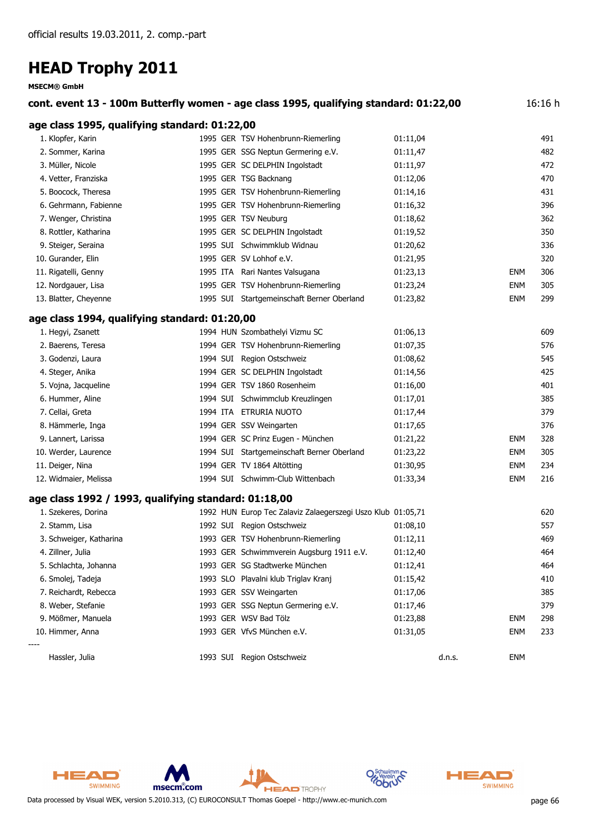| MSECM® GMDH                                          |                                                                                       |          |            |         |
|------------------------------------------------------|---------------------------------------------------------------------------------------|----------|------------|---------|
|                                                      | cont. event 13 - 100m Butterfly women - age class 1995, qualifying standard: 01:22,00 |          |            | 16:16 h |
| age class 1995, qualifying standard: 01:22,00        |                                                                                       |          |            |         |
| 1. Klopfer, Karin                                    | 1995 GER TSV Hohenbrunn-Riemerling                                                    | 01:11,04 |            | 491     |
| 2. Sommer, Karina                                    | 1995 GER SSG Neptun Germering e.V.                                                    | 01:11,47 |            | 482     |
| 3. Müller, Nicole                                    | 1995 GER SC DELPHIN Ingolstadt                                                        | 01:11,97 |            | 472     |
| 4. Vetter, Franziska                                 | 1995 GER TSG Backnang                                                                 | 01:12,06 |            | 470     |
| 5. Boocock, Theresa                                  | 1995 GER TSV Hohenbrunn-Riemerling                                                    | 01:14,16 |            | 431     |
| 6. Gehrmann, Fabienne                                | 1995 GER TSV Hohenbrunn-Riemerling                                                    | 01:16,32 |            | 396     |
| 7. Wenger, Christina                                 | 1995 GER TSV Neuburg                                                                  | 01:18,62 |            | 362     |
| 8. Rottler, Katharina                                | 1995 GER SC DELPHIN Ingolstadt                                                        | 01:19,52 |            | 350     |
| 9. Steiger, Seraina                                  | 1995 SUI Schwimmklub Widnau                                                           | 01:20,62 |            | 336     |
| 10. Gurander, Elin                                   | 1995 GER SV Lohhof e.V.                                                               | 01:21,95 |            | 320     |
| 11. Rigatelli, Genny                                 | 1995 ITA Rari Nantes Valsugana                                                        | 01:23,13 | <b>ENM</b> | 306     |
| 12. Nordgauer, Lisa                                  | 1995 GER TSV Hohenbrunn-Riemerling                                                    | 01:23,24 | <b>ENM</b> | 305     |
| 13. Blatter, Cheyenne                                | 1995 SUI Startgemeinschaft Berner Oberland                                            | 01:23,82 | <b>ENM</b> | 299     |
| age class 1994, qualifying standard: 01:20,00        |                                                                                       |          |            |         |
| 1. Hegyi, Zsanett                                    | 1994 HUN Szombathelyi Vizmu SC                                                        | 01:06,13 |            | 609     |
| 2. Baerens, Teresa                                   | 1994 GER TSV Hohenbrunn-Riemerling                                                    | 01:07,35 |            | 576     |
| 3. Godenzi, Laura                                    | 1994 SUI Region Ostschweiz                                                            | 01:08,62 |            | 545     |
| 4. Steger, Anika                                     | 1994 GER SC DELPHIN Ingolstadt                                                        | 01:14,56 |            | 425     |
| 5. Vojna, Jacqueline                                 | 1994 GER TSV 1860 Rosenheim                                                           | 01:16,00 |            | 401     |
| 6. Hummer, Aline                                     | 1994 SUI Schwimmclub Kreuzlingen                                                      | 01:17,01 |            | 385     |
| 7. Cellai, Greta                                     | 1994 ITA ETRURIA NUOTO                                                                | 01:17,44 |            | 379     |
| 8. Hämmerle, Inga                                    | 1994 GER SSV Weingarten                                                               | 01:17,65 |            | 376     |
| 9. Lannert, Larissa                                  | 1994 GER SC Prinz Eugen - München                                                     | 01:21,22 | <b>ENM</b> | 328     |
| 10. Werder, Laurence                                 | 1994 SUI Startgemeinschaft Berner Oberland                                            | 01:23,22 | <b>ENM</b> | 305     |
| 11. Deiger, Nina                                     | 1994 GER TV 1864 Altötting                                                            | 01:30,95 | <b>ENM</b> | 234     |
| 12. Widmaier, Melissa                                | 1994 SUI Schwimm-Club Wittenbach                                                      | 01:33,34 | <b>ENM</b> | 216     |
| age class 1992 / 1993, qualifying standard: 01:18,00 |                                                                                       |          |            |         |
| 1. Szekeres, Dorina                                  | 1992 HUN Europ Tec Zalaviz Zalaegerszegi Uszo Klub 01:05,71                           |          |            | 620     |
| 2. Stamm, Lisa                                       | 1992 SUI Region Ostschweiz                                                            | 01:08,10 |            | 557     |
| 3. Schweiger, Katharina                              | 1993 GER TSV Hohenbrunn-Riemerling                                                    | 01:12,11 |            | 469     |
| 4. Zillner, Julia                                    | 1993 GER Schwimmverein Augsburg 1911 e.V.                                             | 01:12,40 |            | 464     |
| 5. Schlachta, Johanna                                | 1993 GER SG Stadtwerke München                                                        | 01:12,41 |            | 464     |
| 6. Smolej, Tadeja                                    | 1993 SLO Plavalni klub Triglav Kranj                                                  | 01:15,42 |            | 410     |
| 7. Reichardt, Rebecca                                | 1993 GER SSV Weingarten                                                               | 01:17,06 |            | 385     |
| 8. Weber, Stefanie                                   | 1993 GER SSG Neptun Germering e.V.                                                    | 01:17,46 |            | 379     |
| 9. Mößmer, Manuela                                   | 1993 GER WSV Bad Tölz                                                                 | 01:23,88 | ENM        | 298     |
| 10. Himmer, Anna                                     | 1993 GER VfvS München e.V.                                                            | 01:31,05 | <b>ENM</b> | 233     |
| Hassler, Julia                                       | 1993 SUI Region Ostschweiz                                                            | d.n.s.   | <b>ENM</b> |         |

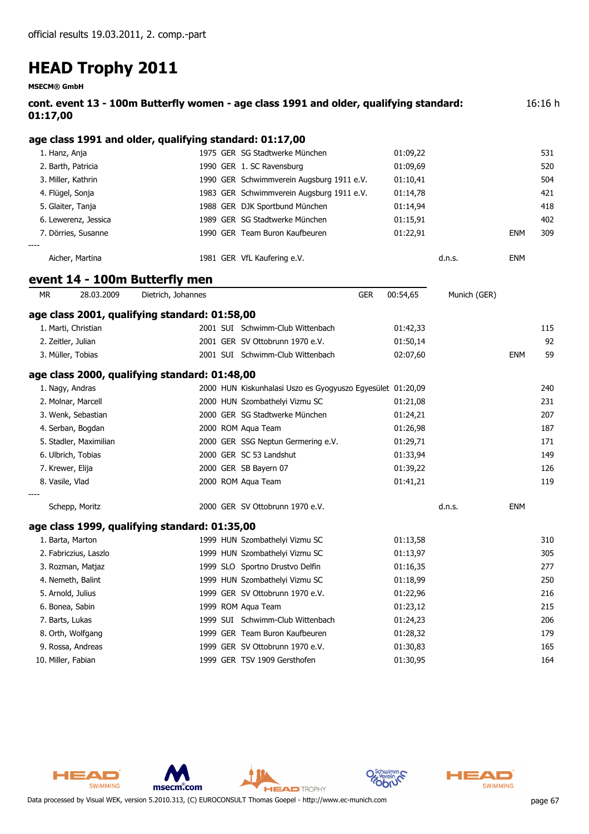**MSECM® GmbH**

| 01:17,00          | cont. event 13 - 100m Butterfly women - age class 1991 and older, qualifying standard: |           |            |  |  |  |
|-------------------|----------------------------------------------------------------------------------------|-----------|------------|--|--|--|
|                   | age class 1991 and older, qualifying standard: 01:17,00                                |           |            |  |  |  |
| 1. Hanz, Anja     | 1975 GER SG Stadtwerke München                                                         | 01:09.22  | 531        |  |  |  |
| O Dealer Detailer | $1000 \, \text{CFD} \cdot 1 \cdot \text{C} \cdot \text{D}$                             | 0.1.00.00 | <b>-20</b> |  |  |  |

|       | 2. Barth, Patricia   |  | 1990 GER 1. SC Ravensburg                 | 01:09.69 |        |            | 520 |
|-------|----------------------|--|-------------------------------------------|----------|--------|------------|-----|
|       | 3. Miller, Kathrin   |  | 1990 GER Schwimmverein Augsburg 1911 e.V. | 01:10,41 |        |            | 504 |
|       | 4. Flügel, Sonja     |  | 1983 GER Schwimmverein Augsburg 1911 e.V. | 01:14,78 |        |            | 421 |
|       | 5. Glaiter, Tanja    |  | 1988 GER DJK Sportbund München            | 01:14,94 |        |            | 418 |
|       | 6. Lewerenz, Jessica |  | 1989 GER SG Stadtwerke München            | 01:15,91 |        |            | 402 |
|       | 7. Dörries, Susanne  |  | 1990 GER Team Buron Kaufbeuren            | 01:22.91 |        | <b>ENM</b> | 309 |
| $---$ |                      |  |                                           |          |        |            |     |
|       | Aicher, Martina      |  | 1981 GER VfL Kaufering e.V.               |          | d.n.s. | ENM        |     |

### **event 14 - 100m Butterfly men**

| <b>MR</b>          | 28.03.2009             | Dietrich, Johannes                            |                                                            | <b>GER</b> | 00:54,65 | Munich (GER) |            |     |
|--------------------|------------------------|-----------------------------------------------|------------------------------------------------------------|------------|----------|--------------|------------|-----|
|                    |                        | age class 2001, qualifying standard: 01:58,00 |                                                            |            |          |              |            |     |
|                    | 1. Marti, Christian    |                                               | 2001 SUI Schwimm-Club Wittenbach                           |            | 01:42,33 |              |            | 115 |
|                    | 2. Zeitler, Julian     |                                               | 2001 GER SV Ottobrunn 1970 e.V.                            |            | 01:50,14 |              |            | 92  |
|                    | 3. Müller, Tobias      |                                               | 2001 SUI Schwimm-Club Wittenbach                           |            | 02:07,60 |              | <b>ENM</b> | 59  |
|                    |                        | age class 2000, qualifying standard: 01:48,00 |                                                            |            |          |              |            |     |
|                    | 1. Nagy, Andras        |                                               | 2000 HUN Kiskunhalasi Uszo es Gyogyuszo Egyesület 01:20,09 |            |          |              |            | 240 |
|                    | 2. Molnar, Marcell     |                                               | 2000 HUN Szombathelyi Vizmu SC                             |            | 01:21,08 |              |            | 231 |
|                    | 3. Wenk, Sebastian     |                                               | 2000 GER SG Stadtwerke München                             |            | 01:24,21 |              |            | 207 |
|                    | 4. Serban, Bogdan      |                                               | 2000 ROM Aqua Team                                         |            | 01:26,98 |              |            | 187 |
|                    | 5. Stadler, Maximilian |                                               | 2000 GER SSG Neptun Germering e.V.                         |            | 01:29,71 |              |            | 171 |
|                    | 6. Ulbrich, Tobias     |                                               | 2000 GER SC 53 Landshut                                    |            | 01:33,94 |              |            | 149 |
|                    | 7. Krewer, Elija       |                                               | 2000 GER SB Bayern 07                                      |            | 01:39,22 |              |            | 126 |
| 8. Vasile, Vlad    |                        |                                               | 2000 ROM Aqua Team                                         |            | 01:41,21 |              |            | 119 |
|                    | Schepp, Moritz         |                                               | 2000 GER SV Ottobrunn 1970 e.V.                            |            |          | d.n.s.       | <b>ENM</b> |     |
|                    |                        | age class 1999, qualifying standard: 01:35,00 |                                                            |            |          |              |            |     |
|                    | 1. Barta, Marton       |                                               | 1999 HUN Szombathelyi Vizmu SC                             |            | 01:13,58 |              |            | 310 |
|                    | 2. Fabriczius, Laszlo  |                                               | 1999 HUN Szombathelyi Vizmu SC                             |            | 01:13,97 |              |            | 305 |
|                    | 3. Rozman, Matjaz      |                                               | 1999 SLO Sportno Drustvo Delfin                            |            | 01:16,35 |              |            | 277 |
|                    | 4. Nemeth, Balint      |                                               | 1999 HUN Szombathelyi Vizmu SC                             |            | 01:18,99 |              |            | 250 |
|                    | 5. Arnold, Julius      |                                               | 1999 GER SV Ottobrunn 1970 e.V.                            |            | 01:22,96 |              |            | 216 |
|                    | 6. Bonea, Sabin        |                                               | 1999 ROM Aqua Team                                         |            | 01:23,12 |              |            | 215 |
|                    | 7. Barts, Lukas        |                                               | 1999 SUI Schwimm-Club Wittenbach                           |            | 01:24,23 |              |            | 206 |
|                    | 8. Orth, Wolfgang      |                                               | 1999 GER Team Buron Kaufbeuren                             |            | 01:28,32 |              |            | 179 |
|                    | 9. Rossa, Andreas      | 1999                                          | GER SV Ottobrunn 1970 e.V.                                 |            | 01:30,83 |              |            | 165 |
| 10. Miller, Fabian |                        |                                               | 1999 GER TSV 1909 Gersthofen                               |            | 01:30,95 |              |            | 164 |

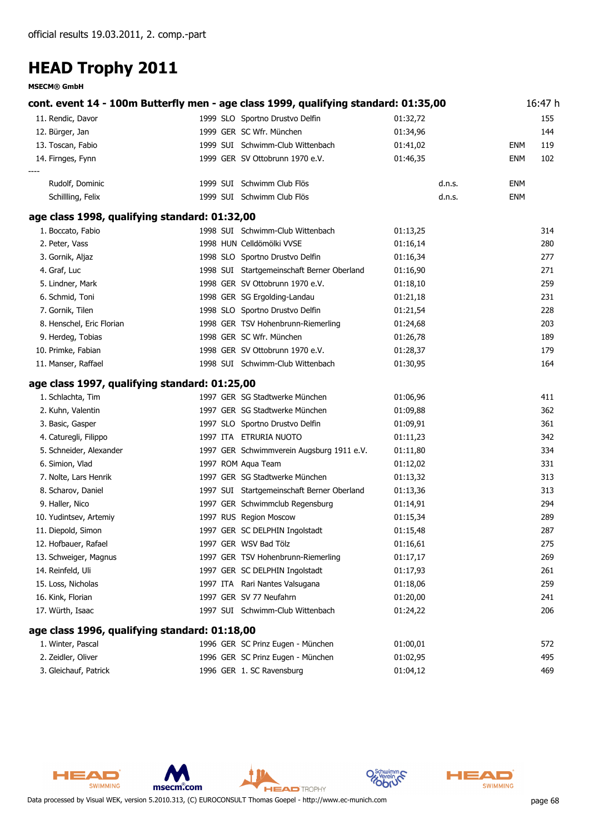|                                               | cont. event 14 - 100m Butterfly men - age class 1999, qualifying standard: 01:35,00 |          |            | 16:47 h |
|-----------------------------------------------|-------------------------------------------------------------------------------------|----------|------------|---------|
| 11. Rendic, Davor                             | 1999 SLO Sportno Drustvo Delfin                                                     | 01:32,72 |            | 155     |
| 12. Bürger, Jan                               | 1999 GER SC Wfr. München                                                            | 01:34,96 |            | 144     |
| 13. Toscan, Fabio                             | 1999 SUI Schwimm-Club Wittenbach                                                    | 01:41,02 | ENM        | 119     |
| 14. Firnges, Fynn                             | 1999 GER SV Ottobrunn 1970 e.V.                                                     | 01:46,35 | <b>ENM</b> | 102     |
| Rudolf, Dominic                               | 1999 SUI Schwimm Club Flös                                                          | d.n.s.   | <b>ENM</b> |         |
| Schillling, Felix                             | 1999 SUI Schwimm Club Flös                                                          | d.n.s.   | <b>ENM</b> |         |
| age class 1998, qualifying standard: 01:32,00 |                                                                                     |          |            |         |
| 1. Boccato, Fabio                             | 1998 SUI Schwimm-Club Wittenbach                                                    | 01:13,25 |            | 314     |
| 2. Peter, Vass                                | 1998 HUN Celldömölki VVSE                                                           | 01:16,14 |            | 280     |
| 3. Gornik, Aljaz                              | 1998 SLO Sportno Drustvo Delfin                                                     | 01:16,34 |            | 277     |
| 4. Graf, Luc                                  | 1998 SUI Startgemeinschaft Berner Oberland                                          | 01:16,90 |            | 271     |
| 5. Lindner, Mark                              | 1998 GER SV Ottobrunn 1970 e.V.                                                     | 01:18,10 |            | 259     |
| 6. Schmid, Toni                               | 1998 GER SG Ergolding-Landau                                                        | 01:21,18 |            | 231     |
| 7. Gornik, Tilen                              | 1998 SLO Sportno Drustvo Delfin                                                     | 01:21,54 |            | 228     |
| 8. Henschel, Eric Florian                     | 1998 GER TSV Hohenbrunn-Riemerling                                                  | 01:24,68 |            | 203     |
| 9. Herdeg, Tobias                             | 1998 GER SC Wfr. München                                                            | 01:26,78 |            | 189     |
| 10. Primke, Fabian                            | 1998 GER SV Ottobrunn 1970 e.V.                                                     | 01:28,37 |            | 179     |
| 11. Manser, Raffael                           | 1998 SUI Schwimm-Club Wittenbach                                                    | 01:30,95 |            | 164     |
| age class 1997, qualifying standard: 01:25,00 |                                                                                     |          |            |         |
| 1. Schlachta, Tim                             | 1997 GER SG Stadtwerke München                                                      | 01:06,96 |            | 411     |
| 2. Kuhn, Valentin                             | 1997 GER SG Stadtwerke München                                                      | 01:09,88 |            | 362     |
| 3. Basic, Gasper                              | 1997 SLO Sportno Drustvo Delfin                                                     | 01:09,91 |            | 361     |
| 4. Caturegli, Filippo                         | 1997 ITA ETRURIA NUOTO                                                              | 01:11,23 |            | 342     |
| 5. Schneider, Alexander                       | 1997 GER Schwimmverein Augsburg 1911 e.V.                                           | 01:11,80 |            | 334     |
| 6. Simion, Vlad                               | 1997 ROM Aqua Team                                                                  | 01:12,02 |            | 331     |
| 7. Nolte, Lars Henrik                         | 1997 GER SG Stadtwerke München                                                      | 01:13,32 |            | 313     |
| 8. Scharov, Daniel                            | 1997 SUI Startgemeinschaft Berner Oberland                                          | 01:13,36 |            | 313     |
| 9. Haller, Nico                               | 1997 GER Schwimmclub Regensburg                                                     | 01:14,91 |            | 294     |
| 10. Yudintsev, Artemiy                        | 1997 RUS Region Moscow                                                              | 01:15,34 |            | 289     |
| 11. Diepold, Simon                            | 1997 GER SC DELPHIN Ingolstadt                                                      | 01:15,48 |            | 287     |
| 12. Hofbauer, Rafael                          | 1997 GER WSV Bad Tölz                                                               | 01:16,61 |            | 275     |
| 13. Schweiger, Magnus                         | 1997 GER TSV Hohenbrunn-Riemerling                                                  | 01:17,17 |            | 269     |
| 14. Reinfeld, Uli                             | 1997 GER SC DELPHIN Ingolstadt                                                      | 01:17,93 |            | 261     |
| 15. Loss, Nicholas                            | 1997 ITA Rari Nantes Valsugana                                                      | 01:18,06 |            | 259     |
| 16. Kink, Florian                             | 1997 GER SV 77 Neufahrn                                                             | 01:20,00 |            | 241     |
| 17. Würth, Isaac                              | 1997 SUI Schwimm-Club Wittenbach                                                    | 01:24,22 |            | 206     |
| age class 1996, qualifying standard: 01:18,00 |                                                                                     |          |            |         |
| 1. Winter, Pascal                             | 1996 GER SC Prinz Eugen - München                                                   | 01:00,01 |            | 572     |
| 2. Zeidler, Oliver                            | 1996 GER SC Prinz Eugen - München                                                   | 01:02,95 |            | 495     |
| 3. Gleichauf, Patrick                         | 1996 GER 1. SC Ravensburg                                                           | 01:04,12 |            | 469     |



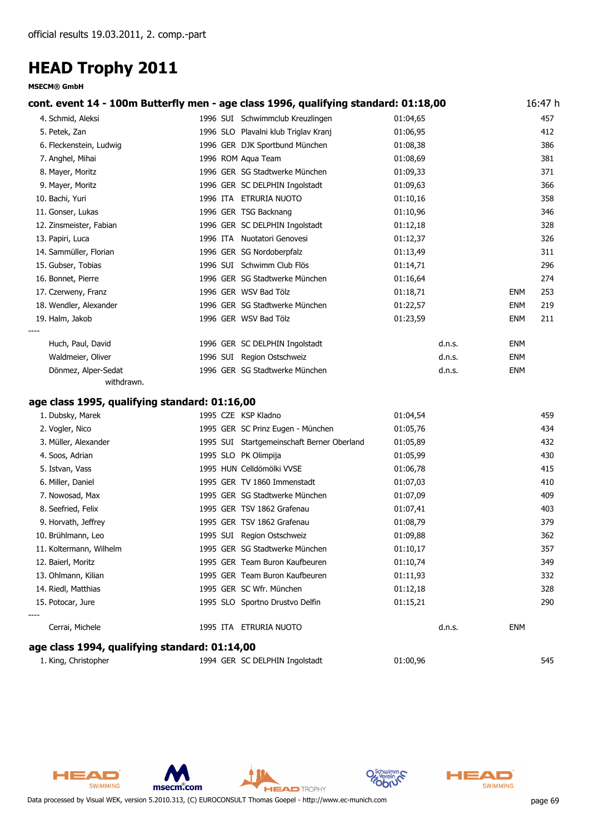#### **MSECM® GmbH**

| cont. event 14 - 100m Butterfly men - age class 1996, qualifying standard: 01:18,00 |                                            |          |            | 16:47 h |
|-------------------------------------------------------------------------------------|--------------------------------------------|----------|------------|---------|
| 4. Schmid, Aleksi                                                                   | 1996 SUI Schwimmclub Kreuzlingen           | 01:04,65 |            | 457     |
| 5. Petek, Zan                                                                       | 1996 SLO Plavalni klub Triglav Kranj       | 01:06,95 |            | 412     |
| 6. Fleckenstein, Ludwig                                                             | 1996 GER DJK Sportbund München             | 01:08,38 |            | 386     |
| 7. Anghel, Mihai                                                                    | 1996 ROM Aqua Team                         | 01:08,69 |            | 381     |
| 8. Mayer, Moritz                                                                    | 1996 GER SG Stadtwerke München             | 01:09,33 |            | 371     |
| 9. Mayer, Moritz                                                                    | 1996 GER SC DELPHIN Ingolstadt             | 01:09,63 |            | 366     |
| 10. Bachi, Yuri                                                                     | 1996 ITA ETRURIA NUOTO                     | 01:10,16 |            | 358     |
| 11. Gonser, Lukas                                                                   | 1996 GER TSG Backnang                      | 01:10,96 |            | 346     |
| 12. Zinsmeister, Fabian                                                             | 1996 GER SC DELPHIN Ingolstadt             | 01:12,18 |            | 328     |
| 13. Papiri, Luca                                                                    | 1996 ITA Nuotatori Genovesi                | 01:12,37 |            | 326     |
| 14. Sammüller, Florian                                                              | 1996 GER SG Nordoberpfalz                  | 01:13,49 |            | 311     |
| 15. Gubser, Tobias                                                                  | 1996 SUI Schwimm Club Flös                 | 01:14,71 |            | 296     |
| 16. Bonnet, Pierre                                                                  | 1996 GER SG Stadtwerke München             | 01:16,64 |            | 274     |
| 17. Czerweny, Franz                                                                 | 1996 GER WSV Bad Tölz                      | 01:18,71 | <b>ENM</b> | 253     |
| 18. Wendler, Alexander                                                              | 1996 GER SG Stadtwerke München             | 01:22,57 | <b>ENM</b> | 219     |
| 19. Halm, Jakob                                                                     | 1996 GER WSV Bad Tölz                      | 01:23,59 | <b>ENM</b> | 211     |
| Huch, Paul, David                                                                   | 1996 GER SC DELPHIN Ingolstadt             | d.n.s.   | <b>ENM</b> |         |
| Waldmeier, Oliver                                                                   | 1996 SUI Region Ostschweiz                 | d.n.s.   | <b>ENM</b> |         |
| Dönmez, Alper-Sedat                                                                 | 1996 GER SG Stadtwerke München             | d.n.s.   | <b>ENM</b> |         |
| withdrawn.                                                                          |                                            |          |            |         |
| age class 1995, qualifying standard: 01:16,00                                       |                                            |          |            |         |
| 1. Dubsky, Marek                                                                    | 1995 CZE KSP Kladno                        | 01:04,54 |            | 459     |
| 2. Vogler, Nico                                                                     | 1995 GER SC Prinz Eugen - München          | 01:05,76 |            | 434     |
| 3. Müller, Alexander                                                                | 1995 SUI Startgemeinschaft Berner Oberland | 01:05,89 |            | 432     |
| 4. Soos, Adrian                                                                     | 1995 SLO PK Olimpija                       | 01:05,99 |            | 430     |
| 5. Istvan, Vass                                                                     | 1995 HUN Celldömölki VVSE                  | 01:06,78 |            | 415     |
| 6. Miller, Daniel                                                                   | 1995 GER TV 1860 Immenstadt                | 01:07,03 |            | 410     |

| age class 1994, qualifying standard: 01:14,00 |          |                                 |          |        |     |  |  |  |
|-----------------------------------------------|----------|---------------------------------|----------|--------|-----|--|--|--|
| Cerrai, Michele                               | 1995 ITA | ETRURIA NUOTO                   |          | d.n.s. | ENM |  |  |  |
| 15. Potocar, Jure<br>----                     |          | 1995 SLO Sportno Drustvo Delfin | 01:15,21 |        | 290 |  |  |  |
| 14. Riedl, Matthias                           |          | 1995 GER SC Wfr. München        | 01:12,18 |        | 328 |  |  |  |
| 13. Ohlmann, Kilian                           |          | 1995 GER Team Buron Kaufbeuren  | 01:11,93 |        | 332 |  |  |  |
| 12. Baierl, Moritz                            |          | 1995 GER Team Buron Kaufbeuren  | 01:10,74 |        | 349 |  |  |  |
| 11. Koltermann, Wilhelm                       |          | 1995 GER SG Stadtwerke München  | 01:10,17 |        | 357 |  |  |  |
| 10. Brühlmann, Leo                            |          | 1995 SUI Region Ostschweiz      | 01:09,88 |        | 362 |  |  |  |
| 9. Horvath, Jeffrey                           |          | 1995 GER TSV 1862 Grafenau      | 01:08,79 |        | 379 |  |  |  |
| 8. Seefried, Felix                            |          | 1995 GER TSV 1862 Grafenau      | 01:07,41 |        | 403 |  |  |  |
| 7. Nowosad, Max                               |          | 1995 GER SG Stadtwerke München  | 01:07,09 |        | 409 |  |  |  |
| 6. Miller, Daniel                             |          | 1995 GER TV 1860 Immenstadt     | 01:07,03 |        | 410 |  |  |  |

| 1. King, Christopher | 1994 GER SC DELPHIN Ingolstadt | 01:00,96 | 545 |
|----------------------|--------------------------------|----------|-----|
|                      |                                |          |     |





msecm.com



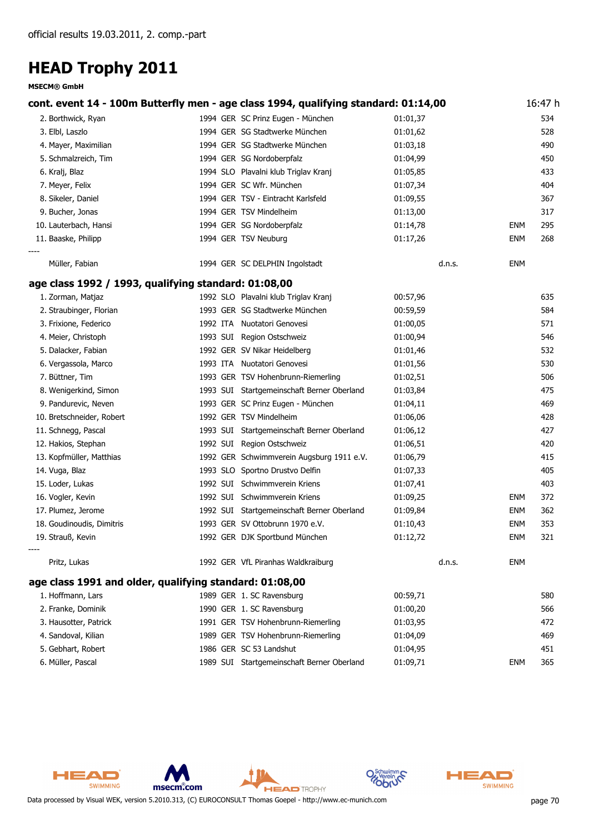#### **MSECM® GmbH**

|                                                         | cont. event 14 - 100m Butterfly men - age class 1994, qualifying standard: 01:14,00 |          |            | 16:47 h |
|---------------------------------------------------------|-------------------------------------------------------------------------------------|----------|------------|---------|
| 2. Borthwick, Ryan                                      | 1994 GER SC Prinz Eugen - München                                                   | 01:01,37 |            | 534     |
| 3. Elbl, Laszlo                                         | 1994 GER SG Stadtwerke München                                                      | 01:01,62 |            | 528     |
| 4. Mayer, Maximilian                                    | 1994 GER SG Stadtwerke München                                                      | 01:03,18 |            | 490     |
| 5. Schmalzreich, Tim                                    | 1994 GER SG Nordoberpfalz                                                           | 01:04,99 |            | 450     |
| 6. Kralj, Blaz                                          | 1994 SLO Plavalni klub Triglav Kranj                                                | 01:05,85 |            | 433     |
| 7. Meyer, Felix                                         | 1994 GER SC Wfr. München                                                            | 01:07,34 |            | 404     |
| 8. Sikeler, Daniel                                      | 1994 GER TSV - Eintracht Karlsfeld                                                  | 01:09,55 |            | 367     |
| 9. Bucher, Jonas                                        | 1994 GER TSV Mindelheim                                                             | 01:13,00 |            | 317     |
| 10. Lauterbach, Hansi                                   | 1994 GER SG Nordoberpfalz                                                           | 01:14,78 | <b>ENM</b> | 295     |
| 11. Baaske, Philipp                                     | 1994 GER TSV Neuburg                                                                | 01:17,26 | <b>ENM</b> | 268     |
| Müller, Fabian                                          | 1994 GER SC DELPHIN Ingolstadt                                                      | d.n.s.   | <b>ENM</b> |         |
| age class 1992 / 1993, qualifying standard: 01:08,00    |                                                                                     |          |            |         |
| 1. Zorman, Matjaz                                       | 1992 SLO Plavalni klub Triglav Kranj                                                | 00:57,96 |            | 635     |
| 2. Straubinger, Florian                                 | 1993 GER SG Stadtwerke München                                                      | 00:59,59 |            | 584     |
| 3. Frixione, Federico                                   | 1992 ITA Nuotatori Genovesi                                                         | 01:00,05 |            | 571     |
| 4. Meier, Christoph                                     | 1993 SUI Region Ostschweiz                                                          | 01:00,94 |            | 546     |
| 5. Dalacker, Fabian                                     | 1992 GER SV Nikar Heidelberg                                                        | 01:01,46 |            | 532     |
| 6. Vergassola, Marco                                    | 1993 ITA Nuotatori Genovesi                                                         | 01:01,56 |            | 530     |
| 7. Büttner, Tim                                         | 1993 GER TSV Hohenbrunn-Riemerling                                                  | 01:02,51 |            | 506     |
| 8. Wenigerkind, Simon                                   | 1993 SUI Startgemeinschaft Berner Oberland                                          | 01:03,84 |            | 475     |
| 9. Pandurevic, Neven                                    | 1993 GER SC Prinz Eugen - München                                                   | 01:04,11 |            | 469     |
| 10. Bretschneider, Robert                               | 1992 GER TSV Mindelheim                                                             | 01:06,06 |            | 428     |
| 11. Schnegg, Pascal                                     | 1993 SUI Startgemeinschaft Berner Oberland                                          | 01:06,12 |            | 427     |
| 12. Hakios, Stephan                                     | 1992 SUI Region Ostschweiz                                                          | 01:06,51 |            | 420     |
| 13. Kopfmüller, Matthias                                | 1992 GER Schwimmverein Augsburg 1911 e.V.                                           | 01:06,79 |            | 415     |
| 14. Vuga, Blaz                                          | 1993 SLO Sportno Drustvo Delfin                                                     | 01:07,33 |            | 405     |
| 15. Loder, Lukas                                        | 1992 SUI Schwimmverein Kriens                                                       | 01:07,41 |            | 403     |
| 16. Vogler, Kevin                                       | 1992 SUI Schwimmverein Kriens                                                       | 01:09,25 | <b>ENM</b> | 372     |
| 17. Plumez, Jerome                                      | 1992 SUI Startgemeinschaft Berner Oberland                                          | 01:09,84 | <b>ENM</b> | 362     |
| 18. Goudinoudis, Dimitris                               | 1993 GER SV Ottobrunn 1970 e.V.                                                     | 01:10,43 | <b>ENM</b> | 353     |
| 19. Strauß, Kevin                                       | 1992 GER DJK Sportbund München                                                      | 01:12,72 | <b>ENM</b> | 321     |
| Pritz, Lukas                                            | 1992 GER VfL Piranhas Waldkraiburg                                                  | d.n.s.   | <b>ENM</b> |         |
| age class 1991 and older, qualifying standard: 01:08,00 |                                                                                     |          |            |         |
| 1. Hoffmann, Lars                                       | 1989 GER 1. SC Ravensburg                                                           | 00:59,71 |            | 580     |
| 2. Franke, Dominik                                      | 1990 GER 1. SC Ravensburg                                                           | 01:00,20 |            | 566     |
| 3. Hausotter, Patrick                                   | 1991 GER TSV Hohenbrunn-Riemerling                                                  | 01:03,95 |            | 472     |
| 4. Sandoval, Kilian                                     | 1989 GER TSV Hohenbrunn-Riemerling                                                  | 01:04,09 |            | 469     |
| 5. Gebhart, Robert                                      | 1986 GER SC 53 Landshut                                                             | 01:04,95 |            | 451     |
| 6. Müller, Pascal                                       | 1989 SUI Startgemeinschaft Berner Oberland                                          | 01:09,71 | <b>ENM</b> | 365     |





**HEAD** TROPHY

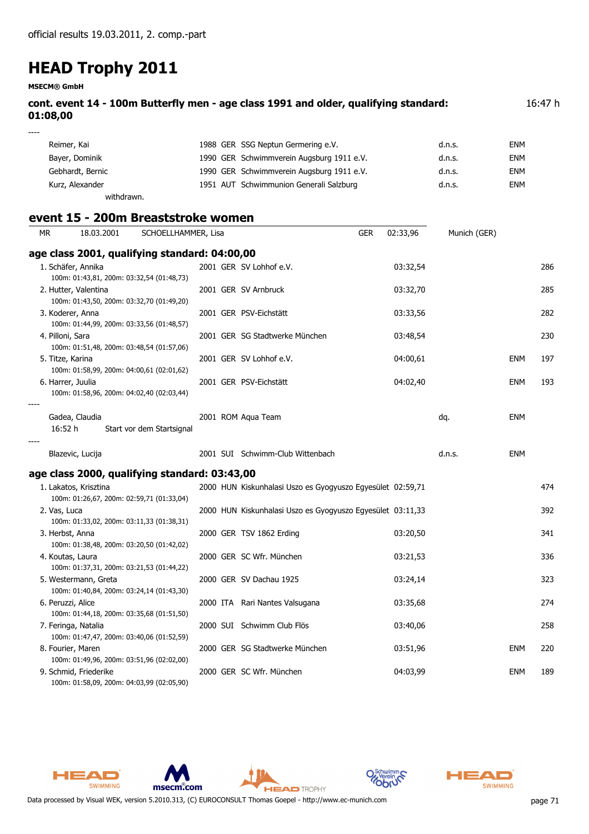**MSECM® GmbH**

| cont. event 14 - 100m Butterfly men - age class 1991 and older, qualifying standard:<br>01:08,00 | 16:47 h |
|--------------------------------------------------------------------------------------------------|---------|
| $---$                                                                                            |         |

| Reimer, Kai      | 1988 GER SSG Neptun Germering e.V.        | d.n.s. | ENM        |
|------------------|-------------------------------------------|--------|------------|
| Bayer, Dominik   | 1990 GER Schwimmverein Augsburg 1911 e.V. | d.n.s. | ENM        |
| Gebhardt, Bernic | 1990 GER Schwimmverein Augsburg 1911 e.V. | d.n.s. | <b>ENM</b> |
| Kurz, Alexander  | 1951 AUT Schwimmunion Generali Salzburg   | d.n.s. | ENM        |
| withdrawn.       |                                           |        |            |

|              |                       | event 15 - 200m Breaststroke women            |                     |                                                            |            |          |              |            |     |
|--------------|-----------------------|-----------------------------------------------|---------------------|------------------------------------------------------------|------------|----------|--------------|------------|-----|
| MR.          | 18.03.2001            |                                               | SCHOELLHAMMER, Lisa |                                                            | <b>GER</b> | 02:33,96 | Munich (GER) |            |     |
|              |                       | age class 2001, qualifying standard: 04:00,00 |                     |                                                            |            |          |              |            |     |
|              | 1. Schäfer, Annika    |                                               |                     | 2001 GER SV Lohhof e.V.                                    |            | 03:32,54 |              |            | 286 |
|              |                       | 100m: 01:43,81, 200m: 03:32,54 (01:48,73)     |                     |                                                            |            |          |              |            |     |
|              | 2. Hutter, Valentina  | 100m: 01:43,50, 200m: 03:32,70 (01:49,20)     |                     | 2001 GER SV Arnbruck                                       |            | 03:32,70 |              |            | 285 |
|              | 3. Koderer, Anna      |                                               |                     | 2001 GER PSV-Eichstätt                                     |            | 03:33,56 |              |            | 282 |
|              |                       | 100m: 01:44,99, 200m: 03:33,56 (01:48,57)     |                     |                                                            |            |          |              |            |     |
|              | 4. Pilloni, Sara      | 100m: 01:51,48, 200m: 03:48,54 (01:57,06)     |                     | 2001 GER SG Stadtwerke München                             |            | 03:48,54 |              |            | 230 |
|              | 5. Titze, Karina      |                                               |                     | 2001 GER SV Lohhof e.V.                                    |            | 04:00,61 |              | <b>ENM</b> | 197 |
|              |                       | 100m: 01:58,99, 200m: 04:00,61 (02:01,62)     |                     |                                                            |            |          |              |            |     |
|              | 6. Harrer, Juulia     |                                               |                     | 2001 GER PSV-Eichstätt                                     |            | 04:02,40 |              | <b>ENM</b> | 193 |
|              |                       | 100m: 01:58,96, 200m: 04:02,40 (02:03,44)     |                     |                                                            |            |          |              |            |     |
|              | Gadea, Claudia        |                                               |                     | 2001 ROM Aqua Team                                         |            |          | dq.          | <b>ENM</b> |     |
|              | 16:52 h               | Start vor dem Startsignal                     |                     |                                                            |            |          |              |            |     |
|              |                       |                                               |                     |                                                            |            |          |              |            |     |
|              | Blazevic, Lucija      |                                               |                     | 2001 SUI Schwimm-Club Wittenbach                           |            |          | d.n.s.       | <b>ENM</b> |     |
|              |                       | age class 2000, qualifying standard: 03:43,00 |                     |                                                            |            |          |              |            |     |
|              | 1. Lakatos, Krisztina |                                               |                     | 2000 HUN Kiskunhalasi Uszo es Gyogyuszo Egyesület 02:59,71 |            |          |              |            | 474 |
|              |                       | 100m: 01:26,67, 200m: 02:59,71 (01:33,04)     |                     |                                                            |            |          |              |            |     |
| 2. Vas, Luca |                       | 100m: 01:33,02, 200m: 03:11,33 (01:38,31)     |                     | 2000 HUN Kiskunhalasi Uszo es Gyogyuszo Egyesület 03:11,33 |            |          |              |            | 392 |
|              | 3. Herbst, Anna       |                                               |                     | 2000 GER TSV 1862 Erding                                   |            | 03:20,50 |              |            | 341 |
|              |                       | 100m: 01:38,48, 200m: 03:20,50 (01:42,02)     |                     |                                                            |            |          |              |            |     |
|              | 4. Koutas, Laura      |                                               |                     | 2000 GER SC Wfr. München                                   |            | 03:21,53 |              |            | 336 |
|              |                       | 100m: 01:37,31, 200m: 03:21,53 (01:44,22)     |                     |                                                            |            |          |              |            |     |
|              | 5. Westermann, Greta  |                                               |                     | 2000 GER SV Dachau 1925                                    |            | 03:24,14 |              |            | 323 |
|              | 6. Peruzzi, Alice     | 100m: 01:40,84, 200m: 03:24,14 (01:43,30)     |                     | 2000 ITA Rari Nantes Valsugana                             |            | 03:35,68 |              |            | 274 |
|              |                       | 100m: 01:44,18, 200m: 03:35,68 (01:51,50)     |                     |                                                            |            |          |              |            |     |
|              | 7. Feringa, Natalia   |                                               |                     | 2000 SUI Schwimm Club Flös                                 |            | 03:40,06 |              |            | 258 |
|              |                       | 100m: 01:47,47, 200m: 03:40,06 (01:52,59)     |                     |                                                            |            |          |              |            |     |
|              | 8. Fourier, Maren     |                                               |                     | 2000 GER SG Stadtwerke München                             |            | 03:51,96 |              | <b>ENM</b> | 220 |
|              |                       | 100m: 01:49,96, 200m: 03:51,96 (02:02,00)     |                     |                                                            |            |          |              |            |     |
|              | 9. Schmid, Friederike | 100m: 01:58,09, 200m: 04:03,99 (02:05,90)     |                     | 2000 GER SC Wfr. München                                   |            | 04:03,99 |              | <b>ENM</b> | 189 |

**HEAD** TROPHY







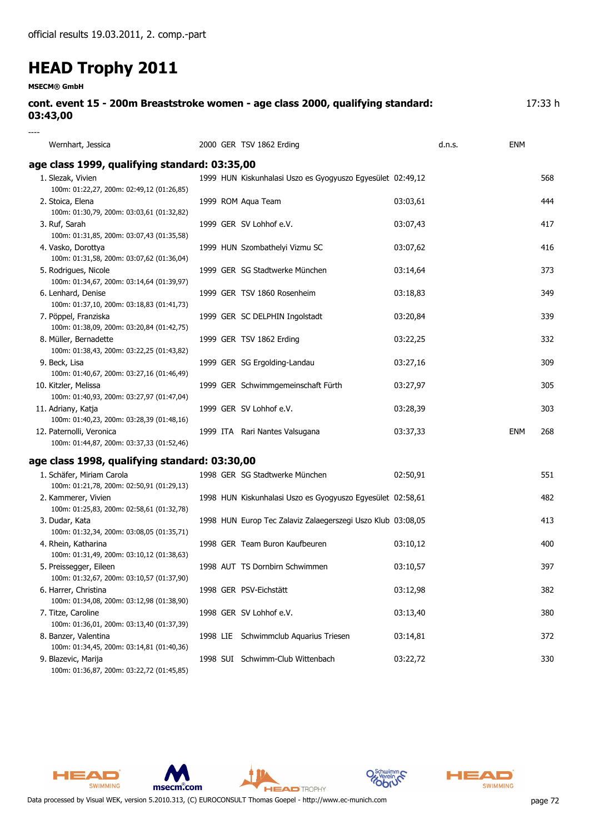| <b>MSECM® GmbH</b>                                                                          |  |                                                             |          |     |         |
|---------------------------------------------------------------------------------------------|--|-------------------------------------------------------------|----------|-----|---------|
| cont. event 15 - 200m Breaststroke women - age class 2000, qualifying standard:<br>03:43,00 |  |                                                             |          |     | 17:33 h |
|                                                                                             |  |                                                             |          |     |         |
| Wernhart, Jessica                                                                           |  | 2000 GER TSV 1862 Erding                                    | d.n.s.   | ENM |         |
| age class 1999, qualifying standard: 03:35,00                                               |  |                                                             |          |     |         |
| 1. Slezak, Vivien<br>100m: 01:22,27, 200m: 02:49,12 (01:26,85)                              |  | 1999 HUN Kiskunhalasi Uszo es Gyogyuszo Egyesület 02:49,12  |          |     | 568     |
| 2. Stoica, Elena<br>100m: 01:30,79, 200m: 03:03,61 (01:32,82)                               |  | 1999 ROM Aqua Team                                          | 03:03,61 |     | 444     |
| 3. Ruf, Sarah<br>100m: 01:31,85, 200m: 03:07,43 (01:35,58)                                  |  | 1999 GER SV Lohhof e.V.                                     | 03:07,43 |     | 417     |
| 4. Vasko, Dorottya<br>100m: 01:31,58, 200m: 03:07,62 (01:36,04)                             |  | 1999 HUN Szombathelyi Vizmu SC                              | 03:07,62 |     | 416     |
| 5. Rodrigues, Nicole<br>100m: 01:34,67, 200m: 03:14,64 (01:39,97)                           |  | 1999 GER SG Stadtwerke München                              | 03:14,64 |     | 373     |
| 6. Lenhard, Denise<br>100m: 01:37,10, 200m: 03:18,83 (01:41,73)                             |  | 1999 GER TSV 1860 Rosenheim                                 | 03:18,83 |     | 349     |
| 7. Pöppel, Franziska<br>100m: 01:38,09, 200m: 03:20,84 (01:42,75)                           |  | 1999 GER SC DELPHIN Ingolstadt                              | 03:20,84 |     | 339     |
| 8. Müller, Bernadette<br>100m: 01:38,43, 200m: 03:22,25 (01:43,82)                          |  | 1999 GER TSV 1862 Erding                                    | 03:22,25 |     | 332     |
| 9. Beck, Lisa<br>100m: 01:40,67, 200m: 03:27,16 (01:46,49)                                  |  | 1999 GER SG Ergolding-Landau                                | 03:27,16 |     | 309     |
| 10. Kitzler, Melissa<br>100m: 01:40,93, 200m: 03:27,97 (01:47,04)                           |  | 1999 GER Schwimmgemeinschaft Fürth                          | 03:27,97 |     | 305     |
| 11. Adriany, Katja<br>100m: 01:40,23, 200m: 03:28,39 (01:48,16)                             |  | 1999 GER SV Lohhof e.V.                                     | 03:28,39 |     | 303     |
| 12. Paternolli, Veronica<br>100m: 01:44,87, 200m: 03:37,33 (01:52,46)                       |  | 1999 ITA Rari Nantes Valsugana                              | 03:37,33 | ENM | 268     |
| age class 1998, qualifying standard: 03:30,00                                               |  |                                                             |          |     |         |
| 1. Schäfer, Miriam Carola<br>100m: 01:21,78, 200m: 02:50,91 (01:29,13)                      |  | 1998 GER SG Stadtwerke München                              | 02:50,91 |     | 551     |
| 2. Kammerer, Vivien<br>100m: 01:25,83, 200m: 02:58,61 (01:32,78)                            |  | 1998 HUN Kiskunhalasi Uszo es Gyogyuszo Egyesület 02:58,61  |          |     | 482     |
| 3. Dudar, Kata                                                                              |  | 1998 HUN Europ Tec Zalaviz Zalaegerszegi Uszo Klub 03:08,05 |          |     | 413     |

| J. Duual, Nata                            |
|-------------------------------------------|
| 100m: 01:32,34, 200m: 03:08,05 (01:35,71) |
| 4. Rhein, Katharina                       |
| 100m: 01:31,49, 200m: 03:10,12 (01:38,63) |

| 5. Preissegger, Eileen                    |
|-------------------------------------------|
| 100m: 01:32,67, 200m: 03:10,57 (01:37,90) |
| 6. Harrer, Christina                      |
| 100m: 01:34,08, 200m: 03:12,98 (01:38,90) |

100m: 01:36,01, 200m: 03:13,40 (01:37,39)

100m: 01:34,45, 200m: 03:14,81 (01:40,36) 100m: 01:36,87, 200m: 03:22,72 (01:45,85)

1998 AUT TS Dornbirn Schwimmen 03:10,57 397 6. Harrer, Christina 1998 GER PSV-Eichstätt 03:12,98 382 7. Titze, Caroline 1998 GER SV Lohhof e.V. 03:13,40 03:13,40 8. Banzer, Valentina 1998 LIE Schwimmclub Aquarius Triesen 03:14,81 372 9. Blazevic, Marija 1998 SUI Schwimm-Club Wittenbach 03:22,72 330

HEAD SWIMMING







1998 GER Team Buron Kaufbeuren 1998 GER Team Buron Kaufbeuren 1998 03:10,12

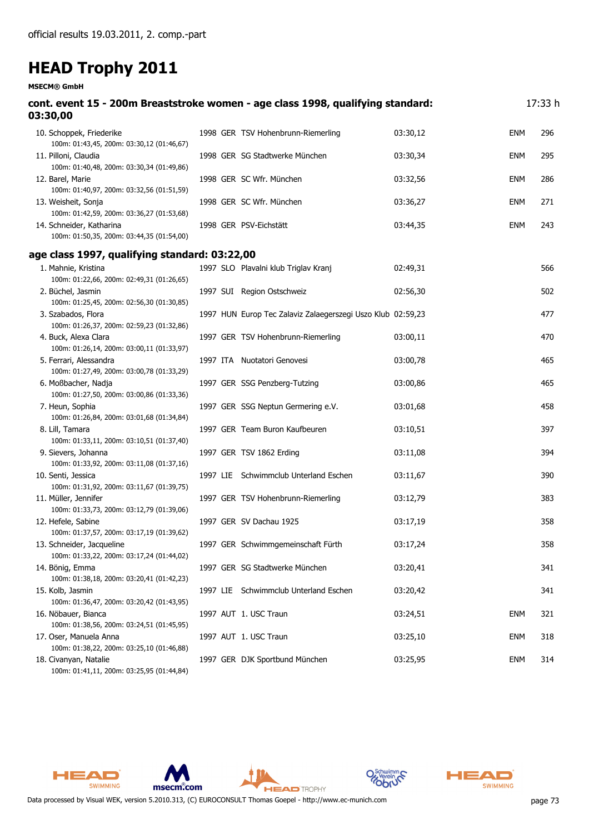#### **MSECM® GmbH**

| cont. event 15 - 200m Breaststroke women - age class 1998, qualifying standard:<br>03:30,00 |  |                                                             |          |            | 17:33 h |
|---------------------------------------------------------------------------------------------|--|-------------------------------------------------------------|----------|------------|---------|
| 10. Schoppek, Friederike<br>100m: 01:43,45, 200m: 03:30,12 (01:46,67)                       |  | 1998 GER TSV Hohenbrunn-Riemerling                          | 03:30,12 | <b>ENM</b> | 296     |
| 11. Pilloni, Claudia<br>100m: 01:40,48, 200m: 03:30,34 (01:49,86)                           |  | 1998 GER SG Stadtwerke München                              | 03:30,34 | <b>ENM</b> | 295     |
| 12. Barel, Marie<br>100m: 01:40,97, 200m: 03:32,56 (01:51,59)                               |  | 1998 GER SC Wfr. München                                    | 03:32,56 | <b>ENM</b> | 286     |
| 13. Weisheit, Sonja<br>100m: 01:42,59, 200m: 03:36,27 (01:53,68)                            |  | 1998 GER SC Wfr. München                                    | 03:36,27 | <b>ENM</b> | 271     |
| 14. Schneider, Katharina<br>100m: 01:50,35, 200m: 03:44,35 (01:54,00)                       |  | 1998 GER PSV-Eichstätt                                      | 03:44,35 | <b>ENM</b> | 243     |
| age class 1997, qualifying standard: 03:22,00                                               |  |                                                             |          |            |         |
| 1. Mahnie, Kristina<br>100m: 01:22,66, 200m: 02:49,31 (01:26,65)                            |  | 1997 SLO Plavalni klub Triglav Kranj                        | 02:49,31 |            | 566     |
| 2. Büchel, Jasmin<br>100m: 01:25,45, 200m: 02:56,30 (01:30,85)                              |  | 1997 SUI Region Ostschweiz                                  | 02:56,30 |            | 502     |
| 3. Szabados, Flora<br>100m: 01:26,37, 200m: 02:59,23 (01:32,86)                             |  | 1997 HUN Europ Tec Zalaviz Zalaegerszegi Uszo Klub 02:59,23 |          |            | 477     |
| 4. Buck, Alexa Clara<br>100m: 01:26,14, 200m: 03:00,11 (01:33,97)                           |  | 1997 GER TSV Hohenbrunn-Riemerling                          | 03:00,11 |            | 470     |
| 5. Ferrari, Alessandra<br>100m: 01:27,49, 200m: 03:00,78 (01:33,29)                         |  | 1997 ITA Nuotatori Genovesi                                 | 03:00,78 |            | 465     |
| 6. Moßbacher, Nadja<br>100m: 01:27,50, 200m: 03:00,86 (01:33,36)                            |  | 1997 GER SSG Penzberg-Tutzing                               | 03:00,86 |            | 465     |
| 7. Heun, Sophia<br>100m: 01:26,84, 200m: 03:01,68 (01:34,84)                                |  | 1997 GER SSG Neptun Germering e.V.                          | 03:01,68 |            | 458     |
| 8. Lill, Tamara<br>100m: 01:33,11, 200m: 03:10,51 (01:37,40)                                |  | 1997 GER Team Buron Kaufbeuren                              | 03:10,51 |            | 397     |
| 9. Sievers, Johanna<br>100m: 01:33,92, 200m: 03:11,08 (01:37,16)                            |  | 1997 GER TSV 1862 Erding                                    | 03:11,08 |            | 394     |
| 10. Senti, Jessica<br>100m: 01:31,92, 200m: 03:11,67 (01:39,75)                             |  | 1997 LIE Schwimmclub Unterland Eschen                       | 03:11,67 |            | 390     |
| 11. Müller, Jennifer<br>100m: 01:33,73, 200m: 03:12,79 (01:39,06)                           |  | 1997 GER TSV Hohenbrunn-Riemerling                          | 03:12,79 |            | 383     |
| 12. Hefele, Sabine<br>100m: 01:37,57, 200m: 03:17,19 (01:39,62)                             |  | 1997 GER SV Dachau 1925                                     | 03:17,19 |            | 358     |
| 13. Schneider, Jacqueline<br>100m: 01:33,22, 200m: 03:17,24 (01:44,02)                      |  | 1997 GER Schwimmgemeinschaft Fürth                          | 03:17,24 |            | 358     |
| 14. Bönig, Emma<br>100m: 01:38,18, 200m: 03:20,41 (01:42,23)                                |  | 1997 GER SG Stadtwerke München                              | 03:20,41 |            | 341     |
| 15. Kolb, Jasmin<br>100m: 01:36,47, 200m: 03:20,42 (01:43,95)                               |  | 1997 LIE Schwimmclub Unterland Eschen                       | 03:20,42 |            | 341     |
| 16. Nöbauer, Bianca<br>100m: 01:38,56, 200m: 03:24,51 (01:45,95)                            |  | 1997 AUT 1. USC Traun                                       | 03:24,51 | <b>ENM</b> | 321     |
| 17. Oser, Manuela Anna<br>100m: 01:38,22, 200m: 03:25,10 (01:46,88)                         |  | 1997 AUT 1. USC Traun                                       | 03:25,10 | <b>ENM</b> | 318     |
| 18. Civanyan, Natalie<br>100m: 01:41,11, 200m: 03:25,95 (01:44,84)                          |  | 1997 GER DJK Sportbund München                              | 03:25,95 | <b>ENM</b> | 314     |







**HEAD** TROPHY



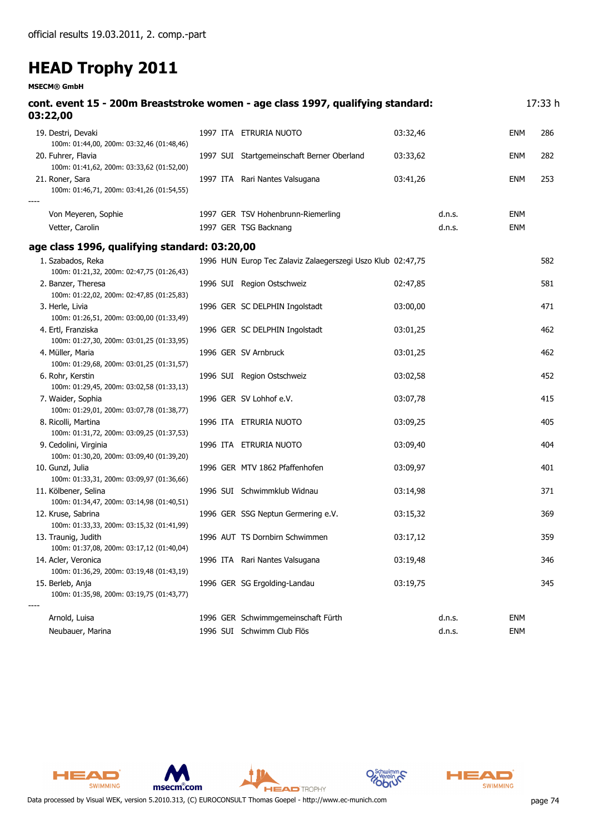**MSECM® GmbH**

| cont. event 15 - 200m Breaststroke women - age class 1997, qualifying standard:<br>03:22,00                |  |                                                             |          |        |            | 17:33 h |
|------------------------------------------------------------------------------------------------------------|--|-------------------------------------------------------------|----------|--------|------------|---------|
| 19. Destri, Devaki<br>100m: 01:44,00, 200m: 03:32,46 (01:48,46)                                            |  | 1997 ITA ETRURIA NUOTO                                      | 03:32,46 |        | <b>ENM</b> | 286     |
| 20. Fuhrer, Flavia<br>100m: 01:41,62, 200m: 03:33,62 (01:52,00)                                            |  | 1997 SUI Startgemeinschaft Berner Oberland                  | 03:33,62 |        | <b>ENM</b> | 282     |
| 21. Roner, Sara<br>100m: 01:46,71, 200m: 03:41,26 (01:54,55)                                               |  | 1997 ITA Rari Nantes Valsugana                              | 03:41,26 |        | <b>ENM</b> | 253     |
| Von Meyeren, Sophie                                                                                        |  | 1997 GER TSV Hohenbrunn-Riemerling                          |          | d.n.s. | <b>ENM</b> |         |
| Vetter, Carolin                                                                                            |  | 1997 GER TSG Backnang                                       |          | d.n.s. | <b>ENM</b> |         |
| age class 1996, qualifying standard: 03:20,00                                                              |  |                                                             |          |        |            |         |
| 1. Szabados, Reka<br>100m: 01:21,32, 200m: 02:47,75 (01:26,43)                                             |  | 1996 HUN Europ Tec Zalaviz Zalaegerszegi Uszo Klub 02:47,75 |          |        |            | 582     |
| 2. Banzer, Theresa<br>100m: 01:22,02, 200m: 02:47,85 (01:25,83)                                            |  | 1996 SUI Region Ostschweiz                                  | 02:47,85 |        |            | 581     |
| 3. Herle, Livia<br>100m: 01:26,51, 200m: 03:00,00 (01:33,49)                                               |  | 1996 GER SC DELPHIN Ingolstadt                              | 03:00,00 |        |            | 471     |
| 4. Ertl, Franziska<br>100m: 01:27,30, 200m: 03:01,25 (01:33,95)                                            |  | 1996 GER SC DELPHIN Ingolstadt                              | 03:01,25 |        |            | 462     |
| 4. Müller, Maria<br>100m: 01:29,68, 200m: 03:01,25 (01:31,57)                                              |  | 1996 GER SV Arnbruck                                        | 03:01,25 |        |            | 462     |
| 6. Rohr, Kerstin<br>100m: 01:29,45, 200m: 03:02,58 (01:33,13)                                              |  | 1996 SUI Region Ostschweiz                                  | 03:02,58 |        |            | 452     |
| 7. Waider, Sophia<br>100m: 01:29,01, 200m: 03:07,78 (01:38,77)                                             |  | 1996 GER SV Lohhof e.V.                                     | 03:07,78 |        |            | 415     |
| 8. Ricolli, Martina<br>100m: 01:31,72, 200m: 03:09,25 (01:37,53)                                           |  | 1996 ITA ETRURIA NUOTO                                      | 03:09,25 |        |            | 405     |
| 9. Cedolini, Virginia<br>100m: 01:30,20, 200m: 03:09,40 (01:39,20)                                         |  | 1996 ITA ETRURIA NUOTO                                      | 03:09,40 |        |            | 404     |
| 10. Gunzl, Julia<br>100m: 01:33,31, 200m: 03:09,97 (01:36,66)                                              |  | 1996 GER MTV 1862 Pfaffenhofen                              | 03:09,97 |        |            | 401     |
| 11. Kölbener, Selina                                                                                       |  | 1996 SUI Schwimmklub Widnau                                 | 03:14,98 |        |            | 371     |
| 100m: 01:34,47, 200m: 03:14,98 (01:40,51)<br>12. Kruse, Sabrina                                            |  | 1996 GER SSG Neptun Germering e.V.                          | 03:15,32 |        |            | 369     |
| 100m: 01:33,33, 200m: 03:15,32 (01:41,99)<br>13. Traunig, Judith                                           |  | 1996 AUT TS Dornbirn Schwimmen                              | 03:17,12 |        |            | 359     |
| 100m: 01:37,08, 200m: 03:17,12 (01:40,04)<br>14. Acler, Veronica                                           |  | 1996 ITA Rari Nantes Valsugana                              | 03:19,48 |        |            | 346     |
| 100m: 01:36,29, 200m: 03:19,48 (01:43,19)<br>15. Berleb, Anja<br>100m: 01:35,98, 200m: 03:19,75 (01:43,77) |  | 1996 GER SG Ergolding-Landau                                | 03:19,75 |        |            | 345     |
| Arnold, Luisa                                                                                              |  | 1996 GER Schwimmgemeinschaft Fürth                          |          | d.n.s. | <b>ENM</b> |         |
| Neubauer, Marina                                                                                           |  | 1996 SUI Schwimm Club Flös                                  |          | d.n.s. | <b>ENM</b> |         |

**HEAD** TROPHY





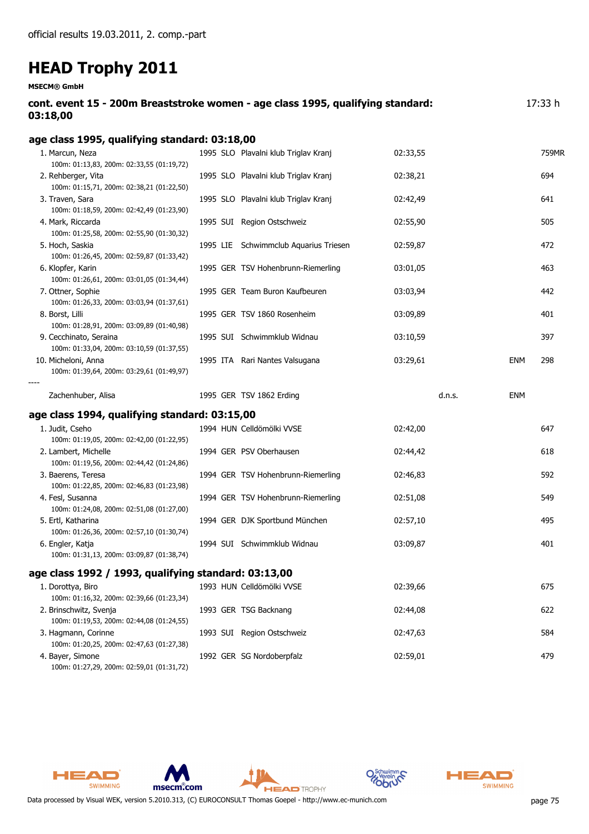**MSECM® GmbH**

| cont. event 15 - 200m Breaststroke women - age class 1995, qualifying standard: | 17:33 h |
|---------------------------------------------------------------------------------|---------|
| 03:18,00                                                                        |         |

| age class 1995, qualifying standard: 03:18,00                                                                  |                                       |          |            |       |
|----------------------------------------------------------------------------------------------------------------|---------------------------------------|----------|------------|-------|
| 1. Marcun, Neza<br>100m: 01:13,83, 200m: 02:33,55 (01:19,72)                                                   | 1995 SLO Plavalni klub Triglav Kranj  | 02:33,55 |            | 759MR |
| 2. Rehberger, Vita<br>100m: 01:15,71, 200m: 02:38,21 (01:22,50)                                                | 1995 SLO Plavalni klub Triglav Kranj  | 02:38,21 |            | 694   |
| 3. Traven, Sara<br>100m: 01:18,59, 200m: 02:42,49 (01:23,90)                                                   | 1995 SLO Plavalni klub Triglav Kranj  | 02:42,49 |            | 641   |
| 4. Mark, Riccarda<br>100m: 01:25,58, 200m: 02:55,90 (01:30,32)                                                 | 1995 SUI Region Ostschweiz            | 02:55,90 |            | 505   |
| 5. Hoch, Saskia<br>100m: 01:26,45, 200m: 02:59,87 (01:33,42)                                                   | 1995 LIE Schwimmclub Aquarius Triesen | 02:59,87 |            | 472   |
| 6. Klopfer, Karin<br>100m: 01:26,61, 200m: 03:01,05 (01:34,44)                                                 | 1995 GER TSV Hohenbrunn-Riemerling    | 03:01,05 |            | 463   |
| 7. Ottner, Sophie<br>100m: 01:26,33, 200m: 03:03,94 (01:37,61)                                                 | 1995 GER Team Buron Kaufbeuren        | 03:03,94 |            | 442   |
| 8. Borst, Lilli<br>100m: 01:28,91, 200m: 03:09,89 (01:40,98)                                                   | 1995 GER TSV 1860 Rosenheim           | 03:09,89 |            | 401   |
| 9. Cecchinato, Seraina<br>100m: 01:33,04, 200m: 03:10,59 (01:37,55)                                            | 1995 SUI Schwimmklub Widnau           | 03:10,59 |            | 397   |
| 10. Micheloni, Anna<br>100m: 01:39,64, 200m: 03:29,61 (01:49,97)                                               | 1995 ITA Rari Nantes Valsugana        | 03:29,61 | ENM        | 298   |
| Zachenhuber, Alisa                                                                                             | 1995 GER TSV 1862 Erding              | d.n.s.   | <b>ENM</b> |       |
| age class 1994, qualifying standard: 03:15,00                                                                  |                                       |          |            |       |
| 1. Judit, Cseho                                                                                                | 1994 HUN Celldömölki VVSE             | 02:42,00 |            | 647   |
| 100m: 01:19,05, 200m: 02:42,00 (01:22,95)<br>2. Lambert, Michelle<br>100m: 01:19,56, 200m: 02:44,42 (01:24,86) | 1994 GER PSV Oberhausen               | 02:44,42 |            | 618   |
| 3. Baerens, Teresa<br>100m: 01:22,85, 200m: 02:46,83 (01:23,98)                                                | 1994 GER TSV Hohenbrunn-Riemerling    | 02:46,83 |            | 592   |
| 4. Fesl, Susanna<br>100m: 01:24,08, 200m: 02:51,08 (01:27,00)                                                  | 1994 GER TSV Hohenbrunn-Riemerling    | 02:51,08 |            | 549   |
| 5. Ertl, Katharina<br>100m: 01:26,36, 200m: 02:57,10 (01:30,74)                                                | 1994 GER DJK Sportbund München        | 02:57,10 |            | 495   |
| 6. Engler, Katja<br>100m: 01:31,13, 200m: 03:09,87 (01:38,74)                                                  | 1994 SUI Schwimmklub Widnau           | 03:09,87 |            | 401   |
| age class 1992 / 1993, qualifying standard: 03:13,00                                                           |                                       |          |            |       |
| 1. Dorottya, Biro<br>100m: 01:16,32, 200m: 02:39,66 (01:23,34)                                                 | 1993 HUN Celldömölki VVSE             | 02:39,66 |            | 675   |
| 2. Brinschwitz, Svenja<br>100m: 01:19,53, 200m: 02:44,08 (01:24,55)                                            | 1993 GER TSG Backnang                 | 02:44,08 |            | 622   |
| 3. Hagmann, Corinne<br>100m: 01:20,25, 200m: 02:47,63 (01:27,38)                                               | 1993 SUI Region Ostschweiz            | 02:47,63 |            | 584   |
| 4. Bayer, Simone                                                                                               | 1992 GER SG Nordoberpfalz             | 02:59,01 |            | 479   |

100m: 01:27,29, 200m: 02:59,01 (01:31,72)

HEAD

SWIMMING







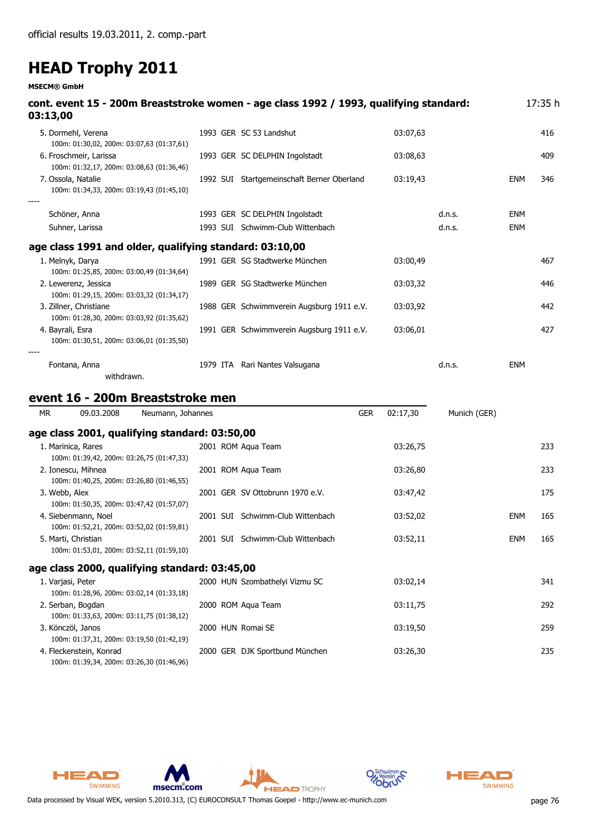**MSECM® GmbH**

| 03:13,00               |                        |                                               |  | cont. event 15 - 200m Breaststroke women - age class 1992 / 1993, qualifying standard: |            |          |              |            | 17:35 h |
|------------------------|------------------------|-----------------------------------------------|--|----------------------------------------------------------------------------------------|------------|----------|--------------|------------|---------|
| 5. Dormehl, Verena     |                        | 100m: 01:30,02, 200m: 03:07,63 (01:37,61)     |  | 1993 GER SC 53 Landshut                                                                |            | 03:07,63 |              |            | 416     |
|                        | 6. Froschmeir, Larissa | 100m: 01:32,17, 200m: 03:08,63 (01:36,46)     |  | 1993 GER SC DELPHIN Ingolstadt                                                         |            | 03:08,63 |              |            | 409     |
| 7. Ossola, Natalie     |                        | 100m: 01:34,33, 200m: 03:19,43 (01:45,10)     |  | 1992 SUI Startgemeinschaft Berner Oberland                                             |            | 03:19,43 |              | ENM        | 346     |
| $---$<br>Schöner, Anna |                        |                                               |  | 1993 GER SC DELPHIN Ingolstadt                                                         |            |          | d.n.s.       | ENM        |         |
| Suhner, Larissa        |                        |                                               |  | 1993 SUI Schwimm-Club Wittenbach                                                       |            |          | d.n.s.       | <b>ENM</b> |         |
|                        |                        |                                               |  | age class 1991 and older, qualifying standard: 03:10,00                                |            |          |              |            |         |
| 1. Melnyk, Darya       |                        | 100m: 01:25,85, 200m: 03:00,49 (01:34,64)     |  | 1991 GER SG Stadtwerke München                                                         |            | 03:00,49 |              |            | 467     |
| 2. Lewerenz, Jessica   |                        | 100m: 01:29,15, 200m: 03:03,32 (01:34,17)     |  | 1989 GER SG Stadtwerke München                                                         |            | 03:03,32 |              |            | 446     |
| 3. Zillner, Christiane |                        | 100m: 01:28,30, 200m: 03:03,92 (01:35,62)     |  | 1988 GER Schwimmverein Augsburg 1911 e.V.                                              |            | 03:03,92 |              |            | 442     |
| 4. Bayrali, Esra       |                        | 100m: 01:30,51, 200m: 03:06,01 (01:35,50)     |  | 1991 GER Schwimmverein Augsburg 1911 e.V.                                              |            | 03:06,01 |              |            | 427     |
| Fontana, Anna          | withdrawn.             |                                               |  | 1979 ITA Rari Nantes Valsugana                                                         |            |          | d.n.s.       | <b>ENM</b> |         |
|                        |                        | event 16 - 200m Breaststroke men              |  |                                                                                        |            |          |              |            |         |
| <b>MR</b>              | 09.03.2008             | Neumann, Johannes                             |  |                                                                                        | <b>GER</b> | 02:17,30 | Munich (GER) |            |         |
|                        |                        | age class 2001, qualifying standard: 03:50,00 |  |                                                                                        |            |          |              |            |         |
| 1. Marinica, Rares     |                        | 100m: 01:39,42, 200m: 03:26,75 (01:47,33)     |  | 2001 ROM Aqua Team                                                                     |            | 03:26,75 |              |            | 233     |
| 2. Ionescu, Mihnea     |                        | 100m: 01:40,25, 200m: 03:26,80 (01:46,55)     |  | 2001 ROM Aqua Team                                                                     |            | 03:26,80 |              |            | 233     |
| 3. Webb, Alex          |                        | 100m: 01:50,35, 200m: 03:47,42 (01:57,07)     |  | 2001 GER SV Ottobrunn 1970 e.V.                                                        |            | 03:47,42 |              |            | 175     |

4. Siebenmann, Noel 2001 SUI Schwimm-Club Wittenbach 03:52,02 ENM 165

5. Marti, Christian 2001 SUI Schwimm-Club Wittenbach 03:52,11 ENM 165

1. Varjasi, Peter 2000 HUN Szombathelyi Vizmu SC 03:02,14 341

2. Serban, Bogdan 2000 ROM Aqua Team 03:11,75 292

3. Könczöl, Janos 2000 HUN Romai SE 03:19,50 259

4. Fleckenstein, Konrad 2000 GER DJK Sportbund München 03:26,30 235

**HEAD** TROPHY

msecm.com

100m: 01:52,21, 200m: 03:52,02 (01:59,81)

100m: 01:53,01, 200m: 03:52,11 (01:59,10)

100m: 01:28,96, 200m: 03:02,14 (01:33,18)

100m: 01:33,63, 200m: 03:11,75 (01:38,12)

100m: 01:37,31, 200m: 03:19,50 (01:42,19)

100m: 01:39,34, 200m: 03:26,30 (01:46,96)

HEAD

**SWIMMING** 

**age class 2000, qualifying standard: 03:45,00**



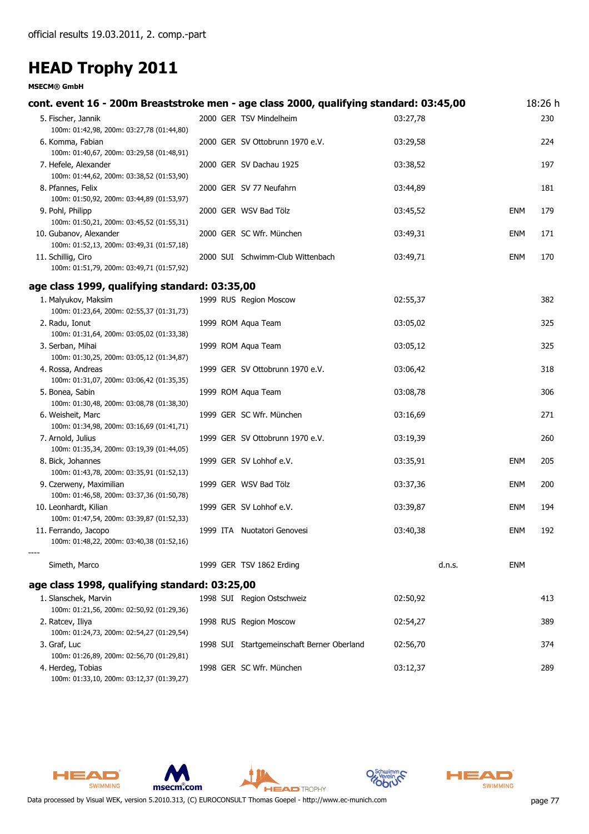#### **MSECM® GmbH**

| cont. event 16 - 200m Breaststroke men - age class 2000, qualifying standard: 03:45,00 |  |                                            |          |            | 18:26 h |
|----------------------------------------------------------------------------------------|--|--------------------------------------------|----------|------------|---------|
| 5. Fischer, Jannik<br>100m: 01:42,98, 200m: 03:27,78 (01:44,80)                        |  | 2000 GER TSV Mindelheim                    | 03:27,78 |            | 230     |
| 6. Komma, Fabian<br>100m: 01:40,67, 200m: 03:29,58 (01:48,91)                          |  | 2000 GER SV Ottobrunn 1970 e.V.            | 03:29,58 |            | 224     |
| 7. Hefele, Alexander<br>100m: 01:44,62, 200m: 03:38,52 (01:53,90)                      |  | 2000 GER SV Dachau 1925                    | 03:38,52 |            | 197     |
| 8. Pfannes, Felix<br>100m: 01:50,92, 200m: 03:44,89 (01:53,97)                         |  | 2000 GER SV 77 Neufahrn                    | 03:44,89 |            | 181     |
| 9. Pohl, Philipp<br>100m: 01:50,21, 200m: 03:45,52 (01:55,31)                          |  | 2000 GER WSV Bad Tölz                      | 03:45,52 | <b>ENM</b> | 179     |
| 10. Gubanov, Alexander<br>100m: 01:52,13, 200m: 03:49,31 (01:57,18)                    |  | 2000 GER SC Wfr. München                   | 03:49,31 | <b>ENM</b> | 171     |
| 11. Schillig, Ciro<br>100m: 01:51,79, 200m: 03:49,71 (01:57,92)                        |  | 2000 SUI Schwimm-Club Wittenbach           | 03:49,71 | <b>ENM</b> | 170     |
| age class 1999, qualifying standard: 03:35,00                                          |  |                                            |          |            |         |
| 1. Malyukov, Maksim<br>100m: 01:23,64, 200m: 02:55,37 (01:31,73)                       |  | 1999 RUS Region Moscow                     | 02:55,37 |            | 382     |
| 2. Radu, Ionut<br>100m: 01:31,64, 200m: 03:05,02 (01:33,38)                            |  | 1999 ROM Aqua Team                         | 03:05,02 |            | 325     |
| 3. Serban, Mihai<br>100m: 01:30,25, 200m: 03:05,12 (01:34,87)                          |  | 1999 ROM Aqua Team                         | 03:05,12 |            | 325     |
| 4. Rossa, Andreas<br>100m: 01:31,07, 200m: 03:06,42 (01:35,35)                         |  | 1999 GER SV Ottobrunn 1970 e.V.            | 03:06,42 |            | 318     |
| 5. Bonea, Sabin<br>100m: 01:30,48, 200m: 03:08,78 (01:38,30)                           |  | 1999 ROM Aqua Team                         | 03:08,78 |            | 306     |
| 6. Weisheit, Marc<br>100m: 01:34,98, 200m: 03:16,69 (01:41,71)                         |  | 1999 GER SC Wfr. München                   | 03:16,69 |            | 271     |
| 7. Arnold, Julius<br>100m: 01:35,34, 200m: 03:19,39 (01:44,05)                         |  | 1999 GER SV Ottobrunn 1970 e.V.            | 03:19,39 |            | 260     |
| 8. Bick, Johannes<br>100m: 01:43,78, 200m: 03:35,91 (01:52,13)                         |  | 1999 GER SV Lohhof e.V.                    | 03:35,91 | <b>ENM</b> | 205     |
| 9. Czerweny, Maximilian<br>100m: 01:46,58, 200m: 03:37,36 (01:50,78)                   |  | 1999 GER WSV Bad Tölz                      | 03:37,36 | <b>ENM</b> | 200     |
| 10. Leonhardt, Kilian<br>100m: 01:47,54, 200m: 03:39,87 (01:52,33)                     |  | 1999 GER SV Lohhof e.V.                    | 03:39,87 | <b>ENM</b> | 194     |
| 11. Ferrando, Jacopo<br>100m: 01:48,22, 200m: 03:40,38 (01:52,16)                      |  | 1999 ITA Nuotatori Genovesi                | 03:40,38 | <b>ENM</b> | 192     |
| Simeth, Marco                                                                          |  | 1999 GER TSV 1862 Erding                   | d.n.s.   | ENM        |         |
| age class 1998, qualifying standard: 03:25,00                                          |  |                                            |          |            |         |
| 1. Slanschek, Marvin<br>100m: 01:21,56, 200m: 02:50,92 (01:29,36)                      |  | 1998 SUI Region Ostschweiz                 | 02:50,92 |            | 413     |
| 2. Ratcev, Iliya<br>100m: 01:24,73, 200m: 02:54,27 (01:29,54)                          |  | 1998 RUS Region Moscow                     | 02:54,27 |            | 389     |
| 3. Graf, Luc<br>100m: 01:26,89, 200m: 02:56,70 (01:29,81)                              |  | 1998 SUI Startgemeinschaft Berner Oberland | 02:56,70 |            | 374     |
| 4. Herdeg, Tobias<br>100m: 01:33,10, 200m: 03:12,37 (01:39,27)                         |  | 1998 GER SC Wfr. München                   | 03:12,37 |            | 289     |







**HEAD** TROPHY



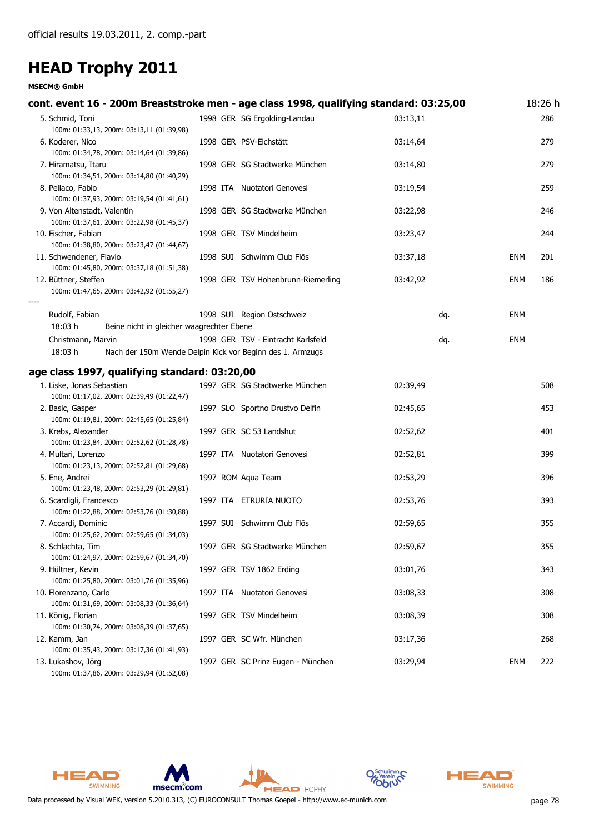#### **MSECM® GmbH**

| cont. event 16 - 200m Breaststroke men - age class 1998, qualifying standard: 03:25,00     |  |                                    |          |            | 18:26 h |
|--------------------------------------------------------------------------------------------|--|------------------------------------|----------|------------|---------|
| 5. Schmid, Toni<br>100m: 01:33,13, 200m: 03:13,11 (01:39,98)                               |  | 1998 GER SG Ergolding-Landau       | 03:13,11 |            | 286     |
| 6. Koderer, Nico<br>100m: 01:34,78, 200m: 03:14,64 (01:39,86)                              |  | 1998 GER PSV-Eichstätt             | 03:14,64 |            | 279     |
| 7. Hiramatsu, Itaru<br>100m: 01:34,51, 200m: 03:14,80 (01:40,29)                           |  | 1998 GER SG Stadtwerke München     | 03:14,80 |            | 279     |
| 8. Pellaco, Fabio<br>100m: 01:37,93, 200m: 03:19,54 (01:41,61)                             |  | 1998 ITA Nuotatori Genovesi        | 03:19,54 |            | 259     |
| 9. Von Altenstadt, Valentin<br>100m: 01:37,61, 200m: 03:22,98 (01:45,37)                   |  | 1998 GER SG Stadtwerke München     | 03:22,98 |            | 246     |
| 10. Fischer, Fabian<br>100m: 01:38,80, 200m: 03:23,47 (01:44,67)                           |  | 1998 GER TSV Mindelheim            | 03:23,47 |            | 244     |
| 11. Schwendener, Flavio<br>100m: 01:45,80, 200m: 03:37,18 (01:51,38)                       |  | 1998 SUI Schwimm Club Flös         | 03:37,18 | <b>ENM</b> | 201     |
| 12. Büttner, Steffen<br>100m: 01:47,65, 200m: 03:42,92 (01:55,27)                          |  | 1998 GER TSV Hohenbrunn-Riemerling | 03:42,92 | <b>ENM</b> | 186     |
| Rudolf, Fabian<br>18:03 h<br>Beine nicht in gleicher waagrechter Ebene                     |  | 1998 SUI Region Ostschweiz         | dq.      | ENM        |         |
| Christmann, Marvin<br>18:03 h<br>Nach der 150m Wende Delpin Kick vor Beginn des 1. Armzugs |  | 1998 GER TSV - Eintracht Karlsfeld | dq.      | <b>ENM</b> |         |
|                                                                                            |  |                                    |          |            |         |
| age class 1997, qualifying standard: 03:20,00                                              |  |                                    |          |            |         |
| 1. Liske, Jonas Sebastian<br>100m: 01:17,02, 200m: 02:39,49 (01:22,47)                     |  | 1997 GER SG Stadtwerke München     | 02:39,49 |            | 508     |
| 2. Basic, Gasper<br>100m: 01:19,81, 200m: 02:45,65 (01:25,84)                              |  | 1997 SLO Sportno Drustvo Delfin    | 02:45,65 |            | 453     |
| 3. Krebs, Alexander<br>100m: 01:23,84, 200m: 02:52,62 (01:28,78)                           |  | 1997 GER SC 53 Landshut            | 02:52,62 |            | 401     |
| 4. Multari, Lorenzo<br>100m: 01:23,13, 200m: 02:52,81 (01:29,68)                           |  | 1997 ITA Nuotatori Genovesi        | 02:52,81 |            | 399     |
| 5. Ene, Andrei<br>100m: 01:23,48, 200m: 02:53,29 (01:29,81)                                |  | 1997 ROM Aqua Team                 | 02:53,29 |            | 396     |
| 6. Scardigli, Francesco<br>100m: 01:22,88, 200m: 02:53,76 (01:30,88)                       |  | 1997 ITA ETRURIA NUOTO             | 02:53,76 |            | 393     |
| 7. Accardi, Dominic<br>100m: 01:25,62, 200m: 02:59,65 (01:34,03)                           |  | 1997 SUI Schwimm Club Flös         | 02:59,65 |            | 355     |
| 8. Schlachta, Tim                                                                          |  | 1997 GER SG Stadtwerke München     | 02:59,67 |            | 355     |
| 100m: 01:24,97, 200m: 02:59,67 (01:34,70)<br>9. Hültner, Kevin                             |  | 1997 GER TSV 1862 Erding           | 03:01,76 |            | 343     |
| 100m: 01:25,80, 200m: 03:01,76 (01:35,96)<br>10. Florenzano, Carlo                         |  | 1997 ITA Nuotatori Genovesi        | 03:08,33 |            | 308     |
| 100m: 01:31,69, 200m: 03:08,33 (01:36,64)<br>11. König, Florian                            |  | 1997 GER TSV Mindelheim            | 03:08,39 |            | 308     |
| 100m: 01:30,74, 200m: 03:08,39 (01:37,65)                                                  |  |                                    |          |            |         |
| 12. Kamm, Jan<br>100m: 01:35,43, 200m: 03:17,36 (01:41,93)                                 |  | 1997 GER SC Wfr. München           | 03:17,36 |            | 268     |
| 13. Lukashov, Jörg<br>100m: 01:37,86, 200m: 03:29,94 (01:52,08)                            |  | 1997 GER SC Prinz Eugen - München  | 03:29,94 | <b>ENM</b> | 222     |









**HEAD** TROPHY

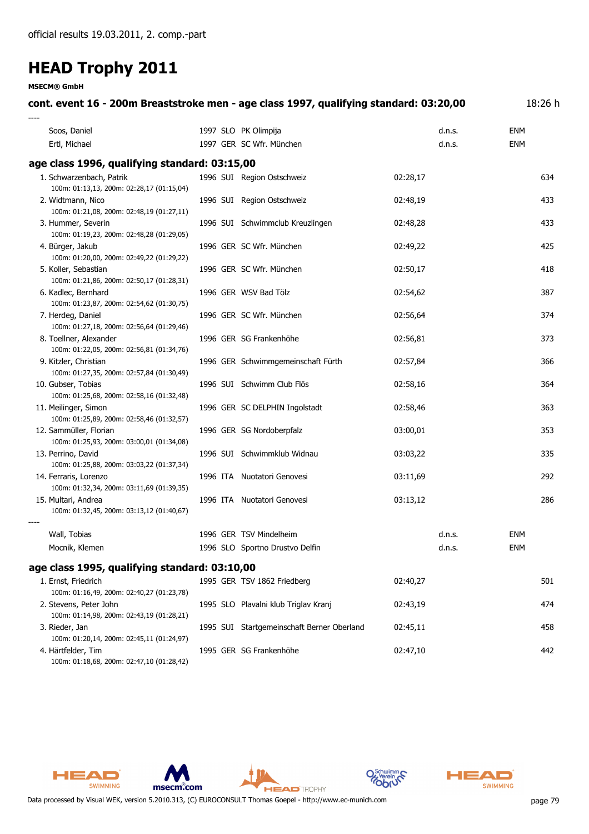**MSECM® GmbH**

| cont. event 16 - 200m Breaststroke men - age class 1997, qualifying standard: 03:20,00 |                                            |          |            | 18:26 h |
|----------------------------------------------------------------------------------------|--------------------------------------------|----------|------------|---------|
| Soos, Daniel                                                                           | 1997 SLO PK Olimpija                       | d.n.s.   | <b>ENM</b> |         |
| Ertl, Michael                                                                          | 1997 GER SC Wfr. München                   | d.n.s.   | <b>ENM</b> |         |
| age class 1996, qualifying standard: 03:15,00                                          |                                            |          |            |         |
| 1. Schwarzenbach, Patrik<br>100m: 01:13,13, 200m: 02:28,17 (01:15,04)                  | 1996 SUI Region Ostschweiz                 | 02:28,17 |            | 634     |
| 2. Widtmann, Nico<br>100m: 01:21,08, 200m: 02:48,19 (01:27,11)                         | 1996 SUI Region Ostschweiz                 | 02:48,19 |            | 433     |
| 3. Hummer, Severin<br>100m: 01:19,23, 200m: 02:48,28 (01:29,05)                        | 1996 SUI Schwimmclub Kreuzlingen           | 02:48,28 |            | 433     |
| 4. Bürger, Jakub<br>100m: 01:20,00, 200m: 02:49,22 (01:29,22)                          | 1996 GER SC Wfr. München                   | 02:49,22 |            | 425     |
| 5. Koller, Sebastian<br>100m: 01:21,86, 200m: 02:50,17 (01:28,31)                      | 1996 GER SC Wfr. München                   | 02:50,17 |            | 418     |
| 6. Kadlec, Bernhard<br>100m: 01:23,87, 200m: 02:54,62 (01:30,75)                       | 1996 GER WSV Bad Tölz                      | 02:54,62 |            | 387     |
| 7. Herdeg, Daniel<br>100m: 01:27,18, 200m: 02:56,64 (01:29,46)                         | 1996 GER SC Wfr. München                   | 02:56,64 |            | 374     |
| 8. Toellner, Alexander<br>100m: 01:22,05, 200m: 02:56,81 (01:34,76)                    | 1996 GER SG Frankenhöhe                    | 02:56,81 |            | 373     |
| 9. Kitzler, Christian<br>100m: 01:27,35, 200m: 02:57,84 (01:30,49)                     | 1996 GER Schwimmgemeinschaft Fürth         | 02:57,84 |            | 366     |
| 10. Gubser, Tobias<br>100m: 01:25,68, 200m: 02:58,16 (01:32,48)                        | 1996 SUI Schwimm Club Flös                 | 02:58,16 |            | 364     |
| 11. Meilinger, Simon<br>100m: 01:25,89, 200m: 02:58,46 (01:32,57)                      | 1996 GER SC DELPHIN Ingolstadt             | 02:58,46 |            | 363     |
| 12. Sammüller, Florian<br>100m: 01:25,93, 200m: 03:00,01 (01:34,08)                    | 1996 GER SG Nordoberpfalz                  | 03:00,01 |            | 353     |
| 13. Perrino, David<br>100m: 01:25,88, 200m: 03:03,22 (01:37,34)                        | 1996 SUI Schwimmklub Widnau                | 03:03,22 |            | 335     |
| 14. Ferraris, Lorenzo<br>100m: 01:32,34, 200m: 03:11,69 (01:39,35)                     | 1996 ITA Nuotatori Genovesi                | 03:11,69 |            | 292     |
| 15. Multari, Andrea<br>100m: 01:32,45, 200m: 03:13,12 (01:40,67)                       | 1996 ITA Nuotatori Genovesi                | 03:13,12 |            | 286     |
| Wall, Tobias                                                                           | 1996 GER TSV Mindelheim                    | d.n.s.   | <b>ENM</b> |         |
| Mocnik, Klemen                                                                         | 1996 SLO Sportno Drustvo Delfin            | d.n.s.   | <b>ENM</b> |         |
| age class 1995, qualifying standard: 03:10,00                                          |                                            |          |            |         |
| 1. Ernst, Friedrich                                                                    | 1995 GER TSV 1862 Friedberg                | 02:40,27 |            | 501     |
| 100m: 01:16,49, 200m: 02:40,27 (01:23,78)                                              |                                            |          |            |         |
| 2. Stevens, Peter John<br>100m: 01:14,98, 200m: 02:43,19 (01:28,21)                    | 1995 SLO Plavalni klub Triglav Kranj       | 02:43,19 |            | 474     |
| 3. Rieder, Jan<br>100m: 01:20,14, 200m: 02:45,11 (01:24,97)                            | 1995 SUI Startgemeinschaft Berner Oberland | 02:45,11 |            | 458     |
| 4. Härtfelder, Tim<br>100m: 01:18,68, 200m: 02:47,10 (01:28,42)                        | 1995 GER SG Frankenhöhe                    | 02:47,10 |            | 442     |







**HEAD** TROPHY



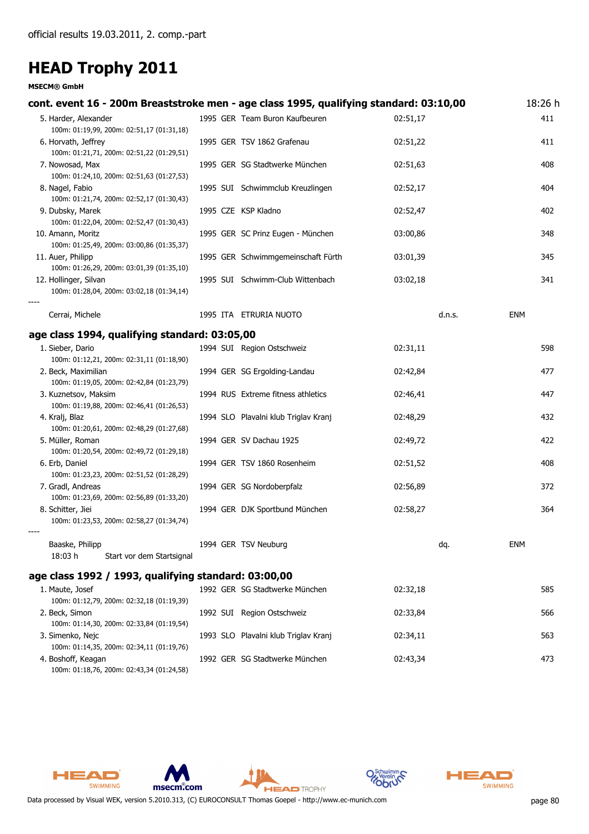#### **MSECM® GmbH**

| cont. event 16 - 200m Breaststroke men - age class 1995, qualifying standard: 03:10,00 |                                      |          | 18:26 h |
|----------------------------------------------------------------------------------------|--------------------------------------|----------|---------|
| 5. Harder, Alexander<br>100m: 01:19,99, 200m: 02:51,17 (01:31,18)                      | 1995 GER Team Buron Kaufbeuren       | 02:51,17 | 411     |
| 6. Horvath, Jeffrey<br>100m: 01:21,71, 200m: 02:51,22 (01:29,51)                       | 1995 GER TSV 1862 Grafenau           | 02:51,22 | 411     |
| 7. Nowosad, Max<br>100m: 01:24,10, 200m: 02:51,63 (01:27,53)                           | 1995 GER SG Stadtwerke München       | 02:51,63 | 408     |
| 8. Nagel, Fabio<br>100m: 01:21,74, 200m: 02:52,17 (01:30,43)                           | 1995 SUI Schwimmclub Kreuzlingen     | 02:52,17 | 404     |
| 9. Dubsky, Marek<br>100m: 01:22,04, 200m: 02:52,47 (01:30,43)                          | 1995 CZE KSP Kladno                  | 02:52,47 | 402     |
| 10. Amann, Moritz<br>100m: 01:25,49, 200m: 03:00,86 (01:35,37)                         | 1995 GER SC Prinz Eugen - München    | 03:00,86 | 348     |
| 11. Auer, Philipp<br>100m: 01:26,29, 200m: 03:01,39 (01:35,10)                         | 1995 GER Schwimmgemeinschaft Fürth   | 03:01,39 | 345     |
| 12. Hollinger, Silvan<br>100m: 01:28,04, 200m: 03:02,18 (01:34,14)                     | 1995 SUI Schwimm-Club Wittenbach     | 03:02,18 | 341     |
| Cerrai, Michele                                                                        | 1995 ITA ETRURIA NUOTO               | d.n.s.   | ENM     |
| age class 1994, qualifying standard: 03:05,00                                          |                                      |          |         |
| 1. Sieber, Dario<br>100m: 01:12,21, 200m: 02:31,11 (01:18,90)                          | 1994 SUI Region Ostschweiz           | 02:31,11 | 598     |
| 2. Beck, Maximilian<br>100m: 01:19,05, 200m: 02:42,84 (01:23,79)                       | 1994 GER SG Ergolding-Landau         | 02:42,84 | 477     |
| 3. Kuznetsov, Maksim<br>100m: 01:19,88, 200m: 02:46,41 (01:26,53)                      | 1994 RUS Extreme fitness athletics   | 02:46,41 | 447     |
| 4. Kralj, Blaz<br>100m: 01:20,61, 200m: 02:48,29 (01:27,68)                            | 1994 SLO Plavalni klub Triglav Kranj | 02:48,29 | 432     |
| 5. Müller, Roman<br>100m: 01:20,54, 200m: 02:49,72 (01:29,18)                          | 1994 GER SV Dachau 1925              | 02:49,72 | 422     |
| 6. Erb, Daniel<br>100m: 01:23,23, 200m: 02:51,52 (01:28,29)                            | 1994 GER TSV 1860 Rosenheim          | 02:51,52 | 408     |
| 7. Gradl, Andreas<br>100m: 01:23,69, 200m: 02:56,89 (01:33,20)                         | 1994 GER SG Nordoberpfalz            | 02:56,89 | 372     |
| 8. Schitter, Jiei<br>100m: 01:23,53, 200m: 02:58,27 (01:34,74)                         | 1994 GER DJK Sportbund München       | 02:58,27 | 364     |
| Baaske, Philipp<br>18:03 h<br>Start vor dem Startsignal                                | 1994 GER TSV Neuburg                 | dq.      | ENM     |
| age class 1992 / 1993, qualifying standard: 03:00,00                                   |                                      |          |         |
| 1. Maute, Josef                                                                        | 1992 GER SG Stadtwerke München       | 02:32,18 | 585     |
| 100m: 01:12,79, 200m: 02:32,18 (01:19,39)<br>2. Beck, Simon                            | 1992 SUI Region Ostschweiz           | 02:33,84 | 566     |
| 100m: 01:14,30, 200m: 02:33,84 (01:19,54)<br>3. Simenko, Nejc                          | 1993 SLO Plavalni klub Triglav Kranj | 02:34,11 | 563     |
| 100m: 01:14,35, 200m: 02:34,11 (01:19,76)<br>4. Boshoff, Keagan                        | 1992 GER SG Stadtwerke München       | 02:43,34 | 473     |

100m: 01:18,76, 200m: 02:43,34 (01:24,58)

HEAD

SWIMMING

msecm.com





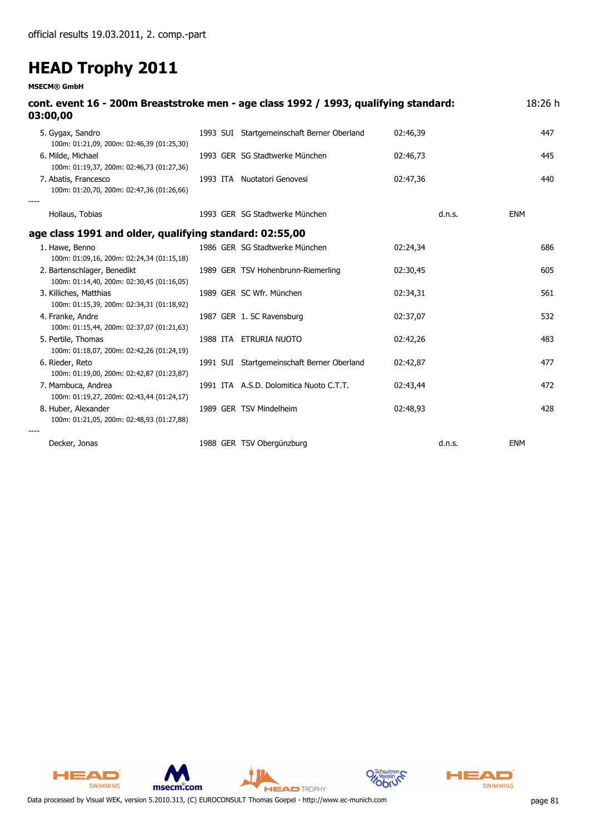**MSECM® GmbH**

| cont. event 16 - 200m Breaststroke men - age class 1992 / 1993, qualifying standard:<br>03:00,00 |                                            |          | 18:26 h    |
|--------------------------------------------------------------------------------------------------|--------------------------------------------|----------|------------|
| 5. Gygax, Sandro<br>100m: 01:21,09, 200m: 02:46,39 (01:25,30)                                    | 1993 SUI Startgemeinschaft Berner Oberland | 02:46,39 | 447        |
| 6. Milde, Michael<br>100m: 01:19,37, 200m: 02:46,73 (01:27,36)                                   | 1993 GER SG Stadtwerke München             | 02:46,73 | 445        |
| 7. Abatis, Francesco<br>100m: 01:20,70, 200m: 02:47,36 (01:26,66)                                | 1993 ITA Nuotatori Genovesi                | 02:47,36 | 440        |
| Hollaus, Tobias                                                                                  | 1993 GER SG Stadtwerke München             | d.n.s.   | <b>ENM</b> |
| age class 1991 and older, qualifying standard: 02:55,00                                          |                                            |          |            |
| 1. Hawe, Benno<br>100m: 01:09,16, 200m: 02:24,34 (01:15,18)                                      | 1986 GER SG Stadtwerke München             | 02:24,34 | 686        |
| 2. Bartenschlager, Benedikt<br>100m: 01:14,40, 200m: 02:30,45 (01:16,05)                         | 1989 GER TSV Hohenbrunn-Riemerling         | 02:30,45 | 605        |
| 3. Killiches, Matthias<br>100m: 01:15,39, 200m: 02:34,31 (01:18,92)                              | 1989 GER SC Wfr. München                   | 02:34,31 | 561        |
| 4. Franke, Andre<br>100m: 01:15,44, 200m: 02:37,07 (01:21,63)                                    | 1987 GER 1. SC Ravensburg                  | 02:37,07 | 532        |
| 5. Pertile, Thomas<br>100m: 01:18,07, 200m: 02:42,26 (01:24,19)                                  | 1988 ITA ETRURIA NUOTO                     | 02:42,26 | 483        |
| 6. Rieder, Reto<br>100m: 01:19,00, 200m: 02:42,87 (01:23,87)                                     | 1991 SUI Startgemeinschaft Berner Oberland | 02:42,87 | 477        |
| 7. Mambuca, Andrea<br>100m: 01:19,27, 200m: 02:43,44 (01:24,17)                                  | 1991 ITA A.S.D. Dolomitica Nuoto C.T.T.    | 02:43,44 | 472        |
| 8. Huber, Alexander<br>100m: 01:21,05, 200m: 02:48,93 (01:27,88)                                 | 1989 GER TSV Mindelheim                    | 02:48,93 | 428        |
| Decker, Jonas                                                                                    | 1988 GER TSV Obergünzburg                  | d.n.s.   | <b>ENM</b> |



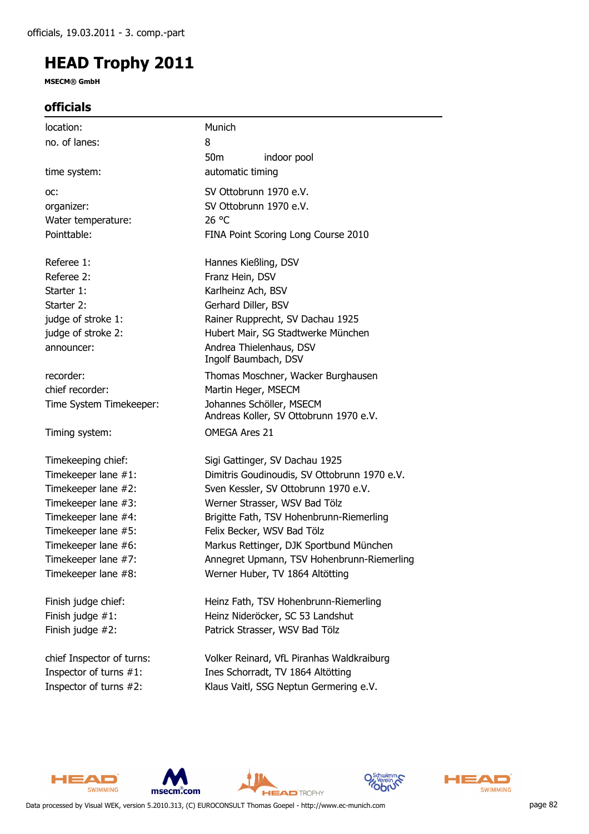**MSECM® GmbH**

### **officials**

| location:                 | Munich                                                             |
|---------------------------|--------------------------------------------------------------------|
| no. of lanes:             | 8                                                                  |
|                           | 50 <sub>m</sub><br>indoor pool                                     |
| time system:              | automatic timing                                                   |
| OC:                       | SV Ottobrunn 1970 e.V.                                             |
| organizer:                | SV Ottobrunn 1970 e.V.                                             |
| Water temperature:        | 26 °C                                                              |
| Pointtable:               | FINA Point Scoring Long Course 2010                                |
| Referee 1:                | Hannes Kießling, DSV                                               |
| Referee 2:                | Franz Hein, DSV                                                    |
| Starter 1:                | Karlheinz Ach, BSV                                                 |
| Starter 2:                | Gerhard Diller, BSV                                                |
| judge of stroke 1:        | Rainer Rupprecht, SV Dachau 1925                                   |
| judge of stroke 2:        | Hubert Mair, SG Stadtwerke München                                 |
| announcer:                | Andrea Thielenhaus, DSV                                            |
|                           | Ingolf Baumbach, DSV                                               |
| recorder:                 | Thomas Moschner, Wacker Burghausen                                 |
| chief recorder:           | Martin Heger, MSECM                                                |
| Time System Timekeeper:   | Johannes Schöller, MSECM<br>Andreas Koller, SV Ottobrunn 1970 e.V. |
| Timing system:            | <b>OMEGA Ares 21</b>                                               |
| Timekeeping chief:        | Sigi Gattinger, SV Dachau 1925                                     |
| Timekeeper lane #1:       | Dimitris Goudinoudis, SV Ottobrunn 1970 e.V.                       |
| Timekeeper lane #2:       | Sven Kessler, SV Ottobrunn 1970 e.V.                               |
| Timekeeper lane #3:       | Werner Strasser, WSV Bad Tölz                                      |
| Timekeeper lane #4:       | Brigitte Fath, TSV Hohenbrunn-Riemerling                           |
| Timekeeper lane #5:       | Felix Becker, WSV Bad Tölz                                         |
| Timekeeper lane #6:       | Markus Rettinger, DJK Sportbund München                            |
| Timekeeper lane #7:       | Annegret Upmann, TSV Hohenbrunn-Riemerling                         |
| Timekeeper lane #8:       | Werner Huber, TV 1864 Altötting                                    |
| Finish judge chief:       | Heinz Fath, TSV Hohenbrunn-Riemerling                              |
| Finish judge $#1$ :       | Heinz Nideröcker, SC 53 Landshut                                   |
| Finish judge #2:          | Patrick Strasser, WSV Bad Tölz                                     |
| chief Inspector of turns: | Volker Reinard, VfL Piranhas Waldkraiburg                          |
| Inspector of turns #1:    | Ines Schorradt, TV 1864 Altötting                                  |
| Inspector of turns #2:    | Klaus Vaitl, SSG Neptun Germering e.V.                             |









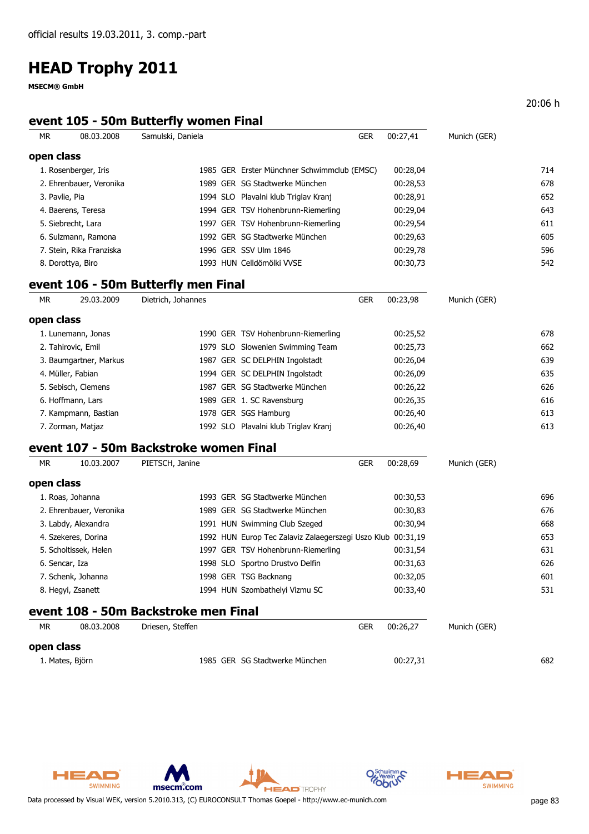**MSECM® GmbH**

### **event 105 - 50m Butterfly women Final**

| МR         | 08.03.2008               | Samulski, Daniela                      |                                                             | <b>GER</b> | 00:27,41 | Munich (GER) |     |
|------------|--------------------------|----------------------------------------|-------------------------------------------------------------|------------|----------|--------------|-----|
| open class |                          |                                        |                                                             |            |          |              |     |
|            | 1. Rosenberger, Iris     |                                        | 1985 GER Erster Münchner Schwimmclub (EMSC)                 |            | 00:28,04 |              | 714 |
|            | 2. Ehrenbauer, Veronika  |                                        | 1989 GER SG Stadtwerke München                              |            | 00:28,53 |              | 678 |
|            | 3. Pavlie, Pia           |                                        | 1994 SLO Plavalni klub Triglav Kranj                        |            | 00:28,91 |              | 652 |
|            | 4. Baerens, Teresa       |                                        | 1994 GER TSV Hohenbrunn-Riemerling                          |            | 00:29,04 |              | 643 |
|            | 5. Siebrecht, Lara       |                                        | 1997 GER TSV Hohenbrunn-Riemerling                          |            | 00:29,54 |              | 611 |
|            | 6. Sulzmann, Ramona      |                                        | 1992 GER SG Stadtwerke München                              |            | 00:29,63 |              | 605 |
|            | 7. Stein, Rika Franziska |                                        | 1996 GER SSV Ulm 1846                                       |            | 00:29,78 |              | 596 |
|            | 8. Dorottya, Biro        |                                        | 1993 HUN Celldömölki VVSE                                   |            | 00:30,73 |              | 542 |
|            |                          | event 106 - 50m Butterfly men Final    |                                                             |            |          |              |     |
| <b>MR</b>  | 29.03.2009               | Dietrich, Johannes                     |                                                             | <b>GER</b> | 00:23,98 | Munich (GER) |     |
| open class |                          |                                        |                                                             |            |          |              |     |
|            | 1. Lunemann, Jonas       |                                        | 1990 GER TSV Hohenbrunn-Riemerling                          |            | 00:25,52 |              | 678 |
|            | 2. Tahirovic, Emil       |                                        | 1979 SLO Slowenien Swimming Team                            |            | 00:25,73 |              | 662 |
|            | 3. Baumgartner, Markus   |                                        | 1987 GER SC DELPHIN Ingolstadt                              |            | 00:26,04 |              | 639 |
|            | 4. Müller, Fabian        |                                        | 1994 GER SC DELPHIN Ingolstadt                              |            | 00:26,09 |              | 635 |
|            | 5. Sebisch, Clemens      |                                        | 1987 GER SG Stadtwerke München                              |            | 00:26,22 |              | 626 |
|            | 6. Hoffmann, Lars        |                                        | 1989 GER 1. SC Ravensburg                                   |            | 00:26,35 |              | 616 |
|            | 7. Kampmann, Bastian     |                                        | 1978 GER SGS Hamburg                                        |            | 00:26,40 |              | 613 |
|            | 7. Zorman, Matjaz        |                                        | 1992 SLO Plavalni klub Triglav Kranj                        |            | 00:26,40 |              | 613 |
|            |                          | event 107 - 50m Backstroke women Final |                                                             |            |          |              |     |
| MR.        | 10.03.2007               | PIETSCH, Janine                        |                                                             | <b>GER</b> | 00:28,69 | Munich (GER) |     |
| open class |                          |                                        |                                                             |            |          |              |     |
|            | 1. Roas, Johanna         |                                        | 1993 GER SG Stadtwerke München                              |            | 00:30,53 |              | 696 |
|            | 2. Ehrenbauer, Veronika  |                                        | 1989 GER SG Stadtwerke München                              |            | 00:30,83 |              | 676 |
|            | 3. Labdy, Alexandra      |                                        | 1991 HUN Swimming Club Szeged                               |            | 00:30,94 |              | 668 |
|            | 4. Szekeres, Dorina      |                                        | 1992 HUN Europ Tec Zalaviz Zalaegerszegi Uszo Klub 00:31,19 |            |          |              | 653 |
|            | 5. Scholtissek, Helen    |                                        | 1997 GER TSV Hohenbrunn-Riemerling                          |            | 00:31,54 |              | 631 |
|            | 6. Sencar, Iza           |                                        | 1998 SLO Sportno Drustvo Delfin                             |            | 00:31,63 |              | 626 |
|            | 7. Schenk, Johanna       |                                        | 1998 GER TSG Backnang                                       |            | 00:32,05 |              | 601 |
|            | 8. Hegyi, Zsanett        |                                        | 1994 HUN Szombathelyi Vizmu SC                              |            | 00:33,40 |              | 531 |
|            |                          | event 108 - 50m Backstroke men Final   |                                                             |            |          |              |     |
| MR         | 08.03.2008               | Driesen, Steffen                       |                                                             | <b>GER</b> | 00:26,27 | Munich (GER) |     |
| open class |                          |                                        |                                                             |            |          |              |     |

|  | 1. Mates, Björn |  |
|--|-----------------|--|
|--|-----------------|--|

1985 GER SG Stadtwerke München 1985 682









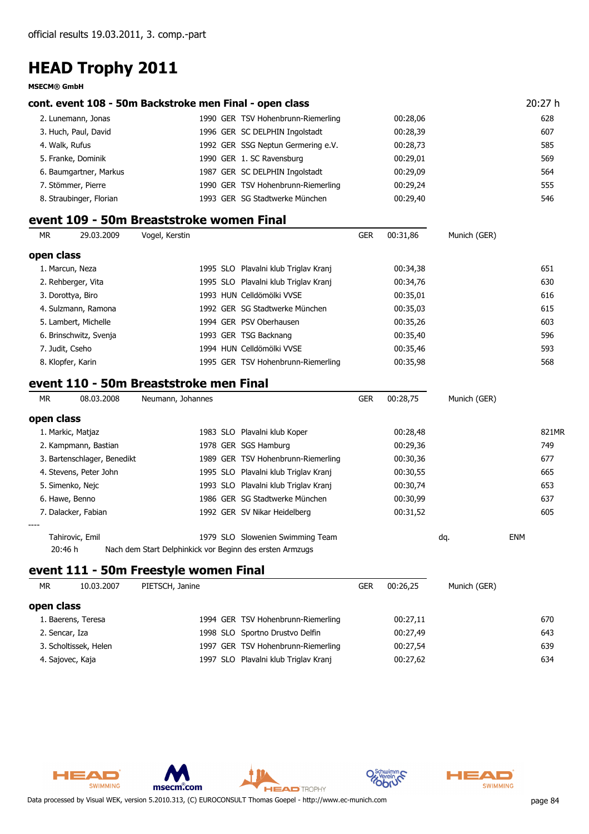**MSECM® GmbH**

#### **cont. event 108 - 50m Backstroke men Final - open class** 20:27 h

| 2. Lunemann, Jonas      | 1990 GER TSV Hohenbrunn-Riemerling | 00:28,06 | 628 |
|-------------------------|------------------------------------|----------|-----|
| 3. Huch, Paul, David    | 1996 GER SC DELPHIN Ingolstadt     | 00:28,39 | 607 |
| 4. Walk, Rufus          | 1992 GER SSG Neptun Germering e.V. | 00:28,73 | 585 |
| 5. Franke, Dominik      | 1990 GER 1. SC Ravensburg          | 00:29,01 | 569 |
| 6. Baumgartner, Markus  | 1987 GER SC DELPHIN Ingolstadt     | 00:29.09 | 564 |
| 7. Stömmer, Pierre      | 1990 GER TSV Hohenbrunn-Riemerling | 00:29,24 | 555 |
| 8. Straubinger, Florian | 1993 GER SG Stadtwerke München     | 00:29,40 | 546 |

### **event 109 - 50m Breaststroke women Final**

| 651 |
|-----|
| 630 |
| 616 |
| 615 |
| 603 |
| 596 |
| 593 |
| 568 |
|     |

### **event 110 - 50m Breaststroke men Final**

| MR.        | 08.03.2008                  | Neumann, Johannes                                        |                                      | <b>GER</b> | 00:28.75 | Munich (GER) |            |       |
|------------|-----------------------------|----------------------------------------------------------|--------------------------------------|------------|----------|--------------|------------|-------|
| open class |                             |                                                          |                                      |            |          |              |            |       |
|            | 1. Markic, Matjaz           |                                                          | 1983 SLO Plavalni klub Koper         |            | 00:28,48 |              |            | 821MR |
|            | 2. Kampmann, Bastian        |                                                          | 1978 GER SGS Hamburg                 |            | 00:29,36 |              |            | 749   |
|            | 3. Bartenschlager, Benedikt |                                                          | 1989 GER TSV Hohenbrunn-Riemerling   |            | 00:30,36 |              |            | 677   |
|            | 4. Stevens, Peter John      |                                                          | 1995 SLO Plavalni klub Triglav Kranj |            | 00:30,55 |              |            | 665   |
|            | 5. Simenko, Nejc            |                                                          | 1993 SLO Plavalni klub Triglav Kranj |            | 00:30,74 |              |            | 653   |
|            | 6. Hawe, Benno              |                                                          | 1986 GER SG Stadtwerke München       |            | 00:30.99 |              |            | 637   |
|            | 7. Dalacker, Fabian         |                                                          | 1992 GER SV Nikar Heidelberg         |            | 00:31,52 |              |            | 605   |
| ----       |                             |                                                          |                                      |            |          |              |            |       |
|            | Tahirovic, Emil             |                                                          | 1979 SLO Slowenien Swimming Team     |            |          | dq.          | <b>ENM</b> |       |
|            | 20:46 h                     | Nach dem Start Delphinkick vor Beginn des ersten Armzugs |                                      |            |          |              |            |       |

### **event 111 - 50m Freestyle women Final**

| МR         | 10.03.2007            | PIETSCH, Janine |                                      | <b>GER</b> | 00:26.25 | Munich (GER) |     |
|------------|-----------------------|-----------------|--------------------------------------|------------|----------|--------------|-----|
| open class |                       |                 |                                      |            |          |              |     |
|            | 1. Baerens, Teresa    |                 | 1994 GER TSV Hohenbrunn-Riemerling   |            | 00:27,11 |              | 670 |
|            | 2. Sencar, Iza        |                 | 1998 SLO Sportno Drustvo Delfin      |            | 00:27,49 |              | 643 |
|            | 3. Scholtissek, Helen |                 | 1997 GER TSV Hohenbrunn-Riemerling   |            | 00:27,54 |              | 639 |
|            | 4. Sajovec, Kaja      |                 | 1997 SLO Plavalni klub Triglav Kranj |            | 00:27,62 |              | 634 |





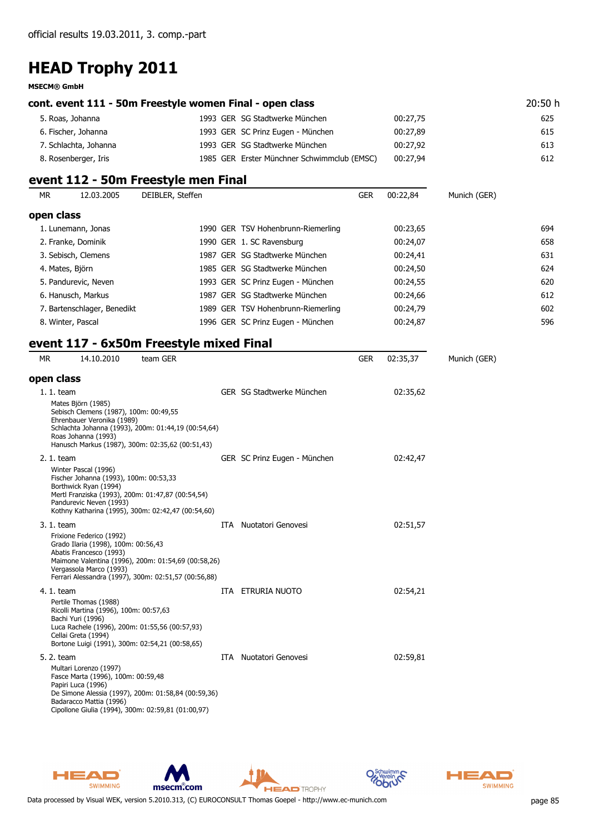#### **MSECM® GmbH**

| cont. event 111 - 50m Freestyle women Final - open class | 20:50 h                                     |          |     |
|----------------------------------------------------------|---------------------------------------------|----------|-----|
| 5. Roas, Johanna                                         | 1993 GER SG Stadtwerke München              | 00:27,75 | 625 |
| 6. Fischer, Johanna                                      | 1993 GER SC Prinz Eugen - München           | 00:27.89 | 615 |
| 7. Schlachta, Johanna                                    | 1993 GER SG Stadtwerke München              | 00:27.92 | 613 |
| 8. Rosenberger, Iris                                     | 1985 GER Erster Münchner Schwimmclub (EMSC) | 00:27,94 | 612 |

### **event 112 - 50m Freestyle men Final**

| MR.                  | 12.03.2005                  | DEIBLER, Steffen |                                    | <b>GER</b> | 00:22.84 | Munich (GER) |     |
|----------------------|-----------------------------|------------------|------------------------------------|------------|----------|--------------|-----|
| open class           |                             |                  |                                    |            |          |              |     |
| 1. Lunemann, Jonas   |                             |                  | 1990 GER TSV Hohenbrunn-Riemerling |            | 00:23,65 |              | 694 |
| 2. Franke, Dominik   |                             |                  | 1990 GER 1. SC Ravensburg          |            | 00:24,07 |              | 658 |
| 3. Sebisch, Clemens  |                             |                  | 1987 GER SG Stadtwerke München     |            | 00:24,41 |              | 631 |
| 4. Mates, Björn      |                             |                  | 1985 GER SG Stadtwerke München     |            | 00:24,50 |              | 624 |
| 5. Pandurevic, Neven |                             |                  | 1993 GER SC Prinz Eugen - München  |            | 00:24,55 |              | 620 |
| 6. Hanusch, Markus   |                             |                  | 1987 GER SG Stadtwerke München     |            | 00:24,66 |              | 612 |
|                      | 7. Bartenschlager, Benedikt |                  | 1989 GER TSV Hohenbrunn-Riemerling |            | 00:24,79 |              | 602 |
| 8. Winter, Pascal    |                             |                  | 1996 GER SC Prinz Eugen - München  |            | 00:24,87 |              | 596 |

### **event 117 - 6x50m Freestyle mixed Final**

| <b>MR</b>   | 14.10.2010                                                                                                            | team GER                                                                                                    |                               | <b>GER</b> | 02:35,37 | Munich (GER) |
|-------------|-----------------------------------------------------------------------------------------------------------------------|-------------------------------------------------------------------------------------------------------------|-------------------------------|------------|----------|--------------|
| open class  |                                                                                                                       |                                                                                                             |                               |            |          |              |
| $1.1.$ team | Mates Björn (1985)<br>Sebisch Clemens (1987), 100m: 00:49,55<br>Ehrenbauer Veronika (1989)<br>Roas Johanna (1993)     | Schlachta Johanna (1993), 200m: 01:44,19 (00:54,64)<br>Hanusch Markus (1987), 300m: 02:35,62 (00:51,43)     | GER SG Stadtwerke München     |            | 02:35,62 |              |
| 2. 1. team  | Winter Pascal (1996)<br>Fischer Johanna (1993), 100m: 00:53,33<br>Borthwick Ryan (1994)<br>Pandurevic Neven (1993)    | Mertl Franziska (1993), 200m: 01:47,87 (00:54,54)<br>Kothny Katharina (1995), 300m: 02:42,47 (00:54,60)     | GER SC Prinz Eugen - München  |            | 02:42,47 |              |
| 3. 1. team  | Frixione Federico (1992)<br>Grado Ilaria (1998), 100m: 00:56,43<br>Abatis Francesco (1993)<br>Vergassola Marco (1993) | Maimone Valentina (1996), 200m: 01:54,69 (00:58,26)<br>Ferrari Alessandra (1997), 300m: 02:51,57 (00:56,88) | <b>ITA</b> Nuotatori Genovesi |            | 02:51,57 |              |
| 4. 1. team  | Pertile Thomas (1988)<br>Ricolli Martina (1996), 100m: 00:57,63<br>Bachi Yuri (1996)<br>Cellai Greta (1994)           | Luca Rachele (1996), 200m: 01:55,56 (00:57,93)<br>Bortone Luigi (1991), 300m: 02:54,21 (00:58,65)           | ITA ETRURIA NUOTO             |            | 02:54,21 |              |
| 5. 2. team  | Multari Lorenzo (1997)<br>Fasce Marta (1996), 100m: 00:59,48<br>Papiri Luca (1996)<br>Badaracco Mattia (1996)         | De Simone Alessia (1997), 200m: 01:58,84 (00:59,36)<br>Cipollone Giulia (1994), 300m: 02:59,81 (01:00,97)   | <b>ITA</b> Nuotatori Genovesi |            | 02:59,81 |              |



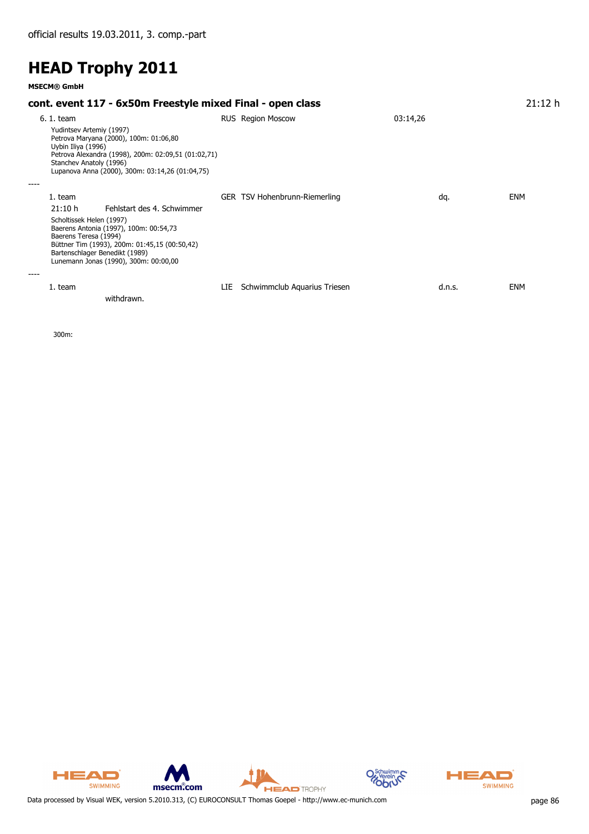**MSECM® GmbH**

#### **cont. event 117 - 6x50m Freestyle mixed Final - open class** 21:12 h 6. 1. team RUS Region Moscow 03:14,26 Yudintsev Artemiy (1997) Petrova Maryana (2000), 100m: 01:06,80 Uybin Iliya (1996) Petrova Alexandra (1998), 200m: 02:09,51 (01:02,71) Stanchev Anatoly (1996) Lupanova Anna (2000), 300m: 03:14,26 (01:04,75) *----* 1. team TSV Hohenbrunn-Riemerling ENM GER dq. *21:10 h Fehlstart des 4. Schwimmer* Scholtissek Helen (1997) Baerens Antonia (1997), 100m: 00:54,73 Baerens Teresa (1994) Büttner Tim (1993), 200m: 01:45,15 (00:50,42) Bartenschlager Benedikt (1989) Lunemann Jonas (1990), 300m: 00:00,00 *----* 1. team Schwimmclub Aquarius Triesen ENM LIE d.n.s. *withdrawn.*

300m:

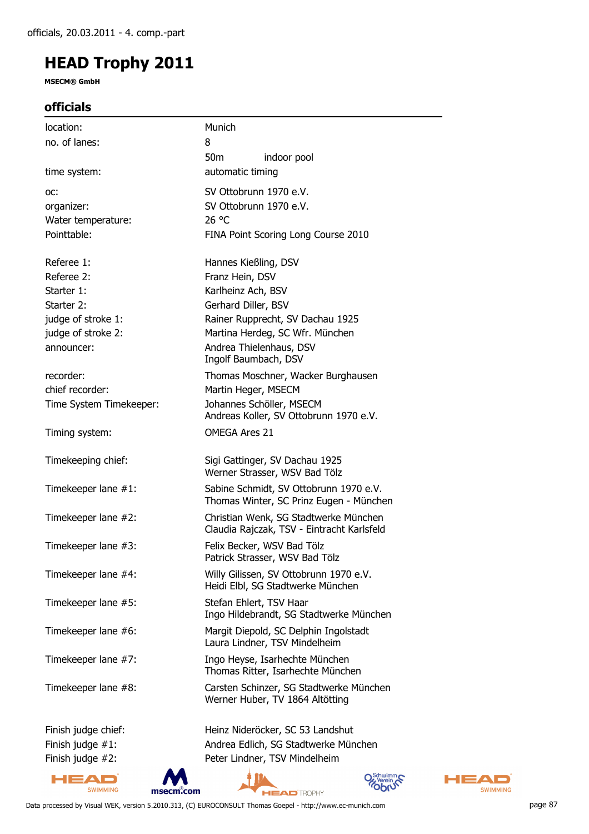**MSECM® GmbH**

### **officials**

| location:               | Munich                                                                              |
|-------------------------|-------------------------------------------------------------------------------------|
| no. of lanes:           | 8                                                                                   |
|                         | 50 <sub>m</sub><br>indoor pool                                                      |
| time system:            | automatic timing                                                                    |
| OC:                     | SV Ottobrunn 1970 e.V.                                                              |
| organizer:              | SV Ottobrunn 1970 e.V.                                                              |
| Water temperature:      | 26 °C                                                                               |
| Pointtable:             | FINA Point Scoring Long Course 2010                                                 |
| Referee 1:              | Hannes Kießling, DSV                                                                |
| Referee 2:              | Franz Hein, DSV                                                                     |
| Starter 1:              | Karlheinz Ach, BSV                                                                  |
| Starter 2:              | Gerhard Diller, BSV                                                                 |
| judge of stroke 1:      | Rainer Rupprecht, SV Dachau 1925                                                    |
| judge of stroke 2:      | Martina Herdeg, SC Wfr. München                                                     |
| announcer:              | Andrea Thielenhaus, DSV<br>Ingolf Baumbach, DSV                                     |
| recorder:               | Thomas Moschner, Wacker Burghausen                                                  |
| chief recorder:         | Martin Heger, MSECM                                                                 |
| Time System Timekeeper: | Johannes Schöller, MSECM<br>Andreas Koller, SV Ottobrunn 1970 e.V.                  |
| Timing system:          | <b>OMEGA Ares 21</b>                                                                |
| Timekeeping chief:      | Sigi Gattinger, SV Dachau 1925<br>Werner Strasser, WSV Bad Tölz                     |
| Timekeeper lane #1:     | Sabine Schmidt, SV Ottobrunn 1970 e.V.<br>Thomas Winter, SC Prinz Eugen - München   |
| Timekeeper lane #2:     | Christian Wenk, SG Stadtwerke München<br>Claudia Rajczak, TSV - Eintracht Karlsfeld |
| Timekeeper lane #3:     | Felix Becker, WSV Bad Tölz<br>Patrick Strasser, WSV Bad Tölz                        |
| Timekeeper lane #4:     | Willy Gilissen, SV Ottobrunn 1970 e.V.<br>Heidi Elbl, SG Stadtwerke München         |
| Timekeeper lane #5:     | Stefan Ehlert, TSV Haar<br>Ingo Hildebrandt, SG Stadtwerke München                  |
| Timekeeper lane #6:     | Margit Diepold, SC Delphin Ingolstadt<br>Laura Lindner, TSV Mindelheim              |
| Timekeeper lane #7:     | Ingo Heyse, Isarhechte München<br>Thomas Ritter, Isarhechte München                 |
| Timekeeper lane #8:     | Carsten Schinzer, SG Stadtwerke München<br>Werner Huber, TV 1864 Altötting          |
| Finish judge chief:     | Heinz Nideröcker, SC 53 Landshut                                                    |
| Finish judge $#1$ :     | Andrea Edlich, SG Stadtwerke München                                                |
| Finish judge #2:        | Peter Lindner, TSV Mindelheim                                                       |







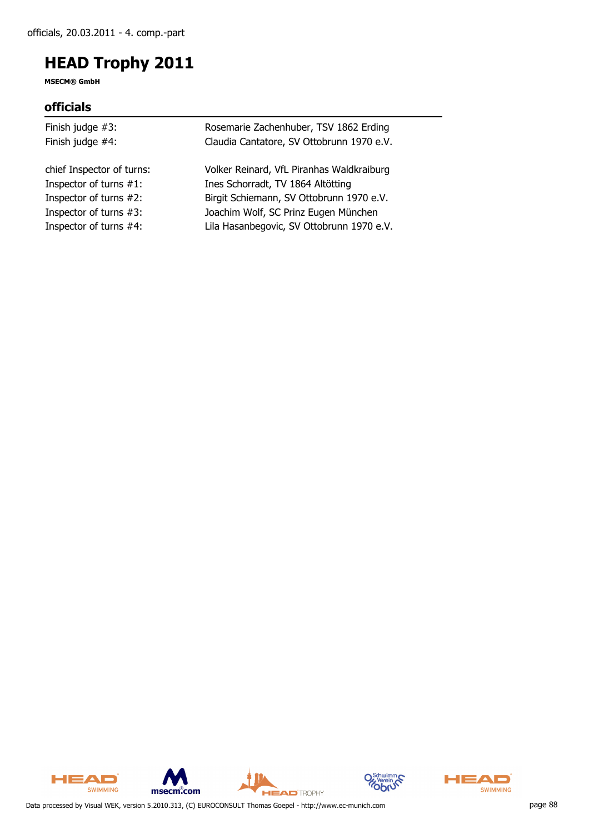**MSECM® GmbH**

### **officials**

| Rosemarie Zachenhuber, TSV 1862 Erding    |
|-------------------------------------------|
| Claudia Cantatore, SV Ottobrunn 1970 e.V. |
| Volker Reinard, VfL Piranhas Waldkraiburg |
| Ines Schorradt, TV 1864 Altötting         |
| Birgit Schiemann, SV Ottobrunn 1970 e.V.  |
| Joachim Wolf, SC Prinz Eugen München      |
| Lila Hasanbegovic, SV Ottobrunn 1970 e.V. |
|                                           |









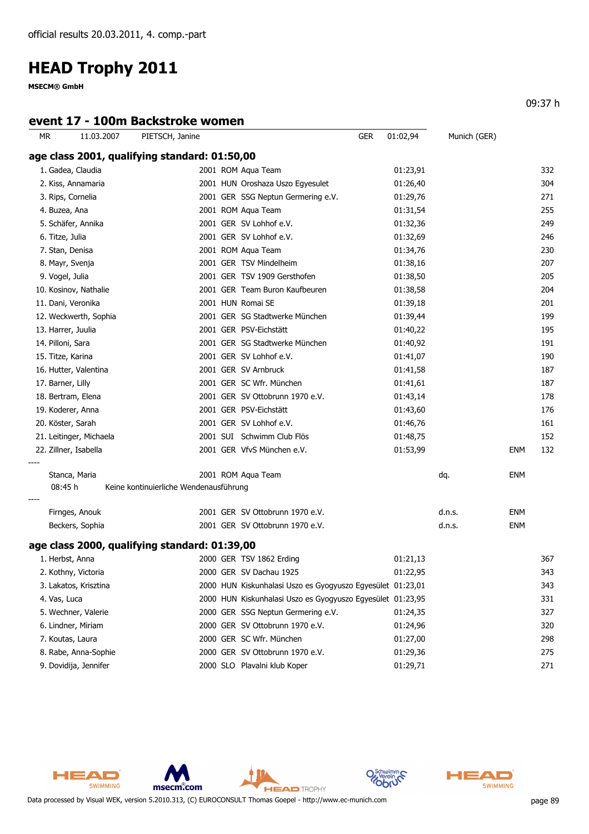**MSECM® GmbH**

### **event 17 - 100m Backstroke women**

09:37 h

| МR | 11.03.2007              | PIETSCH, Janine                               | <b>GER</b>                                                 | 01:02,94 | Munich (GER) |            |         |
|----|-------------------------|-----------------------------------------------|------------------------------------------------------------|----------|--------------|------------|---------|
|    |                         | age class 2001, qualifying standard: 01:50,00 |                                                            |          |              |            |         |
|    | 1. Gadea, Claudia       |                                               | 2001 ROM Aqua Team                                         | 01:23,91 |              |            | 332     |
|    | 2. Kiss, Annamaria      |                                               | 2001 HUN Oroshaza Uszo Egyesulet                           | 01:26,40 |              |            | 304     |
|    | 3. Rips, Cornelia       |                                               | 2001 GER SSG Neptun Germering e.V.                         | 01:29,76 |              |            | 271     |
|    | 4. Buzea, Ana           |                                               | 2001 ROM Aqua Team                                         | 01:31,54 |              |            | 255     |
|    | 5. Schäfer, Annika      |                                               | 2001 GER SV Lohhof e.V.                                    | 01:32,36 |              |            | 249     |
|    | 6. Titze, Julia         |                                               | 2001 GER SV Lohhof e.V.                                    | 01:32,69 |              |            | 246     |
|    | 7. Stan, Denisa         |                                               | 2001 ROM Aqua Team                                         | 01:34,76 |              |            | 230     |
|    | 8. Mayr, Svenja         |                                               | 2001 GER TSV Mindelheim                                    | 01:38,16 |              |            | 207     |
|    | 9. Vogel, Julia         |                                               | 2001 GER TSV 1909 Gersthofen                               | 01:38,50 |              |            | 205     |
|    | 10. Kosinov, Nathalie   |                                               | 2001 GER Team Buron Kaufbeuren                             | 01:38,58 |              |            | 204     |
|    | 11. Dani, Veronika      |                                               | 2001 HUN Romai SE                                          | 01:39,18 |              |            | 201     |
|    | 12. Weckwerth, Sophia   |                                               | 2001 GER SG Stadtwerke München                             | 01:39,44 |              |            | 199     |
|    | 13. Harrer, Juulia      |                                               | 2001 GER PSV-Eichstätt                                     | 01:40,22 |              |            | 195     |
|    | 14. Pilloni, Sara       |                                               | 2001 GER SG Stadtwerke München                             | 01:40,92 |              |            | 191     |
|    | 15. Titze, Karina       |                                               | 2001 GER SV Lohhof e.V.                                    | 01:41,07 |              |            | 190     |
|    | 16. Hutter, Valentina   |                                               | 2001 GER SV Arnbruck                                       | 01:41,58 |              |            | 187     |
|    | 17. Barner, Lilly       |                                               | 2001 GER SC Wfr. München                                   | 01:41,61 |              |            | 187     |
|    | 18. Bertram, Elena      |                                               | 2001 GER SV Ottobrunn 1970 e.V.                            | 01:43,14 |              |            | 178     |
|    | 19. Koderer, Anna       |                                               | 2001 GER PSV-Eichstätt                                     | 01:43,60 |              |            | 176     |
|    | 20. Köster, Sarah       |                                               | 2001 GER SV Lohhof e.V.                                    | 01:46,76 |              |            | 161     |
|    | 21. Leitinger, Michaela |                                               | 2001 SUI Schwimm Club Flös                                 | 01:48,75 |              |            | 152     |
|    | 22. Zillner, Isabella   |                                               | 2001 GER VfvS München e.V.                                 | 01:53,99 |              | ENM        | 132     |
|    | Stanca, Maria           |                                               | 2001 ROM Aqua Team                                         |          | dq.          | <b>ENM</b> |         |
|    | 08:45 h                 | Keine kontinuierliche Wendenausführung        |                                                            |          |              |            |         |
|    | Firnges, Anouk          |                                               | 2001 GER SV Ottobrunn 1970 e.V.                            |          | d.n.s.       | <b>ENM</b> |         |
|    | Beckers, Sophia         |                                               | 2001 GER SV Ottobrunn 1970 e.V.                            |          | d.n.s.       | <b>ENM</b> |         |
|    |                         | age class 2000, qualifying standard: 01:39,00 |                                                            |          |              |            |         |
|    | 1. Herbst, Anna         |                                               | 2000 GER TSV 1862 Erding                                   | 01:21,13 |              |            | 367     |
|    | 2. Kothny, Victoria     |                                               | 2000 GER SV Dachau 1925                                    | 01:22,95 |              |            | 343     |
|    | 3. Lakatos, Krisztina   |                                               | 2000 HUN Kiskunhalasi Uszo es Gyogyuszo Egyesület 01:23,01 |          |              |            | 343     |
|    | 4. Vas, Luca            |                                               | 2000 HUN Kiskunhalasi Uszo es Gyogyuszo Egyesület 01:23,95 |          |              |            | 331     |
|    | 5. Wechner, Valerie     |                                               | 2000 GER SSG Neptun Germering e.V.                         | 01:24,35 |              |            | 327     |
|    | 6. Lindner, Miriam      |                                               | 2000 GER SV Ottobrunn 1970 e.V.                            | 01:24,96 |              |            | 320     |
|    | 7. Koutas, Laura        |                                               | 2000 GER SC Wfr. München                                   | 01:27,00 |              |            | 298     |
|    | 8. Rabe, Anna-Sophie    |                                               | 2000 GER SV Ottobrunn 1970 e.V.                            | 01:29,36 |              |            | 275     |
|    | 9. Dovidija, Jennifer   |                                               | 2000 SLO Plavalni klub Koper                               | 01:29,71 |              |            | $271\,$ |



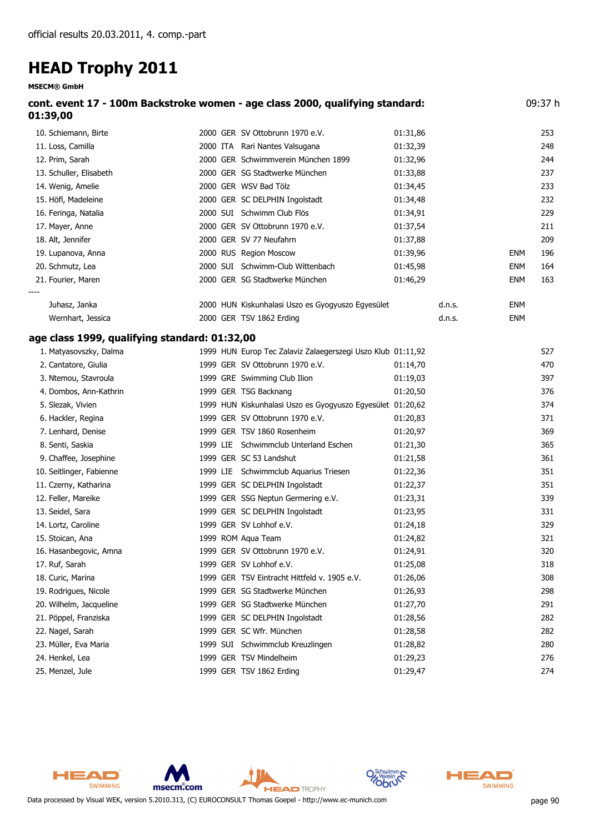**MSECM® GmbH**

| cont. event 17 - 100m Backstroke women - age class 2000, qualifying standard:<br>01:39,00 |                                 |                 |      |  |  |
|-------------------------------------------------------------------------------------------|---------------------------------|-----------------|------|--|--|
| 10. Schiemann, Birte                                                                      | 2000 GER SV Ottobrunn 1970 e.V. | 01:31.86        | 253  |  |  |
| 11 Less Capaille                                                                          | 3000 ITA Davi Nantes Valeugana  | <u>הר ברינה</u> | າ 40 |  |  |

| 11. Loss, Camilla       |          | 2000 ITA Rari Nantes Valsugana                    | 01:32,39 |        |            | 248 |
|-------------------------|----------|---------------------------------------------------|----------|--------|------------|-----|
| 12. Prim, Sarah         |          | 2000 GER Schwimmverein München 1899               | 01:32,96 |        |            | 244 |
| 13. Schuller, Elisabeth |          | 2000 GER SG Stadtwerke München                    | 01:33,88 |        |            | 237 |
| 14. Wenig, Amelie       |          | 2000 GER WSV Bad Tölz                             | 01:34,45 |        |            | 233 |
| 15. Höfl, Madeleine     |          | 2000 GER SC DELPHIN Ingolstadt                    | 01:34,48 |        |            | 232 |
| 16. Feringa, Natalia    | 2000 SUI | Schwimm Club Flös                                 | 01:34,91 |        |            | 229 |
| 17. Mayer, Anne         |          | 2000 GER SV Ottobrunn 1970 e.V.                   | 01:37,54 |        |            | 211 |
| 18. Alt, Jennifer       |          | 2000 GER SV 77 Neufahrn                           | 01:37,88 |        |            | 209 |
| 19. Lupanova, Anna      |          | 2000 RUS Region Moscow                            | 01:39,96 |        | ENM        | 196 |
| 20. Schmutz, Lea        | 2000 SUI | Schwimm-Club Wittenbach                           | 01:45,98 |        | <b>ENM</b> | 164 |
| 21. Fourier, Maren      |          | 2000 GER SG Stadtwerke München                    | 01:46,29 |        | <b>ENM</b> | 163 |
| ----                    |          |                                                   |          |        |            |     |
| Juhasz, Janka           |          | 2000 HUN Kiskunhalasi Uszo es Gyogyuszo Egyesület |          | d.n.s. | <b>ENM</b> |     |
| Wernhart, Jessica       |          | 2000 GER TSV 1862 Erding                          |          | d.n.s. | <b>ENM</b> |     |

#### **age class 1999, qualifying standard: 01:32,00**

| 1. Matyasovszky, Dalma   |          | 1999 HUN Europ Tec Zalaviz Zalaegerszegi Uszo Klub 01:11,92 |          | 527 |
|--------------------------|----------|-------------------------------------------------------------|----------|-----|
| 2. Cantatore, Giulia     |          | 1999 GER SV Ottobrunn 1970 e.V.                             | 01:14,70 | 470 |
| 3. Ntemou, Stavroula     |          | 1999 GRE Swimming Club Ilion                                | 01:19,03 | 397 |
| 4. Dombos, Ann-Kathrin   |          | 1999 GER TSG Backnang                                       | 01:20,50 | 376 |
| 5. Slezak, Vivien        |          | 1999 HUN Kiskunhalasi Uszo es Gyogyuszo Egyesület 01:20,62  |          | 374 |
| 6. Hackler, Regina       |          | 1999 GER SV Ottobrunn 1970 e.V.                             | 01:20,83 | 371 |
| 7. Lenhard, Denise       |          | 1999 GER TSV 1860 Rosenheim                                 | 01:20,97 | 369 |
| 8. Senti, Saskia         | 1999 LIE | Schwimmclub Unterland Eschen                                | 01:21,30 | 365 |
| 9. Chaffee, Josephine    |          | 1999 GER SC 53 Landshut                                     | 01:21,58 | 361 |
| 10. Seitlinger, Fabienne | 1999 LIE | Schwimmclub Aquarius Triesen                                | 01:22,36 | 351 |
| 11. Czerny, Katharina    |          | 1999 GER SC DELPHIN Ingolstadt                              | 01:22,37 | 351 |
| 12. Feller, Mareike      |          | 1999 GER SSG Neptun Germering e.V.                          | 01:23,31 | 339 |
| 13. Seidel, Sara         |          | 1999 GER SC DELPHIN Ingolstadt                              | 01:23,95 | 331 |
| 14. Lortz, Caroline      |          | 1999 GER SV Lohhof e.V.                                     | 01:24,18 | 329 |
| 15. Stoican, Ana         |          | 1999 ROM Aqua Team                                          | 01:24,82 | 321 |
| 16. Hasanbegovic, Amna   |          | 1999 GER SV Ottobrunn 1970 e.V.                             | 01:24,91 | 320 |
| 17. Ruf, Sarah           |          | 1999 GER SV Lohhof e.V.                                     | 01:25,08 | 318 |
| 18. Curic, Marina        |          | 1999 GER TSV Eintracht Hittfeld v. 1905 e.V.                | 01:26,06 | 308 |
| 19. Rodrigues, Nicole    |          | 1999 GER SG Stadtwerke München                              | 01:26,93 | 298 |
| 20. Wilhelm, Jacqueline  |          | 1999 GER SG Stadtwerke München                              | 01:27,70 | 291 |
| 21. Pöppel, Franziska    |          | 1999 GER SC DELPHIN Ingolstadt                              | 01:28,56 | 282 |
| 22. Nagel, Sarah         |          | 1999 GER SC Wfr. München                                    | 01:28,58 | 282 |
| 23. Müller, Eva Maria    |          | 1999 SUI Schwimmclub Kreuzlingen                            | 01:28,82 | 280 |
| 24. Henkel, Lea          |          | 1999 GER TSV Mindelheim                                     | 01:29,23 | 276 |
| 25. Menzel, Jule         |          | 1999 GER TSV 1862 Erding                                    | 01:29,47 | 274 |



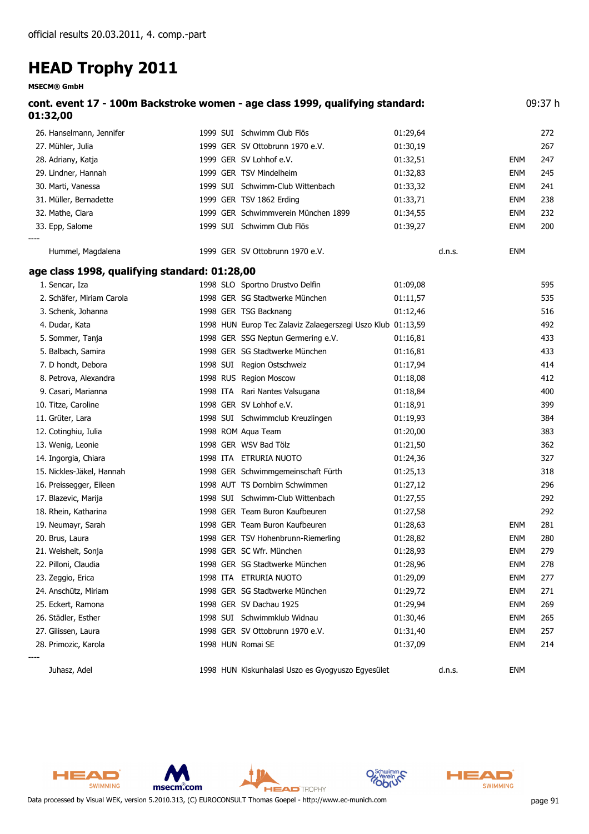**MSECM® GmbH**

| 01:32,00                                      | cont. event 17 - 100m Backstroke women - age class 1999, qualifying standard: |          |        |            | 09:37 h |
|-----------------------------------------------|-------------------------------------------------------------------------------|----------|--------|------------|---------|
| 26. Hanselmann, Jennifer                      | 1999 SUI Schwimm Club Flös                                                    | 01:29,64 |        |            | 272     |
| 27. Mühler, Julia                             | 1999 GER SV Ottobrunn 1970 e.V.                                               | 01:30,19 |        |            | 267     |
| 28. Adriany, Katja                            | 1999 GER SV Lohhof e.V.                                                       | 01:32,51 |        | ENM        | 247     |
| 29. Lindner, Hannah                           | 1999 GER TSV Mindelheim                                                       | 01:32,83 |        | ENM        | 245     |
| 30. Marti, Vanessa                            | 1999 SUI Schwimm-Club Wittenbach                                              | 01:33,32 |        | ENM        | 241     |
| 31. Müller, Bernadette                        | 1999 GER TSV 1862 Erding                                                      | 01:33,71 |        | <b>ENM</b> | 238     |
| 32. Mathe, Ciara                              | 1999 GER Schwimmverein München 1899                                           | 01:34,55 |        | ENM        | 232     |
| 33. Epp, Salome                               | 1999 SUI Schwimm Club Flös                                                    | 01:39,27 |        | ENM        | 200     |
| Hummel, Magdalena                             | 1999 GER SV Ottobrunn 1970 e.V.                                               |          | d.n.s. | ENM        |         |
| age class 1998, qualifying standard: 01:28,00 |                                                                               |          |        |            |         |
| 1. Sencar, Iza                                | 1998 SLO Sportno Drustvo Delfin                                               | 01:09,08 |        |            | 595     |
| 2. Schäfer, Miriam Carola                     | 1998 GER SG Stadtwerke München                                                | 01:11,57 |        |            | 535     |
| 3. Schenk, Johanna                            | 1998 GER TSG Backnang                                                         | 01:12,46 |        |            | 516     |
| 4. Dudar, Kata                                | 1998 HUN Europ Tec Zalaviz Zalaegerszegi Uszo Klub 01:13,59                   |          |        |            | 492     |
| 5. Sommer, Tanja                              | 1998 GER SSG Neptun Germering e.V.                                            | 01:16,81 |        |            | 433     |
| 5. Balbach, Samira                            | 1998 GER SG Stadtwerke München                                                | 01:16,81 |        |            | 433     |
| 7. D hondt, Debora                            | 1998 SUI Region Ostschweiz                                                    | 01:17,94 |        |            | 414     |
| 8. Petrova, Alexandra                         | 1998 RUS Region Moscow                                                        | 01:18,08 |        |            | 412     |
| 9. Casari, Marianna                           | 1998 ITA Rari Nantes Valsugana                                                | 01:18,84 |        |            | 400     |
| 10. Titze, Caroline                           | 1998 GER SV Lohhof e.V.                                                       | 01:18,91 |        |            | 399     |
| 11. Grüter, Lara                              | 1998 SUI Schwimmclub Kreuzlingen                                              | 01:19,93 |        |            | 384     |
| 12. Cotinghiu, Iulia                          | 1998 ROM Aqua Team                                                            | 01:20,00 |        |            | 383     |
| 13. Wenig, Leonie                             | 1998 GER WSV Bad Tölz                                                         | 01:21,50 |        |            | 362     |
| 14. Ingorgia, Chiara                          | 1998 ITA ETRURIA NUOTO                                                        | 01:24,36 |        |            | 327     |
| 15. Nickles-Jäkel, Hannah                     | 1998 GER Schwimmgemeinschaft Fürth                                            | 01:25,13 |        |            | 318     |
| 16. Preissegger, Eileen                       | 1998 AUT TS Dornbirn Schwimmen                                                | 01:27,12 |        |            | 296     |
| 17. Blazevic, Marija                          | 1998 SUI Schwimm-Club Wittenbach                                              | 01:27,55 |        |            | 292     |
| 18. Rhein, Katharina                          | 1998 GER Team Buron Kaufbeuren                                                | 01:27,58 |        |            | 292     |
| 19. Neumayr, Sarah                            | 1998 GER Team Buron Kaufbeuren                                                | 01:28,63 |        | ENM        | 281     |
| 20. Brus, Laura                               | 1998 GER TSV Hohenbrunn-Riemerling                                            | 01:28,82 |        | ENM        | 280     |
| 21. Weisheit, Sonja                           | 1998 GER SC Wfr. München                                                      | 01:28,93 |        | <b>ENM</b> | 279     |
| 22. Pilloni, Claudia                          | 1998 GER SG Stadtwerke München                                                | 01:28,96 |        | <b>ENM</b> | 278     |
| 23. Zeggio, Erica                             | 1998 ITA ETRURIA NUOTO                                                        | 01:29,09 |        | <b>ENM</b> | 277     |
| 24. Anschütz, Miriam                          | 1998 GER SG Stadtwerke München                                                | 01:29,72 |        | ENM        | 271     |
| 25. Eckert, Ramona                            | 1998 GER SV Dachau 1925                                                       | 01:29,94 |        | <b>ENM</b> | 269     |
| 26. Städler, Esther                           | 1998 SUI Schwimmklub Widnau                                                   | 01:30,46 |        | ENM        | 265     |
| 27. Gilissen, Laura                           | 1998 GER SV Ottobrunn 1970 e.V.                                               | 01:31,40 |        | <b>ENM</b> | 257     |
| 28. Primozic, Karola                          | 1998 HUN Romai SE                                                             | 01:37,09 |        | ENM        | 214     |
| Juhasz, Adel                                  | 1998 HUN Kiskunhalasi Uszo es Gyogyuszo Egyesület                             |          | d.n.s. | <b>ENM</b> |         |

**HEAD** TROPHY



msecm.com



'n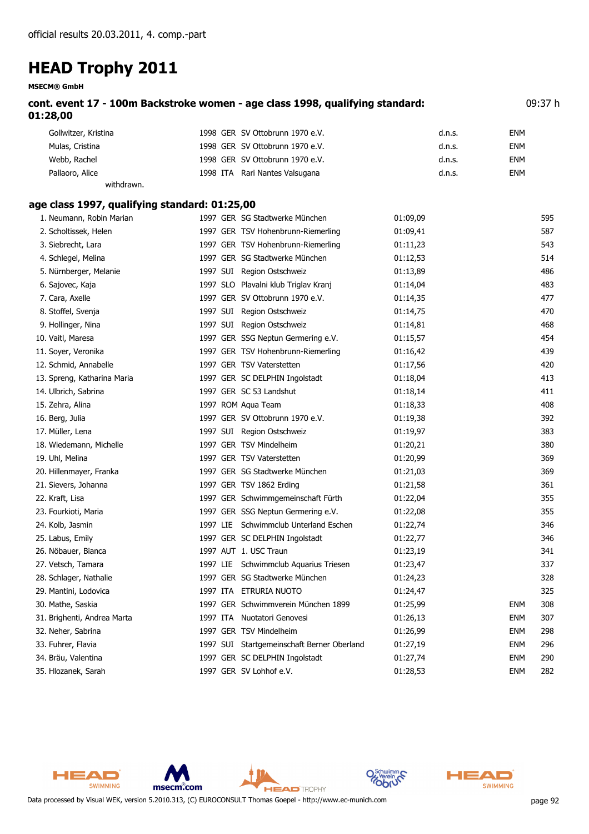**MSECM® GmbH**

| cont. event 17 - 100m Backstroke women - age class 1998, qualifying standard: | 09:37 h |
|-------------------------------------------------------------------------------|---------|
| 01:28,00                                                                      |         |

| Gollwitzer, Kristina | 1998 GER SV Ottobrunn 1970 e.V. | d.n.s. | ENM        |
|----------------------|---------------------------------|--------|------------|
| Mulas, Cristina      | 1998 GER SV Ottobrunn 1970 e.V. | d.n.s. | <b>ENM</b> |
| Webb, Rachel         | 1998 GER SV Ottobrunn 1970 e.V. | d.n.s. | <b>ENM</b> |
| Pallaoro, Alice      | 1998 ITA Rari Nantes Valsugana  | d.n.s. | <b>ENM</b> |
| withdrawn.           |                                 |        |            |

#### **age class 1997, qualifying standard: 01:25,00**

| 1. Neumann, Robin Marian    |  | 1997 GER SG Stadtwerke München             | 01:09,09 |            | 595 |
|-----------------------------|--|--------------------------------------------|----------|------------|-----|
| 2. Scholtissek, Helen       |  | 1997 GER TSV Hohenbrunn-Riemerling         | 01:09,41 |            | 587 |
| 3. Siebrecht, Lara          |  | 1997 GER TSV Hohenbrunn-Riemerling         | 01:11,23 |            | 543 |
| 4. Schlegel, Melina         |  | 1997 GER SG Stadtwerke München             | 01:12,53 |            | 514 |
| 5. Nürnberger, Melanie      |  | 1997 SUI Region Ostschweiz                 | 01:13,89 |            | 486 |
| 6. Sajovec, Kaja            |  | 1997 SLO Plavalni klub Triglav Kranj       | 01:14,04 |            | 483 |
| 7. Cara, Axelle             |  | 1997 GER SV Ottobrunn 1970 e.V.            | 01:14,35 |            | 477 |
| 8. Stoffel, Svenja          |  | 1997 SUI Region Ostschweiz                 | 01:14,75 |            | 470 |
| 9. Hollinger, Nina          |  | 1997 SUI Region Ostschweiz                 | 01:14,81 |            | 468 |
| 10. Vaitl, Maresa           |  | 1997 GER SSG Neptun Germering e.V.         | 01:15,57 |            | 454 |
| 11. Soyer, Veronika         |  | 1997 GER TSV Hohenbrunn-Riemerling         | 01:16,42 |            | 439 |
| 12. Schmid, Annabelle       |  | 1997 GER TSV Vaterstetten                  | 01:17,56 |            | 420 |
| 13. Spreng, Katharina Maria |  | 1997 GER SC DELPHIN Ingolstadt             | 01:18,04 |            | 413 |
| 14. Ulbrich, Sabrina        |  | 1997 GER SC 53 Landshut                    | 01:18,14 |            | 411 |
| 15. Zehra, Alina            |  | 1997 ROM Aqua Team                         | 01:18,33 |            | 408 |
| 16. Berg, Julia             |  | 1997 GER SV Ottobrunn 1970 e.V.            | 01:19,38 |            | 392 |
| 17. Müller, Lena            |  | 1997 SUI Region Ostschweiz                 | 01:19,97 |            | 383 |
| 18. Wiedemann, Michelle     |  | 1997 GER TSV Mindelheim                    | 01:20,21 |            | 380 |
| 19. Uhl, Melina             |  | 1997 GER TSV Vaterstetten                  | 01:20,99 |            | 369 |
| 20. Hillenmayer, Franka     |  | 1997 GER SG Stadtwerke München             | 01:21,03 |            | 369 |
| 21. Sievers, Johanna        |  | 1997 GER TSV 1862 Erding                   | 01:21,58 |            | 361 |
| 22. Kraft, Lisa             |  | 1997 GER Schwimmgemeinschaft Fürth         | 01:22,04 |            | 355 |
| 23. Fourkioti, Maria        |  | 1997 GER SSG Neptun Germering e.V.         | 01:22,08 |            | 355 |
| 24. Kolb, Jasmin            |  | 1997 LIE Schwimmclub Unterland Eschen      | 01:22,74 |            | 346 |
| 25. Labus, Emily            |  | 1997 GER SC DELPHIN Ingolstadt             | 01:22,77 |            | 346 |
| 26. Nöbauer, Bianca         |  | 1997 AUT 1. USC Traun                      | 01:23,19 |            | 341 |
| 27. Vetsch, Tamara          |  | 1997 LIE Schwimmclub Aquarius Triesen      | 01:23,47 |            | 337 |
| 28. Schlager, Nathalie      |  | 1997 GER SG Stadtwerke München             | 01:24,23 |            | 328 |
| 29. Mantini, Lodovica       |  | 1997 ITA ETRURIA NUOTO                     | 01:24,47 |            | 325 |
| 30. Mathe, Saskia           |  | 1997 GER Schwimmverein München 1899        | 01:25,99 | <b>ENM</b> | 308 |
| 31. Brighenti, Andrea Marta |  | 1997 ITA Nuotatori Genovesi                | 01:26,13 | ENM        | 307 |
| 32. Neher, Sabrina          |  | 1997 GER TSV Mindelheim                    | 01:26,99 | <b>ENM</b> | 298 |
| 33. Fuhrer, Flavia          |  | 1997 SUI Startgemeinschaft Berner Oberland | 01:27,19 | <b>ENM</b> | 296 |
| 34. Bräu, Valentina         |  | 1997 GER SC DELPHIN Ingolstadt             | 01:27,74 | <b>ENM</b> | 290 |
| 35. Hlozanek, Sarah         |  | 1997 GER SV Lohhof e.V.                    | 01:28,53 | <b>ENM</b> | 282 |



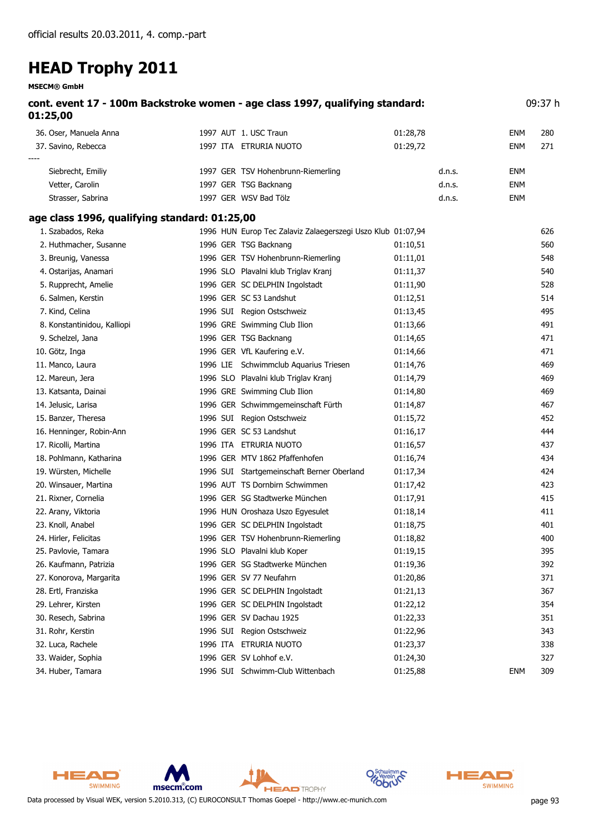**MSECM® GmbH**

| 01:25,00                                      | cont. event 17 - 100m Backstroke women - age class 1997, qualifying standard: |          |            | 09:37 h |
|-----------------------------------------------|-------------------------------------------------------------------------------|----------|------------|---------|
| 36. Oser, Manuela Anna                        | 1997 AUT 1. USC Traun                                                         | 01:28,78 | <b>ENM</b> | 280     |
| 37. Savino, Rebecca                           | 1997 ITA ETRURIA NUOTO                                                        | 01:29,72 | <b>ENM</b> | 271     |
| Siebrecht, Emiliy                             | 1997 GER TSV Hohenbrunn-Riemerling                                            | d.n.s.   | <b>ENM</b> |         |
| Vetter, Carolin                               | 1997 GER TSG Backnang                                                         | d.n.s.   | <b>ENM</b> |         |
| Strasser, Sabrina                             | 1997 GER WSV Bad Tölz                                                         | d.n.s.   | <b>ENM</b> |         |
| age class 1996, qualifying standard: 01:25,00 |                                                                               |          |            |         |
| 1. Szabados, Reka                             | 1996 HUN Europ Tec Zalaviz Zalaegerszegi Uszo Klub 01:07,94                   |          |            | 626     |
| 2. Huthmacher, Susanne                        | 1996 GER TSG Backnang                                                         | 01:10,51 |            | 560     |
| 3. Breunig, Vanessa                           | 1996 GER TSV Hohenbrunn-Riemerling                                            | 01:11,01 |            | 548     |
| 4. Ostarijas, Anamari                         | 1996 SLO Plavalni klub Triglav Kranj                                          | 01:11,37 |            | 540     |
| 5. Rupprecht, Amelie                          | 1996 GER SC DELPHIN Ingolstadt                                                | 01:11,90 |            | 528     |
| 6. Salmen, Kerstin                            | 1996 GER SC 53 Landshut                                                       | 01:12,51 |            | 514     |
| 7. Kind, Celina                               | 1996 SUI Region Ostschweiz                                                    | 01:13,45 |            | 495     |
| 8. Konstantinidou, Kalliopi                   | 1996 GRE Swimming Club Ilion                                                  | 01:13,66 |            | 491     |
| 9. Schelzel, Jana                             | 1996 GER TSG Backnang                                                         | 01:14,65 |            | 471     |
| 10. Götz, Inga                                | 1996 GER VfL Kaufering e.V.                                                   | 01:14,66 |            | 471     |
| 11. Manco, Laura                              | 1996 LIE Schwimmclub Aquarius Triesen                                         | 01:14,76 |            | 469     |
| 12. Mareun, Jera                              | 1996 SLO Plavalni klub Triglav Kranj                                          | 01:14,79 |            | 469     |
| 13. Katsanta, Dainai                          | 1996 GRE Swimming Club Ilion                                                  | 01:14,80 |            | 469     |
| 14. Jelusic, Larisa                           | 1996 GER Schwimmgemeinschaft Fürth                                            | 01:14,87 |            | 467     |
| 15. Banzer, Theresa                           | 1996 SUI Region Ostschweiz                                                    | 01:15,72 |            | 452     |
| 16. Henninger, Robin-Ann                      | 1996 GER SC 53 Landshut                                                       | 01:16,17 |            | 444     |
| 17. Ricolli, Martina                          | 1996 ITA ETRURIA NUOTO                                                        | 01:16,57 |            | 437     |
| 18. Pohlmann, Katharina                       | 1996 GER MTV 1862 Pfaffenhofen                                                | 01:16,74 |            | 434     |
| 19. Würsten, Michelle                         | 1996 SUI Startgemeinschaft Berner Oberland                                    | 01:17,34 |            | 424     |
| 20. Winsauer, Martina                         | 1996 AUT TS Dornbirn Schwimmen                                                | 01:17,42 |            | 423     |
| 21. Rixner, Cornelia                          | 1996 GER SG Stadtwerke München                                                | 01:17,91 |            | 415     |
| 22. Arany, Viktoria                           | 1996 HUN Oroshaza Uszo Egyesulet                                              | 01:18,14 |            | 411     |
| 23. Knoll, Anabel                             | 1996 GER SC DELPHIN Ingolstadt                                                | 01:18,75 |            | 401     |
| 24. Hirler, Felicitas                         | 1996 GER TSV Hohenbrunn-Riemerling                                            | 01:18,82 |            | 400     |
| 25. Pavlovie, Tamara                          | 1996 SLO Plavalni klub Koper                                                  | 01:19,15 |            | 395     |
| 26. Kaufmann, Patrizia                        | 1996 GER SG Stadtwerke München                                                | 01:19,36 |            | 392     |
| 27. Konorova, Margarita                       | 1996 GER SV 77 Neufahrn                                                       | 01:20,86 |            | 371     |
| 28. Ertl, Franziska                           | 1996 GER SC DELPHIN Ingolstadt                                                | 01:21,13 |            | 367     |
| 29. Lehrer, Kirsten                           | 1996 GER SC DELPHIN Ingolstadt                                                | 01:22,12 |            | 354     |
| 30. Resech, Sabrina                           | 1996 GER SV Dachau 1925                                                       | 01:22,33 |            | 351     |
| 31. Rohr, Kerstin                             | 1996 SUI Region Ostschweiz                                                    | 01:22,96 |            | 343     |
| 32. Luca, Rachele                             | 1996 ITA ETRURIA NUOTO                                                        | 01:23,37 |            | 338     |
| 33. Waider, Sophia                            | 1996 GER SV Lohhof e.V.                                                       | 01:24,30 |            | 327     |
| 34. Huber, Tamara                             | 1996 SUI Schwimm-Club Wittenbach                                              | 01:25,88 | <b>ENM</b> | 309     |

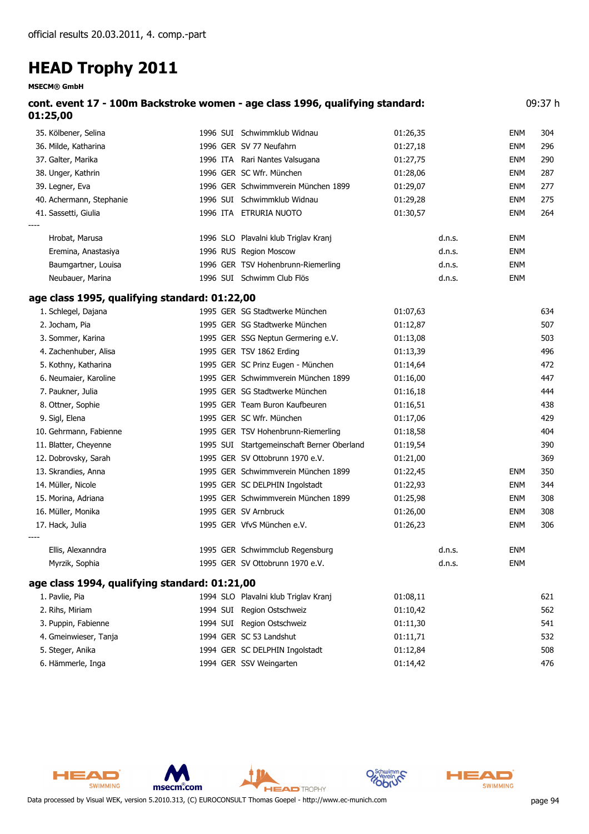| <b>MSECM® GmbH</b>                            |                                                                               |          |        |            |         |
|-----------------------------------------------|-------------------------------------------------------------------------------|----------|--------|------------|---------|
| 01:25,00                                      | cont. event 17 - 100m Backstroke women - age class 1996, qualifying standard: |          |        |            | 09:37 h |
| 35. Kölbener, Selina                          | 1996 SUI Schwimmklub Widnau                                                   | 01:26,35 |        | ENM        | 304     |
| 36. Milde, Katharina                          | 1996 GER SV 77 Neufahrn                                                       | 01:27,18 |        | <b>ENM</b> | 296     |
| 37. Galter, Marika                            | 1996 ITA Rari Nantes Valsugana                                                | 01:27,75 |        | ENM        | 290     |
| 38. Unger, Kathrin                            | 1996 GER SC Wfr. München                                                      | 01:28,06 |        | <b>ENM</b> | 287     |
| 39. Legner, Eva                               | 1996 GER Schwimmverein München 1899                                           | 01:29,07 |        | <b>ENM</b> | 277     |
| 40. Achermann, Stephanie                      | 1996 SUI Schwimmklub Widnau                                                   | 01:29,28 |        | <b>ENM</b> | 275     |
| 41. Sassetti, Giulia                          | 1996 ITA ETRURIA NUOTO                                                        | 01:30,57 |        | <b>ENM</b> | 264     |
| Hrobat, Marusa                                | 1996 SLO Plavalni klub Triglav Kranj                                          |          | d.n.s. | ENM        |         |
| Eremina, Anastasiya                           | 1996 RUS Region Moscow                                                        |          | d.n.s. | ENM        |         |
| Baumgartner, Louisa                           | 1996 GER TSV Hohenbrunn-Riemerling                                            |          | d.n.s. | ENM        |         |
| Neubauer, Marina                              | 1996 SUI Schwimm Club Flös                                                    |          | d.n.s. | ENM        |         |
| age class 1995, qualifying standard: 01:22,00 |                                                                               |          |        |            |         |
| 1. Schlegel, Dajana                           | 1995 GER SG Stadtwerke München                                                | 01:07,63 |        |            | 634     |
| 2. Jocham, Pia                                | 1995 GER SG Stadtwerke München                                                | 01:12,87 |        |            | 507     |
| 3. Sommer, Karina                             | 1995 GER SSG Neptun Germering e.V.                                            | 01:13,08 |        |            | 503     |
| 4. Zachenhuber, Alisa                         | 1995 GER TSV 1862 Erding                                                      | 01:13,39 |        |            | 496     |
| 5. Kothny, Katharina                          | 1995 GER SC Prinz Eugen - München                                             | 01:14,64 |        |            | 472     |
| 6. Neumaier, Karoline                         | 1995 GER Schwimmverein München 1899                                           | 01:16,00 |        |            | 447     |
| 7. Paukner, Julia                             | 1995 GER SG Stadtwerke München                                                | 01:16,18 |        |            | 444     |
| 8. Ottner, Sophie                             | 1995 GER Team Buron Kaufbeuren                                                | 01:16,51 |        |            | 438     |
| 9. Sigl, Elena                                | 1995 GER SC Wfr. München                                                      | 01:17,06 |        |            | 429     |
| 10. Gehrmann, Fabienne                        | 1995 GER TSV Hohenbrunn-Riemerling                                            | 01:18,58 |        |            | 404     |
| 11. Blatter, Cheyenne                         | 1995 SUI Startgemeinschaft Berner Oberland                                    | 01:19,54 |        |            | 390     |
| 12. Dobrovsky, Sarah                          | 1995 GER SV Ottobrunn 1970 e.V.                                               | 01:21,00 |        |            | 369     |
| 13. Skrandies, Anna                           | 1995 GER Schwimmverein München 1899                                           | 01:22,45 |        | ENM        | 350     |
| 14. Müller, Nicole                            | 1995 GER SC DELPHIN Ingolstadt                                                | 01:22,93 |        | ENM        | 344     |
| 15. Morina, Adriana                           | 1995 GER Schwimmverein München 1899                                           | 01:25,98 |        | <b>ENM</b> | 308     |
| 16. Müller, Monika                            | 1995 GER SV Arnbruck                                                          | 01:26,00 |        | <b>ENM</b> | 308     |
| 17. Hack, Julia                               | 1995 GER VfvS München e.V.                                                    | 01:26,23 |        | <b>ENM</b> | 306     |
| Ellis, Alexanndra                             | 1995 GER Schwimmclub Regensburg                                               |          | d.n.s. | <b>ENM</b> |         |
| Myrzik, Sophia                                | 1995 GER SV Ottobrunn 1970 e.V.                                               |          | d.n.s. | ENM        |         |
| age class 1994, qualifying standard: 01:21,00 |                                                                               |          |        |            |         |
| 1. Pavlie, Pia                                | 1994 SLO Plavalni klub Triglav Kranj                                          | 01:08,11 |        |            | 621     |
| 2. Rihs, Miriam                               | 1994 SUI Region Ostschweiz                                                    | 01:10,42 |        |            | 562     |
| 3. Puppin, Fabienne                           | 1994 SUI Region Ostschweiz                                                    | 01:11,30 |        |            | 541     |
| 4. Gmeinwieser, Tanja                         | 1994 GER SC 53 Landshut                                                       | 01:11,71 |        |            | 532     |
| 5. Steger, Anika                              | 1994 GER SC DELPHIN Ingolstadt                                                | 01:12,84 |        |            | 508     |
| 6. Hämmerle, Inga                             | 1994 GER SSV Weingarten                                                       | 01:14,42 |        |            | 476     |



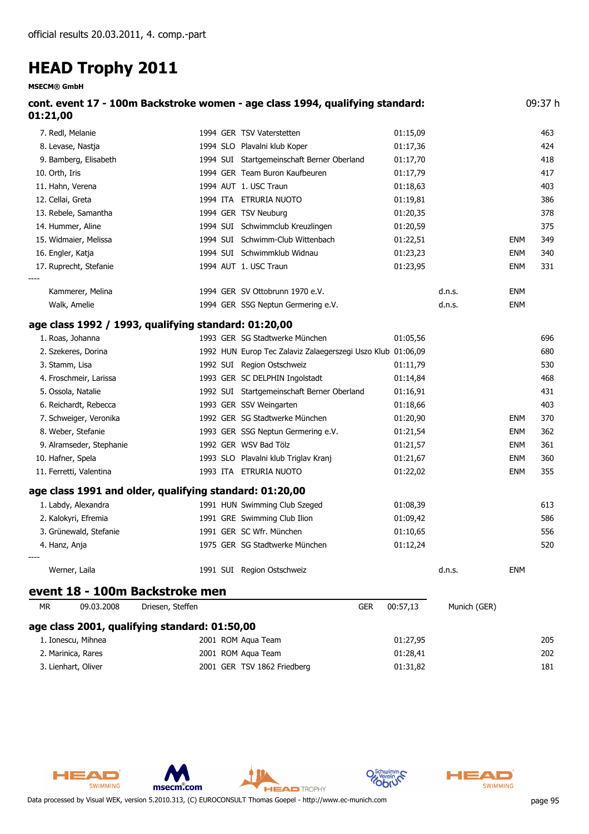| <b>HEAD Trophy 2011</b>                                 |                  |                                                                               |          |              |            |         |
|---------------------------------------------------------|------------------|-------------------------------------------------------------------------------|----------|--------------|------------|---------|
| <b>MSECM® GmbH</b>                                      |                  |                                                                               |          |              |            |         |
| 01:21,00                                                |                  | cont. event 17 - 100m Backstroke women - age class 1994, qualifying standard: |          |              |            | 09:37 h |
| 7. Redl, Melanie                                        |                  | 1994 GER TSV Vaterstetten                                                     | 01:15,09 |              |            | 463     |
| 8. Levase, Nastja                                       |                  | 1994 SLO Plavalni klub Koper                                                  | 01:17,36 |              |            | 424     |
| 9. Bamberg, Elisabeth                                   |                  | 1994 SUI Startgemeinschaft Berner Oberland                                    | 01:17,70 |              |            | 418     |
| 10. Orth, Iris                                          |                  | 1994 GER Team Buron Kaufbeuren                                                | 01:17,79 |              |            | 417     |
| 11. Hahn, Verena                                        |                  | 1994 AUT 1. USC Traun                                                         | 01:18,63 |              |            | 403     |
| 12. Cellai, Greta                                       |                  | 1994 ITA ETRURIA NUOTO                                                        | 01:19,81 |              |            | 386     |
| 13. Rebele, Samantha                                    |                  | 1994 GER TSV Neuburg                                                          | 01:20,35 |              |            | 378     |
| 14. Hummer, Aline                                       |                  | 1994 SUI Schwimmclub Kreuzlingen                                              | 01:20,59 |              |            | 375     |
| 15. Widmaier, Melissa                                   |                  | 1994 SUI Schwimm-Club Wittenbach                                              | 01:22,51 |              | <b>ENM</b> | 349     |
| 16. Engler, Katja                                       |                  | 1994 SUI Schwimmklub Widnau                                                   | 01:23,23 |              | ENM        | 340     |
| 17. Ruprecht, Stefanie                                  |                  | 1994 AUT 1. USC Traun                                                         | 01:23,95 |              | <b>ENM</b> | 331     |
| Kammerer, Melina                                        |                  | 1994 GER SV Ottobrunn 1970 e.V.                                               |          | d.n.s.       | ENM        |         |
| Walk, Amelie                                            |                  | 1994 GER SSG Neptun Germering e.V.                                            |          | d.n.s.       | <b>ENM</b> |         |
| age class 1992 / 1993, qualifying standard: 01:20,00    |                  |                                                                               |          |              |            |         |
| 1. Roas, Johanna                                        |                  | 1993 GER SG Stadtwerke München                                                | 01:05,56 |              |            | 696     |
| 2. Szekeres, Dorina                                     |                  | 1992 HUN Europ Tec Zalaviz Zalaegerszegi Uszo Klub 01:06,09                   |          |              |            | 680     |
| 3. Stamm, Lisa                                          |                  | 1992 SUI Region Ostschweiz                                                    | 01:11,79 |              |            | 530     |
| 4. Froschmeir, Larissa                                  |                  | 1993 GER SC DELPHIN Ingolstadt                                                | 01:14,84 |              |            | 468     |
| 5. Ossola, Natalie                                      |                  | 1992 SUI Startgemeinschaft Berner Oberland                                    | 01:16,91 |              |            | 431     |
| 6. Reichardt, Rebecca                                   |                  | 1993 GER SSV Weingarten                                                       | 01:18,66 |              |            | 403     |
| 7. Schweiger, Veronika                                  |                  | 1992 GER SG Stadtwerke München                                                | 01:20,90 |              | ENM        | 370     |
| 8. Weber, Stefanie                                      |                  | 1993 GER SSG Neptun Germering e.V.                                            | 01:21,54 |              | <b>ENM</b> | 362     |
| 9. Alramseder, Stephanie                                |                  | 1992 GER WSV Bad Tölz                                                         | 01:21,57 |              | <b>ENM</b> | 361     |
| 10. Hafner, Spela                                       |                  | 1993 SLO Plavalni klub Triglav Kranj                                          | 01:21,67 |              | <b>ENM</b> | 360     |
| 11. Ferretti, Valentina                                 |                  | 1993 ITA ETRURIA NUOTO                                                        | 01:22,02 |              | <b>ENM</b> | 355     |
| age class 1991 and older, qualifying standard: 01:20,00 |                  |                                                                               |          |              |            |         |
| 1. Labdy, Alexandra                                     |                  | 1991 HUN Swimming Club Szeged                                                 | 01:08,39 |              |            | 613     |
| 2. Kalokyri, Efremia                                    |                  | 1991 GRE Swimming Club Ilion                                                  | 01:09,42 |              |            | 586     |
| 3. Grünewald, Stefanie                                  |                  | 1991 GER SC Wfr. München                                                      | 01:10,65 |              |            | 556     |
| 4. Hanz, Anja                                           |                  | 1975 GER SG Stadtwerke München                                                | 01:12,24 |              |            | 520     |
| Werner, Laila                                           |                  | 1991 SUI Region Ostschweiz                                                    |          | d.n.s.       | <b>ENM</b> |         |
| event 18 - 100m Backstroke men                          |                  |                                                                               |          |              |            |         |
| <b>MR</b><br>09.03.2008                                 | Driesen, Steffen | <b>GER</b>                                                                    | 00:57,13 | Munich (GER) |            |         |
| age class 2001, qualifying standard: 01:50,00           |                  |                                                                               |          |              |            |         |
| 1. Ionescu, Mihnea                                      |                  | 2001 ROM Aqua Team                                                            | 01:27,95 |              |            | 205     |
| 2. Marinica, Rares                                      |                  | 2001 ROM Aqua Team                                                            | 01:28,41 |              |            | 202     |
| 3. Lienhart, Oliver                                     |                  | 2001 GER TSV 1862 Friedberg                                                   | 01:31,82 |              |            | 181     |





 $\Omega$ 

**Obr**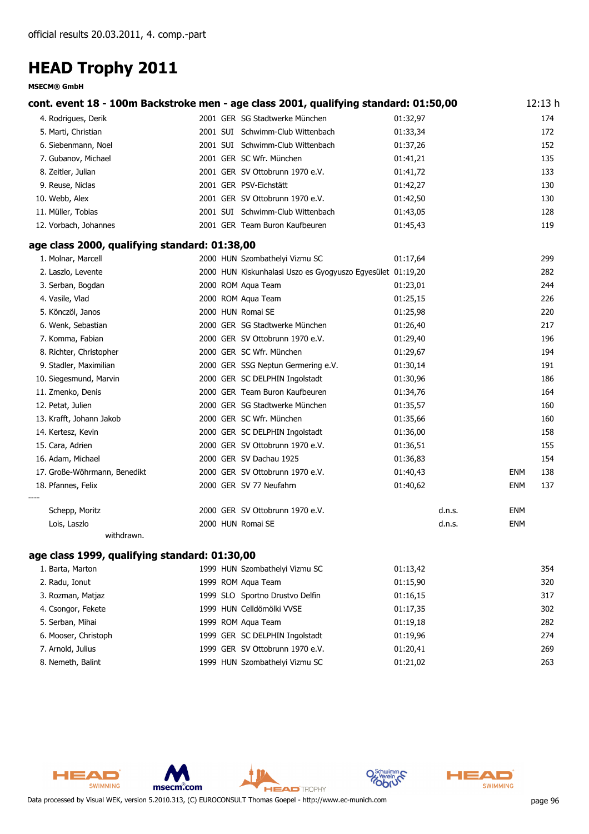#### **MSECM® GmbH**

|                                               |  | cont. event 18 - 100m Backstroke men - age class 2001, qualifying standard: 01:50,00 |          |        |            | 12:13 h |
|-----------------------------------------------|--|--------------------------------------------------------------------------------------|----------|--------|------------|---------|
| 4. Rodrigues, Derik                           |  | 2001 GER SG Stadtwerke München                                                       | 01:32,97 |        |            | 174     |
| 5. Marti, Christian                           |  | 2001 SUI Schwimm-Club Wittenbach                                                     | 01:33,34 |        |            | 172     |
| 6. Siebenmann, Noel                           |  | 2001 SUI Schwimm-Club Wittenbach                                                     | 01:37,26 |        |            | 152     |
| 7. Gubanov, Michael                           |  | 2001 GER SC Wfr. München                                                             | 01:41,21 |        |            | 135     |
| 8. Zeitler, Julian                            |  | 2001 GER SV Ottobrunn 1970 e.V.                                                      | 01:41,72 |        |            | 133     |
| 9. Reuse, Niclas                              |  | 2001 GER PSV-Eichstätt                                                               | 01:42,27 |        |            | 130     |
| 10. Webb, Alex                                |  | 2001 GER SV Ottobrunn 1970 e.V.                                                      | 01:42,50 |        |            | 130     |
| 11. Müller, Tobias                            |  | 2001 SUI Schwimm-Club Wittenbach                                                     | 01:43,05 |        |            | 128     |
| 12. Vorbach, Johannes                         |  | 2001 GER Team Buron Kaufbeuren                                                       | 01:45,43 |        |            | 119     |
| age class 2000, qualifying standard: 01:38,00 |  |                                                                                      |          |        |            |         |
| 1. Molnar, Marcell                            |  | 2000 HUN Szombathelyi Vizmu SC                                                       | 01:17,64 |        |            | 299     |
| 2. Laszlo, Levente                            |  | 2000 HUN Kiskunhalasi Uszo es Gyogyuszo Egyesület 01:19,20                           |          |        |            | 282     |
| 3. Serban, Bogdan                             |  | 2000 ROM Aqua Team                                                                   | 01:23,01 |        |            | 244     |
| 4. Vasile, Vlad                               |  | 2000 ROM Aqua Team                                                                   | 01:25,15 |        |            | 226     |
| 5. Könczöl, Janos                             |  | 2000 HUN Romai SE                                                                    | 01:25,98 |        |            | 220     |
| 6. Wenk, Sebastian                            |  | 2000 GER SG Stadtwerke München                                                       | 01:26,40 |        |            | 217     |
| 7. Komma, Fabian                              |  | 2000 GER SV Ottobrunn 1970 e.V.                                                      | 01:29,40 |        |            | 196     |
| 8. Richter, Christopher                       |  | 2000 GER SC Wfr. München                                                             | 01:29,67 |        |            | 194     |
| 9. Stadler, Maximilian                        |  | 2000 GER SSG Neptun Germering e.V.                                                   | 01:30,14 |        |            | 191     |
| 10. Siegesmund, Marvin                        |  | 2000 GER SC DELPHIN Ingolstadt                                                       | 01:30,96 |        |            | 186     |
| 11. Zmenko, Denis                             |  | 2000 GER Team Buron Kaufbeuren                                                       | 01:34,76 |        |            | 164     |
| 12. Petat, Julien                             |  | 2000 GER SG Stadtwerke München                                                       | 01:35,57 |        |            | 160     |
| 13. Krafft, Johann Jakob                      |  | 2000 GER SC Wfr. München                                                             | 01:35,66 |        |            | 160     |
| 14. Kertesz, Kevin                            |  | 2000 GER SC DELPHIN Ingolstadt                                                       | 01:36,00 |        |            | 158     |
| 15. Cara, Adrien                              |  | 2000 GER SV Ottobrunn 1970 e.V.                                                      | 01:36,51 |        |            | 155     |
| 16. Adam, Michael                             |  | 2000 GER SV Dachau 1925                                                              | 01:36,83 |        |            | 154     |
| 17. Große-Wöhrmann, Benedikt                  |  | 2000 GER SV Ottobrunn 1970 e.V.                                                      | 01:40,43 |        | <b>ENM</b> | 138     |
| 18. Pfannes, Felix                            |  | 2000 GER SV 77 Neufahrn                                                              | 01:40,62 |        | <b>ENM</b> | 137     |
| Schepp, Moritz                                |  | 2000 GER SV Ottobrunn 1970 e.V.                                                      |          | d.n.s. | ENM        |         |
| Lois, Laszlo                                  |  | 2000 HUN Romai SE                                                                    |          | d.n.s. | <b>ENM</b> |         |
| withdrawn.                                    |  |                                                                                      |          |        |            |         |

### **age class 1999, qualifying standard: 01:30,00**

| 1. Barta, Marton     | 1999 HUN Szombathelyi Vizmu SC  | 01:13,42 | 354 |
|----------------------|---------------------------------|----------|-----|
| 2. Radu, Ionut       | 1999 ROM Agua Team              | 01:15,90 | 320 |
| 3. Rozman, Matjaz    | 1999 SLO Sportno Drustvo Delfin | 01:16,15 | 317 |
| 4. Csongor, Fekete   | 1999 HUN Celldömölki VVSE       | 01:17,35 | 302 |
| 5. Serban, Mihai     | 1999 ROM Agua Team              | 01:19,18 | 282 |
| 6. Mooser, Christoph | 1999 GER SC DELPHIN Ingolstadt  | 01:19.96 | 274 |
| 7. Arnold, Julius    | 1999 GER SV Ottobrunn 1970 e.V. | 01:20,41 | 269 |
| 8. Nemeth, Balint    | 1999 HUN Szombathelyi Vizmu SC  | 01:21,02 | 263 |
|                      |                                 |          |     |



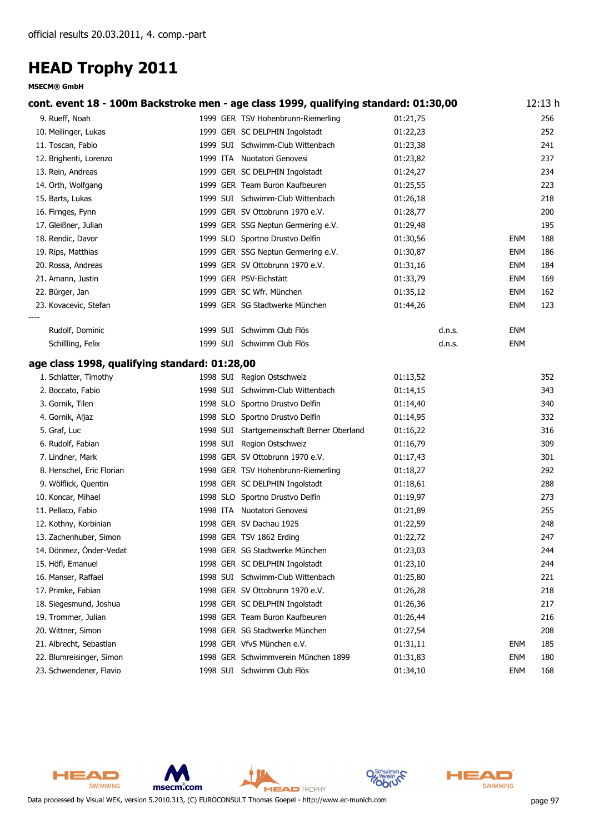#### **MSECM® GmbH**

|                                               | cont. event 18 - 100m Backstroke men - age class 1999, qualifying standard: 01:30,00 |          |            | 12:13 h |
|-----------------------------------------------|--------------------------------------------------------------------------------------|----------|------------|---------|
| 9. Rueff, Noah                                | 1999 GER TSV Hohenbrunn-Riemerling                                                   | 01:21,75 |            | 256     |
| 10. Meilinger, Lukas                          | 1999 GER SC DELPHIN Ingolstadt                                                       | 01:22,23 |            | 252     |
| 11. Toscan, Fabio                             | 1999 SUI Schwimm-Club Wittenbach                                                     | 01:23,38 |            | 241     |
| 12. Brighenti, Lorenzo                        | 1999 ITA Nuotatori Genovesi                                                          | 01:23,82 |            | 237     |
| 13. Rein, Andreas                             | 1999 GER SC DELPHIN Ingolstadt                                                       | 01:24,27 |            | 234     |
| 14. Orth, Wolfgang                            | 1999 GER Team Buron Kaufbeuren                                                       | 01:25,55 |            | 223     |
| 15. Barts, Lukas                              | 1999 SUI Schwimm-Club Wittenbach                                                     | 01:26,18 |            | 218     |
| 16. Firnges, Fynn                             | 1999 GER SV Ottobrunn 1970 e.V.                                                      | 01:28,77 |            | 200     |
| 17. Gleißner, Julian                          | 1999 GER SSG Neptun Germering e.V.                                                   | 01:29,48 |            | 195     |
| 18. Rendic, Davor                             | 1999 SLO Sportno Drustvo Delfin                                                      | 01:30,56 | ENM        | 188     |
| 19. Rips, Matthias                            | 1999 GER SSG Neptun Germering e.V.                                                   | 01:30,87 | <b>ENM</b> | 186     |
| 20. Rossa, Andreas                            | 1999 GER SV Ottobrunn 1970 e.V.                                                      | 01:31,16 | ENM        | 184     |
| 21. Amann, Justin                             | 1999 GER PSV-Eichstätt                                                               | 01:33,79 | ENM        | 169     |
| 22. Bürger, Jan                               | 1999 GER SC Wfr. München                                                             | 01:35,12 | <b>ENM</b> | 162     |
| 23. Kovacevic, Stefan                         | 1999 GER SG Stadtwerke München                                                       | 01:44,26 | <b>ENM</b> | 123     |
|                                               |                                                                                      |          |            |         |
| Rudolf, Dominic                               | 1999 SUI Schwimm Club Flös                                                           | d.n.s.   | ENM        |         |
| Schillling, Felix                             | 1999 SUI Schwimm Club Flös                                                           | d.n.s.   | <b>ENM</b> |         |
| age class 1998, qualifying standard: 01:28,00 |                                                                                      |          |            |         |
| 1. Schlatter, Timothy                         | 1998 SUI Region Ostschweiz                                                           | 01:13,52 |            | 352     |
| 2. Boccato, Fabio                             | 1998 SUI Schwimm-Club Wittenbach                                                     | 01:14,15 |            | 343     |
| 3. Gornik, Tilen                              | 1998 SLO Sportno Drustvo Delfin                                                      | 01:14,40 |            | 340     |
| 4. Gornik, Aljaz                              | 1998 SLO Sportno Drustvo Delfin                                                      | 01:14,95 |            | 332     |
| 5. Graf, Luc                                  | 1998 SUI Startgemeinschaft Berner Oberland                                           | 01:16,22 |            | 316     |
| 6. Rudolf, Fabian                             | 1998 SUI Region Ostschweiz                                                           | 01:16,79 |            | 309     |
| 7. Lindner, Mark                              | 1998 GER SV Ottobrunn 1970 e.V.                                                      | 01:17,43 |            | 301     |
| 8. Henschel, Eric Florian                     | 1998 GER TSV Hohenbrunn-Riemerling                                                   | 01:18,27 |            | 292     |
| 9. Wölflick, Quentin                          | 1998 GER SC DELPHIN Ingolstadt                                                       | 01:18,61 |            | 288     |
| 10. Koncar, Mihael                            | 1998 SLO Sportno Drustvo Delfin                                                      | 01:19,97 |            | 273     |
| 11. Pellaco, Fabio                            | 1998 ITA Nuotatori Genovesi                                                          | 01:21,89 |            | 255     |
| 12. Kothny, Korbinian                         | 1998 GER SV Dachau 1925                                                              | 01:22,59 |            | 248     |
| 13. Zachenhuber, Simon                        | 1998 GER TSV 1862 Erding                                                             | 01:22,72 |            | 247     |
| 14. Dönmez, Önder-Vedat                       | 1998 GER SG Stadtwerke München                                                       | 01:23,03 |            | 244     |
| 15. Höfl, Emanuel                             | 1998 GER SC DELPHIN Ingolstadt                                                       | 01:23,10 |            | 244     |
| 16. Manser, Raffael                           | 1998 SUI Schwimm-Club Wittenbach                                                     | 01:25,80 |            | 221     |
| 17. Primke, Fabian                            | 1998 GER SV Ottobrunn 1970 e.V.                                                      | 01:26,28 |            | 218     |
| 18. Siegesmund, Joshua                        | 1998 GER SC DELPHIN Ingolstadt                                                       | 01:26,36 |            | 217     |
| 19. Trommer, Julian                           | 1998 GER Team Buron Kaufbeuren                                                       | 01:26,44 |            | 216     |
| 20. Wittner, Simon                            | 1998 GER SG Stadtwerke München                                                       | 01:27,54 |            | 208     |
| 21. Albrecht, Sebastian                       | 1998 GER VfvS München e.V.                                                           | 01:31,11 | ENM        | 185     |
| 22. Blumreisinger, Simon                      | 1998 GER Schwimmverein München 1899                                                  | 01:31,83 | ENM        | 180     |
| 23. Schwendener, Flavio                       | 1998 SUI Schwimm Club Flös                                                           | 01:34,10 | <b>ENM</b> | 168     |



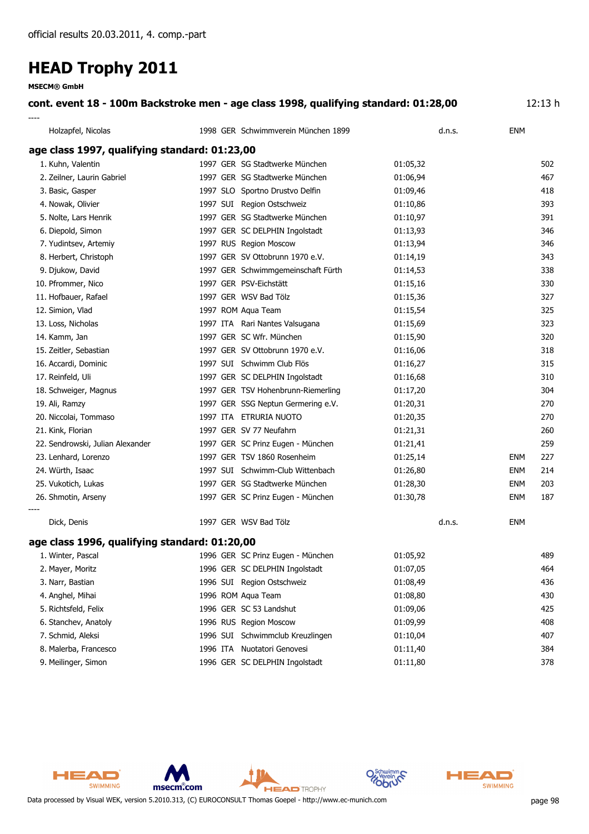**MSECM® GmbH**

### **cont. event 18 - 100m Backstroke men - age class 1998, qualifying standard: 01:28,00** 12:13 h

| Holzapfel, Nicolas                            | 1998 GER Schwimmverein München 1899 | d.n.s.   | <b>ENM</b>        |
|-----------------------------------------------|-------------------------------------|----------|-------------------|
| age class 1997, qualifying standard: 01:23,00 |                                     |          |                   |
| 1. Kuhn, Valentin                             | 1997 GER SG Stadtwerke München      | 01:05,32 | 502               |
| 2. Zeilner, Laurin Gabriel                    | 1997 GER SG Stadtwerke München      | 01:06,94 | 467               |
| 3. Basic, Gasper                              | 1997 SLO Sportno Drustvo Delfin     | 01:09,46 | 418               |
| 4. Nowak, Olivier                             | 1997 SUI Region Ostschweiz          | 01:10,86 | 393               |
| 5. Nolte, Lars Henrik                         | 1997 GER SG Stadtwerke München      | 01:10,97 | 391               |
| 6. Diepold, Simon                             | 1997 GER SC DELPHIN Ingolstadt      | 01:13,93 | 346               |
| 7. Yudintsev, Artemiy                         | 1997 RUS Region Moscow              | 01:13,94 | 346               |
| 8. Herbert, Christoph                         | 1997 GER SV Ottobrunn 1970 e.V.     | 01:14,19 | 343               |
| 9. Djukow, David                              | 1997 GER Schwimmgemeinschaft Fürth  | 01:14,53 | 338               |
| 10. Pfrommer, Nico                            | 1997 GER PSV-Eichstätt              | 01:15,16 | 330               |
| 11. Hofbauer, Rafael                          | 1997 GER WSV Bad Tölz               | 01:15,36 | 327               |
| 12. Simion, Vlad                              | 1997 ROM Aqua Team                  | 01:15,54 | 325               |
| 13. Loss, Nicholas                            | 1997 ITA Rari Nantes Valsugana      | 01:15,69 | 323               |
| 14. Kamm, Jan                                 | 1997 GER SC Wfr. München            | 01:15,90 | 320               |
| 15. Zeitler, Sebastian                        | 1997 GER SV Ottobrunn 1970 e.V.     | 01:16,06 | 318               |
| 16. Accardi, Dominic                          | 1997 SUI Schwimm Club Flös          | 01:16,27 | 315               |
| 17. Reinfeld, Uli                             | 1997 GER SC DELPHIN Ingolstadt      | 01:16,68 | 310               |
| 18. Schweiger, Magnus                         | 1997 GER TSV Hohenbrunn-Riemerling  | 01:17,20 | 304               |
| 19. Ali, Ramzy                                | 1997 GER SSG Neptun Germering e.V.  | 01:20,31 | 270               |
| 20. Niccolai, Tommaso                         | 1997 ITA ETRURIA NUOTO              | 01:20,35 | 270               |
| 21. Kink, Florian                             | 1997 GER SV 77 Neufahrn             | 01:21,31 | 260               |
| 22. Sendrowski, Julian Alexander              | 1997 GER SC Prinz Eugen - München   | 01:21,41 | 259               |
| 23. Lenhard, Lorenzo                          | 1997 GER TSV 1860 Rosenheim         | 01:25,14 | 227<br><b>ENM</b> |
| 24. Würth, Isaac                              | 1997 SUI Schwimm-Club Wittenbach    | 01:26,80 | 214<br><b>ENM</b> |
| 25. Vukotich, Lukas                           | 1997 GER SG Stadtwerke München      | 01:28,30 | 203<br><b>ENM</b> |
| 26. Shmotin, Arseny                           | 1997 GER SC Prinz Eugen - München   | 01:30,78 | 187<br><b>ENM</b> |
| Dick, Denis                                   | 1997 GER WSV Bad Tölz               | d.n.s.   | <b>ENM</b>        |
| age class 1996, qualifying standard: 01:20,00 |                                     |          |                   |
| 1. Winter, Pascal                             | 1996 GER SC Prinz Eugen - München   | 01:05,92 | 489               |
| 2. Mayer, Moritz                              | 1996 GER SC DELPHIN Ingolstadt      | 01:07,05 | 464               |
| 3. Narr, Bastian                              | 1996 SUI Region Ostschweiz          | 01:08,49 | 436               |
| 4. Anghel, Mihai                              | 1996 ROM Aqua Team                  | 01:08,80 | 430               |
| 5. Richtsfeld, Felix                          | 1996 GER SC 53 Landshut             | 01:09,06 | 425               |
| 6. Stanchev, Anatoly                          | 1996 RUS Region Moscow              | 01:09,99 | 408               |
| 7. Schmid, Aleksi                             | 1996 SUI Schwimmclub Kreuzlingen    | 01:10,04 | 407               |
| 8. Malerba, Francesco                         | 1996 ITA Nuotatori Genovesi         | 01:11,40 | 384               |
| 9. Meilinger, Simon                           | 1996 GER SC DELPHIN Ingolstadt      | 01:11,80 | 378               |



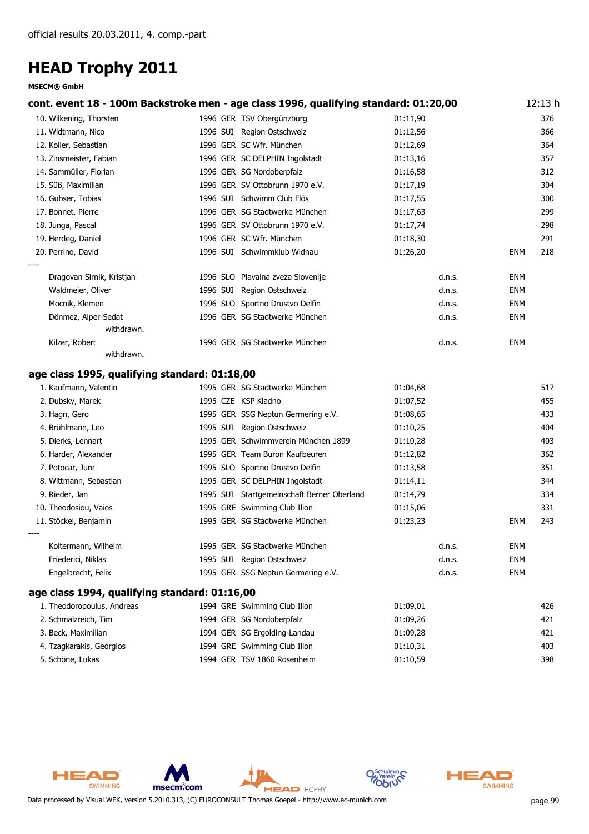#### **MSECM® GmbH**

| cont. event 18 - 100m Backstroke men - age class 1996, qualifying standard: 01:20,00 |                                 |                                            |                      |        |            | 12:13 h |
|--------------------------------------------------------------------------------------|---------------------------------|--------------------------------------------|----------------------|--------|------------|---------|
| 10. Wilkening, Thorsten                                                              | 1996 GER TSV Obergünzburg       |                                            | 01:11,90             |        |            | 376     |
| 11. Widtmann, Nico                                                                   | 1996 SUI Region Ostschweiz      |                                            | 01:12,56             |        |            | 366     |
| 12. Koller, Sebastian                                                                | 1996 GER SC Wfr. München        |                                            | 01:12,69             |        |            | 364     |
| 13. Zinsmeister, Fabian                                                              | 1996 GER SC DELPHIN Ingolstadt  |                                            | 01:13,16             |        |            | 357     |
| 14. Sammüller, Florian                                                               | 1996 GER SG Nordoberpfalz       |                                            | 01:16,58             |        |            | 312     |
| 15. Süß, Maximilian                                                                  | 1996 GER SV Ottobrunn 1970 e.V. |                                            | 01:17,19             |        |            | 304     |
| 16. Gubser, Tobias                                                                   | 1996 SUI Schwimm Club Flös      |                                            | 01:17,55             |        |            | 300     |
| 17. Bonnet, Pierre                                                                   |                                 | 1996 GER SG Stadtwerke München             | 01:17,63             |        |            | 299     |
| 18. Junga, Pascal                                                                    | 1996 GER SV Ottobrunn 1970 e.V. |                                            | 01:17,74             |        |            | 298     |
| 19. Herdeg, Daniel                                                                   | 1996 GER SC Wfr. München        |                                            | 01:18,30             |        |            | 291     |
| 20. Perrino, David                                                                   | 1996 SUI Schwimmklub Widnau     |                                            | 01:26,20             |        | <b>ENM</b> | 218     |
|                                                                                      |                                 |                                            |                      |        |            |         |
| Dragovan Sirnik, Kristjan                                                            |                                 | 1996 SLO Plavalna zveza Slovenije          |                      | d.n.s. | <b>ENM</b> |         |
| Waldmeier, Oliver                                                                    | 1996 SUI Region Ostschweiz      |                                            |                      | d.n.s. | ENM        |         |
| Mocnik, Klemen                                                                       | 1996 SLO Sportno Drustvo Delfin |                                            |                      | d.n.s. | <b>ENM</b> |         |
| Dönmez, Alper-Sedat<br>withdrawn.                                                    |                                 | 1996 GER SG Stadtwerke München             |                      | d.n.s. | <b>ENM</b> |         |
| Kilzer, Robert                                                                       |                                 | 1996 GER SG Stadtwerke München             |                      | d.n.s. | <b>ENM</b> |         |
| withdrawn.                                                                           |                                 |                                            |                      |        |            |         |
|                                                                                      |                                 |                                            |                      |        |            |         |
| age class 1995, qualifying standard: 01:18,00<br>1. Kaufmann, Valentin               |                                 | 1995 GER SG Stadtwerke München             | 01:04,68             |        |            | 517     |
|                                                                                      | 1995 CZE KSP Kladno             |                                            |                      |        |            | 455     |
| 2. Dubsky, Marek                                                                     |                                 | 1995 GER SSG Neptun Germering e.V.         | 01:07,52<br>01:08,65 |        |            | 433     |
| 3. Hagn, Gero<br>4. Brühlmann, Leo                                                   | 1995 SUI Region Ostschweiz      |                                            | 01:10,25             |        |            | 404     |
| 5. Dierks, Lennart                                                                   |                                 | 1995 GER Schwimmverein München 1899        | 01:10,28             |        |            | 403     |
| 6. Harder, Alexander                                                                 |                                 | 1995 GER Team Buron Kaufbeuren             | 01:12,82             |        |            | 362     |
| 7. Potocar, Jure                                                                     | 1995 SLO Sportno Drustvo Delfin |                                            | 01:13,58             |        |            | 351     |
| 8. Wittmann, Sebastian                                                               | 1995 GER SC DELPHIN Ingolstadt  |                                            | 01:14,11             |        |            | 344     |
| 9. Rieder, Jan                                                                       |                                 | 1995 SUI Startgemeinschaft Berner Oberland | 01:14,79             |        |            | 334     |
| 10. Theodosiou, Vaios                                                                | 1995 GRE Swimming Club Ilion    |                                            | 01:15,06             |        |            | 331     |
| 11. Stöckel, Benjamin                                                                |                                 | 1995 GER SG Stadtwerke München             | 01:23,23             |        | <b>ENM</b> | 243     |
|                                                                                      |                                 |                                            |                      |        |            |         |
| Koltermann, Wilhelm                                                                  |                                 | 1995 GER SG Stadtwerke München             |                      | d.n.s. | <b>ENM</b> |         |
| Friederici, Niklas                                                                   | 1995 SUI Region Ostschweiz      |                                            |                      | d.n.s. | <b>ENM</b> |         |
| Engelbrecht, Felix                                                                   |                                 | 1995 GER SSG Neptun Germering e.V.         |                      | d.n.s. | <b>ENM</b> |         |
| age class 1994, qualifying standard: 01:16,00                                        |                                 |                                            |                      |        |            |         |
| 1. Theodoropoulus, Andreas                                                           | 1994 GRE Swimming Club Ilion    |                                            | 01:09,01             |        |            | 426     |
| 2. Schmalzreich, Tim                                                                 | 1994 GER SG Nordoberpfalz       |                                            | 01:09,26             |        |            | 421     |
| 3. Beck, Maximilian                                                                  | 1994 GER SG Ergolding-Landau    |                                            | 01:09,28             |        |            | 421     |
| 4. Tzagkarakis, Georgios                                                             | 1994 GRE Swimming Club Ilion    |                                            | 01:10,31             |        |            | 403     |
| 5. Schöne, Lukas                                                                     | 1994 GER TSV 1860 Rosenheim     |                                            | 01:10,59             |        |            | 398     |



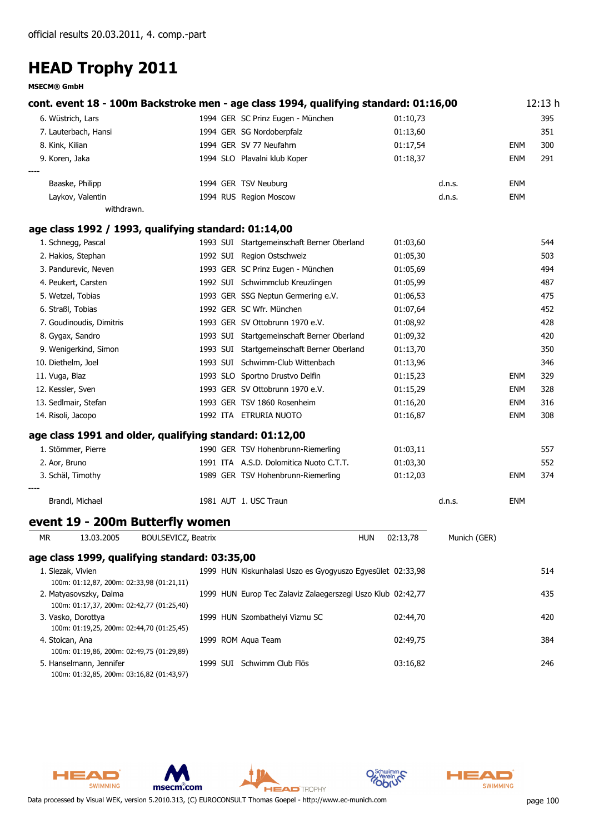**MSECM® GmbH**

|    | cont. event 18 - 100m Backstroke men - age class 1994, qualifying standard: 01:16,00 |  |                                                             |          |              |            | 12:13h |
|----|--------------------------------------------------------------------------------------|--|-------------------------------------------------------------|----------|--------------|------------|--------|
|    | 6. Wüstrich, Lars                                                                    |  | 1994 GER SC Prinz Eugen - München                           | 01:10,73 |              |            | 395    |
|    | 7. Lauterbach, Hansi                                                                 |  | 1994 GER SG Nordoberpfalz                                   | 01:13,60 |              |            | 351    |
|    | 8. Kink, Kilian                                                                      |  | 1994 GER SV 77 Neufahrn                                     | 01:17,54 |              | ENM        | 300    |
|    | 9. Koren, Jaka                                                                       |  | 1994 SLO Plavalni klub Koper                                | 01:18,37 |              | ENM        | 291    |
|    | Baaske, Philipp                                                                      |  | 1994 GER TSV Neuburg                                        |          | d.n.s.       | ENM        |        |
|    | Laykov, Valentin                                                                     |  | 1994 RUS Region Moscow                                      |          | d.n.s.       | ENM        |        |
|    | withdrawn.                                                                           |  |                                                             |          |              |            |        |
|    | age class 1992 / 1993, qualifying standard: 01:14,00                                 |  |                                                             |          |              |            |        |
|    | 1. Schnegg, Pascal                                                                   |  | 1993 SUI Startgemeinschaft Berner Oberland                  | 01:03,60 |              |            | 544    |
|    | 2. Hakios, Stephan                                                                   |  | 1992 SUI Region Ostschweiz                                  | 01:05,30 |              |            | 503    |
|    | 3. Pandurevic, Neven                                                                 |  | 1993 GER SC Prinz Eugen - München                           | 01:05,69 |              |            | 494    |
|    | 4. Peukert, Carsten                                                                  |  | 1992 SUI Schwimmclub Kreuzlingen                            | 01:05,99 |              |            | 487    |
|    | 5. Wetzel, Tobias                                                                    |  | 1993 GER SSG Neptun Germering e.V.                          | 01:06,53 |              |            | 475    |
|    | 6. Straßl, Tobias                                                                    |  | 1992 GER SC Wfr. München                                    | 01:07,64 |              |            | 452    |
|    | 7. Goudinoudis, Dimitris                                                             |  | 1993 GER SV Ottobrunn 1970 e.V.                             | 01:08,92 |              |            | 428    |
|    | 8. Gygax, Sandro                                                                     |  | 1993 SUI Startgemeinschaft Berner Oberland                  | 01:09,32 |              |            | 420    |
|    | 9. Wenigerkind, Simon                                                                |  | 1993 SUI Startgemeinschaft Berner Oberland                  | 01:13,70 |              |            | 350    |
|    | 10. Diethelm, Joel                                                                   |  | 1993 SUI Schwimm-Club Wittenbach                            | 01:13,96 |              |            | 346    |
|    | 11. Vuga, Blaz                                                                       |  | 1993 SLO Sportno Drustvo Delfin                             | 01:15,23 |              | ENM        | 329    |
|    | 12. Kessler, Sven                                                                    |  | 1993 GER SV Ottobrunn 1970 e.V.                             | 01:15,29 |              | ENM        | 328    |
|    | 13. Sedlmair, Stefan                                                                 |  | 1993 GER TSV 1860 Rosenheim                                 | 01:16,20 |              | <b>ENM</b> | 316    |
|    | 14. Risoli, Jacopo                                                                   |  | 1992 ITA ETRURIA NUOTO                                      | 01:16,87 |              | ENM        | 308    |
|    | age class 1991 and older, qualifying standard: 01:12,00                              |  |                                                             |          |              |            |        |
|    | 1. Stömmer, Pierre                                                                   |  | 1990 GER TSV Hohenbrunn-Riemerling                          | 01:03,11 |              |            | 557    |
|    | 2. Aor, Bruno                                                                        |  | 1991 ITA A.S.D. Dolomitica Nuoto C.T.T.                     | 01:03,30 |              |            | 552    |
|    | 3. Schäl, Timothy                                                                    |  | 1989 GER TSV Hohenbrunn-Riemerling                          | 01:12,03 |              | <b>ENM</b> | 374    |
|    | Brandl, Michael                                                                      |  | 1981 AUT 1. USC Traun                                       |          | d.n.s.       | ENM        |        |
|    | event 19 - 200m Butterfly women                                                      |  |                                                             |          |              |            |        |
| МR | 13.03.2005<br><b>BOULSEVICZ, Beatrix</b>                                             |  | <b>HUN</b>                                                  | 02:13,78 | Munich (GER) |            |        |
|    | age class 1999, qualifying standard: 03:35,00                                        |  |                                                             |          |              |            |        |
|    | 1. Slezak, Vivien<br>100m: 01:12,87, 200m: 02:33,98 (01:21,11)                       |  | 1999 HUN Kiskunhalasi Uszo es Gyogyuszo Egyesület 02:33,98  |          |              |            | 514    |
|    | 2. Matyasovszky, Dalma                                                               |  | 1999 HUN Europ Tec Zalaviz Zalaegerszegi Uszo Klub 02:42,77 |          |              |            | 435    |
|    | 100m: 01:17,37, 200m: 02:42,77 (01:25,40)                                            |  |                                                             |          |              |            |        |
|    | 3. Vasko, Dorottya<br>100m: 01:19,25, 200m: 02:44,70 (01:25,45)                      |  | 1999 HUN Szombathelyi Vizmu SC                              | 02:44,70 |              |            | 420    |
|    | 4. Stoican, Ana<br>100m: 01:19,86, 200m: 02:49,75 (01:29,89)                         |  | 1999 ROM Aqua Team                                          | 02:49,75 |              |            | 384    |
|    | 5. Hanselmann, Jennifer<br>100m: 01:32,85, 200m: 03:16,82 (01:43,97)                 |  | 1999 SUI Schwimm Club Flös                                  | 03:16,82 |              |            | 246    |







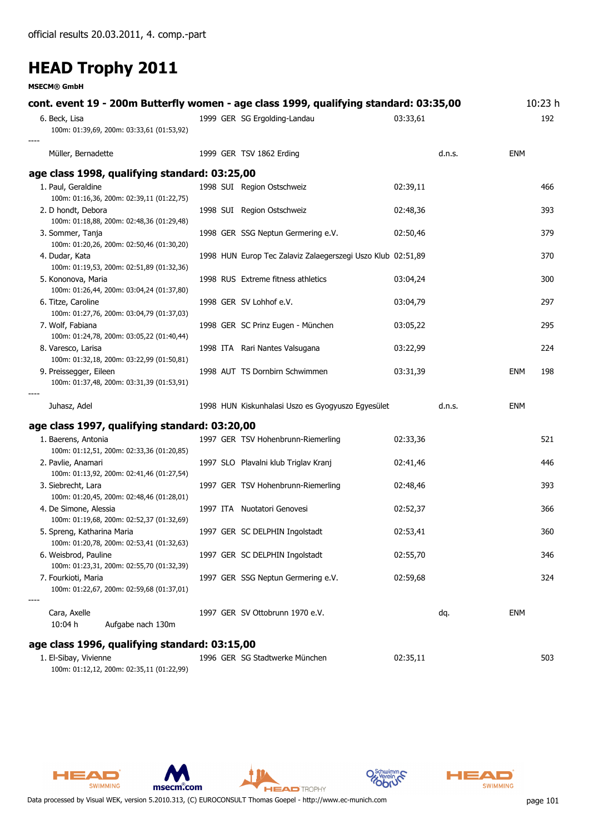**MSECM® GmbH**

| cont. event 19 - 200m Butterfly women - age class 1999, qualifying standard: 03:35,00 |                                                             |          |        |            | 10:23 h |
|---------------------------------------------------------------------------------------|-------------------------------------------------------------|----------|--------|------------|---------|
| 6. Beck, Lisa<br>100m: 01:39,69, 200m: 03:33,61 (01:53,92)                            | 1999 GER SG Ergolding-Landau                                | 03:33,61 |        |            | 192     |
| Müller, Bernadette                                                                    | 1999 GER TSV 1862 Erding                                    |          | d.n.s. | <b>ENM</b> |         |
| age class 1998, qualifying standard: 03:25,00                                         |                                                             |          |        |            |         |
| 1. Paul, Geraldine                                                                    | 1998 SUI Region Ostschweiz                                  | 02:39,11 |        |            | 466     |
| 100m: 01:16,36, 200m: 02:39,11 (01:22,75)<br>2. D hondt, Debora                       | 1998 SUI Region Ostschweiz                                  | 02:48,36 |        |            | 393     |
| 100m: 01:18,88, 200m: 02:48,36 (01:29,48)                                             |                                                             |          |        |            |         |
| 3. Sommer, Tanja                                                                      | 1998 GER SSG Neptun Germering e.V.                          | 02:50,46 |        |            | 379     |
| 100m: 01:20,26, 200m: 02:50,46 (01:30,20)                                             |                                                             |          |        |            |         |
| 4. Dudar, Kata<br>100m: 01:19,53, 200m: 02:51,89 (01:32,36)                           | 1998 HUN Europ Tec Zalaviz Zalaegerszegi Uszo Klub 02:51,89 |          |        |            | 370     |
| 5. Kononova, Maria                                                                    | 1998 RUS Extreme fitness athletics                          | 03:04,24 |        |            | 300     |
| 100m: 01:26,44, 200m: 03:04,24 (01:37,80)                                             |                                                             |          |        |            |         |
| 6. Titze, Caroline                                                                    | 1998 GER SV Lohhof e.V.                                     | 03:04,79 |        |            | 297     |
| 100m: 01:27,76, 200m: 03:04,79 (01:37,03)<br>7. Wolf, Fabiana                         | 1998 GER SC Prinz Eugen - München                           | 03:05,22 |        |            | 295     |
| 100m: 01:24,78, 200m: 03:05,22 (01:40,44)                                             |                                                             |          |        |            |         |
| 8. Varesco, Larisa                                                                    | 1998 ITA Rari Nantes Valsugana                              | 03:22,99 |        |            | 224     |
| 100m: 01:32,18, 200m: 03:22,99 (01:50,81)                                             |                                                             |          |        |            |         |
| 9. Preissegger, Eileen<br>100m: 01:37,48, 200m: 03:31,39 (01:53,91)                   | 1998 AUT TS Dornbirn Schwimmen                              | 03:31,39 |        | <b>ENM</b> | 198     |
| Juhasz, Adel                                                                          | 1998 HUN Kiskunhalasi Uszo es Gyogyuszo Egyesület           |          | d.n.s. | <b>ENM</b> |         |
| age class 1997, qualifying standard: 03:20,00                                         |                                                             |          |        |            |         |
| 1. Baerens, Antonia                                                                   | 1997 GER TSV Hohenbrunn-Riemerling                          | 02:33,36 |        |            | 521     |
| 100m: 01:12,51, 200m: 02:33,36 (01:20,85)                                             |                                                             |          |        |            |         |
| 2. Pavlie, Anamari<br>100m: 01:13,92, 200m: 02:41,46 (01:27,54)                       | 1997 SLO Plavalni klub Triglav Kranj                        | 02:41,46 |        |            | 446     |
| 3. Siebrecht, Lara                                                                    | 1997 GER TSV Hohenbrunn-Riemerling                          | 02:48,46 |        |            | 393     |
| 100m: 01:20,45, 200m: 02:48,46 (01:28,01)                                             |                                                             |          |        |            |         |
| 4. De Simone, Alessia                                                                 | 1997 ITA Nuotatori Genovesi                                 | 02:52,37 |        |            | 366     |
| 100m: 01:19,68, 200m: 02:52,37 (01:32,69)<br>5. Spreng, Katharina Maria               | 1997 GER SC DELPHIN Ingolstadt                              | 02:53,41 |        |            | 360     |
| 100m: 01:20,78, 200m: 02:53,41 (01:32,63)                                             |                                                             |          |        |            |         |
| 6. Weisbrod, Pauline                                                                  | 1997 GER SC DELPHIN Ingolstadt                              | 02:55,70 |        |            | 346     |
| 100m: 01:23,31, 200m: 02:55,70 (01:32,39)                                             |                                                             |          |        |            |         |
| 7. Fourkioti, Maria<br>100m: 01:22,67, 200m: 02:59,68 (01:37,01)                      | 1997 GER SSG Neptun Germering e.V.                          | 02:59,68 |        |            | 324     |
| Cara, Axelle                                                                          | 1997 GER SV Ottobrunn 1970 e.V.                             |          | dq.    | <b>ENM</b> |         |
| 10:04 h<br>Aufgabe nach 130m                                                          |                                                             |          |        |            |         |
| age class 1996, qualifying standard: 03:15,00                                         |                                                             |          |        |            |         |
| 1. El-Sibay, Vivienne                                                                 | 1996 GER SG Stadtwerke München                              | 02:35,11 |        |            | 503     |

100m: 01:12,12, 200m: 02:35,11 (01:22,99)







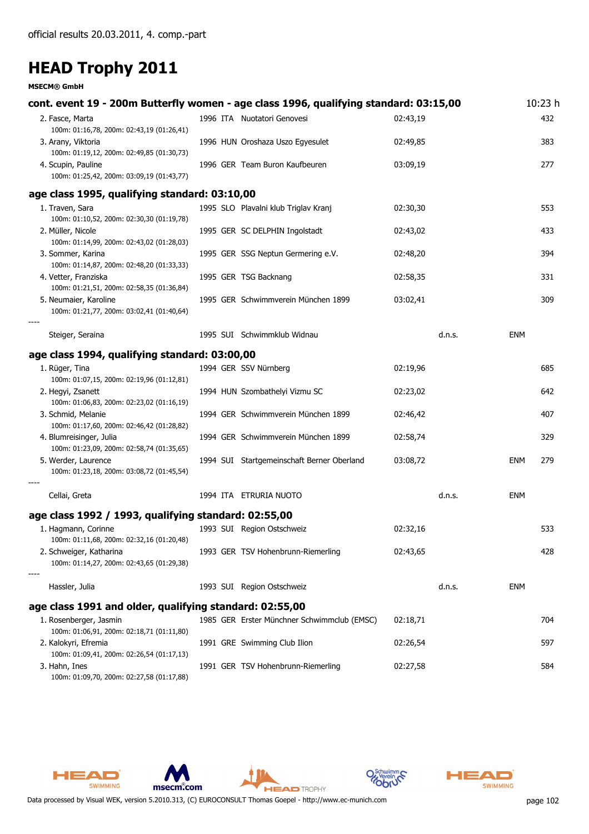#### **MSECM® GmbH**

| cont. event 19 - 200m Butterfly women - age class 1996, qualifying standard: 03:15,00 |                                             |          | 10:23 h    |
|---------------------------------------------------------------------------------------|---------------------------------------------|----------|------------|
| 2. Fasce, Marta<br>100m: 01:16,78, 200m: 02:43,19 (01:26,41)                          | 1996 ITA Nuotatori Genovesi                 | 02:43,19 | 432        |
| 3. Arany, Viktoria<br>100m: 01:19,12, 200m: 02:49,85 (01:30,73)                       | 1996 HUN Oroshaza Uszo Egyesulet            | 02:49,85 | 383        |
| 4. Scupin, Pauline<br>100m: 01:25,42, 200m: 03:09,19 (01:43,77)                       | 1996 GER Team Buron Kaufbeuren              | 03:09,19 | 277        |
| age class 1995, qualifying standard: 03:10,00                                         |                                             |          |            |
| 1. Traven, Sara<br>100m: 01:10,52, 200m: 02:30,30 (01:19,78)                          | 1995 SLO Plavalni klub Triglav Kranj        | 02:30,30 | 553        |
| 2. Müller, Nicole<br>100m: 01:14,99, 200m: 02:43,02 (01:28,03)                        | 1995 GER SC DELPHIN Ingolstadt              | 02:43,02 | 433        |
| 3. Sommer, Karina<br>100m: 01:14,87, 200m: 02:48,20 (01:33,33)                        | 1995 GER SSG Neptun Germering e.V.          | 02:48,20 | 394        |
| 4. Vetter, Franziska<br>100m: 01:21,51, 200m: 02:58,35 (01:36,84)                     | 1995 GER TSG Backnang                       | 02:58,35 | 331        |
| 5. Neumaier, Karoline<br>100m: 01:21,77, 200m: 03:02,41 (01:40,64)                    | 1995 GER Schwimmverein München 1899         | 03:02,41 | 309        |
| Steiger, Seraina                                                                      | 1995 SUI Schwimmklub Widnau                 | d.n.s.   | <b>ENM</b> |
| age class 1994, qualifying standard: 03:00,00                                         |                                             |          |            |
| 1. Rüger, Tina<br>100m: 01:07,15, 200m: 02:19,96 (01:12,81)                           | 1994 GER SSV Nürnberg                       | 02:19,96 | 685        |
| 2. Hegyi, Zsanett<br>100m: 01:06,83, 200m: 02:23,02 (01:16,19)                        | 1994 HUN Szombathelyi Vizmu SC              | 02:23,02 | 642        |
| 3. Schmid, Melanie<br>100m: 01:17,60, 200m: 02:46,42 (01:28,82)                       | 1994 GER Schwimmverein München 1899         | 02:46,42 | 407        |
| 4. Blumreisinger, Julia<br>100m: 01:23,09, 200m: 02:58,74 (01:35,65)                  | 1994 GER Schwimmverein München 1899         | 02:58,74 | 329        |
| 5. Werder, Laurence<br>100m: 01:23,18, 200m: 03:08,72 (01:45,54)                      | 1994 SUI Startgemeinschaft Berner Oberland  | 03:08,72 | ENM<br>279 |
| Cellai, Greta                                                                         | 1994 ITA ETRURIA NUOTO                      | d.n.s.   | ENM        |
| age class 1992 / 1993, qualifying standard: 02:55,00                                  |                                             |          |            |
| 1. Hagmann, Corinne<br>100m: 01:11,68, 200m: 02:32,16 (01:20,48)                      | 1993 SUI Region Ostschweiz                  | 02:32,16 | 533        |
| 2. Schweiger, Katharina<br>100m: 01:14,27, 200m: 02:43,65 (01:29,38)                  | 1993 GER TSV Hohenbrunn-Riemerling          | 02:43,65 | 428        |
| Hassler, Julia                                                                        | 1993 SUI Region Ostschweiz                  | d.n.s.   | ENM        |
| age class 1991 and older, qualifying standard: 02:55,00                               |                                             |          |            |
| 1. Rosenberger, Jasmin<br>100m: 01:06,91, 200m: 02:18,71 (01:11,80)                   | 1985 GER Erster Münchner Schwimmclub (EMSC) | 02:18,71 | 704        |
| 2. Kalokyri, Efremia<br>100m: 01:09,41, 200m: 02:26,54 (01:17,13)                     | 1991 GRE Swimming Club Ilion                | 02:26,54 | 597        |
| 3. Hahn, Ines<br>100m: 01:09,70, 200m: 02:27,58 (01:17,88)                            | 1991 GER TSV Hohenbrunn-Riemerling          | 02:27,58 | 584        |







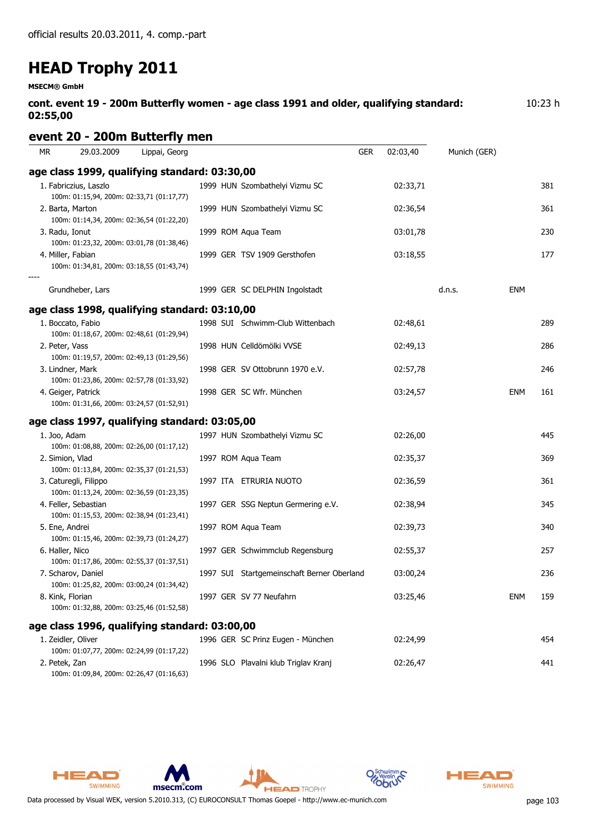**MSECM® GmbH**

**cont. event 19 - 200m Butterfly women - age class 1991 and older, qualifying standard: 02:55,00** 10:23 h

### **event 20 - 200m Butterfly men**

| <b>MR</b>        | 29.03.2009            | Lippai, Georg                                 |                                            | <b>GER</b> | 02:03,40 | Munich (GER) |            |     |
|------------------|-----------------------|-----------------------------------------------|--------------------------------------------|------------|----------|--------------|------------|-----|
|                  |                       | age class 1999, qualifying standard: 03:30,00 |                                            |            |          |              |            |     |
|                  | 1. Fabriczius, Laszlo | 100m: 01:15,94, 200m: 02:33,71 (01:17,77)     | 1999 HUN Szombathelyi Vizmu SC             |            | 02:33,71 |              |            | 381 |
|                  | 2. Barta, Marton      | 100m: 01:14,34, 200m: 02:36,54 (01:22,20)     | 1999 HUN Szombathelyi Vizmu SC             |            | 02:36,54 |              |            | 361 |
| 3. Radu, Ionut   |                       | 100m: 01:23,32, 200m: 03:01,78 (01:38,46)     | 1999 ROM Aqua Team                         |            | 03:01,78 |              |            | 230 |
|                  | 4. Miller, Fabian     | 100m: 01:34,81, 200m: 03:18,55 (01:43,74)     | 1999 GER TSV 1909 Gersthofen               |            | 03:18,55 |              |            | 177 |
|                  | Grundheber, Lars      |                                               | 1999 GER SC DELPHIN Ingolstadt             |            |          | d.n.s.       | ENM        |     |
|                  |                       | age class 1998, qualifying standard: 03:10,00 |                                            |            |          |              |            |     |
|                  | 1. Boccato, Fabio     | 100m: 01:18,67, 200m: 02:48,61 (01:29,94)     | 1998 SUI Schwimm-Club Wittenbach           |            | 02:48,61 |              |            | 289 |
| 2. Peter, Vass   |                       | 100m: 01:19,57, 200m: 02:49,13 (01:29,56)     | 1998 HUN Celldömölki VVSE                  |            | 02:49,13 |              |            | 286 |
|                  | 3. Lindner, Mark      | 100m: 01:23,86, 200m: 02:57,78 (01:33,92)     | 1998 GER SV Ottobrunn 1970 e.V.            |            | 02:57,78 |              |            | 246 |
|                  | 4. Geiger, Patrick    | 100m: 01:31,66, 200m: 03:24,57 (01:52,91)     | 1998 GER SC Wfr. München                   |            | 03:24,57 |              | ENM        | 161 |
|                  |                       | age class 1997, qualifying standard: 03:05,00 |                                            |            |          |              |            |     |
| 1. Joo, Adam     |                       | 100m: 01:08,88, 200m: 02:26,00 (01:17,12)     | 1997 HUN Szombathelyi Vizmu SC             |            | 02:26,00 |              |            | 445 |
| 2. Simion, Vlad  |                       | 100m: 01:13,84, 200m: 02:35,37 (01:21,53)     | 1997 ROM Aqua Team                         |            | 02:35,37 |              |            | 369 |
|                  | 3. Caturegli, Filippo | 100m: 01:13,24, 200m: 02:36,59 (01:23,35)     | 1997 ITA ETRURIA NUOTO                     |            | 02:36,59 |              |            | 361 |
|                  | 4. Feller, Sebastian  | 100m: 01:15,53, 200m: 02:38,94 (01:23,41)     | 1997 GER SSG Neptun Germering e.V.         |            | 02:38,94 |              |            | 345 |
| 5. Ene, Andrei   |                       | 100m: 01:15,46, 200m: 02:39,73 (01:24,27)     | 1997 ROM Aqua Team                         |            | 02:39,73 |              |            | 340 |
| 6. Haller, Nico  |                       | 100m: 01:17,86, 200m: 02:55,37 (01:37,51)     | 1997 GER Schwimmclub Regensburg            |            | 02:55,37 |              |            | 257 |
|                  | 7. Scharov, Daniel    | 100m: 01:25,82, 200m: 03:00,24 (01:34,42)     | 1997 SUI Startgemeinschaft Berner Oberland |            | 03:00,24 |              |            | 236 |
| 8. Kink, Florian |                       | 100m: 01:32,88, 200m: 03:25,46 (01:52,58)     | 1997 GER SV 77 Neufahrn                    |            | 03:25,46 |              | <b>ENM</b> | 159 |
|                  |                       | age class 1996, qualifying standard: 03:00,00 |                                            |            |          |              |            |     |
|                  | 1. Zeidler, Oliver    | 100m: 01:07,77, 200m: 02:24,99 (01:17,22)     | 1996 GER SC Prinz Eugen - München          |            | 02:24,99 |              |            | 454 |
| 2. Petek, Zan    |                       | 100m: 01:09,84, 200m: 02:26,47 (01:16,63)     | 1996 SLO Plavalni klub Triglav Kranj       |            | 02:26,47 |              |            | 441 |





**HEAD** TROPHY

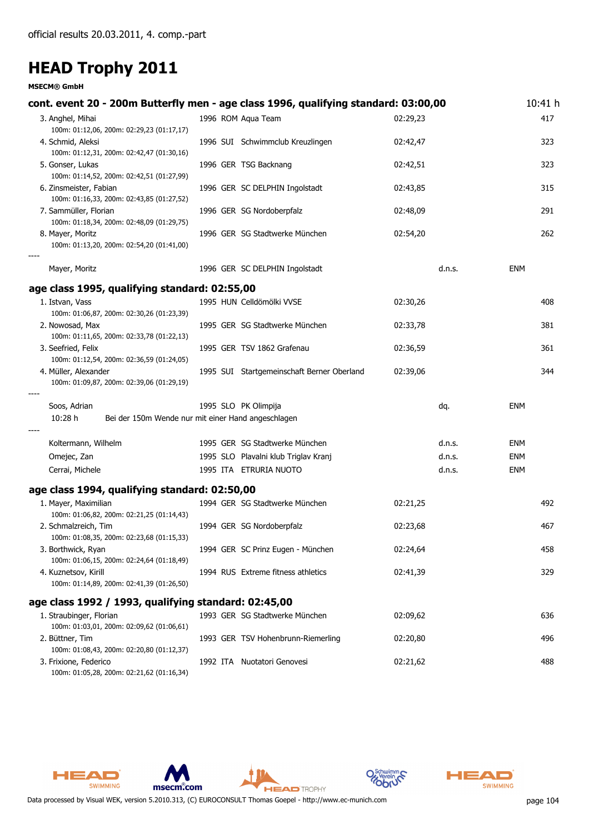#### **MSECM® GmbH**

| cont. event 20 - 200m Butterfly men - age class 1996, qualifying standard: 03:00,00 |                                            |          |        | 10:41 h    |
|-------------------------------------------------------------------------------------|--------------------------------------------|----------|--------|------------|
| 3. Anghel, Mihai<br>100m: 01:12,06, 200m: 02:29,23 (01:17,17)                       | 1996 ROM Aqua Team                         | 02:29,23 |        | 417        |
| 4. Schmid, Aleksi<br>100m: 01:12,31, 200m: 02:42,47 (01:30,16)                      | 1996 SUI Schwimmclub Kreuzlingen           | 02:42,47 |        | 323        |
| 5. Gonser, Lukas<br>100m: 01:14,52, 200m: 02:42,51 (01:27,99)                       | 1996 GER TSG Backnang                      | 02:42,51 |        | 323        |
| 6. Zinsmeister, Fabian<br>100m: 01:16,33, 200m: 02:43,85 (01:27,52)                 | 1996 GER SC DELPHIN Ingolstadt             | 02:43,85 |        | 315        |
| 7. Sammüller, Florian<br>100m: 01:18,34, 200m: 02:48,09 (01:29,75)                  | 1996 GER SG Nordoberpfalz                  | 02:48,09 |        | 291        |
| 8. Mayer, Moritz<br>100m: 01:13,20, 200m: 02:54,20 (01:41,00)                       | 1996 GER SG Stadtwerke München             | 02:54,20 |        | 262        |
| Mayer, Moritz                                                                       | 1996 GER SC DELPHIN Ingolstadt             |          | d.n.s. | ENM        |
| age class 1995, qualifying standard: 02:55,00                                       |                                            |          |        |            |
| 1. Istvan, Vass<br>100m: 01:06,87, 200m: 02:30,26 (01:23,39)                        | 1995 HUN Celldömölki VVSE                  | 02:30,26 |        | 408        |
| 2. Nowosad, Max<br>100m: 01:11,65, 200m: 02:33,78 (01:22,13)                        | 1995 GER SG Stadtwerke München             | 02:33,78 |        | 381        |
| 3. Seefried, Felix<br>100m: 01:12,54, 200m: 02:36,59 (01:24,05)                     | 1995 GER TSV 1862 Grafenau                 | 02:36,59 |        | 361        |
| 4. Müller, Alexander<br>100m: 01:09,87, 200m: 02:39,06 (01:29,19)                   | 1995 SUI Startgemeinschaft Berner Oberland | 02:39,06 |        | 344        |
| Soos, Adrian                                                                        | 1995 SLO PK Olimpija                       |          | dq.    | ENM        |
| 10:28 h<br>Bei der 150m Wende nur mit einer Hand angeschlagen                       |                                            |          |        |            |
| Koltermann, Wilhelm                                                                 | 1995 GER SG Stadtwerke München             |          | d.n.s. | ENM        |
| Omejec, Zan                                                                         | 1995 SLO Plavalni klub Triglav Kranj       |          | d.n.s. | <b>ENM</b> |
| Cerrai, Michele                                                                     | 1995 ITA ETRURIA NUOTO                     |          | d.n.s. | <b>ENM</b> |
| age class 1994, qualifying standard: 02:50,00                                       |                                            |          |        |            |
| 1. Mayer, Maximilian<br>100m: 01:06,82, 200m: 02:21,25 (01:14,43)                   | 1994 GER SG Stadtwerke München             | 02:21,25 |        | 492        |
| 2. Schmalzreich, Tim<br>100m: 01:08,35, 200m: 02:23,68 (01:15,33)                   | 1994 GER SG Nordoberpfalz                  | 02:23,68 |        | 467        |
| 3. Borthwick, Ryan<br>100m: 01:06,15, 200m: 02:24,64 (01:18,49)                     | 1994 GER SC Prinz Eugen - München          | 02:24,64 |        | 458        |
| 4. Kuznetsov, Kirill<br>100m: 01:14,89, 200m: 02:41,39 (01:26,50)                   | 1994 RUS Extreme fitness athletics         | 02:41,39 |        | 329        |
| age class 1992 / 1993, qualifying standard: 02:45,00                                |                                            |          |        |            |
| 1. Straubinger, Florian<br>100m: 01:03,01, 200m: 02:09,62 (01:06,61)                | 1993 GER SG Stadtwerke München             | 02:09,62 |        | 636        |
| 2. Büttner, Tim<br>100m: 01:08,43, 200m: 02:20,80 (01:12,37)                        | 1993 GER TSV Hohenbrunn-Riemerling         | 02:20,80 |        | 496        |
| 3. Frixione, Federico<br>100m: 01:05,28, 200m: 02:21,62 (01:16,34)                  | 1992 ITA Nuotatori Genovesi                | 02:21,62 |        | 488        |

**HEAD** TROPHY

msecm.com

HEAD

SWIMMING

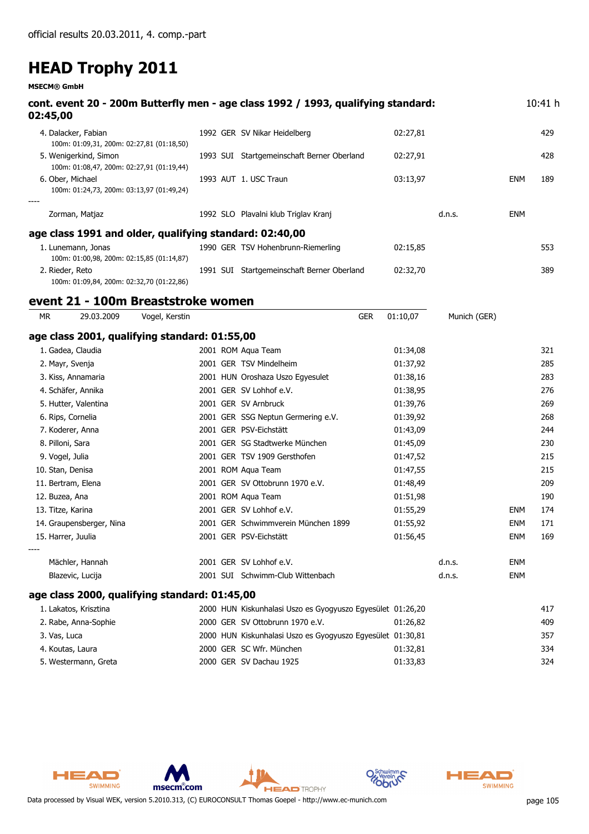**MSECM® GmbH**

|           | 02:45,00                                                           |                |  | cont. event 20 - 200m Butterfly men - age class 1992 / 1993, qualifying standard: |          |              |            | 10:41 h |
|-----------|--------------------------------------------------------------------|----------------|--|-----------------------------------------------------------------------------------|----------|--------------|------------|---------|
|           | 4. Dalacker, Fabian<br>100m: 01:09,31, 200m: 02:27,81 (01:18,50)   |                |  | 1992 GER SV Nikar Heidelberg                                                      | 02:27,81 |              |            | 429     |
|           | 5. Wenigerkind, Simon<br>100m: 01:08,47, 200m: 02:27,91 (01:19,44) |                |  | 1993 SUI Startgemeinschaft Berner Oberland                                        | 02:27,91 |              |            | 428     |
|           | 6. Ober, Michael<br>100m: 01:24,73, 200m: 03:13,97 (01:49,24)      |                |  | 1993 AUT 1. USC Traun                                                             | 03:13,97 |              | <b>ENM</b> | 189     |
|           | Zorman, Matjaz                                                     |                |  | 1992 SLO Plavalni klub Triglav Kranj                                              |          | d.n.s.       | <b>ENM</b> |         |
|           | age class 1991 and older, qualifying standard: 02:40,00            |                |  |                                                                                   |          |              |            |         |
|           | 1. Lunemann, Jonas<br>100m: 01:00,98, 200m: 02:15,85 (01:14,87)    |                |  | 1990 GER TSV Hohenbrunn-Riemerling                                                | 02:15,85 |              |            | 553     |
|           | 2. Rieder, Reto<br>100m: 01:09,84, 200m: 02:32,70 (01:22,86)       |                |  | 1991 SUI Startgemeinschaft Berner Oberland                                        | 02:32,70 |              |            | 389     |
|           | event 21 - 100m Breaststroke women                                 |                |  |                                                                                   |          |              |            |         |
| <b>MR</b> | 29.03.2009                                                         | Vogel, Kerstin |  | <b>GER</b>                                                                        | 01:10,07 | Munich (GER) |            |         |
|           | age class 2001, qualifying standard: 01:55,00                      |                |  |                                                                                   |          |              |            |         |
|           | 1. Gadea, Claudia                                                  |                |  | 2001 ROM Agua Team                                                                | 01:34,08 |              |            | 321     |
|           | 2. Mayr, Svenja                                                    |                |  | 2001 GER TSV Mindelheim                                                           | 01:37,92 |              |            | 285     |
|           | 3. Kiss, Annamaria                                                 |                |  | 2001 HUN Oroshaza Uszo Egyesulet                                                  | 01:38,16 |              |            | 283     |
|           | 4. Schäfer, Annika                                                 |                |  | 2001 GER SV Lohhof e.V.                                                           | 01:38,95 |              |            | 276     |
|           | 5. Hutter, Valentina                                               |                |  | 2001 GER SV Arnbruck                                                              | 01:39,76 |              |            | 269     |
|           | 6. Rips, Cornelia                                                  |                |  | 2001 GER SSG Neptun Germering e.V.                                                | 01:39,92 |              |            | 268     |
|           | 7. Koderer, Anna                                                   |                |  | 2001 GER PSV-Eichstätt                                                            | 01:43,09 |              |            | 244     |
|           | 8. Pilloni, Sara                                                   |                |  | 2001 GER SG Stadtwerke München                                                    | 01:45,09 |              |            | 230     |
|           | 9. Vogel, Julia                                                    |                |  | 2001 GER TSV 1909 Gersthofen                                                      | 01:47,52 |              |            | 215     |
|           | 10. Stan, Denisa                                                   |                |  | 2001 ROM Aqua Team                                                                | 01:47,55 |              |            | 215     |
|           | 11. Bertram, Elena                                                 |                |  | 2001 GER SV Ottobrunn 1970 e.V.                                                   | 01:48,49 |              |            | 209     |
|           | 12. Buzea, Ana                                                     |                |  | 2001 ROM Aqua Team                                                                | 01:51,98 |              |            | 190     |
|           | 13. Titze, Karina                                                  |                |  | 2001 GER SV Lohhof e.V.                                                           | 01:55,29 |              | ENM        | 174     |
|           | 14. Graupensberger, Nina                                           |                |  | 2001 GER Schwimmverein München 1899                                               | 01:55,92 |              | <b>ENM</b> | 171     |
|           | 15. Harrer, Juulia                                                 |                |  | 2001 GER PSV-Eichstätt                                                            | 01:56,45 |              | ENM        | 169     |
|           | Mächler, Hannah                                                    |                |  | 2001 GER SV Lohhof e.V.                                                           |          | d.n.s.       | <b>ENM</b> |         |
|           | Blazevic, Lucija                                                   |                |  | 2001 SUI Schwimm-Club Wittenbach                                                  |          | d.n.s.       | <b>ENM</b> |         |
|           | age class 2000, qualifying standard: 01:45,00                      |                |  |                                                                                   |          |              |            |         |
|           | 1. Lakatos, Krisztina                                              |                |  | 2000 HUN Kiskunhalasi Uszo es Gyogyuszo Egyesület 01:26,20                        |          |              |            | 417     |
|           | 2. Rabe, Anna-Sophie                                               |                |  | 2000 GER SV Ottobrunn 1970 e.V.                                                   | 01:26,82 |              |            | 409     |
|           | 3. Vas, Luca                                                       |                |  | 2000 HUN Kiskunhalasi Uszo es Gyogyuszo Egyesület 01:30,81                        |          |              |            | 357     |
|           | 4. Koutas, Laura                                                   |                |  | 2000 GER SC Wfr. München                                                          | 01:32,81 |              |            | 334     |
|           | 5. Westermann, Greta                                               |                |  | 2000 GER SV Dachau 1925                                                           | 01:33,83 |              |            | 324     |





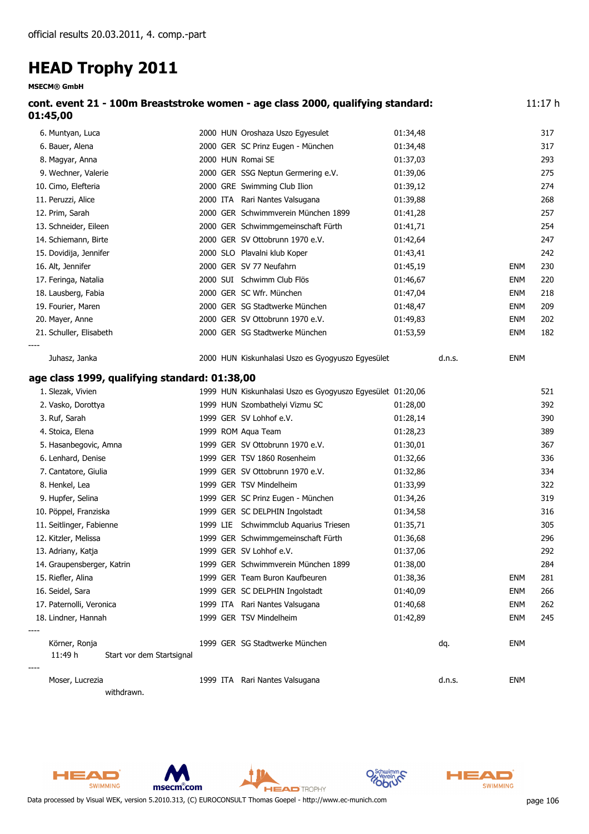**MSECM® GmbH**

| cont. event 21 - 100m Breaststroke women - age class 2000, qualifying standard:<br>01:45,00 |  |                                                            |          |        |            | 11:17h |
|---------------------------------------------------------------------------------------------|--|------------------------------------------------------------|----------|--------|------------|--------|
| 6. Muntyan, Luca                                                                            |  | 2000 HUN Oroshaza Uszo Egyesulet                           | 01:34,48 |        |            | 317    |
| 6. Bauer, Alena                                                                             |  | 2000 GER SC Prinz Eugen - München                          | 01:34,48 |        |            | 317    |
| 8. Magyar, Anna                                                                             |  | 2000 HUN Romai SE                                          | 01:37,03 |        |            | 293    |
| 9. Wechner, Valerie                                                                         |  | 2000 GER SSG Neptun Germering e.V.                         | 01:39,06 |        |            | 275    |
| 10. Cimo, Elefteria                                                                         |  | 2000 GRE Swimming Club Ilion                               | 01:39,12 |        |            | 274    |
| 11. Peruzzi, Alice                                                                          |  | 2000 ITA Rari Nantes Valsugana                             | 01:39,88 |        |            | 268    |
| 12. Prim, Sarah                                                                             |  | 2000 GER Schwimmverein München 1899                        | 01:41,28 |        |            | 257    |
| 13. Schneider, Eileen                                                                       |  | 2000 GER Schwimmgemeinschaft Fürth                         | 01:41,71 |        |            | 254    |
| 14. Schiemann, Birte                                                                        |  | 2000 GER SV Ottobrunn 1970 e.V.                            | 01:42,64 |        |            | 247    |
| 15. Dovidija, Jennifer                                                                      |  | 2000 SLO Plavalni klub Koper                               | 01:43,41 |        |            | 242    |
| 16. Alt, Jennifer                                                                           |  | 2000 GER SV 77 Neufahrn                                    | 01:45,19 |        | <b>ENM</b> | 230    |
| 17. Feringa, Natalia                                                                        |  | 2000 SUI Schwimm Club Flös                                 | 01:46,67 |        | <b>ENM</b> | 220    |
| 18. Lausberg, Fabia                                                                         |  | 2000 GER SC Wfr. München                                   | 01:47,04 |        | <b>ENM</b> | 218    |
| 19. Fourier, Maren                                                                          |  | 2000 GER SG Stadtwerke München                             | 01:48,47 |        | <b>ENM</b> | 209    |
| 20. Mayer, Anne                                                                             |  | 2000 GER SV Ottobrunn 1970 e.V.                            | 01:49,83 |        | <b>ENM</b> | 202    |
| 21. Schuller, Elisabeth                                                                     |  | 2000 GER SG Stadtwerke München                             | 01:53,59 |        | <b>ENM</b> | 182    |
| Juhasz, Janka                                                                               |  | 2000 HUN Kiskunhalasi Uszo es Gyogyuszo Egyesület          |          | d.n.s. | <b>ENM</b> |        |
| age class 1999, qualifying standard: 01:38,00                                               |  |                                                            |          |        |            |        |
| 1. Slezak, Vivien                                                                           |  | 1999 HUN Kiskunhalasi Uszo es Gyogyuszo Egyesület 01:20,06 |          |        |            | 521    |
| 2. Vasko, Dorottya                                                                          |  | 1999 HUN Szombathelyi Vizmu SC                             | 01:28,00 |        |            | 392    |
| 3. Ruf, Sarah                                                                               |  | 1999 GER SV Lohhof e.V.                                    | 01:28,14 |        |            | 390    |
| 4. Stoica, Elena                                                                            |  | 1999 ROM Aqua Team                                         | 01:28,23 |        |            | 389    |
| 5. Hasanbegovic, Amna                                                                       |  | 1999 GER SV Ottobrunn 1970 e.V.                            | 01:30,01 |        |            | 367    |
| 6. Lenhard, Denise                                                                          |  | 1999 GER TSV 1860 Rosenheim                                | 01:32,66 |        |            | 336    |
| 7. Cantatore, Giulia                                                                        |  | 1999 GER SV Ottobrunn 1970 e.V.                            | 01:32,86 |        |            | 334    |
| 8. Henkel, Lea                                                                              |  | 1999 GER TSV Mindelheim                                    | 01:33,99 |        |            | 322    |
| 9. Hupfer, Selina                                                                           |  | 1999 GER SC Prinz Eugen - München                          | 01:34,26 |        |            | 319    |
| 10. Pöppel, Franziska                                                                       |  | 1999 GER SC DELPHIN Ingolstadt                             | 01:34,58 |        |            | 316    |
| 11. Seitlinger, Fabienne                                                                    |  | 1999 LIE Schwimmclub Aquarius Triesen                      | 01:35,71 |        |            | 305    |
| 12. Kitzler, Melissa                                                                        |  | 1999 GER Schwimmgemeinschaft Fürth                         | 01:36,68 |        |            | 296    |
| 13. Adriany, Katja                                                                          |  | 1999 GER SV Lohhof e.V.                                    | 01:37,06 |        |            | 292    |
| 14. Graupensberger, Katrin                                                                  |  | 1999 GER Schwimmverein München 1899                        | 01:38,00 |        |            | 284    |
| 15. Riefler, Alina                                                                          |  | 1999 GER Team Buron Kaufbeuren                             | 01:38,36 |        | <b>ENM</b> | 281    |
| 16. Seidel, Sara                                                                            |  | 1999 GER SC DELPHIN Ingolstadt                             | 01:40,09 |        | <b>ENM</b> | 266    |
| 17. Paternolli, Veronica                                                                    |  | 1999 ITA Rari Nantes Valsugana                             | 01:40,68 |        | <b>ENM</b> | 262    |
| 18. Lindner, Hannah                                                                         |  | 1999 GER TSV Mindelheim                                    | 01:42,89 |        | <b>ENM</b> | 245    |
| Körner, Ronja<br>11:49 h<br>Start vor dem Startsignal                                       |  | 1999 GER SG Stadtwerke München                             |          | dq.    | <b>ENM</b> |        |
| Moser, Lucrezia                                                                             |  | 1999 ITA Rari Nantes Valsugana                             |          | d.n.s. | <b>ENM</b> |        |

*withdrawn.*







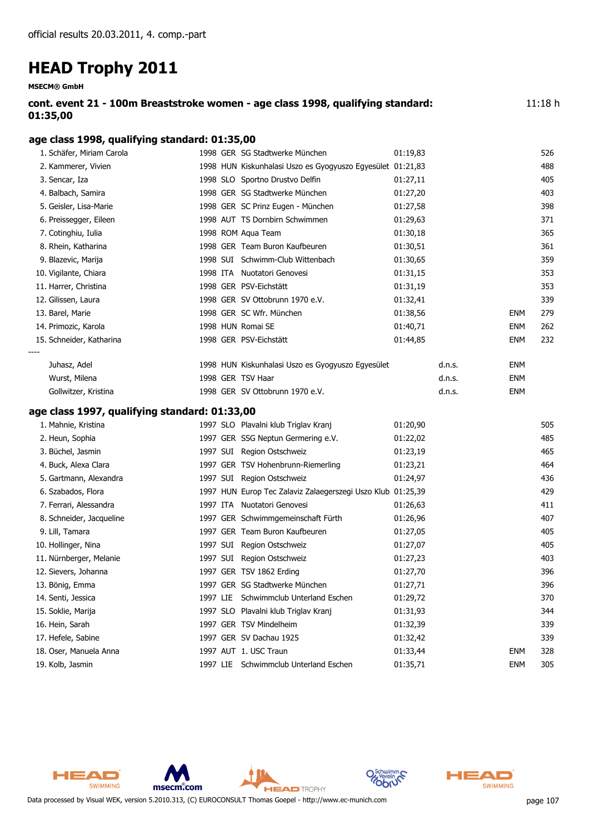**MSECM® GmbH**

| cont. event 21 - 100m Breaststroke women - age class 1998, qualifying standard: | 11:18h |
|---------------------------------------------------------------------------------|--------|
| 01:35,00                                                                        |        |

#### **age class 1998, qualifying standard: 01:35,00**

| 1. Schäfer, Miriam Carola                     |  | 1998 GER SG Stadtwerke München                              | 01:19,83 |        |            | 526 |
|-----------------------------------------------|--|-------------------------------------------------------------|----------|--------|------------|-----|
| 2. Kammerer, Vivien                           |  | 1998 HUN Kiskunhalasi Uszo es Gyogyuszo Egyesület 01:21,83  |          |        |            | 488 |
| 3. Sencar, Iza                                |  | 1998 SLO Sportno Drustvo Delfin                             | 01:27,11 |        |            | 405 |
| 4. Balbach, Samira                            |  | 1998 GER SG Stadtwerke München                              | 01:27,20 |        |            | 403 |
| 5. Geisler, Lisa-Marie                        |  | 1998 GER SC Prinz Eugen - München                           | 01:27,58 |        |            | 398 |
| 6. Preissegger, Eileen                        |  | 1998 AUT TS Dornbirn Schwimmen                              | 01:29,63 |        |            | 371 |
| 7. Cotinghiu, Iulia                           |  | 1998 ROM Aqua Team                                          | 01:30,18 |        |            | 365 |
| 8. Rhein, Katharina                           |  | 1998 GER Team Buron Kaufbeuren                              | 01:30,51 |        |            | 361 |
| 9. Blazevic, Marija                           |  | 1998 SUI Schwimm-Club Wittenbach                            | 01:30,65 |        |            | 359 |
| 10. Vigilante, Chiara                         |  | 1998 ITA Nuotatori Genovesi                                 | 01:31,15 |        |            | 353 |
| 11. Harrer, Christina                         |  | 1998 GER PSV-Eichstätt                                      | 01:31,19 |        |            | 353 |
| 12. Gilissen, Laura                           |  | 1998 GER SV Ottobrunn 1970 e.V.                             | 01:32,41 |        |            | 339 |
| 13. Barel, Marie                              |  | 1998 GER SC Wfr. München                                    | 01:38,56 |        | <b>ENM</b> | 279 |
| 14. Primozic, Karola                          |  | 1998 HUN Romai SE                                           | 01:40,71 |        | <b>ENM</b> | 262 |
| 15. Schneider, Katharina                      |  | 1998 GER PSV-Eichstätt                                      | 01:44,85 |        | <b>ENM</b> | 232 |
| Juhasz, Adel                                  |  | 1998 HUN Kiskunhalasi Uszo es Gyogyuszo Egyesület           |          | d.n.s. | <b>ENM</b> |     |
| Wurst, Milena                                 |  | 1998 GER TSV Haar                                           |          | d.n.s. | <b>ENM</b> |     |
| Gollwitzer, Kristina                          |  | 1998 GER SV Ottobrunn 1970 e.V.                             |          | d.n.s. | <b>ENM</b> |     |
| age class 1997, qualifying standard: 01:33,00 |  |                                                             |          |        |            |     |
| 1. Mahnie, Kristina                           |  | 1997 SLO Plavalni klub Triglav Kranj                        | 01:20,90 |        |            | 505 |
| 2. Heun, Sophia                               |  | 1997 GER SSG Neptun Germering e.V.                          | 01:22,02 |        |            | 485 |
| 3. Büchel, Jasmin                             |  | 1997 SUI Region Ostschweiz                                  | 01:23,19 |        |            | 465 |
| 4. Buck, Alexa Clara                          |  | 1997 GER TSV Hohenbrunn-Riemerling                          | 01:23,21 |        |            | 464 |
| 5. Gartmann, Alexandra                        |  | 1997 SUI Region Ostschweiz                                  | 01:24,97 |        |            | 436 |
| 6. Szabados, Flora                            |  | 1997 HUN Europ Tec Zalaviz Zalaegerszegi Uszo Klub 01:25,39 |          |        |            | 429 |
| 7. Ferrari, Alessandra                        |  | 1997 ITA Nuotatori Genovesi                                 | 01:26,63 |        |            | 411 |
| 8. Schneider, Jacqueline                      |  | 1997 GER Schwimmgemeinschaft Fürth                          | 01:26,96 |        |            | 407 |
| 9. Lill, Tamara                               |  | 1997 GER Team Buron Kaufbeuren                              | 01:27,05 |        |            | 405 |
| 10. Hollinger, Nina                           |  | 1997 SUI Region Ostschweiz                                  | 01:27,07 |        |            | 405 |
| 11. Nürnberger, Melanie                       |  | 1997 SUI Region Ostschweiz                                  | 01:27,23 |        |            | 403 |
| 12. Sievers, Johanna                          |  | 1997 GER TSV 1862 Erding                                    | 01:27,70 |        |            | 396 |
| 13. Bönig, Emma                               |  | 1997 GER SG Stadtwerke München                              | 01:27,71 |        |            | 396 |
| 14. Senti, Jessica                            |  | 1997 LIE Schwimmclub Unterland Eschen                       | 01:29,72 |        |            | 370 |
| 15. Soklie, Marija                            |  | 1997 SLO Plavalni klub Triglav Kranj                        | 01:31,93 |        |            | 344 |
| 16. Hein, Sarah                               |  | 1997 GER TSV Mindelheim                                     | 01:32,39 |        |            | 339 |
| 17. Hefele, Sabine                            |  | 1997 GER SV Dachau 1925                                     | 01:32,42 |        |            | 339 |
| 18. Oser, Manuela Anna                        |  | 1997 AUT 1. USC Traun                                       | 01:33,44 |        | <b>ENM</b> | 328 |
| 19. Kolb, Jasmin                              |  | 1997 LIE Schwimmclub Unterland Eschen                       | 01:35,71 |        | <b>ENM</b> | 305 |



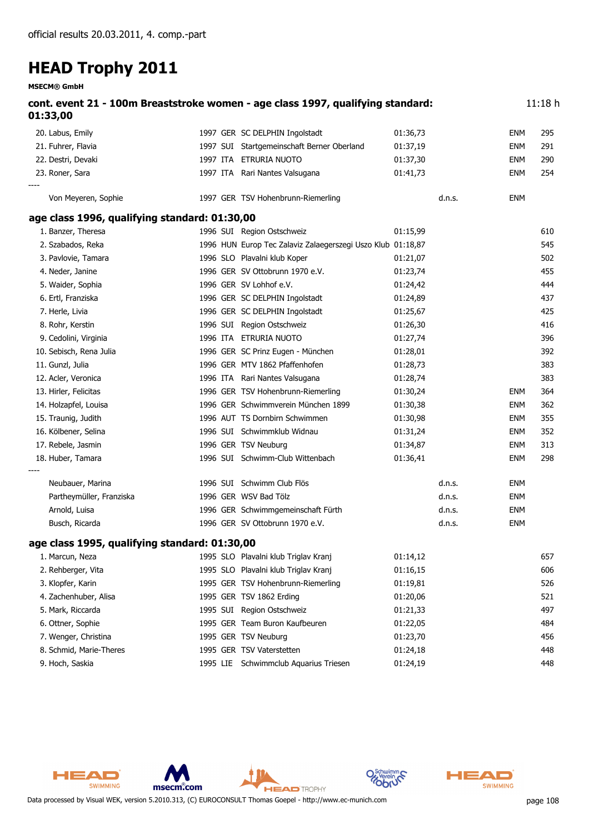**MSECM® GmbH**

| 01:33,00                                      | cont. event 21 - 100m Breaststroke women - age class 1997, qualifying standard: |          |        |            | 11:18h |
|-----------------------------------------------|---------------------------------------------------------------------------------|----------|--------|------------|--------|
| 20. Labus, Emily                              | 1997 GER SC DELPHIN Ingolstadt                                                  | 01:36,73 |        | ENM        | 295    |
| 21. Fuhrer, Flavia                            | 1997 SUI Startgemeinschaft Berner Oberland                                      | 01:37,19 |        | ENM        | 291    |
| 22. Destri, Devaki                            | 1997 ITA ETRURIA NUOTO                                                          | 01:37,30 |        | <b>ENM</b> | 290    |
| 23. Roner, Sara                               | 1997 ITA Rari Nantes Valsugana                                                  | 01:41,73 |        | ENM        | 254    |
| Von Meyeren, Sophie                           | 1997 GER TSV Hohenbrunn-Riemerling                                              |          | d.n.s. | <b>ENM</b> |        |
| age class 1996, qualifying standard: 01:30,00 |                                                                                 |          |        |            |        |
| 1. Banzer, Theresa                            | 1996 SUI Region Ostschweiz                                                      | 01:15,99 |        |            | 610    |
| 2. Szabados, Reka                             | 1996 HUN Europ Tec Zalaviz Zalaegerszegi Uszo Klub 01:18,87                     |          |        |            | 545    |
| 3. Pavlovie, Tamara                           | 1996 SLO Plavalni klub Koper                                                    | 01:21,07 |        |            | 502    |
| 4. Neder, Janine                              | 1996 GER SV Ottobrunn 1970 e.V.                                                 | 01:23,74 |        |            | 455    |
| 5. Waider, Sophia                             | 1996 GER SV Lohhof e.V.                                                         | 01:24,42 |        |            | 444    |
| 6. Ertl, Franziska                            | 1996 GER SC DELPHIN Ingolstadt                                                  | 01:24,89 |        |            | 437    |
| 7. Herle, Livia                               | 1996 GER SC DELPHIN Ingolstadt                                                  | 01:25,67 |        |            | 425    |
| 8. Rohr, Kerstin                              | 1996 SUI Region Ostschweiz                                                      | 01:26,30 |        |            | 416    |
| 9. Cedolini, Virginia                         | 1996 ITA ETRURIA NUOTO                                                          | 01:27,74 |        |            | 396    |
| 10. Sebisch, Rena Julia                       | 1996 GER SC Prinz Eugen - München                                               | 01:28,01 |        |            | 392    |
| 11. Gunzl, Julia                              | 1996 GER MTV 1862 Pfaffenhofen                                                  | 01:28,73 |        |            | 383    |
| 12. Acler, Veronica                           | 1996 ITA Rari Nantes Valsugana                                                  | 01:28,74 |        |            | 383    |
| 13. Hirler, Felicitas                         | 1996 GER TSV Hohenbrunn-Riemerling                                              | 01:30,24 |        | ENM        | 364    |
| 14. Holzapfel, Louisa                         | 1996 GER Schwimmverein München 1899                                             | 01:30,38 |        | ENM        | 362    |
| 15. Traunig, Judith                           | 1996 AUT TS Dornbirn Schwimmen                                                  | 01:30,98 |        | <b>ENM</b> | 355    |
| 16. Kölbener, Selina                          | 1996 SUI Schwimmklub Widnau                                                     | 01:31,24 |        | <b>ENM</b> | 352    |
| 17. Rebele, Jasmin                            | 1996 GER TSV Neuburg                                                            | 01:34,87 |        | <b>ENM</b> | 313    |
| 18. Huber, Tamara                             | 1996 SUI Schwimm-Club Wittenbach                                                | 01:36,41 |        | ENM        | 298    |
| Neubauer, Marina                              | 1996 SUI Schwimm Club Flös                                                      |          | d.n.s. | ENM        |        |
| Partheymüller, Franziska                      | 1996 GER WSV Bad Tölz                                                           |          | d.n.s. | ENM        |        |
| Arnold, Luisa                                 | 1996 GER Schwimmgemeinschaft Fürth                                              |          | d.n.s. | ENM        |        |
| Busch, Ricarda                                | 1996 GER SV Ottobrunn 1970 e.V.                                                 |          | d.n.s. | ENM        |        |
| age class 1995, qualifying standard: 01:30,00 |                                                                                 |          |        |            |        |
| 1. Marcun, Neza                               | 1995 SLO Plavalni klub Triglav Kranj                                            | 01:14,12 |        |            | 657    |
| 2. Rehberger, Vita                            | 1995 SLO Plavalni klub Triglav Kranj                                            | 01:16,15 |        |            | 606    |
| 3. Klopfer, Karin                             | 1995 GER TSV Hohenbrunn-Riemerling                                              | 01:19,81 |        |            | 526    |
| 4. Zachenhuber, Alisa                         | 1995 GER TSV 1862 Erding                                                        | 01:20,06 |        |            | 521    |
| 5. Mark, Riccarda                             | 1995 SUI Region Ostschweiz                                                      | 01:21,33 |        |            | 497    |
| 6. Ottner, Sophie                             | 1995 GER Team Buron Kaufbeuren                                                  | 01:22,05 |        |            | 484    |
| 7. Wenger, Christina                          | 1995 GER TSV Neuburg                                                            | 01:23,70 |        |            | 456    |
| 8. Schmid, Marie-Theres                       | 1995 GER TSV Vaterstetten                                                       | 01:24,18 |        |            | 448    |
| 9. Hoch, Saskia                               | 1995 LIE Schwimmclub Aquarius Triesen                                           | 01:24,19 |        |            | 448    |



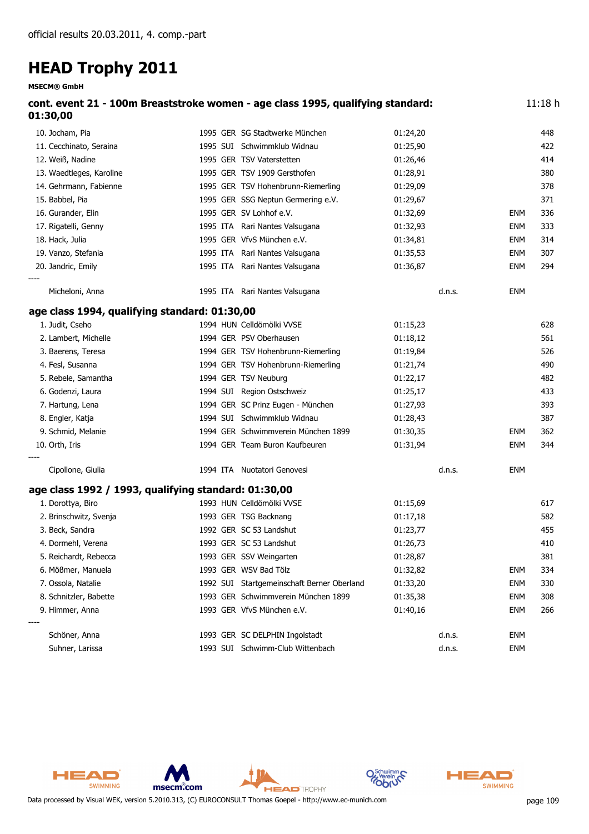**MSECM® GmbH**

| 01:30,00                                             | cont. event 21 - 100m Breaststroke women - age class 1995, qualifying standard: |          |        |            | 11:18h |
|------------------------------------------------------|---------------------------------------------------------------------------------|----------|--------|------------|--------|
| 10. Jocham, Pia                                      | 1995 GER SG Stadtwerke München                                                  | 01:24,20 |        |            | 448    |
| 11. Cecchinato, Seraina                              | 1995 SUI Schwimmklub Widnau                                                     | 01:25,90 |        |            | 422    |
| 12. Weiß, Nadine                                     | 1995 GER TSV Vaterstetten                                                       | 01:26,46 |        |            | 414    |
| 13. Waedtleges, Karoline                             | 1995 GER TSV 1909 Gersthofen                                                    | 01:28,91 |        |            | 380    |
| 14. Gehrmann, Fabienne                               | 1995 GER TSV Hohenbrunn-Riemerling                                              | 01:29,09 |        |            | 378    |
| 15. Babbel, Pia                                      | 1995 GER SSG Neptun Germering e.V.                                              | 01:29,67 |        |            | 371    |
| 16. Gurander, Elin                                   | 1995 GER SV Lohhof e.V.                                                         | 01:32,69 |        | <b>ENM</b> | 336    |
| 17. Rigatelli, Genny                                 | 1995 ITA Rari Nantes Valsugana                                                  | 01:32,93 |        | <b>ENM</b> | 333    |
| 18. Hack, Julia                                      | 1995 GER VfvS München e.V.                                                      | 01:34,81 |        | <b>ENM</b> | 314    |
| 19. Vanzo, Stefania                                  | 1995 ITA Rari Nantes Valsugana                                                  | 01:35,53 |        | <b>ENM</b> | 307    |
| 20. Jandric, Emily                                   | 1995 ITA Rari Nantes Valsugana                                                  | 01:36,87 |        | <b>ENM</b> | 294    |
| Micheloni, Anna                                      | 1995 ITA Rari Nantes Valsugana                                                  |          | d.n.s. | <b>ENM</b> |        |
| age class 1994, qualifying standard: 01:30,00        |                                                                                 |          |        |            |        |
| 1. Judit, Cseho                                      | 1994 HUN Celldömölki VVSE                                                       | 01:15,23 |        |            | 628    |
| 2. Lambert, Michelle                                 | 1994 GER PSV Oberhausen                                                         | 01:18,12 |        |            | 561    |
| 3. Baerens, Teresa                                   | 1994 GER TSV Hohenbrunn-Riemerling                                              | 01:19,84 |        |            | 526    |
| 4. Fesl, Susanna                                     | 1994 GER TSV Hohenbrunn-Riemerling                                              | 01:21,74 |        |            | 490    |
| 5. Rebele, Samantha                                  | 1994 GER TSV Neuburg                                                            | 01:22,17 |        |            | 482    |
| 6. Godenzi, Laura                                    | 1994 SUI Region Ostschweiz                                                      | 01:25,17 |        |            | 433    |
| 7. Hartung, Lena                                     | 1994 GER SC Prinz Eugen - München                                               | 01:27,93 |        |            | 393    |
| 8. Engler, Katja                                     | 1994 SUI Schwimmklub Widnau                                                     | 01:28,43 |        |            | 387    |
| 9. Schmid, Melanie                                   | 1994 GER Schwimmverein München 1899                                             | 01:30,35 |        | <b>ENM</b> | 362    |
| 10. Orth, Iris                                       | 1994 GER Team Buron Kaufbeuren                                                  | 01:31,94 |        | <b>ENM</b> | 344    |
| Cipollone, Giulia                                    | 1994 ITA Nuotatori Genovesi                                                     |          | d.n.s. | <b>ENM</b> |        |
| age class 1992 / 1993, qualifying standard: 01:30,00 |                                                                                 |          |        |            |        |
| 1. Dorottya, Biro                                    | 1993 HUN Celldömölki VVSE                                                       | 01:15,69 |        |            | 617    |
| 2. Brinschwitz, Svenja                               | 1993 GER TSG Backnang                                                           | 01:17,18 |        |            | 582    |
| 3. Beck, Sandra                                      | 1992 GER SC 53 Landshut                                                         | 01:23,77 |        |            | 455    |
| 4. Dormehl, Verena                                   | 1993 GER SC 53 Landshut                                                         | 01:26,73 |        |            | 410    |
| 5. Reichardt, Rebecca                                | 1993 GER SSV Weingarten                                                         | 01:28,87 |        |            | 381    |
| 6. Mößmer, Manuela                                   | 1993 GER WSV Bad Tölz                                                           | 01:32,82 |        | <b>ENM</b> | 334    |
| 7. Ossola, Natalie                                   | 1992 SUI Startgemeinschaft Berner Oberland                                      | 01:33,20 |        | <b>ENM</b> | 330    |
| 8. Schnitzler, Babette                               | 1993 GER Schwimmverein München 1899                                             | 01:35,38 |        | <b>ENM</b> | 308    |
| 9. Himmer, Anna                                      | 1993 GER VfvS München e.V.                                                      | 01:40,16 |        | <b>ENM</b> | 266    |
| Schöner, Anna                                        | 1993 GER SC DELPHIN Ingolstadt                                                  |          | d.n.s. | <b>ENM</b> |        |
| Suhner, Larissa                                      | 1993 SUI Schwimm-Club Wittenbach                                                |          | d.n.s. | <b>ENM</b> |        |

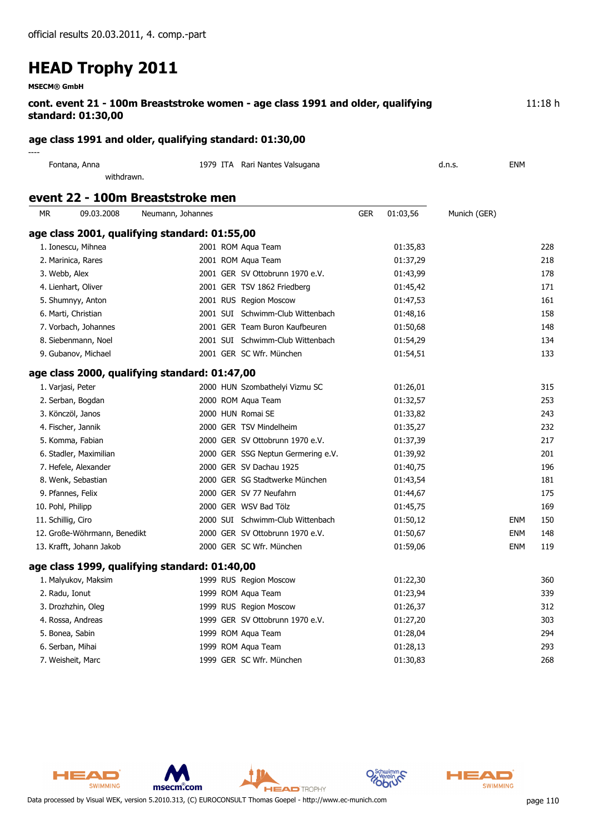**MSECM® GmbH**

| cont. event 21 - 100m Breaststroke women - age class 1991 and older, qualifying | 11:18 h |
|---------------------------------------------------------------------------------|---------|
| standard: 01:30,00                                                              |         |

#### **age class 1991 and older, qualifying standard: 01:30,00**

| ----          |                                |        |     |
|---------------|--------------------------------|--------|-----|
| Fontana, Anna | 1979 ITA Rari Nantes Valsugana | d.n.s. | ENM |
| withdrawn.    |                                |        |     |

#### **event 22 - 100m Breaststroke men**

| <b>MR</b>          | 09.03.2008                   | Neumann, Johannes                             |                                    | <b>GER</b> | 01:03,56 | Munich (GER) |            |     |
|--------------------|------------------------------|-----------------------------------------------|------------------------------------|------------|----------|--------------|------------|-----|
|                    |                              | age class 2001, qualifying standard: 01:55,00 |                                    |            |          |              |            |     |
|                    | 1. Ionescu, Mihnea           |                                               | 2001 ROM Aqua Team                 |            | 01:35,83 |              |            | 228 |
|                    | 2. Marinica, Rares           |                                               | 2001 ROM Aqua Team                 |            | 01:37,29 |              |            | 218 |
| 3. Webb, Alex      |                              |                                               | 2001 GER SV Ottobrunn 1970 e.V.    |            | 01:43,99 |              |            | 178 |
|                    | 4. Lienhart, Oliver          |                                               | 2001 GER TSV 1862 Friedberg        |            | 01:45,42 |              |            | 171 |
|                    | 5. Shumnyy, Anton            |                                               | 2001 RUS Region Moscow             |            | 01:47,53 |              |            | 161 |
|                    | 6. Marti, Christian          |                                               | 2001 SUI Schwimm-Club Wittenbach   |            | 01:48,16 |              |            | 158 |
|                    | 7. Vorbach, Johannes         |                                               | 2001 GER Team Buron Kaufbeuren     |            | 01:50,68 |              |            | 148 |
|                    | 8. Siebenmann, Noel          |                                               | 2001 SUI Schwimm-Club Wittenbach   |            | 01:54,29 |              |            | 134 |
|                    | 9. Gubanov, Michael          |                                               | 2001 GER SC Wfr. München           |            | 01:54,51 |              |            | 133 |
|                    |                              | age class 2000, qualifying standard: 01:47,00 |                                    |            |          |              |            |     |
|                    | 1. Varjasi, Peter            |                                               | 2000 HUN Szombathelyi Vizmu SC     |            | 01:26,01 |              |            | 315 |
|                    | 2. Serban, Bogdan            |                                               | 2000 ROM Aqua Team                 |            | 01:32,57 |              |            | 253 |
|                    | 3. Könczöl, Janos            |                                               | 2000 HUN Romai SE                  |            | 01:33,82 |              |            | 243 |
|                    | 4. Fischer, Jannik           |                                               | 2000 GER TSV Mindelheim            |            | 01:35,27 |              |            | 232 |
|                    | 5. Komma, Fabian             |                                               | 2000 GER SV Ottobrunn 1970 e.V.    |            | 01:37,39 |              |            | 217 |
|                    | 6. Stadler, Maximilian       |                                               | 2000 GER SSG Neptun Germering e.V. |            | 01:39,92 |              |            | 201 |
|                    | 7. Hefele, Alexander         |                                               | 2000 GER SV Dachau 1925            |            | 01:40,75 |              |            | 196 |
|                    | 8. Wenk, Sebastian           |                                               | 2000 GER SG Stadtwerke München     |            | 01:43,54 |              |            | 181 |
|                    | 9. Pfannes, Felix            |                                               | 2000 GER SV 77 Neufahrn            |            | 01:44,67 |              |            | 175 |
| 10. Pohl, Philipp  |                              |                                               | 2000 GER WSV Bad Tölz              |            | 01:45,75 |              |            | 169 |
| 11. Schillig, Ciro |                              |                                               | 2000 SUI Schwimm-Club Wittenbach   |            | 01:50,12 |              | <b>ENM</b> | 150 |
|                    | 12. Große-Wöhrmann, Benedikt |                                               | 2000 GER SV Ottobrunn 1970 e.V.    |            | 01:50,67 |              | <b>ENM</b> | 148 |
|                    | 13. Krafft, Johann Jakob     |                                               | 2000 GER SC Wfr. München           |            | 01:59,06 |              | <b>ENM</b> | 119 |
|                    |                              | age class 1999, qualifying standard: 01:40,00 |                                    |            |          |              |            |     |
|                    | 1. Malyukov, Maksim          |                                               | 1999 RUS Region Moscow             |            | 01:22,30 |              |            | 360 |
| 2. Radu, Ionut     |                              |                                               | 1999 ROM Aqua Team                 |            | 01:23,94 |              |            | 339 |
|                    | 3. Drozhzhin, Oleg           |                                               | 1999 RUS Region Moscow             |            | 01:26,37 |              |            | 312 |
|                    | 4. Rossa, Andreas            |                                               | 1999 GER SV Ottobrunn 1970 e.V.    |            | 01:27,20 |              |            | 303 |
|                    | 5. Bonea, Sabin              |                                               | 1999 ROM Aqua Team                 |            | 01:28,04 |              |            | 294 |
|                    | 6. Serban, Mihai             |                                               | 1999 ROM Aqua Team                 |            | 01:28,13 |              |            | 293 |
|                    | 7. Weisheit, Marc            |                                               | 1999 GER SC Wfr. München           |            | 01:30,83 |              |            | 268 |



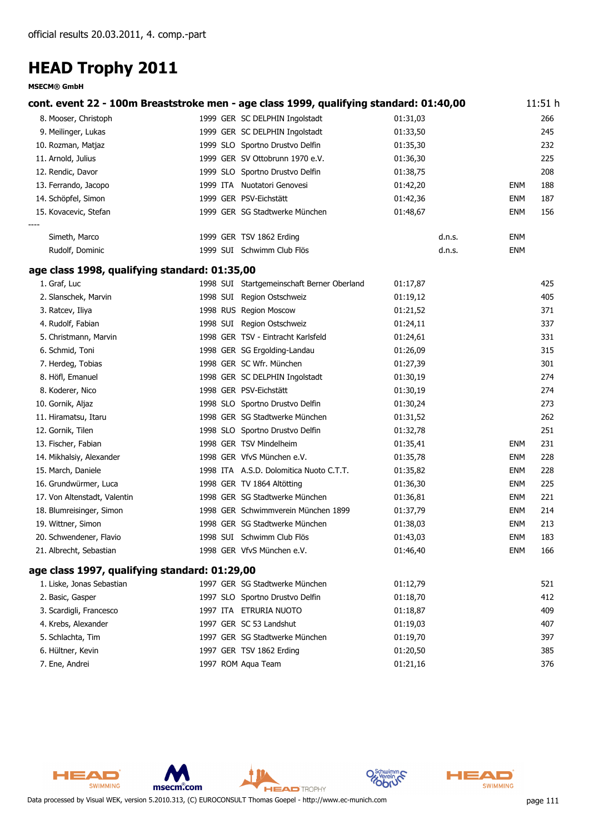|                                               | cont. event 22 - 100m Breaststroke men - age class 1999, qualifying standard: 01:40,00 |          |            | 11:51 h |
|-----------------------------------------------|----------------------------------------------------------------------------------------|----------|------------|---------|
| 8. Mooser, Christoph                          | 1999 GER SC DELPHIN Ingolstadt                                                         | 01:31,03 |            | 266     |
| 9. Meilinger, Lukas                           | 1999 GER SC DELPHIN Ingolstadt                                                         | 01:33,50 |            | 245     |
| 10. Rozman, Matjaz                            | 1999 SLO Sportno Drustvo Delfin                                                        | 01:35,30 |            | 232     |
| 11. Arnold, Julius                            | 1999 GER SV Ottobrunn 1970 e.V.                                                        | 01:36,30 |            | 225     |
| 12. Rendic, Davor                             | 1999 SLO Sportno Drustvo Delfin                                                        | 01:38,75 |            | 208     |
| 13. Ferrando, Jacopo                          | 1999 ITA Nuotatori Genovesi                                                            | 01:42,20 | <b>ENM</b> | 188     |
| 14. Schöpfel, Simon                           | 1999 GER PSV-Eichstätt                                                                 | 01:42,36 | <b>ENM</b> | 187     |
| 15. Kovacevic, Stefan                         | 1999 GER SG Stadtwerke München                                                         | 01:48,67 | <b>ENM</b> | 156     |
| Simeth, Marco                                 | 1999 GER TSV 1862 Erding                                                               | d.n.s.   | <b>ENM</b> |         |
| Rudolf, Dominic                               | 1999 SUI Schwimm Club Flös                                                             | d.n.s.   | <b>ENM</b> |         |
| age class 1998, qualifying standard: 01:35,00 |                                                                                        |          |            |         |
| 1. Graf, Luc                                  | 1998 SUI Startgemeinschaft Berner Oberland                                             | 01:17,87 |            | 425     |
| 2. Slanschek, Marvin                          | 1998 SUI Region Ostschweiz                                                             | 01:19,12 |            | 405     |
| 3. Ratcev, Iliya                              | 1998 RUS Region Moscow                                                                 | 01:21,52 |            | 371     |
| 4. Rudolf, Fabian                             | 1998 SUI Region Ostschweiz                                                             | 01:24,11 |            | 337     |
| 5. Christmann, Marvin                         | 1998 GER TSV - Eintracht Karlsfeld                                                     | 01:24,61 |            | 331     |
| 6. Schmid, Toni                               | 1998 GER SG Ergolding-Landau                                                           | 01:26,09 |            | 315     |
| 7. Herdeg, Tobias                             | 1998 GER SC Wfr. München                                                               | 01:27,39 |            | 301     |
| 8. Höfl, Emanuel                              | 1998 GER SC DELPHIN Ingolstadt                                                         | 01:30,19 |            | 274     |
| 8. Koderer, Nico                              | 1998 GER PSV-Eichstätt                                                                 | 01:30,19 |            | 274     |
| 10. Gornik, Aljaz                             | 1998 SLO Sportno Drustvo Delfin                                                        | 01:30,24 |            | 273     |
| 11. Hiramatsu, Itaru                          | 1998 GER SG Stadtwerke München                                                         | 01:31,52 |            | 262     |
| 12. Gornik, Tilen                             | 1998 SLO Sportno Drustvo Delfin                                                        | 01:32,78 |            | 251     |
| 13. Fischer, Fabian                           | 1998 GER TSV Mindelheim                                                                | 01:35,41 | <b>ENM</b> | 231     |
| 14. Mikhalsiy, Alexander                      | 1998 GER VfvS München e.V.                                                             | 01:35,78 | <b>ENM</b> | 228     |
| 15. March, Daniele                            | 1998 ITA A.S.D. Dolomitica Nuoto C.T.T.                                                | 01:35,82 | <b>ENM</b> | 228     |
| 16. Grundwürmer, Luca                         | 1998 GER TV 1864 Altötting                                                             | 01:36,30 | <b>ENM</b> | 225     |
| 17. Von Altenstadt, Valentin                  | 1998 GER SG Stadtwerke München                                                         | 01:36,81 | <b>ENM</b> | 221     |
| 18. Blumreisinger, Simon                      | 1998 GER Schwimmverein München 1899                                                    | 01:37,79 | <b>ENM</b> | 214     |
| 19. Wittner, Simon                            | 1998 GER SG Stadtwerke München                                                         | 01:38,03 | <b>ENM</b> | 213     |
| 20. Schwendener, Flavio                       | 1998 SUI Schwimm Club Flös                                                             | 01:43,03 | <b>ENM</b> | 183     |
| 21. Albrecht, Sebastian                       | 1998 GER VfvS München e.V.                                                             | 01:46,40 | <b>ENM</b> | 166     |
| age class 1997, qualifying standard: 01:29,00 |                                                                                        |          |            |         |
| 1. Liske, Jonas Sebastian                     | 1997 GER SG Stadtwerke München                                                         | 01:12,79 |            | 521     |
| 2. Basic, Gasper                              | 1997 SLO Sportno Drustvo Delfin                                                        | 01:18,70 |            | 412     |
| 3. Scardigli, Francesco                       | 1997 ITA ETRURIA NUOTO                                                                 | 01:18,87 |            | 409     |
| 4. Krebs, Alexander                           | 1997 GER SC 53 Landshut                                                                | 01:19,03 |            | 407     |
| 5. Schlachta, Tim                             | 1997 GER SG Stadtwerke München                                                         | 01:19,70 |            | 397     |
| 6. Hültner, Kevin                             | 1997 GER TSV 1862 Erding                                                               | 01:20,50 |            | 385     |
| 7. Ene, Andrei                                | 1997 ROM Aqua Team                                                                     | 01:21,16 |            | 376     |



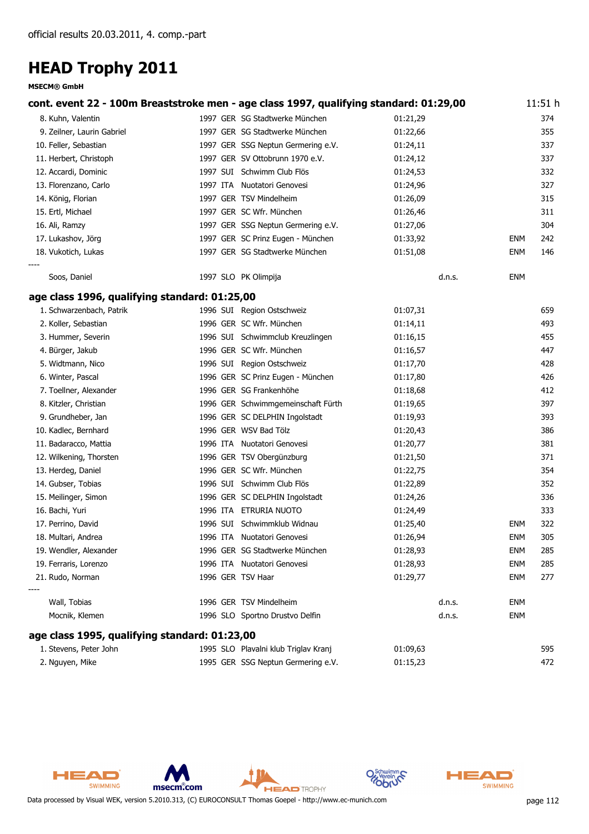#### **MSECM® GmbH**

| cont. event 22 - 100m Breaststroke men - age class 1997, qualifying standard: 01:29,00 |                   |                                      |          |            | 11:51 h |
|----------------------------------------------------------------------------------------|-------------------|--------------------------------------|----------|------------|---------|
| 8. Kuhn, Valentin                                                                      |                   | 1997 GER SG Stadtwerke München       | 01:21,29 |            | 374     |
| 9. Zeilner, Laurin Gabriel                                                             |                   | 1997 GER SG Stadtwerke München       | 01:22,66 |            | 355     |
| 10. Feller, Sebastian                                                                  |                   | 1997 GER SSG Neptun Germering e.V.   | 01:24,11 |            | 337     |
| 11. Herbert, Christoph                                                                 |                   | 1997 GER SV Ottobrunn 1970 e.V.      | 01:24,12 |            | 337     |
| 12. Accardi, Dominic                                                                   |                   | 1997 SUI Schwimm Club Flös           | 01:24,53 |            | 332     |
| 13. Florenzano, Carlo                                                                  |                   | 1997 ITA Nuotatori Genovesi          | 01:24,96 |            | 327     |
| 14. König, Florian                                                                     |                   | 1997 GER TSV Mindelheim              | 01:26,09 |            | 315     |
| 15. Ertl, Michael                                                                      |                   | 1997 GER SC Wfr. München             | 01:26,46 |            | 311     |
| 16. Ali, Ramzy                                                                         |                   | 1997 GER SSG Neptun Germering e.V.   | 01:27,06 |            | 304     |
| 17. Lukashov, Jörg                                                                     |                   | 1997 GER SC Prinz Eugen - München    | 01:33,92 | ENM        | 242     |
| 18. Vukotich, Lukas                                                                    |                   | 1997 GER SG Stadtwerke München       | 01:51,08 | <b>ENM</b> | 146     |
| Soos, Daniel                                                                           |                   | 1997 SLO PK Olimpija                 | d.n.s.   | ENM        |         |
| age class 1996, qualifying standard: 01:25,00                                          |                   |                                      |          |            |         |
| 1. Schwarzenbach, Patrik                                                               |                   | 1996 SUI Region Ostschweiz           | 01:07,31 |            | 659     |
| 2. Koller, Sebastian                                                                   |                   | 1996 GER SC Wfr. München             | 01:14,11 |            | 493     |
| 3. Hummer, Severin                                                                     |                   | 1996 SUI Schwimmclub Kreuzlingen     | 01:16,15 |            | 455     |
| 4. Bürger, Jakub                                                                       |                   | 1996 GER SC Wfr. München             | 01:16,57 |            | 447     |
| 5. Widtmann, Nico                                                                      |                   | 1996 SUI Region Ostschweiz           | 01:17,70 |            | 428     |
| 6. Winter, Pascal                                                                      |                   | 1996 GER SC Prinz Eugen - München    | 01:17,80 |            | 426     |
| 7. Toellner, Alexander                                                                 |                   | 1996 GER SG Frankenhöhe              | 01:18,68 |            | 412     |
| 8. Kitzler, Christian                                                                  |                   | 1996 GER Schwimmgemeinschaft Fürth   | 01:19,65 |            | 397     |
| 9. Grundheber, Jan                                                                     |                   | 1996 GER SC DELPHIN Ingolstadt       | 01:19,93 |            | 393     |
| 10. Kadlec, Bernhard                                                                   |                   | 1996 GER WSV Bad Tölz                | 01:20,43 |            | 386     |
| 11. Badaracco, Mattia                                                                  |                   | 1996 ITA Nuotatori Genovesi          | 01:20,77 |            | 381     |
| 12. Wilkening, Thorsten                                                                |                   | 1996 GER TSV Obergünzburg            | 01:21,50 |            | 371     |
| 13. Herdeg, Daniel                                                                     |                   | 1996 GER SC Wfr. München             | 01:22,75 |            | 354     |
| 14. Gubser, Tobias                                                                     |                   | 1996 SUI Schwimm Club Flös           | 01:22,89 |            | 352     |
| 15. Meilinger, Simon                                                                   |                   | 1996 GER SC DELPHIN Ingolstadt       | 01:24,26 |            | 336     |
| 16. Bachi, Yuri                                                                        |                   | 1996 ITA ETRURIA NUOTO               | 01:24,49 |            | 333     |
| 17. Perrino, David                                                                     |                   | 1996 SUI Schwimmklub Widnau          | 01:25,40 | <b>ENM</b> | 322     |
| 18. Multari, Andrea                                                                    |                   | 1996 ITA Nuotatori Genovesi          | 01:26,94 | <b>ENM</b> | 305     |
| 19. Wendler, Alexander                                                                 |                   | 1996 GER SG Stadtwerke München       | 01:28,93 | <b>ENM</b> | 285     |
| 19. Ferraris, Lorenzo                                                                  |                   | 1996 ITA Nuotatori Genovesi          | 01:28,93 | <b>ENM</b> | 285     |
| 21. Rudo, Norman                                                                       | 1996 GER TSV Haar |                                      | 01:29,77 | <b>ENM</b> | 277     |
|                                                                                        |                   |                                      |          |            |         |
| Wall, Tobias                                                                           |                   | 1996 GER TSV Mindelheim              | d.n.s.   | <b>ENM</b> |         |
| Mocnik, Klemen                                                                         |                   | 1996 SLO Sportno Drustvo Delfin      | d.n.s.   | <b>ENM</b> |         |
| age class 1995, qualifying standard: 01:23,00                                          |                   |                                      |          |            |         |
| 1. Stevens, Peter John                                                                 |                   | 1995 SLO Plavalni klub Triglav Kranj | 01:09,63 |            | 595     |
| 2. Nguyen, Mike                                                                        |                   | 1995 GER SSG Neptun Germering e.V.   | 01:15,23 |            | 472     |





msecm.com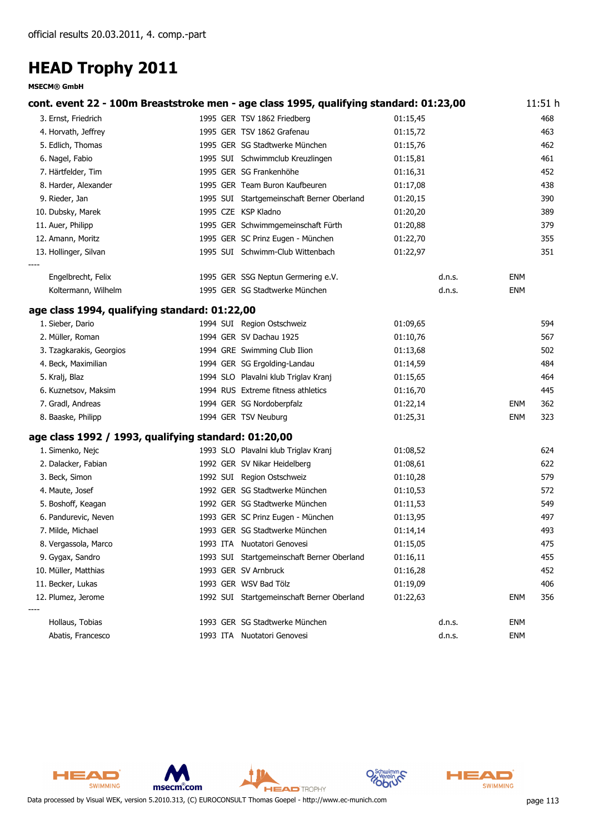#### **MSECM® GmbH**

|                                                      | cont. event 22 - 100m Breaststroke men - age class 1995, qualifying standard: 01:23,00 |          |            | 11:51h |
|------------------------------------------------------|----------------------------------------------------------------------------------------|----------|------------|--------|
| 3. Ernst, Friedrich                                  | 1995 GER TSV 1862 Friedberg                                                            | 01:15,45 |            | 468    |
| 4. Horvath, Jeffrey                                  | 1995 GER TSV 1862 Grafenau                                                             | 01:15,72 |            | 463    |
| 5. Edlich, Thomas                                    | 1995 GER SG Stadtwerke München                                                         | 01:15,76 |            | 462    |
| 6. Nagel, Fabio                                      | 1995 SUI Schwimmclub Kreuzlingen                                                       | 01:15,81 |            | 461    |
| 7. Härtfelder, Tim                                   | 1995 GER SG Frankenhöhe                                                                | 01:16,31 |            | 452    |
| 8. Harder, Alexander                                 | 1995 GER Team Buron Kaufbeuren                                                         | 01:17,08 |            | 438    |
| 9. Rieder, Jan                                       | 1995 SUI Startgemeinschaft Berner Oberland                                             | 01:20,15 |            | 390    |
| 10. Dubsky, Marek                                    | 1995 CZE KSP Kladno                                                                    | 01:20,20 |            | 389    |
| 11. Auer, Philipp                                    | 1995 GER Schwimmgemeinschaft Fürth                                                     | 01:20,88 |            | 379    |
| 12. Amann, Moritz                                    | 1995 GER SC Prinz Eugen - München                                                      | 01:22,70 |            | 355    |
| 13. Hollinger, Silvan                                | 1995 SUI Schwimm-Club Wittenbach                                                       | 01:22,97 |            | 351    |
| Engelbrecht, Felix                                   | 1995 GER SSG Neptun Germering e.V.                                                     | d.n.s.   | <b>ENM</b> |        |
| Koltermann, Wilhelm                                  | 1995 GER SG Stadtwerke München                                                         | d.n.s.   | <b>ENM</b> |        |
| age class 1994, qualifying standard: 01:22,00        |                                                                                        |          |            |        |
| 1. Sieber, Dario                                     | 1994 SUI Region Ostschweiz                                                             | 01:09,65 |            | 594    |
| 2. Müller, Roman                                     | 1994 GER SV Dachau 1925                                                                | 01:10,76 |            | 567    |
| 3. Tzagkarakis, Georgios                             | 1994 GRE Swimming Club Ilion                                                           | 01:13,68 |            | 502    |
| 4. Beck, Maximilian                                  | 1994 GER SG Ergolding-Landau                                                           | 01:14,59 |            | 484    |
| 5. Kralj, Blaz                                       | 1994 SLO Plavalni klub Triglav Kranj                                                   | 01:15,65 |            | 464    |
| 6. Kuznetsov, Maksim                                 | 1994 RUS Extreme fitness athletics                                                     | 01:16,70 |            | 445    |
| 7. Gradl, Andreas                                    | 1994 GER SG Nordoberpfalz                                                              | 01:22,14 | <b>ENM</b> | 362    |
| 8. Baaske, Philipp                                   | 1994 GER TSV Neuburg                                                                   | 01:25,31 | <b>ENM</b> | 323    |
| age class 1992 / 1993, qualifying standard: 01:20,00 |                                                                                        |          |            |        |
| 1. Simenko, Nejc                                     | 1993 SLO Plavalni klub Triglav Kranj                                                   | 01:08,52 |            | 624    |
| 2. Dalacker, Fabian                                  | 1992 GER SV Nikar Heidelberg                                                           | 01:08,61 |            | 622    |
| 3. Beck, Simon                                       | 1992 SUI Region Ostschweiz                                                             | 01:10,28 |            | 579    |
| 4. Maute, Josef                                      | 1992 GER SG Stadtwerke München                                                         | 01:10,53 |            | 572    |
| 5. Boshoff, Keagan                                   | 1992 GER SG Stadtwerke München                                                         | 01:11,53 |            | 549    |
| 6. Pandurevic, Neven                                 | 1993 GER SC Prinz Eugen - München                                                      | 01:13,95 |            | 497    |
| 7. Milde, Michael                                    | 1993 GER SG Stadtwerke München                                                         | 01:14,14 |            | 493    |
| 8. Vergassola, Marco                                 | 1993 ITA Nuotatori Genovesi                                                            | 01:15,05 |            | 475    |
| 9. Gygax, Sandro                                     | 1993 SUI Startgemeinschaft Berner Oberland                                             | 01:16,11 |            | 455    |
| 10. Müller, Matthias                                 | 1993 GER SV Arnbruck                                                                   | 01:16,28 |            | 452    |
| 11. Becker, Lukas                                    | 1993 GER WSV Bad Tölz                                                                  | 01:19,09 |            | 406    |
| 12. Plumez, Jerome                                   | 1992 SUI Startgemeinschaft Berner Oberland                                             | 01:22,63 | <b>ENM</b> | 356    |
| Hollaus, Tobias                                      | 1993 GER SG Stadtwerke München                                                         | d.n.s.   | <b>ENM</b> |        |
| Abatis, Francesco                                    | 1993 ITA Nuotatori Genovesi                                                            | d.n.s.   | <b>ENM</b> |        |



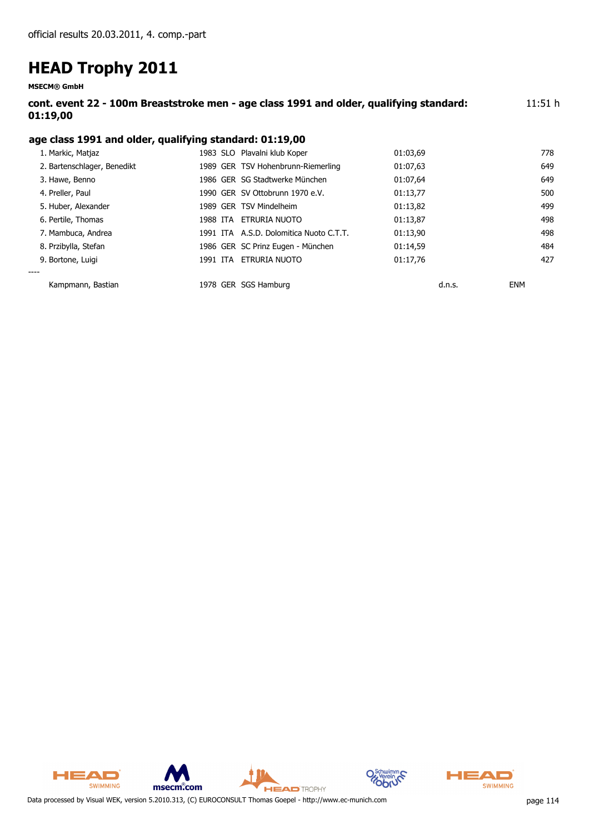**MSECM® GmbH**

| cont. event 22 - 100m Breaststroke men - age class 1991 and older, qualifying standard: | 11:51 h |
|-----------------------------------------------------------------------------------------|---------|
| 01:19,00                                                                                |         |

#### **age class 1991 and older, qualifying standard: 01:19,00**

| Kampmann, Bastian           |          | 1978 GER SGS Hamburg                    |          | d.n.s. | <b>ENM</b> |
|-----------------------------|----------|-----------------------------------------|----------|--------|------------|
| 9. Bortone, Luigi<br>----   | 1991 ITA | ETRURIA NUOTO                           | 01:17.76 |        | 427        |
|                             |          |                                         |          |        |            |
| 8. Przibylla, Stefan        |          | 1986 GER SC Prinz Eugen - München       | 01:14,59 |        | 484        |
| 7. Mambuca, Andrea          |          | 1991 ITA A.S.D. Dolomitica Nuoto C.T.T. | 01:13.90 |        | 498        |
| 6. Pertile, Thomas          | 1988 ITA | ETRURIA NUOTO                           | 01:13,87 |        | 498        |
| 5. Huber, Alexander         |          | 1989 GER TSV Mindelheim                 | 01:13,82 |        | 499        |
| 4. Preller, Paul            |          | 1990 GER SV Ottobrunn 1970 e.V.         | 01:13,77 |        | 500        |
| 3. Hawe, Benno              |          | 1986 GER SG Stadtwerke München          | 01:07,64 |        | 649        |
| 2. Bartenschlager, Benedikt |          | 1989 GER TSV Hohenbrunn-Riemerling      | 01:07,63 |        | 649        |
| 1. Markic, Matjaz           |          | 1983 SLO Plavalni klub Koper            | 01:03,69 |        | 778        |
|                             |          |                                         |          |        |            |



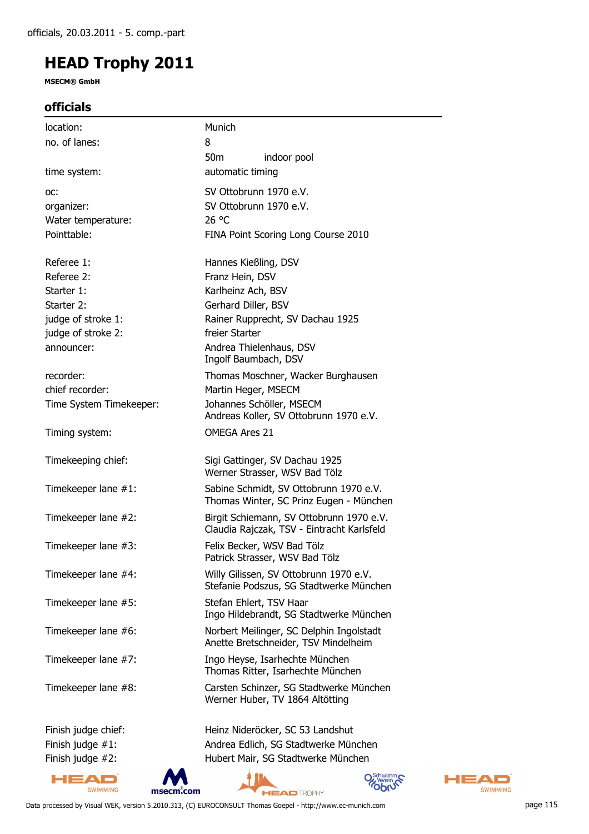**MSECM® GmbH**

#### **officials**

| location:               | Munich                                                                                 |
|-------------------------|----------------------------------------------------------------------------------------|
| no. of lanes:           | 8                                                                                      |
|                         | 50 <sub>m</sub><br>indoor pool                                                         |
| time system:            | automatic timing                                                                       |
| OC:                     | SV Ottobrunn 1970 e.V.                                                                 |
| organizer:              | SV Ottobrunn 1970 e.V.                                                                 |
| Water temperature:      | 26 °C                                                                                  |
| Pointtable:             | FINA Point Scoring Long Course 2010                                                    |
| Referee 1:              | Hannes Kießling, DSV                                                                   |
| Referee 2:              | Franz Hein, DSV                                                                        |
| Starter 1:              | Karlheinz Ach, BSV                                                                     |
| Starter 2:              | Gerhard Diller, BSV                                                                    |
| judge of stroke 1:      | Rainer Rupprecht, SV Dachau 1925                                                       |
| judge of stroke 2:      | freier Starter                                                                         |
| announcer:              | Andrea Thielenhaus, DSV<br>Ingolf Baumbach, DSV                                        |
| recorder:               | Thomas Moschner, Wacker Burghausen                                                     |
| chief recorder:         | Martin Heger, MSECM                                                                    |
| Time System Timekeeper: | Johannes Schöller, MSECM<br>Andreas Koller, SV Ottobrunn 1970 e.V.                     |
| Timing system:          | <b>OMEGA Ares 21</b>                                                                   |
| Timekeeping chief:      | Sigi Gattinger, SV Dachau 1925<br>Werner Strasser, WSV Bad Tölz                        |
| Timekeeper lane #1:     | Sabine Schmidt, SV Ottobrunn 1970 e.V.<br>Thomas Winter, SC Prinz Eugen - München      |
| Timekeeper lane #2:     | Birgit Schiemann, SV Ottobrunn 1970 e.V.<br>Claudia Rajczak, TSV - Eintracht Karlsfeld |
| Timekeeper lane #3:     | Felix Becker, WSV Bad Tölz<br>Patrick Strasser, WSV Bad Tölz                           |
| Timekeeper lane #4:     | Willy Gilissen, SV Ottobrunn 1970 e.V.<br>Stefanie Podszus, SG Stadtwerke München      |
| Timekeeper lane #5:     | Stefan Ehlert, TSV Haar<br>Ingo Hildebrandt, SG Stadtwerke München                     |
| Timekeeper lane #6:     | Norbert Meilinger, SC Delphin Ingolstadt<br>Anette Bretschneider, TSV Mindelheim       |
| Timekeeper lane #7:     | Ingo Heyse, Isarhechte München<br>Thomas Ritter, Isarhechte München                    |
| Timekeeper lane #8:     | Carsten Schinzer, SG Stadtwerke München<br>Werner Huber, TV 1864 Altötting             |
| Finish judge chief:     | Heinz Nideröcker, SC 53 Landshut                                                       |
| Finish judge $#1$ :     | Andrea Edlich, SG Stadtwerke München                                                   |
| Finish judge #2:        | Hubert Mair, SG Stadtwerke München                                                     |

HEAD SWIMMING msecm.com **HEAD** TROPHY



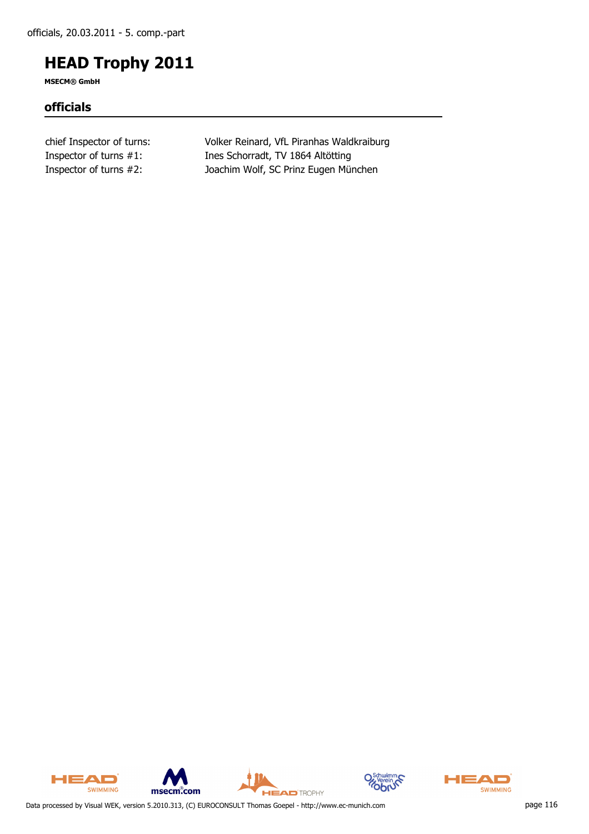**MSECM® GmbH**

#### **officials**

chief Inspector of turns: Volker Reinard, VfL Piranhas Waldkraiburg Inspector of turns #1: Ines Schorradt, TV 1864 Altötting Inspector of turns #2: Joachim Wolf, SC Prinz Eugen München







**HEAD** TROPHY

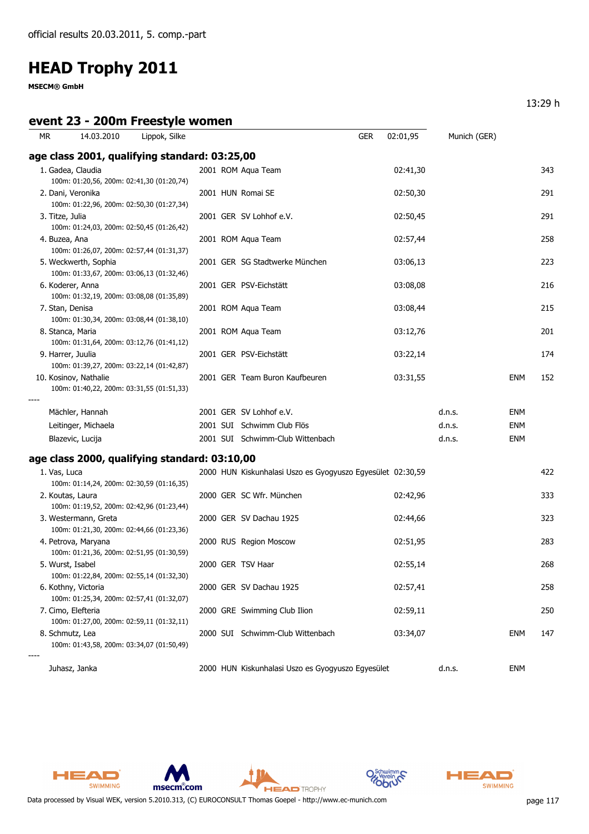**MSECM® GmbH**

#### **event 23 - 200m Freestyle women**

| <b>MR</b>       | 14.03.2010                                                                                                      | Lippok, Silke |  |                                                            | <b>GER</b> | 02:01,95 | Munich (GER) |            |     |
|-----------------|-----------------------------------------------------------------------------------------------------------------|---------------|--|------------------------------------------------------------|------------|----------|--------------|------------|-----|
|                 | age class 2001, qualifying standard: 03:25,00                                                                   |               |  |                                                            |            |          |              |            |     |
|                 | 1. Gadea, Claudia<br>100m: 01:20,56, 200m: 02:41,30 (01:20,74)                                                  |               |  | 2001 ROM Aqua Team                                         |            | 02:41,30 |              |            | 343 |
|                 | 2. Dani, Veronika<br>100m: 01:22,96, 200m: 02:50,30 (01:27,34)                                                  |               |  | 2001 HUN Romai SE                                          |            | 02:50,30 |              |            | 291 |
| 3. Titze, Julia | 100m: 01:24,03, 200m: 02:50,45 (01:26,42)                                                                       |               |  | 2001 GER SV Lohhof e.V.                                    |            | 02:50,45 |              |            | 291 |
|                 | 4. Buzea, Ana<br>100m: 01:26,07, 200m: 02:57,44 (01:31,37)                                                      |               |  | 2001 ROM Aqua Team                                         |            | 02:57,44 |              |            | 258 |
|                 | 5. Weckwerth, Sophia<br>100m: 01:33,67, 200m: 03:06,13 (01:32,46)                                               |               |  | 2001 GER SG Stadtwerke München                             |            | 03:06,13 |              |            | 223 |
|                 | 6. Koderer, Anna<br>100m: 01:32,19, 200m: 03:08,08 (01:35,89)                                                   |               |  | 2001 GER PSV-Eichstätt                                     |            | 03:08,08 |              |            | 216 |
|                 | 7. Stan, Denisa<br>100m: 01:30,34, 200m: 03:08,44 (01:38,10)                                                    |               |  | 2001 ROM Aqua Team                                         |            | 03:08,44 |              |            | 215 |
|                 | 8. Stanca, Maria<br>100m: 01:31,64, 200m: 03:12,76 (01:41,12)                                                   |               |  | 2001 ROM Aqua Team                                         |            | 03:12,76 |              |            | 201 |
|                 | 9. Harrer, Juulia                                                                                               |               |  | 2001 GER PSV-Eichstätt                                     |            | 03:22,14 |              |            | 174 |
|                 | 100m: 01:39,27, 200m: 03:22,14 (01:42,87)<br>10. Kosinov, Nathalie<br>100m: 01:40,22, 200m: 03:31,55 (01:51,33) |               |  | 2001 GER Team Buron Kaufbeuren                             |            | 03:31,55 |              | ENM        | 152 |
|                 | Mächler, Hannah                                                                                                 |               |  | 2001 GER SV Lohhof e.V.                                    |            |          | d.n.s.       | ENM        |     |
|                 | Leitinger, Michaela                                                                                             |               |  | 2001 SUI Schwimm Club Flös                                 |            |          | d.n.s.       | <b>ENM</b> |     |
|                 | Blazevic, Lucija                                                                                                |               |  | 2001 SUI Schwimm-Club Wittenbach                           |            |          | d.n.s.       | <b>ENM</b> |     |
|                 | age class 2000, qualifying standard: 03:10,00                                                                   |               |  |                                                            |            |          |              |            |     |
| 1. Vas, Luca    | 100m: 01:14,24, 200m: 02:30,59 (01:16,35)                                                                       |               |  | 2000 HUN Kiskunhalasi Uszo es Gyogyuszo Egyesület 02:30,59 |            |          |              |            | 422 |
|                 | 2. Koutas, Laura<br>100m: 01:19,52, 200m: 02:42,96 (01:23,44)                                                   |               |  | 2000 GER SC Wfr. München                                   |            | 02:42,96 |              |            | 333 |
|                 | 3. Westermann, Greta<br>100m: 01:21,30, 200m: 02:44,66 (01:23,36)                                               |               |  | 2000 GER SV Dachau 1925                                    |            | 02:44,66 |              |            | 323 |
|                 | 4. Petrova, Maryana<br>100m: 01:21,36, 200m: 02:51,95 (01:30,59)                                                |               |  | 2000 RUS Region Moscow                                     |            | 02:51,95 |              |            | 283 |
|                 | 5. Wurst, Isabel<br>100m: 01:22,84, 200m: 02:55,14 (01:32,30)                                                   |               |  | 2000 GER TSV Haar                                          |            | 02:55,14 |              |            | 268 |
|                 | 6. Kothny, Victoria<br>100m: 01:25,34, 200m: 02:57,41 (01:32,07)                                                |               |  | 2000 GER SV Dachau 1925                                    |            | 02:57,41 |              |            | 258 |
|                 | 7. Cimo, Elefteria<br>100m: 01:27,00, 200m: 02:59,11 (01:32,11)                                                 |               |  | 2000 GRE Swimming Club Ilion                               |            | 02:59,11 |              |            | 250 |
|                 | 8. Schmutz, Lea<br>100m: 01:43,58, 200m: 03:34,07 (01:50,49)                                                    |               |  | 2000 SUI Schwimm-Club Wittenbach                           |            | 03:34,07 |              | ENM        | 147 |
|                 | Juhasz, Janka                                                                                                   |               |  | 2000 HUN Kiskunhalasi Uszo es Gyogyuszo Egyesület          |            |          | d.n.s.       | ENM        |     |



HEAD SWIMMING





**HEAD** TROPHY



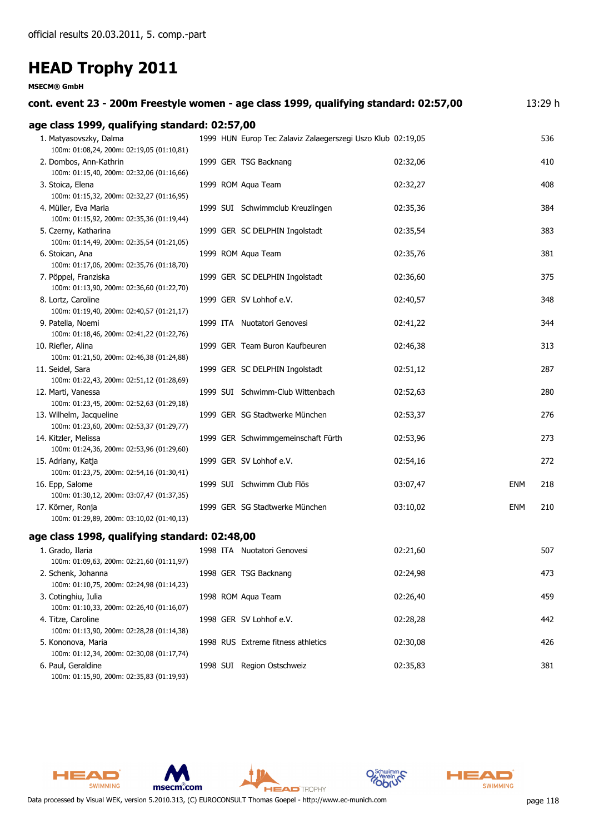#### **MSECM® GmbH**

| cont. event 23 - 200m Freestyle women - age class 1999, qualifying standard: 02:57,00                     |  |                                                             |          |            | 13:29 h |
|-----------------------------------------------------------------------------------------------------------|--|-------------------------------------------------------------|----------|------------|---------|
| age class 1999, qualifying standard: 02:57,00                                                             |  |                                                             |          |            |         |
| 1. Matyasovszky, Dalma<br>100m: 01:08,24, 200m: 02:19,05 (01:10,81)                                       |  | 1999 HUN Europ Tec Zalaviz Zalaegerszegi Uszo Klub 02:19,05 |          |            | 536     |
| 2. Dombos, Ann-Kathrin<br>100m: 01:15,40, 200m: 02:32,06 (01:16,66)                                       |  | 1999 GER TSG Backnang                                       | 02:32,06 |            | 410     |
| 3. Stoica, Elena<br>100m: 01:15,32, 200m: 02:32,27 (01:16,95)                                             |  | 1999 ROM Aqua Team                                          | 02:32,27 |            | 408     |
| 4. Müller, Eva Maria<br>100m: 01:15,92, 200m: 02:35,36 (01:19,44)                                         |  | 1999 SUI Schwimmclub Kreuzlingen                            | 02:35,36 |            | 384     |
| 5. Czerny, Katharina<br>100m: 01:14,49, 200m: 02:35,54 (01:21,05)                                         |  | 1999 GER SC DELPHIN Ingolstadt                              | 02:35,54 |            | 383     |
| 6. Stoican, Ana<br>100m: 01:17,06, 200m: 02:35,76 (01:18,70)                                              |  | 1999 ROM Aqua Team                                          | 02:35,76 |            | 381     |
| 7. Pöppel, Franziska<br>100m: 01:13,90, 200m: 02:36,60 (01:22,70)                                         |  | 1999 GER SC DELPHIN Ingolstadt                              | 02:36,60 |            | 375     |
| 8. Lortz, Caroline<br>100m: 01:19,40, 200m: 02:40,57 (01:21,17)                                           |  | 1999 GER SV Lohhof e.V.                                     | 02:40,57 |            | 348     |
| 9. Patella, Noemi<br>100m: 01:18,46, 200m: 02:41,22 (01:22,76)                                            |  | 1999 ITA Nuotatori Genovesi                                 | 02:41,22 |            | 344     |
| 10. Riefler, Alina<br>100m: 01:21,50, 200m: 02:46,38 (01:24,88)                                           |  | 1999 GER Team Buron Kaufbeuren                              | 02:46,38 |            | 313     |
| 11. Seidel, Sara                                                                                          |  | 1999 GER SC DELPHIN Ingolstadt                              | 02:51,12 |            | 287     |
| 100m: 01:22,43, 200m: 02:51,12 (01:28,69)<br>12. Marti, Vanessa                                           |  | 1999 SUI Schwimm-Club Wittenbach                            | 02:52,63 |            | 280     |
| 100m: 01:23,45, 200m: 02:52,63 (01:29,18)<br>13. Wilhelm, Jacqueline                                      |  | 1999 GER SG Stadtwerke München                              | 02:53,37 |            | 276     |
| 100m: 01:23,60, 200m: 02:53,37 (01:29,77)<br>14. Kitzler, Melissa                                         |  | 1999 GER Schwimmgemeinschaft Fürth                          | 02:53,96 |            | 273     |
| 100m: 01:24,36, 200m: 02:53,96 (01:29,60)<br>15. Adriany, Katja                                           |  | 1999 GER SV Lohhof e.V.                                     | 02:54,16 |            | 272     |
| 100m: 01:23,75, 200m: 02:54,16 (01:30,41)<br>16. Epp, Salome<br>100m: 01:30,12, 200m: 03:07,47 (01:37,35) |  | 1999 SUI Schwimm Club Flös                                  | 03:07,47 | <b>ENM</b> | 218     |
| 17. Körner, Ronja<br>100m: 01:29,89, 200m: 03:10,02 (01:40,13)                                            |  | 1999 GER SG Stadtwerke München                              | 03:10,02 | <b>ENM</b> | 210     |
| age class 1998, qualifying standard: 02:48,00                                                             |  |                                                             |          |            |         |
| 1. Grado, Ilaria<br>100m: 01:09,63, 200m: 02:21,60 (01:11,97)                                             |  | 1998 ITA Nuotatori Genovesi                                 | 02:21,60 |            | 507     |
| 2. Schenk, Johanna<br>100m: 01:10,75, 200m: 02:24,98 (01:14,23)                                           |  | 1998 GER TSG Backnang                                       | 02:24,98 |            | 473     |
| 3. Cotinghiu, Iulia<br>100m: 01:10,33, 200m: 02:26,40 (01:16,07)                                          |  | 1998 ROM Aqua Team                                          | 02:26,40 |            | 459     |
| 4. Titze, Caroline<br>100m: 01:13,90, 200m: 02:28,28 (01:14,38)                                           |  | 1998 GER SV Lohhof e.V.                                     | 02:28,28 |            | 442     |
| 5. Kononova, Maria<br>100m: 01:12,34, 200m: 02:30,08 (01:17,74)                                           |  | 1998 RUS Extreme fitness athletics                          | 02:30,08 |            | 426     |

**HEAD** TROPHY

6. Paul, Geraldine 1998 SUI Region Ostschweiz 192:35,83 100m: 01:15,90, 200m: 02:35,83 (01:19,93)

HEAD

SWIMMING

Data processed by Visual WEK, version 5.2010.313, (C) EUROCONSULT Thomas Goepel - http://www.ec-munich.com page 118

msecm.com



HEAD

SWIMMING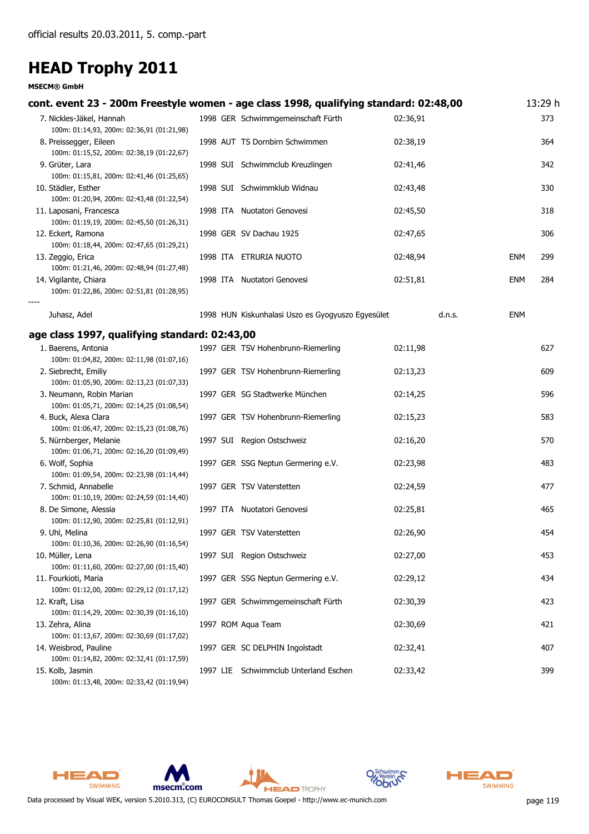| cont. event 23 - 200m Freestyle women - age class 1998, qualifying standard: 02:48,00 |                                                   |          |            | 13:29 h |
|---------------------------------------------------------------------------------------|---------------------------------------------------|----------|------------|---------|
| 7. Nickles-Jäkel, Hannah<br>100m: 01:14,93, 200m: 02:36,91 (01:21,98)                 | 1998 GER Schwimmgemeinschaft Fürth                | 02:36.91 |            | 373     |
| 8. Preissegger, Eileen<br>100m: 01:15,52, 200m: 02:38,19 (01:22,67)                   | 1998 AUT TS Dornbirn Schwimmen                    | 02:38,19 |            | 364     |
| 9. Grüter, Lara<br>100m: 01:15,81, 200m: 02:41,46 (01:25,65)                          | 1998 SUI Schwimmclub Kreuzlingen                  | 02:41,46 |            | 342     |
| 10. Städler, Esther<br>100m: 01:20,94, 200m: 02:43,48 (01:22,54)                      | 1998 SUI Schwimmklub Widnau                       | 02:43,48 |            | 330     |
| 11. Laposani, Francesca<br>100m: 01:19,19, 200m: 02:45,50 (01:26,31)                  | 1998 ITA Nuotatori Genovesi                       | 02:45,50 |            | 318     |
| 12. Eckert, Ramona<br>100m: 01:18,44, 200m: 02:47,65 (01:29,21)                       | 1998 GER SV Dachau 1925                           | 02:47,65 |            | 306     |
| 13. Zeggio, Erica<br>100m: 01:21,46, 200m: 02:48,94 (01:27,48)                        | 1998 ITA ETRURIA NUOTO                            | 02:48,94 | <b>ENM</b> | 299     |
| 14. Vigilante, Chiara<br>100m: 01:22,86, 200m: 02:51,81 (01:28,95)                    | 1998 ITA Nuotatori Genovesi                       | 02:51,81 | <b>ENM</b> | 284     |
| Juhasz, Adel                                                                          | 1998 HUN Kiskunhalasi Uszo es Gyogyuszo Egyesület | d.n.s.   | ENM        |         |
| age class 1997, qualifying standard: 02:43,00                                         |                                                   |          |            |         |
| 1. Baerens, Antonia<br>100m: 01:04,82, 200m: 02:11,98 (01:07,16)                      | 1997 GER TSV Hohenbrunn-Riemerling                | 02:11,98 |            | 627     |
| 2. Siebrecht, Emiliy<br>100m: 01:05,90, 200m: 02:13,23 (01:07,33)                     | 1997 GER TSV Hohenbrunn-Riemerling                | 02:13,23 |            | 609     |
| 3. Neumann, Robin Marian<br>100m: 01:05,71, 200m: 02:14,25 (01:08,54)                 | 1997 GER SG Stadtwerke München                    | 02:14,25 |            | 596     |
| 4. Buck, Alexa Clara<br>100m: 01:06,47, 200m: 02:15,23 (01:08,76)                     | 1997 GER TSV Hohenbrunn-Riemerling                | 02:15,23 |            | 583     |
| 5. Nürnberger, Melanie<br>100m: 01:06,71, 200m: 02:16,20 (01:09,49)                   | 1997 SUI Region Ostschweiz                        | 02:16,20 |            | 570     |
| 6. Wolf, Sophia<br>100m: 01:09,54, 200m: 02:23,98 (01:14,44)                          | 1997 GER SSG Neptun Germering e.V.                | 02:23,98 |            | 483     |
| 7. Schmid, Annabelle<br>100m: 01:10,19, 200m: 02:24,59 (01:14,40)                     | 1997 GER TSV Vaterstetten                         | 02:24,59 |            | 477     |
| 8. De Simone, Alessia<br>100m: 01:12,90, 200m: 02:25,81 (01:12,91)                    | 1997 ITA Nuotatori Genovesi                       | 02:25,81 |            | 465     |
| 9. Uhl, Melina<br>100m: 01:10,36, 200m: 02:26,90 (01:16,54)                           | 1997 GER TSV Vaterstetten                         | 02:26,90 |            | 454     |
| 10. Müller, Lena<br>100m: 01:11,60, 200m: 02:27,00 (01:15,40)                         | 1997 SUI Region Ostschweiz                        | 02:27,00 |            | 453     |
| 11. Fourkioti, Maria<br>100m: 01:12,00, 200m: 02:29,12 (01:17,12)                     | 1997 GER SSG Neptun Germering e.V.                | 02:29,12 |            | 434     |
| 12. Kraft, Lisa<br>100m: 01:14,29, 200m: 02:30,39 (01:16,10)                          | 1997 GER Schwimmgemeinschaft Fürth                | 02:30,39 |            | 423     |
| 13. Zehra, Alina<br>100m: 01:13,67, 200m: 02:30,69 (01:17,02)                         | 1997 ROM Aqua Team                                | 02:30,69 |            | 421     |
| 14. Weisbrod, Pauline<br>100m: 01:14,82, 200m: 02:32,41 (01:17,59)                    | 1997 GER SC DELPHIN Ingolstadt                    | 02:32,41 |            | 407     |
| 15. Kolb, Jasmin<br>100m: 01:13,48, 200m: 02:33,42 (01:19,94)                         | 1997 LIE Schwimmclub Unterland Eschen             | 02:33,42 |            | 399     |











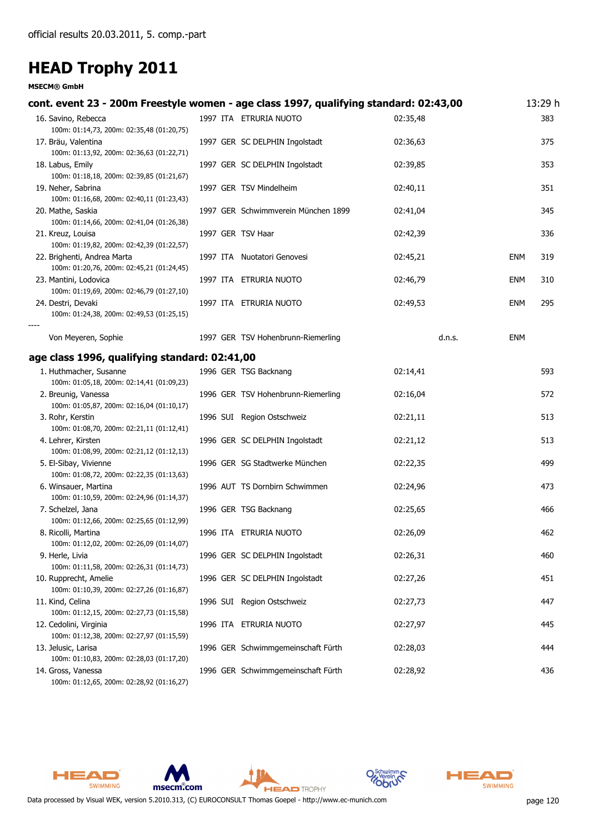| cont. event 23 - 200m Freestyle women - age class 1997, qualifying standard: 02:43,00 |                                     |          |            | 13:29 h |
|---------------------------------------------------------------------------------------|-------------------------------------|----------|------------|---------|
| 16. Savino, Rebecca                                                                   | 1997 ITA ETRURIA NUOTO              | 02:35,48 |            | 383     |
| 100m: 01:14,73, 200m: 02:35,48 (01:20,75)<br>17. Bräu, Valentina                      | 1997 GER SC DELPHIN Ingolstadt      | 02:36,63 |            | 375     |
| 100m: 01:13,92, 200m: 02:36,63 (01:22,71)                                             |                                     |          |            |         |
| 18. Labus, Emily                                                                      | 1997 GER SC DELPHIN Ingolstadt      | 02:39,85 |            | 353     |
| 100m: 01:18,18, 200m: 02:39,85 (01:21,67)                                             |                                     |          |            |         |
| 19. Neher, Sabrina                                                                    | 1997 GER TSV Mindelheim             | 02:40,11 |            | 351     |
| 100m: 01:16,68, 200m: 02:40,11 (01:23,43)<br>20. Mathe, Saskia                        | 1997 GER Schwimmverein München 1899 | 02:41,04 |            | 345     |
| 100m: 01:14,66, 200m: 02:41,04 (01:26,38)                                             |                                     |          |            |         |
| 21. Kreuz, Louisa                                                                     | 1997 GER TSV Haar                   | 02:42,39 |            | 336     |
| 100m: 01:19,82, 200m: 02:42,39 (01:22,57)                                             |                                     |          |            |         |
| 22. Brighenti, Andrea Marta<br>100m: 01:20,76, 200m: 02:45,21 (01:24,45)              | 1997 ITA Nuotatori Genovesi         | 02:45,21 | <b>ENM</b> | 319     |
| 23. Mantini, Lodovica                                                                 | 1997 ITA ETRURIA NUOTO              | 02:46,79 | <b>ENM</b> | 310     |
| 100m: 01:19,69, 200m: 02:46,79 (01:27,10)                                             |                                     |          |            |         |
| 24. Destri, Devaki                                                                    | 1997 ITA ETRURIA NUOTO              | 02:49,53 | <b>ENM</b> | 295     |
| 100m: 01:24,38, 200m: 02:49,53 (01:25,15)                                             |                                     |          |            |         |
| Von Meyeren, Sophie                                                                   | 1997 GER TSV Hohenbrunn-Riemerling  | d.n.s.   | <b>ENM</b> |         |
| age class 1996, qualifying standard: 02:41,00                                         |                                     |          |            |         |
| 1. Huthmacher, Susanne                                                                | 1996 GER TSG Backnang               | 02:14,41 |            | 593     |
| 100m: 01:05,18, 200m: 02:14,41 (01:09,23)                                             |                                     |          |            |         |
| 2. Breunig, Vanessa                                                                   | 1996 GER TSV Hohenbrunn-Riemerling  | 02:16,04 |            | 572     |
| 100m: 01:05,87, 200m: 02:16,04 (01:10,17)<br>3. Rohr, Kerstin                         | 1996 SUI Region Ostschweiz          | 02:21,11 |            | 513     |
| 100m: 01:08,70, 200m: 02:21,11 (01:12,41)                                             |                                     |          |            |         |
| 4. Lehrer, Kirsten                                                                    | 1996 GER SC DELPHIN Ingolstadt      | 02:21,12 |            | 513     |
| 100m: 01:08,99, 200m: 02:21,12 (01:12,13)                                             |                                     |          |            |         |
| 5. El-Sibay, Vivienne                                                                 | 1996 GER SG Stadtwerke München      | 02:22,35 |            | 499     |
| 100m: 01:08,72, 200m: 02:22,35 (01:13,63)<br>6. Winsauer, Martina                     | 1996 AUT TS Dornbirn Schwimmen      | 02:24,96 |            | 473     |
| 100m: 01:10,59, 200m: 02:24,96 (01:14,37)                                             |                                     |          |            |         |
| 7. Schelzel, Jana                                                                     | 1996 GER TSG Backnang               | 02:25,65 |            | 466     |
| 100m: 01:12,66, 200m: 02:25,65 (01:12,99)                                             |                                     |          |            |         |
| 8. Ricolli, Martina<br>100m: 01:12,02, 200m: 02:26,09 (01:14,07)                      | 1996 ITA ETRURIA NUOTO              | 02:26,09 |            | 462     |
| 9. Herle, Livia                                                                       | 1996 GER SC DELPHIN Ingolstadt      | 02:26,31 |            | 460     |
| 100m: 01:11,58, 200m: 02:26,31 (01:14,73)                                             |                                     |          |            |         |
| 10. Rupprecht, Amelie                                                                 | 1996 GER SC DELPHIN Ingolstadt      | 02:27,26 |            | 451     |
| 100m: 01:10,39, 200m: 02:27,26 (01:16,87)                                             |                                     |          |            |         |
| 11. Kind, Celina<br>100m: 01:12,15, 200m: 02:27,73 (01:15,58)                         | 1996 SUI Region Ostschweiz          | 02:27,73 |            | 447     |
| 12. Cedolini, Virginia                                                                | 1996 ITA ETRURIA NUOTO              | 02:27,97 |            | 445     |
| 100m: 01:12,38, 200m: 02:27,97 (01:15,59)                                             |                                     |          |            |         |
| 13. Jelusic, Larisa                                                                   | 1996 GER Schwimmgemeinschaft Fürth  | 02:28,03 |            | 444     |
| 100m: 01:10,83, 200m: 02:28,03 (01:17,20)                                             |                                     | 02:28,92 |            | 436     |
| 14. Gross, Vanessa<br>100m: 01:12,65, 200m: 02:28,92 (01:16,27)                       | 1996 GER Schwimmgemeinschaft Fürth  |          |            |         |











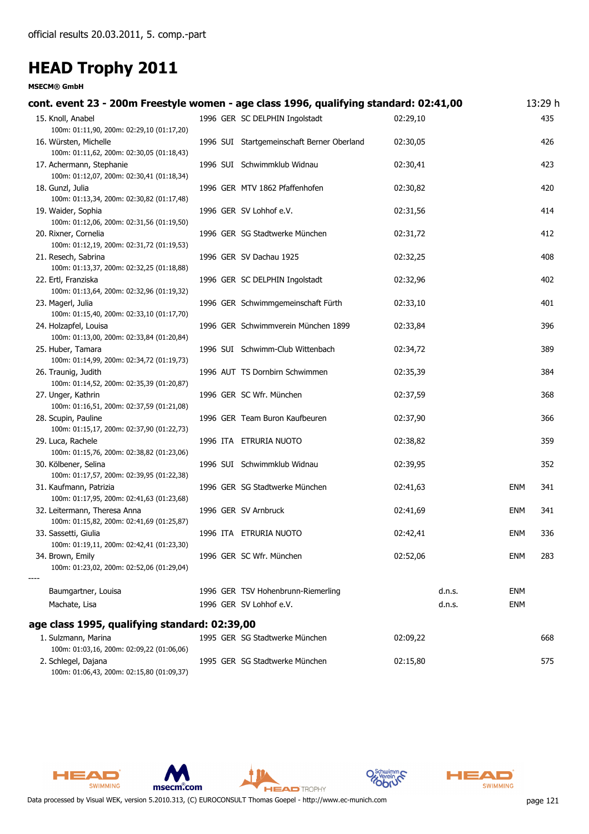#### **MSECM® GmbH**

| cont. event 23 - 200m Freestyle women - age class 1996, qualifying standard: 02:41,00 |                                            |          |            | 13:29 h |
|---------------------------------------------------------------------------------------|--------------------------------------------|----------|------------|---------|
| 15. Knoll, Anabel                                                                     | 1996 GER SC DELPHIN Ingolstadt             | 02:29,10 |            | 435     |
| 100m: 01:11,90, 200m: 02:29,10 (01:17,20)                                             |                                            |          |            |         |
| 16. Würsten, Michelle                                                                 | 1996 SUI Startgemeinschaft Berner Oberland | 02:30,05 |            | 426     |
| 100m: 01:11,62, 200m: 02:30,05 (01:18,43)                                             |                                            |          |            |         |
| 17. Achermann, Stephanie                                                              | 1996 SUI Schwimmklub Widnau                | 02:30,41 |            | 423     |
| 100m: 01:12,07, 200m: 02:30,41 (01:18,34)                                             |                                            |          |            |         |
| 18. Gunzl, Julia<br>100m: 01:13,34, 200m: 02:30,82 (01:17,48)                         | 1996 GER MTV 1862 Pfaffenhofen             | 02:30,82 |            | 420     |
| 19. Waider, Sophia                                                                    | 1996 GER SV Lohhof e.V.                    | 02:31,56 |            | 414     |
| 100m: 01:12,06, 200m: 02:31,56 (01:19,50)                                             |                                            |          |            |         |
| 20. Rixner, Cornelia                                                                  | 1996 GER SG Stadtwerke München             | 02:31,72 |            | 412     |
| 100m: 01:12,19, 200m: 02:31,72 (01:19,53)                                             |                                            |          |            |         |
| 21. Resech, Sabrina                                                                   | 1996 GER SV Dachau 1925                    | 02:32,25 |            | 408     |
| 100m: 01:13,37, 200m: 02:32,25 (01:18,88)                                             |                                            |          |            |         |
| 22. Ertl, Franziska                                                                   | 1996 GER SC DELPHIN Ingolstadt             | 02:32,96 |            | 402     |
| 100m: 01:13,64, 200m: 02:32,96 (01:19,32)                                             |                                            |          |            |         |
| 23. Magerl, Julia                                                                     | 1996 GER Schwimmgemeinschaft Fürth         | 02:33,10 |            | 401     |
| 100m: 01:15,40, 200m: 02:33,10 (01:17,70)                                             |                                            |          |            |         |
| 24. Holzapfel, Louisa                                                                 | 1996 GER Schwimmverein München 1899        | 02:33,84 |            | 396     |
| 100m: 01:13,00, 200m: 02:33,84 (01:20,84)                                             |                                            |          |            |         |
| 25. Huber, Tamara                                                                     | 1996 SUI Schwimm-Club Wittenbach           | 02:34,72 |            | 389     |
| 100m: 01:14,99, 200m: 02:34,72 (01:19,73)                                             |                                            |          |            |         |
| 26. Traunig, Judith                                                                   | 1996 AUT TS Dornbirn Schwimmen             | 02:35,39 |            | 384     |
| 100m: 01:14,52, 200m: 02:35,39 (01:20,87)                                             | 1996 GER SC Wfr. München                   |          |            | 368     |
| 27. Unger, Kathrin<br>100m: 01:16,51, 200m: 02:37,59 (01:21,08)                       |                                            | 02:37,59 |            |         |
| 28. Scupin, Pauline                                                                   | 1996 GER Team Buron Kaufbeuren             | 02:37,90 |            | 366     |
| 100m: 01:15,17, 200m: 02:37,90 (01:22,73)                                             |                                            |          |            |         |
| 29. Luca, Rachele                                                                     | 1996 ITA ETRURIA NUOTO                     | 02:38,82 |            | 359     |
| 100m: 01:15,76, 200m: 02:38,82 (01:23,06)                                             |                                            |          |            |         |
| 30. Kölbener, Selina                                                                  | 1996 SUI Schwimmklub Widnau                | 02:39,95 |            | 352     |
| 100m: 01:17,57, 200m: 02:39,95 (01:22,38)                                             |                                            |          |            |         |
| 31. Kaufmann, Patrizia                                                                | 1996 GER SG Stadtwerke München             | 02:41,63 | <b>ENM</b> | 341     |
| 100m: 01:17,95, 200m: 02:41,63 (01:23,68)                                             |                                            |          |            |         |
| 32. Leitermann, Theresa Anna                                                          | 1996 GER SV Arnbruck                       | 02:41,69 | <b>ENM</b> | 341     |
| 100m: 01:15,82, 200m: 02:41,69 (01:25,87)                                             |                                            |          |            |         |
| 33. Sassetti, Giulia                                                                  | 1996 ITA ETRURIA NUOTO                     | 02:42,41 | <b>ENM</b> | 336     |
| 100m: 01:19,11, 200m: 02:42,41 (01:23,30)                                             |                                            |          |            |         |
| 34. Brown, Emily<br>100m: 01:23,02, 200m: 02:52,06 (01:29,04)                         | 1996 GER SC Wfr. München                   | 02:52,06 | <b>ENM</b> | 283     |
|                                                                                       |                                            |          |            |         |
| Baumgartner, Louisa                                                                   | 1996 GER TSV Hohenbrunn-Riemerling         | d.n.s.   | <b>ENM</b> |         |
| Machate, Lisa                                                                         | 1996 GER SV Lohhof e.V.                    | d.n.s.   | <b>ENM</b> |         |
|                                                                                       |                                            |          |            |         |
| age class 1995, qualifying standard: 02:39,00                                         |                                            |          |            |         |
| 1. Sulzmann, Marina                                                                   | 1995 GER SG Stadtwerke München             | 02:09,22 |            | 668     |
| 100m: 01:03,16, 200m: 02:09,22 (01:06,06)                                             |                                            |          |            |         |
| 2. Schlegel, Dajana                                                                   | 1995 GER SG Stadtwerke München             | 02:15,80 |            | 575     |
| 100m: 01:06,43, 200m: 02:15,80 (01:09,37)                                             |                                            |          |            |         |







**HEAD** TROPHY



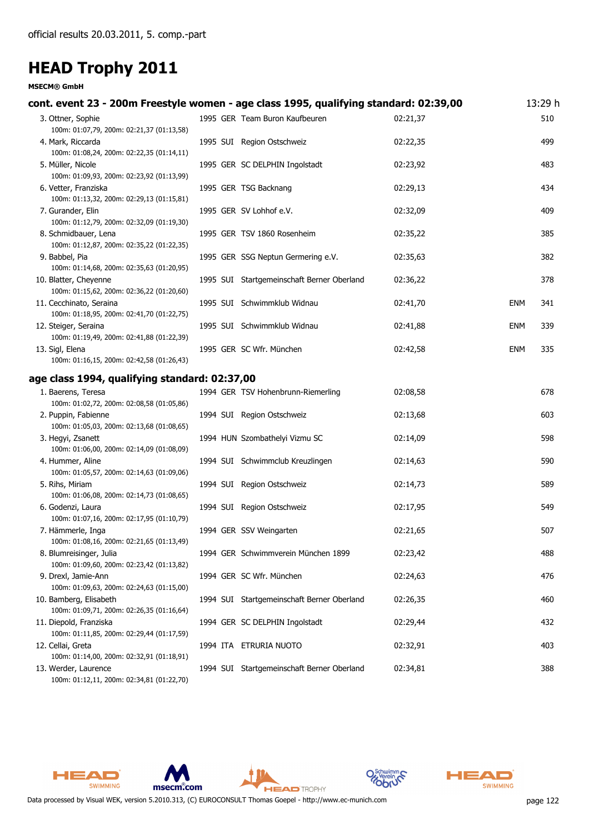| cont. event 23 - 200m Freestyle women - age class 1995, qualifying standard: 02:39,00 |                                            |          |            | 13:29 h |
|---------------------------------------------------------------------------------------|--------------------------------------------|----------|------------|---------|
| 3. Ottner, Sophie                                                                     | 1995 GER Team Buron Kaufbeuren             | 02:21,37 |            | 510     |
| 100m: 01:07,79, 200m: 02:21,37 (01:13,58)                                             |                                            |          |            |         |
| 4. Mark, Riccarda                                                                     | 1995 SUI Region Ostschweiz                 | 02:22,35 |            | 499     |
| 100m: 01:08,24, 200m: 02:22,35 (01:14,11)                                             |                                            |          |            |         |
| 5. Müller, Nicole                                                                     | 1995 GER SC DELPHIN Ingolstadt             | 02:23,92 |            | 483     |
| 100m: 01:09,93, 200m: 02:23,92 (01:13,99)                                             |                                            |          |            |         |
| 6. Vetter, Franziska<br>100m: 01:13,32, 200m: 02:29,13 (01:15,81)                     | 1995 GER TSG Backnang                      | 02:29,13 |            | 434     |
| 7. Gurander, Elin                                                                     | 1995 GER SV Lohhof e.V.                    | 02:32,09 |            | 409     |
| 100m: 01:12,79, 200m: 02:32,09 (01:19,30)                                             |                                            |          |            |         |
| 8. Schmidbauer, Lena                                                                  | 1995 GER TSV 1860 Rosenheim                | 02:35,22 |            | 385     |
| 100m: 01:12,87, 200m: 02:35,22 (01:22,35)                                             |                                            |          |            |         |
| 9. Babbel, Pia                                                                        | 1995 GER SSG Neptun Germering e.V.         | 02:35,63 |            | 382     |
| 100m: 01:14,68, 200m: 02:35,63 (01:20,95)                                             |                                            |          |            |         |
| 10. Blatter, Cheyenne                                                                 | 1995 SUI Startgemeinschaft Berner Oberland | 02:36,22 |            | 378     |
| 100m: 01:15,62, 200m: 02:36,22 (01:20,60)                                             |                                            |          |            |         |
| 11. Cecchinato, Seraina                                                               | 1995 SUI Schwimmklub Widnau                | 02:41,70 | <b>ENM</b> | 341     |
| 100m: 01:18,95, 200m: 02:41,70 (01:22,75)                                             |                                            |          |            |         |
| 12. Steiger, Seraina                                                                  | 1995 SUI Schwimmklub Widnau                | 02:41,88 | <b>ENM</b> | 339     |
| 100m: 01:19,49, 200m: 02:41,88 (01:22,39)<br>13. Sigl, Elena                          | 1995 GER SC Wfr. München                   | 02:42,58 | <b>ENM</b> | 335     |
| 100m: 01:16,15, 200m: 02:42,58 (01:26,43)                                             |                                            |          |            |         |
| age class 1994, qualifying standard: 02:37,00                                         |                                            |          |            |         |
| 1. Baerens, Teresa                                                                    | 1994 GER TSV Hohenbrunn-Riemerling         | 02:08,58 |            | 678     |
| 100m: 01:02,72, 200m: 02:08,58 (01:05,86)                                             |                                            |          |            |         |
| 2. Puppin, Fabienne                                                                   | 1994 SUI Region Ostschweiz                 | 02:13,68 |            | 603     |
| 100m: 01:05,03, 200m: 02:13,68 (01:08,65)                                             |                                            |          |            |         |
| 3. Hegyi, Zsanett                                                                     | 1994 HUN Szombathelyi Vizmu SC             | 02:14,09 |            | 598     |
| 100m: 01:06,00, 200m: 02:14,09 (01:08,09)                                             |                                            |          |            |         |
| 4. Hummer, Aline                                                                      | 1994 SUI Schwimmclub Kreuzlingen           | 02:14,63 |            | 590     |
| 100m: 01:05,57, 200m: 02:14,63 (01:09,06)                                             |                                            |          |            |         |
| 5. Rihs, Miriam                                                                       | 1994 SUI Region Ostschweiz                 | 02:14,73 |            | 589     |
| 100m: 01:06,08, 200m: 02:14,73 (01:08,65)                                             |                                            |          |            |         |
| 6. Godenzi, Laura<br>100m: 01:07,16, 200m: 02:17,95 (01:10,79)                        | 1994 SUI Region Ostschweiz                 | 02:17,95 |            | 549     |
| 7. Hämmerle, Inga                                                                     | 1994 GER SSV Weingarten                    | 02:21,65 |            | 507     |
| 100m: 01:08,16, 200m: 02:21,65 (01:13,49)                                             |                                            |          |            |         |
| 8. Blumreisinger, Julia                                                               | 1994 GER Schwimmverein München 1899        | 02:23,42 |            | 488     |
| 100m: 01:09,60, 200m: 02:23,42 (01:13,82)                                             |                                            |          |            |         |
| 9. Drexl, Jamie-Ann                                                                   | 1994 GER SC Wfr. München                   | 02:24,63 |            | 476     |
| 100m: 01:09,63, 200m: 02:24,63 (01:15,00)                                             |                                            |          |            |         |
| 10. Bamberg, Elisabeth                                                                | 1994 SUI Startgemeinschaft Berner Oberland | 02:26,35 |            | 460     |
| 100m: 01:09,71, 200m: 02:26,35 (01:16,64)                                             |                                            |          |            |         |
| 11. Diepold, Franziska                                                                | 1994 GER SC DELPHIN Ingolstadt             | 02:29,44 |            | 432     |
| 100m: 01:11,85, 200m: 02:29,44 (01:17,59)<br>12. Cellai, Greta                        | 1994 ITA ETRURIA NUOTO                     | 02:32,91 |            | 403     |
| 100m: 01:14,00, 200m: 02:32,91 (01:18,91)                                             |                                            |          |            |         |
| 13. Werder, Laurence                                                                  | 1994 SUI Startgemeinschaft Berner Oberland | 02:34,81 |            | 388     |
| 100m: 01:12,11, 200m: 02:34,81 (01:22,70)                                             |                                            |          |            |         |











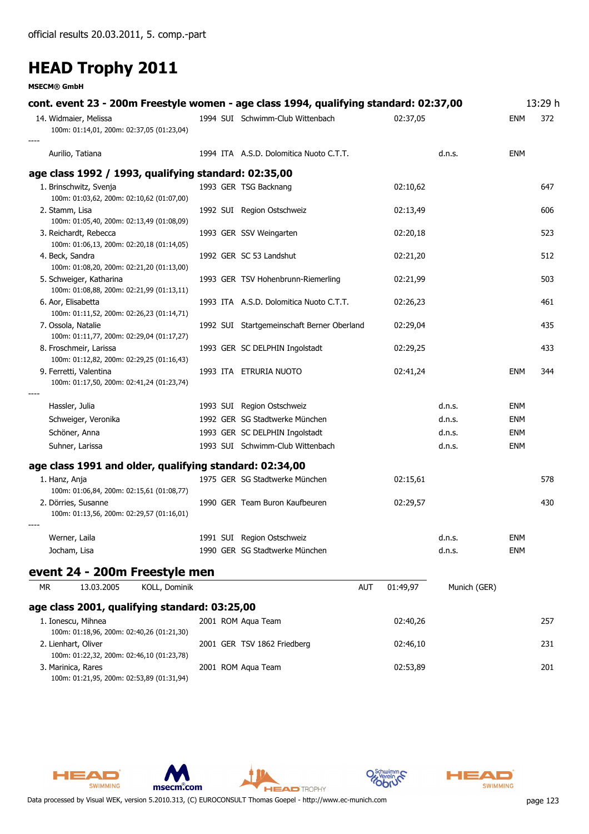**MSECM® GmbH**

| cont. event 23 - 200m Freestyle women - age class 1994, qualifying standard: 02:37,00 |                                            |                 |              |            | 13:29 h |
|---------------------------------------------------------------------------------------|--------------------------------------------|-----------------|--------------|------------|---------|
| 14. Widmaier, Melissa<br>100m: 01:14,01, 200m: 02:37,05 (01:23,04)                    | 1994 SUI Schwimm-Club Wittenbach           | 02:37,05        |              | ENM        | 372     |
| Aurilio, Tatiana                                                                      | 1994 ITA A.S.D. Dolomitica Nuoto C.T.T.    |                 | d.n.s.       | ENM        |         |
| age class 1992 / 1993, qualifying standard: 02:35,00                                  |                                            |                 |              |            |         |
| 1. Brinschwitz, Svenja<br>100m: 01:03,62, 200m: 02:10,62 (01:07,00)                   | 1993 GER TSG Backnang                      | 02:10,62        |              |            | 647     |
| 2. Stamm, Lisa<br>100m: 01:05,40, 200m: 02:13,49 (01:08,09)                           | 1992 SUI Region Ostschweiz                 | 02:13,49        |              |            | 606     |
| 3. Reichardt, Rebecca<br>100m: 01:06,13, 200m: 02:20,18 (01:14,05)                    | 1993 GER SSV Weingarten                    | 02:20,18        |              |            | 523     |
| 4. Beck, Sandra<br>100m: 01:08,20, 200m: 02:21,20 (01:13,00)                          | 1992 GER SC 53 Landshut                    | 02:21,20        |              |            | 512     |
| 5. Schweiger, Katharina<br>100m: 01:08,88, 200m: 02:21,99 (01:13,11)                  | 1993 GER TSV Hohenbrunn-Riemerling         | 02:21,99        |              |            | 503     |
| 6. Aor, Elisabetta<br>100m: 01:11,52, 200m: 02:26,23 (01:14,71)                       | 1993 ITA A.S.D. Dolomitica Nuoto C.T.T.    | 02:26,23        |              |            | 461     |
| 7. Ossola, Natalie<br>100m: 01:11,77, 200m: 02:29,04 (01:17,27)                       | 1992 SUI Startgemeinschaft Berner Oberland | 02:29,04        |              |            | 435     |
| 8. Froschmeir, Larissa<br>100m: 01:12,82, 200m: 02:29,25 (01:16,43)                   | 1993 GER SC DELPHIN Ingolstadt             | 02:29,25        |              |            | 433     |
| 9. Ferretti, Valentina<br>100m: 01:17,50, 200m: 02:41,24 (01:23,74)                   | 1993 ITA ETRURIA NUOTO                     | 02:41,24        |              | ENM        | 344     |
| Hassler, Julia                                                                        | 1993 SUI Region Ostschweiz                 |                 | d.n.s.       | ENM        |         |
| Schweiger, Veronika                                                                   | 1992 GER SG Stadtwerke München             |                 | d.n.s.       | ENM        |         |
| Schöner, Anna                                                                         | 1993 GER SC DELPHIN Ingolstadt             |                 | d.n.s.       | ENM        |         |
| Suhner, Larissa                                                                       | 1993 SUI Schwimm-Club Wittenbach           |                 | d.n.s.       | <b>ENM</b> |         |
| age class 1991 and older, qualifying standard: 02:34,00                               |                                            |                 |              |            |         |
| 1. Hanz, Anja<br>100m: 01:06,84, 200m: 02:15,61 (01:08,77)                            | 1975 GER SG Stadtwerke München             | 02:15,61        |              |            | 578     |
| 2. Dörries, Susanne<br>100m: 01:13,56, 200m: 02:29,57 (01:16,01)                      | 1990 GER Team Buron Kaufbeuren             | 02:29,57        |              |            | 430     |
| Werner, Laila                                                                         | 1991 SUI Region Ostschweiz                 |                 | d.n.s.       | ENM        |         |
| Jocham, Lisa                                                                          | 1990 GER SG Stadtwerke München             |                 | d.n.s.       | ENM        |         |
| event 24 - 200m Freestyle men                                                         |                                            |                 |              |            |         |
| KOLL, Dominik<br>13.03.2005<br>МR                                                     |                                            | AUT<br>01:49,97 | Munich (GER) |            |         |
| age class 2001, qualifying standard: 03:25,00                                         |                                            |                 |              |            |         |
| 1. Ionescu, Mihnea<br>100m: 01:18,96, 200m: 02:40,26 (01:21,30)                       | 2001 ROM Aqua Team                         | 02:40,26        |              |            | 257     |
| 2. Lienhart, Oliver<br>100m: 01:22,32, 200m: 02:46,10 (01:23,78)                      | 2001 GER TSV 1862 Friedberg                | 02:46,10        |              |            | 231     |
| 3. Marinica, Rares<br>100m: 01:21,95, 200m: 02:53,89 (01:31,94)                       | 2001 ROM Aqua Team                         | 02:53,89        |              |            | 201     |

**HEAD** TROPHY



msecm.com

HEAD

SWIMMING

**HEAD** 

SWIMMING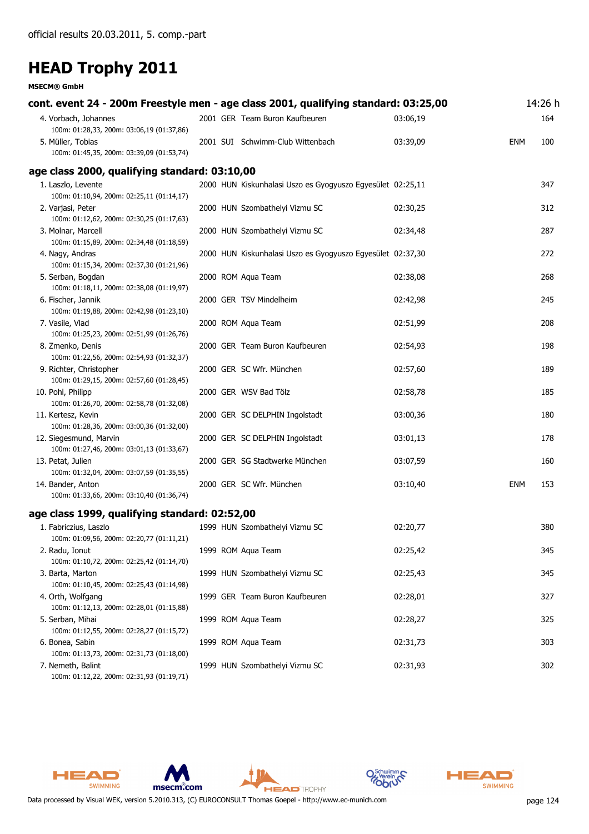#### **MSECM® GmbH**

| cont. event 24 - 200m Freestyle men - age class 2001, qualifying standard: 03:25,00 |  |                                                            |          |     | 14:26 h |
|-------------------------------------------------------------------------------------|--|------------------------------------------------------------|----------|-----|---------|
| 4. Vorbach, Johannes                                                                |  | 2001 GER Team Buron Kaufbeuren                             | 03:06,19 |     | 164     |
| 100m: 01:28,33, 200m: 03:06,19 (01:37,86)                                           |  |                                                            |          |     |         |
| 5. Müller, Tobias                                                                   |  | 2001 SUI Schwimm-Club Wittenbach                           | 03:39,09 | ENM | 100     |
| 100m: 01:45,35, 200m: 03:39,09 (01:53,74)                                           |  |                                                            |          |     |         |
| age class 2000, qualifying standard: 03:10,00                                       |  |                                                            |          |     |         |
| 1. Laszlo, Levente                                                                  |  | 2000 HUN Kiskunhalasi Uszo es Gyogyuszo Egyesület 02:25,11 |          |     | 347     |
| 100m: 01:10,94, 200m: 02:25,11 (01:14,17)                                           |  |                                                            |          |     |         |
| 2. Varjasi, Peter                                                                   |  | 2000 HUN Szombathelyi Vizmu SC                             | 02:30,25 |     | 312     |
| 100m: 01:12,62, 200m: 02:30,25 (01:17,63)                                           |  |                                                            |          |     |         |
| 3. Molnar, Marcell                                                                  |  | 2000 HUN Szombathelyi Vizmu SC                             | 02:34,48 |     | 287     |
| 100m: 01:15,89, 200m: 02:34,48 (01:18,59)                                           |  |                                                            |          |     |         |
| 4. Nagy, Andras                                                                     |  | 2000 HUN Kiskunhalasi Uszo es Gyogyuszo Egyesület 02:37,30 |          |     | 272     |
| 100m: 01:15,34, 200m: 02:37,30 (01:21,96)                                           |  |                                                            |          |     |         |
| 5. Serban, Bogdan                                                                   |  | 2000 ROM Aqua Team                                         | 02:38,08 |     | 268     |
| 100m: 01:18,11, 200m: 02:38,08 (01:19,97)                                           |  |                                                            |          |     |         |
| 6. Fischer, Jannik<br>100m: 01:19,88, 200m: 02:42,98 (01:23,10)                     |  | 2000 GER TSV Mindelheim                                    | 02:42,98 |     | 245     |
| 7. Vasile, Vlad                                                                     |  | 2000 ROM Aqua Team                                         | 02:51,99 |     | 208     |
| 100m: 01:25,23, 200m: 02:51,99 (01:26,76)                                           |  |                                                            |          |     |         |
| 8. Zmenko, Denis                                                                    |  | 2000 GER Team Buron Kaufbeuren                             | 02:54,93 |     | 198     |
| 100m: 01:22,56, 200m: 02:54,93 (01:32,37)                                           |  |                                                            |          |     |         |
| 9. Richter, Christopher                                                             |  | 2000 GER SC Wfr. München                                   | 02:57,60 |     | 189     |
| 100m: 01:29,15, 200m: 02:57,60 (01:28,45)                                           |  |                                                            |          |     |         |
| 10. Pohl, Philipp                                                                   |  | 2000 GER WSV Bad Tölz                                      | 02:58,78 |     | 185     |
| 100m: 01:26,70, 200m: 02:58,78 (01:32,08)                                           |  |                                                            |          |     |         |
| 11. Kertesz, Kevin                                                                  |  | 2000 GER SC DELPHIN Ingolstadt                             | 03:00,36 |     | 180     |
| 100m: 01:28,36, 200m: 03:00,36 (01:32,00)                                           |  |                                                            |          |     |         |
| 12. Siegesmund, Marvin                                                              |  | 2000 GER SC DELPHIN Ingolstadt                             | 03:01,13 |     | 178     |
| 100m: 01:27,46, 200m: 03:01,13 (01:33,67)                                           |  |                                                            |          |     |         |
| 13. Petat, Julien                                                                   |  | 2000 GER SG Stadtwerke München                             | 03:07,59 |     | 160     |
| 100m: 01:32,04, 200m: 03:07,59 (01:35,55)                                           |  |                                                            |          |     |         |
| 14. Bander, Anton                                                                   |  | 2000 GER SC Wfr. München                                   | 03:10,40 | ENM | 153     |
| 100m: 01:33,66, 200m: 03:10,40 (01:36,74)                                           |  |                                                            |          |     |         |
| age class 1999, qualifying standard: 02:52,00                                       |  |                                                            |          |     |         |
| 1. Fabriczius, Laszlo                                                               |  | 1999 HUN Szombathelyi Vizmu SC                             | 02:20,77 |     | 380     |
| 100m: 01:09,56, 200m: 02:20,77 (01:11,21)                                           |  |                                                            |          |     |         |
| 2. Radu, Ionut                                                                      |  | 1999 ROM Aqua Team                                         | 02:25,42 |     | 345     |
| 100m: 01:10,72, 200m: 02:25,42 (01:14,70)                                           |  |                                                            |          |     |         |
| 3. Barta, Marton                                                                    |  | 1999 HUN Szombathelyi Vizmu SC                             | 02:25,43 |     | 345     |
| 100m: 01:10,45, 200m: 02:25,43 (01:14,98)                                           |  |                                                            |          |     |         |
| 4. Orth, Wolfgang                                                                   |  | 1999 GER Team Buron Kaufbeuren                             | 02:28,01 |     | 327     |
| 100m: 01:12,13, 200m: 02:28,01 (01:15,88)                                           |  |                                                            |          |     |         |
| 5. Serban, Mihai                                                                    |  | 1999 ROM Aqua Team                                         | 02:28,27 |     | 325     |
| 100m: 01:12,55, 200m: 02:28,27 (01:15,72)                                           |  |                                                            |          |     |         |
| 6. Bonea, Sabin                                                                     |  | 1999 ROM Aqua Team                                         | 02:31,73 |     | 303     |
| 100m: 01:13,73, 200m: 02:31,73 (01:18,00)                                           |  |                                                            |          |     |         |
| 7. Nemeth, Balint                                                                   |  | 1999 HUN Szombathelyi Vizmu SC                             | 02:31,93 |     | 302     |

100m: 01:12,22, 200m: 02:31,93 (01:19,71)

HEAD

SWIMMING







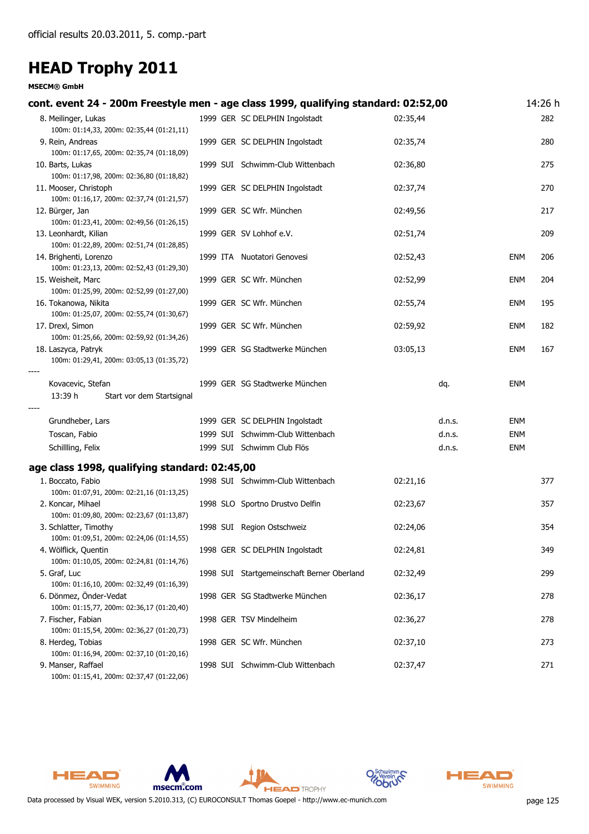**MSECM® GmbH**

| cont. event 24 - 200m Freestyle men - age class 1999, qualifying standard: 02:52,00 |  |                                                                |          |                  |                   | 14:26 h |
|-------------------------------------------------------------------------------------|--|----------------------------------------------------------------|----------|------------------|-------------------|---------|
| 8. Meilinger, Lukas<br>100m: 01:14,33, 200m: 02:35,44 (01:21,11)                    |  | 1999 GER SC DELPHIN Ingolstadt                                 | 02:35,44 |                  |                   | 282     |
| 9. Rein, Andreas<br>100m: 01:17,65, 200m: 02:35,74 (01:18,09)                       |  | 1999 GER SC DELPHIN Ingolstadt                                 | 02:35,74 |                  |                   | 280     |
| 10. Barts, Lukas<br>100m: 01:17,98, 200m: 02:36,80 (01:18,82)                       |  | 1999 SUI Schwimm-Club Wittenbach                               | 02:36,80 |                  |                   | 275     |
| 11. Mooser, Christoph<br>100m: 01:16,17, 200m: 02:37,74 (01:21,57)                  |  | 1999 GER SC DELPHIN Ingolstadt                                 | 02:37,74 |                  |                   | 270     |
| 12. Bürger, Jan<br>100m: 01:23,41, 200m: 02:49,56 (01:26,15)                        |  | 1999 GER SC Wfr. München                                       | 02:49,56 |                  |                   | 217     |
| 13. Leonhardt, Kilian<br>100m: 01:22,89, 200m: 02:51,74 (01:28,85)                  |  | 1999 GER SV Lohhof e.V.                                        | 02:51,74 |                  |                   | 209     |
| 14. Brighenti, Lorenzo<br>100m: 01:23,13, 200m: 02:52,43 (01:29,30)                 |  | 1999 ITA Nuotatori Genovesi                                    | 02:52,43 |                  | <b>ENM</b>        | 206     |
| 15. Weisheit, Marc<br>100m: 01:25,99, 200m: 02:52,99 (01:27,00)                     |  | 1999 GER SC Wfr. München                                       | 02:52,99 |                  | <b>ENM</b>        | 204     |
| 16. Tokanowa, Nikita<br>100m: 01:25,07, 200m: 02:55,74 (01:30,67)                   |  | 1999 GER SC Wfr. München                                       | 02:55,74 |                  | <b>ENM</b>        | 195     |
| 17. Drexl, Simon<br>100m: 01:25,66, 200m: 02:59,92 (01:34,26)                       |  | 1999 GER SC Wfr. München                                       | 02:59,92 |                  | ENM               | 182     |
| 18. Laszyca, Patryk<br>100m: 01:29,41, 200m: 03:05,13 (01:35,72)                    |  | 1999 GER SG Stadtwerke München                                 | 03:05,13 |                  | ENM               | 167     |
| Kovacevic, Stefan<br>13:39 h<br>Start vor dem Startsignal                           |  | 1999 GER SG Stadtwerke München                                 |          | dq.              | ENM               |         |
|                                                                                     |  |                                                                |          |                  |                   |         |
| Grundheber, Lars                                                                    |  | 1999 GER SC DELPHIN Ingolstadt                                 |          | d.n.s.           | ENM               |         |
| Toscan, Fabio<br>Schillling, Felix                                                  |  | 1999 SUI Schwimm-Club Wittenbach<br>1999 SUI Schwimm Club Flös |          | d.n.s.<br>d.n.s. | ENM<br><b>ENM</b> |         |
| age class 1998, qualifying standard: 02:45,00                                       |  |                                                                |          |                  |                   |         |
| 1. Boccato, Fabio<br>100m: 01:07,91, 200m: 02:21,16 (01:13,25)                      |  | 1998 SUI Schwimm-Club Wittenbach                               | 02:21,16 |                  |                   | 377     |
| 2. Koncar, Mihael<br>100m: 01:09,80, 200m: 02:23,67 (01:13,87)                      |  | 1998 SLO Sportno Drustvo Delfin                                | 02:23,67 |                  |                   | 357     |
| 3. Schlatter, Timothy<br>100m: 01:09,51, 200m: 02:24,06 (01:14,55)                  |  | 1998 SUI Region Ostschweiz                                     | 02:24,06 |                  |                   | 354     |
| 4. Wölflick, Quentin<br>100m: 01:10,05, 200m: 02:24,81 (01:14,76)                   |  | 1998 GER SC DELPHIN Ingolstadt                                 | 02:24,81 |                  |                   | 349     |
| 5. Graf, Luc<br>100m: 01:16,10, 200m: 02:32,49 (01:16,39)                           |  | 1998 SUI Startgemeinschaft Berner Oberland                     | 02:32,49 |                  |                   | 299     |
| 6. Dönmez, Önder-Vedat<br>100m: 01:15,77, 200m: 02:36,17 (01:20,40)                 |  | 1998 GER SG Stadtwerke München                                 | 02:36,17 |                  |                   | 278     |
| 7. Fischer, Fabian                                                                  |  | 1998 GER TSV Mindelheim                                        | 02:36,27 |                  |                   | 278     |
| 100m: 01:15,54, 200m: 02:36,27 (01:20,73)<br>8. Herdeg, Tobias                      |  | 1998 GER SC Wfr. München                                       | 02:37,10 |                  |                   | 273     |
| 100m: 01:16,94, 200m: 02:37,10 (01:20,16)<br>9. Manser, Raffael                     |  | 1998 SUI Schwimm-Club Wittenbach                               | 02:37,47 |                  |                   | 271     |

100m: 01:15,41, 200m: 02:37,47 (01:22,06)









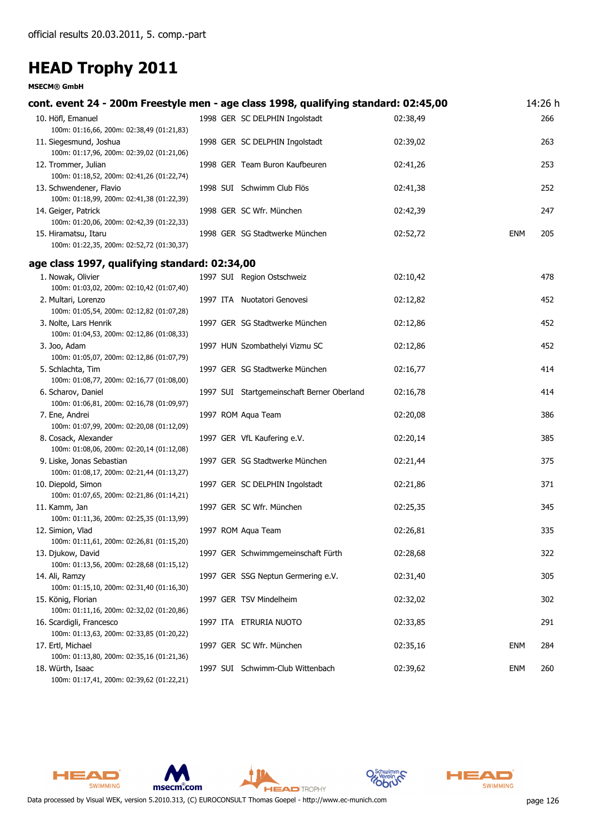| cont. event 24 - 200m Freestyle men - age class 1998, qualifying standard: 02:45,00 |  |                                            |          |            | 14:26 h |
|-------------------------------------------------------------------------------------|--|--------------------------------------------|----------|------------|---------|
| 10. Höfl, Emanuel<br>100m: 01:16,66, 200m: 02:38,49 (01:21,83)                      |  | 1998 GER SC DELPHIN Ingolstadt             | 02:38,49 |            | 266     |
| 11. Siegesmund, Joshua<br>100m: 01:17,96, 200m: 02:39,02 (01:21,06)                 |  | 1998 GER SC DELPHIN Ingolstadt             | 02:39,02 |            | 263     |
| 12. Trommer, Julian<br>100m: 01:18,52, 200m: 02:41,26 (01:22,74)                    |  | 1998 GER Team Buron Kaufbeuren             | 02:41,26 |            | 253     |
| 13. Schwendener, Flavio<br>100m: 01:18,99, 200m: 02:41,38 (01:22,39)                |  | 1998 SUI Schwimm Club Flös                 | 02:41,38 |            | 252     |
| 14. Geiger, Patrick<br>100m: 01:20,06, 200m: 02:42,39 (01:22,33)                    |  | 1998 GER SC Wfr. München                   | 02:42,39 |            | 247     |
| 15. Hiramatsu, Itaru<br>100m: 01:22,35, 200m: 02:52,72 (01:30,37)                   |  | 1998 GER SG Stadtwerke München             | 02:52,72 | ENM        | 205     |
| age class 1997, qualifying standard: 02:34,00                                       |  |                                            |          |            |         |
| 1. Nowak, Olivier<br>100m: 01:03,02, 200m: 02:10,42 (01:07,40)                      |  | 1997 SUI Region Ostschweiz                 | 02:10,42 |            | 478     |
| 2. Multari, Lorenzo<br>100m: 01:05,54, 200m: 02:12,82 (01:07,28)                    |  | 1997 ITA Nuotatori Genovesi                | 02:12,82 |            | 452     |
| 3. Nolte, Lars Henrik<br>100m: 01:04,53, 200m: 02:12,86 (01:08,33)                  |  | 1997 GER SG Stadtwerke München             | 02:12,86 |            | 452     |
| 3. Joo, Adam<br>100m: 01:05,07, 200m: 02:12,86 (01:07,79)                           |  | 1997 HUN Szombathelyi Vizmu SC             | 02:12,86 |            | 452     |
| 5. Schlachta, Tim<br>100m: 01:08,77, 200m: 02:16,77 (01:08,00)                      |  | 1997 GER SG Stadtwerke München             | 02:16,77 |            | 414     |
| 6. Scharov, Daniel<br>100m: 01:06,81, 200m: 02:16,78 (01:09,97)                     |  | 1997 SUI Startgemeinschaft Berner Oberland | 02:16,78 |            | 414     |
| 7. Ene, Andrei<br>100m: 01:07,99, 200m: 02:20,08 (01:12,09)                         |  | 1997 ROM Aqua Team                         | 02:20,08 |            | 386     |
| 8. Cosack, Alexander<br>100m: 01:08,06, 200m: 02:20,14 (01:12,08)                   |  | 1997 GER VfL Kaufering e.V.                | 02:20,14 |            | 385     |
| 9. Liske, Jonas Sebastian<br>100m: 01:08,17, 200m: 02:21,44 (01:13,27)              |  | 1997 GER SG Stadtwerke München             | 02:21,44 |            | 375     |
| 10. Diepold, Simon<br>100m: 01:07,65, 200m: 02:21,86 (01:14,21)                     |  | 1997 GER SC DELPHIN Ingolstadt             | 02:21,86 |            | 371     |
| 11. Kamm, Jan<br>100m: 01:11,36, 200m: 02:25,35 (01:13,99)                          |  | 1997 GER SC Wfr. München                   | 02:25,35 |            | 345     |
| 12. Simion, Vlad<br>100m: 01:11,61, 200m: 02:26,81 (01:15,20)                       |  | 1997 ROM Aqua Team                         | 02:26,81 |            | 335     |
| 13. Djukow, David<br>100m: 01:13,56, 200m: 02:28,68 (01:15,12)                      |  | 1997 GER Schwimmgemeinschaft Fürth         | 02:28,68 |            | 322     |
| 14. Ali, Ramzy<br>100m: 01:15,10, 200m: 02:31,40 (01:16,30)                         |  | 1997 GER SSG Neptun Germering e.V.         | 02:31,40 |            | 305     |
| 15. König, Florian<br>100m: 01:11,16, 200m: 02:32,02 (01:20,86)                     |  | 1997 GER TSV Mindelheim                    | 02:32,02 |            | 302     |
| 16. Scardigli, Francesco<br>100m: 01:13,63, 200m: 02:33,85 (01:20,22)               |  | 1997 ITA ETRURIA NUOTO                     | 02:33,85 |            | 291     |
| 17. Ertl, Michael<br>100m: 01:13,80, 200m: 02:35,16 (01:21,36)                      |  | 1997 GER SC Wfr. München                   | 02:35,16 | <b>ENM</b> | 284     |
| 18. Würth, Isaac<br>100m: 01:17,41, 200m: 02:39,62 (01:22,21)                       |  | 1997 SUI Schwimm-Club Wittenbach           | 02:39,62 | <b>ENM</b> | 260     |











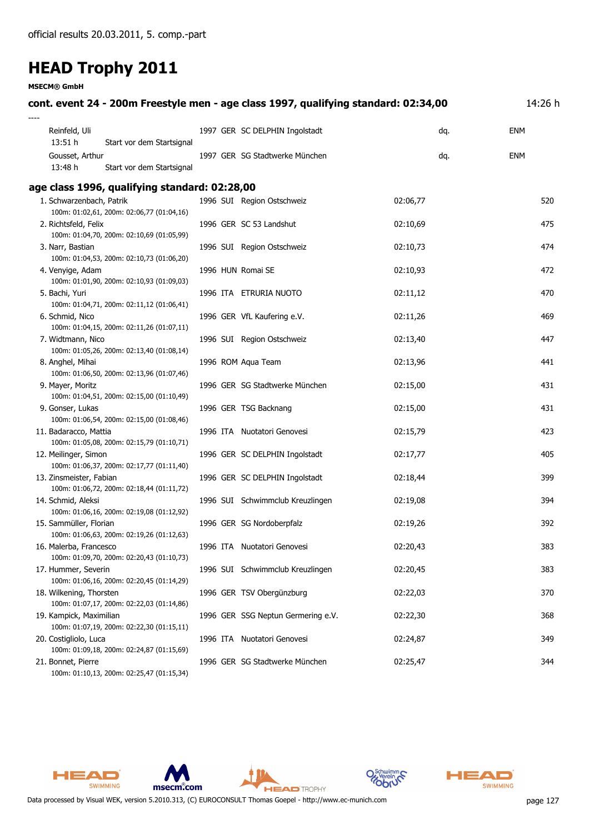**MSECM® GmbH**

#### **cont. event 24 - 200m Freestyle men - age class 1997, qualifying standard: 02:34,00** 14:26 h *----* Reinfeld, Uli 1997 SC DELPHIN Ingolstadt ENM GER dq. *13:51 h Start vor dem Startsignal* Gousset, Arthur 1997 SG Stadtwerke München ENM GER dq. *13:48 h Start vor dem Startsignal* **age class 1996, qualifying standard: 02:28,00** 1. Schwarzenbach, Patrik 1996 SUI Region Ostschweiz 02:06,77 520 100m: 01:02,61, 200m: 02:06,77 (01:04,16) 2. Richtsfeld, Felix 1996 GER SC 53 Landshut 02:10,69 475 100m: 01:04,70, 200m: 02:10,69 (01:05,99) 3. Narr, Bastian 1996 SUI Region Ostschweiz 1996 SUI Region Ostschweiz 02:10,73 100m: 01:04,53, 200m: 02:10,73 (01:06,20) 4. Venyige, Adam 1996 HUN Romai SE 02:10,93 472 100m: 01:01,90, 200m: 02:10,93 (01:09,03) 5. Bachi, Yuri 1996 ITA ETRURIA NUOTO 02:11,12 470 100m: 01:04,71, 200m: 02:11,12 (01:06,41) 6. Schmid, Nico 1996 GER VfL Kaufering e.V. 02:11,26 469 100m: 01:04,15, 200m: 02:11,26 (01:07,11) 7. Widtmann, Nico 1996 SUI Region Ostschweiz 02:13,40 447 100m: 01:05,26, 200m: 02:13,40 (01:08,14) 8. Anghel, Mihai 1996 ROM Aqua Team 1996 ROM Aqua Team 1996 ROM Aqua Team 1996 ROM Aqua Team 1996 ROM Aqua Team 100m: 01:06,50, 200m: 02:13,96 (01:07,46) 9. Mayer, Moritz 1996 GER SG Stadtwerke München 02:15,00 431 100m: 01:04,51, 200m: 02:15,00 (01:10,49) 9. Gonser, Lukas 1996 GER TSG Backnang 02:15,00 431 100m: 01:06,54, 200m: 02:15,00 (01:08,46) 11. Badaracco, Mattia 1996 ITA Nuotatori Genovesi 02:15,79 423 100m: 01:05,08, 200m: 02:15,79 (01:10,71) 12. Meilinger, Simon 1996 GER SC DELPHIN Ingolstadt 02:17,77 000117,77 405 100m: 01:06,37, 200m: 02:17,77 (01:11,40) 13. Zinsmeister, Fabian 1996 GER SC DELPHIN Ingolstadt 02:18,44 399 100m: 01:06,72, 200m: 02:18,44 (01:11,72) 14. Schmid, Aleksi 1996 SUI Schwimmclub Kreuzlingen 02:19,08 394 100m: 01:06,16, 200m: 02:19,08 (01:12,92) 15. Sammüller, Florian 1996 GER SG Nordoberpfalz 02:19,26 392 100m: 01:06,63, 200m: 02:19,26 (01:12,63) 16. Malerba, Francesco 1996 ITA Nuotatori Genovesi 02:20,43 383 100m: 01:09,70, 200m: 02:20,43 (01:10,73) 17. Hummer, Severin 1996 SUI Schwimmclub Kreuzlingen 02:20,45 383 100m: 01:06,16, 200m: 02:20,45 (01:14,29) 18. Wilkening, Thorsten 1996 GER TSV Obergünzburg 02:22,03 370 100m: 01:07,17, 200m: 02:22,03 (01:14,86) 19. Kampick, Maximilian 1996 GER SSG Neptun Germering e.V. 02:22,30 368 100m: 01:07,19, 200m: 02:22,30 (01:15,11) 20. Costigliolo, Luca 1996 ITA Nuotatori Genovesi 02:24,87 349 100m: 01:09,18, 200m: 02:24,87 (01:15,69) 21. Bonnet, Pierre 1996 GER SG Stadtwerke München 02:25,47 344 100m: 01:10,13, 200m: 02:25,47 (01:15,34)







**HEAD** TROPHY



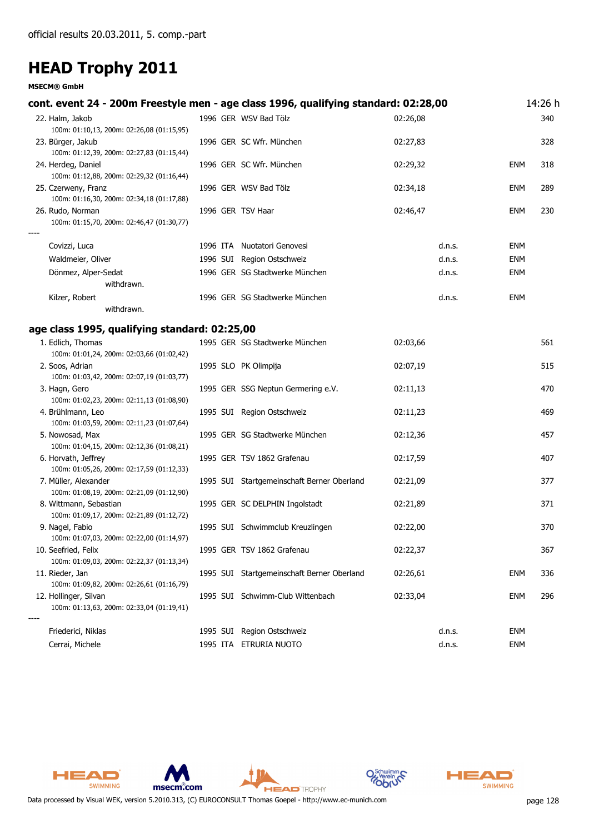| cont. event 24 - 200m Freestyle men - age class 1996, qualifying standard: 02:28,00 |                                            |          |            | 14:26 h |
|-------------------------------------------------------------------------------------|--------------------------------------------|----------|------------|---------|
| 22. Halm, Jakob<br>100m: 01:10,13, 200m: 02:26,08 (01:15,95)                        | 1996 GER WSV Bad Tölz                      | 02:26,08 |            | 340     |
| 23. Bürger, Jakub<br>100m: 01:12,39, 200m: 02:27,83 (01:15,44)                      | 1996 GER SC Wfr. München                   | 02:27,83 |            | 328     |
| 24. Herdeg, Daniel<br>100m: 01:12,88, 200m: 02:29,32 (01:16,44)                     | 1996 GER SC Wfr. München                   | 02:29,32 | <b>ENM</b> | 318     |
| 25. Czerweny, Franz<br>100m: 01:16,30, 200m: 02:34,18 (01:17,88)                    | 1996 GER WSV Bad Tölz                      | 02:34,18 | <b>ENM</b> | 289     |
| 26. Rudo, Norman<br>100m: 01:15,70, 200m: 02:46,47 (01:30,77)                       | 1996 GER TSV Haar                          | 02:46,47 | <b>ENM</b> | 230     |
| Covizzi, Luca                                                                       | 1996 ITA Nuotatori Genovesi                | d.n.s.   | <b>ENM</b> |         |
| Waldmeier, Oliver                                                                   | 1996 SUI Region Ostschweiz                 | d.n.s.   | <b>ENM</b> |         |
| Dönmez, Alper-Sedat                                                                 | 1996 GER SG Stadtwerke München             | d.n.s.   | <b>ENM</b> |         |
| withdrawn.                                                                          |                                            |          |            |         |
| Kilzer, Robert                                                                      | 1996 GER SG Stadtwerke München             | d.n.s.   | <b>ENM</b> |         |
| withdrawn.                                                                          |                                            |          |            |         |
| age class 1995, qualifying standard: 02:25,00                                       |                                            |          |            |         |
| 1. Edlich, Thomas                                                                   | 1995 GER SG Stadtwerke München             | 02:03,66 |            | 561     |
| 100m: 01:01,24, 200m: 02:03,66 (01:02,42)                                           |                                            |          |            |         |
| 2. Soos, Adrian                                                                     | 1995 SLO PK Olimpija                       | 02:07,19 |            | 515     |
| 100m: 01:03,42, 200m: 02:07,19 (01:03,77)                                           |                                            |          |            |         |
| 3. Hagn, Gero                                                                       | 1995 GER SSG Neptun Germering e.V.         | 02:11,13 |            | 470     |
| 100m: 01:02,23, 200m: 02:11,13 (01:08,90)                                           |                                            |          |            |         |
| 4. Brühlmann, Leo<br>100m: 01:03,59, 200m: 02:11,23 (01:07,64)                      | 1995 SUI Region Ostschweiz                 | 02:11,23 |            | 469     |
| 5. Nowosad, Max                                                                     | 1995 GER SG Stadtwerke München             | 02:12,36 |            | 457     |
| 100m: 01:04,15, 200m: 02:12,36 (01:08,21)                                           |                                            |          |            |         |
| 6. Horvath, Jeffrey                                                                 | 1995 GER TSV 1862 Grafenau                 | 02:17,59 |            | 407     |
| 100m: 01:05,26, 200m: 02:17,59 (01:12,33)                                           |                                            |          |            |         |
| 7. Müller, Alexander                                                                | 1995 SUI Startgemeinschaft Berner Oberland | 02:21,09 |            | 377     |
| 100m: 01:08,19, 200m: 02:21,09 (01:12,90)                                           |                                            |          |            |         |
| 8. Wittmann, Sebastian<br>100m: 01:09,17, 200m: 02:21,89 (01:12,72)                 | 1995 GER SC DELPHIN Ingolstadt             | 02:21,89 |            | 371     |
| 9. Nagel, Fabio                                                                     | 1995 SUI Schwimmclub Kreuzlingen           | 02:22,00 |            | 370     |
| 100m: 01:07,03, 200m: 02:22,00 (01:14,97)                                           |                                            |          |            |         |
| 10. Seefried, Felix                                                                 | 1995 GER TSV 1862 Grafenau                 | 02:22,37 |            | 367     |
| 100m: 01:09,03, 200m: 02:22,37 (01:13,34)                                           |                                            |          |            |         |
| 11. Rieder, Jan                                                                     | 1995 SUI Startgemeinschaft Berner Oberland | 02:26,61 | <b>ENM</b> | 336     |
| 100m: 01:09,82, 200m: 02:26,61 (01:16,79)                                           |                                            |          |            |         |
| 12. Hollinger, Silvan<br>100m: 01:13,63, 200m: 02:33,04 (01:19,41)                  | 1995 SUI Schwimm-Club Wittenbach           | 02:33,04 | <b>ENM</b> | 296     |
| Friederici, Niklas                                                                  | 1995 SUI Region Ostschweiz                 | d.n.s.   | <b>ENM</b> |         |
| Cerrai, Michele                                                                     | 1995 ITA ETRURIA NUOTO                     | d.n.s.   | <b>ENM</b> |         |











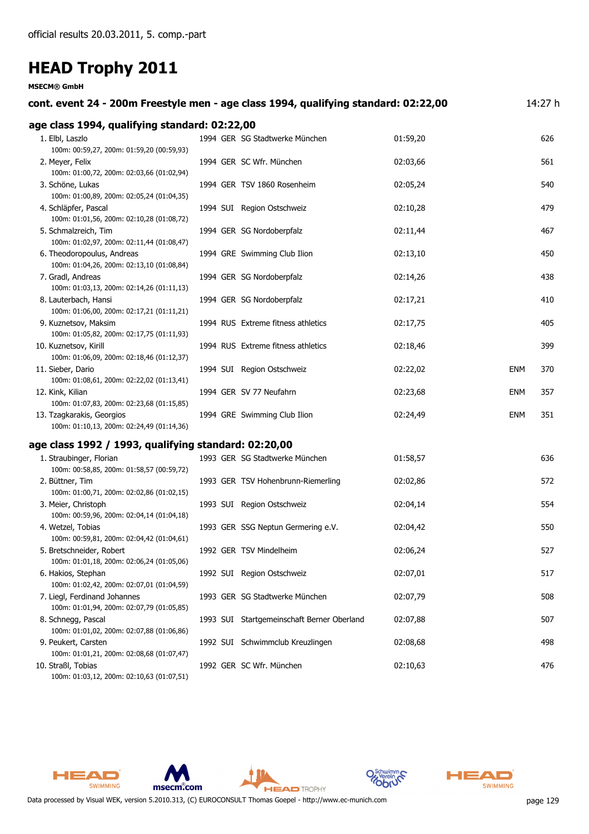#### **MSECM® GmbH**

| cont. event 24 - 200m Freestyle men - age class 1994, qualifying standard: 02:22,00 |                                            |          |            | 14:27 h |
|-------------------------------------------------------------------------------------|--------------------------------------------|----------|------------|---------|
| age class 1994, qualifying standard: 02:22,00                                       |                                            |          |            |         |
| 1. Elbl, Laszlo<br>100m: 00:59,27, 200m: 01:59,20 (00:59,93)                        | 1994 GER SG Stadtwerke München             | 01:59,20 |            | 626     |
| 2. Meyer, Felix<br>100m: 01:00,72, 200m: 02:03,66 (01:02,94)                        | 1994 GER SC Wfr. München                   | 02:03,66 |            | 561     |
| 3. Schöne, Lukas<br>100m: 01:00,89, 200m: 02:05,24 (01:04,35)                       | 1994 GER TSV 1860 Rosenheim                | 02:05,24 |            | 540     |
| 4. Schläpfer, Pascal<br>100m: 01:01,56, 200m: 02:10,28 (01:08,72)                   | 1994 SUI Region Ostschweiz                 | 02:10,28 |            | 479     |
| 5. Schmalzreich, Tim<br>100m: 01:02,97, 200m: 02:11,44 (01:08,47)                   | 1994 GER SG Nordoberpfalz                  | 02:11,44 |            | 467     |
| 6. Theodoropoulus, Andreas<br>100m: 01:04,26, 200m: 02:13,10 (01:08,84)             | 1994 GRE Swimming Club Ilion               | 02:13,10 |            | 450     |
| 7. Gradl, Andreas<br>100m: 01:03,13, 200m: 02:14,26 (01:11,13)                      | 1994 GER SG Nordoberpfalz                  | 02:14,26 |            | 438     |
| 8. Lauterbach, Hansi<br>100m: 01:06,00, 200m: 02:17,21 (01:11,21)                   | 1994 GER SG Nordoberpfalz                  | 02:17,21 |            | 410     |
| 9. Kuznetsov, Maksim<br>100m: 01:05,82, 200m: 02:17,75 (01:11,93)                   | 1994 RUS Extreme fitness athletics         | 02:17,75 |            | 405     |
| 10. Kuznetsov, Kirill<br>100m: 01:06,09, 200m: 02:18,46 (01:12,37)                  | 1994 RUS Extreme fitness athletics         | 02:18,46 |            | 399     |
| 11. Sieber, Dario<br>100m: 01:08,61, 200m: 02:22,02 (01:13,41)                      | 1994 SUI Region Ostschweiz                 | 02:22,02 | <b>ENM</b> | 370     |
| 12. Kink, Kilian<br>100m: 01:07,83, 200m: 02:23,68 (01:15,85)                       | 1994 GER SV 77 Neufahrn                    | 02:23,68 | <b>ENM</b> | 357     |
| 13. Tzagkarakis, Georgios<br>100m: 01:10,13, 200m: 02:24,49 (01:14,36)              | 1994 GRE Swimming Club Ilion               | 02:24,49 | <b>ENM</b> | 351     |
| age class 1992 / 1993, qualifying standard: 02:20,00                                |                                            |          |            |         |
| 1. Straubinger, Florian<br>100m: 00:58,85, 200m: 01:58,57 (00:59,72)                | 1993 GER SG Stadtwerke München             | 01:58,57 |            | 636     |
| 2. Büttner, Tim<br>100m: 01:00,71, 200m: 02:02,86 (01:02,15)                        | 1993 GER TSV Hohenbrunn-Riemerling         | 02:02,86 |            | 572     |
| 3. Meier, Christoph<br>100m: 00:59,96, 200m: 02:04,14 (01:04,18)                    | 1993 SUI Region Ostschweiz                 | 02:04,14 |            | 554     |
| 4. Wetzel, Tobias<br>100m: 00:59,81, 200m: 02:04,42 (01:04,61)                      | 1993 GER SSG Neptun Germering e.V.         | 02:04,42 |            | 550     |
| 5. Bretschneider, Robert<br>100m: 01:01,18, 200m: 02:06,24 (01:05,06)               | 1992 GER TSV Mindelheim                    | 02:06,24 |            | 527     |
| 6. Hakios, Stephan<br>100m: 01:02,42, 200m: 02:07,01 (01:04,59)                     | 1992 SUI Region Ostschweiz                 | 02:07,01 |            | 517     |
| 7. Liegl, Ferdinand Johannes<br>100m: 01:01,94, 200m: 02:07,79 (01:05,85)           | 1993 GER SG Stadtwerke München             | 02:07,79 |            | 508     |
| 8. Schnegg, Pascal<br>100m: 01:01,02, 200m: 02:07,88 (01:06,86)                     | 1993 SUI Startgemeinschaft Berner Oberland | 02:07,88 |            | 507     |
| 9. Peukert, Carsten<br>100m: 01:01,21, 200m: 02:08,68 (01:07,47)                    | 1992 SUI Schwimmclub Kreuzlingen           | 02:08,68 |            | 498     |
| 10. Straßl, Tobias                                                                  | 1992 GER SC Wfr. München                   | 02:10,63 |            | 476     |

100m: 01:03,12, 200m: 02:10,63 (01:07,51)







**HEAD** TROPHY



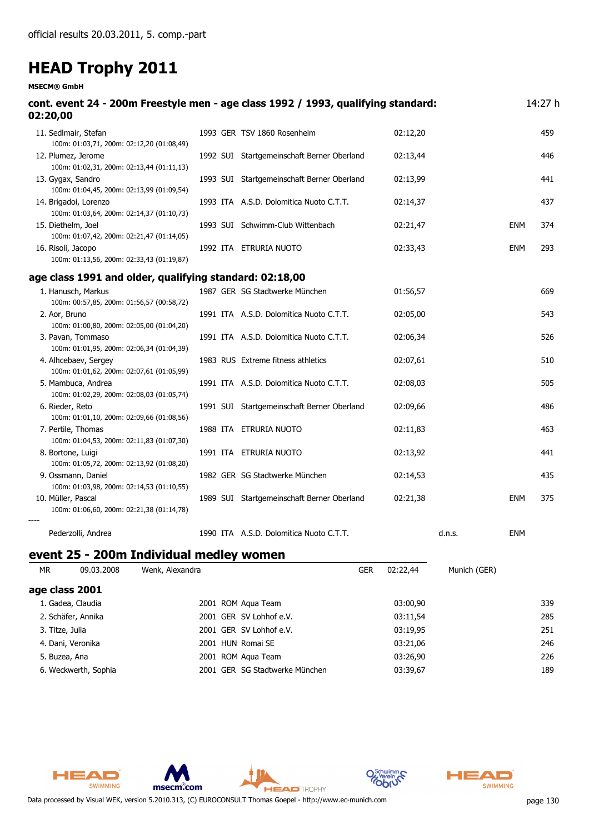#### **MSECM® GmbH**

| cont. event 24 - 200m Freestyle men - age class 1992 / 1993, qualifying standard:<br>02:20,00 |                                            |          |            | 14:27 h |
|-----------------------------------------------------------------------------------------------|--------------------------------------------|----------|------------|---------|
| 11. Sedlmair, Stefan<br>100m: 01:03,71, 200m: 02:12,20 (01:08,49)                             | 1993 GER TSV 1860 Rosenheim                | 02:12,20 |            | 459     |
| 12. Plumez, Jerome<br>100m: 01:02,31, 200m: 02:13,44 (01:11,13)                               | 1992 SUI Startgemeinschaft Berner Oberland | 02:13,44 |            | 446     |
| 13. Gygax, Sandro<br>100m: 01:04,45, 200m: 02:13,99 (01:09,54)                                | 1993 SUI Startgemeinschaft Berner Oberland | 02:13,99 |            | 441     |
| 14. Brigadoi, Lorenzo<br>100m: 01:03,64, 200m: 02:14,37 (01:10,73)                            | 1993 ITA A.S.D. Dolomitica Nuoto C.T.T.    | 02:14,37 |            | 437     |
| 15. Diethelm, Joel<br>100m: 01:07,42, 200m: 02:21,47 (01:14,05)                               | 1993 SUI Schwimm-Club Wittenbach           | 02:21,47 | <b>ENM</b> | 374     |
| 16. Risoli, Jacopo<br>100m: 01:13,56, 200m: 02:33,43 (01:19,87)                               | 1992 ITA ETRURIA NUOTO                     | 02:33,43 | <b>ENM</b> | 293     |
| age class 1991 and older, qualifying standard: 02:18,00                                       |                                            |          |            |         |
| 1. Hanusch, Markus<br>100m: 00:57,85, 200m: 01:56,57 (00:58,72)                               | 1987 GER SG Stadtwerke München             | 01:56,57 |            | 669     |
| 2. Aor, Bruno<br>100m: 01:00,80, 200m: 02:05,00 (01:04,20)                                    | 1991 ITA A.S.D. Dolomitica Nuoto C.T.T.    | 02:05,00 |            | 543     |
| 3. Pavan, Tommaso<br>100m: 01:01,95, 200m: 02:06,34 (01:04,39)                                | 1991 ITA A.S.D. Dolomitica Nuoto C.T.T.    | 02:06,34 |            | 526     |
| 4. Alhcebaev, Sergey<br>100m: 01:01,62, 200m: 02:07,61 (01:05,99)                             | 1983 RUS Extreme fitness athletics         | 02:07,61 |            | 510     |
| 5. Mambuca, Andrea<br>100m: 01:02,29, 200m: 02:08,03 (01:05,74)                               | 1991 ITA A.S.D. Dolomitica Nuoto C.T.T.    | 02:08,03 |            | 505     |
| 6. Rieder, Reto<br>100m: 01:01,10, 200m: 02:09,66 (01:08,56)                                  | 1991 SUI Startgemeinschaft Berner Oberland | 02:09,66 |            | 486     |
| 7. Pertile, Thomas<br>100m: 01:04,53, 200m: 02:11,83 (01:07,30)                               | 1988 ITA ETRURIA NUOTO                     | 02:11,83 |            | 463     |
| 8. Bortone, Luigi<br>100m: 01:05,72, 200m: 02:13,92 (01:08,20)                                | 1991 ITA ETRURIA NUOTO                     | 02:13,92 |            | 441     |
| 9. Ossmann, Daniel<br>100m: 01:03,98, 200m: 02:14,53 (01:10,55)                               | 1982 GER SG Stadtwerke München             | 02:14,53 |            | 435     |
| 10. Müller, Pascal<br>100m: 01:06,60, 200m: 02:21,38 (01:14,78)                               | 1989 SUI Startgemeinschaft Berner Oberland | 02:21,38 | <b>ENM</b> | 375     |
| Pederzolli, Andrea                                                                            | 1990 ITA A.S.D. Dolomitica Nuoto C.T.T.    | d.n.s.   | <b>ENM</b> |         |

#### **event 25 - 200m Individual medley women**

| MR.             | 09.03.2008           | Wenk, Alexandra         | <b>GER</b>                     | 02:22.44 | Munich (GER) |     |
|-----------------|----------------------|-------------------------|--------------------------------|----------|--------------|-----|
|                 | age class 2001       |                         |                                |          |              |     |
|                 | 1. Gadea, Claudia    | 2001 ROM Agua Team      |                                | 03:00,90 |              | 339 |
|                 | 2. Schäfer, Annika   | 2001 GER SV Lohhof e.V. |                                | 03:11,54 |              | 285 |
| 3. Titze, Julia |                      | 2001 GER SV Lohhof e.V. |                                | 03:19,95 |              | 251 |
|                 | 4. Dani, Veronika    | 2001 HUN Romai SE       |                                | 03:21,06 |              | 246 |
| 5. Buzea, Ana   |                      | 2001 ROM Agua Team      |                                | 03:26,90 |              | 226 |
|                 | 6. Weckwerth, Sophia |                         | 2001 GER SG Stadtwerke München | 03:39,67 |              | 189 |
|                 |                      |                         |                                |          |              |     |





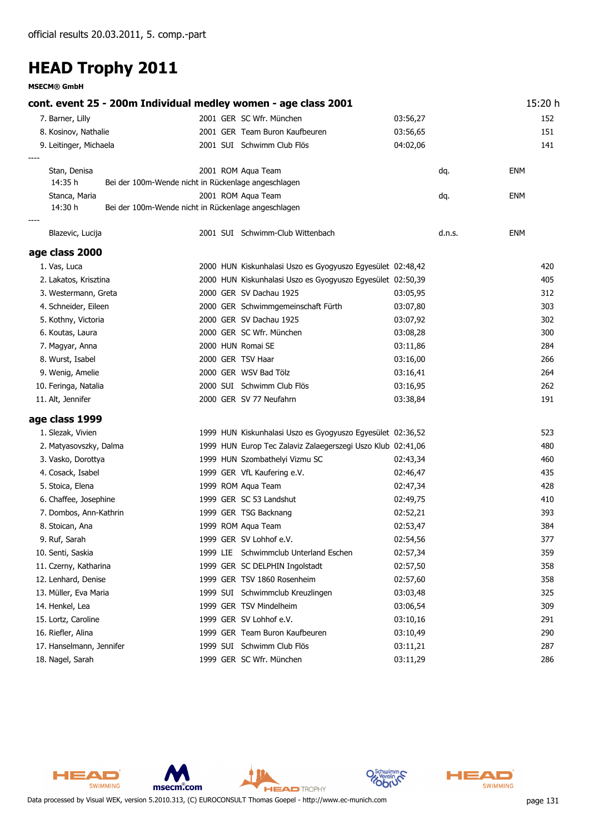**MSECM® GmbH**

**cont. event 25 - 200m Individual medley women - age class 2001** 15:20 h 7. Barner, Lilly 2001 GER SC Wfr. München 03:56,27 152 8. Kosinov, Nathalie 2001 GER Team Buron Kaufbeuren 03:56,65 151 9. Leitinger, Michaela **2001 SUI Schwimm Club Flös** 04:02,06 04:02,06 141 *----* Stan, Denisa 2001 Aqua Team ENM ROM dq. *14:35 h Bei der 100m-Wende nicht in Rückenlage angeschlagen* Stanca, Maria 2001 Aqua Team ENM ROM dq. *14:30 h Bei der 100m-Wende nicht in Rückenlage angeschlagen ----* Blazevic, Lucija 2001 SUI Schwimm-Club Wittenbach d.n.s. ENM **age class 2000** 1. Vas, Luca 2000 HUN Kiskunhalasi Uszo es Gyogyuszo Egyesület 02:48,42 420 2. Lakatos, Krisztina 2000 HUN Kiskunhalasi Uszo es Gyogyuszo Egyesület 02:50,39 405 3. Westermann, Greta 2000 GER SV Dachau 1925 03:05,95 312 4. Schneider, Eileen 2000 GER Schwimmgemeinschaft Fürth 03:07,80 303 5. Kothny, Victoria 2000 GER SV Dachau 1925 03:07,92 302 6. Koutas, Laura 2000 GER SC Wfr. München 03:08,28 300 7. Magyar, Anna 2000 HUN Romai SE 03:11,86 284 8. Wurst, Isabel 2000 GER TSV Haar 03:16,00 266 9. Wenig, Amelie 2000 GER WSV Bad Tölz 2000 GER WSV Bad Tölz 264 10. Feringa, Natalia 2000 SUI Schwimm Club Flös 03:16,95 262 11. Alt, Jennifer 2000 GER SV 77 Neufahrn 2003 33,84 191 **age class 1999** 1. Slezak, Vivien 1999 HUN Kiskunhalasi Uszo es Gyogyuszo Egyesület 02:36,52 523 2. Matyasovszky, Dalma 1999 HUN Europ Tec Zalaviz Zalaegerszegi Uszo Klub 02:41,06 480 3. Vasko, Dorottya 1999 HUN Szombathelyi Vizmu SC 02:43,34 460 4. Cosack, Isabel 1999 GER VfL Kaufering e.V. 02:46,47 435 5. Stoica, Elena 1999 ROM Aqua Team 1999 ROM Aqua Team 1999 ROM Aqua Team 1999 ROM Aqua Team 1999 ROM Aqua Team 6. Chaffee, Josephine 1999 GER SC 53 Landshut 02:49,75 410 7. Dombos, Ann-Kathrin 1999 GER TSG Backnang 1997 02:52,21 393 8. Stoican, Ana 1999 ROM Agua Team 1999 ROM Agua Team 1999 ROM Agua Team 1999 ROM Agua Team 1999 ROM Agua Team 9. Ruf, Sarah 1999 GER SV Lohhof e.V. 02:54,56 377 10. Senti, Saskia 1999 LIE Schwimmclub Unterland Eschen 02:57,34 359 11. Czerny, Katharina 1999 GER SC DELPHIN Ingolstadt 02:57,50 358 12. Lenhard, Denise 1999 GER TSV 1860 Rosenheim 02:57,60 358 13. Müller, Eva Maria 1999 SUI Schwimmclub Kreuzlingen 03:03,48 325 14. Henkel, Lea 1999 GER TSV Mindelheim 03:06,54 309 15. Lortz, Caroline 1999 GER SV Lohhof e.V. 03:10,16 291 16. Riefler, Alina 1999 GER Team Buron Kaufbeuren 03:10,49 290 17. Hanselmann, Jennifer 1999 SUI Schwimm Club Flös 1999 SUI Schwimm Club Flös 1991 287 18. Nagel, Sarah 1999 GER SC Wfr. München 03:11,29 286



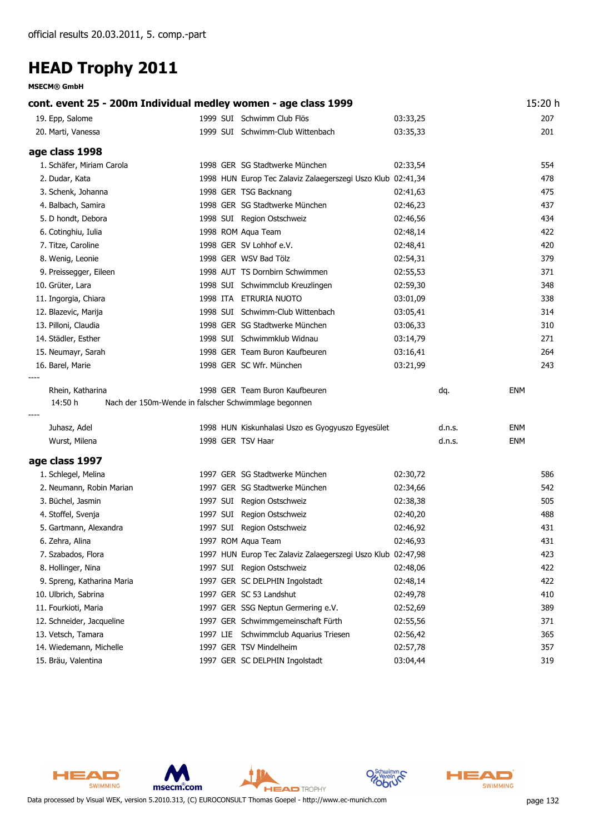**MSECM® GmbH**

| cont. event 25 - 200m Individual medley women - age class 1999 |  |                                                                                        |          |        |            |
|----------------------------------------------------------------|--|----------------------------------------------------------------------------------------|----------|--------|------------|
| 19. Epp, Salome                                                |  | 1999 SUI Schwimm Club Flös                                                             | 03:33,25 |        | 207        |
| 20. Marti, Vanessa                                             |  | 1999 SUI Schwimm-Club Wittenbach                                                       | 03:35,33 |        | 201        |
| age class 1998                                                 |  |                                                                                        |          |        |            |
| 1. Schäfer, Miriam Carola                                      |  | 1998 GER SG Stadtwerke München                                                         | 02:33,54 |        | 554        |
| 2. Dudar, Kata                                                 |  | 1998 HUN Europ Tec Zalaviz Zalaegerszegi Uszo Klub 02:41,34                            |          |        | 478        |
| 3. Schenk, Johanna                                             |  | 1998 GER TSG Backnang                                                                  | 02:41,63 |        | 475        |
| 4. Balbach, Samira                                             |  | 1998 GER SG Stadtwerke München                                                         | 02:46,23 |        | 437        |
| 5. D hondt, Debora                                             |  | 1998 SUI Region Ostschweiz                                                             | 02:46,56 |        | 434        |
| 6. Cotinghiu, Iulia                                            |  | 1998 ROM Aqua Team                                                                     | 02:48,14 |        | 422        |
| 7. Titze, Caroline                                             |  | 1998 GER SV Lohhof e.V.                                                                | 02:48,41 |        | 420        |
| 8. Wenig, Leonie                                               |  | 1998 GER WSV Bad Tölz                                                                  | 02:54,31 |        | 379        |
| 9. Preissegger, Eileen                                         |  | 1998 AUT TS Dornbirn Schwimmen                                                         | 02:55,53 |        | 371        |
| 10. Grüter, Lara                                               |  | 1998 SUI Schwimmclub Kreuzlingen                                                       | 02:59,30 |        | 348        |
| 11. Ingorgia, Chiara                                           |  | 1998 ITA ETRURIA NUOTO                                                                 | 03:01,09 |        | 338        |
| 12. Blazevic, Marija                                           |  | 1998 SUI Schwimm-Club Wittenbach                                                       | 03:05,41 |        | 314        |
| 13. Pilloni, Claudia                                           |  | 1998 GER SG Stadtwerke München                                                         | 03:06,33 |        | 310        |
| 14. Städler, Esther                                            |  | 1998 SUI Schwimmklub Widnau                                                            | 03:14,79 |        | 271        |
| 15. Neumayr, Sarah                                             |  | 1998 GER Team Buron Kaufbeuren                                                         | 03:16,41 |        | 264        |
| 16. Barel, Marie                                               |  | 1998 GER SC Wfr. München                                                               | 03:21,99 |        | 243        |
| Rhein, Katharina<br>14:50 h                                    |  | 1998 GER Team Buron Kaufbeuren<br>Nach der 150m-Wende in falscher Schwimmlage begonnen |          | dq.    | <b>ENM</b> |
| Juhasz, Adel                                                   |  | 1998 HUN Kiskunhalasi Uszo es Gyogyuszo Egyesület                                      |          | d.n.s. | <b>ENM</b> |
| Wurst, Milena                                                  |  | 1998 GER TSV Haar                                                                      |          | d.n.s. | <b>ENM</b> |
| age class 1997                                                 |  |                                                                                        |          |        |            |
| 1. Schlegel, Melina                                            |  | 1997 GER SG Stadtwerke München                                                         | 02:30,72 |        | 586        |
| 2. Neumann, Robin Marian                                       |  | 1997 GER SG Stadtwerke München                                                         | 02:34,66 |        | 542        |
| 3. Büchel, Jasmin                                              |  | 1997 SUI Region Ostschweiz                                                             | 02:38,38 |        | 505        |
| 4. Stoffel, Svenja                                             |  | 1997 SUI Region Ostschweiz                                                             | 02:40,20 |        | 488        |
| 5. Gartmann, Alexandra                                         |  | 1997 SUI Region Ostschweiz                                                             | 02:46,92 |        | 431        |
| 6. Zehra, Alina                                                |  | 1997 ROM Aqua Team                                                                     | 02:46,93 |        | 431        |
| 7. Szabados, Flora                                             |  | 1997 HUN Europ Tec Zalaviz Zalaegerszegi Uszo Klub 02:47,98                            |          |        | 423        |
| 8. Hollinger, Nina                                             |  | 1997 SUI Region Ostschweiz                                                             | 02:48,06 |        | 422        |
| 9. Spreng, Katharina Maria                                     |  | 1997 GER SC DELPHIN Ingolstadt                                                         | 02:48,14 |        | 422        |
| 10. Ulbrich, Sabrina                                           |  | 1997 GER SC 53 Landshut                                                                | 02:49,78 |        | 410        |
| 11. Fourkioti, Maria                                           |  | 1997 GER SSG Neptun Germering e.V.                                                     | 02:52,69 |        | 389        |
| 12. Schneider, Jacqueline                                      |  | 1997 GER Schwimmgemeinschaft Fürth                                                     | 02:55,56 |        | 371        |
| 13. Vetsch, Tamara                                             |  | 1997 LIE Schwimmclub Aquarius Triesen                                                  | 02:56,42 |        | 365        |
| 14. Wiedemann, Michelle                                        |  | 1997 GER TSV Mindelheim                                                                | 02:57,78 |        | 357        |
| 15. Bräu, Valentina                                            |  | 1997 GER SC DELPHIN Ingolstadt                                                         | 03:04,44 |        | 319        |

HEAD SWIMMING msecm.com **HEAD** TROPHY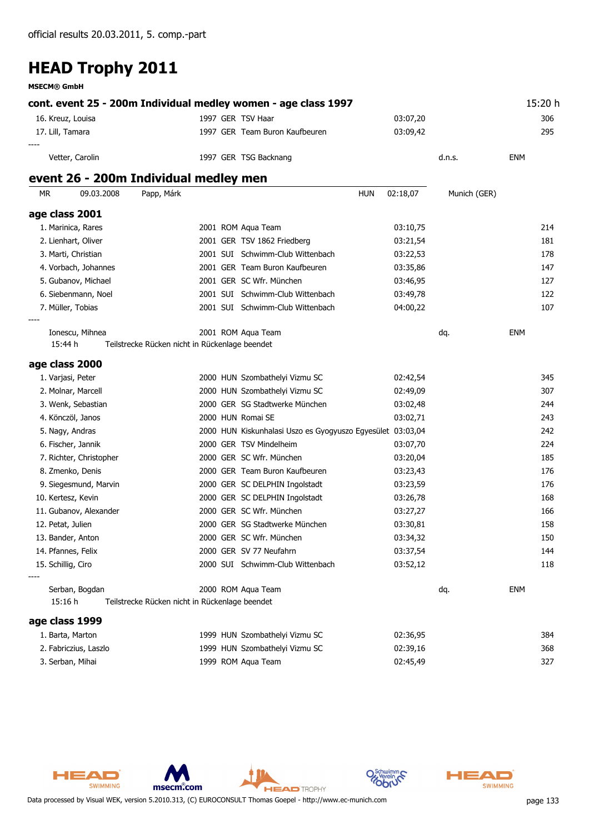**MSECM® GmbH**

**cont. event 25 - 200m Individual medley women - age class 1997** 15:20 h 16. Kreuz, Louisa 1997 GER TSV Haar 03:07,20 306 17. Lill, Tamara 1997 GER Team Buron Kaufbeuren 03:09,42 295 *----*

Vetter, Carolin **1997 GER TSG Backnang** Communication and the set of the Senate of the Senate of the Senate of the Senate of the Senate of the Senate of the Senate of the Senate of the Senate of the Senate of the Senate of

#### **event 26 - 200m Individual medley men**

| <b>MR</b> |                         | 09.03.2008 | Papp, Márk                                     |  | <b>HUN</b>                                        | 02:18,07 | Munich (GER) |            |     |
|-----------|-------------------------|------------|------------------------------------------------|--|---------------------------------------------------|----------|--------------|------------|-----|
|           | age class 2001          |            |                                                |  |                                                   |          |              |            |     |
|           | 1. Marinica, Rares      |            |                                                |  | 2001 ROM Aqua Team                                | 03:10,75 |              |            | 214 |
|           | 2. Lienhart, Oliver     |            |                                                |  | 2001 GER TSV 1862 Friedberg                       | 03:21,54 |              |            | 181 |
|           | 3. Marti, Christian     |            |                                                |  | 2001 SUI Schwimm-Club Wittenbach                  | 03:22,53 |              |            | 178 |
|           | 4. Vorbach, Johannes    |            |                                                |  | 2001 GER Team Buron Kaufbeuren                    | 03:35,86 |              |            | 147 |
|           | 5. Gubanov, Michael     |            |                                                |  | 2001 GER SC Wfr. München                          | 03:46,95 |              |            | 127 |
|           | 6. Siebenmann, Noel     |            |                                                |  | 2001 SUI Schwimm-Club Wittenbach                  | 03:49,78 |              |            | 122 |
|           | 7. Müller, Tobias       |            |                                                |  | 2001 SUI Schwimm-Club Wittenbach                  | 04:00,22 |              |            | 107 |
|           |                         |            |                                                |  |                                                   |          |              |            |     |
|           | Ionescu, Mihnea         |            |                                                |  | 2001 ROM Agua Team                                |          | dq.          | <b>ENM</b> |     |
|           | 15:44 h                 |            | Teilstrecke Rücken nicht in Rückenlage beendet |  |                                                   |          |              |            |     |
|           | age class 2000          |            |                                                |  |                                                   |          |              |            |     |
|           | 1. Varjasi, Peter       |            |                                                |  | 2000 HUN Szombathelyi Vizmu SC                    | 02:42,54 |              |            | 345 |
|           | 2. Molnar, Marcell      |            |                                                |  | 2000 HUN Szombathelyi Vizmu SC                    | 02:49,09 |              |            | 307 |
|           | 3. Wenk, Sebastian      |            |                                                |  | 2000 GER SG Stadtwerke München                    | 03:02,48 |              |            | 244 |
|           | 4. Könczöl, Janos       |            |                                                |  | 2000 HUN Romai SE                                 | 03:02,71 |              |            | 243 |
|           | 5. Nagy, Andras         |            |                                                |  | 2000 HUN Kiskunhalasi Uszo es Gyogyuszo Egyesület | 03:03,04 |              |            | 242 |
|           | 6. Fischer, Jannik      |            |                                                |  | 2000 GER TSV Mindelheim                           | 03:07,70 |              |            | 224 |
|           | 7. Richter, Christopher |            |                                                |  | 2000 GER SC Wfr. München                          | 03:20,04 |              |            | 185 |
|           | 8. Zmenko, Denis        |            |                                                |  | 2000 GER Team Buron Kaufbeuren                    | 03:23,43 |              |            | 176 |
|           | 9. Siegesmund, Marvin   |            |                                                |  | 2000 GER SC DELPHIN Ingolstadt                    | 03:23,59 |              |            | 176 |
|           | 10. Kertesz, Kevin      |            |                                                |  | 2000 GER SC DELPHIN Ingolstadt                    | 03:26,78 |              |            | 168 |
|           | 11. Gubanov, Alexander  |            |                                                |  | 2000 GER SC Wfr. München                          | 03:27,27 |              |            | 166 |

12. Petat, Julien 2000 GER SG Stadtwerke München 03:30,81 158 13. Bander, Anton 2000 GER SC Wfr. München 03:34,32 150 14. Pfannes, Felix 2000 GER SV 77 Neufahrn 03:37,54 144 15. Schillig, Ciro 2000 SUI Schwimm-Club Wittenbach 03:52,12 118

Serban, Bogdan 2000 Aqua Team ENM ROM dq. *15:16 h Teilstrecke Rücken nicht in Rückenlage beendet*

#### **age class 1999**

*----*

| 1. Barta, Marton      | 1999 HUN Szombathelyi Vizmu SC | 02:36,95 | 384 |
|-----------------------|--------------------------------|----------|-----|
| 2. Fabriczius, Laszlo | 1999 HUN Szombathelyi Vizmu SC | 02:39.16 | 368 |
| 3. Serban, Mihai      | 1999 ROM Agua Team             | 02:45.49 | 327 |

**HEAD** TROPHY





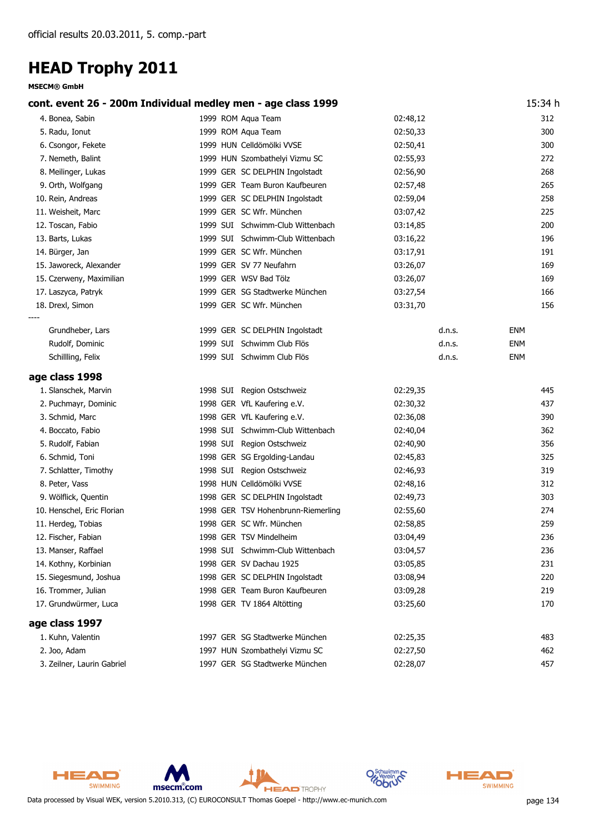| cont. event 26 - 200m Individual medley men - age class 1999 |                                    |          |            |  |
|--------------------------------------------------------------|------------------------------------|----------|------------|--|
| 4. Bonea, Sabin                                              | 1999 ROM Aqua Team                 | 02:48,12 | 312        |  |
| 5. Radu, Ionut                                               | 1999 ROM Aqua Team                 | 02:50,33 | 300        |  |
| 6. Csongor, Fekete                                           | 1999 HUN Celldömölki VVSE          | 02:50,41 | 300        |  |
| 7. Nemeth, Balint                                            | 1999 HUN Szombathelyi Vizmu SC     | 02:55,93 | 272        |  |
| 8. Meilinger, Lukas                                          | 1999 GER SC DELPHIN Ingolstadt     | 02:56,90 | 268        |  |
| 9. Orth, Wolfgang                                            | 1999 GER Team Buron Kaufbeuren     | 02:57,48 | 265        |  |
| 10. Rein, Andreas                                            | 1999 GER SC DELPHIN Ingolstadt     | 02:59,04 | 258        |  |
| 11. Weisheit, Marc                                           | 1999 GER SC Wfr. München           | 03:07,42 | 225        |  |
| 12. Toscan, Fabio                                            | 1999 SUI Schwimm-Club Wittenbach   | 03:14,85 | 200        |  |
| 13. Barts, Lukas                                             | 1999 SUI Schwimm-Club Wittenbach   | 03:16,22 | 196        |  |
| 14. Bürger, Jan                                              | 1999 GER SC Wfr. München           | 03:17,91 | 191        |  |
| 15. Jaworeck, Alexander                                      | 1999 GER SV 77 Neufahrn            | 03:26,07 | 169        |  |
| 15. Czerweny, Maximilian                                     | 1999 GER WSV Bad Tölz              | 03:26,07 | 169        |  |
| 17. Laszyca, Patryk                                          | 1999 GER SG Stadtwerke München     | 03:27,54 | 166        |  |
| 18. Drexl, Simon                                             | 1999 GER SC Wfr. München           | 03:31,70 | 156        |  |
| Grundheber, Lars                                             | 1999 GER SC DELPHIN Ingolstadt     | d.n.s.   | ENM        |  |
| Rudolf, Dominic                                              | 1999 SUI Schwimm Club Flös         | d.n.s.   | <b>ENM</b> |  |
| Schillling, Felix                                            | 1999 SUI Schwimm Club Flös         | d.n.s.   | <b>ENM</b> |  |
| age class 1998                                               |                                    |          |            |  |
| 1. Slanschek, Marvin                                         | 1998 SUI Region Ostschweiz         | 02:29,35 | 445        |  |
| 2. Puchmayr, Dominic                                         | 1998 GER VfL Kaufering e.V.        | 02:30,32 | 437        |  |
| 3. Schmid, Marc                                              | 1998 GER VfL Kaufering e.V.        | 02:36,08 | 390        |  |
| 4. Boccato, Fabio                                            | 1998 SUI Schwimm-Club Wittenbach   | 02:40,04 | 362        |  |
| 5. Rudolf, Fabian                                            | 1998 SUI Region Ostschweiz         | 02:40,90 | 356        |  |
| 6. Schmid, Toni                                              | 1998 GER SG Ergolding-Landau       | 02:45,83 | 325        |  |
| 7. Schlatter, Timothy                                        | 1998 SUI Region Ostschweiz         | 02:46,93 | 319        |  |
| 8. Peter, Vass                                               | 1998 HUN Celldömölki VVSE          | 02:48,16 | 312        |  |
| 9. Wölflick, Quentin                                         | 1998 GER SC DELPHIN Ingolstadt     | 02:49,73 | 303        |  |
| 10. Henschel, Eric Florian                                   | 1998 GER TSV Hohenbrunn-Riemerling | 02:55,60 | 274        |  |
| 11. Herdeg, Tobias                                           | 1998 GER SC Wfr. München           | 02:58,85 | 259        |  |
| 12. Fischer, Fabian                                          | 1998 GER TSV Mindelheim            | 03:04,49 | 236        |  |
| 13. Manser, Raffael                                          | 1998 SUI Schwimm-Club Wittenbach   | 03:04,57 | 236        |  |
| 14. Kothny, Korbinian                                        | 1998 GER SV Dachau 1925            | 03:05,85 | 231        |  |
| 15. Siegesmund, Joshua                                       | 1998 GER SC DELPHIN Ingolstadt     | 03:08,94 | 220        |  |
| 16. Trommer, Julian                                          | 1998 GER Team Buron Kaufbeuren     | 03:09,28 | 219        |  |
| 17. Grundwürmer, Luca                                        | 1998 GER TV 1864 Altötting         | 03:25,60 | 170        |  |
| age class 1997                                               |                                    |          |            |  |
| 1. Kuhn, Valentin                                            | 1997 GER SG Stadtwerke München     | 02:25,35 | 483        |  |
| 2. Joo, Adam                                                 | 1997 HUN Szombathelyi Vizmu SC     | 02:27,50 | 462        |  |
| 3. Zeilner, Laurin Gabriel                                   | 1997 GER SG Stadtwerke München     | 02:28,07 | 457        |  |





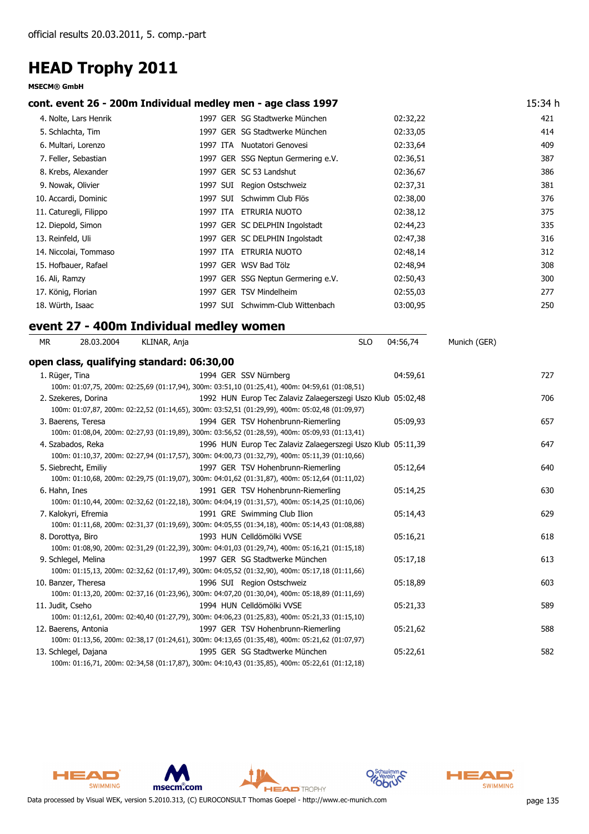#### **MSECM® GmbH**

#### **cont. event 26 - 200m Individual medley men - age class 1997** 15:34 h

|                    | 4. Nolte, Lars Henrik  |          |     | 1997 GER SG Stadtwerke München     | 02:32,22 | 421 |
|--------------------|------------------------|----------|-----|------------------------------------|----------|-----|
| 5. Schlachta, Tim  |                        |          |     | 1997 GER SG Stadtwerke München     | 02:33,05 | 414 |
|                    | 6. Multari, Lorenzo    | 1997 ITA |     | Nuotatori Genovesi                 | 02:33,64 | 409 |
|                    | 7. Feller, Sebastian   |          |     | 1997 GER SSG Neptun Germering e.V. | 02:36,51 | 387 |
|                    | 8. Krebs, Alexander    |          |     | 1997 GER SC 53 Landshut            | 02:36,67 | 386 |
| 9. Nowak, Olivier  |                        | 1997 SUI |     | Region Ostschweiz                  | 02:37,31 | 381 |
|                    | 10. Accardi, Dominic   | 1997 SUI |     | Schwimm Club Flös                  | 02:38,00 | 376 |
|                    | 11. Caturegli, Filippo | 1997 ITA |     | ETRURIA NUOTO                      | 02:38,12 | 375 |
| 12. Diepold, Simon |                        |          |     | 1997 GER SC DELPHIN Ingolstadt     | 02:44,23 | 335 |
| 13. Reinfeld, Uli  |                        |          |     | 1997 GER SC DELPHIN Ingolstadt     | 02:47,38 | 316 |
|                    | 14. Niccolai, Tommaso  | 1997 ITA |     | ETRURIA NUOTO                      | 02:48,14 | 312 |
|                    | 15. Hofbauer, Rafael   |          |     | 1997 GER WSV Bad Tölz              | 02:48,94 | 308 |
| 16. Ali, Ramzy     |                        |          |     | 1997 GER SSG Neptun Germering e.V. | 02:50,43 | 300 |
| 17. König, Florian |                        | 1997     | GER | <b>TSV Mindelheim</b>              | 02:55,03 | 277 |
| 18. Würth, Isaac   |                        | 1997 SUI |     | Schwimm-Club Wittenbach            | 03:00,95 | 250 |
|                    |                        |          |     |                                    |          |     |

#### *MR 28.03.2004 KLINAR, Anja SLO 04:56,74 Munich (GER)* **event 27 - 400m Individual medley women**

| open class, qualifying standard: 06:30,00 |                                                                                                                                                                |          |     |
|-------------------------------------------|----------------------------------------------------------------------------------------------------------------------------------------------------------------|----------|-----|
| 1. Rüger, Tina                            | 1994 GER SSV Nürnberg                                                                                                                                          | 04:59,61 | 727 |
|                                           | 100m: 01:07,75, 200m: 02:25,69 (01:17,94), 300m: 03:51,10 (01:25,41), 400m: 04:59,61 (01:08,51)                                                                |          |     |
| 2. Szekeres, Dorina                       | 1992 HUN Europ Tec Zalaviz Zalaegerszegi Uszo Klub 05:02,48<br>100m: 01:07,87, 200m: 02:22,52 (01:14,65), 300m: 03:52,51 (01:29,99), 400m: 05:02,48 (01:09,97) |          | 706 |
| 3. Baerens, Teresa                        | 1994 GER TSV Hohenbrunn-Riemerling<br>100m: 01:08,04, 200m: 02:27,93 (01:19,89), 300m: 03:56,52 (01:28,59), 400m: 05:09,93 (01:13,41)                          | 05:09,93 | 657 |
| 4. Szabados, Reka                         | 1996 HUN Europ Tec Zalaviz Zalaegerszegi Uszo Klub 05:11,39<br>100m: 01:10,37, 200m: 02:27,94 (01:17,57), 300m: 04:00,73 (01:32,79), 400m: 05:11,39 (01:10,66) |          | 647 |
| 5. Siebrecht, Emiliv                      | 1997 GER TSV Hohenbrunn-Riemerling<br>100m: 01:10,68, 200m: 02:29,75 (01:19,07), 300m: 04:01,62 (01:31,87), 400m: 05:12,64 (01:11,02)                          | 05:12.64 | 640 |
| 6. Hahn, Ines                             | 1991 GER TSV Hohenbrunn-Riemerling<br>100m: 01:10,44, 200m: 02:32,62 (01:22,18), 300m: 04:04,19 (01:31,57), 400m: 05:14,25 (01:10,06)                          | 05:14,25 | 630 |
| 7. Kalokyri, Efremia                      | 1991 GRE Swimming Club Ilion<br>100m: 01:11,68, 200m: 02:31,37 (01:19,69), 300m: 04:05,55 (01:34,18), 400m: 05:14,43 (01:08,88)                                | 05:14,43 | 629 |
| 8. Dorottya, Biro                         | 1993 HUN Celldömölki VVSE<br>100m: 01:08,90, 200m: 02:31,29 (01:22,39), 300m: 04:01,03 (01:29,74), 400m: 05:16,21 (01:15,18)                                   | 05:16,21 | 618 |
| 9. Schlegel, Melina                       | 1997 GER SG Stadtwerke München<br>100m: 01:15,13, 200m: 02:32,62 (01:17,49), 300m: 04:05,52 (01:32,90), 400m: 05:17,18 (01:11,66)                              | 05:17.18 | 613 |
| 10. Banzer, Theresa                       | 1996 SUI Region Ostschweiz<br>100m: 01:13,20, 200m: 02:37,16 (01:23,96), 300m: 04:07,20 (01:30,04), 400m: 05:18,89 (01:11,69)                                  | 05:18,89 | 603 |
| 11. Judit, Cseho                          | 1994 HUN Celldömölki VVSE<br>100m: 01:12,61, 200m: 02:40,40 (01:27,79), 300m: 04:06,23 (01:25,83), 400m: 05:21,33 (01:15,10)                                   | 05:21,33 | 589 |
| 12. Baerens, Antonia                      | 1997 GER TSV Hohenbrunn-Riemerling<br>100m: 01:13,56, 200m: 02:38,17 (01:24,61), 300m: 04:13,65 (01:35,48), 400m: 05:21,62 (01:07,97)                          | 05:21,62 | 588 |
| 13. Schlegel, Dajana                      | 1995 GER SG Stadtwerke München<br>100m: 01:16,71, 200m: 02:34,58 (01:17,87), 300m: 04:10,43 (01:35,85), 400m: 05:22,61 (01:12,18)                              | 05:22,61 | 582 |



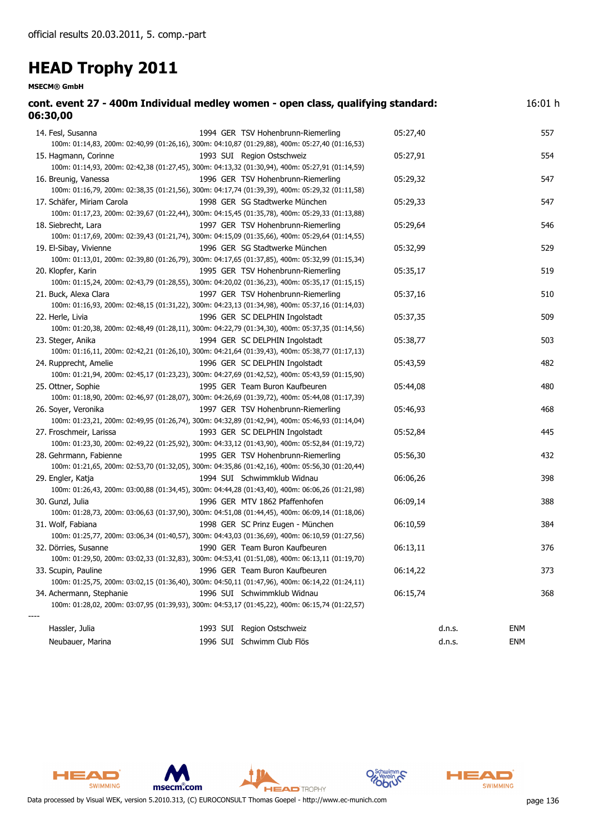| cont. event 27 - 400m Individual medley women - open class, qualifying standard:<br>06:30,00                                                                    |          | 16:01 h    |
|-----------------------------------------------------------------------------------------------------------------------------------------------------------------|----------|------------|
| 14. Fesl, Susanna<br>1994 GER TSV Hohenbrunn-Riemerling<br>100m: 01:14,83, 200m: 02:40,99 (01:26,16), 300m: 04:10,87 (01:29,88), 400m: 05:27,40 (01:16,53)      | 05:27,40 | 557        |
| 1993 SUI Region Ostschweiz<br>15. Hagmann, Corinne<br>100m: 01:14,93, 200m: 02:42,38 (01:27,45), 300m: 04:13,32 (01:30,94), 400m: 05:27,91 (01:14,59)           | 05:27,91 | 554        |
| 16. Breunig, Vanessa<br>1996 GER TSV Hohenbrunn-Riemerling<br>100m: 01:16,79, 200m: 02:38,35 (01:21,56), 300m: 04:17,74 (01:39,39), 400m: 05:29,32 (01:11,58)   | 05:29,32 | 547        |
| 17. Schäfer, Miriam Carola<br>1998 GER SG Stadtwerke München<br>100m: 01:17,23, 200m: 02:39,67 (01:22,44), 300m: 04:15,45 (01:35,78), 400m: 05:29,33 (01:13,88) | 05:29,33 | 547        |
| 18. Siebrecht, Lara<br>1997 GER TSV Hohenbrunn-Riemerling<br>100m: 01:17,69, 200m: 02:39,43 (01:21,74), 300m: 04:15,09 (01:35,66), 400m: 05:29,64 (01:14,55)    | 05:29,64 | 546        |
| 19. El-Sibay, Vivienne<br>1996 GER SG Stadtwerke München<br>100m: 01:13,01, 200m: 02:39,80 (01:26,79), 300m: 04:17,65 (01:37,85), 400m: 05:32,99 (01:15,34)     | 05:32,99 | 529        |
| 20. Klopfer, Karin<br>1995 GER TSV Hohenbrunn-Riemerling<br>100m: 01:15,24, 200m: 02:43,79 (01:28,55), 300m: 04:20,02 (01:36,23), 400m: 05:35,17 (01:15,15)     | 05:35,17 | 519        |
| 21. Buck, Alexa Clara<br>1997 GER TSV Hohenbrunn-Riemerling<br>100m: 01:16,93, 200m: 02:48,15 (01:31,22), 300m: 04:23,13 (01:34,98), 400m: 05:37,16 (01:14,03)  | 05:37,16 | 510        |
| 1996 GER SC DELPHIN Ingolstadt<br>22. Herle, Livia<br>100m: 01:20,38, 200m: 02:48,49 (01:28,11), 300m: 04:22,79 (01:34,30), 400m: 05:37,35 (01:14,56)           | 05:37,35 | 509        |
| 1994 GER SC DELPHIN Ingolstadt<br>23. Steger, Anika<br>100m: 01:16,11, 200m: 02:42,21 (01:26,10), 300m: 04:21,64 (01:39,43), 400m: 05:38,77 (01:17,13)          | 05:38,77 | 503        |
| 24. Rupprecht, Amelie<br>1996 GER SC DELPHIN Ingolstadt<br>100m: 01:21,94, 200m: 02:45,17 (01:23,23), 300m: 04:27,69 (01:42,52), 400m: 05:43,59 (01:15,90)      | 05:43,59 | 482        |
| 1995 GER Team Buron Kaufbeuren<br>25. Ottner, Sophie<br>100m: 01:18,90, 200m: 02:46,97 (01:28,07), 300m: 04:26,69 (01:39,72), 400m: 05:44,08 (01:17,39)         | 05:44,08 | 480        |
| 26. Soyer, Veronika<br>1997 GER TSV Hohenbrunn-Riemerling<br>100m: 01:23,21, 200m: 02:49,95 (01:26,74), 300m: 04:32,89 (01:42,94), 400m: 05:46,93 (01:14,04)    | 05:46,93 | 468        |
| 27. Froschmeir, Larissa<br>1993 GER SC DELPHIN Ingolstadt<br>100m: 01:23,30, 200m: 02:49,22 (01:25,92), 300m: 04:33,12 (01:43,90), 400m: 05:52,84 (01:19,72)    | 05:52,84 | 445        |
| 1995 GER TSV Hohenbrunn-Riemerling<br>28. Gehrmann, Fabienne<br>100m: 01:21,65, 200m: 02:53,70 (01:32,05), 300m: 04:35,86 (01:42,16), 400m: 05:56,30 (01:20,44) | 05:56,30 | 432        |
| 29. Engler, Katja<br>1994 SUI Schwimmklub Widnau<br>100m: 01:26,43, 200m: 03:00,88 (01:34,45), 300m: 04:44,28 (01:43,40), 400m: 06:06,26 (01:21,98)             | 06:06,26 | 398        |
| 30. Gunzl, Julia<br>1996 GER MTV 1862 Pfaffenhofen<br>100m: 01:28,73, 200m: 03:06,63 (01:37,90), 300m: 04:51,08 (01:44,45), 400m: 06:09,14 (01:18,06)           | 06:09,14 | 388        |
| 31. Wolf, Fabiana<br>1998 GER SC Prinz Eugen - München<br>100m: 01:25,77, 200m: 03:06,34 (01:40,57), 300m: 04:43,03 (01:36,69), 400m: 06:10,59 (01:27,56)       | 06:10,59 | 384        |
| 32. Dörries, Susanne<br>1990 GER Team Buron Kaufbeuren<br>100m: 01:29,50, 200m: 03:02,33 (01:32,83), 300m: 04:53,41 (01:51,08), 400m: 06:13,11 (01:19,70)       | 06:13,11 | 376        |
| 33. Scupin, Pauline<br>1996 GER Team Buron Kaufbeuren<br>100m: 01:25,75, 200m: 03:02,15 (01:36,40), 300m: 04:50,11 (01:47,96), 400m: 06:14,22 (01:24,11)        | 06:14,22 | 373        |
| 34. Achermann, Stephanie<br>1996 SUI Schwimmklub Widnau<br>100m: 01:28,02, 200m: 03:07,95 (01:39,93), 300m: 04:53,17 (01:45,22), 400m: 06:15,74 (01:22,57)      | 06:15,74 | 368        |
| 1993 SUI Region Ostschweiz<br>Hassler, Julia                                                                                                                    | d.n.s.   | <b>ENM</b> |